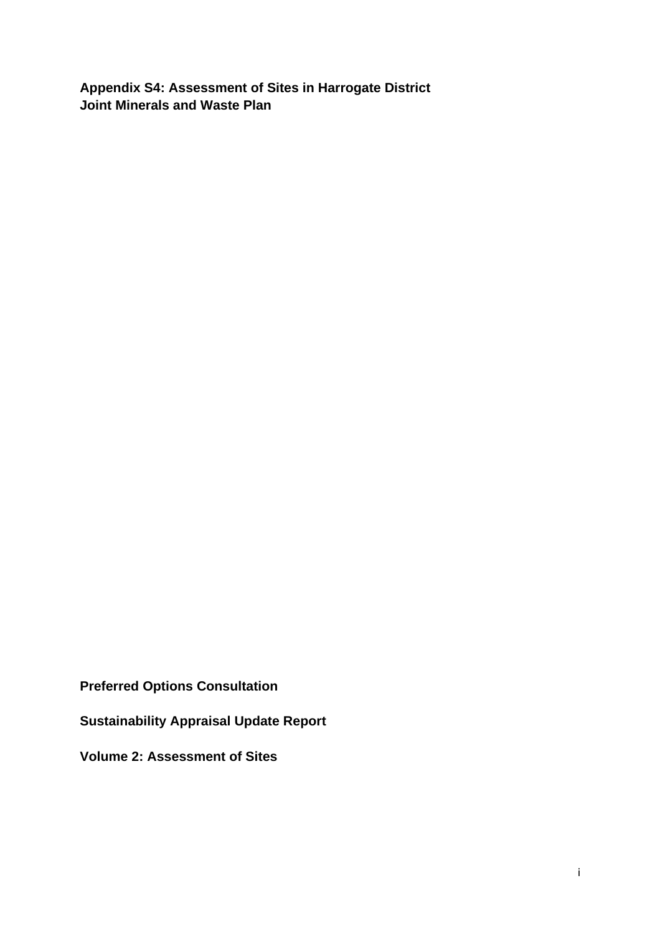**Appendix S4: Assessment of Sites in Harrogate District Joint Minerals and Waste Plan** 

**Preferred Options Consultation** 

**Sustainability Appraisal Update Report** 

**Volume 2: Assessment of Sites**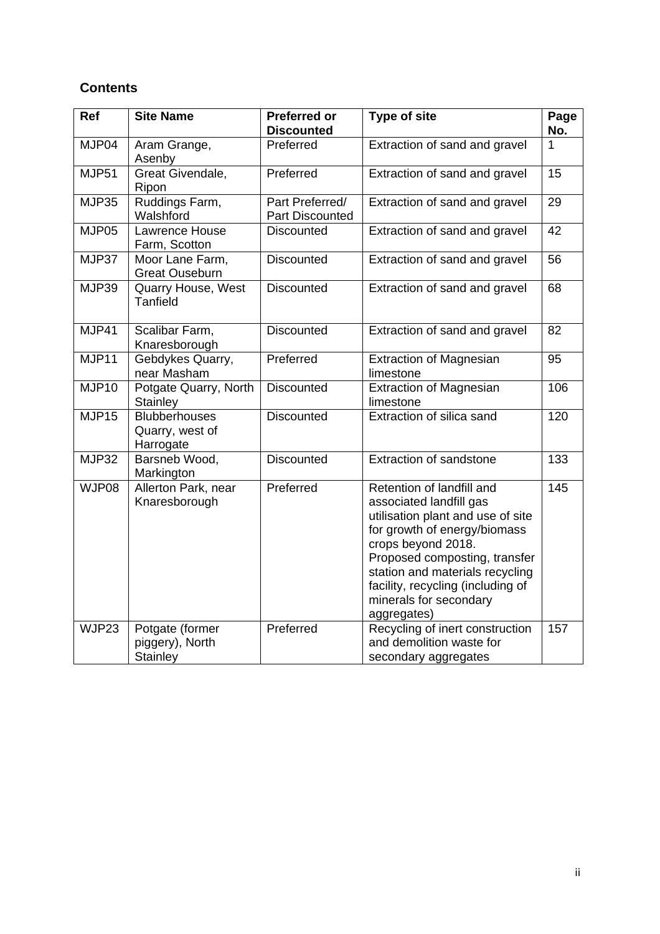# **Contents**

| <b>Ref</b>   | <b>Site Name</b>                                     | <b>Preferred or</b><br><b>Discounted</b>  | <b>Type of site</b>                                                                                                                                                                                                                                                                               | Page<br>No. |
|--------------|------------------------------------------------------|-------------------------------------------|---------------------------------------------------------------------------------------------------------------------------------------------------------------------------------------------------------------------------------------------------------------------------------------------------|-------------|
| MJP04        | Aram Grange,<br>Asenby                               | Preferred                                 | Extraction of sand and gravel                                                                                                                                                                                                                                                                     | 1           |
| MJP51        | Great Givendale,<br>Ripon                            | Preferred                                 | Extraction of sand and gravel                                                                                                                                                                                                                                                                     | 15          |
| <b>MJP35</b> | Ruddings Farm,<br>Walshford                          | Part Preferred/<br><b>Part Discounted</b> | Extraction of sand and gravel                                                                                                                                                                                                                                                                     | 29          |
| MJP05        | Lawrence House<br>Farm, Scotton                      | <b>Discounted</b>                         | Extraction of sand and gravel                                                                                                                                                                                                                                                                     | 42          |
| MJP37        | Moor Lane Farm,<br><b>Great Ouseburn</b>             | <b>Discounted</b>                         | Extraction of sand and gravel                                                                                                                                                                                                                                                                     | 56          |
| MJP39        | Quarry House, West<br>Tanfield                       | <b>Discounted</b>                         | Extraction of sand and gravel                                                                                                                                                                                                                                                                     | 68          |
| MJP41        | Scalibar Farm,<br>Knaresborough                      | <b>Discounted</b>                         | Extraction of sand and gravel                                                                                                                                                                                                                                                                     | 82          |
| MJP11        | Gebdykes Quarry,<br>near Masham                      | Preferred                                 | <b>Extraction of Magnesian</b><br>limestone                                                                                                                                                                                                                                                       | 95          |
| MJP10        | Potgate Quarry, North<br>Stainley                    | <b>Discounted</b>                         | Extraction of Magnesian<br>limestone                                                                                                                                                                                                                                                              | 106         |
| MJP15        | <b>Blubberhouses</b><br>Quarry, west of<br>Harrogate | <b>Discounted</b>                         | Extraction of silica sand                                                                                                                                                                                                                                                                         | 120         |
| <b>MJP32</b> | Barsneb Wood,<br>Markington                          | <b>Discounted</b>                         | Extraction of sandstone                                                                                                                                                                                                                                                                           | 133         |
| WJP08        | Allerton Park, near<br>Knaresborough                 | Preferred                                 | Retention of landfill and<br>associated landfill gas<br>utilisation plant and use of site<br>for growth of energy/biomass<br>crops beyond 2018.<br>Proposed composting, transfer<br>station and materials recycling<br>facility, recycling (including of<br>minerals for secondary<br>aggregates) | 145         |
| WJP23        | Potgate (former<br>piggery), North<br>Stainley       | Preferred                                 | Recycling of inert construction<br>and demolition waste for<br>secondary aggregates                                                                                                                                                                                                               | 157         |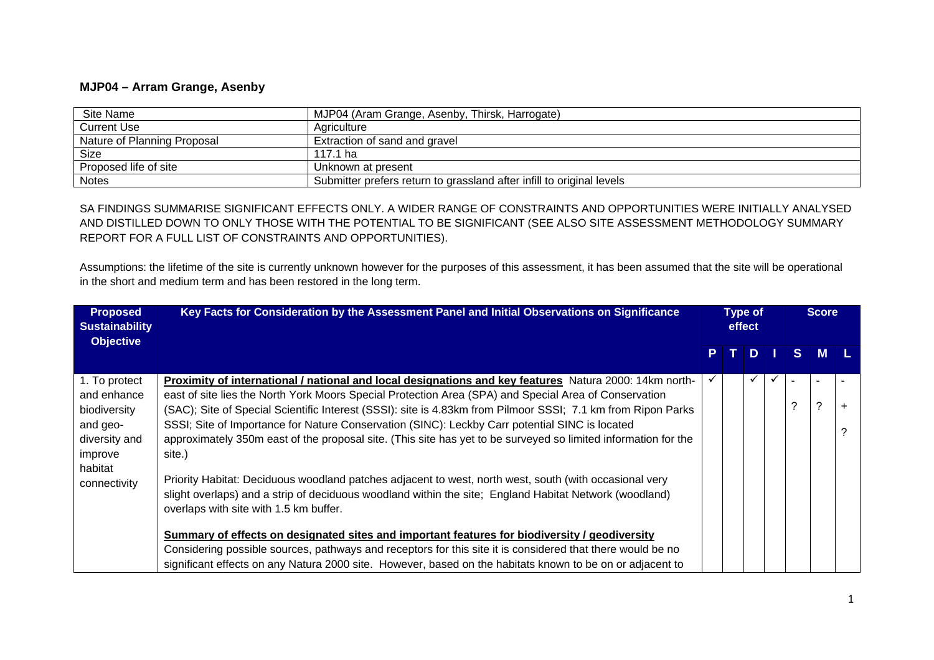#### **MJP04 – Arram Grange, Asenby**

| Site Name                   | MJP04 (Aram Grange, Asenby, Thirsk, Harrogate)                        |
|-----------------------------|-----------------------------------------------------------------------|
| <b>Current Use</b>          | Agriculture                                                           |
| Nature of Planning Proposal | Extraction of sand and gravel                                         |
| Size                        | 117.1 ha                                                              |
| Proposed life of site       | Unknown at present                                                    |
| <b>Notes</b>                | Submitter prefers return to grassland after infill to original levels |

SA FINDINGS SUMMARISE SIGNIFICANT EFFECTS ONLY. A WIDER RANGE OF CONSTRAINTS AND OPPORTUNITIES WERE INITIALLY ANALYSED AND DISTILLED DOWN TO ONLY THOSE WITH THE POTENTIAL TO BE SIGNIFICANT (SEE ALSO SITE ASSESSMENT METHODOLOGY SUMMARY REPORT FOR A FULL LIST OF CONSTRAINTS AND OPPORTUNITIES).

Assumptions: the lifetime of the site is currently unknown however for the purposes of this assessment, it has been assumed that the site will be operational in the short and medium term and has been restored in the long term.

| <b>Proposed</b><br><b>Sustainability</b><br><b>Objective</b>                                                    | Key Facts for Consideration by the Assessment Panel and Initial Observations on Significance                                                                                                                                                                                                                                                                                                                                                                                                                                                                                                                                                                                                                                                                                                                                |   | <b>Type of</b><br>effect |    |    | <b>Score</b> |  |
|-----------------------------------------------------------------------------------------------------------------|-----------------------------------------------------------------------------------------------------------------------------------------------------------------------------------------------------------------------------------------------------------------------------------------------------------------------------------------------------------------------------------------------------------------------------------------------------------------------------------------------------------------------------------------------------------------------------------------------------------------------------------------------------------------------------------------------------------------------------------------------------------------------------------------------------------------------------|---|--------------------------|----|----|--------------|--|
|                                                                                                                 |                                                                                                                                                                                                                                                                                                                                                                                                                                                                                                                                                                                                                                                                                                                                                                                                                             | P |                          | D. | S. | <b>M</b>     |  |
| 1. To protect<br>and enhance<br>biodiversity<br>and geo-<br>diversity and<br>improve<br>habitat<br>connectivity | Proximity of international / national and local designations and key features Natura 2000: 14km north-<br>east of site lies the North York Moors Special Protection Area (SPA) and Special Area of Conservation<br>(SAC); Site of Special Scientific Interest (SSSI): site is 4.83km from Pilmoor SSSI; 7.1 km from Ripon Parks<br>SSSI; Site of Importance for Nature Conservation (SINC): Leckby Carr potential SINC is located<br>approximately 350m east of the proposal site. (This site has yet to be surveyed so limited information for the<br>site.)<br>Priority Habitat: Deciduous woodland patches adjacent to west, north west, south (with occasional very<br>slight overlaps) and a strip of deciduous woodland within the site; England Habitat Network (woodland)<br>overlaps with site with 1.5 km buffer. |   |                          | ✓  | 2  | ?            |  |
|                                                                                                                 | Summary of effects on designated sites and important features for biodiversity / geodiversity<br>Considering possible sources, pathways and receptors for this site it is considered that there would be no<br>significant effects on any Natura 2000 site. However, based on the habitats known to be on or adjacent to                                                                                                                                                                                                                                                                                                                                                                                                                                                                                                    |   |                          |    |    |              |  |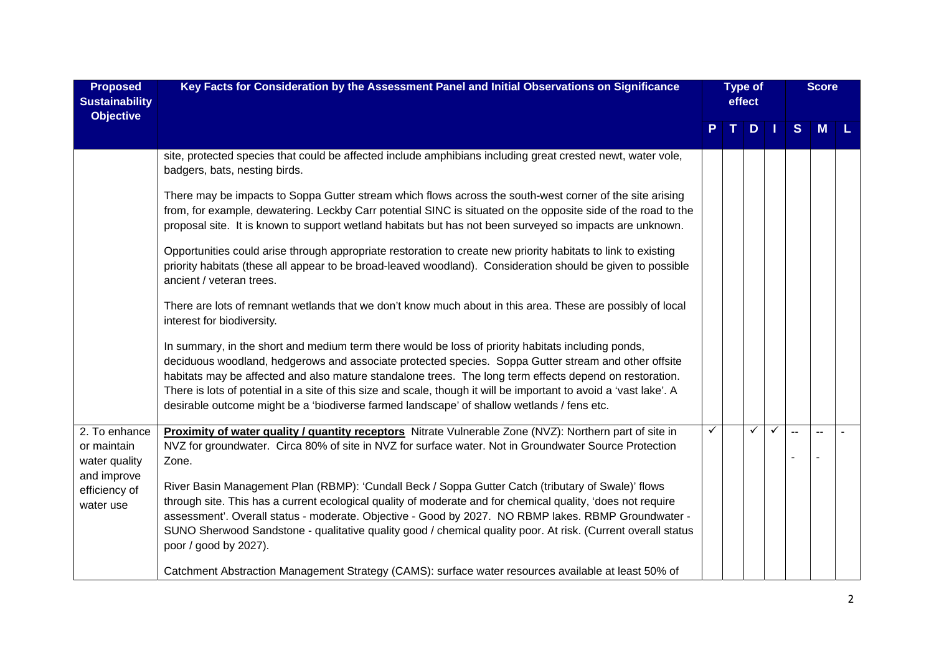| <b>Proposed</b><br><b>Sustainability</b><br><b>Objective</b> | Key Facts for Consideration by the Assessment Panel and Initial Observations on Significance                                                                                                                                                                                                                                                                                                                                                                                                                                              |              | <b>Type of</b><br>effect |     |   |                          |   |  | <b>Score</b> |  |
|--------------------------------------------------------------|-------------------------------------------------------------------------------------------------------------------------------------------------------------------------------------------------------------------------------------------------------------------------------------------------------------------------------------------------------------------------------------------------------------------------------------------------------------------------------------------------------------------------------------------|--------------|--------------------------|-----|---|--------------------------|---|--|--------------|--|
|                                                              |                                                                                                                                                                                                                                                                                                                                                                                                                                                                                                                                           | P.           |                          | TDI |   | S                        | M |  |              |  |
|                                                              | site, protected species that could be affected include amphibians including great crested newt, water vole,<br>badgers, bats, nesting birds.                                                                                                                                                                                                                                                                                                                                                                                              |              |                          |     |   |                          |   |  |              |  |
|                                                              | There may be impacts to Soppa Gutter stream which flows across the south-west corner of the site arising<br>from, for example, dewatering. Leckby Carr potential SINC is situated on the opposite side of the road to the<br>proposal site. It is known to support wetland habitats but has not been surveyed so impacts are unknown.                                                                                                                                                                                                     |              |                          |     |   |                          |   |  |              |  |
|                                                              | Opportunities could arise through appropriate restoration to create new priority habitats to link to existing<br>priority habitats (these all appear to be broad-leaved woodland). Consideration should be given to possible<br>ancient / veteran trees.                                                                                                                                                                                                                                                                                  |              |                          |     |   |                          |   |  |              |  |
|                                                              | There are lots of remnant wetlands that we don't know much about in this area. These are possibly of local<br>interest for biodiversity.                                                                                                                                                                                                                                                                                                                                                                                                  |              |                          |     |   |                          |   |  |              |  |
|                                                              | In summary, in the short and medium term there would be loss of priority habitats including ponds,<br>deciduous woodland, hedgerows and associate protected species. Soppa Gutter stream and other offsite<br>habitats may be affected and also mature standalone trees. The long term effects depend on restoration.<br>There is lots of potential in a site of this size and scale, though it will be important to avoid a 'vast lake'. A<br>desirable outcome might be a 'biodiverse farmed landscape' of shallow wetlands / fens etc. |              |                          |     |   |                          |   |  |              |  |
| 2. To enhance                                                | Proximity of water quality / quantity receptors Nitrate Vulnerable Zone (NVZ): Northern part of site in                                                                                                                                                                                                                                                                                                                                                                                                                                   | $\checkmark$ |                          | ✓   | ✓ | $\overline{\phantom{a}}$ |   |  |              |  |
| or maintain<br>water quality<br>and improve                  | NVZ for groundwater. Circa 80% of site in NVZ for surface water. Not in Groundwater Source Protection<br>Zone.                                                                                                                                                                                                                                                                                                                                                                                                                            |              |                          |     |   |                          |   |  |              |  |
| efficiency of<br>water use                                   | River Basin Management Plan (RBMP): 'Cundall Beck / Soppa Gutter Catch (tributary of Swale)' flows<br>through site. This has a current ecological quality of moderate and for chemical quality, 'does not require<br>assessment'. Overall status - moderate. Objective - Good by 2027. NO RBMP lakes. RBMP Groundwater -<br>SUNO Sherwood Sandstone - qualitative quality good / chemical quality poor. At risk. (Current overall status<br>poor / good by 2027).                                                                         |              |                          |     |   |                          |   |  |              |  |
|                                                              | Catchment Abstraction Management Strategy (CAMS): surface water resources available at least 50% of                                                                                                                                                                                                                                                                                                                                                                                                                                       |              |                          |     |   |                          |   |  |              |  |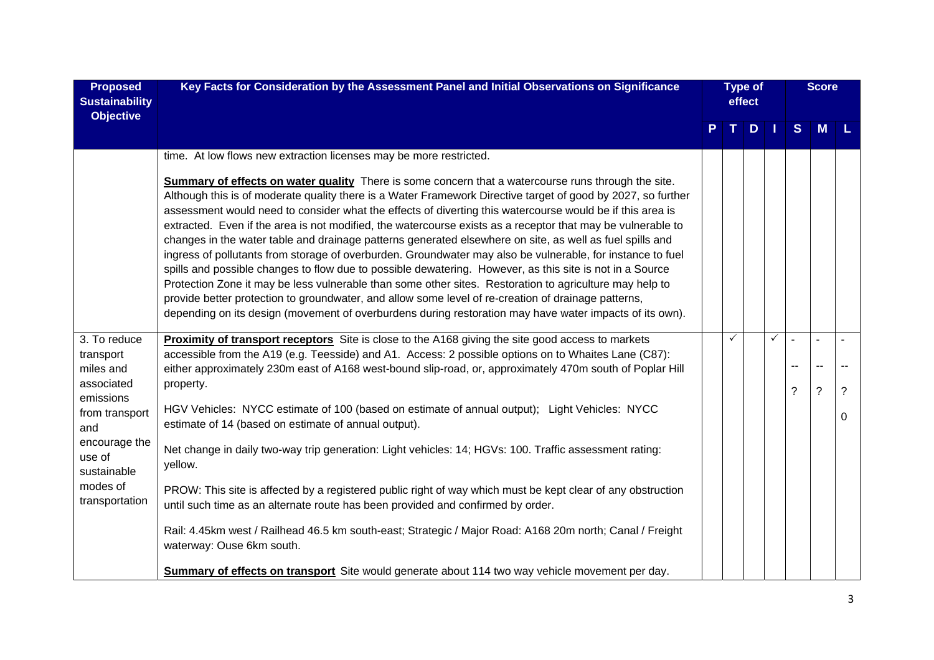| <b>Proposed</b><br><b>Sustainability</b><br><b>Objective</b> | Key Facts for Consideration by the Assessment Panel and Initial Observations on Significance                                                                                                                                                                                                                                                                                                                                                                                                                                                                                                                                                                                                                                                                                                                                                                                                                                                                                                                                                                                                                       | <b>Type of</b><br>effect |             |     |              |     |                          |   |  |  |  |  |  |  |  |  |  |  |  |  |  |  |  |  |  |  |  |  |  |  |  |  |  |  |  |  |  |  |  |  |  |  |  |  |  |  |  |  |  |  |  |  |  |  |  |  |  |  |  | <b>Score</b> |  |
|--------------------------------------------------------------|--------------------------------------------------------------------------------------------------------------------------------------------------------------------------------------------------------------------------------------------------------------------------------------------------------------------------------------------------------------------------------------------------------------------------------------------------------------------------------------------------------------------------------------------------------------------------------------------------------------------------------------------------------------------------------------------------------------------------------------------------------------------------------------------------------------------------------------------------------------------------------------------------------------------------------------------------------------------------------------------------------------------------------------------------------------------------------------------------------------------|--------------------------|-------------|-----|--------------|-----|--------------------------|---|--|--|--|--|--|--|--|--|--|--|--|--|--|--|--|--|--|--|--|--|--|--|--|--|--|--|--|--|--|--|--|--|--|--|--|--|--|--|--|--|--|--|--|--|--|--|--|--|--|--|--|--------------|--|
|                                                              |                                                                                                                                                                                                                                                                                                                                                                                                                                                                                                                                                                                                                                                                                                                                                                                                                                                                                                                                                                                                                                                                                                                    | P                        | $T_{\perp}$ | $D$ |              | S   | <b>M</b>                 |   |  |  |  |  |  |  |  |  |  |  |  |  |  |  |  |  |  |  |  |  |  |  |  |  |  |  |  |  |  |  |  |  |  |  |  |  |  |  |  |  |  |  |  |  |  |  |  |  |  |  |  |              |  |
|                                                              | time. At low flows new extraction licenses may be more restricted.                                                                                                                                                                                                                                                                                                                                                                                                                                                                                                                                                                                                                                                                                                                                                                                                                                                                                                                                                                                                                                                 |                          |             |     |              |     |                          |   |  |  |  |  |  |  |  |  |  |  |  |  |  |  |  |  |  |  |  |  |  |  |  |  |  |  |  |  |  |  |  |  |  |  |  |  |  |  |  |  |  |  |  |  |  |  |  |  |  |  |  |              |  |
|                                                              | Summary of effects on water quality There is some concern that a watercourse runs through the site.<br>Although this is of moderate quality there is a Water Framework Directive target of good by 2027, so further<br>assessment would need to consider what the effects of diverting this watercourse would be if this area is<br>extracted. Even if the area is not modified, the watercourse exists as a receptor that may be vulnerable to<br>changes in the water table and drainage patterns generated elsewhere on site, as well as fuel spills and<br>ingress of pollutants from storage of overburden. Groundwater may also be vulnerable, for instance to fuel<br>spills and possible changes to flow due to possible dewatering. However, as this site is not in a Source<br>Protection Zone it may be less vulnerable than some other sites. Restoration to agriculture may help to<br>provide better protection to groundwater, and allow some level of re-creation of drainage patterns,<br>depending on its design (movement of overburdens during restoration may have water impacts of its own). |                          |             |     |              |     |                          |   |  |  |  |  |  |  |  |  |  |  |  |  |  |  |  |  |  |  |  |  |  |  |  |  |  |  |  |  |  |  |  |  |  |  |  |  |  |  |  |  |  |  |  |  |  |  |  |  |  |  |  |              |  |
| 3. To reduce                                                 | <b>Proximity of transport receptors</b> Site is close to the A168 giving the site good access to markets                                                                                                                                                                                                                                                                                                                                                                                                                                                                                                                                                                                                                                                                                                                                                                                                                                                                                                                                                                                                           |                          | ✓           |     | $\checkmark$ |     | $\sim$                   |   |  |  |  |  |  |  |  |  |  |  |  |  |  |  |  |  |  |  |  |  |  |  |  |  |  |  |  |  |  |  |  |  |  |  |  |  |  |  |  |  |  |  |  |  |  |  |  |  |  |  |  |              |  |
| transport                                                    | accessible from the A19 (e.g. Teesside) and A1. Access: 2 possible options on to Whaites Lane (C87):                                                                                                                                                                                                                                                                                                                                                                                                                                                                                                                                                                                                                                                                                                                                                                                                                                                                                                                                                                                                               |                          |             |     |              | $-$ | $\overline{\phantom{a}}$ |   |  |  |  |  |  |  |  |  |  |  |  |  |  |  |  |  |  |  |  |  |  |  |  |  |  |  |  |  |  |  |  |  |  |  |  |  |  |  |  |  |  |  |  |  |  |  |  |  |  |  |  |              |  |
| miles and<br>associated                                      | either approximately 230m east of A168 west-bound slip-road, or, approximately 470m south of Poplar Hill<br>property.                                                                                                                                                                                                                                                                                                                                                                                                                                                                                                                                                                                                                                                                                                                                                                                                                                                                                                                                                                                              |                          |             |     |              |     |                          |   |  |  |  |  |  |  |  |  |  |  |  |  |  |  |  |  |  |  |  |  |  |  |  |  |  |  |  |  |  |  |  |  |  |  |  |  |  |  |  |  |  |  |  |  |  |  |  |  |  |  |  |              |  |
| emissions                                                    |                                                                                                                                                                                                                                                                                                                                                                                                                                                                                                                                                                                                                                                                                                                                                                                                                                                                                                                                                                                                                                                                                                                    |                          |             |     |              | ?   | $\overline{\cdot}$       | ? |  |  |  |  |  |  |  |  |  |  |  |  |  |  |  |  |  |  |  |  |  |  |  |  |  |  |  |  |  |  |  |  |  |  |  |  |  |  |  |  |  |  |  |  |  |  |  |  |  |  |  |              |  |
| from transport<br>and                                        | HGV Vehicles: NYCC estimate of 100 (based on estimate of annual output); Light Vehicles: NYCC<br>estimate of 14 (based on estimate of annual output).                                                                                                                                                                                                                                                                                                                                                                                                                                                                                                                                                                                                                                                                                                                                                                                                                                                                                                                                                              |                          |             |     |              |     |                          | 0 |  |  |  |  |  |  |  |  |  |  |  |  |  |  |  |  |  |  |  |  |  |  |  |  |  |  |  |  |  |  |  |  |  |  |  |  |  |  |  |  |  |  |  |  |  |  |  |  |  |  |  |              |  |
| encourage the<br>use of<br>sustainable                       | Net change in daily two-way trip generation: Light vehicles: 14; HGVs: 100. Traffic assessment rating:<br>yellow.                                                                                                                                                                                                                                                                                                                                                                                                                                                                                                                                                                                                                                                                                                                                                                                                                                                                                                                                                                                                  |                          |             |     |              |     |                          |   |  |  |  |  |  |  |  |  |  |  |  |  |  |  |  |  |  |  |  |  |  |  |  |  |  |  |  |  |  |  |  |  |  |  |  |  |  |  |  |  |  |  |  |  |  |  |  |  |  |  |  |              |  |
| modes of<br>transportation                                   | PROW: This site is affected by a registered public right of way which must be kept clear of any obstruction<br>until such time as an alternate route has been provided and confirmed by order.                                                                                                                                                                                                                                                                                                                                                                                                                                                                                                                                                                                                                                                                                                                                                                                                                                                                                                                     |                          |             |     |              |     |                          |   |  |  |  |  |  |  |  |  |  |  |  |  |  |  |  |  |  |  |  |  |  |  |  |  |  |  |  |  |  |  |  |  |  |  |  |  |  |  |  |  |  |  |  |  |  |  |  |  |  |  |  |              |  |
|                                                              | Rail: 4.45km west / Railhead 46.5 km south-east; Strategic / Major Road: A168 20m north; Canal / Freight<br>waterway: Ouse 6km south.                                                                                                                                                                                                                                                                                                                                                                                                                                                                                                                                                                                                                                                                                                                                                                                                                                                                                                                                                                              |                          |             |     |              |     |                          |   |  |  |  |  |  |  |  |  |  |  |  |  |  |  |  |  |  |  |  |  |  |  |  |  |  |  |  |  |  |  |  |  |  |  |  |  |  |  |  |  |  |  |  |  |  |  |  |  |  |  |  |              |  |
|                                                              | Summary of effects on transport Site would generate about 114 two way vehicle movement per day.                                                                                                                                                                                                                                                                                                                                                                                                                                                                                                                                                                                                                                                                                                                                                                                                                                                                                                                                                                                                                    |                          |             |     |              |     |                          |   |  |  |  |  |  |  |  |  |  |  |  |  |  |  |  |  |  |  |  |  |  |  |  |  |  |  |  |  |  |  |  |  |  |  |  |  |  |  |  |  |  |  |  |  |  |  |  |  |  |  |  |              |  |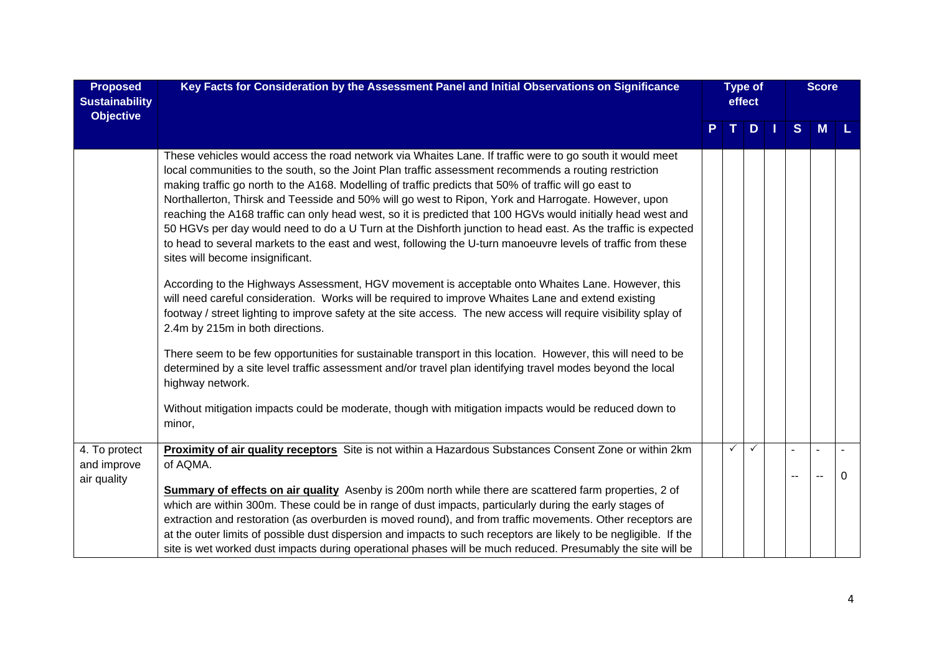| <b>Proposed</b><br><b>Sustainability</b><br><b>Objective</b> | Key Facts for Consideration by the Assessment Panel and Initial Observations on Significance                                                                                                                                                                                                                                                                                                                                                                                                                                                                                                                                                                                                                                                                                                                           |   | <b>Type of</b><br>effect |   |    |    |                |   |  |  |  | <b>Score</b> |  |
|--------------------------------------------------------------|------------------------------------------------------------------------------------------------------------------------------------------------------------------------------------------------------------------------------------------------------------------------------------------------------------------------------------------------------------------------------------------------------------------------------------------------------------------------------------------------------------------------------------------------------------------------------------------------------------------------------------------------------------------------------------------------------------------------------------------------------------------------------------------------------------------------|---|--------------------------|---|----|----|----------------|---|--|--|--|--------------|--|
|                                                              |                                                                                                                                                                                                                                                                                                                                                                                                                                                                                                                                                                                                                                                                                                                                                                                                                        | P | T.                       | D | -1 | S  | M              |   |  |  |  |              |  |
|                                                              | These vehicles would access the road network via Whaites Lane. If traffic were to go south it would meet<br>local communities to the south, so the Joint Plan traffic assessment recommends a routing restriction<br>making traffic go north to the A168. Modelling of traffic predicts that 50% of traffic will go east to<br>Northallerton, Thirsk and Teesside and 50% will go west to Ripon, York and Harrogate. However, upon<br>reaching the A168 traffic can only head west, so it is predicted that 100 HGVs would initially head west and<br>50 HGVs per day would need to do a U Turn at the Dishforth junction to head east. As the traffic is expected<br>to head to several markets to the east and west, following the U-turn manoeuvre levels of traffic from these<br>sites will become insignificant. |   |                          |   |    |    |                |   |  |  |  |              |  |
|                                                              | According to the Highways Assessment, HGV movement is acceptable onto Whaites Lane. However, this<br>will need careful consideration. Works will be required to improve Whaites Lane and extend existing<br>footway / street lighting to improve safety at the site access. The new access will require visibility splay of<br>2.4m by 215m in both directions.                                                                                                                                                                                                                                                                                                                                                                                                                                                        |   |                          |   |    |    |                |   |  |  |  |              |  |
|                                                              | There seem to be few opportunities for sustainable transport in this location. However, this will need to be<br>determined by a site level traffic assessment and/or travel plan identifying travel modes beyond the local<br>highway network.                                                                                                                                                                                                                                                                                                                                                                                                                                                                                                                                                                         |   |                          |   |    |    |                |   |  |  |  |              |  |
|                                                              | Without mitigation impacts could be moderate, though with mitigation impacts would be reduced down to<br>minor,                                                                                                                                                                                                                                                                                                                                                                                                                                                                                                                                                                                                                                                                                                        |   |                          |   |    |    |                |   |  |  |  |              |  |
| 4. To protect<br>and improve                                 | Proximity of air quality receptors Site is not within a Hazardous Substances Consent Zone or within 2km<br>of AQMA.                                                                                                                                                                                                                                                                                                                                                                                                                                                                                                                                                                                                                                                                                                    |   | ✓                        | ✓ |    |    | $\blacksquare$ |   |  |  |  |              |  |
| air quality                                                  | Summary of effects on air quality Asenby is 200m north while there are scattered farm properties, 2 of<br>which are within 300m. These could be in range of dust impacts, particularly during the early stages of<br>extraction and restoration (as overburden is moved round), and from traffic movements. Other receptors are<br>at the outer limits of possible dust dispersion and impacts to such receptors are likely to be negligible. If the<br>site is wet worked dust impacts during operational phases will be much reduced. Presumably the site will be                                                                                                                                                                                                                                                    |   |                          |   |    | -- |                | 0 |  |  |  |              |  |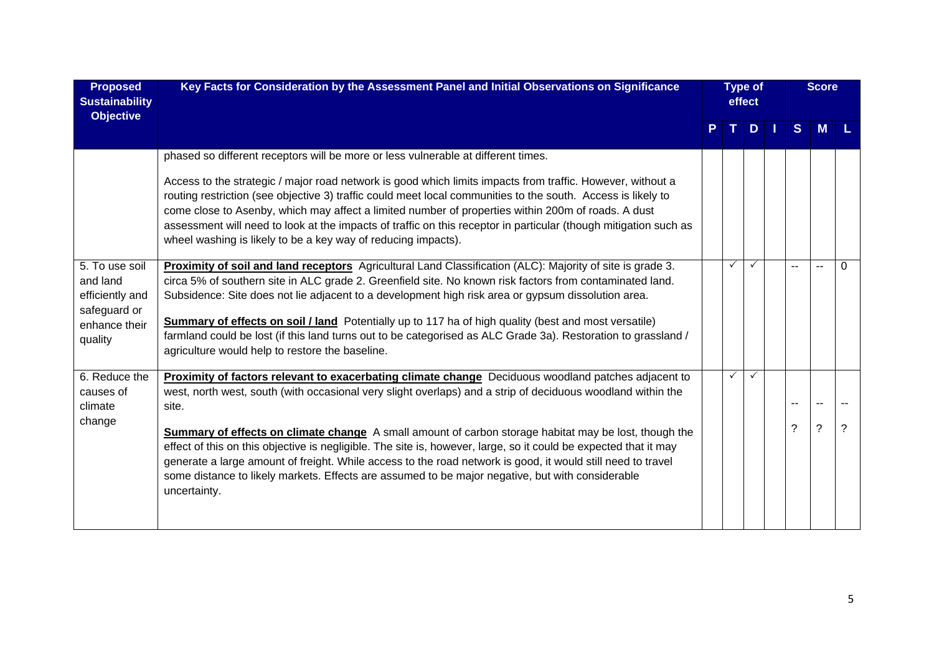| <b>Proposed</b><br><b>Sustainability</b><br><b>Objective</b>                              | Key Facts for Consideration by the Assessment Panel and Initial Observations on Significance                                                                                                                                                                                                                                                                                                                                                                                                                                                                                                                   |  | <b>Type of</b><br>effect |              |  |              |        |          |  |  |  | <b>Score</b> |  |
|-------------------------------------------------------------------------------------------|----------------------------------------------------------------------------------------------------------------------------------------------------------------------------------------------------------------------------------------------------------------------------------------------------------------------------------------------------------------------------------------------------------------------------------------------------------------------------------------------------------------------------------------------------------------------------------------------------------------|--|--------------------------|--------------|--|--------------|--------|----------|--|--|--|--------------|--|
|                                                                                           |                                                                                                                                                                                                                                                                                                                                                                                                                                                                                                                                                                                                                |  |                          | D.           |  | <sub>S</sub> | М      |          |  |  |  |              |  |
|                                                                                           | phased so different receptors will be more or less vulnerable at different times.<br>Access to the strategic / major road network is good which limits impacts from traffic. However, without a<br>routing restriction (see objective 3) traffic could meet local communities to the south. Access is likely to<br>come close to Asenby, which may affect a limited number of properties within 200m of roads. A dust<br>assessment will need to look at the impacts of traffic on this receptor in particular (though mitigation such as<br>wheel washing is likely to be a key way of reducing impacts).     |  |                          |              |  |              |        |          |  |  |  |              |  |
| 5. To use soil<br>and land<br>efficiently and<br>safeguard or<br>enhance their<br>quality | Proximity of soil and land receptors Agricultural Land Classification (ALC): Majority of site is grade 3.<br>circa 5% of southern site in ALC grade 2. Greenfield site. No known risk factors from contaminated land.<br>Subsidence: Site does not lie adjacent to a development high risk area or gypsum dissolution area.<br><b>Summary of effects on soil / land</b> Potentially up to 117 ha of high quality (best and most versatile)<br>farmland could be lost (if this land turns out to be categorised as ALC Grade 3a). Restoration to grassland /<br>agriculture would help to restore the baseline. |  |                          | $\checkmark$ |  |              | $\sim$ | $\Omega$ |  |  |  |              |  |
| 6. Reduce the<br>causes of<br>climate                                                     | Proximity of factors relevant to exacerbating climate change Deciduous woodland patches adjacent to<br>west, north west, south (with occasional very slight overlaps) and a strip of deciduous woodland within the<br>site.                                                                                                                                                                                                                                                                                                                                                                                    |  | ✓                        |              |  |              |        |          |  |  |  |              |  |
| change                                                                                    | <b>Summary of effects on climate change</b> A small amount of carbon storage habitat may be lost, though the<br>effect of this on this objective is negligible. The site is, however, large, so it could be expected that it may<br>generate a large amount of freight. While access to the road network is good, it would still need to travel<br>some distance to likely markets. Effects are assumed to be major negative, but with considerable<br>uncertainty.                                                                                                                                            |  |                          |              |  | っ            | ?      | ?        |  |  |  |              |  |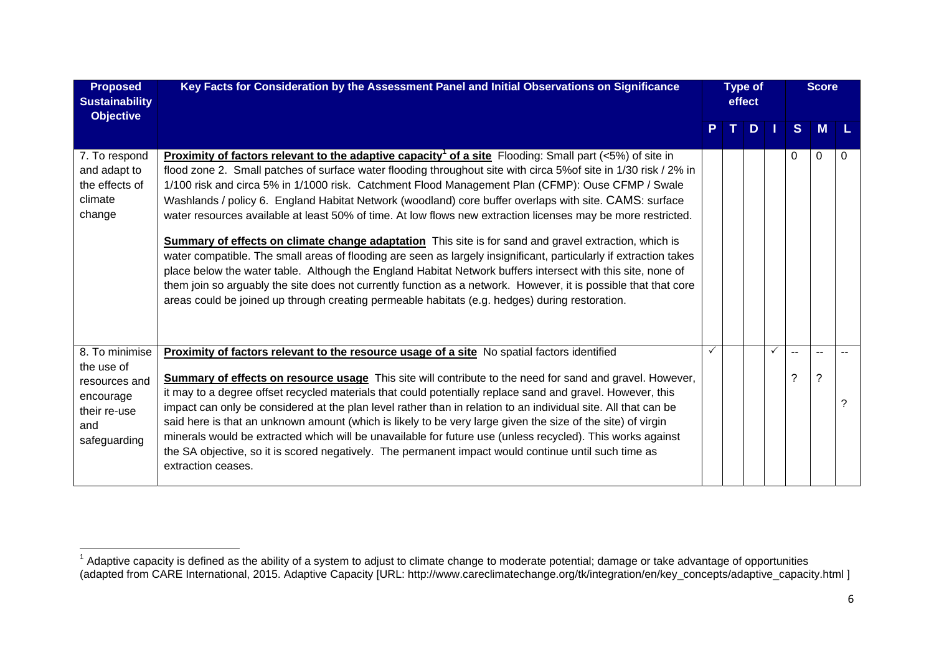| <b>Proposed</b><br><b>Sustainability</b><br><b>Objective</b>                                      | Key Facts for Consideration by the Assessment Panel and Initial Observations on Significance                                                                                                                                                                                                                                                                                                                                                                                                                                                                                                                                                                                                                                                                                                                                                                                                                                                                                                                                                                                                                                                             |              | <b>Type of</b><br>effect |     |              |          | <b>Score</b> |   |
|---------------------------------------------------------------------------------------------------|----------------------------------------------------------------------------------------------------------------------------------------------------------------------------------------------------------------------------------------------------------------------------------------------------------------------------------------------------------------------------------------------------------------------------------------------------------------------------------------------------------------------------------------------------------------------------------------------------------------------------------------------------------------------------------------------------------------------------------------------------------------------------------------------------------------------------------------------------------------------------------------------------------------------------------------------------------------------------------------------------------------------------------------------------------------------------------------------------------------------------------------------------------|--------------|--------------------------|-----|--------------|----------|--------------|---|
|                                                                                                   |                                                                                                                                                                                                                                                                                                                                                                                                                                                                                                                                                                                                                                                                                                                                                                                                                                                                                                                                                                                                                                                                                                                                                          |              |                          | TDI |              | S        | M            |   |
| 7. To respond<br>and adapt to<br>the effects of<br>climate<br>change                              | <b>Proximity of factors relevant to the adaptive capacity<sup>1</sup> of a site Flooding: Small part (&lt;5%) of site in</b><br>flood zone 2. Small patches of surface water flooding throughout site with circa 5% of site in 1/30 risk / 2% in<br>1/100 risk and circa 5% in 1/1000 risk. Catchment Flood Management Plan (CFMP): Ouse CFMP / Swale<br>Washlands / policy 6. England Habitat Network (woodland) core buffer overlaps with site. CAMS: surface<br>water resources available at least 50% of time. At low flows new extraction licenses may be more restricted.<br><b>Summary of effects on climate change adaptation</b> This site is for sand and gravel extraction, which is<br>water compatible. The small areas of flooding are seen as largely insignificant, particularly if extraction takes<br>place below the water table. Although the England Habitat Network buffers intersect with this site, none of<br>them join so arguably the site does not currently function as a network. However, it is possible that that core<br>areas could be joined up through creating permeable habitats (e.g. hedges) during restoration. |              |                          |     |              | 0        | 0            | 0 |
| 8. To minimise<br>the use of<br>resources and<br>encourage<br>their re-use<br>and<br>safeguarding | Proximity of factors relevant to the resource usage of a site No spatial factors identified<br><b>Summary of effects on resource usage</b> This site will contribute to the need for sand and gravel. However,<br>it may to a degree offset recycled materials that could potentially replace sand and gravel. However, this<br>impact can only be considered at the plan level rather than in relation to an individual site. All that can be<br>said here is that an unknown amount (which is likely to be very large given the size of the site) of virgin<br>minerals would be extracted which will be unavailable for future use (unless recycled). This works against<br>the SA objective, so it is scored negatively. The permanent impact would continue until such time as<br>extraction ceases.                                                                                                                                                                                                                                                                                                                                                | $\checkmark$ |                          |     | $\checkmark$ | $-$<br>? | ?            | 2 |

 $1$  Adaptive capacity is defined as the ability of a system to adjust to climate change to moderate potential; damage or take advantage of opportunities (adapted from CARE International, 2015. Adaptive Capacity [URL: http://www.careclimatechange.org/tk/integration/en/key\_concepts/adaptive\_capacity.html ]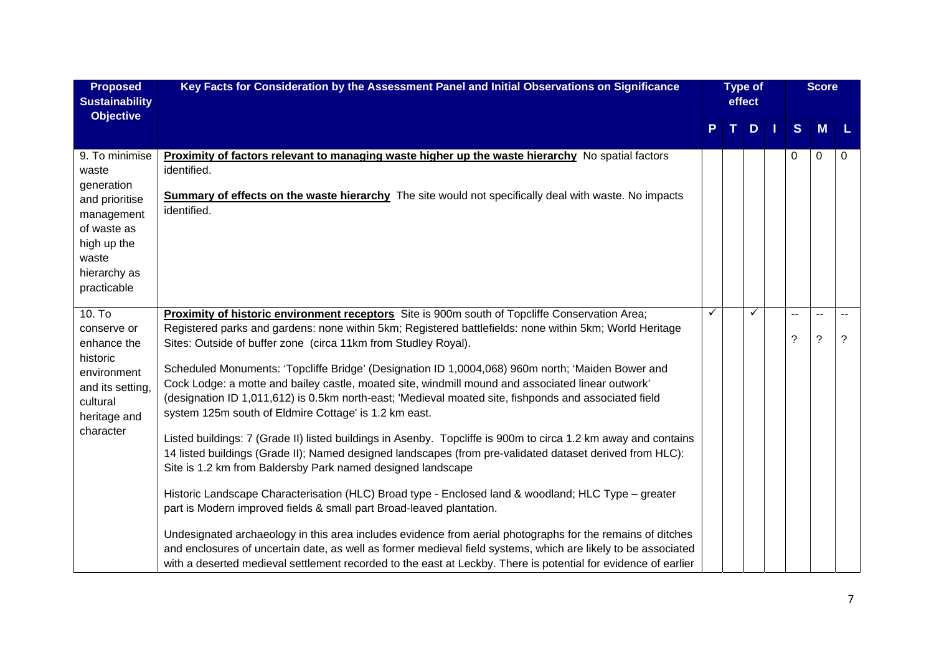| <b>Proposed</b><br><b>Sustainability</b><br><b>Objective</b>                                                                                | Key Facts for Consideration by the Assessment Panel and Initial Observations on Significance                                                                                                                                                                                                                                                                                                                                                                                                                                                                                                                                                                                                                                                                                                                                                                                                                                                                                                                                                                                                                                                                                                                                                                                                                                                                                                                                                                                         | <b>Type of</b><br>effect |    |    |  |         |                          |   |  |  |  |  |  |  |  |  |  |  |  |  |  |  |  |  |  |  |  | <b>Score</b> |  |
|---------------------------------------------------------------------------------------------------------------------------------------------|--------------------------------------------------------------------------------------------------------------------------------------------------------------------------------------------------------------------------------------------------------------------------------------------------------------------------------------------------------------------------------------------------------------------------------------------------------------------------------------------------------------------------------------------------------------------------------------------------------------------------------------------------------------------------------------------------------------------------------------------------------------------------------------------------------------------------------------------------------------------------------------------------------------------------------------------------------------------------------------------------------------------------------------------------------------------------------------------------------------------------------------------------------------------------------------------------------------------------------------------------------------------------------------------------------------------------------------------------------------------------------------------------------------------------------------------------------------------------------------|--------------------------|----|----|--|---------|--------------------------|---|--|--|--|--|--|--|--|--|--|--|--|--|--|--|--|--|--|--|--|--------------|--|
|                                                                                                                                             |                                                                                                                                                                                                                                                                                                                                                                                                                                                                                                                                                                                                                                                                                                                                                                                                                                                                                                                                                                                                                                                                                                                                                                                                                                                                                                                                                                                                                                                                                      |                          | T. | D. |  | S       | M                        | L |  |  |  |  |  |  |  |  |  |  |  |  |  |  |  |  |  |  |  |              |  |
| 9. To minimise<br>waste<br>generation<br>and prioritise<br>management<br>of waste as<br>high up the<br>waste<br>hierarchy as<br>practicable | <b>Proximity of factors relevant to managing waste higher up the waste hierarchy</b> No spatial factors<br>identified.<br><b>Summary of effects on the waste hierarchy</b> The site would not specifically deal with waste. No impacts<br>identified.                                                                                                                                                                                                                                                                                                                                                                                                                                                                                                                                                                                                                                                                                                                                                                                                                                                                                                                                                                                                                                                                                                                                                                                                                                |                          |    |    |  | 0       | 0                        | 0 |  |  |  |  |  |  |  |  |  |  |  |  |  |  |  |  |  |  |  |              |  |
| 10. T <sub>o</sub><br>conserve or<br>enhance the<br>historic<br>environment<br>and its setting,<br>cultural<br>heritage and<br>character    | Proximity of historic environment receptors Site is 900m south of Topcliffe Conservation Area;<br>Registered parks and gardens: none within 5km; Registered battlefields: none within 5km; World Heritage<br>Sites: Outside of buffer zone (circa 11km from Studley Royal).<br>Scheduled Monuments: 'Topcliffe Bridge' (Designation ID 1,0004,068) 960m north; 'Maiden Bower and<br>Cock Lodge: a motte and bailey castle, moated site, windmill mound and associated linear outwork'<br>(designation ID 1,011,612) is 0.5km north-east; 'Medieval moated site, fishponds and associated field<br>system 125m south of Eldmire Cottage' is 1.2 km east.<br>Listed buildings: 7 (Grade II) listed buildings in Asenby. Topcliffe is 900m to circa 1.2 km away and contains<br>14 listed buildings (Grade II); Named designed landscapes (from pre-validated dataset derived from HLC):<br>Site is 1.2 km from Baldersby Park named designed landscape<br>Historic Landscape Characterisation (HLC) Broad type - Enclosed land & woodland; HLC Type – greater<br>part is Modern improved fields & small part Broad-leaved plantation.<br>Undesignated archaeology in this area includes evidence from aerial photographs for the remains of ditches<br>and enclosures of uncertain date, as well as former medieval field systems, which are likely to be associated<br>with a deserted medieval settlement recorded to the east at Leckby. There is potential for evidence of earlier | $\checkmark$             |    | ✓  |  | --<br>? | $\sim$<br>$\overline{?}$ | ? |  |  |  |  |  |  |  |  |  |  |  |  |  |  |  |  |  |  |  |              |  |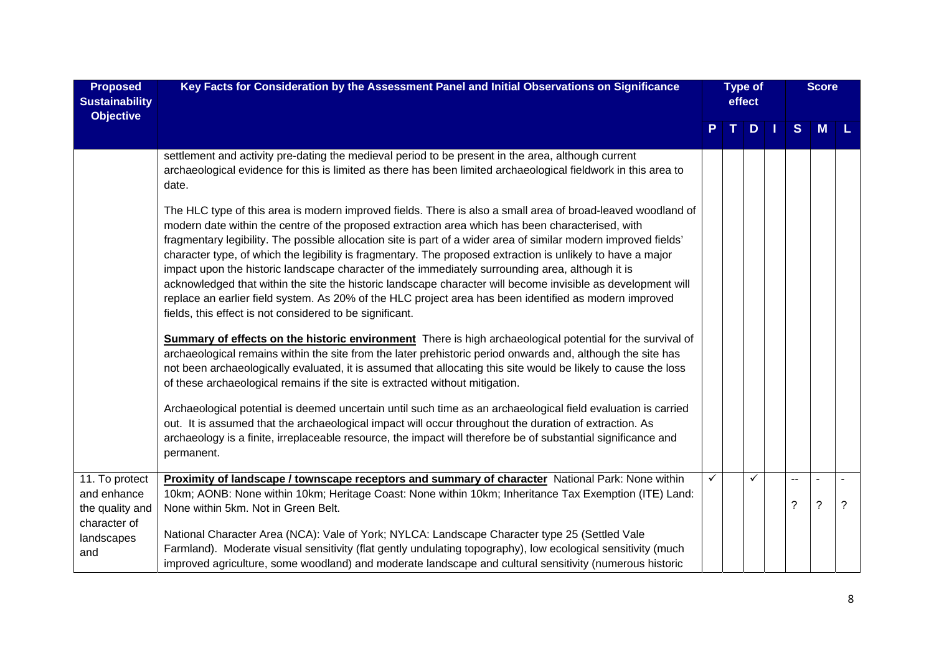| <b>Proposed</b><br><b>Sustainability</b><br><b>Objective</b>     | Key Facts for Consideration by the Assessment Panel and Initial Observations on Significance                                                                                                                                                                                                                                                                                                                                                                                                                                                                                                                                                                                                                                                                                                                                                |   | <b>Type of</b><br>effect |     |  |         |   |   | <b>Score</b> |  |
|------------------------------------------------------------------|---------------------------------------------------------------------------------------------------------------------------------------------------------------------------------------------------------------------------------------------------------------------------------------------------------------------------------------------------------------------------------------------------------------------------------------------------------------------------------------------------------------------------------------------------------------------------------------------------------------------------------------------------------------------------------------------------------------------------------------------------------------------------------------------------------------------------------------------|---|--------------------------|-----|--|---------|---|---|--------------|--|
|                                                                  |                                                                                                                                                                                                                                                                                                                                                                                                                                                                                                                                                                                                                                                                                                                                                                                                                                             | P |                          | T D |  | S       | M |   |              |  |
|                                                                  | settlement and activity pre-dating the medieval period to be present in the area, although current<br>archaeological evidence for this is limited as there has been limited archaeological fieldwork in this area to<br>date.                                                                                                                                                                                                                                                                                                                                                                                                                                                                                                                                                                                                               |   |                          |     |  |         |   |   |              |  |
|                                                                  | The HLC type of this area is modern improved fields. There is also a small area of broad-leaved woodland of<br>modern date within the centre of the proposed extraction area which has been characterised, with<br>fragmentary legibility. The possible allocation site is part of a wider area of similar modern improved fields'<br>character type, of which the legibility is fragmentary. The proposed extraction is unlikely to have a major<br>impact upon the historic landscape character of the immediately surrounding area, although it is<br>acknowledged that within the site the historic landscape character will become invisible as development will<br>replace an earlier field system. As 20% of the HLC project area has been identified as modern improved<br>fields, this effect is not considered to be significant. |   |                          |     |  |         |   |   |              |  |
|                                                                  | <b>Summary of effects on the historic environment</b> There is high archaeological potential for the survival of<br>archaeological remains within the site from the later prehistoric period onwards and, although the site has<br>not been archaeologically evaluated, it is assumed that allocating this site would be likely to cause the loss<br>of these archaeological remains if the site is extracted without mitigation.                                                                                                                                                                                                                                                                                                                                                                                                           |   |                          |     |  |         |   |   |              |  |
|                                                                  | Archaeological potential is deemed uncertain until such time as an archaeological field evaluation is carried<br>out. It is assumed that the archaeological impact will occur throughout the duration of extraction. As<br>archaeology is a finite, irreplaceable resource, the impact will therefore be of substantial significance and<br>permanent.                                                                                                                                                                                                                                                                                                                                                                                                                                                                                      |   |                          |     |  |         |   |   |              |  |
| 11. To protect<br>and enhance<br>the quality and<br>character of | Proximity of landscape / townscape receptors and summary of character National Park: None within<br>10km; AONB: None within 10km; Heritage Coast: None within 10km; Inheritance Tax Exemption (ITE) Land:<br>None within 5km. Not in Green Belt.                                                                                                                                                                                                                                                                                                                                                                                                                                                                                                                                                                                            |   |                          |     |  | --<br>? | ? | ? |              |  |
| landscapes<br>and                                                | National Character Area (NCA): Vale of York; NYLCA: Landscape Character type 25 (Settled Vale<br>Farmland). Moderate visual sensitivity (flat gently undulating topography), low ecological sensitivity (much<br>improved agriculture, some woodland) and moderate landscape and cultural sensitivity (numerous historic                                                                                                                                                                                                                                                                                                                                                                                                                                                                                                                    |   |                          |     |  |         |   |   |              |  |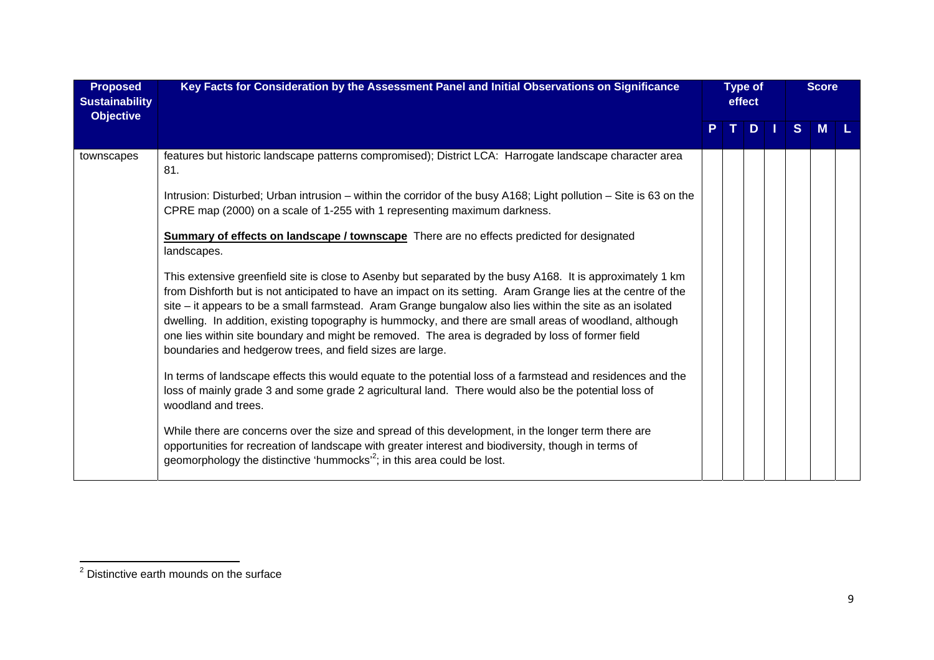| <b>Proposed</b><br><b>Sustainability</b><br><b>Objective</b> | Key Facts for Consideration by the Assessment Panel and Initial Observations on Significance                                                                                                                                                                                                                                                                                                                                                                                                                                                                                                                        |  | <b>Type of</b><br>effect |   |  |   |   |  |  |  |  | <b>Score</b> |  |
|--------------------------------------------------------------|---------------------------------------------------------------------------------------------------------------------------------------------------------------------------------------------------------------------------------------------------------------------------------------------------------------------------------------------------------------------------------------------------------------------------------------------------------------------------------------------------------------------------------------------------------------------------------------------------------------------|--|--------------------------|---|--|---|---|--|--|--|--|--------------|--|
|                                                              |                                                                                                                                                                                                                                                                                                                                                                                                                                                                                                                                                                                                                     |  | т.                       | D |  | S | M |  |  |  |  |              |  |
| townscapes                                                   | features but historic landscape patterns compromised); District LCA: Harrogate landscape character area<br>81.                                                                                                                                                                                                                                                                                                                                                                                                                                                                                                      |  |                          |   |  |   |   |  |  |  |  |              |  |
|                                                              | Intrusion: Disturbed; Urban intrusion - within the corridor of the busy A168; Light pollution - Site is 63 on the<br>CPRE map (2000) on a scale of 1-255 with 1 representing maximum darkness.                                                                                                                                                                                                                                                                                                                                                                                                                      |  |                          |   |  |   |   |  |  |  |  |              |  |
|                                                              | <b>Summary of effects on landscape / townscape</b> There are no effects predicted for designated<br>landscapes.                                                                                                                                                                                                                                                                                                                                                                                                                                                                                                     |  |                          |   |  |   |   |  |  |  |  |              |  |
|                                                              | This extensive greenfield site is close to Asenby but separated by the busy A168. It is approximately 1 km<br>from Dishforth but is not anticipated to have an impact on its setting. Aram Grange lies at the centre of the<br>site – it appears to be a small farmstead. Aram Grange bungalow also lies within the site as an isolated<br>dwelling. In addition, existing topography is hummocky, and there are small areas of woodland, although<br>one lies within site boundary and might be removed. The area is degraded by loss of former field<br>boundaries and hedgerow trees, and field sizes are large. |  |                          |   |  |   |   |  |  |  |  |              |  |
|                                                              | In terms of landscape effects this would equate to the potential loss of a farmstead and residences and the<br>loss of mainly grade 3 and some grade 2 agricultural land. There would also be the potential loss of<br>woodland and trees.                                                                                                                                                                                                                                                                                                                                                                          |  |                          |   |  |   |   |  |  |  |  |              |  |
|                                                              | While there are concerns over the size and spread of this development, in the longer term there are<br>opportunities for recreation of landscape with greater interest and biodiversity, though in terms of<br>geomorphology the distinctive 'hummocks' <sup>2</sup> ; in this area could be lost.                                                                                                                                                                                                                                                                                                                  |  |                          |   |  |   |   |  |  |  |  |              |  |

<sup>&</sup>lt;sup>2</sup> Distinctive earth mounds on the surface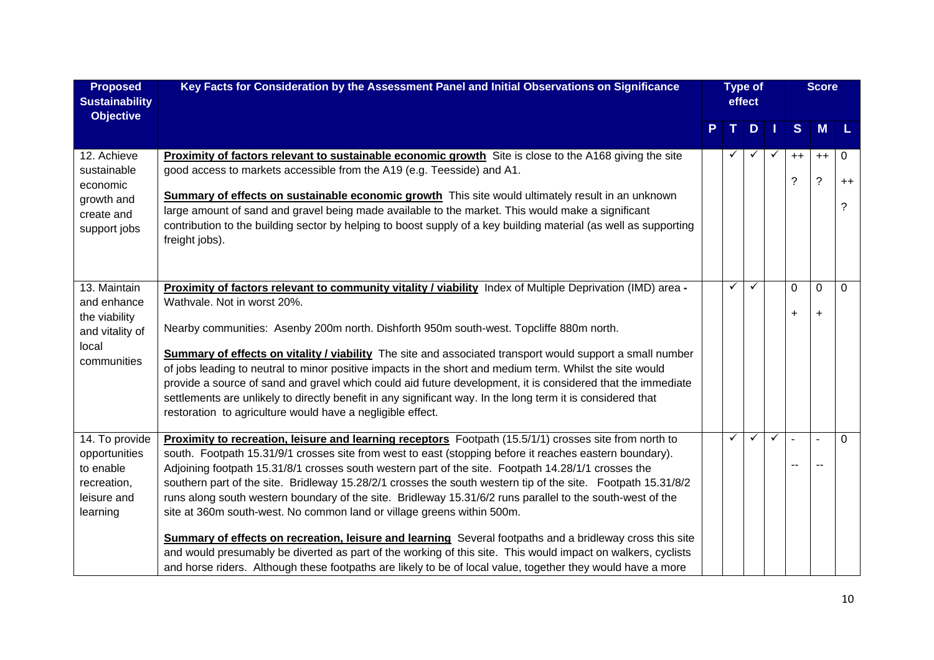| <b>Proposed</b><br><b>Sustainability</b><br><b>Objective</b>                            | Key Facts for Consideration by the Assessment Panel and Initial Observations on Significance                                                                                                                                                                                                                                                                                                                                                                                                                                                                                                                                                                                                                                                                                                                                                                                                                                                                               |  | <b>Type of</b><br>effect |              |   |                       |                          |                |  |  |  |  |  |  |  |  |  |  |  |  |  |  |  |  |  |  |  |  |  |  |  |  |  |  |  |  |  |  |  |  |  |  |  |  |  |  |  |  |  |  |  |  |  |  |  |  |  | <b>Score</b> |  |
|-----------------------------------------------------------------------------------------|----------------------------------------------------------------------------------------------------------------------------------------------------------------------------------------------------------------------------------------------------------------------------------------------------------------------------------------------------------------------------------------------------------------------------------------------------------------------------------------------------------------------------------------------------------------------------------------------------------------------------------------------------------------------------------------------------------------------------------------------------------------------------------------------------------------------------------------------------------------------------------------------------------------------------------------------------------------------------|--|--------------------------|--------------|---|-----------------------|--------------------------|----------------|--|--|--|--|--|--|--|--|--|--|--|--|--|--|--|--|--|--|--|--|--|--|--|--|--|--|--|--|--|--|--|--|--|--|--|--|--|--|--|--|--|--|--|--|--|--|--|--|--|--------------|--|
|                                                                                         |                                                                                                                                                                                                                                                                                                                                                                                                                                                                                                                                                                                                                                                                                                                                                                                                                                                                                                                                                                            |  |                          | D.           |   | <sub>S</sub>          | <b>M</b>                 | L              |  |  |  |  |  |  |  |  |  |  |  |  |  |  |  |  |  |  |  |  |  |  |  |  |  |  |  |  |  |  |  |  |  |  |  |  |  |  |  |  |  |  |  |  |  |  |  |  |  |              |  |
| 12. Achieve<br>sustainable<br>economic<br>growth and<br>create and<br>support jobs      | Proximity of factors relevant to sustainable economic growth Site is close to the A168 giving the site<br>good access to markets accessible from the A19 (e.g. Teesside) and A1.<br><b>Summary of effects on sustainable economic growth</b> This site would ultimately result in an unknown<br>large amount of sand and gravel being made available to the market. This would make a significant<br>contribution to the building sector by helping to boost supply of a key building material (as well as supporting<br>freight jobs).                                                                                                                                                                                                                                                                                                                                                                                                                                    |  | $\checkmark$             | ✓            |   | $++$<br>?             | $++$<br>$\tilde{?}$      | 0<br>$++$<br>? |  |  |  |  |  |  |  |  |  |  |  |  |  |  |  |  |  |  |  |  |  |  |  |  |  |  |  |  |  |  |  |  |  |  |  |  |  |  |  |  |  |  |  |  |  |  |  |  |  |              |  |
| 13. Maintain<br>and enhance<br>the viability<br>and vitality of<br>local<br>communities | Proximity of factors relevant to community vitality / viability Index of Multiple Deprivation (IMD) area -<br>Wathvale. Not in worst 20%.<br>Nearby communities: Asenby 200m north. Dishforth 950m south-west. Topcliffe 880m north.<br><b>Summary of effects on vitality / viability</b> The site and associated transport would support a small number<br>of jobs leading to neutral to minor positive impacts in the short and medium term. Whilst the site would<br>provide a source of sand and gravel which could aid future development, it is considered that the immediate<br>settlements are unlikely to directly benefit in any significant way. In the long term it is considered that<br>restoration to agriculture would have a negligible effect.                                                                                                                                                                                                           |  | ✓                        | $\checkmark$ |   | $\Omega$<br>$\ddot{}$ | $\mathbf 0$<br>$\ddot{}$ | $\mathbf 0$    |  |  |  |  |  |  |  |  |  |  |  |  |  |  |  |  |  |  |  |  |  |  |  |  |  |  |  |  |  |  |  |  |  |  |  |  |  |  |  |  |  |  |  |  |  |  |  |  |  |              |  |
| 14. To provide<br>opportunities<br>to enable<br>recreation,<br>leisure and<br>learning  | Proximity to recreation, leisure and learning receptors Footpath (15.5/1/1) crosses site from north to<br>south. Footpath 15.31/9/1 crosses site from west to east (stopping before it reaches eastern boundary).<br>Adjoining footpath 15.31/8/1 crosses south western part of the site. Footpath 14.28/1/1 crosses the<br>southern part of the site. Bridleway 15.28/2/1 crosses the south western tip of the site. Footpath 15.31/8/2<br>runs along south western boundary of the site. Bridleway 15.31/6/2 runs parallel to the south-west of the<br>site at 360m south-west. No common land or village greens within 500m.<br>Summary of effects on recreation, leisure and learning Several footpaths and a bridleway cross this site<br>and would presumably be diverted as part of the working of this site. This would impact on walkers, cyclists<br>and horse riders. Although these footpaths are likely to be of local value, together they would have a more |  | ✓                        | $\checkmark$ | ✓ | ÷,<br>$\overline{a}$  |                          | $\Omega$       |  |  |  |  |  |  |  |  |  |  |  |  |  |  |  |  |  |  |  |  |  |  |  |  |  |  |  |  |  |  |  |  |  |  |  |  |  |  |  |  |  |  |  |  |  |  |  |  |  |              |  |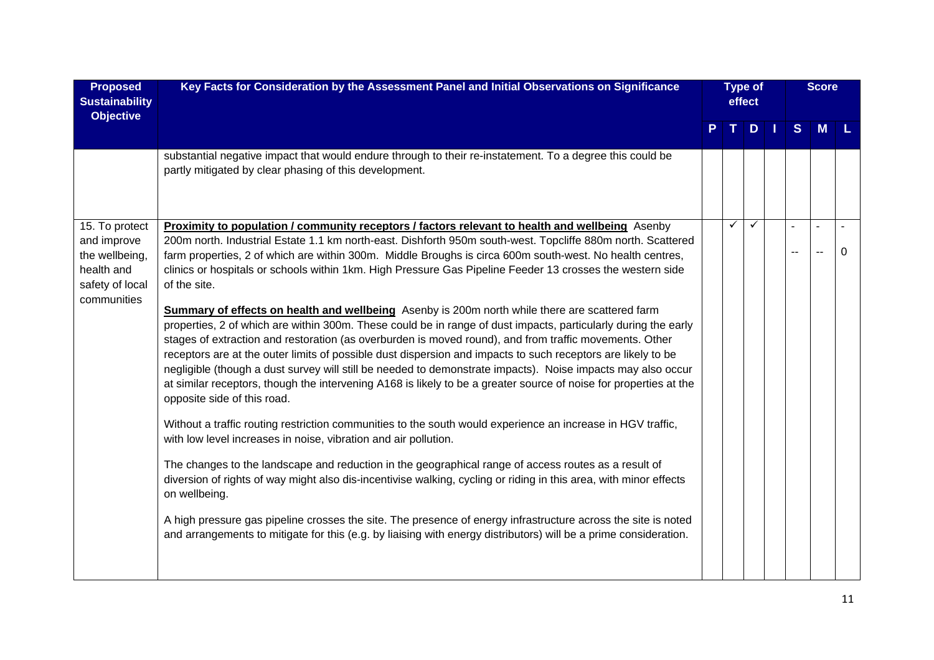| <b>Proposed</b><br><b>Sustainability</b><br><b>Objective</b>                                    | Key Facts for Consideration by the Assessment Panel and Initial Observations on Significance                                                                                                                                                                                                                                                                                                                                                                                                                                                                                                                                                                                                                                                                                                                                                                                                                                                                                                                                                                                                                                                                                                                                                                                                                                                                                                                                                                                                                                                                                                                                                                                                                                                                                                                                                         | <b>Type of</b><br>effect |   |              |  |    |   |   |  | <b>Score</b> |  |
|-------------------------------------------------------------------------------------------------|------------------------------------------------------------------------------------------------------------------------------------------------------------------------------------------------------------------------------------------------------------------------------------------------------------------------------------------------------------------------------------------------------------------------------------------------------------------------------------------------------------------------------------------------------------------------------------------------------------------------------------------------------------------------------------------------------------------------------------------------------------------------------------------------------------------------------------------------------------------------------------------------------------------------------------------------------------------------------------------------------------------------------------------------------------------------------------------------------------------------------------------------------------------------------------------------------------------------------------------------------------------------------------------------------------------------------------------------------------------------------------------------------------------------------------------------------------------------------------------------------------------------------------------------------------------------------------------------------------------------------------------------------------------------------------------------------------------------------------------------------------------------------------------------------------------------------------------------------|--------------------------|---|--------------|--|----|---|---|--|--------------|--|
|                                                                                                 |                                                                                                                                                                                                                                                                                                                                                                                                                                                                                                                                                                                                                                                                                                                                                                                                                                                                                                                                                                                                                                                                                                                                                                                                                                                                                                                                                                                                                                                                                                                                                                                                                                                                                                                                                                                                                                                      |                          |   | $T$ D I      |  | S  | M |   |  |              |  |
|                                                                                                 | substantial negative impact that would endure through to their re-instatement. To a degree this could be<br>partly mitigated by clear phasing of this development.                                                                                                                                                                                                                                                                                                                                                                                                                                                                                                                                                                                                                                                                                                                                                                                                                                                                                                                                                                                                                                                                                                                                                                                                                                                                                                                                                                                                                                                                                                                                                                                                                                                                                   |                          |   |              |  |    |   |   |  |              |  |
| 15. To protect<br>and improve<br>the wellbeing,<br>health and<br>safety of local<br>communities | <b>Proximity to population / community receptors / factors relevant to health and wellbeing</b> Asenby<br>200m north. Industrial Estate 1.1 km north-east. Dishforth 950m south-west. Topcliffe 880m north. Scattered<br>farm properties, 2 of which are within 300m. Middle Broughs is circa 600m south-west. No health centres,<br>clinics or hospitals or schools within 1km. High Pressure Gas Pipeline Feeder 13 crosses the western side<br>of the site.<br>Summary of effects on health and wellbeing Asenby is 200m north while there are scattered farm<br>properties, 2 of which are within 300m. These could be in range of dust impacts, particularly during the early<br>stages of extraction and restoration (as overburden is moved round), and from traffic movements. Other<br>receptors are at the outer limits of possible dust dispersion and impacts to such receptors are likely to be<br>negligible (though a dust survey will still be needed to demonstrate impacts). Noise impacts may also occur<br>at similar receptors, though the intervening A168 is likely to be a greater source of noise for properties at the<br>opposite side of this road.<br>Without a traffic routing restriction communities to the south would experience an increase in HGV traffic,<br>with low level increases in noise, vibration and air pollution.<br>The changes to the landscape and reduction in the geographical range of access routes as a result of<br>diversion of rights of way might also dis-incentivise walking, cycling or riding in this area, with minor effects<br>on wellbeing.<br>A high pressure gas pipeline crosses the site. The presence of energy infrastructure across the site is noted<br>and arrangements to mitigate for this (e.g. by liaising with energy distributors) will be a prime consideration. |                          | ✓ | $\checkmark$ |  | ÷, |   | 0 |  |              |  |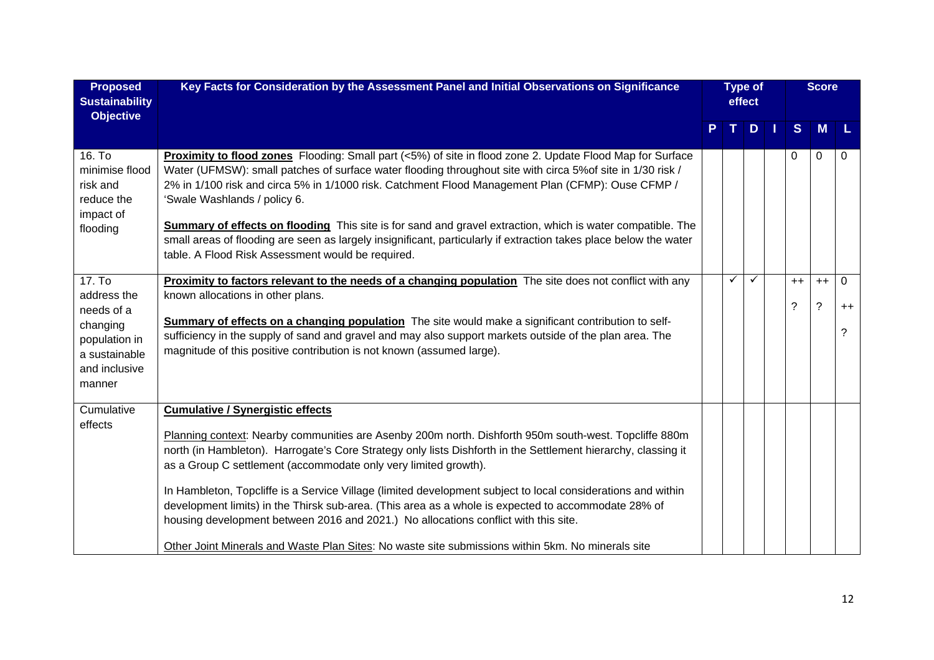| <b>Proposed</b><br><b>Sustainability</b><br><b>Objective</b>                                                 | Key Facts for Consideration by the Assessment Panel and Initial Observations on Significance                                                                                                                                                                                                                                                                                                                                                                                                                                                                                                                                                                                                                                                            |   | <b>Type of</b><br>effect<br>D <sub>1</sub><br>$\mathbf{T}$ . |              |  |                     | <b>Score</b>     |                |
|--------------------------------------------------------------------------------------------------------------|---------------------------------------------------------------------------------------------------------------------------------------------------------------------------------------------------------------------------------------------------------------------------------------------------------------------------------------------------------------------------------------------------------------------------------------------------------------------------------------------------------------------------------------------------------------------------------------------------------------------------------------------------------------------------------------------------------------------------------------------------------|---|--------------------------------------------------------------|--------------|--|---------------------|------------------|----------------|
|                                                                                                              |                                                                                                                                                                                                                                                                                                                                                                                                                                                                                                                                                                                                                                                                                                                                                         | P |                                                              |              |  | S                   | M                |                |
| 16. To<br>minimise flood<br>risk and<br>reduce the<br>impact of<br>flooding                                  | Proximity to flood zones Flooding: Small part (<5%) of site in flood zone 2. Update Flood Map for Surface<br>Water (UFMSW): small patches of surface water flooding throughout site with circa 5% of site in 1/30 risk /<br>2% in 1/100 risk and circa 5% in 1/1000 risk. Catchment Flood Management Plan (CFMP): Ouse CFMP /<br>'Swale Washlands / policy 6.<br>Summary of effects on flooding This site is for sand and gravel extraction, which is water compatible. The<br>small areas of flooding are seen as largely insignificant, particularly if extraction takes place below the water                                                                                                                                                        |   |                                                              |              |  | 0                   | 0                | 0              |
|                                                                                                              | table. A Flood Risk Assessment would be required.                                                                                                                                                                                                                                                                                                                                                                                                                                                                                                                                                                                                                                                                                                       |   |                                                              |              |  |                     |                  |                |
| 17. To<br>address the<br>needs of a<br>changing<br>population in<br>a sustainable<br>and inclusive<br>manner | Proximity to factors relevant to the needs of a changing population The site does not conflict with any<br>known allocations in other plans.<br>Summary of effects on a changing population The site would make a significant contribution to self-<br>sufficiency in the supply of sand and gravel and may also support markets outside of the plan area. The<br>magnitude of this positive contribution is not known (assumed large).                                                                                                                                                                                                                                                                                                                 |   | $\checkmark$                                                 | $\checkmark$ |  | $++$<br>$\tilde{?}$ | $++$<br>$\gamma$ | 0<br>$++$<br>? |
| Cumulative<br>effects                                                                                        | <b>Cumulative / Synergistic effects</b><br>Planning context: Nearby communities are Asenby 200m north. Dishforth 950m south-west. Topcliffe 880m<br>north (in Hambleton). Harrogate's Core Strategy only lists Dishforth in the Settlement hierarchy, classing it<br>as a Group C settlement (accommodate only very limited growth).<br>In Hambleton, Topcliffe is a Service Village (limited development subject to local considerations and within<br>development limits) in the Thirsk sub-area. (This area as a whole is expected to accommodate 28% of<br>housing development between 2016 and 2021.) No allocations conflict with this site.<br>Other Joint Minerals and Waste Plan Sites: No waste site submissions within 5km. No minerals site |   |                                                              |              |  |                     |                  |                |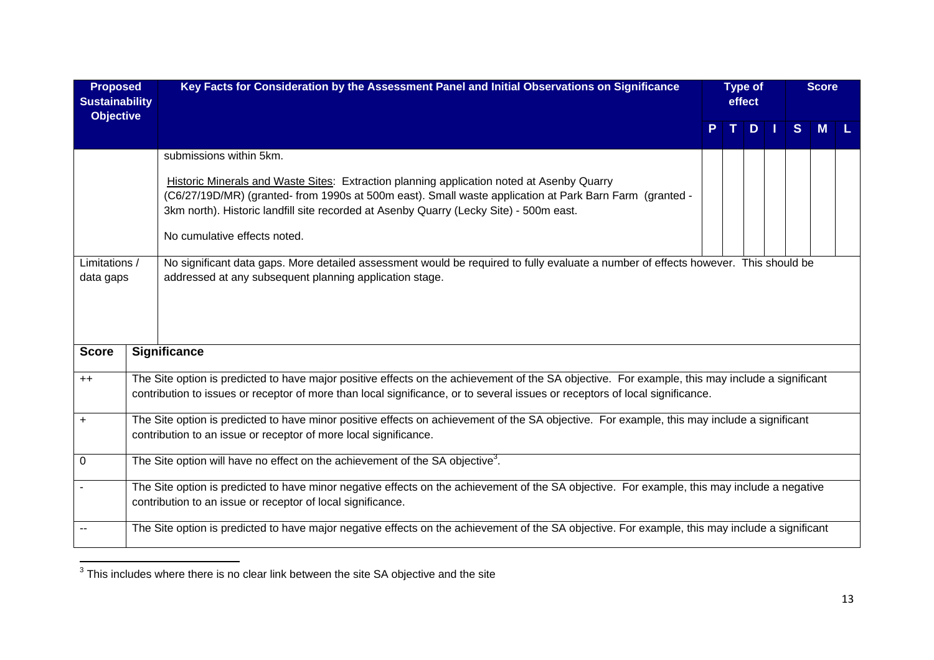| <b>Proposed</b><br><b>Sustainability</b><br><b>Objective</b> | Key Facts for Consideration by the Assessment Panel and Initial Observations on Significance                                                                                                                                                                                                                                                                                                                                                                                                                                                                      |   | <b>Type of</b><br>effect |              | <b>Score</b> |  |
|--------------------------------------------------------------|-------------------------------------------------------------------------------------------------------------------------------------------------------------------------------------------------------------------------------------------------------------------------------------------------------------------------------------------------------------------------------------------------------------------------------------------------------------------------------------------------------------------------------------------------------------------|---|--------------------------|--------------|--------------|--|
|                                                              |                                                                                                                                                                                                                                                                                                                                                                                                                                                                                                                                                                   | T | $D$   1                  | <sub>S</sub> |              |  |
| Limitations /<br>data gaps                                   | submissions within 5km.<br><b>Historic Minerals and Waste Sites: Extraction planning application noted at Asenby Quarry</b><br>(C6/27/19D/MR) (granted- from 1990s at 500m east). Small waste application at Park Barn Farm (granted -<br>3km north). Historic landfill site recorded at Asenby Quarry (Lecky Site) - 500m east.<br>No cumulative effects noted.<br>No significant data gaps. More detailed assessment would be required to fully evaluate a number of effects however. This should be<br>addressed at any subsequent planning application stage. |   |                          |              |              |  |
| <b>Score</b>                                                 | Significance                                                                                                                                                                                                                                                                                                                                                                                                                                                                                                                                                      |   |                          |              |              |  |
| $++$                                                         | The Site option is predicted to have major positive effects on the achievement of the SA objective. For example, this may include a significant<br>contribution to issues or receptor of more than local significance, or to several issues or receptors of local significance.                                                                                                                                                                                                                                                                                   |   |                          |              |              |  |
| $\ddot{}$                                                    | The Site option is predicted to have minor positive effects on achievement of the SA objective. For example, this may include a significant<br>contribution to an issue or receptor of more local significance.                                                                                                                                                                                                                                                                                                                                                   |   |                          |              |              |  |
| $\mathbf 0$                                                  | The Site option will have no effect on the achievement of the SA objective <sup>3</sup> .                                                                                                                                                                                                                                                                                                                                                                                                                                                                         |   |                          |              |              |  |
|                                                              | The Site option is predicted to have minor negative effects on the achievement of the SA objective. For example, this may include a negative<br>contribution to an issue or receptor of local significance.                                                                                                                                                                                                                                                                                                                                                       |   |                          |              |              |  |
|                                                              | The Site option is predicted to have major negative effects on the achievement of the SA objective. For example, this may include a significant                                                                                                                                                                                                                                                                                                                                                                                                                   |   |                          |              |              |  |

 $\frac{1}{3}$ This includes where there is no clear link between the site SA objective and the site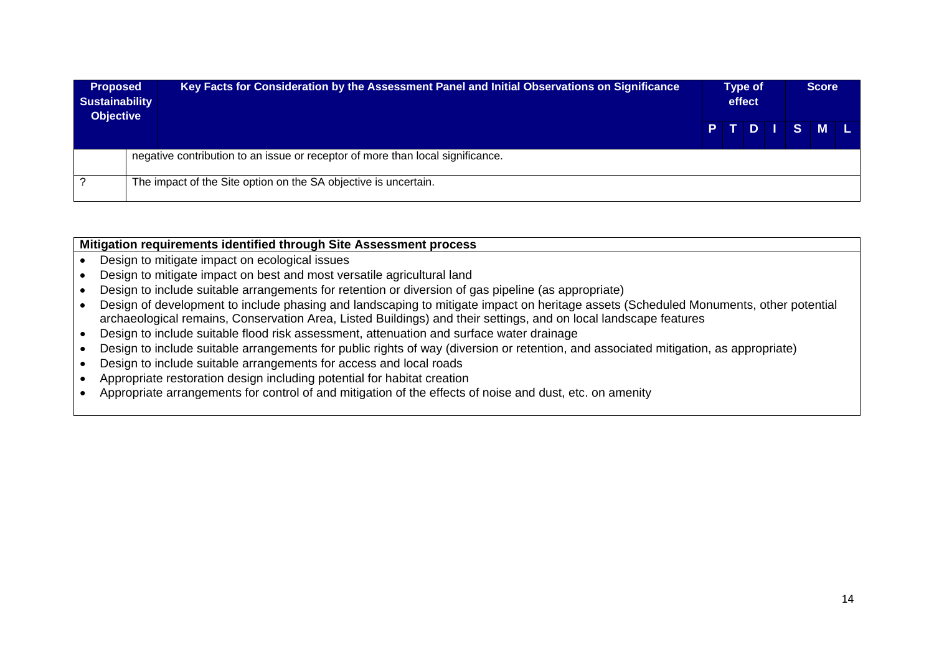| <b>Proposed</b><br><b>Sustainability</b><br><b>Objective</b> | Key Facts for Consideration by the Assessment Panel and Initial Observations on Significance | Type of<br>effect |  |  |  |         |  |  |  |
|--------------------------------------------------------------|----------------------------------------------------------------------------------------------|-------------------|--|--|--|---------|--|--|--|
|                                                              |                                                                                              |                   |  |  |  | PTDISML |  |  |  |
|                                                              | negative contribution to an issue or receptor of more than local significance.               |                   |  |  |  |         |  |  |  |
|                                                              | The impact of the Site option on the SA objective is uncertain.                              |                   |  |  |  |         |  |  |  |

#### **Mitigation requirements identified through Site Assessment process**

- Design to mitigate impact on ecological issues
- Design to mitigate impact on best and most versatile agricultural land
- Design to include suitable arrangements for retention or diversion of gas pipeline (as appropriate)
- Design of development to include phasing and landscaping to mitigate impact on heritage assets (Scheduled Monuments, other potential archaeological remains, Conservation Area, Listed Buildings) and their settings, and on local landscape features
- Design to include suitable flood risk assessment, attenuation and surface water drainage
- Design to include suitable arrangements for public rights of way (diversion or retention, and associated mitigation, as appropriate)
- Design to include suitable arrangements for access and local roads
- Appropriate restoration design including potential for habitat creation
- Appropriate arrangements for control of and mitigation of the effects of noise and dust, etc. on amenity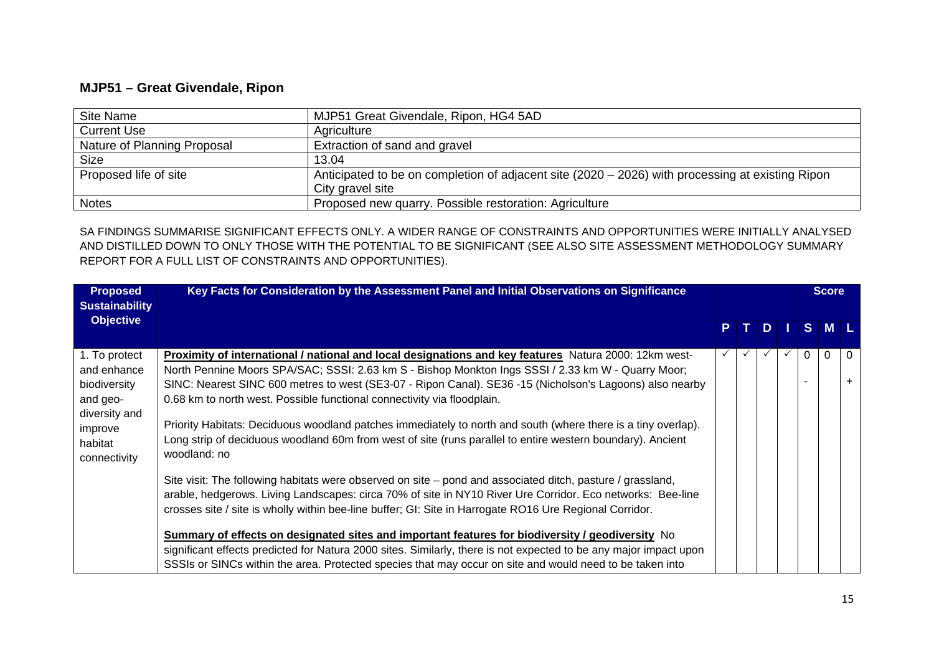## **MJP51 – Great Givendale, Ripon**

| Site Name                   | MJP51 Great Givendale, Ripon, HG4 5AD                                                                                |
|-----------------------------|----------------------------------------------------------------------------------------------------------------------|
| <b>Current Use</b>          | Agriculture                                                                                                          |
| Nature of Planning Proposal | Extraction of sand and gravel                                                                                        |
| <b>Size</b>                 | 13.04                                                                                                                |
| Proposed life of site       | Anticipated to be on completion of adjacent site (2020 – 2026) with processing at existing Ripon<br>City gravel site |
| <b>Notes</b>                | Proposed new quarry. Possible restoration: Agriculture                                                               |

SA FINDINGS SUMMARISE SIGNIFICANT EFFECTS ONLY. A WIDER RANGE OF CONSTRAINTS AND OPPORTUNITIES WERE INITIALLY ANALYSED AND DISTILLED DOWN TO ONLY THOSE WITH THE POTENTIAL TO BE SIGNIFICANT (SEE ALSO SITE ASSESSMENT METHODOLOGY SUMMARY REPORT FOR A FULL LIST OF CONSTRAINTS AND OPPORTUNITIES).

| <b>Proposed</b><br><b>Sustainability</b>                                             | Key Facts for Consideration by the Assessment Panel and Initial Observations on Significance                                                                                                                                                                                                                                                                                                                                                                                                                               |  |          |   | <b>Score</b> |          |
|--------------------------------------------------------------------------------------|----------------------------------------------------------------------------------------------------------------------------------------------------------------------------------------------------------------------------------------------------------------------------------------------------------------------------------------------------------------------------------------------------------------------------------------------------------------------------------------------------------------------------|--|----------|---|--------------|----------|
| <b>Objective</b>                                                                     |                                                                                                                                                                                                                                                                                                                                                                                                                                                                                                                            |  | <b>D</b> |   | S M L        |          |
| 1. To protect<br>and enhance<br>biodiversity<br>and geo-<br>diversity and<br>improve | <b>Proximity of international / national and local designations and key features</b> Natura 2000: 12km west-<br>North Pennine Moors SPA/SAC; SSSI: 2.63 km S - Bishop Monkton Ings SSSI / 2.33 km W - Quarry Moor;<br>SINC: Nearest SINC 600 metres to west (SE3-07 - Ripon Canal). SE36 -15 (Nicholson's Lagoons) also nearby<br>0.68 km to north west. Possible functional connectivity via floodplain.<br>Priority Habitats: Deciduous woodland patches immediately to north and south (where there is a tiny overlap). |  |          | 0 | $\Omega$     | $\Omega$ |
| habitat<br>connectivity                                                              | Long strip of deciduous woodland 60m from west of site (runs parallel to entire western boundary). Ancient<br>woodland: no<br>Site visit: The following habitats were observed on site – pond and associated ditch, pasture / grassland,<br>arable, hedgerows. Living Landscapes: circa 70% of site in NY10 River Ure Corridor. Eco networks: Bee-line<br>crosses site / site is wholly within bee-line buffer; GI: Site in Harrogate RO16 Ure Regional Corridor.                                                          |  |          |   |              |          |
|                                                                                      | Summary of effects on designated sites and important features for biodiversity / geodiversity No<br>significant effects predicted for Natura 2000 sites. Similarly, there is not expected to be any major impact upon<br>SSSIs or SINCs within the area. Protected species that may occur on site and would need to be taken into                                                                                                                                                                                          |  |          |   |              |          |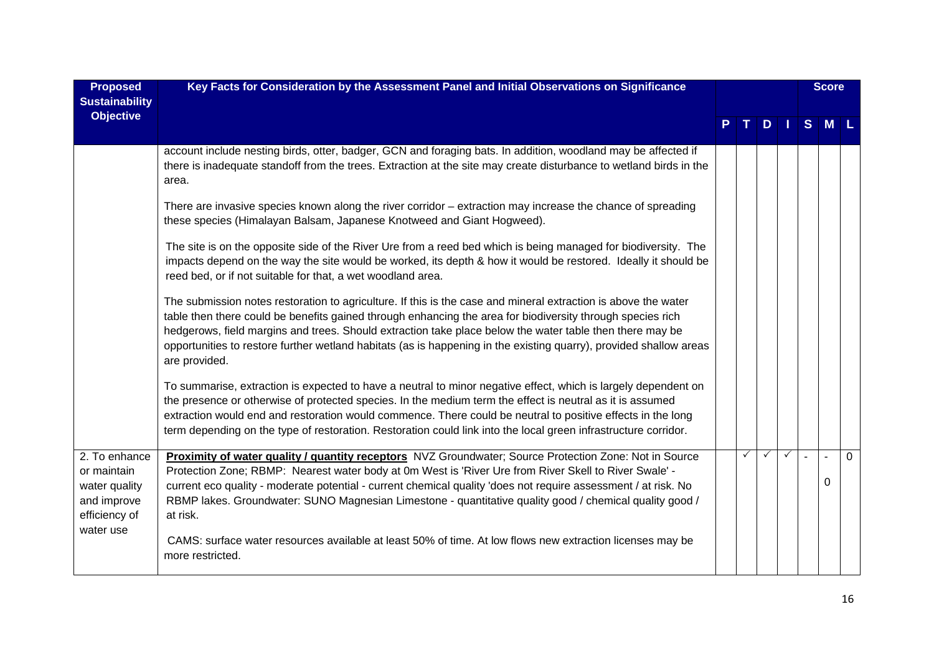| <b>Proposed</b><br><b>Sustainability</b><br><b>Objective</b>                               | Key Facts for Consideration by the Assessment Panel and Initial Observations on Significance                                                                                                                                                                                                                                                                                                                                                                                                                                                                          |   |              |              |                | <b>Score</b> |          |
|--------------------------------------------------------------------------------------------|-----------------------------------------------------------------------------------------------------------------------------------------------------------------------------------------------------------------------------------------------------------------------------------------------------------------------------------------------------------------------------------------------------------------------------------------------------------------------------------------------------------------------------------------------------------------------|---|--------------|--------------|----------------|--------------|----------|
|                                                                                            |                                                                                                                                                                                                                                                                                                                                                                                                                                                                                                                                                                       |   | D.           |              | <sub>S</sub>   | M            |          |
|                                                                                            | account include nesting birds, otter, badger, GCN and foraging bats. In addition, woodland may be affected if<br>there is inadequate standoff from the trees. Extraction at the site may create disturbance to wetland birds in the<br>area.                                                                                                                                                                                                                                                                                                                          |   |              |              |                |              |          |
|                                                                                            | There are invasive species known along the river corridor – extraction may increase the chance of spreading<br>these species (Himalayan Balsam, Japanese Knotweed and Giant Hogweed).                                                                                                                                                                                                                                                                                                                                                                                 |   |              |              |                |              |          |
|                                                                                            | The site is on the opposite side of the River Ure from a reed bed which is being managed for biodiversity. The<br>impacts depend on the way the site would be worked, its depth & how it would be restored. Ideally it should be<br>reed bed, or if not suitable for that, a wet woodland area.                                                                                                                                                                                                                                                                       |   |              |              |                |              |          |
|                                                                                            | The submission notes restoration to agriculture. If this is the case and mineral extraction is above the water<br>table then there could be benefits gained through enhancing the area for biodiversity through species rich<br>hedgerows, field margins and trees. Should extraction take place below the water table then there may be<br>opportunities to restore further wetland habitats (as is happening in the existing quarry), provided shallow areas<br>are provided.                                                                                       |   |              |              |                |              |          |
|                                                                                            | To summarise, extraction is expected to have a neutral to minor negative effect, which is largely dependent on<br>the presence or otherwise of protected species. In the medium term the effect is neutral as it is assumed<br>extraction would end and restoration would commence. There could be neutral to positive effects in the long<br>term depending on the type of restoration. Restoration could link into the local green infrastructure corridor.                                                                                                         |   |              |              |                |              |          |
| 2. To enhance<br>or maintain<br>water quality<br>and improve<br>efficiency of<br>water use | Proximity of water quality / quantity receptors NVZ Groundwater; Source Protection Zone: Not in Source<br>Protection Zone; RBMP: Nearest water body at 0m West is 'River Ure from River Skell to River Swale' -<br>current eco quality - moderate potential - current chemical quality 'does not require assessment / at risk. No<br>RBMP lakes. Groundwater: SUNO Magnesian Limestone - quantitative quality good / chemical quality good /<br>at risk.<br>CAMS: surface water resources available at least 50% of time. At low flows new extraction licenses may be | ✓ | $\checkmark$ | $\checkmark$ | $\overline{a}$ | $\Omega$     | $\Omega$ |
|                                                                                            | more restricted.                                                                                                                                                                                                                                                                                                                                                                                                                                                                                                                                                      |   |              |              |                |              |          |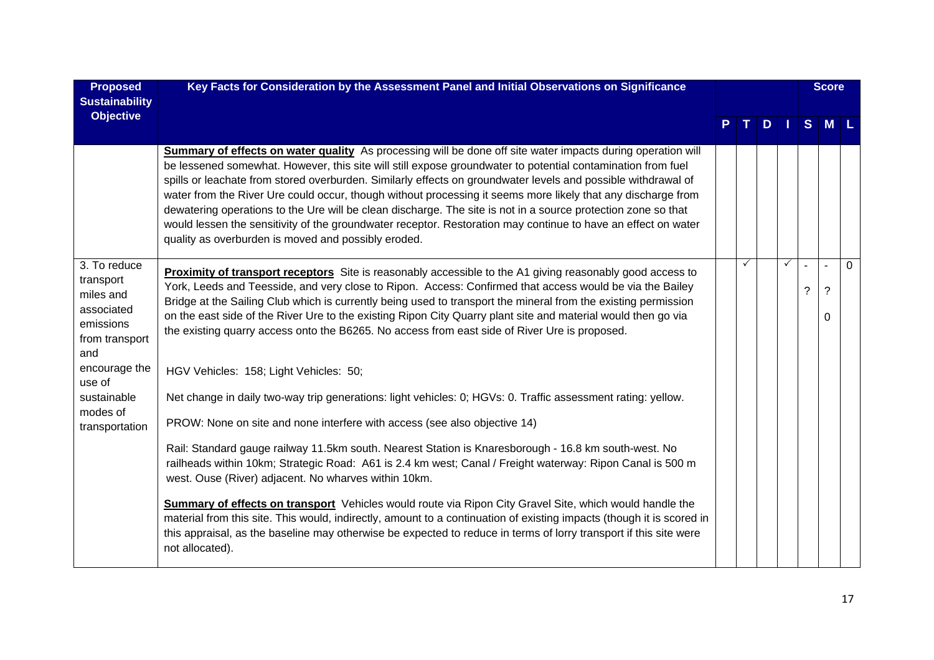| <b>Proposed</b><br><b>Sustainability</b>                                                   | Key Facts for Consideration by the Assessment Panel and Initial Observations on Significance                                                                                                                                                                                                                                                                                                                                                                                                                                                                                                                                                                                                                                                         |     |              |   | <b>Score</b> |          |
|--------------------------------------------------------------------------------------------|------------------------------------------------------------------------------------------------------------------------------------------------------------------------------------------------------------------------------------------------------------------------------------------------------------------------------------------------------------------------------------------------------------------------------------------------------------------------------------------------------------------------------------------------------------------------------------------------------------------------------------------------------------------------------------------------------------------------------------------------------|-----|--------------|---|--------------|----------|
| <b>Objective</b>                                                                           |                                                                                                                                                                                                                                                                                                                                                                                                                                                                                                                                                                                                                                                                                                                                                      | T I | $D$          |   | S M L        |          |
|                                                                                            | Summary of effects on water quality As processing will be done off site water impacts during operation will<br>be lessened somewhat. However, this site will still expose groundwater to potential contamination from fuel<br>spills or leachate from stored overburden. Similarly effects on groundwater levels and possible withdrawal of<br>water from the River Ure could occur, though without processing it seems more likely that any discharge from<br>dewatering operations to the Ure will be clean discharge. The site is not in a source protection zone so that<br>would lessen the sensitivity of the groundwater receptor. Restoration may continue to have an effect on water<br>quality as overburden is moved and possibly eroded. |     |              |   |              |          |
| 3. To reduce<br>transport<br>miles and<br>associated<br>emissions<br>from transport<br>and | <b>Proximity of transport receptors</b> Site is reasonably accessible to the A1 giving reasonably good access to<br>York, Leeds and Teesside, and very close to Ripon. Access: Confirmed that access would be via the Bailey<br>Bridge at the Sailing Club which is currently being used to transport the mineral from the existing permission<br>on the east side of the River Ure to the existing Ripon City Quarry plant site and material would then go via<br>the existing quarry access onto the B6265. No access from east side of River Ure is proposed.                                                                                                                                                                                     | ✓   | $\checkmark$ | ? | ?<br>0       | $\Omega$ |
| encourage the<br>use of                                                                    | HGV Vehicles: 158; Light Vehicles: 50;                                                                                                                                                                                                                                                                                                                                                                                                                                                                                                                                                                                                                                                                                                               |     |              |   |              |          |
| sustainable<br>modes of                                                                    | Net change in daily two-way trip generations: light vehicles: 0; HGVs: 0. Traffic assessment rating: yellow.                                                                                                                                                                                                                                                                                                                                                                                                                                                                                                                                                                                                                                         |     |              |   |              |          |
| transportation                                                                             | PROW: None on site and none interfere with access (see also objective 14)                                                                                                                                                                                                                                                                                                                                                                                                                                                                                                                                                                                                                                                                            |     |              |   |              |          |
|                                                                                            | Rail: Standard gauge railway 11.5km south. Nearest Station is Knaresborough - 16.8 km south-west. No<br>railheads within 10km; Strategic Road: A61 is 2.4 km west; Canal / Freight waterway: Ripon Canal is 500 m<br>west. Ouse (River) adjacent. No wharves within 10km.                                                                                                                                                                                                                                                                                                                                                                                                                                                                            |     |              |   |              |          |
|                                                                                            | <b>Summary of effects on transport</b> Vehicles would route via Ripon City Gravel Site, which would handle the<br>material from this site. This would, indirectly, amount to a continuation of existing impacts (though it is scored in<br>this appraisal, as the baseline may otherwise be expected to reduce in terms of lorry transport if this site were<br>not allocated).                                                                                                                                                                                                                                                                                                                                                                      |     |              |   |              |          |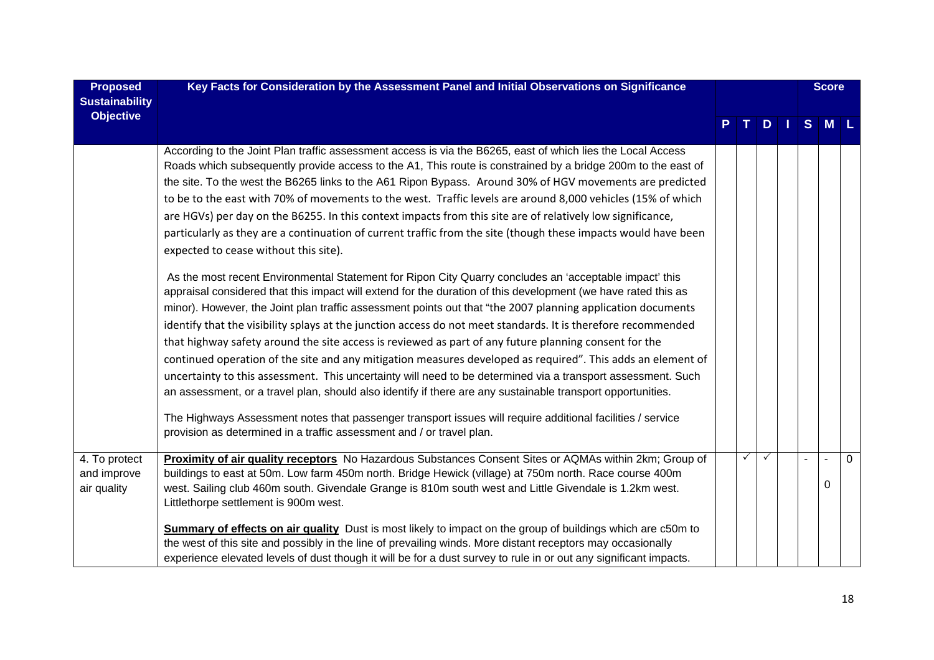| <b>Proposed</b><br><b>Sustainability</b>    | Key Facts for Consideration by the Assessment Panel and Initial Observations on Significance                                                                                                                                                                                                                                                                                                                                                                                                                                                                                                                                                                                                                                                                                                                                                                                                                                                                                                                                                                                                                                                                                                                                                                                                                                                                                                                                                                                                                                                                                                                                                                                                                                                                                                                                             |   |              |     | <b>Score</b> |          |
|---------------------------------------------|------------------------------------------------------------------------------------------------------------------------------------------------------------------------------------------------------------------------------------------------------------------------------------------------------------------------------------------------------------------------------------------------------------------------------------------------------------------------------------------------------------------------------------------------------------------------------------------------------------------------------------------------------------------------------------------------------------------------------------------------------------------------------------------------------------------------------------------------------------------------------------------------------------------------------------------------------------------------------------------------------------------------------------------------------------------------------------------------------------------------------------------------------------------------------------------------------------------------------------------------------------------------------------------------------------------------------------------------------------------------------------------------------------------------------------------------------------------------------------------------------------------------------------------------------------------------------------------------------------------------------------------------------------------------------------------------------------------------------------------------------------------------------------------------------------------------------------------|---|--------------|-----|--------------|----------|
| <b>Objective</b>                            |                                                                                                                                                                                                                                                                                                                                                                                                                                                                                                                                                                                                                                                                                                                                                                                                                                                                                                                                                                                                                                                                                                                                                                                                                                                                                                                                                                                                                                                                                                                                                                                                                                                                                                                                                                                                                                          |   |              | $D$ | $S$ M $L$    |          |
|                                             | According to the Joint Plan traffic assessment access is via the B6265, east of which lies the Local Access<br>Roads which subsequently provide access to the A1, This route is constrained by a bridge 200m to the east of<br>the site. To the west the B6265 links to the A61 Ripon Bypass. Around 30% of HGV movements are predicted<br>to be to the east with 70% of movements to the west. Traffic levels are around 8,000 vehicles (15% of which<br>are HGVs) per day on the B6255. In this context impacts from this site are of relatively low significance,<br>particularly as they are a continuation of current traffic from the site (though these impacts would have been<br>expected to cease without this site).<br>As the most recent Environmental Statement for Ripon City Quarry concludes an 'acceptable impact' this<br>appraisal considered that this impact will extend for the duration of this development (we have rated this as<br>minor). However, the Joint plan traffic assessment points out that "the 2007 planning application documents<br>identify that the visibility splays at the junction access do not meet standards. It is therefore recommended<br>that highway safety around the site access is reviewed as part of any future planning consent for the<br>continued operation of the site and any mitigation measures developed as required". This adds an element of<br>uncertainty to this assessment. This uncertainty will need to be determined via a transport assessment. Such<br>an assessment, or a travel plan, should also identify if there are any sustainable transport opportunities.<br>The Highways Assessment notes that passenger transport issues will require additional facilities / service<br>provision as determined in a traffic assessment and / or travel plan. |   |              |     |              |          |
| 4. To protect<br>and improve<br>air quality | Proximity of air quality receptors No Hazardous Substances Consent Sites or AQMAs within 2km; Group of<br>buildings to east at 50m. Low farm 450m north. Bridge Hewick (village) at 750m north. Race course 400m<br>west. Sailing club 460m south. Givendale Grange is 810m south west and Little Givendale is 1.2km west.<br>Littlethorpe settlement is 900m west.<br>Summary of effects on air quality Dust is most likely to impact on the group of buildings which are c50m to                                                                                                                                                                                                                                                                                                                                                                                                                                                                                                                                                                                                                                                                                                                                                                                                                                                                                                                                                                                                                                                                                                                                                                                                                                                                                                                                                       | ✓ | $\checkmark$ |     | 0            | $\Omega$ |
|                                             | the west of this site and possibly in the line of prevailing winds. More distant receptors may occasionally<br>experience elevated levels of dust though it will be for a dust survey to rule in or out any significant impacts.                                                                                                                                                                                                                                                                                                                                                                                                                                                                                                                                                                                                                                                                                                                                                                                                                                                                                                                                                                                                                                                                                                                                                                                                                                                                                                                                                                                                                                                                                                                                                                                                         |   |              |     |              |          |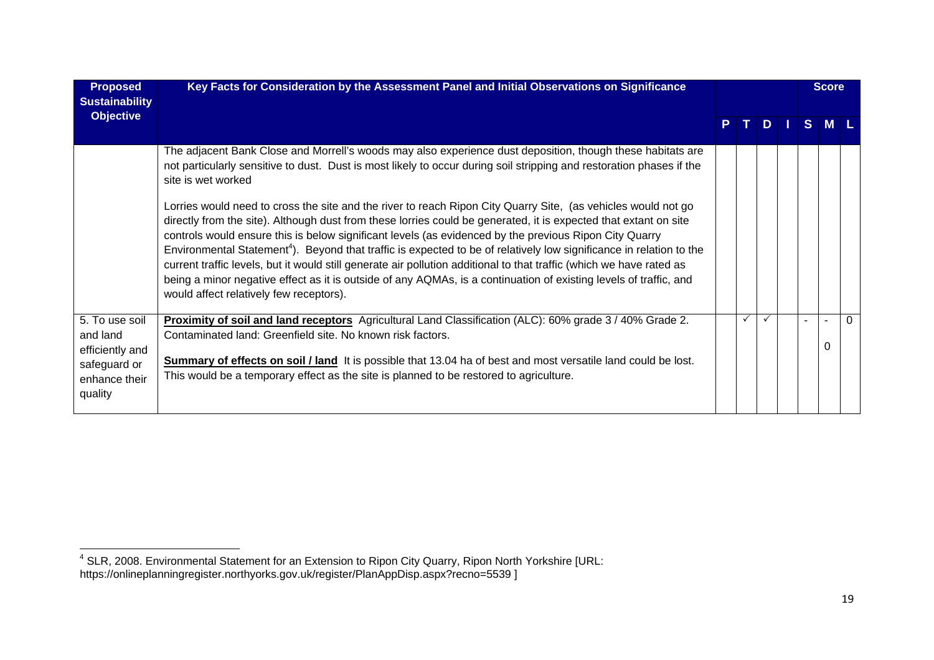| <b>Proposed</b><br><b>Sustainability</b>                                                  | Key Facts for Consideration by the Assessment Panel and Initial Observations on Significance                                                                                                                                                                                                                                                                                                                                                                                                                                                                                                                                                                                                                                                                           |              |              |    | <b>Score</b> |  |
|-------------------------------------------------------------------------------------------|------------------------------------------------------------------------------------------------------------------------------------------------------------------------------------------------------------------------------------------------------------------------------------------------------------------------------------------------------------------------------------------------------------------------------------------------------------------------------------------------------------------------------------------------------------------------------------------------------------------------------------------------------------------------------------------------------------------------------------------------------------------------|--------------|--------------|----|--------------|--|
| <b>Objective</b>                                                                          |                                                                                                                                                                                                                                                                                                                                                                                                                                                                                                                                                                                                                                                                                                                                                                        |              |              | S. |              |  |
|                                                                                           | The adjacent Bank Close and Morrell's woods may also experience dust deposition, though these habitats are<br>not particularly sensitive to dust. Dust is most likely to occur during soil stripping and restoration phases if the<br>site is wet worked                                                                                                                                                                                                                                                                                                                                                                                                                                                                                                               |              |              |    |              |  |
|                                                                                           | Lorries would need to cross the site and the river to reach Ripon City Quarry Site, (as vehicles would not go<br>directly from the site). Although dust from these lorries could be generated, it is expected that extant on site<br>controls would ensure this is below significant levels (as evidenced by the previous Ripon City Quarry<br>Environmental Statement <sup>4</sup> ). Beyond that traffic is expected to be of relatively low significance in relation to the<br>current traffic levels, but it would still generate air pollution additional to that traffic (which we have rated as<br>being a minor negative effect as it is outside of any AQMAs, is a continuation of existing levels of traffic, and<br>would affect relatively few receptors). |              |              |    |              |  |
| 5. To use soil<br>and land<br>efficiently and<br>safeguard or<br>enhance their<br>quality | Proximity of soil and land receptors Agricultural Land Classification (ALC): 60% grade 3 / 40% Grade 2.<br>Contaminated land: Greenfield site. No known risk factors.<br>Summary of effects on soil / land It is possible that 13.04 ha of best and most versatile land could be lost.<br>This would be a temporary effect as the site is planned to be restored to agriculture.                                                                                                                                                                                                                                                                                                                                                                                       | $\checkmark$ | $\checkmark$ |    | O            |  |

<sup>&</sup>lt;sup>4</sup> SLR, 2008. Environmental Statement for an Extension to Ripon City Quarry, Ripon North Yorkshire [URL: https://onlineplanningregister.northyorks.gov.uk/register/PlanAppDisp.aspx?recno=5539 ]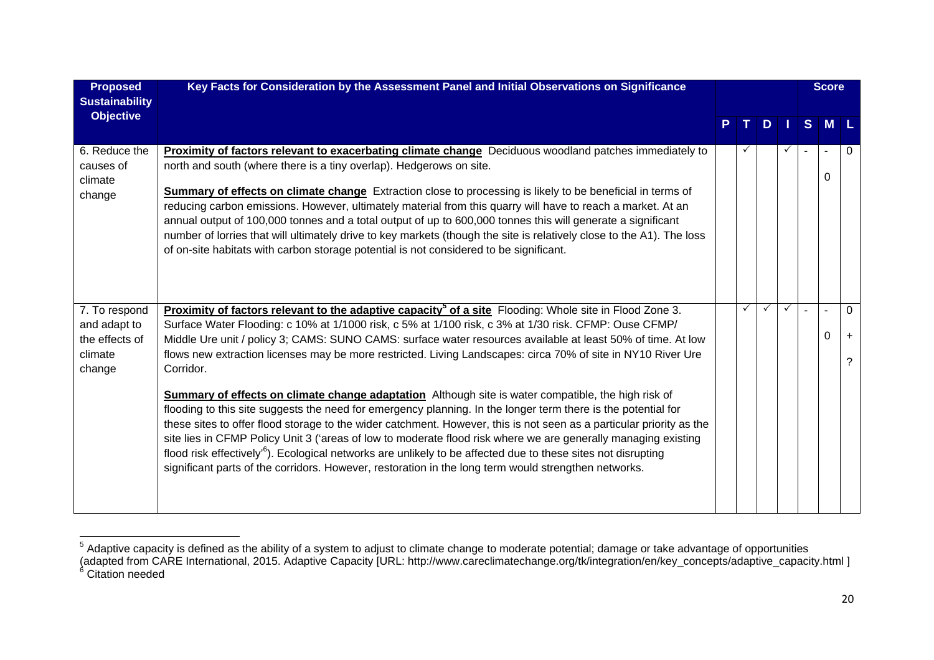| <b>Proposed</b><br><b>Sustainability</b>                             | Key Facts for Consideration by the Assessment Panel and Initial Observations on Significance                                                                                                                                                                                                                                                                                                                                                                                                                                                                                                                                                                                                                                                                                                                                                                                                                                                                                                                                                                                                                                                                                          |              |    |              |   | <b>Score</b> |   |
|----------------------------------------------------------------------|---------------------------------------------------------------------------------------------------------------------------------------------------------------------------------------------------------------------------------------------------------------------------------------------------------------------------------------------------------------------------------------------------------------------------------------------------------------------------------------------------------------------------------------------------------------------------------------------------------------------------------------------------------------------------------------------------------------------------------------------------------------------------------------------------------------------------------------------------------------------------------------------------------------------------------------------------------------------------------------------------------------------------------------------------------------------------------------------------------------------------------------------------------------------------------------|--------------|----|--------------|---|--------------|---|
| <b>Objective</b>                                                     |                                                                                                                                                                                                                                                                                                                                                                                                                                                                                                                                                                                                                                                                                                                                                                                                                                                                                                                                                                                                                                                                                                                                                                                       |              | D. |              | S | M            |   |
| 6. Reduce the<br>causes of<br>climate<br>change                      | Proximity of factors relevant to exacerbating climate change Deciduous woodland patches immediately to<br>north and south (where there is a tiny overlap). Hedgerows on site.<br>Summary of effects on climate change Extraction close to processing is likely to be beneficial in terms of<br>reducing carbon emissions. However, ultimately material from this quarry will have to reach a market. At an<br>annual output of 100,000 tonnes and a total output of up to 600,000 tonnes this will generate a significant<br>number of lorries that will ultimately drive to key markets (though the site is relatively close to the A1). The loss<br>of on-site habitats with carbon storage potential is not considered to be significant.                                                                                                                                                                                                                                                                                                                                                                                                                                          | ✓            |    | $\checkmark$ |   | 0            | 0 |
| 7. To respond<br>and adapt to<br>the effects of<br>climate<br>change | <b>Proximity of factors relevant to the adaptive capacity<sup>5</sup> of a site</b> Flooding: Whole site in Flood Zone 3.<br>Surface Water Flooding: c 10% at 1/1000 risk, c 5% at 1/100 risk, c 3% at 1/30 risk. CFMP: Ouse CFMP/<br>Middle Ure unit / policy 3; CAMS: SUNO CAMS: surface water resources available at least 50% of time. At low<br>flows new extraction licenses may be more restricted. Living Landscapes: circa 70% of site in NY10 River Ure<br>Corridor.<br>Summary of effects on climate change adaptation Although site is water compatible, the high risk of<br>flooding to this site suggests the need for emergency planning. In the longer term there is the potential for<br>these sites to offer flood storage to the wider catchment. However, this is not seen as a particular priority as the<br>site lies in CFMP Policy Unit 3 ('areas of low to moderate flood risk where we are generally managing existing<br>flood risk effectively <sup>,6</sup> ). Ecological networks are unlikely to be affected due to these sites not disrupting<br>significant parts of the corridors. However, restoration in the long term would strengthen networks. | $\checkmark$ | ✓  | $\checkmark$ |   | 0            | 0 |

 $^5$  Adaptive capacity is defined as the ability of a system to adjust to climate change to moderate potential; damage or take advantage of opportunities (adapted from CARE International, 2015. Adaptive Capacity [URL: http://www.careclimatechange.org/tk/integration/en/key\_concepts/adaptive\_capacity.html ]<br><sup>6</sup> Citation needed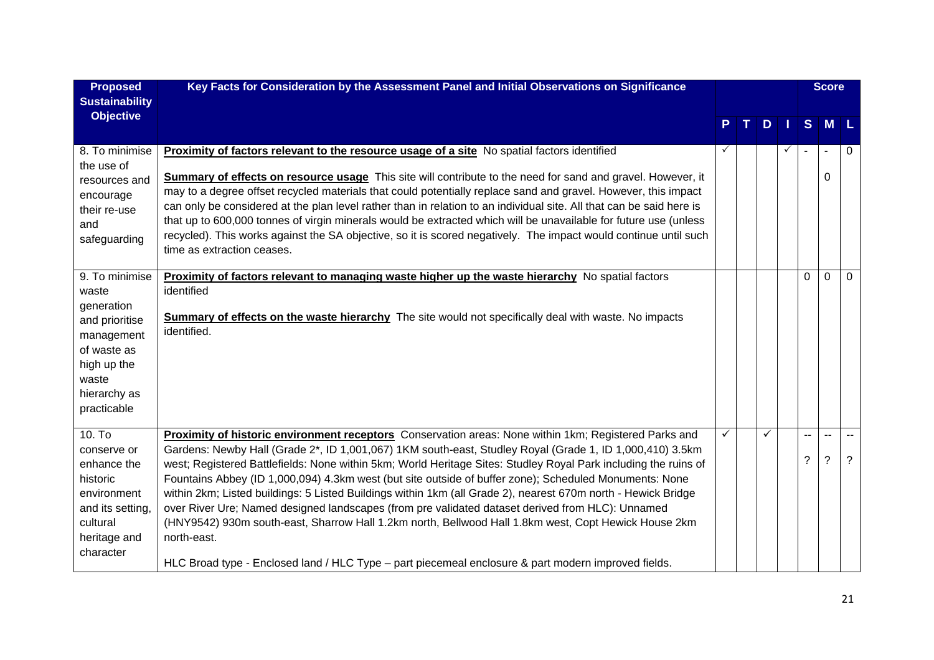| <b>Proposed</b><br><b>Sustainability</b>                                                                                                    | Key Facts for Consideration by the Assessment Panel and Initial Observations on Significance                                                                                                                                                                                                                                                                                                                                                                                                                                                                                                                                                                                                                                                                                                                                                                                                      |   |    |   |                            | <b>Score</b> |                       |
|---------------------------------------------------------------------------------------------------------------------------------------------|---------------------------------------------------------------------------------------------------------------------------------------------------------------------------------------------------------------------------------------------------------------------------------------------------------------------------------------------------------------------------------------------------------------------------------------------------------------------------------------------------------------------------------------------------------------------------------------------------------------------------------------------------------------------------------------------------------------------------------------------------------------------------------------------------------------------------------------------------------------------------------------------------|---|----|---|----------------------------|--------------|-----------------------|
| <b>Objective</b>                                                                                                                            |                                                                                                                                                                                                                                                                                                                                                                                                                                                                                                                                                                                                                                                                                                                                                                                                                                                                                                   |   | D. |   | S                          | $M$ L        |                       |
| 8. To minimise<br>the use of<br>resources and<br>encourage<br>their re-use<br>and<br>safeguarding                                           | <b>Proximity of factors relevant to the resource usage of a site</b> No spatial factors identified<br><b>Summary of effects on resource usage</b> This site will contribute to the need for sand and gravel. However, it<br>may to a degree offset recycled materials that could potentially replace sand and gravel. However, this impact<br>can only be considered at the plan level rather than in relation to an individual site. All that can be said here is<br>that up to 600,000 tonnes of virgin minerals would be extracted which will be unavailable for future use (unless<br>recycled). This works against the SA objective, so it is scored negatively. The impact would continue until such<br>time as extraction ceases.                                                                                                                                                          | ✓ |    | ✓ |                            | 0            | 0                     |
| 9. To minimise<br>waste<br>generation<br>and prioritise<br>management<br>of waste as<br>high up the<br>waste<br>hierarchy as<br>practicable | Proximity of factors relevant to managing waste higher up the waste hierarchy No spatial factors<br>identified<br><b>Summary of effects on the waste hierarchy</b> The site would not specifically deal with waste. No impacts<br>identified.                                                                                                                                                                                                                                                                                                                                                                                                                                                                                                                                                                                                                                                     |   |    |   | $\Omega$                   | $\Omega$     | $\Omega$              |
| 10. T <sub>o</sub><br>conserve or<br>enhance the<br>historic<br>environment<br>and its setting,<br>cultural<br>heritage and<br>character    | Proximity of historic environment receptors Conservation areas: None within 1km; Registered Parks and<br>Gardens: Newby Hall (Grade 2*, ID 1,001,067) 1KM south-east, Studley Royal (Grade 1, ID 1,000,410) 3.5km<br>west; Registered Battlefields: None within 5km; World Heritage Sites: Studley Royal Park including the ruins of<br>Fountains Abbey (ID 1,000,094) 4.3km west (but site outside of buffer zone); Scheduled Monuments: None<br>within 2km; Listed buildings: 5 Listed Buildings within 1km (all Grade 2), nearest 670m north - Hewick Bridge<br>over River Ure; Named designed landscapes (from pre validated dataset derived from HLC): Unnamed<br>(HNY9542) 930m south-east, Sharrow Hall 1.2km north, Bellwood Hall 1.8km west, Copt Hewick House 2km<br>north-east.<br>HLC Broad type - Enclosed land / HLC Type - part piecemeal enclosure & part modern improved fields. | ✓ | ✓  |   | $\overline{a}$<br>$\gamma$ | --<br>?      | $\boldsymbol{\gamma}$ |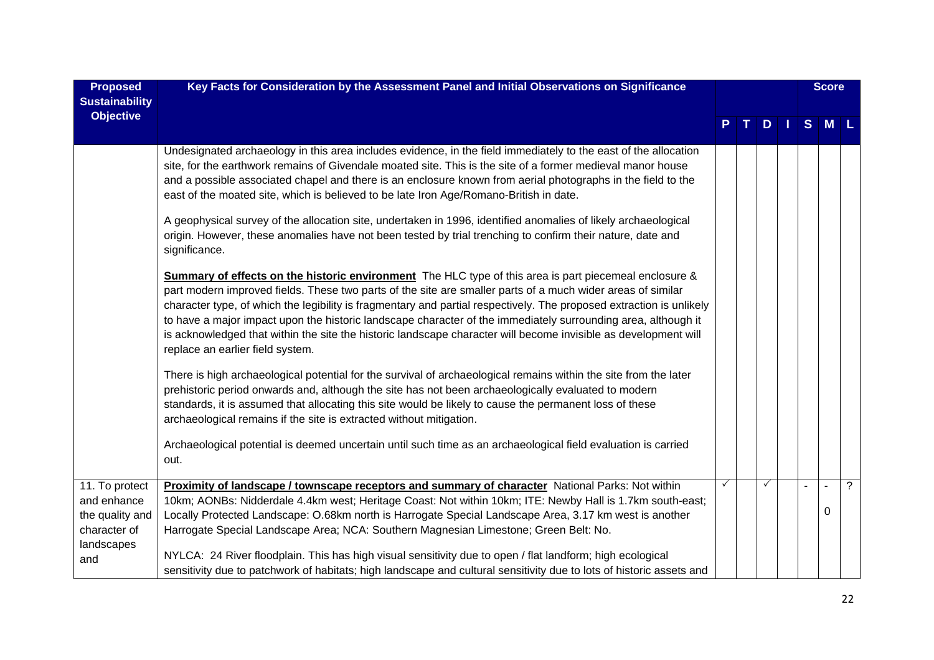| <b>Proposed</b><br><b>Sustainability</b>                                       | Key Facts for Consideration by the Assessment Panel and Initial Observations on Significance                                                                                                                                                                                                                                                                                                                                                                                                                                                                                                                          |   |              |  | <b>Score</b> |                |
|--------------------------------------------------------------------------------|-----------------------------------------------------------------------------------------------------------------------------------------------------------------------------------------------------------------------------------------------------------------------------------------------------------------------------------------------------------------------------------------------------------------------------------------------------------------------------------------------------------------------------------------------------------------------------------------------------------------------|---|--------------|--|--------------|----------------|
| <b>Objective</b>                                                               |                                                                                                                                                                                                                                                                                                                                                                                                                                                                                                                                                                                                                       |   | D            |  | $S$ M $L$    |                |
|                                                                                | Undesignated archaeology in this area includes evidence, in the field immediately to the east of the allocation<br>site, for the earthwork remains of Givendale moated site. This is the site of a former medieval manor house<br>and a possible associated chapel and there is an enclosure known from aerial photographs in the field to the<br>east of the moated site, which is believed to be late Iron Age/Romano-British in date.                                                                                                                                                                              |   |              |  |              |                |
|                                                                                | A geophysical survey of the allocation site, undertaken in 1996, identified anomalies of likely archaeological<br>origin. However, these anomalies have not been tested by trial trenching to confirm their nature, date and<br>significance.                                                                                                                                                                                                                                                                                                                                                                         |   |              |  |              |                |
|                                                                                | Summary of effects on the historic environment The HLC type of this area is part piecemeal enclosure &<br>part modern improved fields. These two parts of the site are smaller parts of a much wider areas of similar<br>character type, of which the legibility is fragmentary and partial respectively. The proposed extraction is unlikely<br>to have a major impact upon the historic landscape character of the immediately surrounding area, although it<br>is acknowledged that within the site the historic landscape character will become invisible as development will<br>replace an earlier field system. |   |              |  |              |                |
|                                                                                | There is high archaeological potential for the survival of archaeological remains within the site from the later<br>prehistoric period onwards and, although the site has not been archaeologically evaluated to modern<br>standards, it is assumed that allocating this site would be likely to cause the permanent loss of these<br>archaeological remains if the site is extracted without mitigation.                                                                                                                                                                                                             |   |              |  |              |                |
|                                                                                | Archaeological potential is deemed uncertain until such time as an archaeological field evaluation is carried<br>out.                                                                                                                                                                                                                                                                                                                                                                                                                                                                                                 |   |              |  |              |                |
| 11. To protect<br>and enhance<br>the quality and<br>character of<br>landscapes | Proximity of landscape / townscape receptors and summary of character National Parks: Not within<br>10km; AONBs: Nidderdale 4.4km west; Heritage Coast: Not within 10km; ITE: Newby Hall is 1.7km south-east;<br>Locally Protected Landscape: O.68km north is Harrogate Special Landscape Area, 3.17 km west is another<br>Harrogate Special Landscape Area; NCA: Southern Magnesian Limestone; Green Belt: No.                                                                                                                                                                                                       | ✓ | $\checkmark$ |  | 0            | $\overline{?}$ |
| and                                                                            | NYLCA: 24 River floodplain. This has high visual sensitivity due to open / flat landform; high ecological<br>sensitivity due to patchwork of habitats; high landscape and cultural sensitivity due to lots of historic assets and                                                                                                                                                                                                                                                                                                                                                                                     |   |              |  |              |                |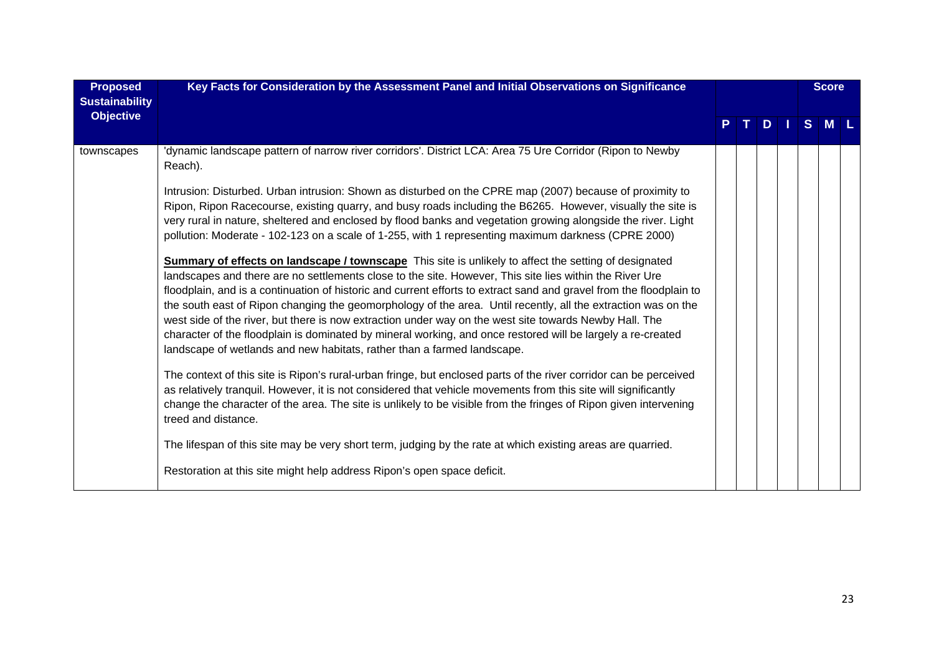| <b>Proposed</b><br><b>Sustainability</b> | Key Facts for Consideration by the Assessment Panel and Initial Observations on Significance                                                                                                                                                                                                                                                                                                                                                                                                                                                                                                                                                                                                                                                                                                                                                                                                                                                                                                                                 |  |  |            | <b>Score</b>   |   |  |
|------------------------------------------|------------------------------------------------------------------------------------------------------------------------------------------------------------------------------------------------------------------------------------------------------------------------------------------------------------------------------------------------------------------------------------------------------------------------------------------------------------------------------------------------------------------------------------------------------------------------------------------------------------------------------------------------------------------------------------------------------------------------------------------------------------------------------------------------------------------------------------------------------------------------------------------------------------------------------------------------------------------------------------------------------------------------------|--|--|------------|----------------|---|--|
| <b>Objective</b>                         |                                                                                                                                                                                                                                                                                                                                                                                                                                                                                                                                                                                                                                                                                                                                                                                                                                                                                                                                                                                                                              |  |  | <b>DII</b> | S <sub>1</sub> | M |  |
| townscapes                               | dynamic landscape pattern of narrow river corridors'. District LCA: Area 75 Ure Corridor (Ripon to Newby'<br>Reach).                                                                                                                                                                                                                                                                                                                                                                                                                                                                                                                                                                                                                                                                                                                                                                                                                                                                                                         |  |  |            |                |   |  |
|                                          | Intrusion: Disturbed. Urban intrusion: Shown as disturbed on the CPRE map (2007) because of proximity to<br>Ripon, Ripon Racecourse, existing quarry, and busy roads including the B6265. However, visually the site is<br>very rural in nature, sheltered and enclosed by flood banks and vegetation growing alongside the river. Light<br>pollution: Moderate - 102-123 on a scale of 1-255, with 1 representing maximum darkness (CPRE 2000)<br><b>Summary of effects on landscape / townscape</b> This site is unlikely to affect the setting of designated<br>landscapes and there are no settlements close to the site. However, This site lies within the River Ure<br>floodplain, and is a continuation of historic and current efforts to extract sand and gravel from the floodplain to<br>the south east of Ripon changing the geomorphology of the area. Until recently, all the extraction was on the<br>west side of the river, but there is now extraction under way on the west site towards Newby Hall. The |  |  |            |                |   |  |
|                                          | character of the floodplain is dominated by mineral working, and once restored will be largely a re-created<br>landscape of wetlands and new habitats, rather than a farmed landscape.                                                                                                                                                                                                                                                                                                                                                                                                                                                                                                                                                                                                                                                                                                                                                                                                                                       |  |  |            |                |   |  |
|                                          | The context of this site is Ripon's rural-urban fringe, but enclosed parts of the river corridor can be perceived<br>as relatively tranquil. However, it is not considered that vehicle movements from this site will significantly<br>change the character of the area. The site is unlikely to be visible from the fringes of Ripon given intervening<br>treed and distance.                                                                                                                                                                                                                                                                                                                                                                                                                                                                                                                                                                                                                                               |  |  |            |                |   |  |
|                                          | The lifespan of this site may be very short term, judging by the rate at which existing areas are quarried.                                                                                                                                                                                                                                                                                                                                                                                                                                                                                                                                                                                                                                                                                                                                                                                                                                                                                                                  |  |  |            |                |   |  |
|                                          | Restoration at this site might help address Ripon's open space deficit.                                                                                                                                                                                                                                                                                                                                                                                                                                                                                                                                                                                                                                                                                                                                                                                                                                                                                                                                                      |  |  |            |                |   |  |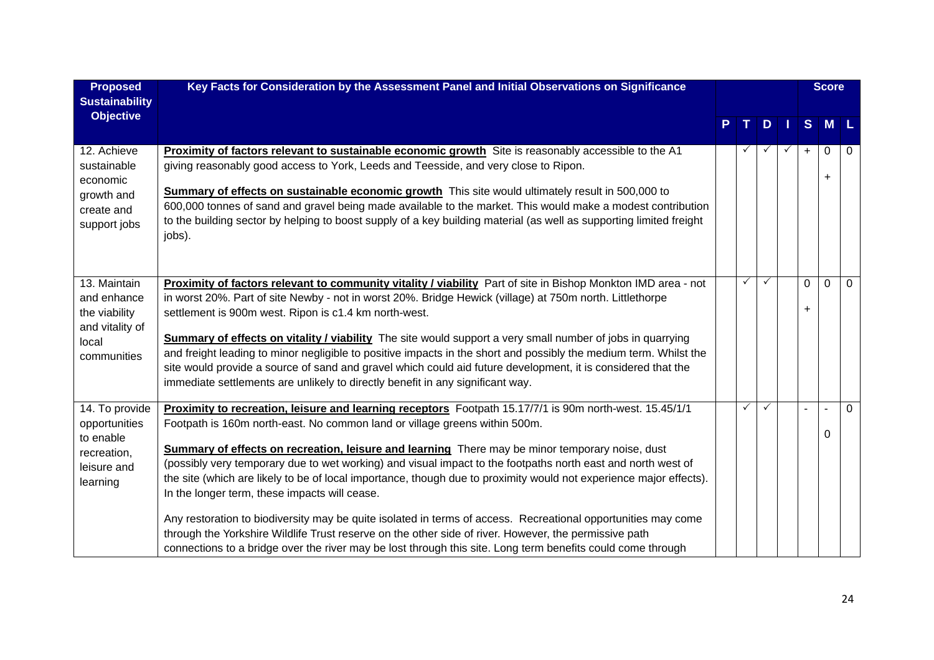| <b>Proposed</b><br><b>Sustainability</b>                                                | Key Facts for Consideration by the Assessment Panel and Initial Observations on Significance                                                                                                                                                                                                                                                                                                                                                                                                                                                                                                                                                                                                                                                                                                                                                                                                                             |              |           |          | <b>Score</b>    |          |
|-----------------------------------------------------------------------------------------|--------------------------------------------------------------------------------------------------------------------------------------------------------------------------------------------------------------------------------------------------------------------------------------------------------------------------------------------------------------------------------------------------------------------------------------------------------------------------------------------------------------------------------------------------------------------------------------------------------------------------------------------------------------------------------------------------------------------------------------------------------------------------------------------------------------------------------------------------------------------------------------------------------------------------|--------------|-----------|----------|-----------------|----------|
| <b>Objective</b>                                                                        |                                                                                                                                                                                                                                                                                                                                                                                                                                                                                                                                                                                                                                                                                                                                                                                                                                                                                                                          | T.           | $\bullet$ | S        | M               |          |
| 12. Achieve<br>sustainable<br>economic<br>growth and<br>create and<br>support jobs      | Proximity of factors relevant to sustainable economic growth Site is reasonably accessible to the A1<br>giving reasonably good access to York, Leeds and Teesside, and very close to Ripon.<br>Summary of effects on sustainable economic growth This site would ultimately result in 500,000 to<br>600,000 tonnes of sand and gravel being made available to the market. This would make a modest contribution<br>to the building sector by helping to boost supply of a key building material (as well as supporting limited freight<br>jobs).                                                                                                                                                                                                                                                                                                                                                                         |              |           | $+$      | $\Omega$<br>$+$ | 0        |
| 13. Maintain<br>and enhance<br>the viability<br>and vitality of<br>local<br>communities | Proximity of factors relevant to community vitality / viability Part of site in Bishop Monkton IMD area - not<br>in worst 20%. Part of site Newby - not in worst 20%. Bridge Hewick (village) at 750m north. Littlethorpe<br>settlement is 900m west. Ripon is c1.4 km north-west.<br><b>Summary of effects on vitality / viability</b> The site would support a very small number of jobs in quarrying<br>and freight leading to minor negligible to positive impacts in the short and possibly the medium term. Whilst the<br>site would provide a source of sand and gravel which could aid future development, it is considered that the<br>immediate settlements are unlikely to directly benefit in any significant way.                                                                                                                                                                                           | $\checkmark$ | ✓         | $\Omega$ | $\Omega$        | $\Omega$ |
| 14. To provide<br>opportunities<br>to enable<br>recreation,<br>leisure and<br>learning  | Proximity to recreation, leisure and learning receptors Footpath 15.17/7/1 is 90m north-west. 15.45/1/1<br>Footpath is 160m north-east. No common land or village greens within 500m.<br>Summary of effects on recreation, leisure and learning There may be minor temporary noise, dust<br>(possibly very temporary due to wet working) and visual impact to the footpaths north east and north west of<br>the site (which are likely to be of local importance, though due to proximity would not experience major effects).<br>In the longer term, these impacts will cease.<br>Any restoration to biodiversity may be quite isolated in terms of access. Recreational opportunities may come<br>through the Yorkshire Wildlife Trust reserve on the other side of river. However, the permissive path<br>connections to a bridge over the river may be lost through this site. Long term benefits could come through | $\checkmark$ | ✓         |          | 0               | 0        |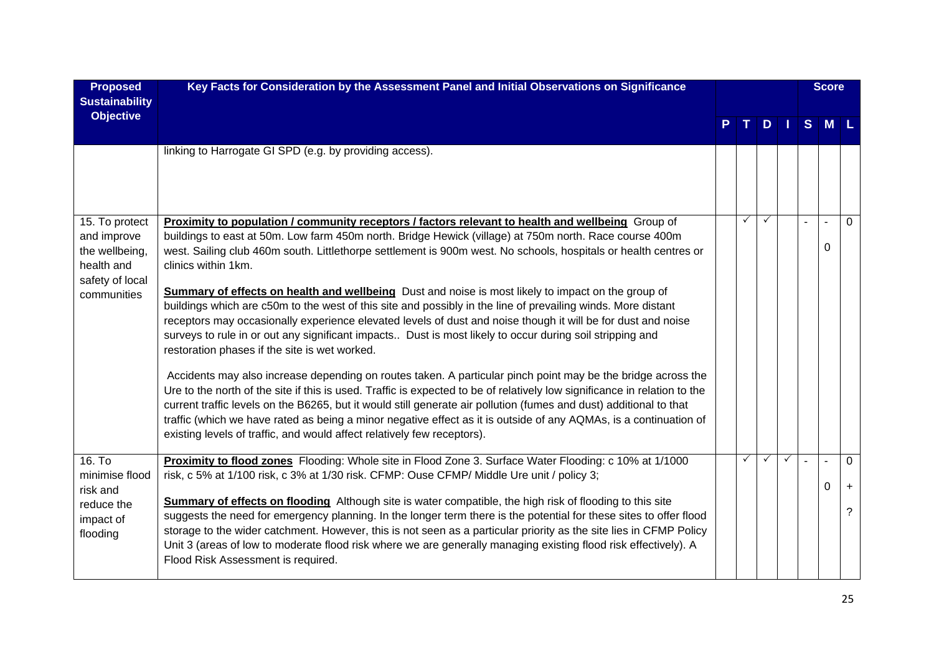| <b>Proposed</b><br><b>Sustainability</b>                                                | Key Facts for Consideration by the Assessment Panel and Initial Observations on Significance                                                                                                                                                                                                                                                                                                                                                                                                                                                                                                                                                                                                                                                                                                                                                                                                                                                                                                                                                                                                                                                                                                                                                                                                                           |   |              |              |   | <b>Score</b> |                      |
|-----------------------------------------------------------------------------------------|------------------------------------------------------------------------------------------------------------------------------------------------------------------------------------------------------------------------------------------------------------------------------------------------------------------------------------------------------------------------------------------------------------------------------------------------------------------------------------------------------------------------------------------------------------------------------------------------------------------------------------------------------------------------------------------------------------------------------------------------------------------------------------------------------------------------------------------------------------------------------------------------------------------------------------------------------------------------------------------------------------------------------------------------------------------------------------------------------------------------------------------------------------------------------------------------------------------------------------------------------------------------------------------------------------------------|---|--------------|--------------|---|--------------|----------------------|
| <b>Objective</b>                                                                        |                                                                                                                                                                                                                                                                                                                                                                                                                                                                                                                                                                                                                                                                                                                                                                                                                                                                                                                                                                                                                                                                                                                                                                                                                                                                                                                        |   | D            |              | S | M            |                      |
|                                                                                         | linking to Harrogate GI SPD (e.g. by providing access).                                                                                                                                                                                                                                                                                                                                                                                                                                                                                                                                                                                                                                                                                                                                                                                                                                                                                                                                                                                                                                                                                                                                                                                                                                                                |   |              |              |   |              |                      |
| 15. To protect                                                                          | Proximity to population / community receptors / factors relevant to health and wellbeing Group of                                                                                                                                                                                                                                                                                                                                                                                                                                                                                                                                                                                                                                                                                                                                                                                                                                                                                                                                                                                                                                                                                                                                                                                                                      | ✓ | $\checkmark$ |              |   |              | $\Omega$             |
| and improve<br>the wellbeing,<br>health and<br>safety of local<br>communities           | buildings to east at 50m. Low farm 450m north. Bridge Hewick (village) at 750m north. Race course 400m<br>west. Sailing club 460m south. Littlethorpe settlement is 900m west. No schools, hospitals or health centres or<br>clinics within 1km.<br>Summary of effects on health and wellbeing Dust and noise is most likely to impact on the group of<br>buildings which are c50m to the west of this site and possibly in the line of prevailing winds. More distant<br>receptors may occasionally experience elevated levels of dust and noise though it will be for dust and noise<br>surveys to rule in or out any significant impacts Dust is most likely to occur during soil stripping and<br>restoration phases if the site is wet worked.<br>Accidents may also increase depending on routes taken. A particular pinch point may be the bridge across the<br>Ure to the north of the site if this is used. Traffic is expected to be of relatively low significance in relation to the<br>current traffic levels on the B6265, but it would still generate air pollution (fumes and dust) additional to that<br>traffic (which we have rated as being a minor negative effect as it is outside of any AQMAs, is a continuation of<br>existing levels of traffic, and would affect relatively few receptors). |   |              |              |   | $\Omega$     |                      |
| 16. T <sub>o</sub><br>minimise flood<br>risk and<br>reduce the<br>impact of<br>flooding | Proximity to flood zones Flooding: Whole site in Flood Zone 3. Surface Water Flooding: c 10% at 1/1000<br>risk, c 5% at 1/100 risk, c 3% at 1/30 risk. CFMP: Ouse CFMP/ Middle Ure unit / policy 3;<br>Summary of effects on flooding Although site is water compatible, the high risk of flooding to this site<br>suggests the need for emergency planning. In the longer term there is the potential for these sites to offer flood<br>storage to the wider catchment. However, this is not seen as a particular priority as the site lies in CFMP Policy<br>Unit 3 (areas of low to moderate flood risk where we are generally managing existing flood risk effectively). A<br>Flood Risk Assessment is required.                                                                                                                                                                                                                                                                                                                                                                                                                                                                                                                                                                                                   | ✓ | $\checkmark$ | $\checkmark$ |   | $\sim$<br>0  | $\Omega$<br>$+$<br>? |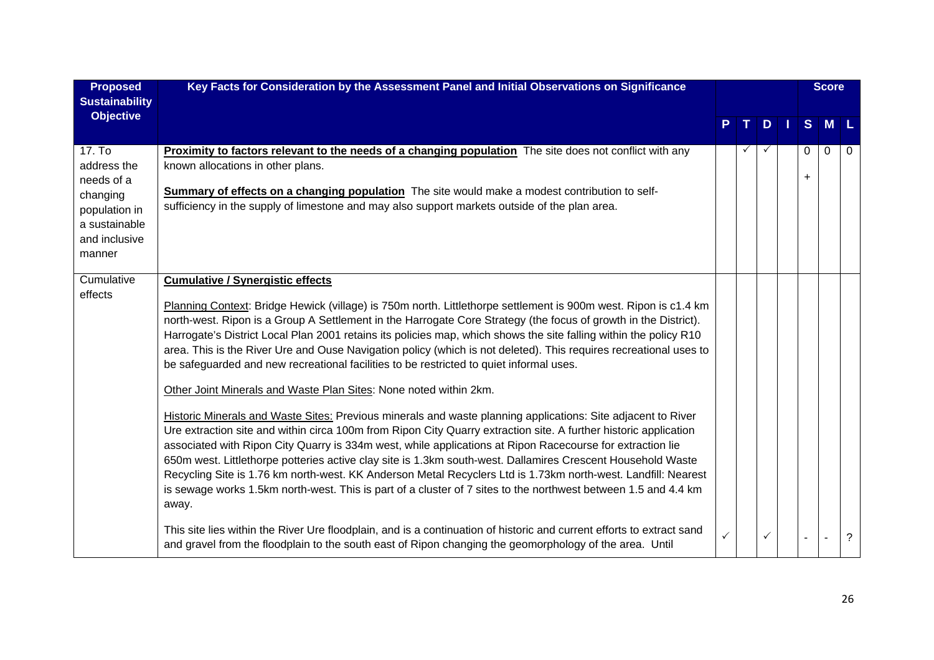| <b>Proposed</b><br><b>Sustainability</b>                                                                     | Key Facts for Consideration by the Assessment Panel and Initial Observations on Significance                                                                                                                                                                                                                                                                                                                                                                                                                                                                                                                                                                                                                                                                                                                                                                                                                                                                                                                                                                                                                                                                                                                                                                                                                                                                                                                                                                                                                                 |              |    |   |          | <b>Score</b> |          |
|--------------------------------------------------------------------------------------------------------------|------------------------------------------------------------------------------------------------------------------------------------------------------------------------------------------------------------------------------------------------------------------------------------------------------------------------------------------------------------------------------------------------------------------------------------------------------------------------------------------------------------------------------------------------------------------------------------------------------------------------------------------------------------------------------------------------------------------------------------------------------------------------------------------------------------------------------------------------------------------------------------------------------------------------------------------------------------------------------------------------------------------------------------------------------------------------------------------------------------------------------------------------------------------------------------------------------------------------------------------------------------------------------------------------------------------------------------------------------------------------------------------------------------------------------------------------------------------------------------------------------------------------------|--------------|----|---|----------|--------------|----------|
| <b>Objective</b>                                                                                             |                                                                                                                                                                                                                                                                                                                                                                                                                                                                                                                                                                                                                                                                                                                                                                                                                                                                                                                                                                                                                                                                                                                                                                                                                                                                                                                                                                                                                                                                                                                              |              | T. | D | S.       | <b>M</b>     |          |
| 17. To<br>address the<br>needs of a<br>changing<br>population in<br>a sustainable<br>and inclusive<br>manner | <b>Proximity to factors relevant to the needs of a changing population</b> The site does not conflict with any<br>known allocations in other plans.<br><b>Summary of effects on a changing population</b> The site would make a modest contribution to self-<br>sufficiency in the supply of limestone and may also support markets outside of the plan area.                                                                                                                                                                                                                                                                                                                                                                                                                                                                                                                                                                                                                                                                                                                                                                                                                                                                                                                                                                                                                                                                                                                                                                |              |    |   | $\Omega$ | $\mathbf{0}$ | $\Omega$ |
| Cumulative<br>effects                                                                                        | <b>Cumulative / Synergistic effects</b><br>Planning Context: Bridge Hewick (village) is 750m north. Littlethorpe settlement is 900m west. Ripon is c1.4 km<br>north-west. Ripon is a Group A Settlement in the Harrogate Core Strategy (the focus of growth in the District).<br>Harrogate's District Local Plan 2001 retains its policies map, which shows the site falling within the policy R10<br>area. This is the River Ure and Ouse Navigation policy (which is not deleted). This requires recreational uses to<br>be safeguarded and new recreational facilities to be restricted to quiet informal uses.<br>Other Joint Minerals and Waste Plan Sites: None noted within 2km.<br>Historic Minerals and Waste Sites: Previous minerals and waste planning applications: Site adjacent to River<br>Ure extraction site and within circa 100m from Ripon City Quarry extraction site. A further historic application<br>associated with Ripon City Quarry is 334m west, while applications at Ripon Racecourse for extraction lie<br>650m west. Littlethorpe potteries active clay site is 1.3km south-west. Dallamires Crescent Household Waste<br>Recycling Site is 1.76 km north-west. KK Anderson Metal Recyclers Ltd is 1.73km north-west. Landfill: Nearest<br>is sewage works 1.5km north-west. This is part of a cluster of 7 sites to the northwest between 1.5 and 4.4 km<br>away.<br>This site lies within the River Ure floodplain, and is a continuation of historic and current efforts to extract sand | $\checkmark$ |    | ✓ |          |              | ?        |
|                                                                                                              | and gravel from the floodplain to the south east of Ripon changing the geomorphology of the area. Until                                                                                                                                                                                                                                                                                                                                                                                                                                                                                                                                                                                                                                                                                                                                                                                                                                                                                                                                                                                                                                                                                                                                                                                                                                                                                                                                                                                                                      |              |    |   |          |              |          |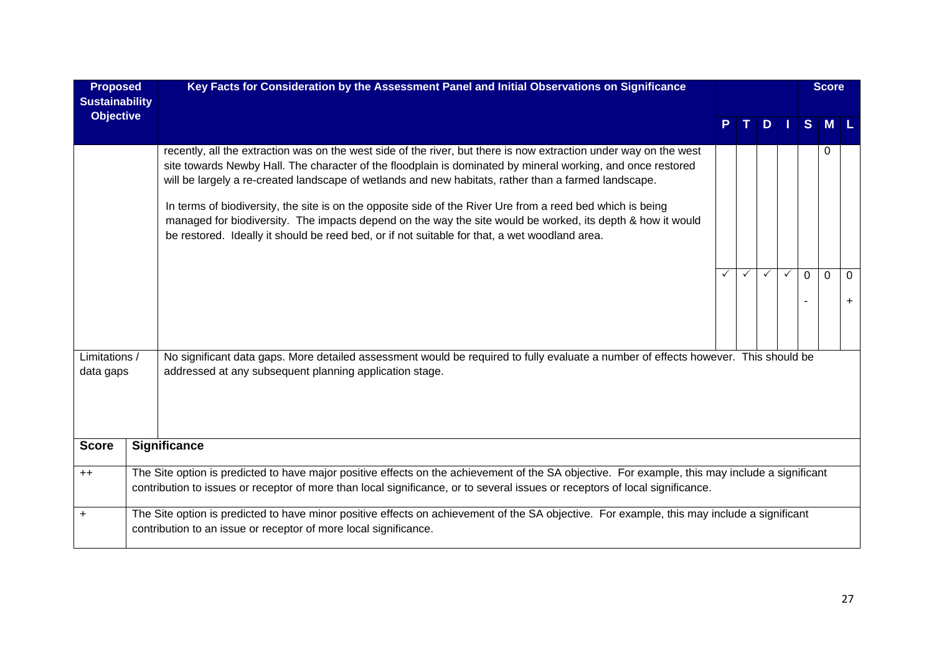| <b>Proposed</b>                           | Key Facts for Consideration by the Assessment Panel and Initial Observations on Significance                                                                                                                                                                                                                                                                                                                                                                                                                                                                                                                                                                          |  |   |              |  |             | <b>Score</b> |               |  |
|-------------------------------------------|-----------------------------------------------------------------------------------------------------------------------------------------------------------------------------------------------------------------------------------------------------------------------------------------------------------------------------------------------------------------------------------------------------------------------------------------------------------------------------------------------------------------------------------------------------------------------------------------------------------------------------------------------------------------------|--|---|--------------|--|-------------|--------------|---------------|--|
| <b>Sustainability</b><br><b>Objective</b> |                                                                                                                                                                                                                                                                                                                                                                                                                                                                                                                                                                                                                                                                       |  |   |              |  |             |              |               |  |
|                                           |                                                                                                                                                                                                                                                                                                                                                                                                                                                                                                                                                                                                                                                                       |  |   | D            |  | S.          | <b>M</b>     |               |  |
|                                           | recently, all the extraction was on the west side of the river, but there is now extraction under way on the west<br>site towards Newby Hall. The character of the floodplain is dominated by mineral working, and once restored<br>will be largely a re-created landscape of wetlands and new habitats, rather than a farmed landscape.<br>In terms of biodiversity, the site is on the opposite side of the River Ure from a reed bed which is being<br>managed for biodiversity. The impacts depend on the way the site would be worked, its depth & how it would<br>be restored. Ideally it should be reed bed, or if not suitable for that, a wet woodland area. |  |   |              |  |             | 0            |               |  |
|                                           |                                                                                                                                                                                                                                                                                                                                                                                                                                                                                                                                                                                                                                                                       |  | ✓ | $\checkmark$ |  | $\mathbf 0$ | $\mathbf{0}$ | $\Omega$<br>÷ |  |
| Limitations /<br>data gaps                | No significant data gaps. More detailed assessment would be required to fully evaluate a number of effects however. This should be<br>addressed at any subsequent planning application stage.                                                                                                                                                                                                                                                                                                                                                                                                                                                                         |  |   |              |  |             |              |               |  |
| <b>Score</b>                              | <b>Significance</b>                                                                                                                                                                                                                                                                                                                                                                                                                                                                                                                                                                                                                                                   |  |   |              |  |             |              |               |  |
| $++$                                      | The Site option is predicted to have major positive effects on the achievement of the SA objective. For example, this may include a significant<br>contribution to issues or receptor of more than local significance, or to several issues or receptors of local significance.                                                                                                                                                                                                                                                                                                                                                                                       |  |   |              |  |             |              |               |  |
| $\ddot{}$                                 | The Site option is predicted to have minor positive effects on achievement of the SA objective. For example, this may include a significant<br>contribution to an issue or receptor of more local significance.                                                                                                                                                                                                                                                                                                                                                                                                                                                       |  |   |              |  |             |              |               |  |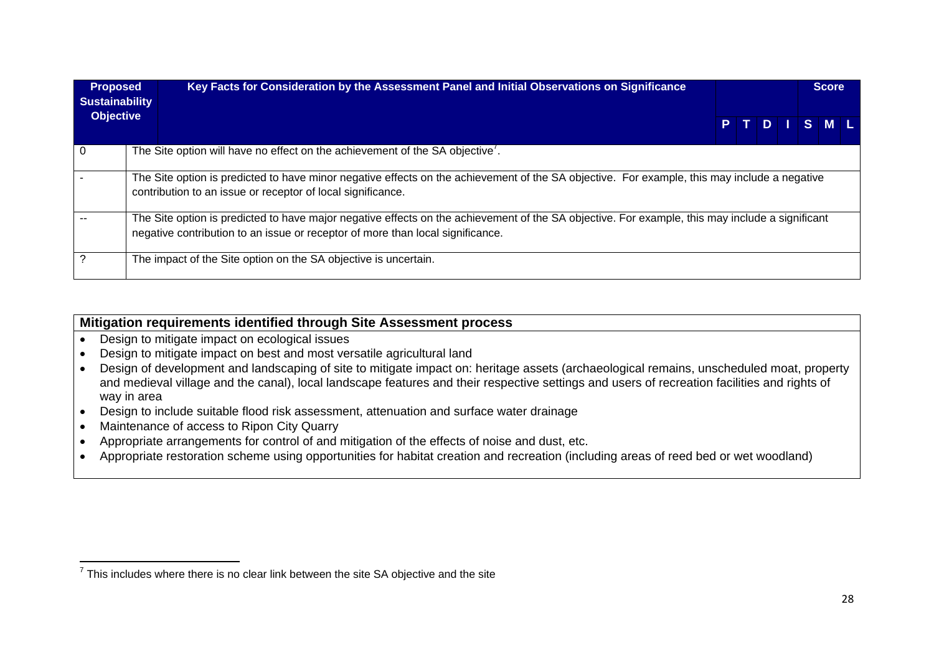| <b>Proposed</b><br><b>Sustainability</b> | Key Facts for Consideration by the Assessment Panel and Initial Observations on Significance                                                                                                                                      |  |  |         | <b>Score</b> |  |
|------------------------------------------|-----------------------------------------------------------------------------------------------------------------------------------------------------------------------------------------------------------------------------------|--|--|---------|--------------|--|
| <b>Objective</b>                         |                                                                                                                                                                                                                                   |  |  | PTDISML |              |  |
|                                          | The Site option will have no effect on the achievement of the SA objective'.                                                                                                                                                      |  |  |         |              |  |
|                                          | The Site option is predicted to have minor negative effects on the achievement of the SA objective. For example, this may include a negative<br>contribution to an issue or receptor of local significance.                       |  |  |         |              |  |
|                                          | The Site option is predicted to have major negative effects on the achievement of the SA objective. For example, this may include a significant<br>negative contribution to an issue or receptor of more than local significance. |  |  |         |              |  |
|                                          | The impact of the Site option on the SA objective is uncertain.                                                                                                                                                                   |  |  |         |              |  |

### **Mitigation requirements identified through Site Assessment process**

- Design to mitigate impact on ecological issues
- Design to mitigate impact on best and most versatile agricultural land
- Design of development and landscaping of site to mitigate impact on: heritage assets (archaeological remains, unscheduled moat, property and medieval village and the canal), local landscape features and their respective settings and users of recreation facilities and rights of way in area
- Design to include suitable flood risk assessment, attenuation and surface water drainage
- Maintenance of access to Ripon City Quarry
- Appropriate arrangements for control of and mitigation of the effects of noise and dust, etc.
- Appropriate restoration scheme using opportunities for habitat creation and recreation (including areas of reed bed or wet woodland)

 $<sup>7</sup>$  This includes where there is no clear link between the site SA objective and the site</sup>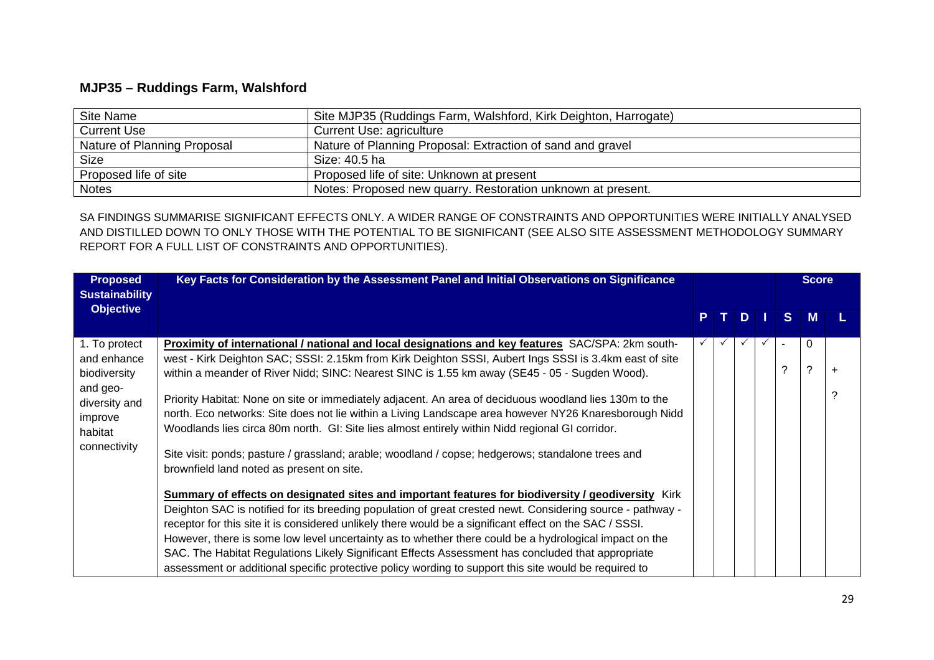## **MJP35 – Ruddings Farm, Walshford**

| Site Name                   | Site MJP35 (Ruddings Farm, Walshford, Kirk Deighton, Harrogate) |
|-----------------------------|-----------------------------------------------------------------|
| <b>Current Use</b>          | Current Use: agriculture                                        |
| Nature of Planning Proposal | Nature of Planning Proposal: Extraction of sand and gravel      |
| <b>Size</b>                 | Size: 40.5 ha                                                   |
| Proposed life of site       | Proposed life of site: Unknown at present                       |
| <b>Notes</b>                | Notes: Proposed new quarry. Restoration unknown at present.     |

SA FINDINGS SUMMARISE SIGNIFICANT EFFECTS ONLY. A WIDER RANGE OF CONSTRAINTS AND OPPORTUNITIES WERE INITIALLY ANALYSED AND DISTILLED DOWN TO ONLY THOSE WITH THE POTENTIAL TO BE SIGNIFICANT (SEE ALSO SITE ASSESSMENT METHODOLOGY SUMMARY REPORT FOR A FULL LIST OF CONSTRAINTS AND OPPORTUNITIES).

| <b>Proposed</b><br><b>Sustainability</b>        | Key Facts for Consideration by the Assessment Panel and Initial Observations on Significance                                                                                                                                                                                                                                                                                                                                                                                                                                                                                                                                                        |              |          |    | <b>Score</b>  |  |
|-------------------------------------------------|-----------------------------------------------------------------------------------------------------------------------------------------------------------------------------------------------------------------------------------------------------------------------------------------------------------------------------------------------------------------------------------------------------------------------------------------------------------------------------------------------------------------------------------------------------------------------------------------------------------------------------------------------------|--------------|----------|----|---------------|--|
| <b>Objective</b>                                |                                                                                                                                                                                                                                                                                                                                                                                                                                                                                                                                                                                                                                                     | PT.          | <b>D</b> | S. | M             |  |
| 1. To protect<br>and enhance<br>biodiversity    | Proximity of international / national and local designations and key features SAC/SPA: 2km south-<br>west - Kirk Deighton SAC; SSSI: 2.15km from Kirk Deighton SSSI, Aubert Ings SSSI is 3.4km east of site<br>within a meander of River Nidd; SINC: Nearest SINC is 1.55 km away (SE45 - 05 - Sugden Wood).                                                                                                                                                                                                                                                                                                                                        | $\checkmark$ | ✓        | ာ  | $\Omega$<br>? |  |
| and geo-<br>diversity and<br>improve<br>habitat | Priority Habitat: None on site or immediately adjacent. An area of deciduous woodland lies 130m to the<br>north. Eco networks: Site does not lie within a Living Landscape area however NY26 Knaresborough Nidd<br>Woodlands lies circa 80m north. GI: Site lies almost entirely within Nidd regional GI corridor.                                                                                                                                                                                                                                                                                                                                  |              |          |    |               |  |
| connectivity                                    | Site visit: ponds; pasture / grassland; arable; woodland / copse; hedgerows; standalone trees and<br>brownfield land noted as present on site.                                                                                                                                                                                                                                                                                                                                                                                                                                                                                                      |              |          |    |               |  |
|                                                 | Summary of effects on designated sites and important features for biodiversity / geodiversity Kirk<br>Deighton SAC is notified for its breeding population of great crested newt. Considering source - pathway -<br>receptor for this site it is considered unlikely there would be a significant effect on the SAC / SSSI.<br>However, there is some low level uncertainty as to whether there could be a hydrological impact on the<br>SAC. The Habitat Regulations Likely Significant Effects Assessment has concluded that appropriate<br>assessment or additional specific protective policy wording to support this site would be required to |              |          |    |               |  |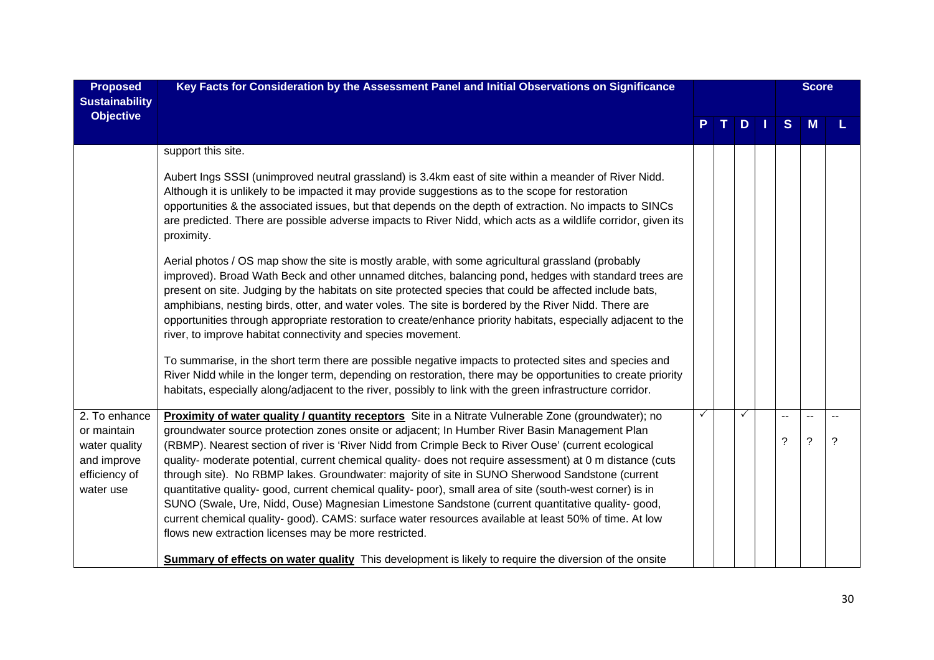| <b>Proposed</b><br><b>Sustainability</b>                                                   | Key Facts for Consideration by the Assessment Panel and Initial Observations on Significance                                                                                                                                                                                                                                                                                                                                                                                                                                                                                                                                                                                                                                                                                                                                                                                                                   |   |    |    | <b>Score</b>             |  |
|--------------------------------------------------------------------------------------------|----------------------------------------------------------------------------------------------------------------------------------------------------------------------------------------------------------------------------------------------------------------------------------------------------------------------------------------------------------------------------------------------------------------------------------------------------------------------------------------------------------------------------------------------------------------------------------------------------------------------------------------------------------------------------------------------------------------------------------------------------------------------------------------------------------------------------------------------------------------------------------------------------------------|---|----|----|--------------------------|--|
| <b>Objective</b>                                                                           |                                                                                                                                                                                                                                                                                                                                                                                                                                                                                                                                                                                                                                                                                                                                                                                                                                                                                                                |   | D. | S. | M                        |  |
|                                                                                            | support this site.                                                                                                                                                                                                                                                                                                                                                                                                                                                                                                                                                                                                                                                                                                                                                                                                                                                                                             |   |    |    |                          |  |
|                                                                                            | Aubert Ings SSSI (unimproved neutral grassland) is 3.4km east of site within a meander of River Nidd.<br>Although it is unlikely to be impacted it may provide suggestions as to the scope for restoration<br>opportunities & the associated issues, but that depends on the depth of extraction. No impacts to SINCs<br>are predicted. There are possible adverse impacts to River Nidd, which acts as a wildlife corridor, given its<br>proximity.                                                                                                                                                                                                                                                                                                                                                                                                                                                           |   |    |    |                          |  |
|                                                                                            | Aerial photos / OS map show the site is mostly arable, with some agricultural grassland (probably<br>improved). Broad Wath Beck and other unnamed ditches, balancing pond, hedges with standard trees are<br>present on site. Judging by the habitats on site protected species that could be affected include bats,<br>amphibians, nesting birds, otter, and water voles. The site is bordered by the River Nidd. There are<br>opportunities through appropriate restoration to create/enhance priority habitats, especially adjacent to the<br>river, to improve habitat connectivity and species movement.                                                                                                                                                                                                                                                                                                  |   |    |    |                          |  |
|                                                                                            | To summarise, in the short term there are possible negative impacts to protected sites and species and<br>River Nidd while in the longer term, depending on restoration, there may be opportunities to create priority<br>habitats, especially along/adjacent to the river, possibly to link with the green infrastructure corridor.                                                                                                                                                                                                                                                                                                                                                                                                                                                                                                                                                                           |   |    |    |                          |  |
| 2. To enhance<br>or maintain<br>water quality<br>and improve<br>efficiency of<br>water use | Proximity of water quality / quantity receptors Site in a Nitrate Vulnerable Zone (groundwater); no<br>groundwater source protection zones onsite or adjacent; In Humber River Basin Management Plan<br>(RBMP). Nearest section of river is 'River Nidd from Crimple Beck to River Ouse' (current ecological<br>quality- moderate potential, current chemical quality- does not require assessment) at 0 m distance (cuts<br>through site). No RBMP lakes. Groundwater: majority of site in SUNO Sherwood Sandstone (current<br>quantitative quality- good, current chemical quality- poor), small area of site (south-west corner) is in<br>SUNO (Swale, Ure, Nidd, Ouse) Magnesian Limestone Sandstone (current quantitative quality- good,<br>current chemical quality-good). CAMS: surface water resources available at least 50% of time. At low<br>flows new extraction licenses may be more restricted. | ✓ | ✓  | ?  | $\overline{\phantom{0}}$ |  |
|                                                                                            | <b>Summary of effects on water quality</b> This development is likely to require the diversion of the onsite                                                                                                                                                                                                                                                                                                                                                                                                                                                                                                                                                                                                                                                                                                                                                                                                   |   |    |    |                          |  |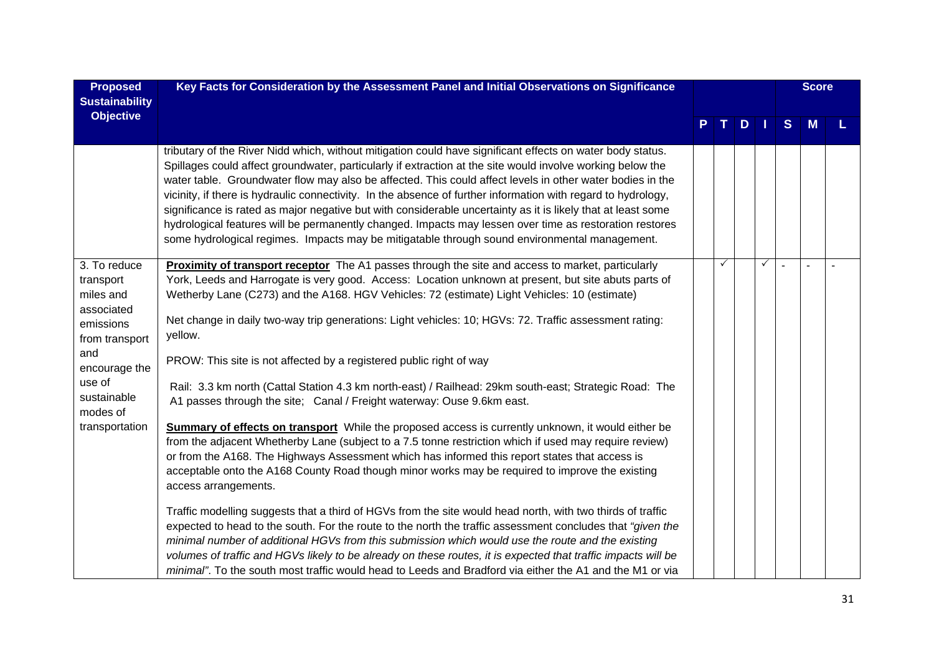| <b>Proposed</b><br><b>Sustainability</b>                                                                    | Key Facts for Consideration by the Assessment Panel and Initial Observations on Significance                                                                                                                                                                                                                                                                                                                                                                                                                                                                                                                                                                                                                                                                                       |  |         |              | <b>Score</b> |  |
|-------------------------------------------------------------------------------------------------------------|------------------------------------------------------------------------------------------------------------------------------------------------------------------------------------------------------------------------------------------------------------------------------------------------------------------------------------------------------------------------------------------------------------------------------------------------------------------------------------------------------------------------------------------------------------------------------------------------------------------------------------------------------------------------------------------------------------------------------------------------------------------------------------|--|---------|--------------|--------------|--|
| <b>Objective</b>                                                                                            |                                                                                                                                                                                                                                                                                                                                                                                                                                                                                                                                                                                                                                                                                                                                                                                    |  | $T$ D I | <sub>S</sub> | M            |  |
|                                                                                                             | tributary of the River Nidd which, without mitigation could have significant effects on water body status.<br>Spillages could affect groundwater, particularly if extraction at the site would involve working below the<br>water table. Groundwater flow may also be affected. This could affect levels in other water bodies in the<br>vicinity, if there is hydraulic connectivity. In the absence of further information with regard to hydrology,<br>significance is rated as major negative but with considerable uncertainty as it is likely that at least some<br>hydrological features will be permanently changed. Impacts may lessen over time as restoration restores<br>some hydrological regimes. Impacts may be mitigatable through sound environmental management. |  |         |              |              |  |
| 3. To reduce<br>transport<br>miles and<br>associated<br>emissions<br>from transport<br>and<br>encourage the | Proximity of transport receptor The A1 passes through the site and access to market, particularly<br>York, Leeds and Harrogate is very good. Access: Location unknown at present, but site abuts parts of<br>Wetherby Lane (C273) and the A168. HGV Vehicles: 72 (estimate) Light Vehicles: 10 (estimate)<br>Net change in daily two-way trip generations: Light vehicles: 10; HGVs: 72. Traffic assessment rating:<br>yellow.<br>PROW: This site is not affected by a registered public right of way                                                                                                                                                                                                                                                                              |  |         |              |              |  |
| use of<br>sustainable<br>modes of                                                                           | Rail: 3.3 km north (Cattal Station 4.3 km north-east) / Railhead: 29km south-east; Strategic Road: The<br>A1 passes through the site; Canal / Freight waterway: Ouse 9.6km east.                                                                                                                                                                                                                                                                                                                                                                                                                                                                                                                                                                                                   |  |         |              |              |  |
| transportation                                                                                              | <b>Summary of effects on transport</b> While the proposed access is currently unknown, it would either be<br>from the adjacent Whetherby Lane (subject to a 7.5 tonne restriction which if used may require review)<br>or from the A168. The Highways Assessment which has informed this report states that access is<br>acceptable onto the A168 County Road though minor works may be required to improve the existing<br>access arrangements.                                                                                                                                                                                                                                                                                                                                   |  |         |              |              |  |
|                                                                                                             | Traffic modelling suggests that a third of HGVs from the site would head north, with two thirds of traffic<br>expected to head to the south. For the route to the north the traffic assessment concludes that "given the<br>minimal number of additional HGVs from this submission which would use the route and the existing<br>volumes of traffic and HGVs likely to be already on these routes, it is expected that traffic impacts will be<br>minimal". To the south most traffic would head to Leeds and Bradford via either the A1 and the M1 or via                                                                                                                                                                                                                         |  |         |              |              |  |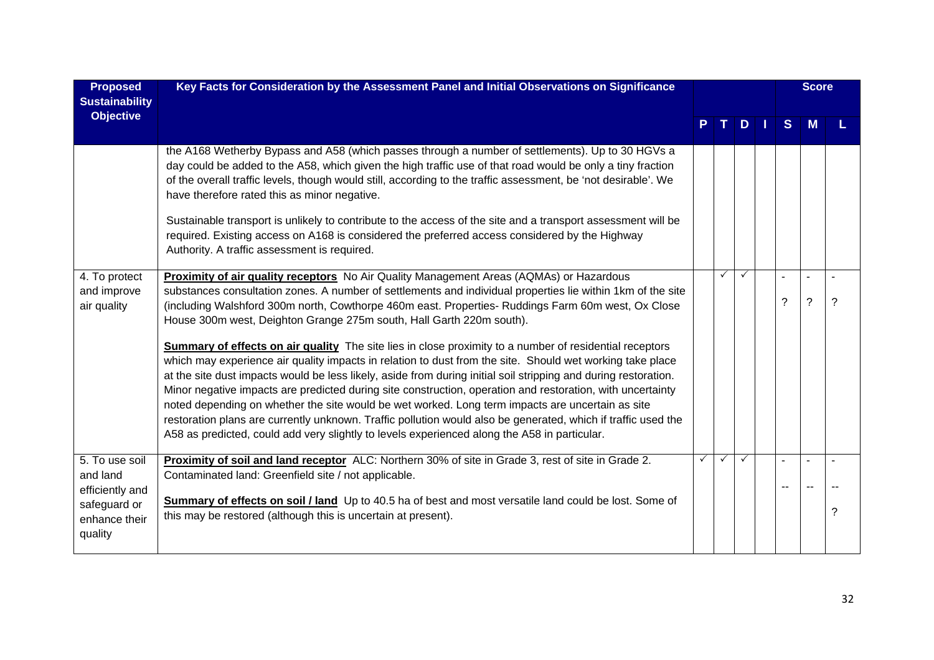| <b>Proposed</b><br><b>Sustainability</b>                    | Key Facts for Consideration by the Assessment Panel and Initial Observations on Significance                                                                                                                                                                                                                                                                                                                                                                                                                                                                                                                                                                                                                                                                                      |              |              |              |    | <b>Score</b> |   |
|-------------------------------------------------------------|-----------------------------------------------------------------------------------------------------------------------------------------------------------------------------------------------------------------------------------------------------------------------------------------------------------------------------------------------------------------------------------------------------------------------------------------------------------------------------------------------------------------------------------------------------------------------------------------------------------------------------------------------------------------------------------------------------------------------------------------------------------------------------------|--------------|--------------|--------------|----|--------------|---|
| <b>Objective</b>                                            |                                                                                                                                                                                                                                                                                                                                                                                                                                                                                                                                                                                                                                                                                                                                                                                   |              |              | D            | S. |              |   |
|                                                             | the A168 Wetherby Bypass and A58 (which passes through a number of settlements). Up to 30 HGVs a<br>day could be added to the A58, which given the high traffic use of that road would be only a tiny fraction<br>of the overall traffic levels, though would still, according to the traffic assessment, be 'not desirable'. We<br>have therefore rated this as minor negative.<br>Sustainable transport is unlikely to contribute to the access of the site and a transport assessment will be<br>required. Existing access on A168 is considered the preferred access considered by the Highway<br>Authority. A traffic assessment is required.                                                                                                                                |              |              |              |    |              |   |
| 4. To protect<br>and improve<br>air quality                 | <b>Proximity of air quality receptors</b> No Air Quality Management Areas (AQMAs) or Hazardous<br>substances consultation zones. A number of settlements and individual properties lie within 1km of the site<br>(including Walshford 300m north, Cowthorpe 460m east. Properties- Ruddings Farm 60m west, Ox Close<br>House 300m west, Deighton Grange 275m south, Hall Garth 220m south).                                                                                                                                                                                                                                                                                                                                                                                       |              | $\checkmark$ | $\checkmark$ | ?  | ?            | ? |
|                                                             | <b>Summary of effects on air quality</b> The site lies in close proximity to a number of residential receptors<br>which may experience air quality impacts in relation to dust from the site. Should wet working take place<br>at the site dust impacts would be less likely, aside from during initial soil stripping and during restoration.<br>Minor negative impacts are predicted during site construction, operation and restoration, with uncertainty<br>noted depending on whether the site would be wet worked. Long term impacts are uncertain as site<br>restoration plans are currently unknown. Traffic pollution would also be generated, which if traffic used the<br>A58 as predicted, could add very slightly to levels experienced along the A58 in particular. |              |              |              |    |              |   |
| 5. To use soil<br>and land                                  | Proximity of soil and land receptor ALC: Northern 30% of site in Grade 3, rest of site in Grade 2.<br>Contaminated land: Greenfield site / not applicable.                                                                                                                                                                                                                                                                                                                                                                                                                                                                                                                                                                                                                        | $\checkmark$ | $\checkmark$ | ✓            |    |              |   |
| efficiently and<br>safeguard or<br>enhance their<br>quality | Summary of effects on soil / land Up to 40.5 ha of best and most versatile land could be lost. Some of<br>this may be restored (although this is uncertain at present).                                                                                                                                                                                                                                                                                                                                                                                                                                                                                                                                                                                                           |              |              |              |    |              | ? |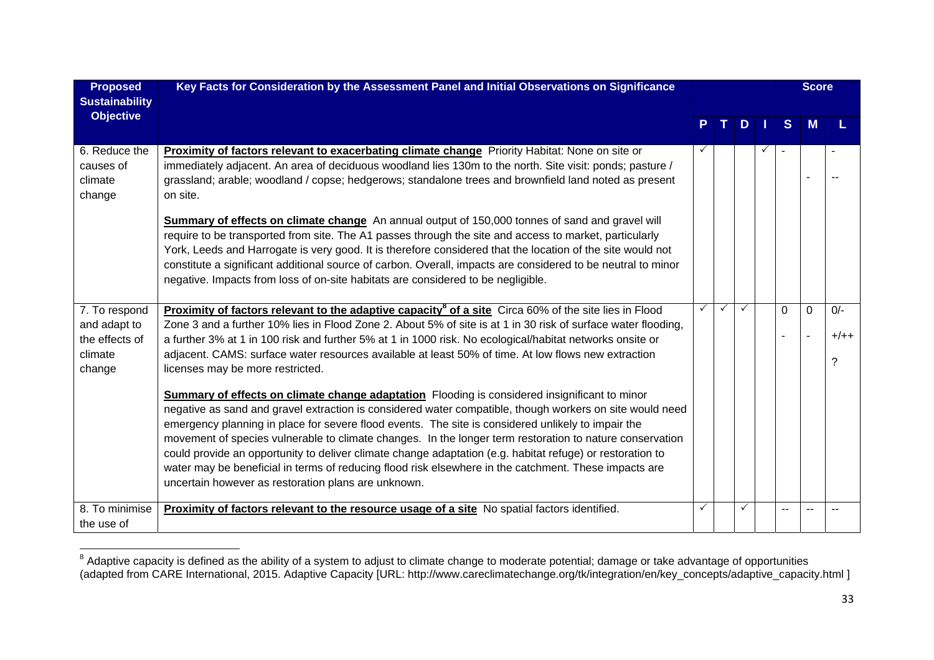| <b>Proposed</b><br><b>Sustainability</b>        | Key Facts for Consideration by the Assessment Panel and Initial Observations on Significance                                                                                                                                                                                                                                                                                                                                                                                                                                                                                                                                                                                                                    |              |              |               | <b>Score</b> |          |        |
|-------------------------------------------------|-----------------------------------------------------------------------------------------------------------------------------------------------------------------------------------------------------------------------------------------------------------------------------------------------------------------------------------------------------------------------------------------------------------------------------------------------------------------------------------------------------------------------------------------------------------------------------------------------------------------------------------------------------------------------------------------------------------------|--------------|--------------|---------------|--------------|----------|--------|
| <b>Objective</b>                                |                                                                                                                                                                                                                                                                                                                                                                                                                                                                                                                                                                                                                                                                                                                 |              | PT.          | $D$   $\vert$ | <sub>S</sub> | M        |        |
| 6. Reduce the<br>causes of<br>climate<br>change | Proximity of factors relevant to exacerbating climate change Priority Habitat: None on site or<br>immediately adjacent. An area of deciduous woodland lies 130m to the north. Site visit: ponds; pasture /<br>grassland; arable; woodland / copse; hedgerows; standalone trees and brownfield land noted as present<br>on site.                                                                                                                                                                                                                                                                                                                                                                                 |              |              |               |              |          |        |
|                                                 | Summary of effects on climate change An annual output of 150,000 tonnes of sand and gravel will<br>require to be transported from site. The A1 passes through the site and access to market, particularly<br>York, Leeds and Harrogate is very good. It is therefore considered that the location of the site would not<br>constitute a significant additional source of carbon. Overall, impacts are considered to be neutral to minor<br>negative. Impacts from loss of on-site habitats are considered to be negligible.                                                                                                                                                                                     |              |              |               |              |          |        |
| 7. To respond                                   | Proximity of factors relevant to the adaptive capacity <sup>8</sup> of a site Circa 60% of the site lies in Flood                                                                                                                                                                                                                                                                                                                                                                                                                                                                                                                                                                                               | $\checkmark$ | $\checkmark$ | ✓             | $\Omega$     | $\Omega$ | $O/-$  |
| and adapt to<br>the effects of                  | Zone 3 and a further 10% lies in Flood Zone 2. About 5% of site is at 1 in 30 risk of surface water flooding,<br>a further 3% at 1 in 100 risk and further 5% at 1 in 1000 risk. No ecological/habitat networks onsite or                                                                                                                                                                                                                                                                                                                                                                                                                                                                                       |              |              |               |              |          | $+/++$ |
| climate<br>change                               | adjacent. CAMS: surface water resources available at least 50% of time. At low flows new extraction<br>licenses may be more restricted.                                                                                                                                                                                                                                                                                                                                                                                                                                                                                                                                                                         |              |              |               |              |          | ?      |
|                                                 | <b>Summary of effects on climate change adaptation</b> Flooding is considered insignificant to minor<br>negative as sand and gravel extraction is considered water compatible, though workers on site would need<br>emergency planning in place for severe flood events. The site is considered unlikely to impair the<br>movement of species vulnerable to climate changes. In the longer term restoration to nature conservation<br>could provide an opportunity to deliver climate change adaptation (e.g. habitat refuge) or restoration to<br>water may be beneficial in terms of reducing flood risk elsewhere in the catchment. These impacts are<br>uncertain however as restoration plans are unknown. |              |              |               |              |          |        |
| 8. To minimise<br>the use of                    | Proximity of factors relevant to the resource usage of a site No spatial factors identified.                                                                                                                                                                                                                                                                                                                                                                                                                                                                                                                                                                                                                    | ✓            |              | ✓             |              |          |        |

 $^8$  Adaptive capacity is defined as the ability of a system to adjust to climate change to moderate potential; damage or take advantage of opportunities (adapted from CARE International, 2015. Adaptive Capacity [URL: http://www.careclimatechange.org/tk/integration/en/key\_concepts/adaptive\_capacity.html ]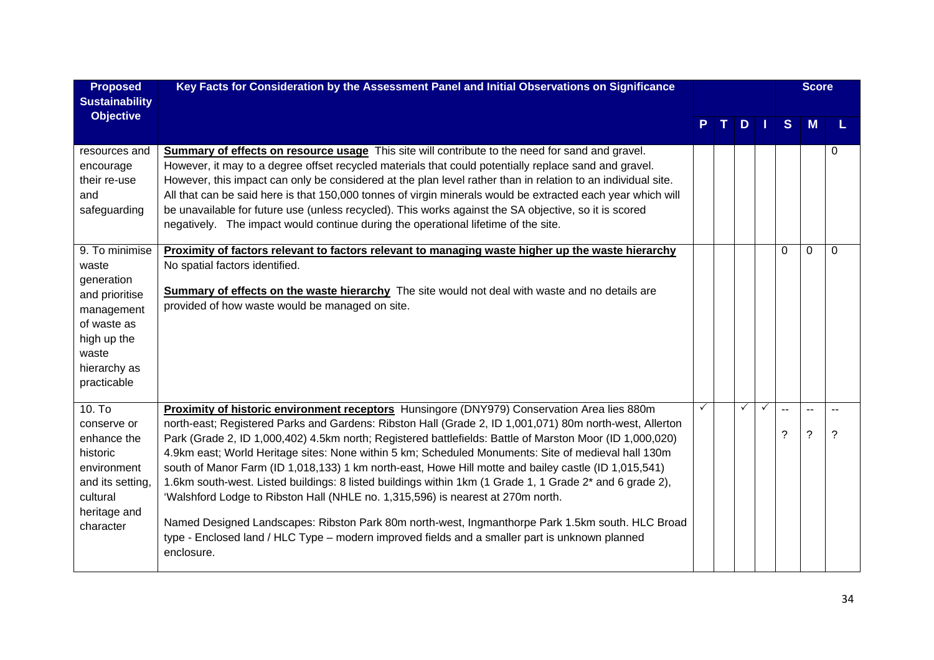| <b>Proposed</b><br><b>Sustainability</b>                                                                                                    | Key Facts for Consideration by the Assessment Panel and Initial Observations on Significance                                                                                                                                                                                                                                                                                                                                                                                                                                                                                                                                                                                                                                                                                                                                                                                                                                                                     |   |  |     | <b>Score</b> |              |                     |          |  |
|---------------------------------------------------------------------------------------------------------------------------------------------|------------------------------------------------------------------------------------------------------------------------------------------------------------------------------------------------------------------------------------------------------------------------------------------------------------------------------------------------------------------------------------------------------------------------------------------------------------------------------------------------------------------------------------------------------------------------------------------------------------------------------------------------------------------------------------------------------------------------------------------------------------------------------------------------------------------------------------------------------------------------------------------------------------------------------------------------------------------|---|--|-----|--------------|--------------|---------------------|----------|--|
| <b>Objective</b>                                                                                                                            |                                                                                                                                                                                                                                                                                                                                                                                                                                                                                                                                                                                                                                                                                                                                                                                                                                                                                                                                                                  |   |  | $D$ |              | <sub>S</sub> | M                   |          |  |
| resources and<br>encourage<br>their re-use<br>and<br>safeguarding                                                                           | <b>Summary of effects on resource usage</b> This site will contribute to the need for sand and gravel.<br>However, it may to a degree offset recycled materials that could potentially replace sand and gravel.<br>However, this impact can only be considered at the plan level rather than in relation to an individual site.<br>All that can be said here is that 150,000 tonnes of virgin minerals would be extracted each year which will<br>be unavailable for future use (unless recycled). This works against the SA objective, so it is scored<br>negatively. The impact would continue during the operational lifetime of the site.                                                                                                                                                                                                                                                                                                                    |   |  |     |              |              |                     | $\Omega$ |  |
| 9. To minimise<br>waste<br>generation<br>and prioritise<br>management<br>of waste as<br>high up the<br>waste<br>hierarchy as<br>practicable | Proximity of factors relevant to factors relevant to managing waste higher up the waste hierarchy<br>No spatial factors identified.<br>Summary of effects on the waste hierarchy The site would not deal with waste and no details are<br>provided of how waste would be managed on site.                                                                                                                                                                                                                                                                                                                                                                                                                                                                                                                                                                                                                                                                        |   |  |     |              | $\Omega$     | 0                   | $\Omega$ |  |
| $10.$ To<br>conserve or<br>enhance the<br>historic<br>environment<br>and its setting,<br>cultural<br>heritage and<br>character              | Proximity of historic environment receptors Hunsingore (DNY979) Conservation Area lies 880m<br>north-east; Registered Parks and Gardens: Ribston Hall (Grade 2, ID 1,001,071) 80m north-west, Allerton<br>Park (Grade 2, ID 1,000,402) 4.5km north; Registered battlefields: Battle of Marston Moor (ID 1,000,020)<br>4.9km east; World Heritage sites: None within 5 km; Scheduled Monuments: Site of medieval hall 130m<br>south of Manor Farm (ID 1,018,133) 1 km north-east, Howe Hill motte and bailey castle (ID 1,015,541)<br>1.6km south-west. Listed buildings: 8 listed buildings within 1km (1 Grade 1, 1 Grade 2 <sup>*</sup> and 6 grade 2),<br>'Walshford Lodge to Ribston Hall (NHLE no. 1,315,596) is nearest at 270m north.<br>Named Designed Landscapes: Ribston Park 80m north-west, Ingmanthorpe Park 1.5km south. HLC Broad<br>type - Enclosed land / HLC Type – modern improved fields and a smaller part is unknown planned<br>enclosure. | ✓ |  | ✓   | $\checkmark$ | $-$<br>?     | $\overline{a}$<br>? | ?        |  |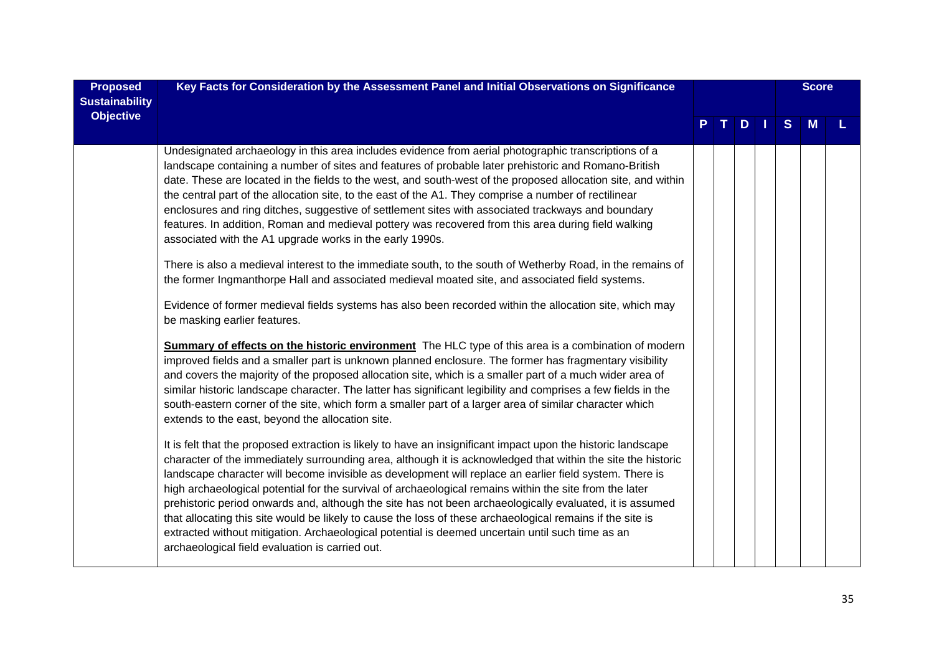| <b>Proposed</b><br><b>Sustainability</b> | Key Facts for Consideration by the Assessment Panel and Initial Observations on Significance                                                                                                                                                                                                                                                                                                                                                                                                                                                                                                                                                                                                                                                                                                                                                                                                                                                                                                                                                                                                                                                                                                                                                                                                                                                                                                                                                                                                                                                                                                                                                                                             |  |         |              | <b>Score</b> |  |
|------------------------------------------|------------------------------------------------------------------------------------------------------------------------------------------------------------------------------------------------------------------------------------------------------------------------------------------------------------------------------------------------------------------------------------------------------------------------------------------------------------------------------------------------------------------------------------------------------------------------------------------------------------------------------------------------------------------------------------------------------------------------------------------------------------------------------------------------------------------------------------------------------------------------------------------------------------------------------------------------------------------------------------------------------------------------------------------------------------------------------------------------------------------------------------------------------------------------------------------------------------------------------------------------------------------------------------------------------------------------------------------------------------------------------------------------------------------------------------------------------------------------------------------------------------------------------------------------------------------------------------------------------------------------------------------------------------------------------------------|--|---------|--------------|--------------|--|
| <b>Objective</b>                         |                                                                                                                                                                                                                                                                                                                                                                                                                                                                                                                                                                                                                                                                                                                                                                                                                                                                                                                                                                                                                                                                                                                                                                                                                                                                                                                                                                                                                                                                                                                                                                                                                                                                                          |  | $T$ D I | <sub>S</sub> | M            |  |
|                                          | Undesignated archaeology in this area includes evidence from aerial photographic transcriptions of a<br>landscape containing a number of sites and features of probable later prehistoric and Romano-British<br>date. These are located in the fields to the west, and south-west of the proposed allocation site, and within<br>the central part of the allocation site, to the east of the A1. They comprise a number of rectilinear<br>enclosures and ring ditches, suggestive of settlement sites with associated trackways and boundary<br>features. In addition, Roman and medieval pottery was recovered from this area during field walking<br>associated with the A1 upgrade works in the early 1990s.<br>There is also a medieval interest to the immediate south, to the south of Wetherby Road, in the remains of<br>the former Ingmanthorpe Hall and associated medieval moated site, and associated field systems.<br>Evidence of former medieval fields systems has also been recorded within the allocation site, which may<br>be masking earlier features.<br>Summary of effects on the historic environment The HLC type of this area is a combination of modern<br>improved fields and a smaller part is unknown planned enclosure. The former has fragmentary visibility<br>and covers the majority of the proposed allocation site, which is a smaller part of a much wider area of<br>similar historic landscape character. The latter has significant legibility and comprises a few fields in the<br>south-eastern corner of the site, which form a smaller part of a larger area of similar character which<br>extends to the east, beyond the allocation site. |  |         |              |              |  |
|                                          | It is felt that the proposed extraction is likely to have an insignificant impact upon the historic landscape<br>character of the immediately surrounding area, although it is acknowledged that within the site the historic<br>landscape character will become invisible as development will replace an earlier field system. There is<br>high archaeological potential for the survival of archaeological remains within the site from the later<br>prehistoric period onwards and, although the site has not been archaeologically evaluated, it is assumed<br>that allocating this site would be likely to cause the loss of these archaeological remains if the site is<br>extracted without mitigation. Archaeological potential is deemed uncertain until such time as an<br>archaeological field evaluation is carried out.                                                                                                                                                                                                                                                                                                                                                                                                                                                                                                                                                                                                                                                                                                                                                                                                                                                     |  |         |              |              |  |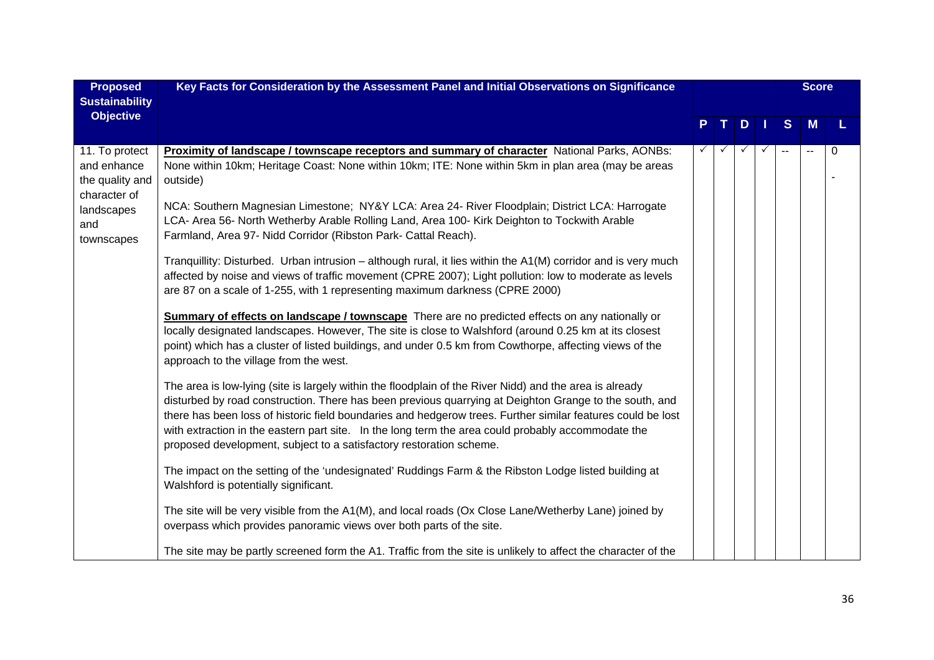| <b>Proposed</b><br><b>Sustainability</b>                                                            | Key Facts for Consideration by the Assessment Panel and Initial Observations on Significance                                                                                                                                                                                                                                                                                                                                                                                                                                                                                                                                                                                                                                                                                                                                                                                                                                                                                                                                                                                                                                                                                                                                                                                                                                                                                                                                                                                                                                                                                                                                                                                                                                                                                                                                                                                                                                                                                                                                                                                                                                                        |              |              |   |              |              | <b>Score</b> |          |
|-----------------------------------------------------------------------------------------------------|-----------------------------------------------------------------------------------------------------------------------------------------------------------------------------------------------------------------------------------------------------------------------------------------------------------------------------------------------------------------------------------------------------------------------------------------------------------------------------------------------------------------------------------------------------------------------------------------------------------------------------------------------------------------------------------------------------------------------------------------------------------------------------------------------------------------------------------------------------------------------------------------------------------------------------------------------------------------------------------------------------------------------------------------------------------------------------------------------------------------------------------------------------------------------------------------------------------------------------------------------------------------------------------------------------------------------------------------------------------------------------------------------------------------------------------------------------------------------------------------------------------------------------------------------------------------------------------------------------------------------------------------------------------------------------------------------------------------------------------------------------------------------------------------------------------------------------------------------------------------------------------------------------------------------------------------------------------------------------------------------------------------------------------------------------------------------------------------------------------------------------------------------------|--------------|--------------|---|--------------|--------------|--------------|----------|
| <b>Objective</b>                                                                                    |                                                                                                                                                                                                                                                                                                                                                                                                                                                                                                                                                                                                                                                                                                                                                                                                                                                                                                                                                                                                                                                                                                                                                                                                                                                                                                                                                                                                                                                                                                                                                                                                                                                                                                                                                                                                                                                                                                                                                                                                                                                                                                                                                     |              |              | D |              | S.           | M            |          |
| 11. To protect<br>and enhance<br>the quality and<br>character of<br>landscapes<br>and<br>townscapes | <b>Proximity of landscape / townscape receptors and summary of character National Parks, AONBs:</b><br>None within 10km; Heritage Coast: None within 10km; ITE: None within 5km in plan area (may be areas<br>outside)<br>NCA: Southern Magnesian Limestone; NY&Y LCA: Area 24- River Floodplain; District LCA: Harrogate<br>LCA- Area 56- North Wetherby Arable Rolling Land, Area 100- Kirk Deighton to Tockwith Arable<br>Farmland, Area 97- Nidd Corridor (Ribston Park- Cattal Reach).<br>Tranquillity: Disturbed. Urban intrusion - although rural, it lies within the A1(M) corridor and is very much<br>affected by noise and views of traffic movement (CPRE 2007); Light pollution: low to moderate as levels<br>are 87 on a scale of 1-255, with 1 representing maximum darkness (CPRE 2000)<br><b>Summary of effects on landscape / townscape</b> There are no predicted effects on any nationally or<br>locally designated landscapes. However, The site is close to Walshford (around 0.25 km at its closest<br>point) which has a cluster of listed buildings, and under 0.5 km from Cowthorpe, affecting views of the<br>approach to the village from the west.<br>The area is low-lying (site is largely within the floodplain of the River Nidd) and the area is already<br>disturbed by road construction. There has been previous quarrying at Deighton Grange to the south, and<br>there has been loss of historic field boundaries and hedgerow trees. Further similar features could be lost<br>with extraction in the eastern part site. In the long term the area could probably accommodate the<br>proposed development, subject to a satisfactory restoration scheme.<br>The impact on the setting of the 'undesignated' Ruddings Farm & the Ribston Lodge listed building at<br>Walshford is potentially significant.<br>The site will be very visible from the A1(M), and local roads (Ox Close Lane/Wetherby Lane) joined by<br>overpass which provides panoramic views over both parts of the site.<br>The site may be partly screened form the A1. Traffic from the site is unlikely to affect the character of the | $\checkmark$ | $\checkmark$ |   | $\checkmark$ | $\mathbf{L}$ |              | $\Omega$ |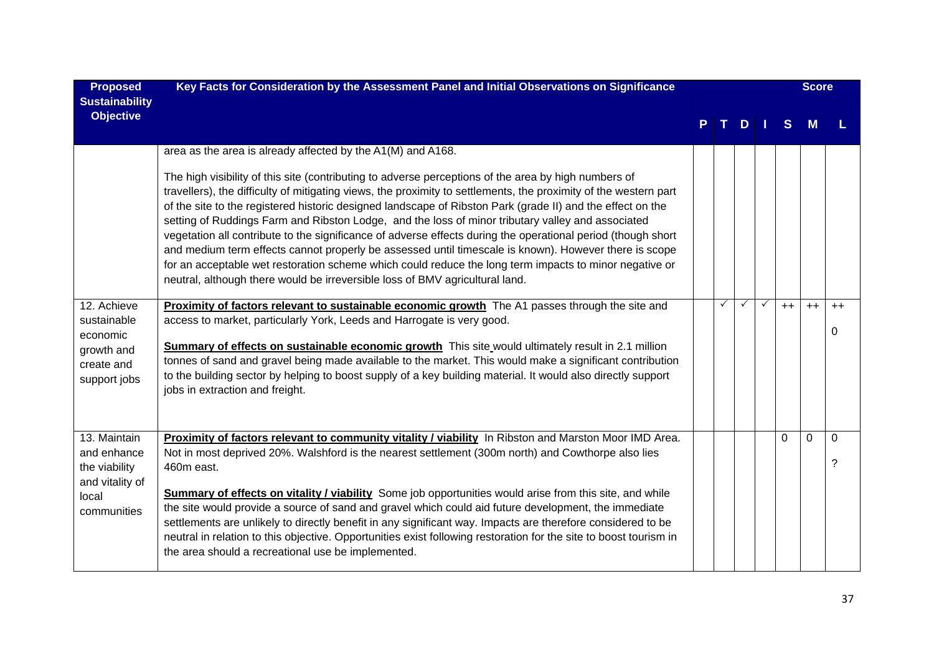| <b>Proposed</b><br><b>Sustainability</b>                                                | Key Facts for Consideration by the Assessment Panel and Initial Observations on Significance                                                                                                                                                                                                                                                                                                                                                                                                                                                                                                                                                                                                                                                                                                                                                                   |              |         |              |              | <b>Score</b> |                   |
|-----------------------------------------------------------------------------------------|----------------------------------------------------------------------------------------------------------------------------------------------------------------------------------------------------------------------------------------------------------------------------------------------------------------------------------------------------------------------------------------------------------------------------------------------------------------------------------------------------------------------------------------------------------------------------------------------------------------------------------------------------------------------------------------------------------------------------------------------------------------------------------------------------------------------------------------------------------------|--------------|---------|--------------|--------------|--------------|-------------------|
| <b>Objective</b>                                                                        |                                                                                                                                                                                                                                                                                                                                                                                                                                                                                                                                                                                                                                                                                                                                                                                                                                                                |              | $D$   1 |              | <sub>S</sub> | M            |                   |
|                                                                                         | area as the area is already affected by the A1(M) and A168.                                                                                                                                                                                                                                                                                                                                                                                                                                                                                                                                                                                                                                                                                                                                                                                                    |              |         |              |              |              |                   |
|                                                                                         | The high visibility of this site (contributing to adverse perceptions of the area by high numbers of<br>travellers), the difficulty of mitigating views, the proximity to settlements, the proximity of the western part<br>of the site to the registered historic designed landscape of Ribston Park (grade II) and the effect on the<br>setting of Ruddings Farm and Ribston Lodge, and the loss of minor tributary valley and associated<br>vegetation all contribute to the significance of adverse effects during the operational period (though short<br>and medium term effects cannot properly be assessed until timescale is known). However there is scope<br>for an acceptable wet restoration scheme which could reduce the long term impacts to minor negative or<br>neutral, although there would be irreversible loss of BMV agricultural land. |              |         |              |              |              |                   |
| 12. Achieve<br>sustainable<br>economic<br>growth and<br>create and<br>support jobs      | Proximity of factors relevant to sustainable economic growth The A1 passes through the site and<br>access to market, particularly York, Leeds and Harrogate is very good.<br>Summary of effects on sustainable economic growth This site would ultimately result in 2.1 million<br>tonnes of sand and gravel being made available to the market. This would make a significant contribution<br>to the building sector by helping to boost supply of a key building material. It would also directly support<br>jobs in extraction and freight.                                                                                                                                                                                                                                                                                                                 | $\checkmark$ | ✓       | $\checkmark$ | $++$         | $++$         | $++$<br>0         |
| 13. Maintain<br>and enhance<br>the viability<br>and vitality of<br>local<br>communities | Proximity of factors relevant to community vitality / viability In Ribston and Marston Moor IMD Area.<br>Not in most deprived 20%. Walshford is the nearest settlement (300m north) and Cowthorpe also lies<br>460m east.<br>Summary of effects on vitality / viability Some job opportunities would arise from this site, and while<br>the site would provide a source of sand and gravel which could aid future development, the immediate<br>settlements are unlikely to directly benefit in any significant way. Impacts are therefore considered to be<br>neutral in relation to this objective. Opportunities exist following restoration for the site to boost tourism in<br>the area should a recreational use be implemented.                                                                                                                         |              |         |              | $\Omega$     | 0            | $\mathbf{0}$<br>2 |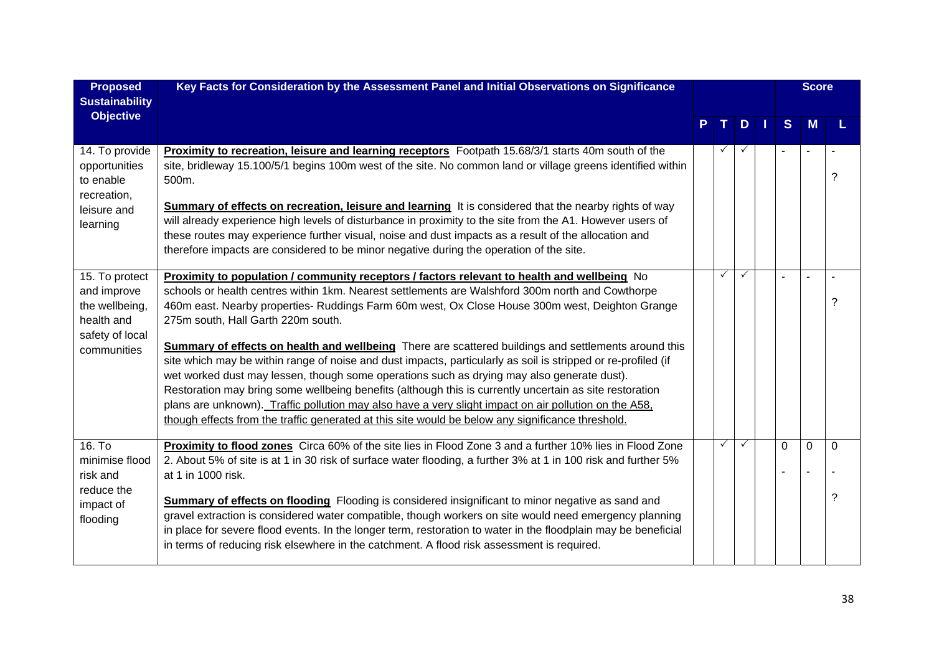| <b>Proposed</b><br><b>Sustainability</b>                                         | Key Facts for Consideration by the Assessment Panel and Initial Observations on Significance                                                                                                                                                                                                                                                                                                                                                                                                                                                                                                                                                        |              |    |                | <b>Score</b> |          |
|----------------------------------------------------------------------------------|-----------------------------------------------------------------------------------------------------------------------------------------------------------------------------------------------------------------------------------------------------------------------------------------------------------------------------------------------------------------------------------------------------------------------------------------------------------------------------------------------------------------------------------------------------------------------------------------------------------------------------------------------------|--------------|----|----------------|--------------|----------|
| <b>Objective</b>                                                                 |                                                                                                                                                                                                                                                                                                                                                                                                                                                                                                                                                                                                                                                     |              | D. | S.             |              |          |
| 14. To provide<br>opportunities<br>to enable<br>recreation,                      | <b>Proximity to recreation, leisure and learning receptors</b> Footpath 15.68/3/1 starts 40m south of the<br>site, bridleway 15.100/5/1 begins 100m west of the site. No common land or village greens identified within<br>500m.                                                                                                                                                                                                                                                                                                                                                                                                                   | $\checkmark$ |    |                |              | 2        |
| leisure and<br>learning                                                          | <b>Summary of effects on recreation, leisure and learning</b> It is considered that the nearby rights of way<br>will already experience high levels of disturbance in proximity to the site from the A1. However users of<br>these routes may experience further visual, noise and dust impacts as a result of the allocation and<br>therefore impacts are considered to be minor negative during the operation of the site.                                                                                                                                                                                                                        |              |    |                |              |          |
| 15. To protect<br>and improve<br>the wellbeing,<br>health and<br>safety of local | Proximity to population / community receptors / factors relevant to health and wellbeing No<br>schools or health centres within 1km. Nearest settlements are Walshford 300m north and Cowthorpe<br>460m east. Nearby properties- Ruddings Farm 60m west, Ox Close House 300m west, Deighton Grange<br>275m south, Hall Garth 220m south.                                                                                                                                                                                                                                                                                                            | $\checkmark$ | ✓  |                |              | ?        |
| communities                                                                      | <b>Summary of effects on health and wellbeing</b> There are scattered buildings and settlements around this<br>site which may be within range of noise and dust impacts, particularly as soil is stripped or re-profiled (if<br>wet worked dust may lessen, though some operations such as drying may also generate dust).<br>Restoration may bring some wellbeing benefits (although this is currently uncertain as site restoration<br>plans are unknown). Traffic pollution may also have a very slight impact on air pollution on the A58,<br>though effects from the traffic generated at this site would be below any significance threshold. |              |    |                |              |          |
| 16. T <sub>o</sub><br>minimise flood<br>risk and<br>reduce the                   | Proximity to flood zones Circa 60% of the site lies in Flood Zone 3 and a further 10% lies in Flood Zone<br>2. About 5% of site is at 1 in 30 risk of surface water flooding, a further 3% at 1 in 100 risk and further 5%<br>at 1 in 1000 risk.                                                                                                                                                                                                                                                                                                                                                                                                    | $\checkmark$ | ✓  | $\overline{0}$ | 0            | $\Omega$ |
| impact of<br>flooding                                                            | <b>Summary of effects on flooding</b> Flooding is considered insignificant to minor negative as sand and<br>gravel extraction is considered water compatible, though workers on site would need emergency planning<br>in place for severe flood events. In the longer term, restoration to water in the floodplain may be beneficial<br>in terms of reducing risk elsewhere in the catchment. A flood risk assessment is required.                                                                                                                                                                                                                  |              |    |                |              | ?        |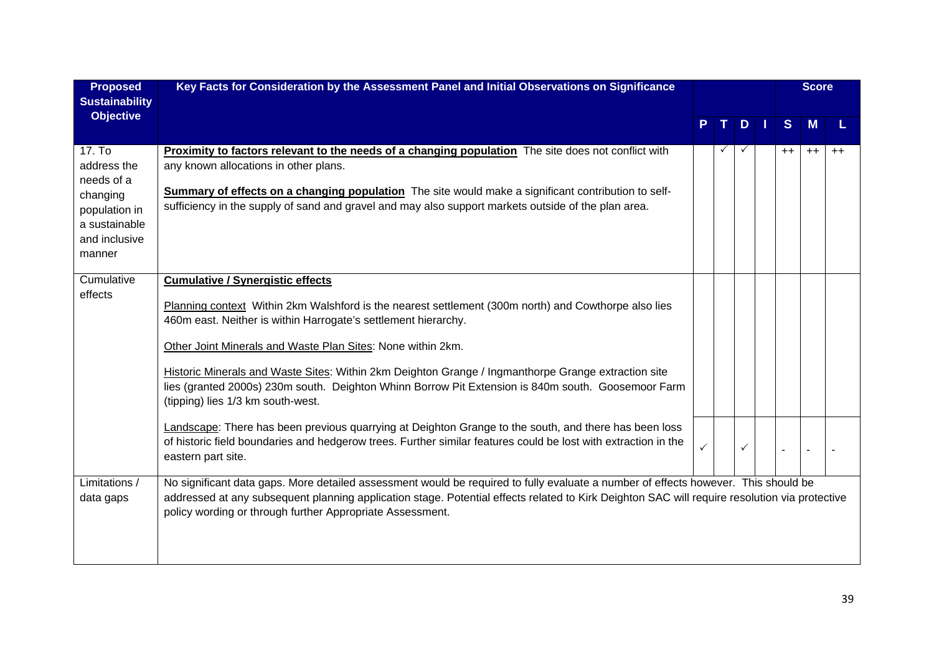| <b>Proposed</b><br><b>Sustainability</b>                                                                     | Key Facts for Consideration by the Assessment Panel and Initial Observations on Significance                                                                                                                                                                                                                                                                                                                                                                                                                                       |              |   |         | <b>Score</b> |      |
|--------------------------------------------------------------------------------------------------------------|------------------------------------------------------------------------------------------------------------------------------------------------------------------------------------------------------------------------------------------------------------------------------------------------------------------------------------------------------------------------------------------------------------------------------------------------------------------------------------------------------------------------------------|--------------|---|---------|--------------|------|
| <b>Objective</b>                                                                                             |                                                                                                                                                                                                                                                                                                                                                                                                                                                                                                                                    |              | D | S       | M            |      |
| 17. To<br>address the<br>needs of a<br>changing<br>population in<br>a sustainable<br>and inclusive<br>manner | Proximity to factors relevant to the needs of a changing population The site does not conflict with<br>any known allocations in other plans.<br>Summary of effects on a changing population The site would make a significant contribution to self-<br>sufficiency in the supply of sand and gravel and may also support markets outside of the plan area.                                                                                                                                                                         |              |   | $^{++}$ | $++$         | $++$ |
| Cumulative<br>effects                                                                                        | <b>Cumulative / Synergistic effects</b><br>Planning context Within 2km Walshford is the nearest settlement (300m north) and Cowthorpe also lies<br>460m east. Neither is within Harrogate's settlement hierarchy.<br>Other Joint Minerals and Waste Plan Sites: None within 2km.<br>Historic Minerals and Waste Sites: Within 2km Deighton Grange / Ingmanthorpe Grange extraction site<br>lies (granted 2000s) 230m south. Deighton Whinn Borrow Pit Extension is 840m south. Goosemoor Farm<br>(tipping) lies 1/3 km south-west. |              |   |         |              |      |
|                                                                                                              | Landscape: There has been previous quarrying at Deighton Grange to the south, and there has been loss<br>of historic field boundaries and hedgerow trees. Further similar features could be lost with extraction in the<br>eastern part site.                                                                                                                                                                                                                                                                                      | $\checkmark$ | ✓ |         |              |      |
| Limitations /<br>data gaps                                                                                   | No significant data gaps. More detailed assessment would be required to fully evaluate a number of effects however. This should be<br>addressed at any subsequent planning application stage. Potential effects related to Kirk Deighton SAC will require resolution via protective<br>policy wording or through further Appropriate Assessment.                                                                                                                                                                                   |              |   |         |              |      |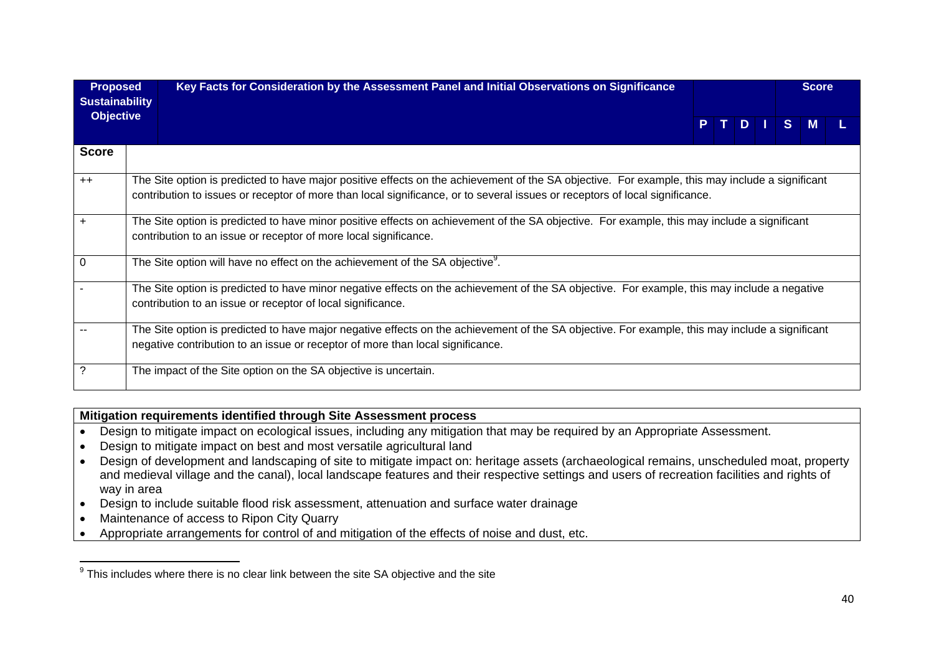| <b>Proposed</b><br><b>Sustainability</b> | Key Facts for Consideration by the Assessment Panel and Initial Observations on Significance                                                                                                                                                                                    |  |  |       | <b>Score</b> |  |
|------------------------------------------|---------------------------------------------------------------------------------------------------------------------------------------------------------------------------------------------------------------------------------------------------------------------------------|--|--|-------|--------------|--|
| <b>Objective</b>                         |                                                                                                                                                                                                                                                                                 |  |  | PTDIS | <b>M</b>     |  |
| <b>Score</b>                             |                                                                                                                                                                                                                                                                                 |  |  |       |              |  |
| $++$                                     | The Site option is predicted to have major positive effects on the achievement of the SA objective. For example, this may include a significant<br>contribution to issues or receptor of more than local significance, or to several issues or receptors of local significance. |  |  |       |              |  |
| $+$                                      | The Site option is predicted to have minor positive effects on achievement of the SA objective. For example, this may include a significant<br>contribution to an issue or receptor of more local significance.                                                                 |  |  |       |              |  |
| 0                                        | The Site option will have no effect on the achievement of the SA objective <sup>9</sup> .                                                                                                                                                                                       |  |  |       |              |  |
|                                          | The Site option is predicted to have minor negative effects on the achievement of the SA objective. For example, this may include a negative<br>contribution to an issue or receptor of local significance.                                                                     |  |  |       |              |  |
|                                          | The Site option is predicted to have major negative effects on the achievement of the SA objective. For example, this may include a significant<br>negative contribution to an issue or receptor of more than local significance.                                               |  |  |       |              |  |
|                                          | The impact of the Site option on the SA objective is uncertain.                                                                                                                                                                                                                 |  |  |       |              |  |

## **Mitigation requirements identified through Site Assessment process**

- Design to mitigate impact on ecological issues, including any mitigation that may be required by an Appropriate Assessment.
- Design to mitigate impact on best and most versatile agricultural land
- Design of development and landscaping of site to mitigate impact on: heritage assets (archaeological remains, unscheduled moat, property and medieval village and the canal), local landscape features and their respective settings and users of recreation facilities and rights of way in area
- Design to include suitable flood risk assessment, attenuation and surface water drainage
- Maintenance of access to Ripon City Quarry
- Appropriate arrangements for control of and mitigation of the effects of noise and dust, etc.

 $9$  This includes where there is no clear link between the site SA objective and the site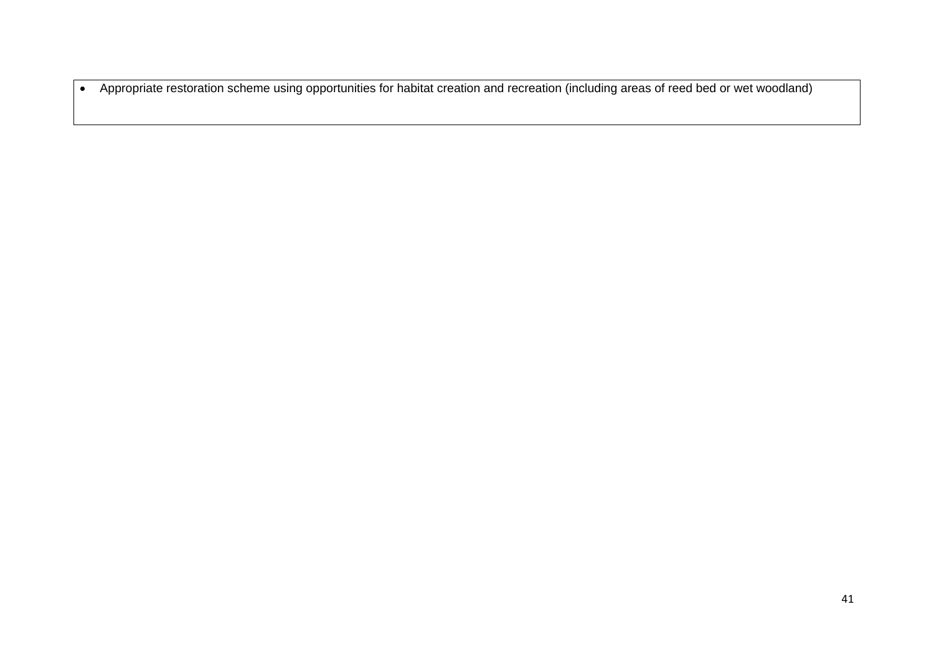Appropriate restoration scheme using opportunities for habitat creation and recreation (including areas of reed bed or wet woodland)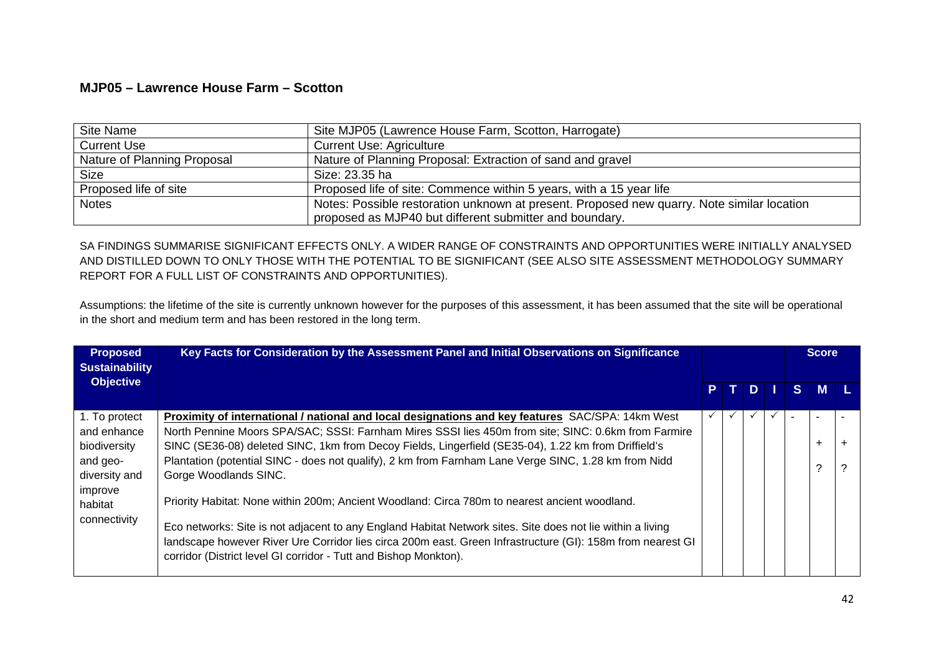## **MJP05 – Lawrence House Farm – Scotton**

| Site Name                   | Site MJP05 (Lawrence House Farm, Scotton, Harrogate)                                       |
|-----------------------------|--------------------------------------------------------------------------------------------|
| <b>Current Use</b>          | <b>Current Use: Agriculture</b>                                                            |
| Nature of Planning Proposal | Nature of Planning Proposal: Extraction of sand and gravel                                 |
| <b>Size</b>                 | Size: 23.35 ha                                                                             |
| Proposed life of site       | Proposed life of site: Commence within 5 years, with a 15 year life                        |
| <b>Notes</b>                | Notes: Possible restoration unknown at present. Proposed new quarry. Note similar location |
|                             | proposed as MJP40 but different submitter and boundary.                                    |

SA FINDINGS SUMMARISE SIGNIFICANT EFFECTS ONLY. A WIDER RANGE OF CONSTRAINTS AND OPPORTUNITIES WERE INITIALLY ANALYSED AND DISTILLED DOWN TO ONLY THOSE WITH THE POTENTIAL TO BE SIGNIFICANT (SEE ALSO SITE ASSESSMENT METHODOLOGY SUMMARY REPORT FOR A FULL LIST OF CONSTRAINTS AND OPPORTUNITIES).

Assumptions: the lifetime of the site is currently unknown however for the purposes of this assessment, it has been assumed that the site will be operational in the short and medium term and has been restored in the long term.

| <b>Proposed</b><br><b>Sustainability</b> | Key Facts for Consideration by the Assessment Panel and Initial Observations on Significance                                                                                   |              |              |              |    | <b>Score</b> |       |
|------------------------------------------|--------------------------------------------------------------------------------------------------------------------------------------------------------------------------------|--------------|--------------|--------------|----|--------------|-------|
| <b>Objective</b>                         |                                                                                                                                                                                |              | PTDI         |              | S. | <b>M</b>     |       |
| 1. To protect                            | Proximity of international / national and local designations and key features SAC/SPA: 14km West                                                                               | $\checkmark$ | $\checkmark$ | $\checkmark$ |    |              |       |
| and enhance                              | North Pennine Moors SPA/SAC; SSSI: Farnham Mires SSSI lies 450m from site; SINC: 0.6km from Farmire                                                                            |              |              |              |    |              |       |
| biodiversity                             | SINC (SE36-08) deleted SINC, 1km from Decoy Fields, Lingerfield (SE35-04), 1.22 km from Driffield's                                                                            |              |              |              |    | $\ddot{}$    | $\pm$ |
| and geo-                                 | Plantation (potential SINC - does not qualify), 2 km from Farnham Lane Verge SINC, 1.28 km from Nidd                                                                           |              |              |              |    | C            | ?     |
| diversity and                            | Gorge Woodlands SINC.                                                                                                                                                          |              |              |              |    |              |       |
| improve<br>habitat                       | Priority Habitat: None within 200m; Ancient Woodland: Circa 780m to nearest ancient woodland.                                                                                  |              |              |              |    |              |       |
| connectivity                             | Eco networks: Site is not adjacent to any England Habitat Network sites. Site does not lie within a living                                                                     |              |              |              |    |              |       |
|                                          | landscape however River Ure Corridor lies circa 200m east. Green Infrastructure (GI): 158m from nearest GI<br>corridor (District level GI corridor - Tutt and Bishop Monkton). |              |              |              |    |              |       |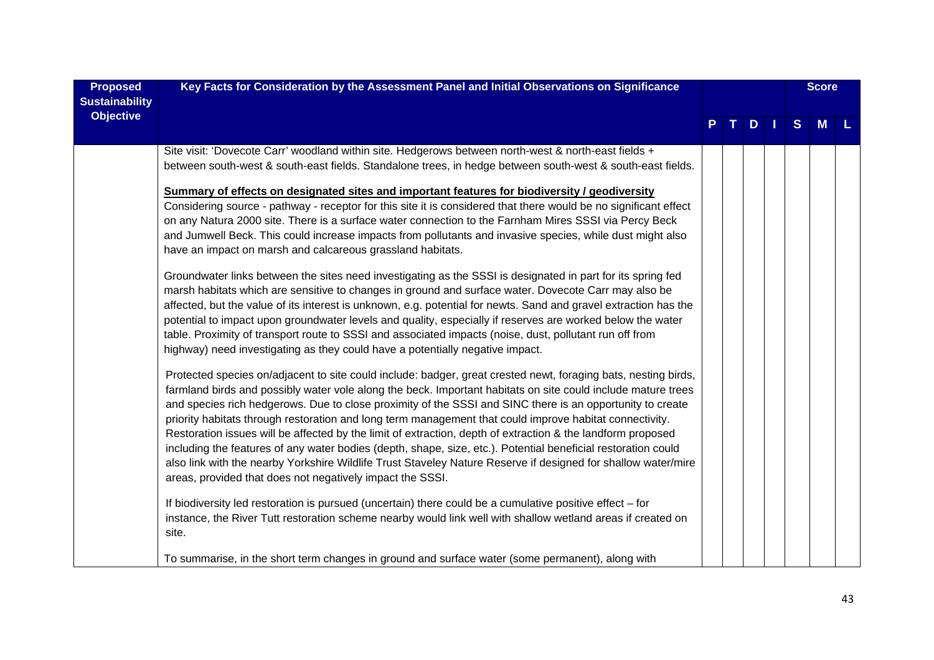| <b>Proposed</b><br><b>Sustainability</b> | Key Facts for Consideration by the Assessment Panel and Initial Observations on Significance                                                                                                                                                                                                                                                                                                                                                                                                                                                                                                                                                                                                                                                                                                                                                                         |  |     |   | <b>Score</b> |  |
|------------------------------------------|----------------------------------------------------------------------------------------------------------------------------------------------------------------------------------------------------------------------------------------------------------------------------------------------------------------------------------------------------------------------------------------------------------------------------------------------------------------------------------------------------------------------------------------------------------------------------------------------------------------------------------------------------------------------------------------------------------------------------------------------------------------------------------------------------------------------------------------------------------------------|--|-----|---|--------------|--|
| <b>Objective</b>                         |                                                                                                                                                                                                                                                                                                                                                                                                                                                                                                                                                                                                                                                                                                                                                                                                                                                                      |  | $D$ | S | <b>M</b>     |  |
|                                          | Site visit: 'Dovecote Carr' woodland within site. Hedgerows between north-west & north-east fields +<br>between south-west & south-east fields. Standalone trees, in hedge between south-west & south-east fields.                                                                                                                                                                                                                                                                                                                                                                                                                                                                                                                                                                                                                                                   |  |     |   |              |  |
|                                          | Summary of effects on designated sites and important features for biodiversity / geodiversity<br>Considering source - pathway - receptor for this site it is considered that there would be no significant effect<br>on any Natura 2000 site. There is a surface water connection to the Farnham Mires SSSI via Percy Beck<br>and Jumwell Beck. This could increase impacts from pollutants and invasive species, while dust might also<br>have an impact on marsh and calcareous grassland habitats.                                                                                                                                                                                                                                                                                                                                                                |  |     |   |              |  |
|                                          | Groundwater links between the sites need investigating as the SSSI is designated in part for its spring fed<br>marsh habitats which are sensitive to changes in ground and surface water. Dovecote Carr may also be<br>affected, but the value of its interest is unknown, e.g. potential for newts. Sand and gravel extraction has the<br>potential to impact upon groundwater levels and quality, especially if reserves are worked below the water<br>table. Proximity of transport route to SSSI and associated impacts (noise, dust, pollutant run off from<br>highway) need investigating as they could have a potentially negative impact.                                                                                                                                                                                                                    |  |     |   |              |  |
|                                          | Protected species on/adjacent to site could include: badger, great crested newt, foraging bats, nesting birds,<br>farmland birds and possibly water vole along the beck. Important habitats on site could include mature trees<br>and species rich hedgerows. Due to close proximity of the SSSI and SINC there is an opportunity to create<br>priority habitats through restoration and long term management that could improve habitat connectivity.<br>Restoration issues will be affected by the limit of extraction, depth of extraction & the landform proposed<br>including the features of any water bodies (depth, shape, size, etc.). Potential beneficial restoration could<br>also link with the nearby Yorkshire Wildlife Trust Staveley Nature Reserve if designed for shallow water/mire<br>areas, provided that does not negatively impact the SSSI. |  |     |   |              |  |
|                                          | If biodiversity led restoration is pursued (uncertain) there could be a cumulative positive effect - for<br>instance, the River Tutt restoration scheme nearby would link well with shallow wetland areas if created on<br>site.                                                                                                                                                                                                                                                                                                                                                                                                                                                                                                                                                                                                                                     |  |     |   |              |  |
|                                          | To summarise, in the short term changes in ground and surface water (some permanent), along with                                                                                                                                                                                                                                                                                                                                                                                                                                                                                                                                                                                                                                                                                                                                                                     |  |     |   |              |  |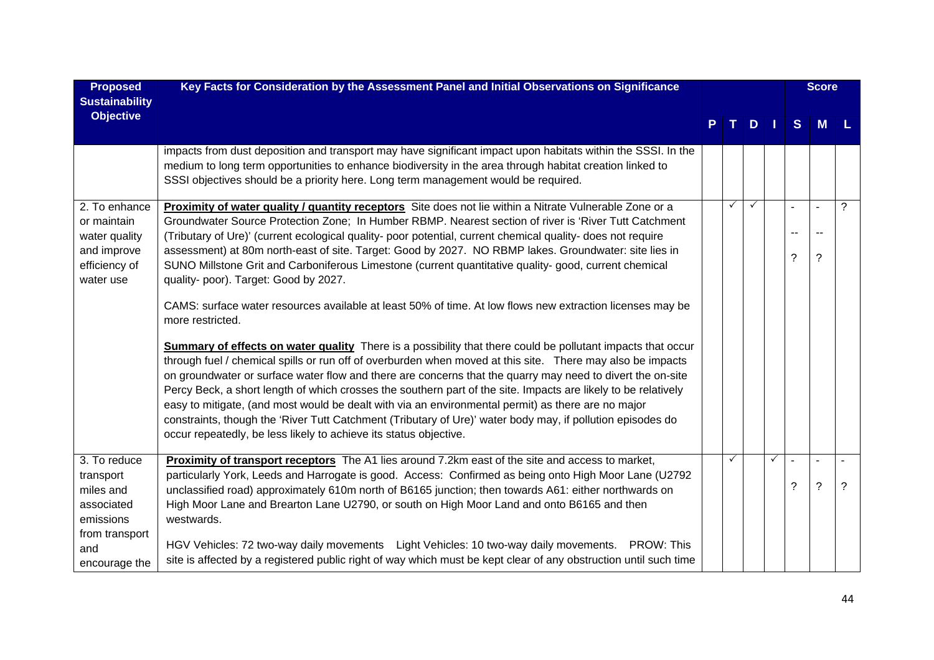| <b>Proposed</b><br><b>Sustainability</b>                                                                    | Key Facts for Consideration by the Assessment Panel and Initial Observations on Significance                                                                                                                                                                                                                                                                                                                                                                                                                                                                                                                                                                                                                                                                           |              |              |   |                               | <b>Score</b>                     |   |
|-------------------------------------------------------------------------------------------------------------|------------------------------------------------------------------------------------------------------------------------------------------------------------------------------------------------------------------------------------------------------------------------------------------------------------------------------------------------------------------------------------------------------------------------------------------------------------------------------------------------------------------------------------------------------------------------------------------------------------------------------------------------------------------------------------------------------------------------------------------------------------------------|--------------|--------------|---|-------------------------------|----------------------------------|---|
| <b>Objective</b>                                                                                            |                                                                                                                                                                                                                                                                                                                                                                                                                                                                                                                                                                                                                                                                                                                                                                        |              | $D$          |   | S                             | M                                |   |
|                                                                                                             | impacts from dust deposition and transport may have significant impact upon habitats within the SSSI. In the<br>medium to long term opportunities to enhance biodiversity in the area through habitat creation linked to<br>SSSI objectives should be a priority here. Long term management would be required.                                                                                                                                                                                                                                                                                                                                                                                                                                                         |              |              |   |                               |                                  |   |
| 2. To enhance<br>or maintain<br>water quality<br>and improve<br>efficiency of<br>water use                  | Proximity of water quality / quantity receptors Site does not lie within a Nitrate Vulnerable Zone or a<br>Groundwater Source Protection Zone; In Humber RBMP. Nearest section of river is 'River Tutt Catchment<br>(Tributary of Ure)' (current ecological quality- poor potential, current chemical quality- does not require<br>assessment) at 80m north-east of site. Target: Good by 2027. NO RBMP lakes. Groundwater: site lies in<br>SUNO Millstone Grit and Carboniferous Limestone (current quantitative quality- good, current chemical<br>quality- poor). Target: Good by 2027.<br>CAMS: surface water resources available at least 50% of time. At low flows new extraction licenses may be                                                                | ✓            | $\checkmark$ |   | $\blacksquare$<br>۰.<br>?     | $\sim$<br>$\sim$<br>$\tilde{?}$  | ? |
|                                                                                                             | more restricted.<br>Summary of effects on water quality There is a possibility that there could be pollutant impacts that occur<br>through fuel / chemical spills or run off of overburden when moved at this site. There may also be impacts<br>on groundwater or surface water flow and there are concerns that the quarry may need to divert the on-site<br>Percy Beck, a short length of which crosses the southern part of the site. Impacts are likely to be relatively<br>easy to mitigate, (and most would be dealt with via an environmental permit) as there are no major<br>constraints, though the 'River Tutt Catchment (Tributary of Ure)' water body may, if pollution episodes do<br>occur repeatedly, be less likely to achieve its status objective. |              |              |   |                               |                                  |   |
| 3. To reduce<br>transport<br>miles and<br>associated<br>emissions<br>from transport<br>and<br>encourage the | Proximity of transport receptors The A1 lies around 7.2km east of the site and access to market,<br>particularly York, Leeds and Harrogate is good. Access: Confirmed as being onto High Moor Lane (U2792<br>unclassified road) approximately 610m north of B6165 junction; then towards A61: either northwards on<br>High Moor Lane and Brearton Lane U2790, or south on High Moor Land and onto B6165 and then<br>westwards.<br>HGV Vehicles: 72 two-way daily movements Light Vehicles: 10 two-way daily movements. PROW: This<br>site is affected by a registered public right of way which must be kept clear of any obstruction until such time                                                                                                                  | $\checkmark$ |              | ✓ | $\blacksquare$<br>$\tilde{?}$ | $\overline{a}$<br>$\overline{?}$ | ? |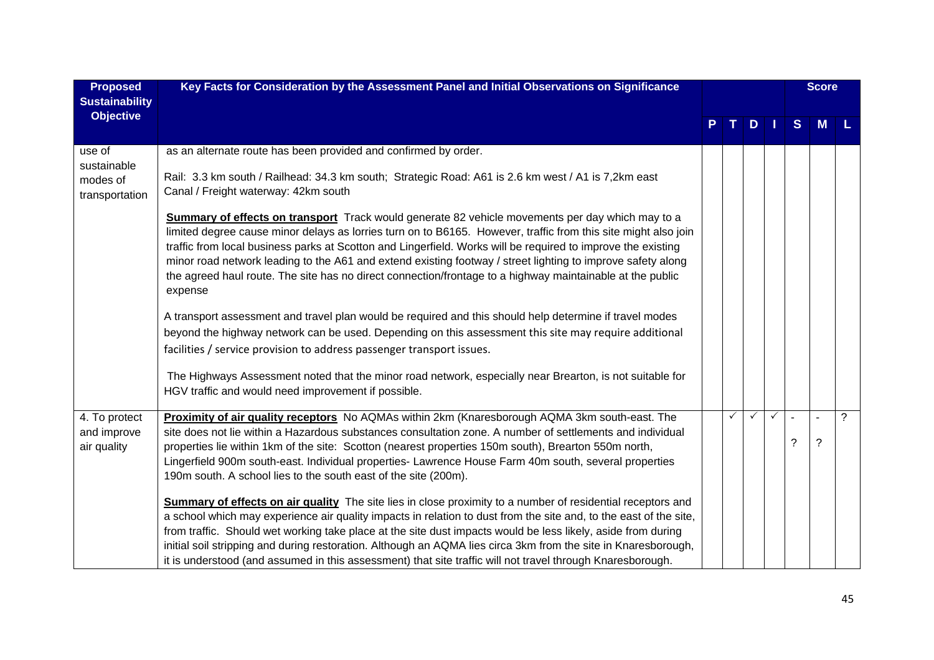| <b>Proposed</b><br><b>Sustainability</b>    | Key Facts for Consideration by the Assessment Panel and Initial Observations on Significance                                                                                                                                                                                                                                                                                                                                                                                                                                                                                            |   |     |   |   | <b>Score</b> |   |
|---------------------------------------------|-----------------------------------------------------------------------------------------------------------------------------------------------------------------------------------------------------------------------------------------------------------------------------------------------------------------------------------------------------------------------------------------------------------------------------------------------------------------------------------------------------------------------------------------------------------------------------------------|---|-----|---|---|--------------|---|
| <b>Objective</b>                            |                                                                                                                                                                                                                                                                                                                                                                                                                                                                                                                                                                                         |   | $D$ |   | S | M            | L |
| use of<br>sustainable                       | as an alternate route has been provided and confirmed by order.                                                                                                                                                                                                                                                                                                                                                                                                                                                                                                                         |   |     |   |   |              |   |
| modes of<br>transportation                  | Rail: 3.3 km south / Railhead: 34.3 km south; Strategic Road: A61 is 2.6 km west / A1 is 7,2km east<br>Canal / Freight waterway: 42km south                                                                                                                                                                                                                                                                                                                                                                                                                                             |   |     |   |   |              |   |
|                                             | <b>Summary of effects on transport</b> Track would generate 82 vehicle movements per day which may to a<br>limited degree cause minor delays as lorries turn on to B6165. However, traffic from this site might also join<br>traffic from local business parks at Scotton and Lingerfield. Works will be required to improve the existing<br>minor road network leading to the A61 and extend existing footway / street lighting to improve safety along<br>the agreed haul route. The site has no direct connection/frontage to a highway maintainable at the public<br>expense        |   |     |   |   |              |   |
|                                             | A transport assessment and travel plan would be required and this should help determine if travel modes<br>beyond the highway network can be used. Depending on this assessment this site may require additional<br>facilities / service provision to address passenger transport issues.                                                                                                                                                                                                                                                                                               |   |     |   |   |              |   |
|                                             | The Highways Assessment noted that the minor road network, especially near Brearton, is not suitable for<br>HGV traffic and would need improvement if possible.                                                                                                                                                                                                                                                                                                                                                                                                                         |   |     |   |   |              |   |
| 4. To protect<br>and improve<br>air quality | Proximity of air quality receptors No AQMAs within 2km (Knaresborough AQMA 3km south-east. The<br>site does not lie within a Hazardous substances consultation zone. A number of settlements and individual<br>properties lie within 1km of the site: Scotton (nearest properties 150m south), Brearton 550m north,<br>Lingerfield 900m south-east. Individual properties- Lawrence House Farm 40m south, several properties<br>190m south. A school lies to the south east of the site (200m).                                                                                         | ✓ |     | ✓ | ? | ?            | ? |
|                                             | <b>Summary of effects on air quality</b> The site lies in close proximity to a number of residential receptors and<br>a school which may experience air quality impacts in relation to dust from the site and, to the east of the site,<br>from traffic. Should wet working take place at the site dust impacts would be less likely, aside from during<br>initial soil stripping and during restoration. Although an AQMA lies circa 3km from the site in Knaresborough,<br>it is understood (and assumed in this assessment) that site traffic will not travel through Knaresborough. |   |     |   |   |              |   |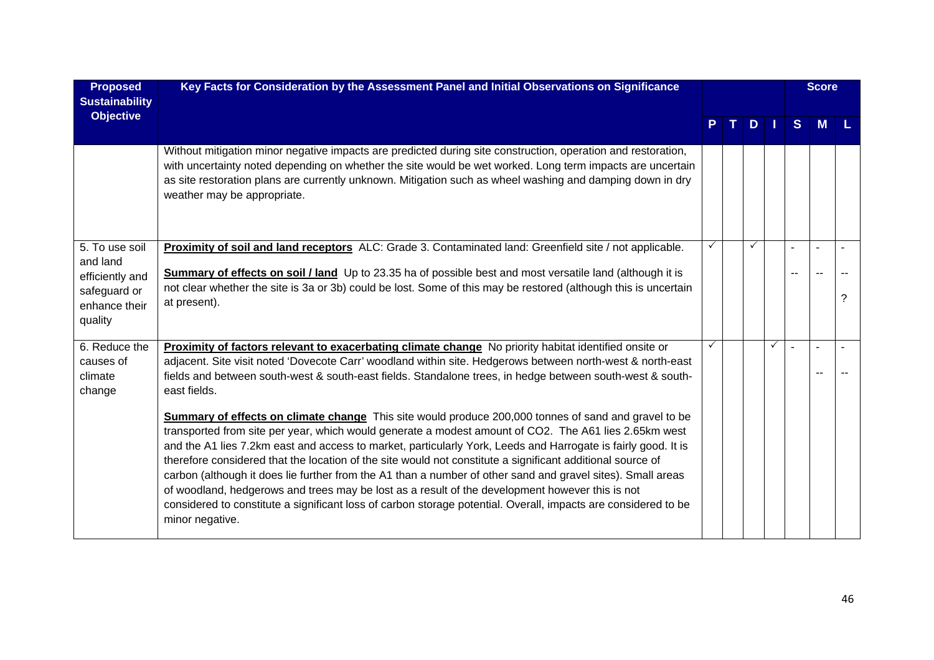| <b>Proposed</b><br><b>Sustainability</b>                                                  | Key Facts for Consideration by the Assessment Panel and Initial Observations on Significance                                                                                                                                                                                                                                                                                                                                                                                                                                                                                                                                                                                                                                                                                                                                                                                                                                                                                                                                                                                                                                                            |   |    |   |      |   | <b>Score</b> |   |
|-------------------------------------------------------------------------------------------|---------------------------------------------------------------------------------------------------------------------------------------------------------------------------------------------------------------------------------------------------------------------------------------------------------------------------------------------------------------------------------------------------------------------------------------------------------------------------------------------------------------------------------------------------------------------------------------------------------------------------------------------------------------------------------------------------------------------------------------------------------------------------------------------------------------------------------------------------------------------------------------------------------------------------------------------------------------------------------------------------------------------------------------------------------------------------------------------------------------------------------------------------------|---|----|---|------|---|--------------|---|
| <b>Objective</b>                                                                          |                                                                                                                                                                                                                                                                                                                                                                                                                                                                                                                                                                                                                                                                                                                                                                                                                                                                                                                                                                                                                                                                                                                                                         |   | т. | D | - 11 | S | M            |   |
|                                                                                           | Without mitigation minor negative impacts are predicted during site construction, operation and restoration,<br>with uncertainty noted depending on whether the site would be wet worked. Long term impacts are uncertain<br>as site restoration plans are currently unknown. Mitigation such as wheel washing and damping down in dry<br>weather may be appropriate.                                                                                                                                                                                                                                                                                                                                                                                                                                                                                                                                                                                                                                                                                                                                                                                   |   |    |   |      |   |              |   |
| 5. To use soil<br>and land<br>efficiently and<br>safeguard or<br>enhance their<br>quality | Proximity of soil and land receptors ALC: Grade 3. Contaminated land: Greenfield site / not applicable.<br>Summary of effects on soil / land Up to 23.35 ha of possible best and most versatile land (although it is<br>not clear whether the site is 3a or 3b) could be lost. Some of this may be restored (although this is uncertain<br>at present).                                                                                                                                                                                                                                                                                                                                                                                                                                                                                                                                                                                                                                                                                                                                                                                                 |   |    |   |      |   |              | ? |
| 6. Reduce the<br>causes of<br>climate<br>change                                           | Proximity of factors relevant to exacerbating climate change No priority habitat identified onsite or<br>adjacent. Site visit noted 'Dovecote Carr' woodland within site. Hedgerows between north-west & north-east<br>fields and between south-west & south-east fields. Standalone trees, in hedge between south-west & south-<br>east fields.<br>Summary of effects on climate change This site would produce 200,000 tonnes of sand and gravel to be<br>transported from site per year, which would generate a modest amount of CO2. The A61 lies 2.65km west<br>and the A1 lies 7.2km east and access to market, particularly York, Leeds and Harrogate is fairly good. It is<br>therefore considered that the location of the site would not constitute a significant additional source of<br>carbon (although it does lie further from the A1 than a number of other sand and gravel sites). Small areas<br>of woodland, hedgerows and trees may be lost as a result of the development however this is not<br>considered to constitute a significant loss of carbon storage potential. Overall, impacts are considered to be<br>minor negative. | ✓ |    |   | ✓    |   |              |   |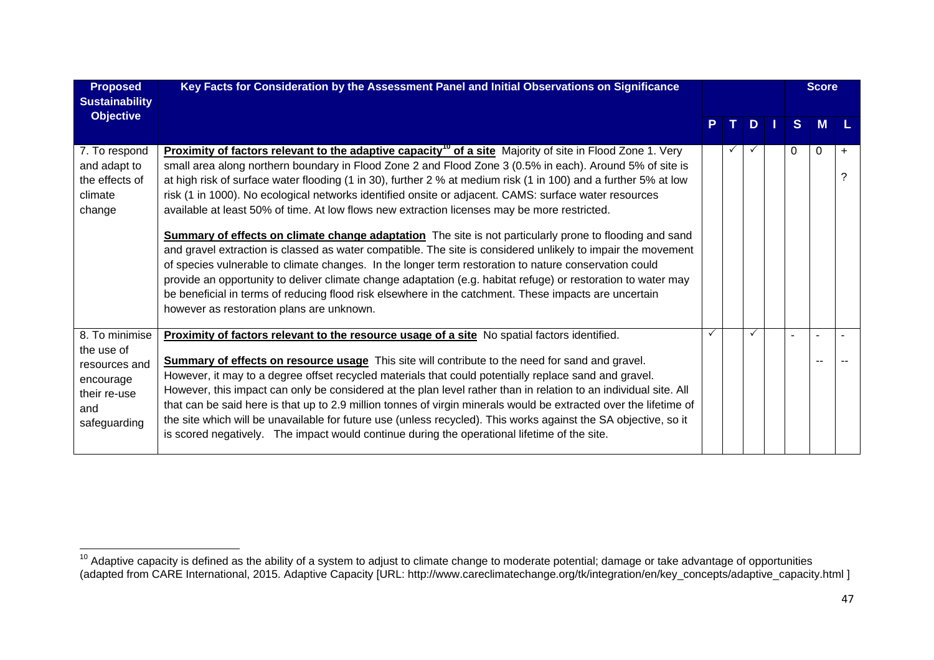| <b>Proposed</b><br><b>Sustainability</b>                                                          | Key Facts for Consideration by the Assessment Panel and Initial Observations on Significance                                                                                                                                                                                                                                                                                                                                                                                                                                                                                                                                                                                                                                                                                                                                                                                                                                                                                                                                                                                                                                                                                    |  |     |               |  |          |          |                |  |  |  | <b>Score</b> |  |
|---------------------------------------------------------------------------------------------------|---------------------------------------------------------------------------------------------------------------------------------------------------------------------------------------------------------------------------------------------------------------------------------------------------------------------------------------------------------------------------------------------------------------------------------------------------------------------------------------------------------------------------------------------------------------------------------------------------------------------------------------------------------------------------------------------------------------------------------------------------------------------------------------------------------------------------------------------------------------------------------------------------------------------------------------------------------------------------------------------------------------------------------------------------------------------------------------------------------------------------------------------------------------------------------|--|-----|---------------|--|----------|----------|----------------|--|--|--|--------------|--|
| <b>Objective</b>                                                                                  |                                                                                                                                                                                                                                                                                                                                                                                                                                                                                                                                                                                                                                                                                                                                                                                                                                                                                                                                                                                                                                                                                                                                                                                 |  | T I | $D \mid \mid$ |  | S        | <b>M</b> |                |  |  |  |              |  |
| 7. To respond<br>and adapt to<br>the effects of<br>climate<br>change                              | Proximity of factors relevant to the adaptive capacity <sup>10</sup> of a site Majority of site in Flood Zone 1. Very<br>small area along northern boundary in Flood Zone 2 and Flood Zone 3 (0.5% in each). Around 5% of site is<br>at high risk of surface water flooding (1 in 30), further 2 % at medium risk (1 in 100) and a further 5% at low<br>risk (1 in 1000). No ecological networks identified onsite or adjacent. CAMS: surface water resources<br>available at least 50% of time. At low flows new extraction licenses may be more restricted.<br><b>Summary of effects on climate change adaptation</b> The site is not particularly prone to flooding and sand<br>and gravel extraction is classed as water compatible. The site is considered unlikely to impair the movement<br>of species vulnerable to climate changes. In the longer term restoration to nature conservation could<br>provide an opportunity to deliver climate change adaptation (e.g. habitat refuge) or restoration to water may<br>be beneficial in terms of reducing flood risk elsewhere in the catchment. These impacts are uncertain<br>however as restoration plans are unknown. |  |     |               |  | $\Omega$ | $\Omega$ | $\ddot{}$<br>2 |  |  |  |              |  |
| 8. To minimise<br>the use of<br>resources and<br>encourage<br>their re-use<br>and<br>safeguarding | Proximity of factors relevant to the resource usage of a site No spatial factors identified.<br>Summary of effects on resource usage This site will contribute to the need for sand and gravel.<br>However, it may to a degree offset recycled materials that could potentially replace sand and gravel.<br>However, this impact can only be considered at the plan level rather than in relation to an individual site. All<br>that can be said here is that up to 2.9 million tonnes of virgin minerals would be extracted over the lifetime of<br>the site which will be unavailable for future use (unless recycled). This works against the SA objective, so it<br>is scored negatively. The impact would continue during the operational lifetime of the site.                                                                                                                                                                                                                                                                                                                                                                                                            |  |     |               |  |          |          |                |  |  |  |              |  |

 $^{10}$  Adaptive capacity is defined as the ability of a system to adjust to climate change to moderate potential; damage or take advantage of opportunities (adapted from CARE International, 2015. Adaptive Capacity [URL: http://www.careclimatechange.org/tk/integration/en/key\_concepts/adaptive\_capacity.html ]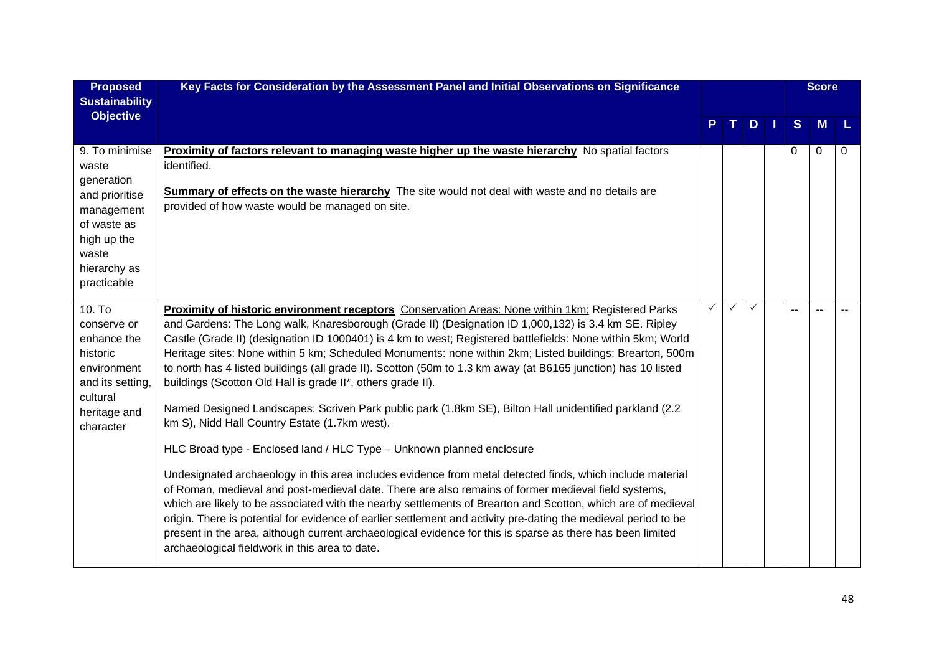| <b>Proposed</b><br><b>Sustainability</b>                                                                                                    | Key Facts for Consideration by the Assessment Panel and Initial Observations on Significance                                                                                                                                                                                                                                                                                                                                                                                                                                                                                                                                                                                                                                                                                                                                                                                                                                                                                                                                                                                                                                                                                                                                                                                                                                                                                                                                                                                    |   |              |   |               | <b>Score</b> |   |
|---------------------------------------------------------------------------------------------------------------------------------------------|---------------------------------------------------------------------------------------------------------------------------------------------------------------------------------------------------------------------------------------------------------------------------------------------------------------------------------------------------------------------------------------------------------------------------------------------------------------------------------------------------------------------------------------------------------------------------------------------------------------------------------------------------------------------------------------------------------------------------------------------------------------------------------------------------------------------------------------------------------------------------------------------------------------------------------------------------------------------------------------------------------------------------------------------------------------------------------------------------------------------------------------------------------------------------------------------------------------------------------------------------------------------------------------------------------------------------------------------------------------------------------------------------------------------------------------------------------------------------------|---|--------------|---|---------------|--------------|---|
| <b>Objective</b>                                                                                                                            |                                                                                                                                                                                                                                                                                                                                                                                                                                                                                                                                                                                                                                                                                                                                                                                                                                                                                                                                                                                                                                                                                                                                                                                                                                                                                                                                                                                                                                                                                 |   |              | D | S             | M            |   |
| 9. To minimise<br>waste<br>generation<br>and prioritise<br>management<br>of waste as<br>high up the<br>waste<br>hierarchy as<br>practicable | <b>Proximity of factors relevant to managing waste higher up the waste hierarchy</b> No spatial factors<br>identified.<br><b>Summary of effects on the waste hierarchy</b> The site would not deal with waste and no details are<br>provided of how waste would be managed on site.                                                                                                                                                                                                                                                                                                                                                                                                                                                                                                                                                                                                                                                                                                                                                                                                                                                                                                                                                                                                                                                                                                                                                                                             |   |              |   | 0             | 0            | 0 |
| $10.$ To<br>conserve or<br>enhance the<br>historic<br>environment<br>and its setting,<br>cultural<br>heritage and<br>character              | Proximity of historic environment receptors Conservation Areas: None within 1km; Registered Parks<br>and Gardens: The Long walk, Knaresborough (Grade II) (Designation ID 1,000,132) is 3.4 km SE. Ripley<br>Castle (Grade II) (designation ID 1000401) is 4 km to west; Registered battlefields: None within 5km; World<br>Heritage sites: None within 5 km; Scheduled Monuments: none within 2km; Listed buildings: Brearton, 500m<br>to north has 4 listed buildings (all grade II). Scotton (50m to 1.3 km away (at B6165 junction) has 10 listed<br>buildings (Scotton Old Hall is grade II*, others grade II).<br>Named Designed Landscapes: Scriven Park public park (1.8km SE), Bilton Hall unidentified parkland (2.2<br>km S), Nidd Hall Country Estate (1.7km west).<br>HLC Broad type - Enclosed land / HLC Type - Unknown planned enclosure<br>Undesignated archaeology in this area includes evidence from metal detected finds, which include material<br>of Roman, medieval and post-medieval date. There are also remains of former medieval field systems,<br>which are likely to be associated with the nearby settlements of Brearton and Scotton, which are of medieval<br>origin. There is potential for evidence of earlier settlement and activity pre-dating the medieval period to be<br>present in the area, although current archaeological evidence for this is sparse as there has been limited<br>archaeological fieldwork in this area to date. | ✓ | $\checkmark$ | ✓ | $\sim$ $\sim$ | $\sim$       |   |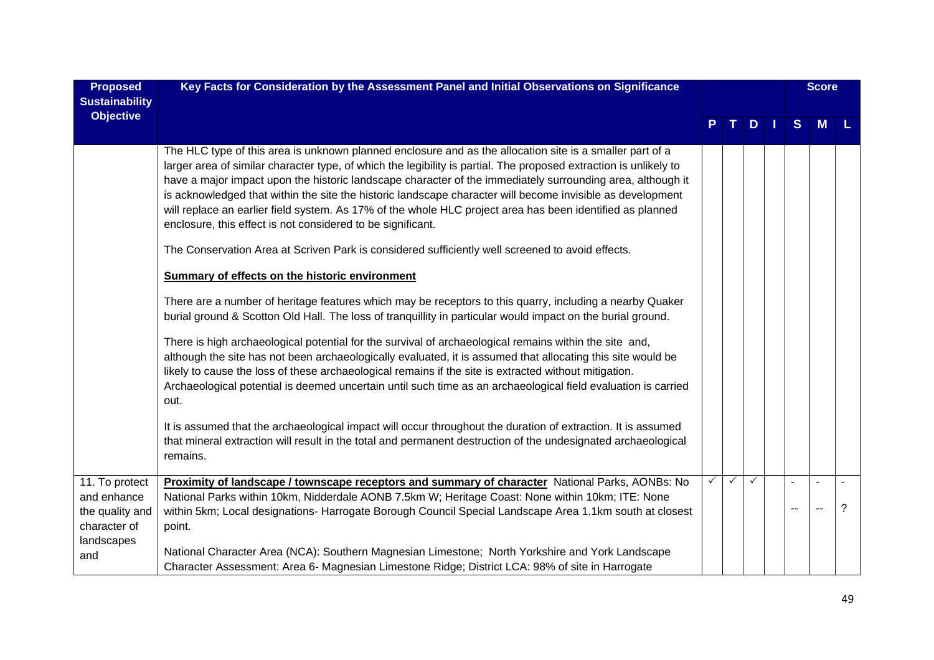| <b>Proposed</b>       | Key Facts for Consideration by the Assessment Panel and Initial Observations on Significance                                                                                                                                                                                                                                                                                                                                                                                                                                                                                                                                                                                                                                                                                                                                                                                                                                                                                                                                                                                                                                                                                                                                                                                                                                                                                                                                                                                                                                                                                                                                                                                                                              |              |              |   |              | <b>Score</b> |              |
|-----------------------|---------------------------------------------------------------------------------------------------------------------------------------------------------------------------------------------------------------------------------------------------------------------------------------------------------------------------------------------------------------------------------------------------------------------------------------------------------------------------------------------------------------------------------------------------------------------------------------------------------------------------------------------------------------------------------------------------------------------------------------------------------------------------------------------------------------------------------------------------------------------------------------------------------------------------------------------------------------------------------------------------------------------------------------------------------------------------------------------------------------------------------------------------------------------------------------------------------------------------------------------------------------------------------------------------------------------------------------------------------------------------------------------------------------------------------------------------------------------------------------------------------------------------------------------------------------------------------------------------------------------------------------------------------------------------------------------------------------------------|--------------|--------------|---|--------------|--------------|--------------|
| <b>Sustainability</b> |                                                                                                                                                                                                                                                                                                                                                                                                                                                                                                                                                                                                                                                                                                                                                                                                                                                                                                                                                                                                                                                                                                                                                                                                                                                                                                                                                                                                                                                                                                                                                                                                                                                                                                                           |              |              |   |              |              |              |
| <b>Objective</b>      |                                                                                                                                                                                                                                                                                                                                                                                                                                                                                                                                                                                                                                                                                                                                                                                                                                                                                                                                                                                                                                                                                                                                                                                                                                                                                                                                                                                                                                                                                                                                                                                                                                                                                                                           |              |              | D | <sub>S</sub> | M            |              |
|                       | The HLC type of this area is unknown planned enclosure and as the allocation site is a smaller part of a<br>larger area of similar character type, of which the legibility is partial. The proposed extraction is unlikely to<br>have a major impact upon the historic landscape character of the immediately surrounding area, although it<br>is acknowledged that within the site the historic landscape character will become invisible as development<br>will replace an earlier field system. As 17% of the whole HLC project area has been identified as planned<br>enclosure, this effect is not considered to be significant.<br>The Conservation Area at Scriven Park is considered sufficiently well screened to avoid effects.<br><b>Summary of effects on the historic environment</b><br>There are a number of heritage features which may be receptors to this quarry, including a nearby Quaker<br>burial ground & Scotton Old Hall. The loss of tranquillity in particular would impact on the burial ground.<br>There is high archaeological potential for the survival of archaeological remains within the site and,<br>although the site has not been archaeologically evaluated, it is assumed that allocating this site would be<br>likely to cause the loss of these archaeological remains if the site is extracted without mitigation.<br>Archaeological potential is deemed uncertain until such time as an archaeological field evaluation is carried<br>out.<br>It is assumed that the archaeological impact will occur throughout the duration of extraction. It is assumed<br>that mineral extraction will result in the total and permanent destruction of the undesignated archaeological |              |              |   |              |              |              |
|                       | remains.                                                                                                                                                                                                                                                                                                                                                                                                                                                                                                                                                                                                                                                                                                                                                                                                                                                                                                                                                                                                                                                                                                                                                                                                                                                                                                                                                                                                                                                                                                                                                                                                                                                                                                                  |              |              |   |              |              |              |
| 11. To protect        | Proximity of landscape / townscape receptors and summary of character National Parks, AONBs: No                                                                                                                                                                                                                                                                                                                                                                                                                                                                                                                                                                                                                                                                                                                                                                                                                                                                                                                                                                                                                                                                                                                                                                                                                                                                                                                                                                                                                                                                                                                                                                                                                           | $\checkmark$ | $\checkmark$ | ✓ |              |              | $\mathbf{r}$ |
| and enhance           | National Parks within 10km, Nidderdale AONB 7.5km W; Heritage Coast: None within 10km; ITE: None                                                                                                                                                                                                                                                                                                                                                                                                                                                                                                                                                                                                                                                                                                                                                                                                                                                                                                                                                                                                                                                                                                                                                                                                                                                                                                                                                                                                                                                                                                                                                                                                                          |              |              |   |              |              |              |
| the quality and       | within 5km; Local designations- Harrogate Borough Council Special Landscape Area 1.1km south at closest                                                                                                                                                                                                                                                                                                                                                                                                                                                                                                                                                                                                                                                                                                                                                                                                                                                                                                                                                                                                                                                                                                                                                                                                                                                                                                                                                                                                                                                                                                                                                                                                                   |              |              |   | --           |              | ?            |
| character of          | point.                                                                                                                                                                                                                                                                                                                                                                                                                                                                                                                                                                                                                                                                                                                                                                                                                                                                                                                                                                                                                                                                                                                                                                                                                                                                                                                                                                                                                                                                                                                                                                                                                                                                                                                    |              |              |   |              |              |              |
| landscapes            | National Character Area (NCA): Southern Magnesian Limestone; North Yorkshire and York Landscape                                                                                                                                                                                                                                                                                                                                                                                                                                                                                                                                                                                                                                                                                                                                                                                                                                                                                                                                                                                                                                                                                                                                                                                                                                                                                                                                                                                                                                                                                                                                                                                                                           |              |              |   |              |              |              |
| and                   | Character Assessment: Area 6- Magnesian Limestone Ridge; District LCA: 98% of site in Harrogate                                                                                                                                                                                                                                                                                                                                                                                                                                                                                                                                                                                                                                                                                                                                                                                                                                                                                                                                                                                                                                                                                                                                                                                                                                                                                                                                                                                                                                                                                                                                                                                                                           |              |              |   |              |              |              |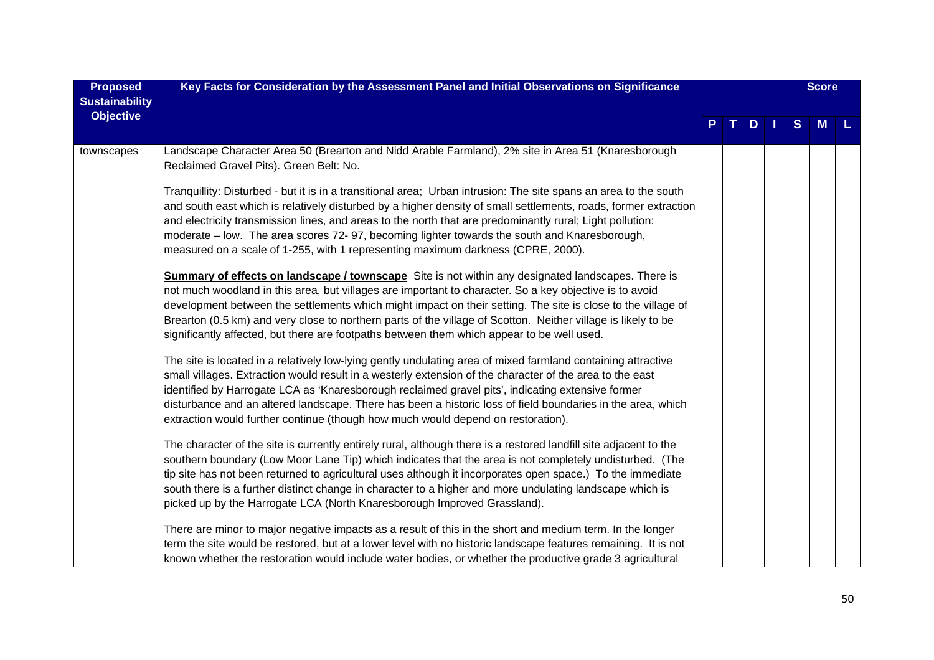| <b>Proposed</b><br><b>Sustainability</b> | Key Facts for Consideration by the Assessment Panel and Initial Observations on Significance                                                                                                                                                                                                                                                                                                                                                                                                                                                        |  |  |   |     |   | <b>Score</b> |  |
|------------------------------------------|-----------------------------------------------------------------------------------------------------------------------------------------------------------------------------------------------------------------------------------------------------------------------------------------------------------------------------------------------------------------------------------------------------------------------------------------------------------------------------------------------------------------------------------------------------|--|--|---|-----|---|--------------|--|
| <b>Objective</b>                         |                                                                                                                                                                                                                                                                                                                                                                                                                                                                                                                                                     |  |  | D | l T | S | M            |  |
| townscapes                               | Landscape Character Area 50 (Brearton and Nidd Arable Farmland), 2% site in Area 51 (Knaresborough<br>Reclaimed Gravel Pits). Green Belt: No.                                                                                                                                                                                                                                                                                                                                                                                                       |  |  |   |     |   |              |  |
|                                          | Tranquillity: Disturbed - but it is in a transitional area; Urban intrusion: The site spans an area to the south<br>and south east which is relatively disturbed by a higher density of small settlements, roads, former extraction<br>and electricity transmission lines, and areas to the north that are predominantly rural; Light pollution:<br>moderate - low. The area scores 72- 97, becoming lighter towards the south and Knaresborough,<br>measured on a scale of 1-255, with 1 representing maximum darkness (CPRE, 2000).               |  |  |   |     |   |              |  |
|                                          | <b>Summary of effects on landscape / townscape</b> Site is not within any designated landscapes. There is<br>not much woodland in this area, but villages are important to character. So a key objective is to avoid<br>development between the settlements which might impact on their setting. The site is close to the village of<br>Brearton (0.5 km) and very close to northern parts of the village of Scotton. Neither village is likely to be<br>significantly affected, but there are footpaths between them which appear to be well used. |  |  |   |     |   |              |  |
|                                          | The site is located in a relatively low-lying gently undulating area of mixed farmland containing attractive<br>small villages. Extraction would result in a westerly extension of the character of the area to the east<br>identified by Harrogate LCA as 'Knaresborough reclaimed gravel pits', indicating extensive former<br>disturbance and an altered landscape. There has been a historic loss of field boundaries in the area, which<br>extraction would further continue (though how much would depend on restoration).                    |  |  |   |     |   |              |  |
|                                          | The character of the site is currently entirely rural, although there is a restored landfill site adjacent to the<br>southern boundary (Low Moor Lane Tip) which indicates that the area is not completely undisturbed. (The<br>tip site has not been returned to agricultural uses although it incorporates open space.) To the immediate<br>south there is a further distinct change in character to a higher and more undulating landscape which is<br>picked up by the Harrogate LCA (North Knaresborough Improved Grassland).                  |  |  |   |     |   |              |  |
|                                          | There are minor to major negative impacts as a result of this in the short and medium term. In the longer<br>term the site would be restored, but at a lower level with no historic landscape features remaining. It is not<br>known whether the restoration would include water bodies, or whether the productive grade 3 agricultural                                                                                                                                                                                                             |  |  |   |     |   |              |  |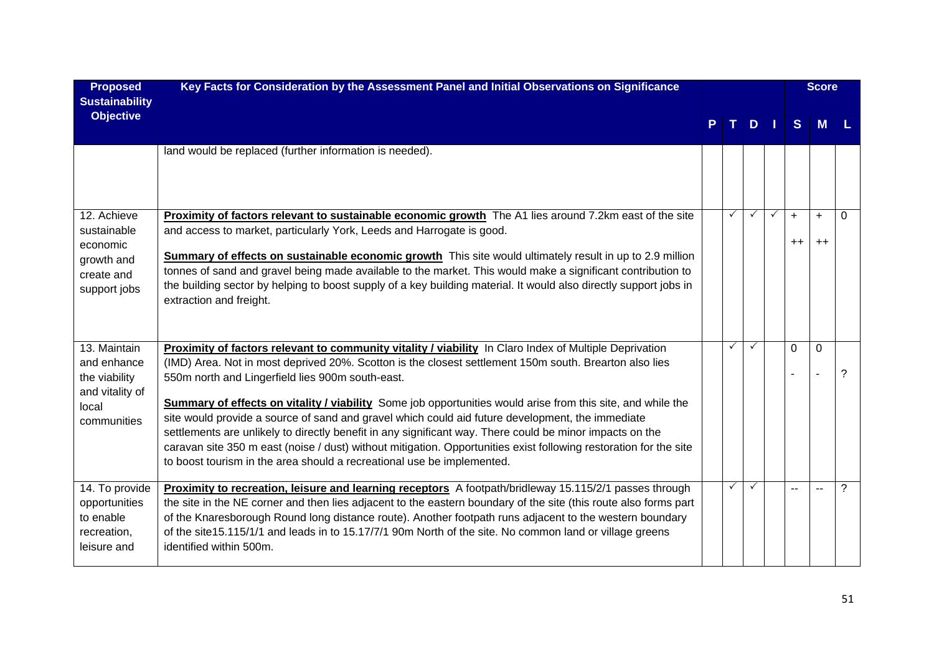| <b>Proposed</b><br><b>Sustainability</b>                                                | Key Facts for Consideration by the Assessment Panel and Initial Observations on Significance                                                                                                                                                                                                                                                                                                                                                                                                                                                                                                                                                                                                                                                                                                              |              |              |              |             | <b>Score</b>   |          |
|-----------------------------------------------------------------------------------------|-----------------------------------------------------------------------------------------------------------------------------------------------------------------------------------------------------------------------------------------------------------------------------------------------------------------------------------------------------------------------------------------------------------------------------------------------------------------------------------------------------------------------------------------------------------------------------------------------------------------------------------------------------------------------------------------------------------------------------------------------------------------------------------------------------------|--------------|--------------|--------------|-------------|----------------|----------|
| <b>Objective</b>                                                                        |                                                                                                                                                                                                                                                                                                                                                                                                                                                                                                                                                                                                                                                                                                                                                                                                           |              | D            |              | S           | M              |          |
|                                                                                         | land would be replaced (further information is needed).                                                                                                                                                                                                                                                                                                                                                                                                                                                                                                                                                                                                                                                                                                                                                   |              |              |              |             |                |          |
| 12. Achieve<br>sustainable<br>economic<br>growth and<br>create and<br>support jobs      | Proximity of factors relevant to sustainable economic growth The A1 lies around 7.2km east of the site<br>and access to market, particularly York, Leeds and Harrogate is good.<br>Summary of effects on sustainable economic growth This site would ultimately result in up to 2.9 million<br>tonnes of sand and gravel being made available to the market. This would make a significant contribution to<br>the building sector by helping to boost supply of a key building material. It would also directly support jobs in<br>extraction and freight.                                                                                                                                                                                                                                                | $\checkmark$ | $\checkmark$ | $\checkmark$ | $+$<br>$++$ | $+$<br>$^{++}$ | $\Omega$ |
| 13. Maintain<br>and enhance<br>the viability<br>and vitality of<br>local<br>communities | Proximity of factors relevant to community vitality / viability In Claro Index of Multiple Deprivation<br>(IMD) Area. Not in most deprived 20%. Scotton is the closest settlement 150m south. Brearton also lies<br>550m north and Lingerfield lies 900m south-east.<br><b>Summary of effects on vitality / viability</b> Some job opportunities would arise from this site, and while the<br>site would provide a source of sand and gravel which could aid future development, the immediate<br>settlements are unlikely to directly benefit in any significant way. There could be minor impacts on the<br>caravan site 350 m east (noise / dust) without mitigation. Opportunities exist following restoration for the site<br>to boost tourism in the area should a recreational use be implemented. | ✓            | ✓            |              | 0           | 0              | ?        |
| 14. To provide<br>opportunities<br>to enable<br>recreation,<br>leisure and              | Proximity to recreation, leisure and learning receptors A footpath/bridleway 15.115/2/1 passes through<br>the site in the NE corner and then lies adjacent to the eastern boundary of the site (this route also forms part<br>of the Knaresborough Round long distance route). Another footpath runs adjacent to the western boundary<br>of the site15.115/1/1 and leads in to 15.17/7/1 90m North of the site. No common land or village greens<br>identified within 500m.                                                                                                                                                                                                                                                                                                                               | ✓            | ✓            |              |             |                | ?        |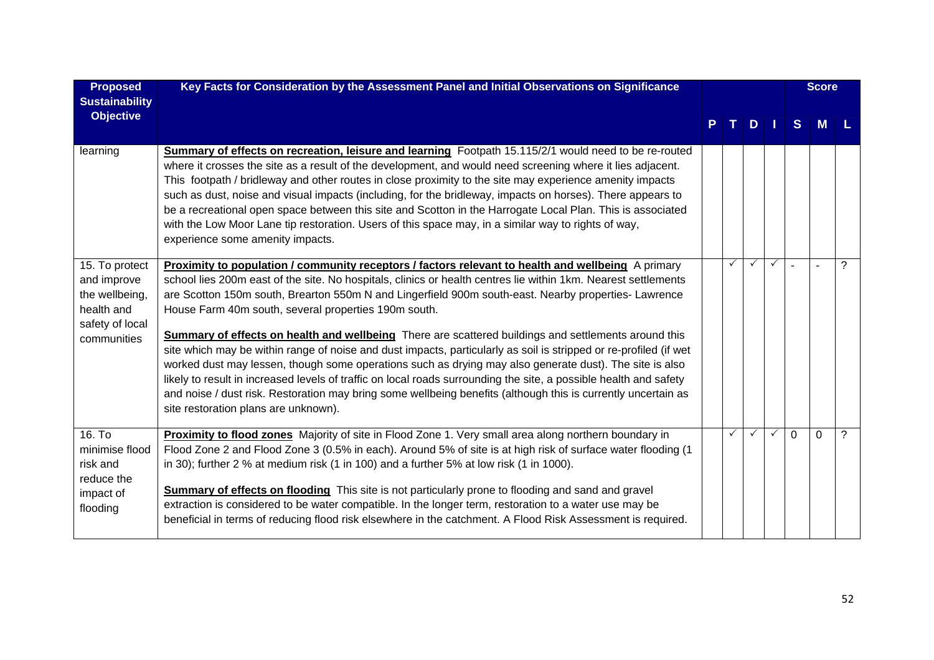| <b>Proposed</b><br><b>Sustainability</b>                                                        | Key Facts for Consideration by the Assessment Panel and Initial Observations on Significance                                                                                                                                                                                                                                                                                                                                                                                                                                                                                                                                                                                                                                                                                                                                                                                                                                                                                                               |              |               |              |          | <b>Score</b> |   |
|-------------------------------------------------------------------------------------------------|------------------------------------------------------------------------------------------------------------------------------------------------------------------------------------------------------------------------------------------------------------------------------------------------------------------------------------------------------------------------------------------------------------------------------------------------------------------------------------------------------------------------------------------------------------------------------------------------------------------------------------------------------------------------------------------------------------------------------------------------------------------------------------------------------------------------------------------------------------------------------------------------------------------------------------------------------------------------------------------------------------|--------------|---------------|--------------|----------|--------------|---|
| <b>Objective</b>                                                                                |                                                                                                                                                                                                                                                                                                                                                                                                                                                                                                                                                                                                                                                                                                                                                                                                                                                                                                                                                                                                            | T I          | $D \mid \mid$ |              | S        | <b>M</b>     |   |
| learning                                                                                        | Summary of effects on recreation, leisure and learning Footpath 15.115/2/1 would need to be re-routed<br>where it crosses the site as a result of the development, and would need screening where it lies adjacent.<br>This footpath / bridleway and other routes in close proximity to the site may experience amenity impacts<br>such as dust, noise and visual impacts (including, for the bridleway, impacts on horses). There appears to<br>be a recreational open space between this site and Scotton in the Harrogate Local Plan. This is associated<br>with the Low Moor Lane tip restoration. Users of this space may, in a similar way to rights of way,<br>experience some amenity impacts.                                                                                                                                                                                                                                                                                                     |              |               |              |          |              |   |
| 15. To protect<br>and improve<br>the wellbeing,<br>health and<br>safety of local<br>communities | Proximity to population / community receptors / factors relevant to health and wellbeing A primary<br>school lies 200m east of the site. No hospitals, clinics or health centres lie within 1km. Nearest settlements<br>are Scotton 150m south, Brearton 550m N and Lingerfield 900m south-east. Nearby properties- Lawrence<br>House Farm 40m south, several properties 190m south.<br>Summary of effects on health and wellbeing There are scattered buildings and settlements around this<br>site which may be within range of noise and dust impacts, particularly as soil is stripped or re-profiled (if wet<br>worked dust may lessen, though some operations such as drying may also generate dust). The site is also<br>likely to result in increased levels of traffic on local roads surrounding the site, a possible health and safety<br>and noise / dust risk. Restoration may bring some wellbeing benefits (although this is currently uncertain as<br>site restoration plans are unknown). | ✓            | ✓             | $\checkmark$ |          |              | ? |
| 16. To<br>minimise flood<br>risk and<br>reduce the<br>impact of<br>flooding                     | Proximity to flood zones Majority of site in Flood Zone 1. Very small area along northern boundary in<br>Flood Zone 2 and Flood Zone 3 (0.5% in each). Around 5% of site is at high risk of surface water flooding (1<br>in 30); further 2 % at medium risk (1 in 100) and a further 5% at low risk (1 in 1000).<br>Summary of effects on flooding This site is not particularly prone to flooding and sand and gravel<br>extraction is considered to be water compatible. In the longer term, restoration to a water use may be<br>beneficial in terms of reducing flood risk elsewhere in the catchment. A Flood Risk Assessment is required.                                                                                                                                                                                                                                                                                                                                                            | $\checkmark$ | $\checkmark$  | $\checkmark$ | $\Omega$ | $\Omega$     | ? |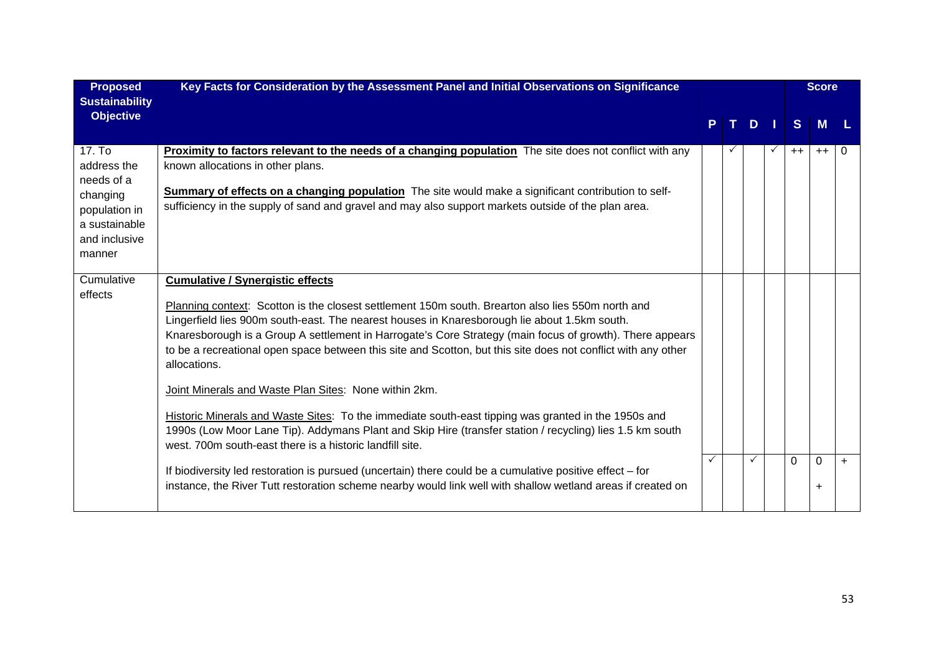| <b>Proposed</b><br><b>Sustainability</b>                                                                     | Key Facts for Consideration by the Assessment Panel and Initial Observations on Significance                                                                                                                                                                                                                                                                                                                                                                                                                                                                                                                                                                                                                                                                                                                                      |  |  |              |              |          | <b>Score</b>      |     |
|--------------------------------------------------------------------------------------------------------------|-----------------------------------------------------------------------------------------------------------------------------------------------------------------------------------------------------------------------------------------------------------------------------------------------------------------------------------------------------------------------------------------------------------------------------------------------------------------------------------------------------------------------------------------------------------------------------------------------------------------------------------------------------------------------------------------------------------------------------------------------------------------------------------------------------------------------------------|--|--|--------------|--------------|----------|-------------------|-----|
| <b>Objective</b>                                                                                             |                                                                                                                                                                                                                                                                                                                                                                                                                                                                                                                                                                                                                                                                                                                                                                                                                                   |  |  | D.           |              | S        | <b>M</b>          |     |
| 17. To<br>address the<br>needs of a<br>changing<br>population in<br>a sustainable<br>and inclusive<br>manner | <b>Proximity to factors relevant to the needs of a changing population</b> The site does not conflict with any<br>known allocations in other plans.<br>Summary of effects on a changing population The site would make a significant contribution to self-<br>sufficiency in the supply of sand and gravel and may also support markets outside of the plan area.                                                                                                                                                                                                                                                                                                                                                                                                                                                                 |  |  |              | $\checkmark$ | $++$     | $++$              | 0   |
| Cumulative<br>effects                                                                                        | <b>Cumulative / Synergistic effects</b><br>Planning context: Scotton is the closest settlement 150m south. Brearton also lies 550m north and<br>Lingerfield lies 900m south-east. The nearest houses in Knaresborough lie about 1.5km south.<br>Knaresborough is a Group A settlement in Harrogate's Core Strategy (main focus of growth). There appears<br>to be a recreational open space between this site and Scotton, but this site does not conflict with any other<br>allocations.<br>Joint Minerals and Waste Plan Sites: None within 2km.<br>Historic Minerals and Waste Sites: To the immediate south-east tipping was granted in the 1950s and<br>1990s (Low Moor Lane Tip). Addymans Plant and Skip Hire (transfer station / recycling) lies 1.5 km south<br>west. 700m south-east there is a historic landfill site. |  |  |              |              |          |                   |     |
|                                                                                                              | If biodiversity led restoration is pursued (uncertain) there could be a cumulative positive effect – for<br>instance, the River Tutt restoration scheme nearby would link well with shallow wetland areas if created on                                                                                                                                                                                                                                                                                                                                                                                                                                                                                                                                                                                                           |  |  | $\checkmark$ |              | $\Omega$ | $\Omega$<br>$\pm$ | $+$ |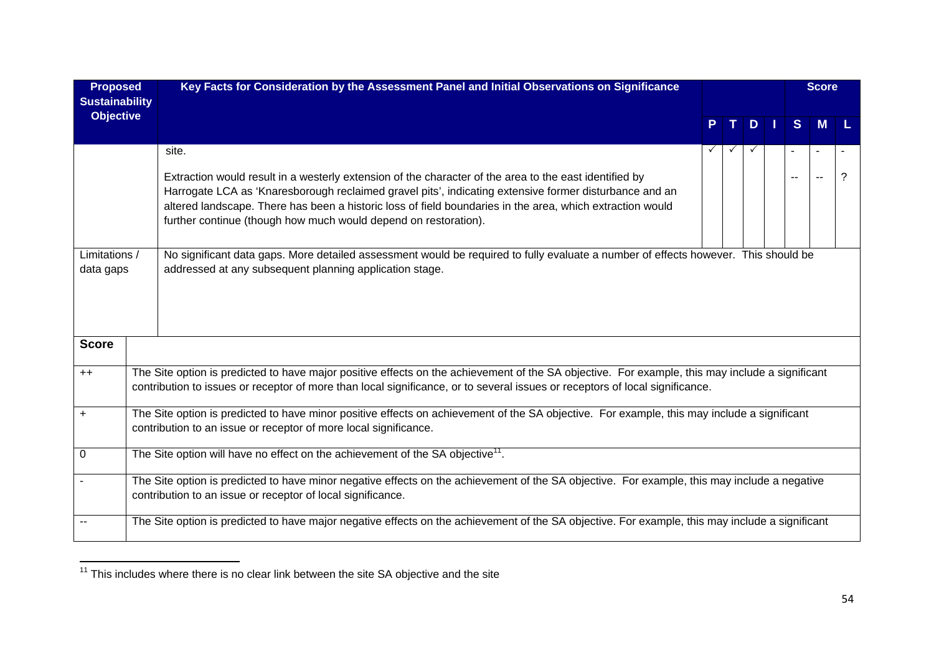| <b>Proposed</b><br><b>Sustainability</b> |                                                                                                                                                                                                             | Key Facts for Consideration by the Assessment Panel and Initial Observations on Significance                                                                                                                                                                                                                                                                                                              |    |   |         |  | <b>Score</b> |   |   |  |
|------------------------------------------|-------------------------------------------------------------------------------------------------------------------------------------------------------------------------------------------------------------|-----------------------------------------------------------------------------------------------------------------------------------------------------------------------------------------------------------------------------------------------------------------------------------------------------------------------------------------------------------------------------------------------------------|----|---|---------|--|--------------|---|---|--|
| <b>Objective</b>                         |                                                                                                                                                                                                             |                                                                                                                                                                                                                                                                                                                                                                                                           | P. | T | $D$   1 |  | S            | M |   |  |
|                                          |                                                                                                                                                                                                             | site.<br>Extraction would result in a westerly extension of the character of the area to the east identified by<br>Harrogate LCA as 'Knaresborough reclaimed gravel pits', indicating extensive former disturbance and an<br>altered landscape. There has been a historic loss of field boundaries in the area, which extraction would<br>further continue (though how much would depend on restoration). |    |   |         |  |              |   | ? |  |
| Limitations /<br>data gaps               |                                                                                                                                                                                                             | No significant data gaps. More detailed assessment would be required to fully evaluate a number of effects however. This should be<br>addressed at any subsequent planning application stage.                                                                                                                                                                                                             |    |   |         |  |              |   |   |  |
| <b>Score</b>                             |                                                                                                                                                                                                             |                                                                                                                                                                                                                                                                                                                                                                                                           |    |   |         |  |              |   |   |  |
| $++$                                     |                                                                                                                                                                                                             | The Site option is predicted to have major positive effects on the achievement of the SA objective. For example, this may include a significant<br>contribution to issues or receptor of more than local significance, or to several issues or receptors of local significance.                                                                                                                           |    |   |         |  |              |   |   |  |
| $\ddot{}$                                |                                                                                                                                                                                                             | The Site option is predicted to have minor positive effects on achievement of the SA objective. For example, this may include a significant<br>contribution to an issue or receptor of more local significance.                                                                                                                                                                                           |    |   |         |  |              |   |   |  |
| $\mathbf 0$                              |                                                                                                                                                                                                             | The Site option will have no effect on the achievement of the SA objective <sup>11</sup> .                                                                                                                                                                                                                                                                                                                |    |   |         |  |              |   |   |  |
|                                          | The Site option is predicted to have minor negative effects on the achievement of the SA objective. For example, this may include a negative<br>contribution to an issue or receptor of local significance. |                                                                                                                                                                                                                                                                                                                                                                                                           |    |   |         |  |              |   |   |  |
|                                          |                                                                                                                                                                                                             | The Site option is predicted to have major negative effects on the achievement of the SA objective. For example, this may include a significant                                                                                                                                                                                                                                                           |    |   |         |  |              |   |   |  |

<sup>11</sup> This includes where there is no clear link between the site SA objective and the site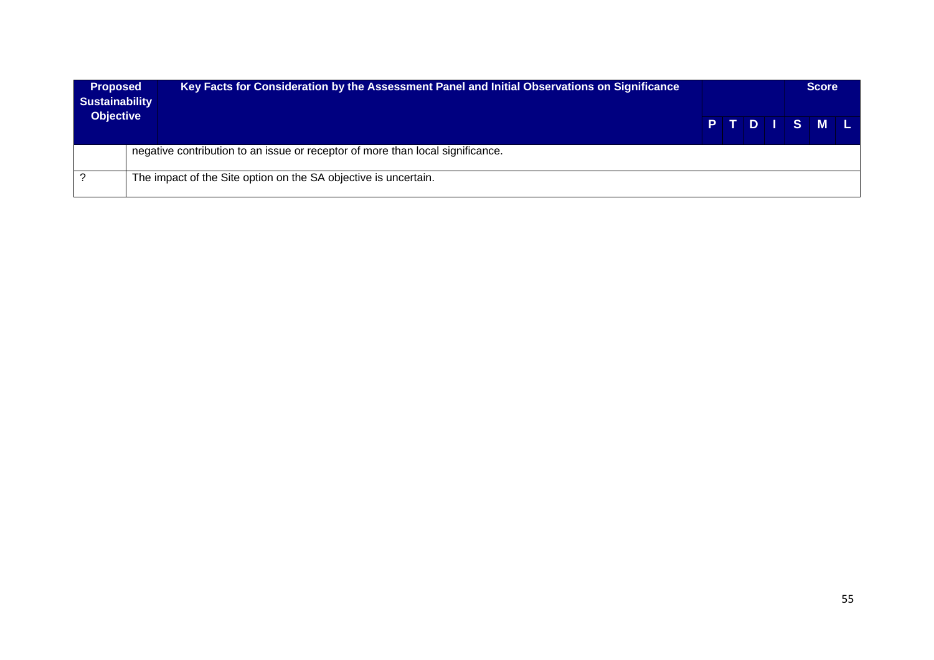| <b>Proposed</b><br><b>Sustainability</b><br><b>Objective</b> | Key Facts for Consideration by the Assessment Panel and Initial Observations on Significance |  |  |  |  |         |  | <b>Score</b> |  |
|--------------------------------------------------------------|----------------------------------------------------------------------------------------------|--|--|--|--|---------|--|--------------|--|
|                                                              |                                                                                              |  |  |  |  | PTDISML |  |              |  |
|                                                              | negative contribution to an issue or receptor of more than local significance.               |  |  |  |  |         |  |              |  |
|                                                              | The impact of the Site option on the SA objective is uncertain.                              |  |  |  |  |         |  |              |  |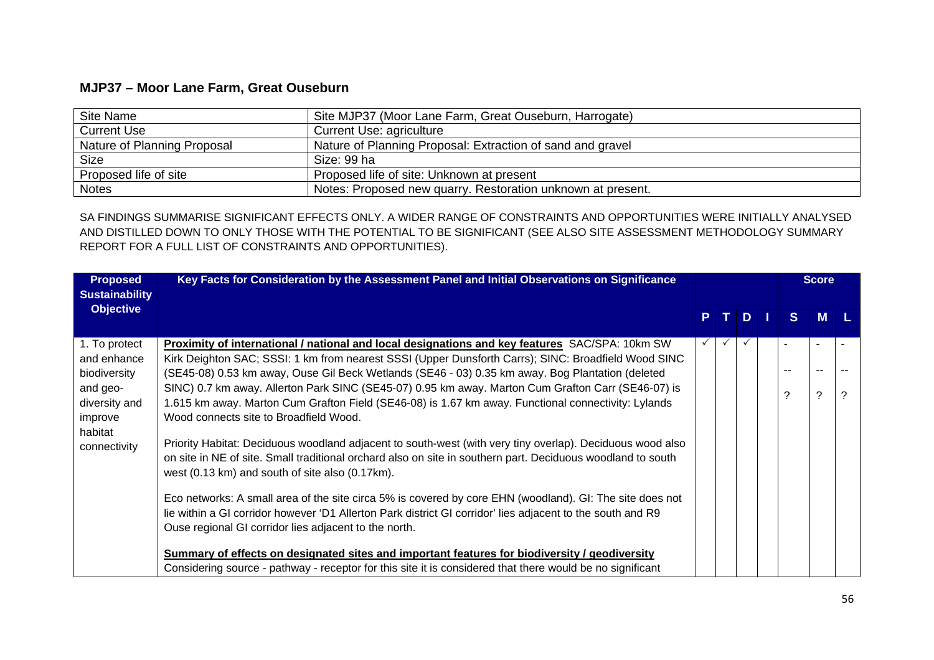## **MJP37 – Moor Lane Farm, Great Ouseburn**

| Site Name                   | Site MJP37 (Moor Lane Farm, Great Ouseburn, Harrogate)      |
|-----------------------------|-------------------------------------------------------------|
| <b>Current Use</b>          | Current Use: agriculture                                    |
| Nature of Planning Proposal | Nature of Planning Proposal: Extraction of sand and gravel  |
| <b>Size</b>                 | Size: 99 ha                                                 |
| Proposed life of site       | Proposed life of site: Unknown at present                   |
| <b>Notes</b>                | Notes: Proposed new quarry. Restoration unknown at present. |

SA FINDINGS SUMMARISE SIGNIFICANT EFFECTS ONLY. A WIDER RANGE OF CONSTRAINTS AND OPPORTUNITIES WERE INITIALLY ANALYSED AND DISTILLED DOWN TO ONLY THOSE WITH THE POTENTIAL TO BE SIGNIFICANT (SEE ALSO SITE ASSESSMENT METHODOLOGY SUMMARY REPORT FOR A FULL LIST OF CONSTRAINTS AND OPPORTUNITIES).

| <b>Proposed</b><br><b>Sustainability</b> | Key Facts for Consideration by the Assessment Panel and Initial Observations on Significance                                                                                                            |  |              |              | <b>Score</b> |   |
|------------------------------------------|---------------------------------------------------------------------------------------------------------------------------------------------------------------------------------------------------------|--|--------------|--------------|--------------|---|
| <b>Objective</b>                         |                                                                                                                                                                                                         |  | D            | <sub>S</sub> | <b>M</b>     |   |
| 1. To protect                            | Proximity of international / national and local designations and key features SAC/SPA: 10km SW                                                                                                          |  | $\checkmark$ |              |              |   |
| and enhance<br>biodiversity              | Kirk Deighton SAC; SSSI: 1 km from nearest SSSI (Upper Dunsforth Carrs); SINC: Broadfield Wood SINC<br>(SE45-08) 0.53 km away, Ouse Gil Beck Wetlands (SE46 - 03) 0.35 km away. Bog Plantation (deleted |  |              |              |              |   |
| and geo-                                 | SINC) 0.7 km away. Allerton Park SINC (SE45-07) 0.95 km away. Marton Cum Grafton Carr (SE46-07) is                                                                                                      |  |              |              |              |   |
| diversity and                            | 1.615 km away. Marton Cum Grafton Field (SE46-08) is 1.67 km away. Functional connectivity: Lylands                                                                                                     |  |              | ?            | 2            | ? |
| improve                                  | Wood connects site to Broadfield Wood.                                                                                                                                                                  |  |              |              |              |   |
| habitat                                  | Priority Habitat: Deciduous woodland adjacent to south-west (with very tiny overlap). Deciduous wood also                                                                                               |  |              |              |              |   |
| connectivity                             | on site in NE of site. Small traditional orchard also on site in southern part. Deciduous woodland to south                                                                                             |  |              |              |              |   |
|                                          | west (0.13 km) and south of site also (0.17 km).                                                                                                                                                        |  |              |              |              |   |
|                                          | Eco networks: A small area of the site circa 5% is covered by core EHN (woodland). GI: The site does not                                                                                                |  |              |              |              |   |
|                                          | lie within a GI corridor however 'D1 Allerton Park district GI corridor' lies adjacent to the south and R9                                                                                              |  |              |              |              |   |
|                                          | Ouse regional GI corridor lies adjacent to the north.                                                                                                                                                   |  |              |              |              |   |
|                                          |                                                                                                                                                                                                         |  |              |              |              |   |
|                                          | Summary of effects on designated sites and important features for biodiversity / geodiversity                                                                                                           |  |              |              |              |   |
|                                          | Considering source - pathway - receptor for this site it is considered that there would be no significant                                                                                               |  |              |              |              |   |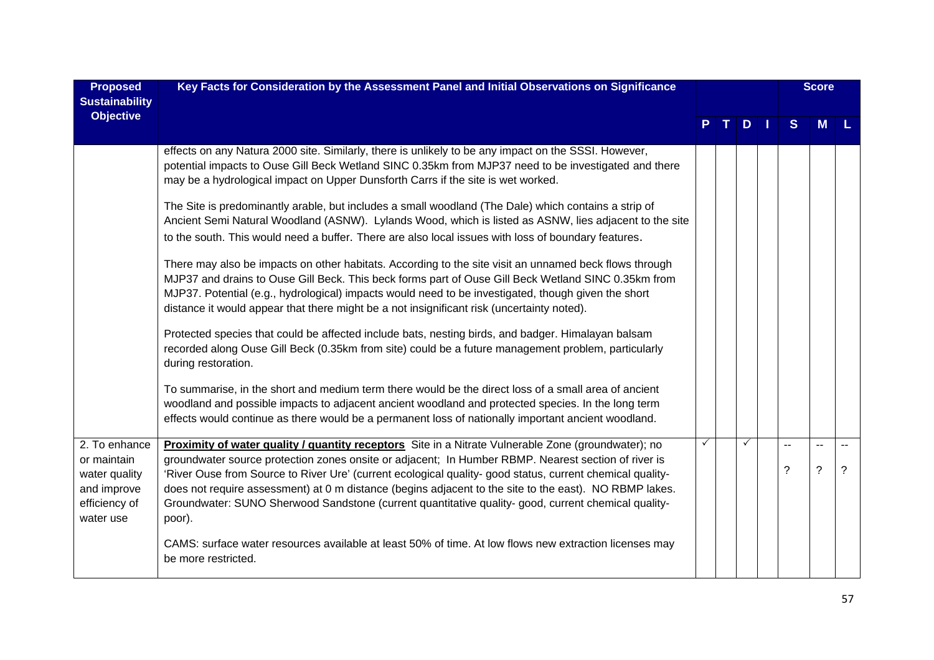| <b>Proposed</b><br><b>Sustainability</b>                                                   | Key Facts for Consideration by the Assessment Panel and Initial Observations on Significance                                                                                                                                                                                                                                                                                                                                                                                                                                                       |   |              |                    | <b>Score</b>                     |                          |
|--------------------------------------------------------------------------------------------|----------------------------------------------------------------------------------------------------------------------------------------------------------------------------------------------------------------------------------------------------------------------------------------------------------------------------------------------------------------------------------------------------------------------------------------------------------------------------------------------------------------------------------------------------|---|--------------|--------------------|----------------------------------|--------------------------|
| <b>Objective</b>                                                                           |                                                                                                                                                                                                                                                                                                                                                                                                                                                                                                                                                    |   | $D$          | S                  |                                  |                          |
|                                                                                            | effects on any Natura 2000 site. Similarly, there is unlikely to be any impact on the SSSI. However,<br>potential impacts to Ouse Gill Beck Wetland SINC 0.35km from MJP37 need to be investigated and there<br>may be a hydrological impact on Upper Dunsforth Carrs if the site is wet worked.                                                                                                                                                                                                                                                   |   |              |                    |                                  |                          |
|                                                                                            | The Site is predominantly arable, but includes a small woodland (The Dale) which contains a strip of<br>Ancient Semi Natural Woodland (ASNW). Lylands Wood, which is listed as ASNW, lies adjacent to the site                                                                                                                                                                                                                                                                                                                                     |   |              |                    |                                  |                          |
|                                                                                            | to the south. This would need a buffer. There are also local issues with loss of boundary features.                                                                                                                                                                                                                                                                                                                                                                                                                                                |   |              |                    |                                  |                          |
|                                                                                            | There may also be impacts on other habitats. According to the site visit an unnamed beck flows through<br>MJP37 and drains to Ouse Gill Beck. This beck forms part of Ouse Gill Beck Wetland SINC 0.35km from<br>MJP37. Potential (e.g., hydrological) impacts would need to be investigated, though given the short<br>distance it would appear that there might be a not insignificant risk (uncertainty noted).                                                                                                                                 |   |              |                    |                                  |                          |
|                                                                                            | Protected species that could be affected include bats, nesting birds, and badger. Himalayan balsam<br>recorded along Ouse Gill Beck (0.35km from site) could be a future management problem, particularly<br>during restoration.                                                                                                                                                                                                                                                                                                                   |   |              |                    |                                  |                          |
|                                                                                            | To summarise, in the short and medium term there would be the direct loss of a small area of ancient<br>woodland and possible impacts to adjacent ancient woodland and protected species. In the long term<br>effects would continue as there would be a permanent loss of nationally important ancient woodland.                                                                                                                                                                                                                                  |   |              |                    |                                  |                          |
| 2. To enhance<br>or maintain<br>water quality<br>and improve<br>efficiency of<br>water use | Proximity of water quality / quantity receptors Site in a Nitrate Vulnerable Zone (groundwater); no<br>groundwater source protection zones onsite or adjacent; In Humber RBMP. Nearest section of river is<br>'River Ouse from Source to River Ure' (current ecological quality- good status, current chemical quality-<br>does not require assessment) at 0 m distance (begins adjacent to the site to the east). NO RBMP lakes.<br>Groundwater: SUNO Sherwood Sandstone (current quantitative quality- good, current chemical quality-<br>poor). | ✓ | $\checkmark$ | $\sim$ $\sim$<br>? | $\overline{a}$<br>$\overline{?}$ | $\sim$<br>$\overline{?}$ |
|                                                                                            | CAMS: surface water resources available at least 50% of time. At low flows new extraction licenses may<br>be more restricted.                                                                                                                                                                                                                                                                                                                                                                                                                      |   |              |                    |                                  |                          |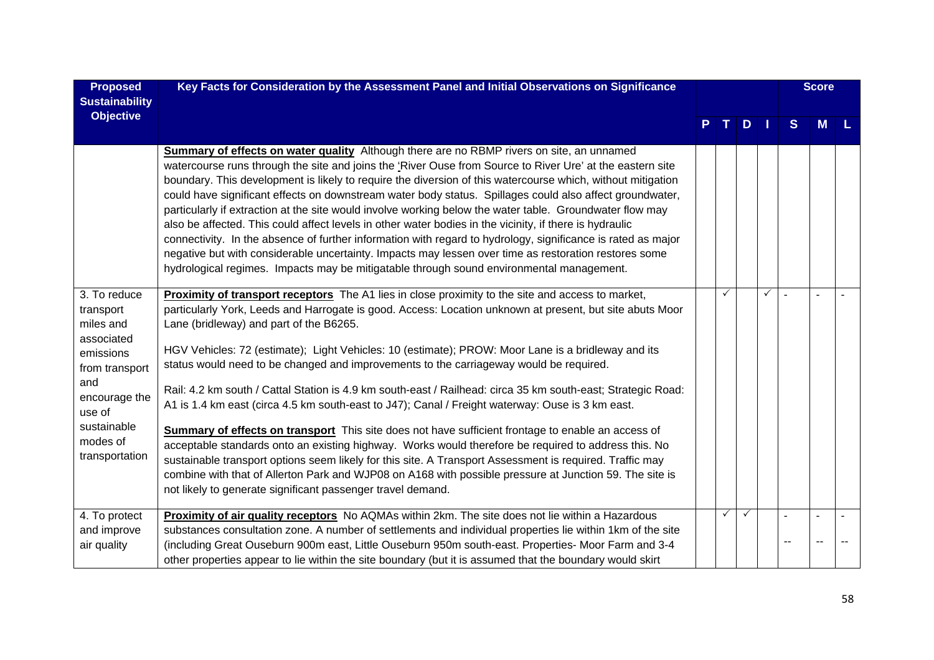| <b>Proposed</b><br><b>Sustainability</b>                                                                                                                           | Key Facts for Consideration by the Assessment Panel and Initial Observations on Significance                                                                                                                                                                                                                                                                                                                                                                                                                                                                                                                                                                                                                                                                                                                                                                                                                                                                                                                                                                                                                                                                                            |    |               |              |        | <b>Score</b> |  |
|--------------------------------------------------------------------------------------------------------------------------------------------------------------------|-----------------------------------------------------------------------------------------------------------------------------------------------------------------------------------------------------------------------------------------------------------------------------------------------------------------------------------------------------------------------------------------------------------------------------------------------------------------------------------------------------------------------------------------------------------------------------------------------------------------------------------------------------------------------------------------------------------------------------------------------------------------------------------------------------------------------------------------------------------------------------------------------------------------------------------------------------------------------------------------------------------------------------------------------------------------------------------------------------------------------------------------------------------------------------------------|----|---------------|--------------|--------|--------------|--|
| <b>Objective</b>                                                                                                                                                   |                                                                                                                                                                                                                                                                                                                                                                                                                                                                                                                                                                                                                                                                                                                                                                                                                                                                                                                                                                                                                                                                                                                                                                                         | Τ. | $D$   $\vert$ |              | S      | Μ            |  |
|                                                                                                                                                                    | <b>Summary of effects on water quality</b> Although there are no RBMP rivers on site, an unnamed<br>watercourse runs through the site and joins the 'River Ouse from Source to River Ure' at the eastern site<br>boundary. This development is likely to require the diversion of this watercourse which, without mitigation<br>could have significant effects on downstream water body status. Spillages could also affect groundwater,<br>particularly if extraction at the site would involve working below the water table. Groundwater flow may<br>also be affected. This could affect levels in other water bodies in the vicinity, if there is hydraulic<br>connectivity. In the absence of further information with regard to hydrology, significance is rated as major<br>negative but with considerable uncertainty. Impacts may lessen over time as restoration restores some<br>hydrological regimes. Impacts may be mitigatable through sound environmental management.                                                                                                                                                                                                    |    |               |              |        |              |  |
| 3. To reduce<br>transport<br>miles and<br>associated<br>emissions<br>from transport<br>and<br>encourage the<br>use of<br>sustainable<br>modes of<br>transportation | <b>Proximity of transport receptors</b> The A1 lies in close proximity to the site and access to market,<br>particularly York, Leeds and Harrogate is good. Access: Location unknown at present, but site abuts Moor<br>Lane (bridleway) and part of the B6265.<br>HGV Vehicles: 72 (estimate); Light Vehicles: 10 (estimate); PROW: Moor Lane is a bridleway and its<br>status would need to be changed and improvements to the carriageway would be required.<br>Rail: 4.2 km south / Cattal Station is 4.9 km south-east / Railhead: circa 35 km south-east; Strategic Road:<br>A1 is 1.4 km east (circa 4.5 km south-east to J47); Canal / Freight waterway: Ouse is 3 km east.<br>Summary of effects on transport This site does not have sufficient frontage to enable an access of<br>acceptable standards onto an existing highway. Works would therefore be required to address this. No<br>sustainable transport options seem likely for this site. A Transport Assessment is required. Traffic may<br>combine with that of Allerton Park and WJP08 on A168 with possible pressure at Junction 59. The site is<br>not likely to generate significant passenger travel demand. | ✓  |               | $\checkmark$ | $\sim$ |              |  |
| 4. To protect<br>and improve                                                                                                                                       | Proximity of air quality receptors No AQMAs within 2km. The site does not lie within a Hazardous<br>substances consultation zone. A number of settlements and individual properties lie within 1km of the site                                                                                                                                                                                                                                                                                                                                                                                                                                                                                                                                                                                                                                                                                                                                                                                                                                                                                                                                                                          | ✓  | $\checkmark$  |              |        |              |  |
| air quality                                                                                                                                                        | (including Great Ouseburn 900m east, Little Ouseburn 950m south-east. Properties- Moor Farm and 3-4<br>other properties appear to lie within the site boundary (but it is assumed that the boundary would skirt                                                                                                                                                                                                                                                                                                                                                                                                                                                                                                                                                                                                                                                                                                                                                                                                                                                                                                                                                                         |    |               |              |        |              |  |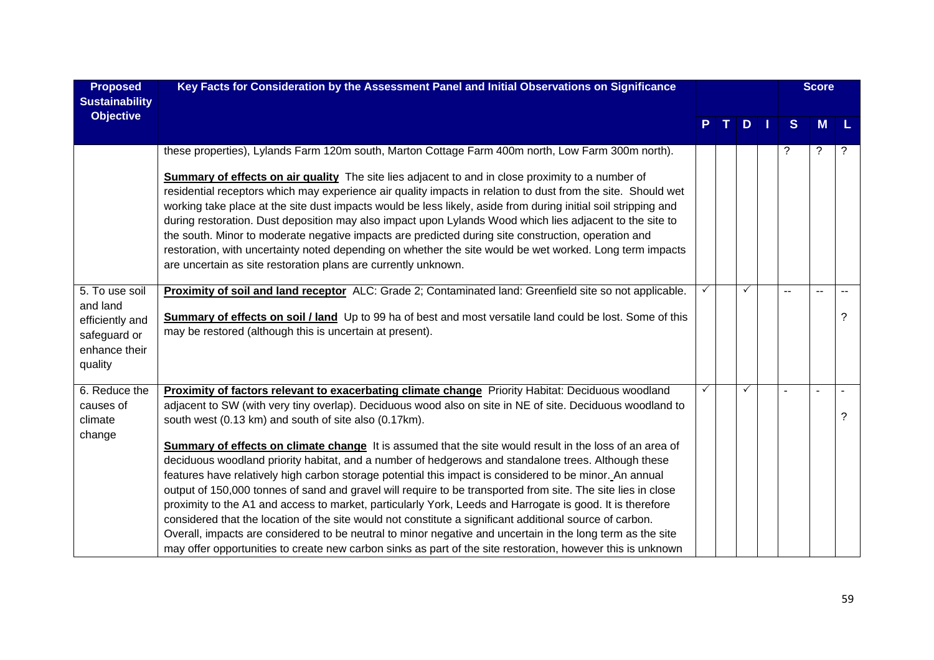| <b>Proposed</b><br><b>Sustainability</b>                                                  | Key Facts for Consideration by the Assessment Panel and Initial Observations on Significance                                                                                                                                                                                                                                                                                                                                                                                                                                                                                                                                                                                                                                                                                                                                                                                                                                                                                                                                                                                                                                                                               |   |    |              |   | <b>Score</b> |   |
|-------------------------------------------------------------------------------------------|----------------------------------------------------------------------------------------------------------------------------------------------------------------------------------------------------------------------------------------------------------------------------------------------------------------------------------------------------------------------------------------------------------------------------------------------------------------------------------------------------------------------------------------------------------------------------------------------------------------------------------------------------------------------------------------------------------------------------------------------------------------------------------------------------------------------------------------------------------------------------------------------------------------------------------------------------------------------------------------------------------------------------------------------------------------------------------------------------------------------------------------------------------------------------|---|----|--------------|---|--------------|---|
| <b>Objective</b>                                                                          |                                                                                                                                                                                                                                                                                                                                                                                                                                                                                                                                                                                                                                                                                                                                                                                                                                                                                                                                                                                                                                                                                                                                                                            |   | т. | $D$          | S | М            |   |
|                                                                                           | these properties), Lylands Farm 120m south, Marton Cottage Farm 400m north, Low Farm 300m north).<br><b>Summary of effects on air quality</b> The site lies adjacent to and in close proximity to a number of<br>residential receptors which may experience air quality impacts in relation to dust from the site. Should wet<br>working take place at the site dust impacts would be less likely, aside from during initial soil stripping and<br>during restoration. Dust deposition may also impact upon Lylands Wood which lies adjacent to the site to<br>the south. Minor to moderate negative impacts are predicted during site construction, operation and<br>restoration, with uncertainty noted depending on whether the site would be wet worked. Long term impacts<br>are uncertain as site restoration plans are currently unknown.                                                                                                                                                                                                                                                                                                                           |   |    |              | ? | ?            | ? |
| 5. To use soil<br>and land<br>efficiently and<br>safeguard or<br>enhance their<br>quality | Proximity of soil and land receptor ALC: Grade 2; Contaminated land: Greenfield site so not applicable.<br>Summary of effects on soil / land Up to 99 ha of best and most versatile land could be lost. Some of this<br>may be restored (although this is uncertain at present).                                                                                                                                                                                                                                                                                                                                                                                                                                                                                                                                                                                                                                                                                                                                                                                                                                                                                           |   |    | $\checkmark$ |   |              | ? |
| 6. Reduce the<br>causes of<br>climate<br>change                                           | Proximity of factors relevant to exacerbating climate change Priority Habitat: Deciduous woodland<br>adjacent to SW (with very tiny overlap). Deciduous wood also on site in NE of site. Deciduous woodland to<br>south west (0.13 km) and south of site also (0.17km).<br>Summary of effects on climate change It is assumed that the site would result in the loss of an area of<br>deciduous woodland priority habitat, and a number of hedgerows and standalone trees. Although these<br>features have relatively high carbon storage potential this impact is considered to be minor. An annual<br>output of 150,000 tonnes of sand and gravel will require to be transported from site. The site lies in close<br>proximity to the A1 and access to market, particularly York, Leeds and Harrogate is good. It is therefore<br>considered that the location of the site would not constitute a significant additional source of carbon.<br>Overall, impacts are considered to be neutral to minor negative and uncertain in the long term as the site<br>may offer opportunities to create new carbon sinks as part of the site restoration, however this is unknown | ✓ |    | $\checkmark$ |   |              | ? |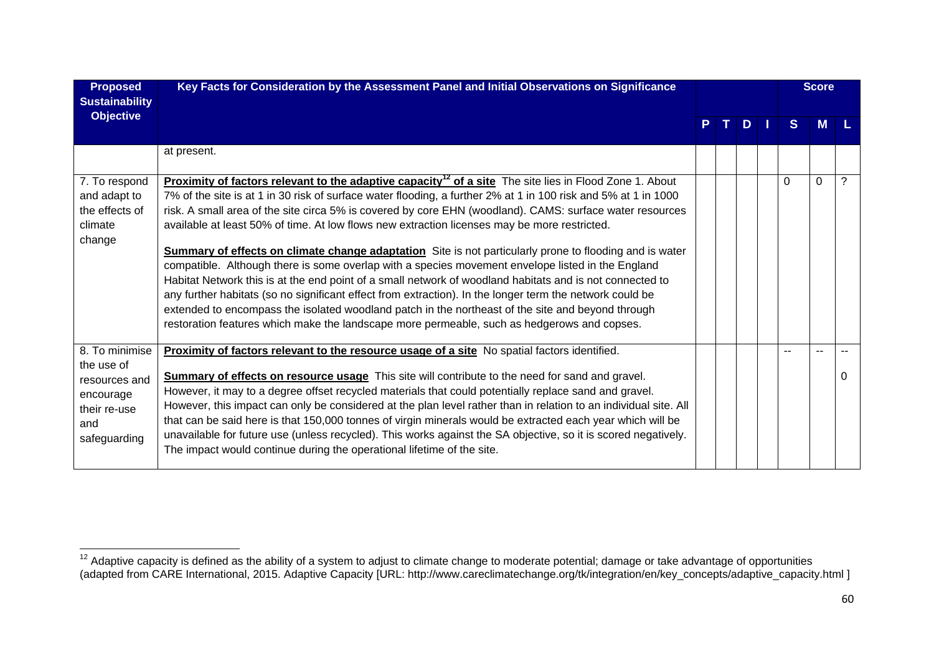| <b>Proposed</b><br><b>Sustainability</b>                                                          | Key Facts for Consideration by the Assessment Panel and Initial Observations on Significance                                                                                                                                                                                                                                                                                                                                                                                                                                                                                                                                                                                                                                                                                                                                                                                                                                                                                                                                                                                                         |  |      |          | <b>Score</b> |   |
|---------------------------------------------------------------------------------------------------|------------------------------------------------------------------------------------------------------------------------------------------------------------------------------------------------------------------------------------------------------------------------------------------------------------------------------------------------------------------------------------------------------------------------------------------------------------------------------------------------------------------------------------------------------------------------------------------------------------------------------------------------------------------------------------------------------------------------------------------------------------------------------------------------------------------------------------------------------------------------------------------------------------------------------------------------------------------------------------------------------------------------------------------------------------------------------------------------------|--|------|----------|--------------|---|
| <b>Objective</b>                                                                                  |                                                                                                                                                                                                                                                                                                                                                                                                                                                                                                                                                                                                                                                                                                                                                                                                                                                                                                                                                                                                                                                                                                      |  | PTDI | S.       | <b>M</b>     |   |
|                                                                                                   | at present.                                                                                                                                                                                                                                                                                                                                                                                                                                                                                                                                                                                                                                                                                                                                                                                                                                                                                                                                                                                                                                                                                          |  |      |          |              |   |
| 7. To respond<br>and adapt to<br>the effects of<br>climate<br>change                              | Proximity of factors relevant to the adaptive capacity <sup>12</sup> of a site The site lies in Flood Zone 1. About<br>7% of the site is at 1 in 30 risk of surface water flooding, a further 2% at 1 in 100 risk and 5% at 1 in 1000<br>risk. A small area of the site circa 5% is covered by core EHN (woodland). CAMS: surface water resources<br>available at least 50% of time. At low flows new extraction licenses may be more restricted.<br><b>Summary of effects on climate change adaptation</b> Site is not particularly prone to flooding and is water<br>compatible. Although there is some overlap with a species movement envelope listed in the England<br>Habitat Network this is at the end point of a small network of woodland habitats and is not connected to<br>any further habitats (so no significant effect from extraction). In the longer term the network could be<br>extended to encompass the isolated woodland patch in the northeast of the site and beyond through<br>restoration features which make the landscape more permeable, such as hedgerows and copses. |  |      | $\Omega$ | $\Omega$     | ? |
| 8. To minimise<br>the use of<br>resources and<br>encourage<br>their re-use<br>and<br>safeguarding | Proximity of factors relevant to the resource usage of a site No spatial factors identified.<br><b>Summary of effects on resource usage</b> This site will contribute to the need for sand and gravel.<br>However, it may to a degree offset recycled materials that could potentially replace sand and gravel.<br>However, this impact can only be considered at the plan level rather than in relation to an individual site. All<br>that can be said here is that 150,000 tonnes of virgin minerals would be extracted each year which will be<br>unavailable for future use (unless recycled). This works against the SA objective, so it is scored negatively.<br>The impact would continue during the operational lifetime of the site.                                                                                                                                                                                                                                                                                                                                                        |  |      | $-$      |              |   |

 $12$  Adaptive capacity is defined as the ability of a system to adjust to climate change to moderate potential; damage or take advantage of opportunities (adapted from CARE International, 2015. Adaptive Capacity [URL: http://www.careclimatechange.org/tk/integration/en/key\_concepts/adaptive\_capacity.html ]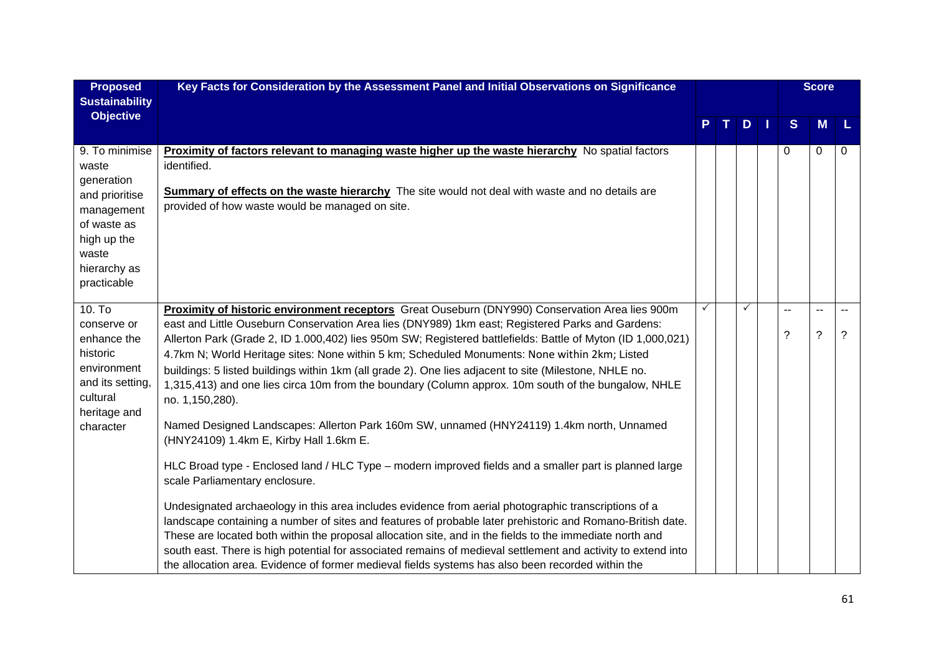| <b>Proposed</b><br><b>Sustainability</b>                                                                                                    | Key Facts for Consideration by the Assessment Panel and Initial Observations on Significance                                                                                                                                                                                                                                                                                                                                                                                                                                                                                                                                                                                                                                                                                                                                                                                                                                                                                                                                                                                                                                                                                                                                                                                                                                                                                                                                                                                                        |              |   |     |                    | <b>Score</b>      |             |
|---------------------------------------------------------------------------------------------------------------------------------------------|-----------------------------------------------------------------------------------------------------------------------------------------------------------------------------------------------------------------------------------------------------------------------------------------------------------------------------------------------------------------------------------------------------------------------------------------------------------------------------------------------------------------------------------------------------------------------------------------------------------------------------------------------------------------------------------------------------------------------------------------------------------------------------------------------------------------------------------------------------------------------------------------------------------------------------------------------------------------------------------------------------------------------------------------------------------------------------------------------------------------------------------------------------------------------------------------------------------------------------------------------------------------------------------------------------------------------------------------------------------------------------------------------------------------------------------------------------------------------------------------------------|--------------|---|-----|--------------------|-------------------|-------------|
| <b>Objective</b>                                                                                                                            |                                                                                                                                                                                                                                                                                                                                                                                                                                                                                                                                                                                                                                                                                                                                                                                                                                                                                                                                                                                                                                                                                                                                                                                                                                                                                                                                                                                                                                                                                                     |              | т | $D$ | S                  | M                 | L           |
| 9. To minimise<br>waste<br>generation<br>and prioritise<br>management<br>of waste as<br>high up the<br>waste<br>hierarchy as<br>practicable | <b>Proximity of factors relevant to managing waste higher up the waste hierarchy</b> No spatial factors<br>identified.<br><b>Summary of effects on the waste hierarchy</b> The site would not deal with waste and no details are<br>provided of how waste would be managed on site.                                                                                                                                                                                                                                                                                                                                                                                                                                                                                                                                                                                                                                                                                                                                                                                                                                                                                                                                                                                                                                                                                                                                                                                                                 |              |   |     | $\Omega$           | 0                 | 0           |
| 10. T <sub>o</sub><br>conserve or<br>enhance the<br>historic<br>environment<br>and its setting,<br>cultural<br>heritage and<br>character    | Proximity of historic environment receptors Great Ouseburn (DNY990) Conservation Area lies 900m<br>east and Little Ouseburn Conservation Area lies (DNY989) 1km east; Registered Parks and Gardens:<br>Allerton Park (Grade 2, ID 1.000,402) lies 950m SW; Registered battlefields: Battle of Myton (ID 1,000,021)<br>4.7km N; World Heritage sites: None within 5 km; Scheduled Monuments: None within 2km; Listed<br>buildings: 5 listed buildings within 1km (all grade 2). One lies adjacent to site (Milestone, NHLE no.<br>1,315,413) and one lies circa 10m from the boundary (Column approx. 10m south of the bungalow, NHLE<br>no. 1,150,280).<br>Named Designed Landscapes: Allerton Park 160m SW, unnamed (HNY24119) 1.4km north, Unnamed<br>(HNY24109) 1.4km E, Kirby Hall 1.6km E.<br>HLC Broad type - Enclosed land / HLC Type – modern improved fields and a smaller part is planned large<br>scale Parliamentary enclosure.<br>Undesignated archaeology in this area includes evidence from aerial photographic transcriptions of a<br>landscape containing a number of sites and features of probable later prehistoric and Romano-British date.<br>These are located both within the proposal allocation site, and in the fields to the immediate north and<br>south east. There is high potential for associated remains of medieval settlement and activity to extend into<br>the allocation area. Evidence of former medieval fields systems has also been recorded within the | $\checkmark$ |   | ✓   | $-$<br>$\tilde{?}$ | $-$<br>$\ddot{?}$ | $\tilde{?}$ |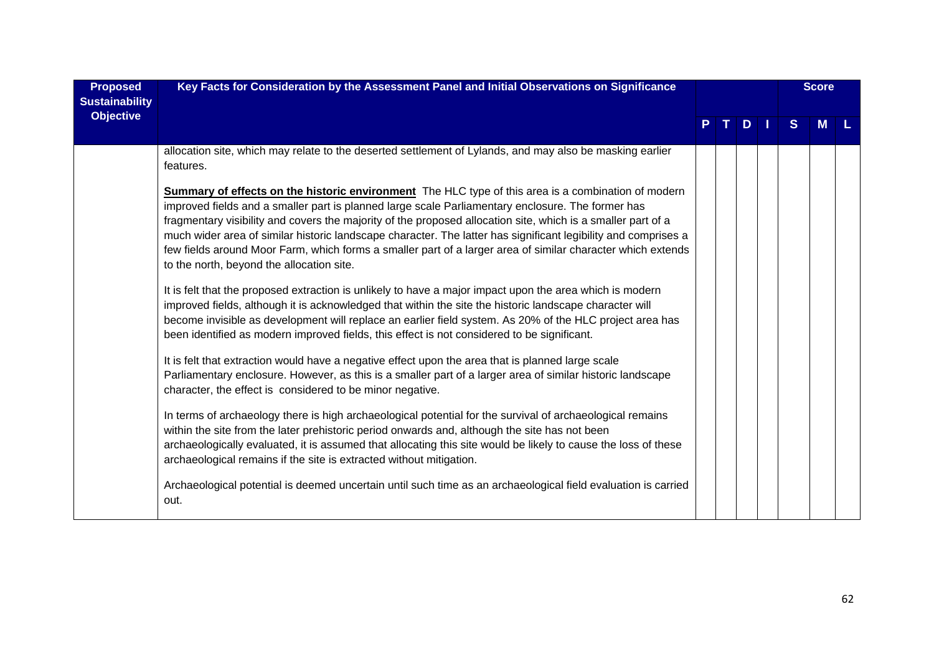| <b>Proposed</b><br><b>Sustainability</b> | Key Facts for Consideration by the Assessment Panel and Initial Observations on Significance                                                                                                                                                                                                                                                                                                                                                                                                                                                                                                                  |    |         |              | <b>Score</b> |  |
|------------------------------------------|---------------------------------------------------------------------------------------------------------------------------------------------------------------------------------------------------------------------------------------------------------------------------------------------------------------------------------------------------------------------------------------------------------------------------------------------------------------------------------------------------------------------------------------------------------------------------------------------------------------|----|---------|--------------|--------------|--|
| <b>Objective</b>                         |                                                                                                                                                                                                                                                                                                                                                                                                                                                                                                                                                                                                               | T. | $D$   1 | <sub>S</sub> | <b>M</b>     |  |
|                                          | allocation site, which may relate to the deserted settlement of Lylands, and may also be masking earlier<br>features.                                                                                                                                                                                                                                                                                                                                                                                                                                                                                         |    |         |              |              |  |
|                                          | <b>Summary of effects on the historic environment</b> The HLC type of this area is a combination of modern<br>improved fields and a smaller part is planned large scale Parliamentary enclosure. The former has<br>fragmentary visibility and covers the majority of the proposed allocation site, which is a smaller part of a<br>much wider area of similar historic landscape character. The latter has significant legibility and comprises a<br>few fields around Moor Farm, which forms a smaller part of a larger area of similar character which extends<br>to the north, beyond the allocation site. |    |         |              |              |  |
|                                          | It is felt that the proposed extraction is unlikely to have a major impact upon the area which is modern<br>improved fields, although it is acknowledged that within the site the historic landscape character will<br>become invisible as development will replace an earlier field system. As 20% of the HLC project area has<br>been identified as modern improved fields, this effect is not considered to be significant.                                                                                                                                                                                |    |         |              |              |  |
|                                          | It is felt that extraction would have a negative effect upon the area that is planned large scale<br>Parliamentary enclosure. However, as this is a smaller part of a larger area of similar historic landscape<br>character, the effect is considered to be minor negative.                                                                                                                                                                                                                                                                                                                                  |    |         |              |              |  |
|                                          | In terms of archaeology there is high archaeological potential for the survival of archaeological remains<br>within the site from the later prehistoric period onwards and, although the site has not been<br>archaeologically evaluated, it is assumed that allocating this site would be likely to cause the loss of these<br>archaeological remains if the site is extracted without mitigation.                                                                                                                                                                                                           |    |         |              |              |  |
|                                          | Archaeological potential is deemed uncertain until such time as an archaeological field evaluation is carried<br>out.                                                                                                                                                                                                                                                                                                                                                                                                                                                                                         |    |         |              |              |  |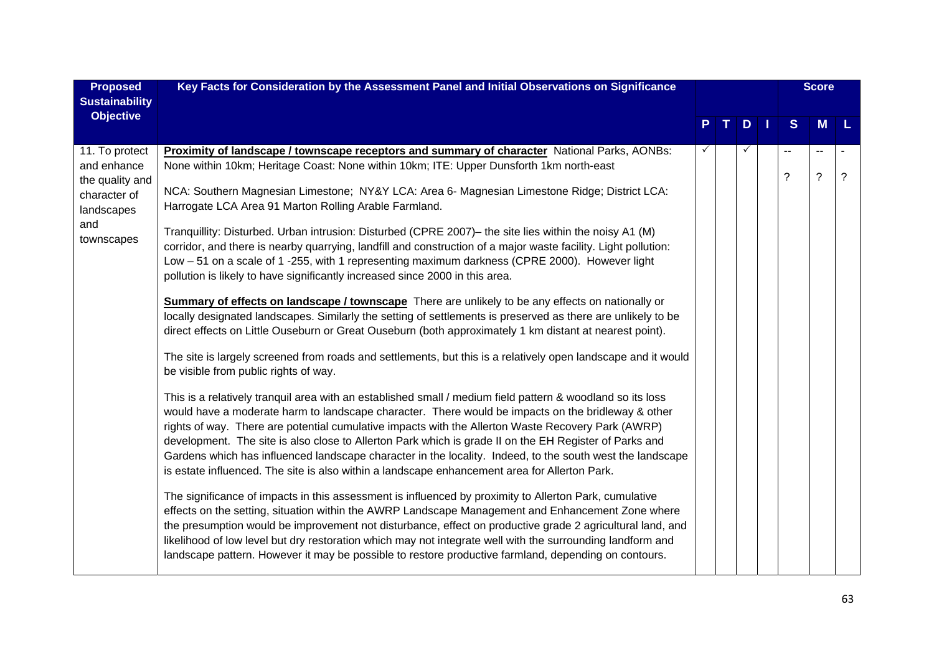| <b>Proposed</b><br><b>Sustainability</b>                                                            | Key Facts for Consideration by the Assessment Panel and Initial Observations on Significance                                                                                                                                                                                                                                                                                                                                                                                                                                                                                                                                                                                                                                                                                                                                                                                                                                                                                                                                                                                                                                                                                                                                                                                                                                                                                                                                                                                                                                                                                                                                                                                                                                                                                                                                                                                                                                                                                                                                                                                                                                                                                                                                                                                                                                                                                                                                                                         |              |                |              |                                  | <b>Score</b>     |                          |
|-----------------------------------------------------------------------------------------------------|----------------------------------------------------------------------------------------------------------------------------------------------------------------------------------------------------------------------------------------------------------------------------------------------------------------------------------------------------------------------------------------------------------------------------------------------------------------------------------------------------------------------------------------------------------------------------------------------------------------------------------------------------------------------------------------------------------------------------------------------------------------------------------------------------------------------------------------------------------------------------------------------------------------------------------------------------------------------------------------------------------------------------------------------------------------------------------------------------------------------------------------------------------------------------------------------------------------------------------------------------------------------------------------------------------------------------------------------------------------------------------------------------------------------------------------------------------------------------------------------------------------------------------------------------------------------------------------------------------------------------------------------------------------------------------------------------------------------------------------------------------------------------------------------------------------------------------------------------------------------------------------------------------------------------------------------------------------------------------------------------------------------------------------------------------------------------------------------------------------------------------------------------------------------------------------------------------------------------------------------------------------------------------------------------------------------------------------------------------------------------------------------------------------------------------------------------------------------|--------------|----------------|--------------|----------------------------------|------------------|--------------------------|
| <b>Objective</b>                                                                                    |                                                                                                                                                                                                                                                                                                                                                                                                                                                                                                                                                                                                                                                                                                                                                                                                                                                                                                                                                                                                                                                                                                                                                                                                                                                                                                                                                                                                                                                                                                                                                                                                                                                                                                                                                                                                                                                                                                                                                                                                                                                                                                                                                                                                                                                                                                                                                                                                                                                                      |              | $\mathbf{T}$ . | $D$          | S                                | M                |                          |
| 11. To protect<br>and enhance<br>the quality and<br>character of<br>landscapes<br>and<br>townscapes | Proximity of landscape / townscape receptors and summary of character National Parks, AONBs:<br>None within 10km; Heritage Coast: None within 10km; ITE: Upper Dunsforth 1km north-east<br>NCA: Southern Magnesian Limestone; NY&Y LCA: Area 6- Magnesian Limestone Ridge; District LCA:<br>Harrogate LCA Area 91 Marton Rolling Arable Farmland.<br>Tranquillity: Disturbed. Urban intrusion: Disturbed (CPRE 2007)- the site lies within the noisy A1 (M)<br>corridor, and there is nearby quarrying, landfill and construction of a major waste facility. Light pollution:<br>Low - 51 on a scale of 1 -255, with 1 representing maximum darkness (CPRE 2000). However light<br>pollution is likely to have significantly increased since 2000 in this area.<br><b>Summary of effects on landscape / townscape</b> There are unlikely to be any effects on nationally or<br>locally designated landscapes. Similarly the setting of settlements is preserved as there are unlikely to be<br>direct effects on Little Ouseburn or Great Ouseburn (both approximately 1 km distant at nearest point).<br>The site is largely screened from roads and settlements, but this is a relatively open landscape and it would<br>be visible from public rights of way.<br>This is a relatively tranquil area with an established small / medium field pattern & woodland so its loss<br>would have a moderate harm to landscape character. There would be impacts on the bridleway & other<br>rights of way. There are potential cumulative impacts with the Allerton Waste Recovery Park (AWRP)<br>development. The site is also close to Allerton Park which is grade II on the EH Register of Parks and<br>Gardens which has influenced landscape character in the locality. Indeed, to the south west the landscape<br>is estate influenced. The site is also within a landscape enhancement area for Allerton Park.<br>The significance of impacts in this assessment is influenced by proximity to Allerton Park, cumulative<br>effects on the setting, situation within the AWRP Landscape Management and Enhancement Zone where<br>the presumption would be improvement not disturbance, effect on productive grade 2 agricultural land, and<br>likelihood of low level but dry restoration which may not integrate well with the surrounding landform and<br>landscape pattern. However it may be possible to restore productive farmland, depending on contours. | $\checkmark$ |                | $\checkmark$ | $\overline{a}$<br>$\overline{?}$ | н.<br>$\ddot{?}$ | $\overline{\mathcal{C}}$ |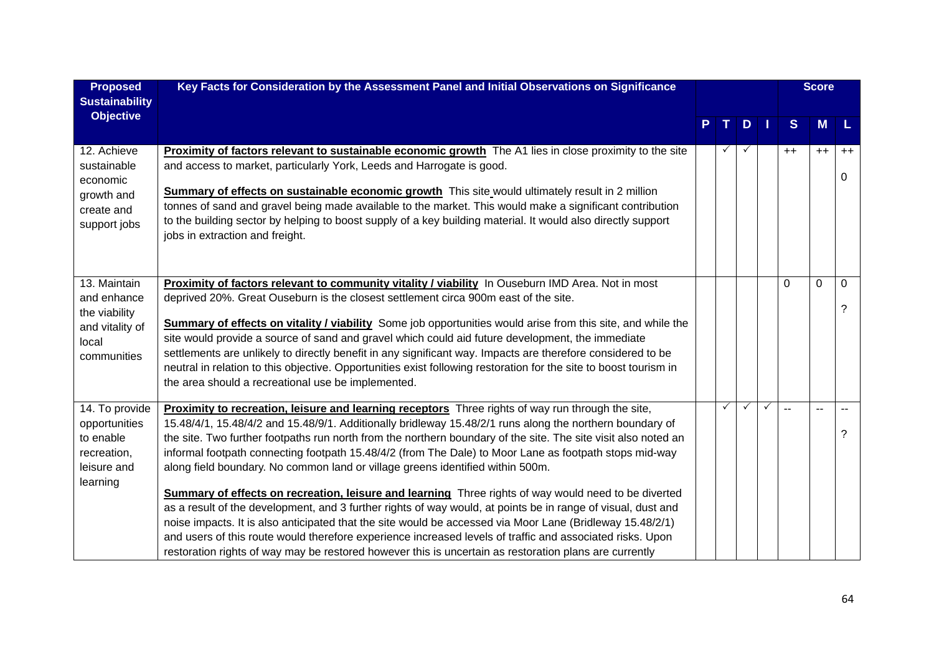| <b>Proposed</b><br><b>Sustainability</b>                                                | Key Facts for Consideration by the Assessment Panel and Initial Observations on Significance                                                                                                                                                                                                                                                                                                                                                                                                                                                                                                                                                                                                                                                                                                                                                                                                                                                                                                                                                                                                   |              |   |              |                          | <b>Score</b> |                  |
|-----------------------------------------------------------------------------------------|------------------------------------------------------------------------------------------------------------------------------------------------------------------------------------------------------------------------------------------------------------------------------------------------------------------------------------------------------------------------------------------------------------------------------------------------------------------------------------------------------------------------------------------------------------------------------------------------------------------------------------------------------------------------------------------------------------------------------------------------------------------------------------------------------------------------------------------------------------------------------------------------------------------------------------------------------------------------------------------------------------------------------------------------------------------------------------------------|--------------|---|--------------|--------------------------|--------------|------------------|
| <b>Objective</b>                                                                        |                                                                                                                                                                                                                                                                                                                                                                                                                                                                                                                                                                                                                                                                                                                                                                                                                                                                                                                                                                                                                                                                                                |              | D |              | S                        | M            | L                |
| 12. Achieve<br>sustainable<br>economic<br>growth and<br>create and<br>support jobs      | Proximity of factors relevant to sustainable economic growth The A1 lies in close proximity to the site<br>and access to market, particularly York, Leeds and Harrogate is good.<br>Summary of effects on sustainable economic growth This site would ultimately result in 2 million<br>tonnes of sand and gravel being made available to the market. This would make a significant contribution<br>to the building sector by helping to boost supply of a key building material. It would also directly support<br>jobs in extraction and freight.                                                                                                                                                                                                                                                                                                                                                                                                                                                                                                                                            |              |   |              | $++$                     | $++$         | $++$<br>$\Omega$ |
| 13. Maintain<br>and enhance<br>the viability<br>and vitality of<br>local<br>communities | Proximity of factors relevant to community vitality / viability In Ouseburn IMD Area. Not in most<br>deprived 20%. Great Ouseburn is the closest settlement circa 900m east of the site.<br><b>Summary of effects on vitality / viability</b> Some job opportunities would arise from this site, and while the<br>site would provide a source of sand and gravel which could aid future development, the immediate<br>settlements are unlikely to directly benefit in any significant way. Impacts are therefore considered to be<br>neutral in relation to this objective. Opportunities exist following restoration for the site to boost tourism in<br>the area should a recreational use be implemented.                                                                                                                                                                                                                                                                                                                                                                                   |              |   |              | 0                        | $\mathbf 0$  | 0<br>?           |
| 14. To provide<br>opportunities<br>to enable<br>recreation,<br>leisure and<br>learning  | Proximity to recreation, leisure and learning receptors Three rights of way run through the site,<br>15.48/4/1, 15.48/4/2 and 15.48/9/1. Additionally bridleway 15.48/2/1 runs along the northern boundary of<br>the site. Two further footpaths run north from the northern boundary of the site. The site visit also noted an<br>informal footpath connecting footpath 15.48/4/2 (from The Dale) to Moor Lane as footpath stops mid-way<br>along field boundary. No common land or village greens identified within 500m.<br><b>Summary of effects on recreation, leisure and learning</b> Three rights of way would need to be diverted<br>as a result of the development, and 3 further rights of way would, at points be in range of visual, dust and<br>noise impacts. It is also anticipated that the site would be accessed via Moor Lane (Bridleway 15.48/2/1)<br>and users of this route would therefore experience increased levels of traffic and associated risks. Upon<br>restoration rights of way may be restored however this is uncertain as restoration plans are currently | $\checkmark$ | ✓ | $\checkmark$ | $\overline{\phantom{a}}$ | $\sim$       | ?                |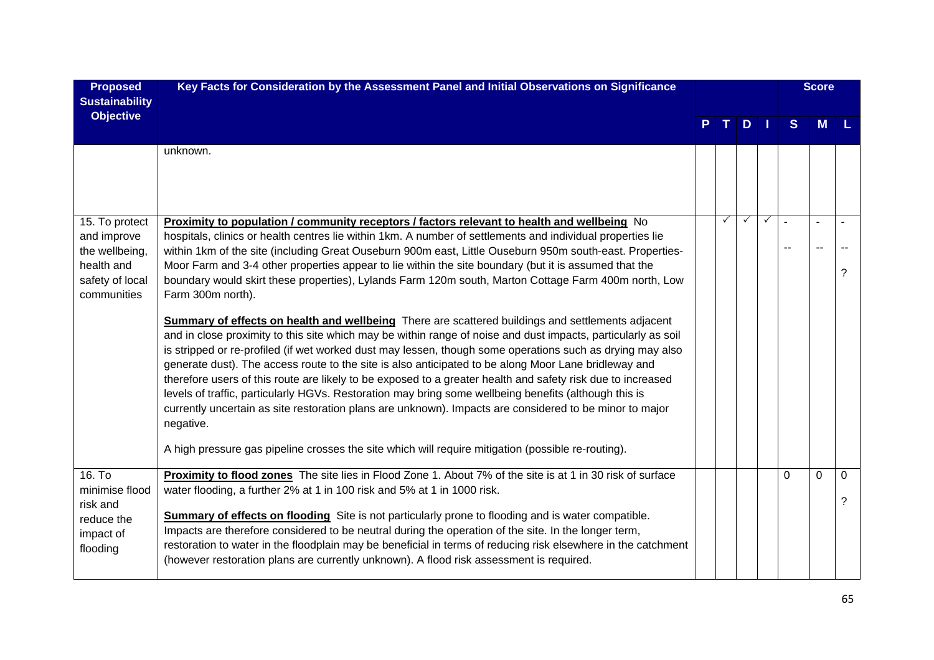| <b>Proposed</b><br><b>Sustainability</b>                                                        | Key Facts for Consideration by the Assessment Panel and Initial Observations on Significance                                                                                                                                                                                                                                                                                                                                                                                                                                                                                                                                                                                                                                                                                                                                                                                                                                                                                                                                                                                                                                                                                                                                                                                                                                                                                                                                                                        |              |              |              |                | <b>Score</b> |               |
|-------------------------------------------------------------------------------------------------|---------------------------------------------------------------------------------------------------------------------------------------------------------------------------------------------------------------------------------------------------------------------------------------------------------------------------------------------------------------------------------------------------------------------------------------------------------------------------------------------------------------------------------------------------------------------------------------------------------------------------------------------------------------------------------------------------------------------------------------------------------------------------------------------------------------------------------------------------------------------------------------------------------------------------------------------------------------------------------------------------------------------------------------------------------------------------------------------------------------------------------------------------------------------------------------------------------------------------------------------------------------------------------------------------------------------------------------------------------------------------------------------------------------------------------------------------------------------|--------------|--------------|--------------|----------------|--------------|---------------|
| <b>Objective</b>                                                                                |                                                                                                                                                                                                                                                                                                                                                                                                                                                                                                                                                                                                                                                                                                                                                                                                                                                                                                                                                                                                                                                                                                                                                                                                                                                                                                                                                                                                                                                                     | $T_{\rm d}$  | $D$   1      |              | <sub>S</sub>   | <b>M</b>     |               |
|                                                                                                 | unknown.                                                                                                                                                                                                                                                                                                                                                                                                                                                                                                                                                                                                                                                                                                                                                                                                                                                                                                                                                                                                                                                                                                                                                                                                                                                                                                                                                                                                                                                            |              |              |              |                |              |               |
| 15. To protect<br>and improve<br>the wellbeing,<br>health and<br>safety of local<br>communities | <b>Proximity to population / community receptors / factors relevant to health and wellbeing</b> No<br>hospitals, clinics or health centres lie within 1km. A number of settlements and individual properties lie<br>within 1km of the site (including Great Ouseburn 900m east, Little Ouseburn 950m south-east. Properties-<br>Moor Farm and 3-4 other properties appear to lie within the site boundary (but it is assumed that the<br>boundary would skirt these properties), Lylands Farm 120m south, Marton Cottage Farm 400m north, Low<br>Farm 300m north).<br>Summary of effects on health and wellbeing There are scattered buildings and settlements adjacent<br>and in close proximity to this site which may be within range of noise and dust impacts, particularly as soil<br>is stripped or re-profiled (if wet worked dust may lessen, though some operations such as drying may also<br>generate dust). The access route to the site is also anticipated to be along Moor Lane bridleway and<br>therefore users of this route are likely to be exposed to a greater health and safety risk due to increased<br>levels of traffic, particularly HGVs. Restoration may bring some wellbeing benefits (although this is<br>currently uncertain as site restoration plans are unknown). Impacts are considered to be minor to major<br>negative.<br>A high pressure gas pipeline crosses the site which will require mitigation (possible re-routing). | $\checkmark$ | $\checkmark$ | $\checkmark$ | $\overline{a}$ | $\sim$       | ?             |
| 16. T <sub>o</sub><br>minimise flood<br>risk and<br>reduce the<br>impact of<br>flooding         | Proximity to flood zones The site lies in Flood Zone 1. About 7% of the site is at 1 in 30 risk of surface<br>water flooding, a further 2% at 1 in 100 risk and 5% at 1 in 1000 risk.<br><b>Summary of effects on flooding</b> Site is not particularly prone to flooding and is water compatible.<br>Impacts are therefore considered to be neutral during the operation of the site. In the longer term,<br>restoration to water in the floodplain may be beneficial in terms of reducing risk elsewhere in the catchment<br>(however restoration plans are currently unknown). A flood risk assessment is required.                                                                                                                                                                                                                                                                                                                                                                                                                                                                                                                                                                                                                                                                                                                                                                                                                                              |              |              |              | $\Omega$       | $\Omega$     | $\Omega$<br>? |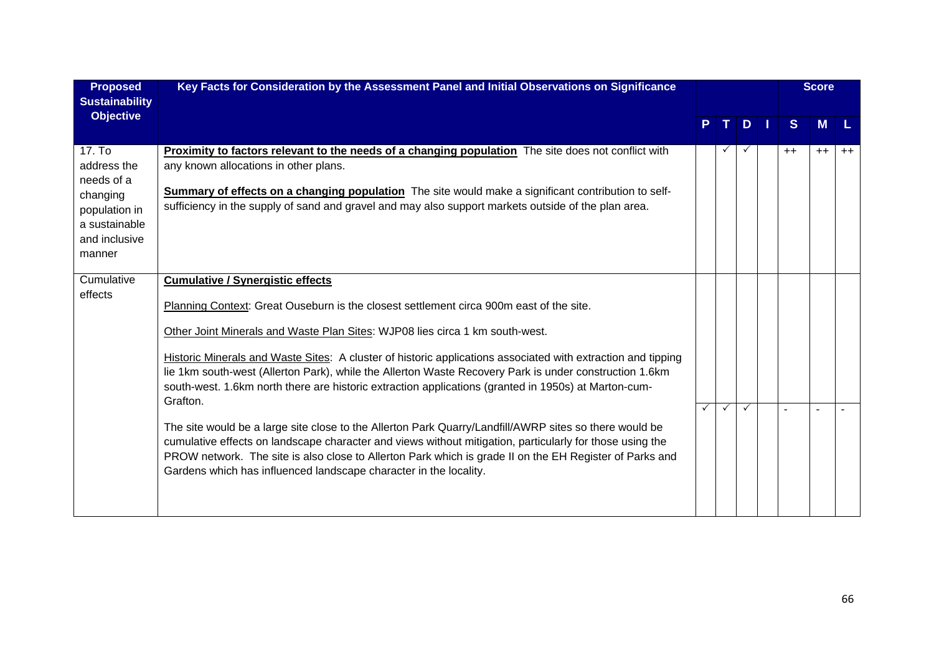| <b>Proposed</b><br><b>Sustainability</b>                                                                     | Key Facts for Consideration by the Assessment Panel and Initial Observations on Significance                                                                                                                                                                                                                                                                                                                                                                                                                                                                                                                                                                                                                                                                                                                                                                                                                                                                           |              |    |   |              | <b>Score</b> |      |
|--------------------------------------------------------------------------------------------------------------|------------------------------------------------------------------------------------------------------------------------------------------------------------------------------------------------------------------------------------------------------------------------------------------------------------------------------------------------------------------------------------------------------------------------------------------------------------------------------------------------------------------------------------------------------------------------------------------------------------------------------------------------------------------------------------------------------------------------------------------------------------------------------------------------------------------------------------------------------------------------------------------------------------------------------------------------------------------------|--------------|----|---|--------------|--------------|------|
| <b>Objective</b>                                                                                             |                                                                                                                                                                                                                                                                                                                                                                                                                                                                                                                                                                                                                                                                                                                                                                                                                                                                                                                                                                        |              | т. | D | <sub>S</sub> | м            |      |
| 17. To<br>address the<br>needs of a<br>changing<br>population in<br>a sustainable<br>and inclusive<br>manner | <b>Proximity to factors relevant to the needs of a changing population</b> The site does not conflict with<br>any known allocations in other plans.<br>Summary of effects on a changing population The site would make a significant contribution to self-<br>sufficiency in the supply of sand and gravel and may also support markets outside of the plan area.                                                                                                                                                                                                                                                                                                                                                                                                                                                                                                                                                                                                      |              |    |   | $++$         | $++$         | $++$ |
| Cumulative<br>effects                                                                                        | <b>Cumulative / Synergistic effects</b><br>Planning Context: Great Ouseburn is the closest settlement circa 900m east of the site.<br>Other Joint Minerals and Waste Plan Sites: WJP08 lies circa 1 km south-west.<br>Historic Minerals and Waste Sites: A cluster of historic applications associated with extraction and tipping<br>lie 1km south-west (Allerton Park), while the Allerton Waste Recovery Park is under construction 1.6km<br>south-west. 1.6km north there are historic extraction applications (granted in 1950s) at Marton-cum-<br>Grafton.<br>The site would be a large site close to the Allerton Park Quarry/Landfill/AWRP sites so there would be<br>cumulative effects on landscape character and views without mitigation, particularly for those using the<br>PROW network. The site is also close to Allerton Park which is grade II on the EH Register of Parks and<br>Gardens which has influenced landscape character in the locality. | $\checkmark$ | ✓  | ✓ | ÷            |              |      |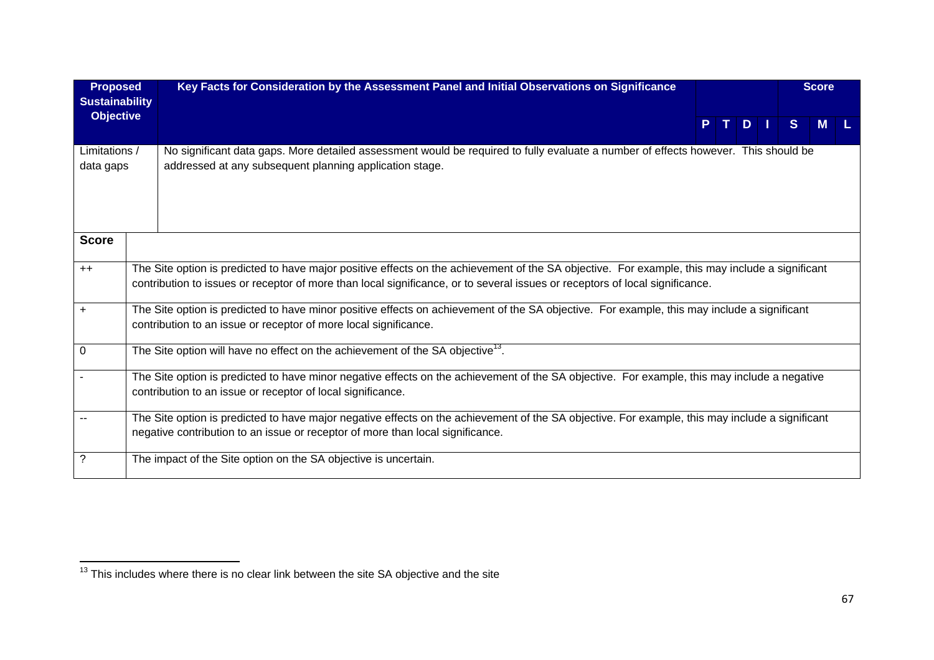| <b>Proposed</b><br><b>Sustainability</b> | Key Facts for Consideration by the Assessment Panel and Initial Observations on Significance                                                                                                                                                                                    |  |      |    | <b>Score</b> |  |
|------------------------------------------|---------------------------------------------------------------------------------------------------------------------------------------------------------------------------------------------------------------------------------------------------------------------------------|--|------|----|--------------|--|
| <b>Objective</b>                         |                                                                                                                                                                                                                                                                                 |  | PTDI | S. | M            |  |
| Limitations /<br>data gaps               | No significant data gaps. More detailed assessment would be required to fully evaluate a number of effects however. This should be<br>addressed at any subsequent planning application stage.                                                                                   |  |      |    |              |  |
| <b>Score</b>                             |                                                                                                                                                                                                                                                                                 |  |      |    |              |  |
| $++$                                     | The Site option is predicted to have major positive effects on the achievement of the SA objective. For example, this may include a significant<br>contribution to issues or receptor of more than local significance, or to several issues or receptors of local significance. |  |      |    |              |  |
| $\ddot{}$                                | The Site option is predicted to have minor positive effects on achievement of the SA objective. For example, this may include a significant<br>contribution to an issue or receptor of more local significance.                                                                 |  |      |    |              |  |
| 0                                        | The Site option will have no effect on the achievement of the SA objective <sup>13</sup> .                                                                                                                                                                                      |  |      |    |              |  |
|                                          | The Site option is predicted to have minor negative effects on the achievement of the SA objective. For example, this may include a negative<br>contribution to an issue or receptor of local significance.                                                                     |  |      |    |              |  |
|                                          | The Site option is predicted to have major negative effects on the achievement of the SA objective. For example, this may include a significant<br>negative contribution to an issue or receptor of more than local significance.                                               |  |      |    |              |  |
| ?                                        | The impact of the Site option on the SA objective is uncertain.                                                                                                                                                                                                                 |  |      |    |              |  |

 $\frac{13}{13}$  This includes where there is no clear link between the site SA objective and the site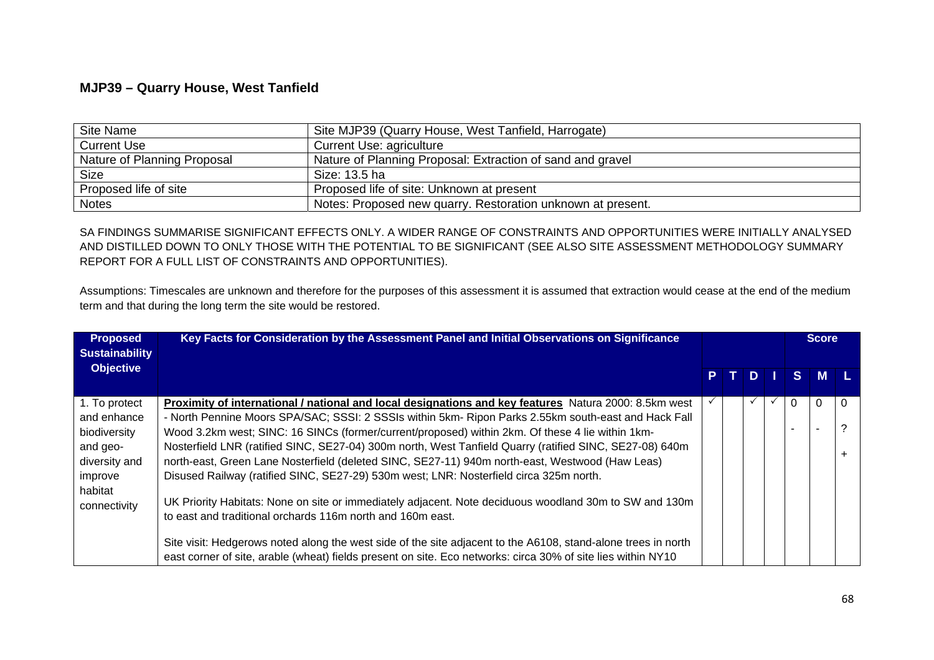## **MJP39 – Quarry House, West Tanfield**

| Site Name                   | Site MJP39 (Quarry House, West Tanfield, Harrogate)         |
|-----------------------------|-------------------------------------------------------------|
| <b>Current Use</b>          | Current Use: agriculture                                    |
| Nature of Planning Proposal | Nature of Planning Proposal: Extraction of sand and gravel  |
| <b>Size</b>                 | Size: 13.5 ha                                               |
| Proposed life of site       | Proposed life of site: Unknown at present                   |
| <b>Notes</b>                | Notes: Proposed new quarry. Restoration unknown at present. |

SA FINDINGS SUMMARISE SIGNIFICANT EFFECTS ONLY. A WIDER RANGE OF CONSTRAINTS AND OPPORTUNITIES WERE INITIALLY ANALYSED AND DISTILLED DOWN TO ONLY THOSE WITH THE POTENTIAL TO BE SIGNIFICANT (SEE ALSO SITE ASSESSMENT METHODOLOGY SUMMARY REPORT FOR A FULL LIST OF CONSTRAINTS AND OPPORTUNITIES).

Assumptions: Timescales are unknown and therefore for the purposes of this assessment it is assumed that extraction would cease at the end of the medium term and that during the long term the site would be restored.

| <b>Proposed</b><br><b>Sustainability</b> | Key Facts for Consideration by the Assessment Panel and Initial Observations on Significance                  |     |    |  | <b>Score</b> |          |   |
|------------------------------------------|---------------------------------------------------------------------------------------------------------------|-----|----|--|--------------|----------|---|
| <b>Objective</b>                         |                                                                                                               | PT. | D. |  | $S^{\perp}$  | <b>M</b> |   |
| 1. To protect                            | Proximity of international / national and local designations and key features Natura 2000: 8.5km west         |     |    |  | 0            | 0        | 0 |
| and enhance                              | - North Pennine Moors SPA/SAC; SSSI: 2 SSSIs within 5km- Ripon Parks 2.55km south-east and Hack Fall          |     |    |  |              |          |   |
| biodiversity                             | Wood 3.2km west; SINC: 16 SINCs (former/current/proposed) within 2km. Of these 4 lie within 1km-              |     |    |  |              |          |   |
| and geo-                                 | Nosterfield LNR (ratified SINC, SE27-04) 300m north, West Tanfield Quarry (ratified SINC, SE27-08) 640m       |     |    |  |              |          |   |
| diversity and                            | north-east, Green Lane Nosterfield (deleted SINC, SE27-11) 940m north-east, Westwood (Haw Leas)               |     |    |  |              |          |   |
| improve                                  | Disused Railway (ratified SINC, SE27-29) 530m west; LNR: Nosterfield circa 325m north.                        |     |    |  |              |          |   |
| habitat<br>connectivity                  | UK Priority Habitats: None on site or immediately adjacent. Note deciduous woodland 30m to SW and 130m        |     |    |  |              |          |   |
|                                          | to east and traditional orchards 116m north and 160m east.                                                    |     |    |  |              |          |   |
|                                          | Site visit: Hedgerows noted along the west side of the site adjacent to the A6108, stand-alone trees in north |     |    |  |              |          |   |
|                                          | east corner of site, arable (wheat) fields present on site. Eco networks: circa 30% of site lies within NY10  |     |    |  |              |          |   |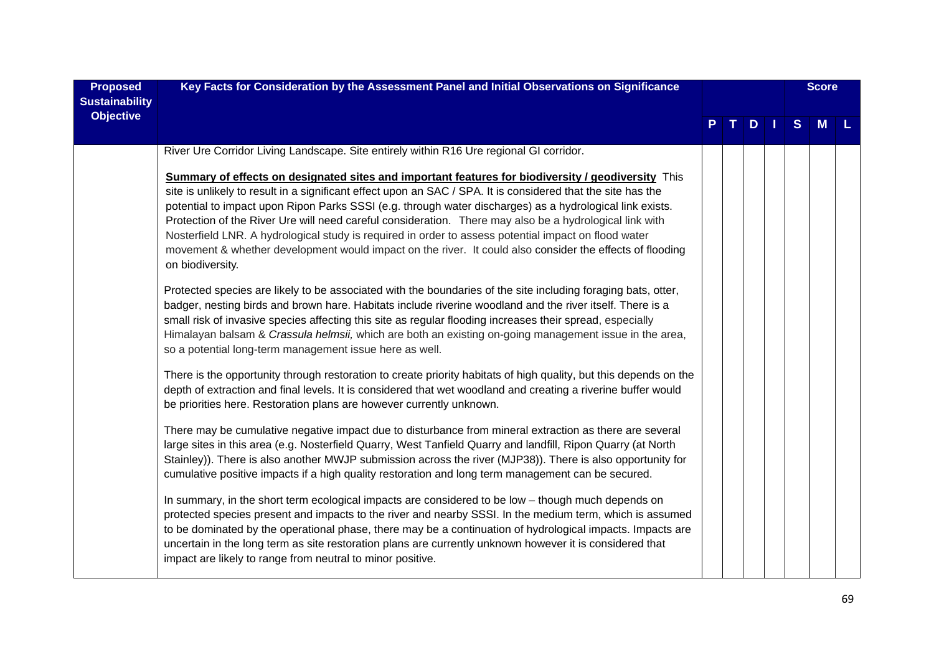| <b>Proposed</b><br><b>Sustainability</b> | Key Facts for Consideration by the Assessment Panel and Initial Observations on Significance                                                                                                                                                                                                                                                                                                                                                                                                                                                                                                                                                                                      |  |      |  |  |   | <b>Score</b> |  |  |
|------------------------------------------|-----------------------------------------------------------------------------------------------------------------------------------------------------------------------------------------------------------------------------------------------------------------------------------------------------------------------------------------------------------------------------------------------------------------------------------------------------------------------------------------------------------------------------------------------------------------------------------------------------------------------------------------------------------------------------------|--|------|--|--|---|--------------|--|--|
| <b>Objective</b>                         |                                                                                                                                                                                                                                                                                                                                                                                                                                                                                                                                                                                                                                                                                   |  | PTDI |  |  | S | M            |  |  |
|                                          | River Ure Corridor Living Landscape. Site entirely within R16 Ure regional GI corridor.                                                                                                                                                                                                                                                                                                                                                                                                                                                                                                                                                                                           |  |      |  |  |   |              |  |  |
|                                          | Summary of effects on designated sites and important features for biodiversity / geodiversity This<br>site is unlikely to result in a significant effect upon an SAC / SPA. It is considered that the site has the<br>potential to impact upon Ripon Parks SSSI (e.g. through water discharges) as a hydrological link exists.<br>Protection of the River Ure will need careful consideration. There may also be a hydrological link with<br>Nosterfield LNR. A hydrological study is required in order to assess potential impact on flood water<br>movement & whether development would impact on the river. It could also consider the effects of flooding<br>on biodiversity. |  |      |  |  |   |              |  |  |
|                                          | Protected species are likely to be associated with the boundaries of the site including foraging bats, otter,<br>badger, nesting birds and brown hare. Habitats include riverine woodland and the river itself. There is a<br>small risk of invasive species affecting this site as regular flooding increases their spread, especially<br>Himalayan balsam & Crassula helmsii, which are both an existing on-going management issue in the area,<br>so a potential long-term management issue here as well.                                                                                                                                                                      |  |      |  |  |   |              |  |  |
|                                          | There is the opportunity through restoration to create priority habitats of high quality, but this depends on the<br>depth of extraction and final levels. It is considered that wet woodland and creating a riverine buffer would<br>be priorities here. Restoration plans are however currently unknown.                                                                                                                                                                                                                                                                                                                                                                        |  |      |  |  |   |              |  |  |
|                                          | There may be cumulative negative impact due to disturbance from mineral extraction as there are several<br>large sites in this area (e.g. Nosterfield Quarry, West Tanfield Quarry and landfill, Ripon Quarry (at North<br>Stainley)). There is also another MWJP submission across the river (MJP38)). There is also opportunity for<br>cumulative positive impacts if a high quality restoration and long term management can be secured.                                                                                                                                                                                                                                       |  |      |  |  |   |              |  |  |
|                                          | In summary, in the short term ecological impacts are considered to be low - though much depends on<br>protected species present and impacts to the river and nearby SSSI. In the medium term, which is assumed<br>to be dominated by the operational phase, there may be a continuation of hydrological impacts. Impacts are<br>uncertain in the long term as site restoration plans are currently unknown however it is considered that<br>impact are likely to range from neutral to minor positive.                                                                                                                                                                            |  |      |  |  |   |              |  |  |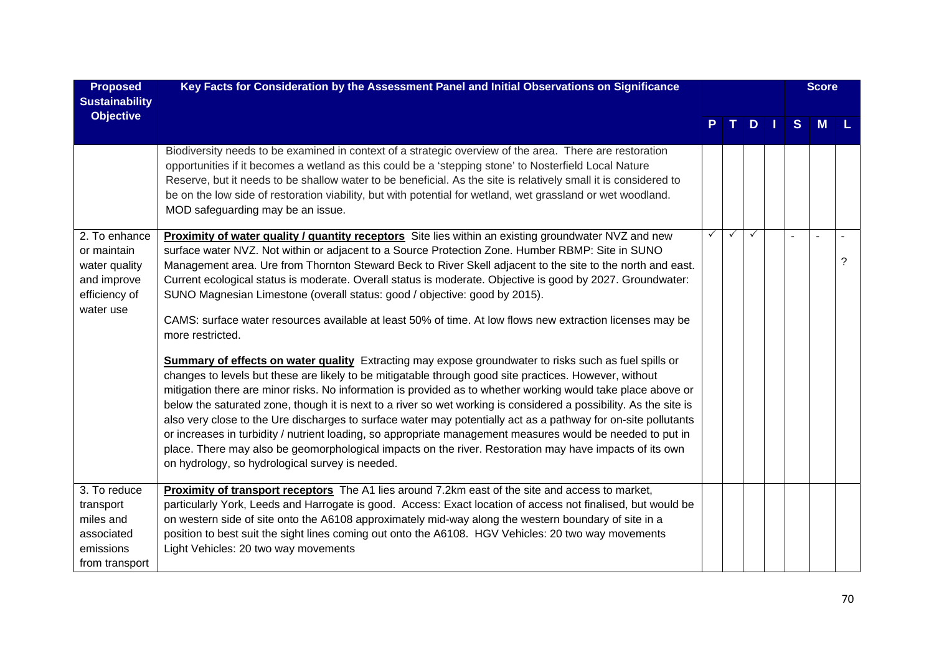| <b>Proposed</b>                                                                            | Key Facts for Consideration by the Assessment Panel and Initial Observations on Significance                                                                                                                                                                                                                                                                                                                                                                                                                                                                                                                                                                                                                                                                                                                                                                                                                                                                                                                                                                                                                                                                                                                                                                                                                                                                                                                                                                                                                     |   |              |              | <b>Score</b> |          |   |
|--------------------------------------------------------------------------------------------|------------------------------------------------------------------------------------------------------------------------------------------------------------------------------------------------------------------------------------------------------------------------------------------------------------------------------------------------------------------------------------------------------------------------------------------------------------------------------------------------------------------------------------------------------------------------------------------------------------------------------------------------------------------------------------------------------------------------------------------------------------------------------------------------------------------------------------------------------------------------------------------------------------------------------------------------------------------------------------------------------------------------------------------------------------------------------------------------------------------------------------------------------------------------------------------------------------------------------------------------------------------------------------------------------------------------------------------------------------------------------------------------------------------------------------------------------------------------------------------------------------------|---|--------------|--------------|--------------|----------|---|
| <b>Sustainability</b><br><b>Objective</b>                                                  |                                                                                                                                                                                                                                                                                                                                                                                                                                                                                                                                                                                                                                                                                                                                                                                                                                                                                                                                                                                                                                                                                                                                                                                                                                                                                                                                                                                                                                                                                                                  |   |              | $D$          | S            | <b>M</b> |   |
|                                                                                            | Biodiversity needs to be examined in context of a strategic overview of the area. There are restoration<br>opportunities if it becomes a wetland as this could be a 'stepping stone' to Nosterfield Local Nature<br>Reserve, but it needs to be shallow water to be beneficial. As the site is relatively small it is considered to<br>be on the low side of restoration viability, but with potential for wetland, wet grassland or wet woodland.<br>MOD safeguarding may be an issue.                                                                                                                                                                                                                                                                                                                                                                                                                                                                                                                                                                                                                                                                                                                                                                                                                                                                                                                                                                                                                          |   |              |              |              |          |   |
| 2. To enhance<br>or maintain<br>water quality<br>and improve<br>efficiency of<br>water use | Proximity of water quality / quantity receptors Site lies within an existing groundwater NVZ and new<br>surface water NVZ. Not within or adjacent to a Source Protection Zone. Humber RBMP: Site in SUNO<br>Management area. Ure from Thornton Steward Beck to River Skell adjacent to the site to the north and east.<br>Current ecological status is moderate. Overall status is moderate. Objective is good by 2027. Groundwater:<br>SUNO Magnesian Limestone (overall status: good / objective: good by 2015).<br>CAMS: surface water resources available at least 50% of time. At low flows new extraction licenses may be<br>more restricted.<br><b>Summary of effects on water quality</b> Extracting may expose groundwater to risks such as fuel spills or<br>changes to levels but these are likely to be mitigatable through good site practices. However, without<br>mitigation there are minor risks. No information is provided as to whether working would take place above or<br>below the saturated zone, though it is next to a river so wet working is considered a possibility. As the site is<br>also very close to the Ure discharges to surface water may potentially act as a pathway for on-site pollutants<br>or increases in turbidity / nutrient loading, so appropriate management measures would be needed to put in<br>place. There may also be geomorphological impacts on the river. Restoration may have impacts of its own<br>on hydrology, so hydrological survey is needed. | ✓ | $\checkmark$ | $\checkmark$ |              |          | ? |
| 3. To reduce                                                                               | Proximity of transport receptors The A1 lies around 7.2km east of the site and access to market,                                                                                                                                                                                                                                                                                                                                                                                                                                                                                                                                                                                                                                                                                                                                                                                                                                                                                                                                                                                                                                                                                                                                                                                                                                                                                                                                                                                                                 |   |              |              |              |          |   |
| transport<br>miles and                                                                     | particularly York, Leeds and Harrogate is good. Access: Exact location of access not finalised, but would be<br>on western side of site onto the A6108 approximately mid-way along the western boundary of site in a                                                                                                                                                                                                                                                                                                                                                                                                                                                                                                                                                                                                                                                                                                                                                                                                                                                                                                                                                                                                                                                                                                                                                                                                                                                                                             |   |              |              |              |          |   |
| associated                                                                                 | position to best suit the sight lines coming out onto the A6108. HGV Vehicles: 20 two way movements                                                                                                                                                                                                                                                                                                                                                                                                                                                                                                                                                                                                                                                                                                                                                                                                                                                                                                                                                                                                                                                                                                                                                                                                                                                                                                                                                                                                              |   |              |              |              |          |   |
| emissions                                                                                  | Light Vehicles: 20 two way movements                                                                                                                                                                                                                                                                                                                                                                                                                                                                                                                                                                                                                                                                                                                                                                                                                                                                                                                                                                                                                                                                                                                                                                                                                                                                                                                                                                                                                                                                             |   |              |              |              |          |   |
| from transport                                                                             |                                                                                                                                                                                                                                                                                                                                                                                                                                                                                                                                                                                                                                                                                                                                                                                                                                                                                                                                                                                                                                                                                                                                                                                                                                                                                                                                                                                                                                                                                                                  |   |              |              |              |          |   |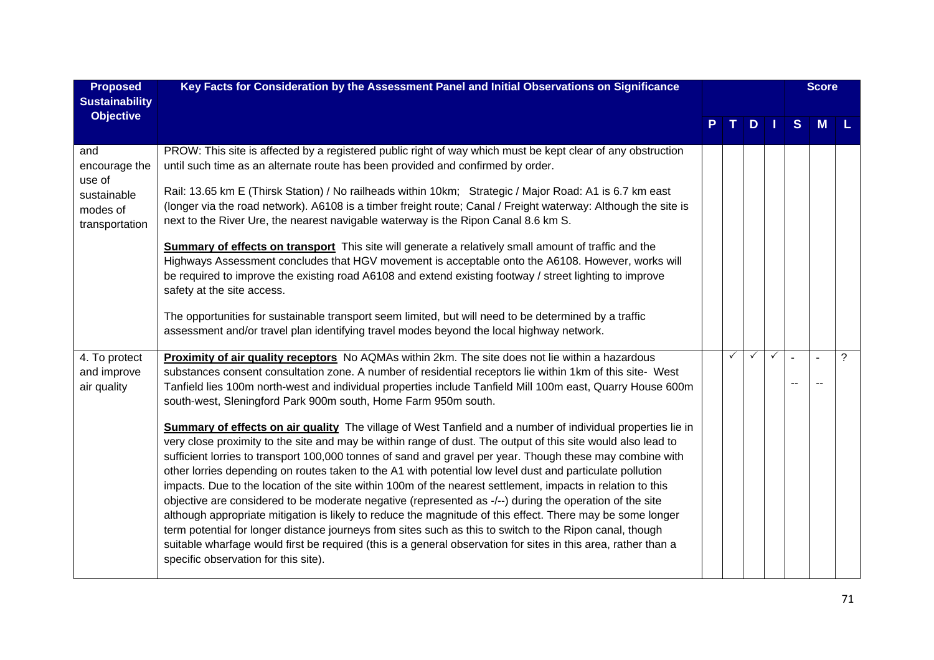| <b>Proposed</b>                             | Key Facts for Consideration by the Assessment Panel and Initial Observations on Significance                                                                                                                                                                                                                                                                                                                                                                                                                                                                                                                                                                                                                                                                                                                                                                                                                                                                                                                                                                        |              |              |              |   | <b>Score</b> |                |
|---------------------------------------------|---------------------------------------------------------------------------------------------------------------------------------------------------------------------------------------------------------------------------------------------------------------------------------------------------------------------------------------------------------------------------------------------------------------------------------------------------------------------------------------------------------------------------------------------------------------------------------------------------------------------------------------------------------------------------------------------------------------------------------------------------------------------------------------------------------------------------------------------------------------------------------------------------------------------------------------------------------------------------------------------------------------------------------------------------------------------|--------------|--------------|--------------|---|--------------|----------------|
| <b>Sustainability</b><br><b>Objective</b>   |                                                                                                                                                                                                                                                                                                                                                                                                                                                                                                                                                                                                                                                                                                                                                                                                                                                                                                                                                                                                                                                                     |              |              |              |   |              |                |
|                                             |                                                                                                                                                                                                                                                                                                                                                                                                                                                                                                                                                                                                                                                                                                                                                                                                                                                                                                                                                                                                                                                                     |              | $P$ T D $  $ |              | S | M            |                |
| and<br>encourage the<br>use of              | PROW: This site is affected by a registered public right of way which must be kept clear of any obstruction<br>until such time as an alternate route has been provided and confirmed by order.                                                                                                                                                                                                                                                                                                                                                                                                                                                                                                                                                                                                                                                                                                                                                                                                                                                                      |              |              |              |   |              |                |
| sustainable<br>modes of<br>transportation   | Rail: 13.65 km E (Thirsk Station) / No railheads within 10km; Strategic / Major Road: A1 is 6.7 km east<br>(longer via the road network). A6108 is a timber freight route; Canal / Freight waterway: Although the site is<br>next to the River Ure, the nearest navigable waterway is the Ripon Canal 8.6 km S.                                                                                                                                                                                                                                                                                                                                                                                                                                                                                                                                                                                                                                                                                                                                                     |              |              |              |   |              |                |
|                                             | <b>Summary of effects on transport</b> This site will generate a relatively small amount of traffic and the<br>Highways Assessment concludes that HGV movement is acceptable onto the A6108. However, works will<br>be required to improve the existing road A6108 and extend existing footway / street lighting to improve<br>safety at the site access.                                                                                                                                                                                                                                                                                                                                                                                                                                                                                                                                                                                                                                                                                                           |              |              |              |   |              |                |
|                                             | The opportunities for sustainable transport seem limited, but will need to be determined by a traffic<br>assessment and/or travel plan identifying travel modes beyond the local highway network.                                                                                                                                                                                                                                                                                                                                                                                                                                                                                                                                                                                                                                                                                                                                                                                                                                                                   |              |              |              |   |              |                |
| 4. To protect<br>and improve<br>air quality | Proximity of air quality receptors No AQMAs within 2km. The site does not lie within a hazardous<br>substances consent consultation zone. A number of residential receptors lie within 1km of this site- West<br>Tanfield lies 100m north-west and individual properties include Tanfield Mill 100m east, Quarry House 600m<br>south-west, Sleningford Park 900m south, Home Farm 950m south.                                                                                                                                                                                                                                                                                                                                                                                                                                                                                                                                                                                                                                                                       | $\checkmark$ | $\checkmark$ | $\checkmark$ |   |              | $\overline{?}$ |
|                                             | Summary of effects on air quality The village of West Tanfield and a number of individual properties lie in<br>very close proximity to the site and may be within range of dust. The output of this site would also lead to<br>sufficient lorries to transport 100,000 tonnes of sand and gravel per year. Though these may combine with<br>other lorries depending on routes taken to the A1 with potential low level dust and particulate pollution<br>impacts. Due to the location of the site within 100m of the nearest settlement, impacts in relation to this<br>objective are considered to be moderate negative (represented as -/--) during the operation of the site<br>although appropriate mitigation is likely to reduce the magnitude of this effect. There may be some longer<br>term potential for longer distance journeys from sites such as this to switch to the Ripon canal, though<br>suitable wharfage would first be required (this is a general observation for sites in this area, rather than a<br>specific observation for this site). |              |              |              |   |              |                |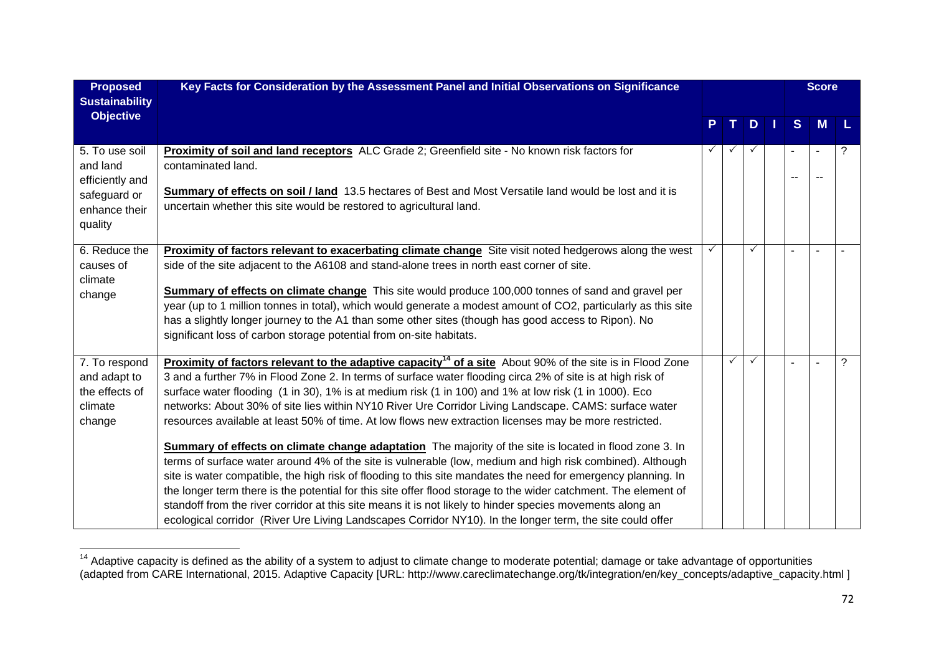| <b>Proposed</b><br><b>Sustainability</b>                                                  | Key Facts for Consideration by the Assessment Panel and Initial Observations on Significance                                                                                                                                                                                                                                                                                                                                                                                                                                                                                                                                                                                                                                                                                                                                                                                                                                                                                                                                                                                                                                                                                                                                                                |   |              |   | <b>Score</b>   |   |
|-------------------------------------------------------------------------------------------|-------------------------------------------------------------------------------------------------------------------------------------------------------------------------------------------------------------------------------------------------------------------------------------------------------------------------------------------------------------------------------------------------------------------------------------------------------------------------------------------------------------------------------------------------------------------------------------------------------------------------------------------------------------------------------------------------------------------------------------------------------------------------------------------------------------------------------------------------------------------------------------------------------------------------------------------------------------------------------------------------------------------------------------------------------------------------------------------------------------------------------------------------------------------------------------------------------------------------------------------------------------|---|--------------|---|----------------|---|
| <b>Objective</b>                                                                          |                                                                                                                                                                                                                                                                                                                                                                                                                                                                                                                                                                                                                                                                                                                                                                                                                                                                                                                                                                                                                                                                                                                                                                                                                                                             |   | D            | S | <b>M</b>       |   |
| 5. To use soil<br>and land<br>efficiently and<br>safeguard or<br>enhance their<br>quality | <b>Proximity of soil and land receptors</b> ALC Grade 2; Greenfield site - No known risk factors for<br>contaminated land.<br>Summary of effects on soil / land 13.5 hectares of Best and Most Versatile land would be lost and it is<br>uncertain whether this site would be restored to agricultural land.                                                                                                                                                                                                                                                                                                                                                                                                                                                                                                                                                                                                                                                                                                                                                                                                                                                                                                                                                |   |              |   |                | ? |
| 6. Reduce the<br>causes of<br>climate<br>change                                           | Proximity of factors relevant to exacerbating climate change Site visit noted hedgerows along the west<br>side of the site adjacent to the A6108 and stand-alone trees in north east corner of site.<br>Summary of effects on climate change This site would produce 100,000 tonnes of sand and gravel per<br>year (up to 1 million tonnes in total), which would generate a modest amount of CO2, particularly as this site<br>has a slightly longer journey to the A1 than some other sites (though has good access to Ripon). No<br>significant loss of carbon storage potential from on-site habitats.                                                                                                                                                                                                                                                                                                                                                                                                                                                                                                                                                                                                                                                  |   |              |   |                |   |
| 7. To respond<br>and adapt to<br>the effects of<br>climate<br>change                      | <b>Proximity of factors relevant to the adaptive capacity<sup>14</sup> of a site</b> About 90% of the site is in Flood Zone<br>3 and a further 7% in Flood Zone 2. In terms of surface water flooding circa 2% of site is at high risk of<br>surface water flooding (1 in 30), 1% is at medium risk (1 in 100) and 1% at low risk (1 in 1000). Eco<br>networks: About 30% of site lies within NY10 River Ure Corridor Living Landscape. CAMS: surface water<br>resources available at least 50% of time. At low flows new extraction licenses may be more restricted.<br>Summary of effects on climate change adaptation The majority of the site is located in flood zone 3. In<br>terms of surface water around 4% of the site is vulnerable (low, medium and high risk combined). Although<br>site is water compatible, the high risk of flooding to this site mandates the need for emergency planning. In<br>the longer term there is the potential for this site offer flood storage to the wider catchment. The element of<br>standoff from the river corridor at this site means it is not likely to hinder species movements along an<br>ecological corridor (River Ure Living Landscapes Corridor NY10). In the longer term, the site could offer | ✓ | $\checkmark$ |   | $\overline{a}$ | ? |

<sup>&</sup>lt;sup>14</sup> Adaptive capacity is defined as the ability of a system to adjust to climate change to moderate potential; damage or take advantage of opportunities (adapted from CARE International, 2015. Adaptive Capacity [URL: http://www.careclimatechange.org/tk/integration/en/key\_concepts/adaptive\_capacity.html ]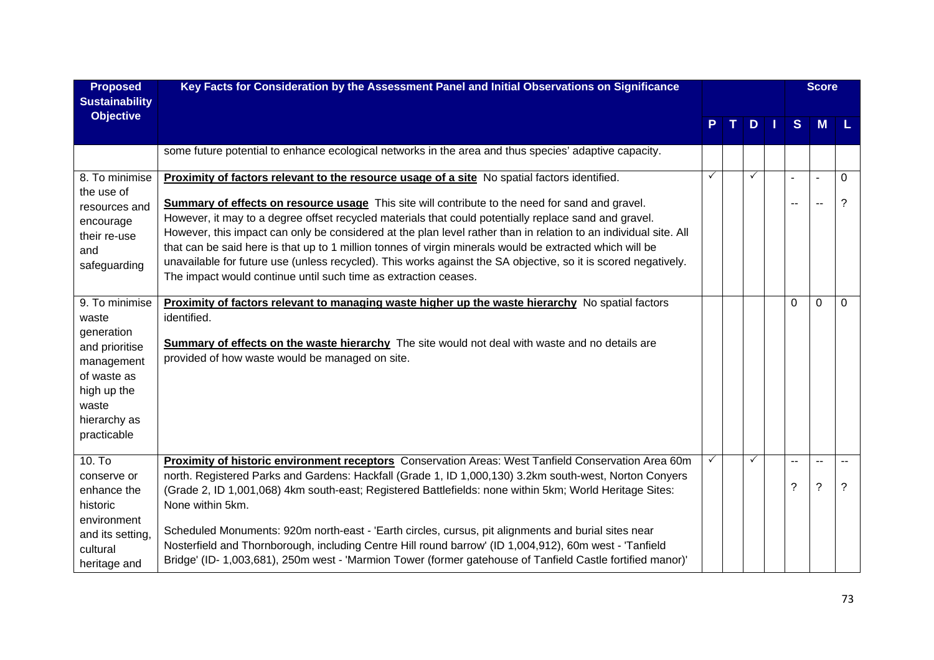| <b>Proposed</b><br><b>Sustainability</b> | Key Facts for Consideration by the Assessment Panel and Initial Observations on Significance                                                                                                                                 |   |  |                     | <b>Score</b> |    |                          |                |
|------------------------------------------|------------------------------------------------------------------------------------------------------------------------------------------------------------------------------------------------------------------------------|---|--|---------------------|--------------|----|--------------------------|----------------|
| <b>Objective</b>                         |                                                                                                                                                                                                                              |   |  | $D \mid \cdot \mid$ |              | S  | M                        | -L.            |
|                                          | some future potential to enhance ecological networks in the area and thus species' adaptive capacity.                                                                                                                        |   |  |                     |              |    |                          |                |
| 8. To minimise                           | Proximity of factors relevant to the resource usage of a site No spatial factors identified.                                                                                                                                 | ✓ |  | ✓                   |              |    | $\sim$                   | $\Omega$       |
| the use of<br>resources and              | <b>Summary of effects on resource usage</b> This site will contribute to the need for sand and gravel.                                                                                                                       |   |  |                     |              | -- | $\overline{\phantom{a}}$ | ?              |
| encourage                                | However, it may to a degree offset recycled materials that could potentially replace sand and gravel.                                                                                                                        |   |  |                     |              |    |                          |                |
| their re-use                             | However, this impact can only be considered at the plan level rather than in relation to an individual site. All<br>that can be said here is that up to 1 million tonnes of virgin minerals would be extracted which will be |   |  |                     |              |    |                          |                |
| and<br>safeguarding                      | unavailable for future use (unless recycled). This works against the SA objective, so it is scored negatively.                                                                                                               |   |  |                     |              |    |                          |                |
|                                          | The impact would continue until such time as extraction ceases.                                                                                                                                                              |   |  |                     |              |    |                          |                |
| 9. To minimise                           | Proximity of factors relevant to managing waste higher up the waste hierarchy No spatial factors                                                                                                                             |   |  |                     |              | 0  | $\mathbf{0}$             | $\Omega$       |
| waste                                    | identified.                                                                                                                                                                                                                  |   |  |                     |              |    |                          |                |
| generation                               | <b>Summary of effects on the waste hierarchy</b> The site would not deal with waste and no details are                                                                                                                       |   |  |                     |              |    |                          |                |
| and prioritise<br>management             | provided of how waste would be managed on site.                                                                                                                                                                              |   |  |                     |              |    |                          |                |
| of waste as                              |                                                                                                                                                                                                                              |   |  |                     |              |    |                          |                |
| high up the                              |                                                                                                                                                                                                                              |   |  |                     |              |    |                          |                |
| waste<br>hierarchy as                    |                                                                                                                                                                                                                              |   |  |                     |              |    |                          |                |
| practicable                              |                                                                                                                                                                                                                              |   |  |                     |              |    |                          |                |
| $10.$ To                                 | Proximity of historic environment receptors Conservation Areas: West Tanfield Conservation Area 60m                                                                                                                          |   |  | ✓                   |              |    | $\sim$                   | $\overline{a}$ |
| conserve or                              | north. Registered Parks and Gardens: Hackfall (Grade 1, ID 1,000,130) 3.2km south-west, Norton Conyers                                                                                                                       |   |  |                     |              |    |                          |                |
| enhance the                              | (Grade 2, ID 1,001,068) 4km south-east; Registered Battlefields: none within 5km; World Heritage Sites:                                                                                                                      |   |  |                     |              | ?  | $\overline{?}$           | ?              |
| historic                                 | None within 5km.                                                                                                                                                                                                             |   |  |                     |              |    |                          |                |
| environment<br>and its setting,          | Scheduled Monuments: 920m north-east - 'Earth circles, cursus, pit alignments and burial sites near                                                                                                                          |   |  |                     |              |    |                          |                |
| cultural                                 | Nosterfield and Thornborough, including Centre Hill round barrow' (ID 1,004,912), 60m west - 'Tanfield                                                                                                                       |   |  |                     |              |    |                          |                |
| heritage and                             | Bridge' (ID- 1,003,681), 250m west - 'Marmion Tower (former gatehouse of Tanfield Castle fortified manor)'                                                                                                                   |   |  |                     |              |    |                          |                |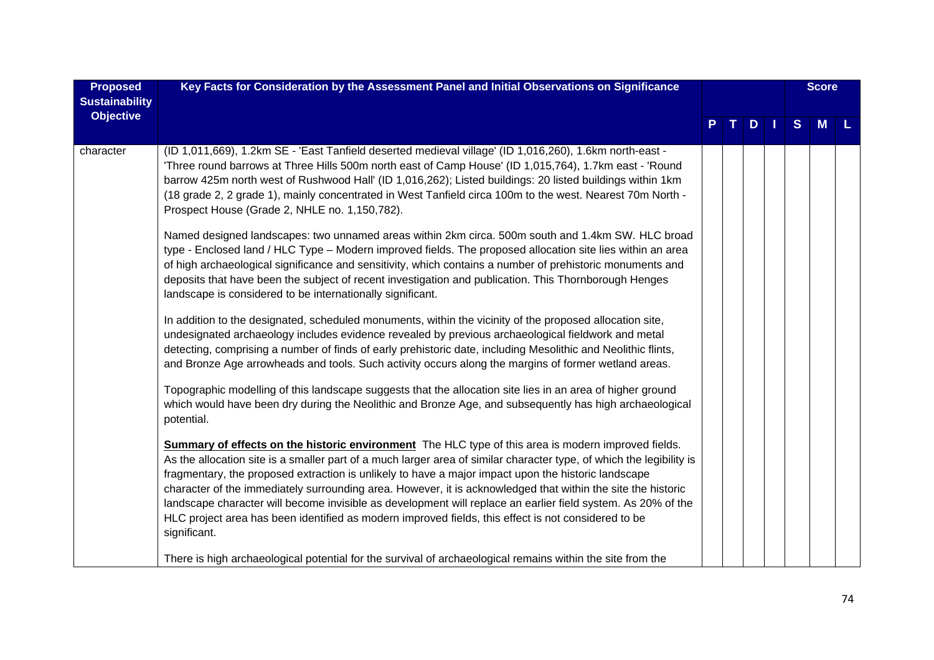| <b>Proposed</b><br><b>Sustainability</b> | Key Facts for Consideration by the Assessment Panel and Initial Observations on Significance                                                                                                                                                                                                                                                                                                                                                                                                                                                                                                                                                                                              |  |     | <b>Score</b> |   |  |
|------------------------------------------|-------------------------------------------------------------------------------------------------------------------------------------------------------------------------------------------------------------------------------------------------------------------------------------------------------------------------------------------------------------------------------------------------------------------------------------------------------------------------------------------------------------------------------------------------------------------------------------------------------------------------------------------------------------------------------------------|--|-----|--------------|---|--|
| <b>Objective</b>                         |                                                                                                                                                                                                                                                                                                                                                                                                                                                                                                                                                                                                                                                                                           |  | $D$ | S            | M |  |
| character                                | (ID 1,011,669), 1.2km SE - 'East Tanfield deserted medieval village' (ID 1,016,260), 1.6km north-east -<br>Three round barrows at Three Hills 500m north east of Camp House' (ID 1,015,764), 1.7km east - 'Round<br>barrow 425m north west of Rushwood Hall' (ID 1,016,262); Listed buildings: 20 listed buildings within 1km<br>(18 grade 2, 2 grade 1), mainly concentrated in West Tanfield circa 100m to the west. Nearest 70m North -<br>Prospect House (Grade 2, NHLE no. 1,150,782).                                                                                                                                                                                               |  |     |              |   |  |
|                                          | Named designed landscapes: two unnamed areas within 2km circa. 500m south and 1.4km SW. HLC broad<br>type - Enclosed land / HLC Type - Modern improved fields. The proposed allocation site lies within an area<br>of high archaeological significance and sensitivity, which contains a number of prehistoric monuments and<br>deposits that have been the subject of recent investigation and publication. This Thornborough Henges<br>landscape is considered to be internationally significant.                                                                                                                                                                                       |  |     |              |   |  |
|                                          | In addition to the designated, scheduled monuments, within the vicinity of the proposed allocation site,<br>undesignated archaeology includes evidence revealed by previous archaeological fieldwork and metal<br>detecting, comprising a number of finds of early prehistoric date, including Mesolithic and Neolithic flints,<br>and Bronze Age arrowheads and tools. Such activity occurs along the margins of former wetland areas.                                                                                                                                                                                                                                                   |  |     |              |   |  |
|                                          | Topographic modelling of this landscape suggests that the allocation site lies in an area of higher ground<br>which would have been dry during the Neolithic and Bronze Age, and subsequently has high archaeological<br>potential.                                                                                                                                                                                                                                                                                                                                                                                                                                                       |  |     |              |   |  |
|                                          | Summary of effects on the historic environment The HLC type of this area is modern improved fields.<br>As the allocation site is a smaller part of a much larger area of similar character type, of which the legibility is<br>fragmentary, the proposed extraction is unlikely to have a major impact upon the historic landscape<br>character of the immediately surrounding area. However, it is acknowledged that within the site the historic<br>landscape character will become invisible as development will replace an earlier field system. As 20% of the<br>HLC project area has been identified as modern improved fields, this effect is not considered to be<br>significant. |  |     |              |   |  |
|                                          | There is high archaeological potential for the survival of archaeological remains within the site from the                                                                                                                                                                                                                                                                                                                                                                                                                                                                                                                                                                                |  |     |              |   |  |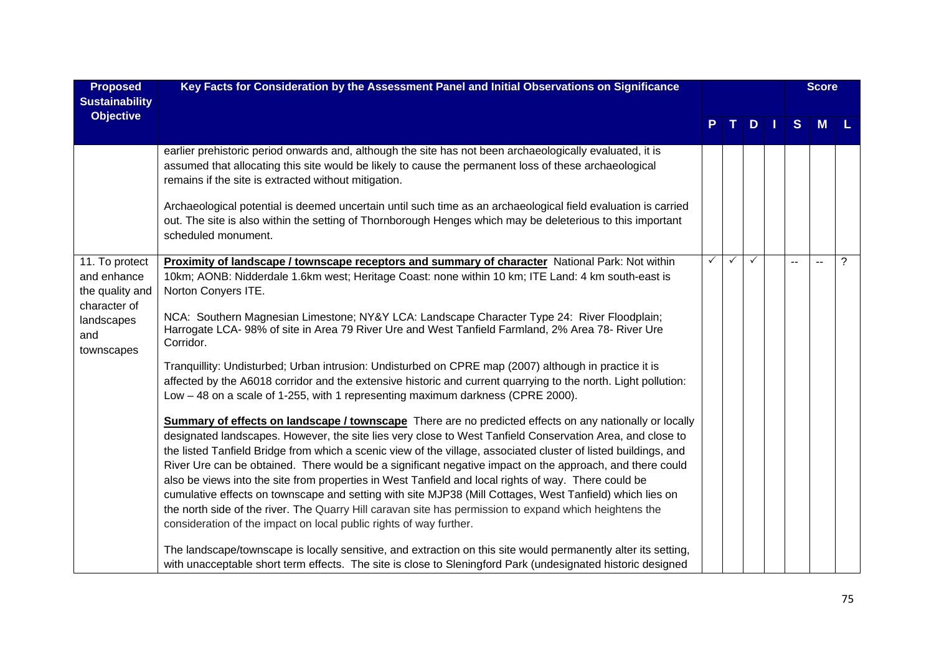| <b>Proposed</b><br><b>Sustainability</b>         | Key Facts for Consideration by the Assessment Panel and Initial Observations on Significance                                                                                                                                                                                                                                                                                                                                                                                                                                                                                                                                                                            |              |              |    |              | <b>Score</b> |   |
|--------------------------------------------------|-------------------------------------------------------------------------------------------------------------------------------------------------------------------------------------------------------------------------------------------------------------------------------------------------------------------------------------------------------------------------------------------------------------------------------------------------------------------------------------------------------------------------------------------------------------------------------------------------------------------------------------------------------------------------|--------------|--------------|----|--------------|--------------|---|
| <b>Objective</b>                                 |                                                                                                                                                                                                                                                                                                                                                                                                                                                                                                                                                                                                                                                                         |              |              | D. | <sub>S</sub> | M            |   |
|                                                  | earlier prehistoric period onwards and, although the site has not been archaeologically evaluated, it is<br>assumed that allocating this site would be likely to cause the permanent loss of these archaeological<br>remains if the site is extracted without mitigation.                                                                                                                                                                                                                                                                                                                                                                                               |              |              |    |              |              |   |
|                                                  | Archaeological potential is deemed uncertain until such time as an archaeological field evaluation is carried<br>out. The site is also within the setting of Thornborough Henges which may be deleterious to this important<br>scheduled monument.                                                                                                                                                                                                                                                                                                                                                                                                                      |              |              |    |              |              |   |
| 11. To protect<br>and enhance<br>the quality and | Proximity of landscape / townscape receptors and summary of character National Park: Not within<br>10km; AONB: Nidderdale 1.6km west; Heritage Coast: none within 10 km; ITE Land: 4 km south-east is<br>Norton Conyers ITE.                                                                                                                                                                                                                                                                                                                                                                                                                                            | $\checkmark$ | $\checkmark$ | ✓  |              |              | ? |
| character of<br>landscapes<br>and<br>townscapes  | NCA: Southern Magnesian Limestone; NY&Y LCA: Landscape Character Type 24: River Floodplain;<br>Harrogate LCA-98% of site in Area 79 River Ure and West Tanfield Farmland, 2% Area 78- River Ure<br>Corridor.                                                                                                                                                                                                                                                                                                                                                                                                                                                            |              |              |    |              |              |   |
|                                                  | Tranquillity: Undisturbed; Urban intrusion: Undisturbed on CPRE map (2007) although in practice it is<br>affected by the A6018 corridor and the extensive historic and current quarrying to the north. Light pollution:<br>Low - 48 on a scale of 1-255, with 1 representing maximum darkness (CPRE 2000).                                                                                                                                                                                                                                                                                                                                                              |              |              |    |              |              |   |
|                                                  | Summary of effects on landscape / townscape There are no predicted effects on any nationally or locally<br>designated landscapes. However, the site lies very close to West Tanfield Conservation Area, and close to<br>the listed Tanfield Bridge from which a scenic view of the village, associated cluster of listed buildings, and<br>River Ure can be obtained. There would be a significant negative impact on the approach, and there could<br>also be views into the site from properties in West Tanfield and local rights of way. There could be<br>cumulative effects on townscape and setting with site MJP38 (Mill Cottages, West Tanfield) which lies on |              |              |    |              |              |   |
|                                                  | the north side of the river. The Quarry Hill caravan site has permission to expand which heightens the<br>consideration of the impact on local public rights of way further.<br>The landscape/townscape is locally sensitive, and extraction on this site would permanently alter its setting,                                                                                                                                                                                                                                                                                                                                                                          |              |              |    |              |              |   |
|                                                  | with unacceptable short term effects. The site is close to Sleningford Park (undesignated historic designed                                                                                                                                                                                                                                                                                                                                                                                                                                                                                                                                                             |              |              |    |              |              |   |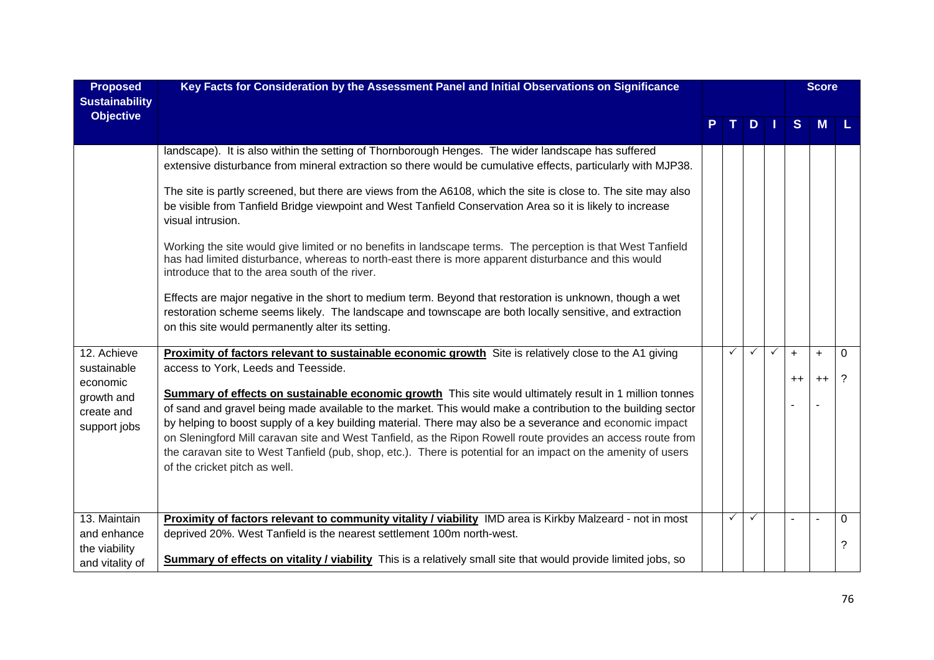| <b>Proposed</b>                                                                    | Key Facts for Consideration by the Assessment Panel and Initial Observations on Significance                                                                                                                                                                                                                                                                                                                                                                                                                                                                                                                                                                                                                                                                                                                                                                                                                                                                                                                                |              |              |              |             | <b>Score</b> |               |
|------------------------------------------------------------------------------------|-----------------------------------------------------------------------------------------------------------------------------------------------------------------------------------------------------------------------------------------------------------------------------------------------------------------------------------------------------------------------------------------------------------------------------------------------------------------------------------------------------------------------------------------------------------------------------------------------------------------------------------------------------------------------------------------------------------------------------------------------------------------------------------------------------------------------------------------------------------------------------------------------------------------------------------------------------------------------------------------------------------------------------|--------------|--------------|--------------|-------------|--------------|---------------|
| <b>Sustainability</b><br><b>Objective</b>                                          |                                                                                                                                                                                                                                                                                                                                                                                                                                                                                                                                                                                                                                                                                                                                                                                                                                                                                                                                                                                                                             |              | D.           |              | S           | M            |               |
|                                                                                    | landscape). It is also within the setting of Thornborough Henges. The wider landscape has suffered<br>extensive disturbance from mineral extraction so there would be cumulative effects, particularly with MJP38.<br>The site is partly screened, but there are views from the A6108, which the site is close to. The site may also<br>be visible from Tanfield Bridge viewpoint and West Tanfield Conservation Area so it is likely to increase<br>visual intrusion.<br>Working the site would give limited or no benefits in landscape terms. The perception is that West Tanfield<br>has had limited disturbance, whereas to north-east there is more apparent disturbance and this would<br>introduce that to the area south of the river.<br>Effects are major negative in the short to medium term. Beyond that restoration is unknown, though a wet<br>restoration scheme seems likely. The landscape and townscape are both locally sensitive, and extraction<br>on this site would permanently alter its setting. |              |              |              |             |              |               |
| 12. Achieve<br>sustainable<br>economic<br>growth and<br>create and<br>support jobs | Proximity of factors relevant to sustainable economic growth Site is relatively close to the A1 giving<br>access to York, Leeds and Teesside.<br>Summary of effects on sustainable economic growth This site would ultimately result in 1 million tonnes<br>of sand and gravel being made available to the market. This would make a contribution to the building sector<br>by helping to boost supply of a key building material. There may also be a severance and economic impact<br>on Sleningford Mill caravan site and West Tanfield, as the Ripon Rowell route provides an access route from<br>the caravan site to West Tanfield (pub, shop, etc.). There is potential for an impact on the amenity of users<br>of the cricket pitch as well.                                                                                                                                                                                                                                                                       | ✓            | $\checkmark$ | $\checkmark$ | $+$<br>$++$ | $+$<br>$++$  | 0<br>?        |
| 13. Maintain<br>and enhance<br>the viability<br>and vitality of                    | Proximity of factors relevant to community vitality / viability IMD area is Kirkby Malzeard - not in most<br>deprived 20%. West Tanfield is the nearest settlement 100m north-west.<br><b>Summary of effects on vitality / viability</b> This is a relatively small site that would provide limited jobs, so                                                                                                                                                                                                                                                                                                                                                                                                                                                                                                                                                                                                                                                                                                                | $\checkmark$ | $\checkmark$ |              |             |              | $\Omega$<br>? |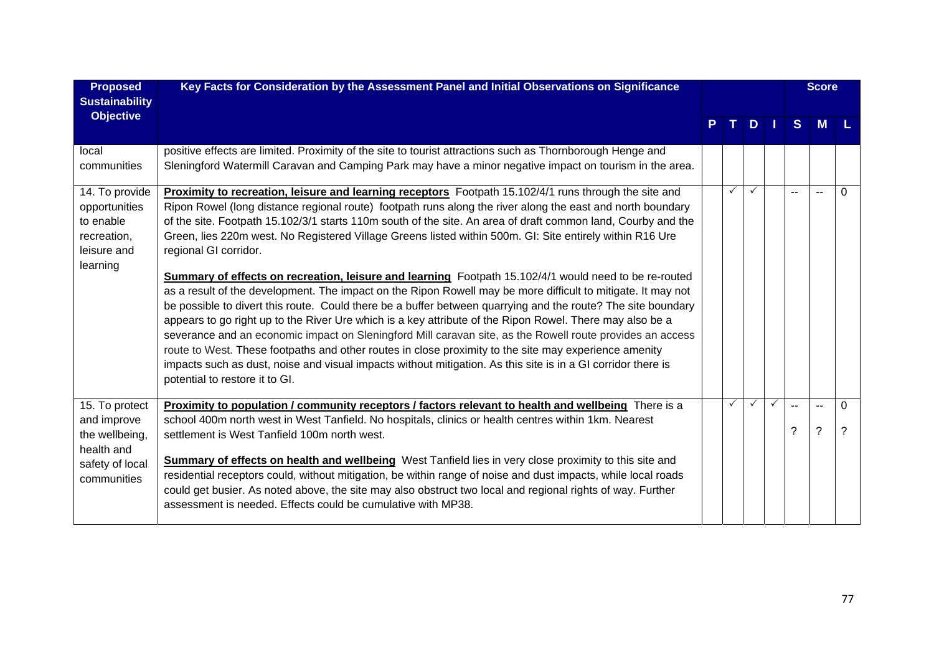| <b>Proposed</b><br><b>Sustainability</b>                                               | Key Facts for Consideration by the Assessment Panel and Initial Observations on Significance                                                                                                                                                                                                                                                                                                                                                                                                                                                                                                                                                                                                                                                                                                                                                                                                                                                                                                                                                                                                                                                                                                                                                                                                                 |              |              |              |               | <b>Score</b>                                         |          |
|----------------------------------------------------------------------------------------|--------------------------------------------------------------------------------------------------------------------------------------------------------------------------------------------------------------------------------------------------------------------------------------------------------------------------------------------------------------------------------------------------------------------------------------------------------------------------------------------------------------------------------------------------------------------------------------------------------------------------------------------------------------------------------------------------------------------------------------------------------------------------------------------------------------------------------------------------------------------------------------------------------------------------------------------------------------------------------------------------------------------------------------------------------------------------------------------------------------------------------------------------------------------------------------------------------------------------------------------------------------------------------------------------------------|--------------|--------------|--------------|---------------|------------------------------------------------------|----------|
| <b>Objective</b>                                                                       |                                                                                                                                                                                                                                                                                                                                                                                                                                                                                                                                                                                                                                                                                                                                                                                                                                                                                                                                                                                                                                                                                                                                                                                                                                                                                                              | т.           | $D$   $I$    |              | S             | M                                                    |          |
| local<br>communities                                                                   | positive effects are limited. Proximity of the site to tourist attractions such as Thornborough Henge and<br>Sleningford Watermill Caravan and Camping Park may have a minor negative impact on tourism in the area.                                                                                                                                                                                                                                                                                                                                                                                                                                                                                                                                                                                                                                                                                                                                                                                                                                                                                                                                                                                                                                                                                         |              |              |              |               |                                                      |          |
| 14. To provide<br>opportunities<br>to enable<br>recreation,<br>leisure and<br>learning | Proximity to recreation, leisure and learning receptors Footpath 15.102/4/1 runs through the site and<br>Ripon Rowel (long distance regional route) footpath runs along the river along the east and north boundary<br>of the site. Footpath 15.102/3/1 starts 110m south of the site. An area of draft common land, Courby and the<br>Green, lies 220m west. No Registered Village Greens listed within 500m. GI: Site entirely within R16 Ure<br>regional GI corridor.<br><b>Summary of effects on recreation, leisure and learning</b> Footpath 15.102/4/1 would need to be re-routed<br>as a result of the development. The impact on the Ripon Rowell may be more difficult to mitigate. It may not<br>be possible to divert this route. Could there be a buffer between quarrying and the route? The site boundary<br>appears to go right up to the River Ure which is a key attribute of the Ripon Rowel. There may also be a<br>severance and an economic impact on Sleningford Mill caravan site, as the Rowell route provides an access<br>route to West. These footpaths and other routes in close proximity to the site may experience amenity<br>impacts such as dust, noise and visual impacts without mitigation. As this site is in a GI corridor there is<br>potential to restore it to GI. | $\checkmark$ | $\checkmark$ |              | $\frac{1}{2}$ | $\sim$ $\sim$                                        | $\Omega$ |
| 15. To protect<br>and improve<br>the wellbeing,<br>health and<br>safety of local       | Proximity to population / community receptors / factors relevant to health and wellbeing There is a<br>school 400m north west in West Tanfield. No hospitals, clinics or health centres within 1km. Nearest<br>settlement is West Tanfield 100m north west.<br><b>Summary of effects on health and wellbeing</b> West Tanfield lies in very close proximity to this site and                                                                                                                                                                                                                                                                                                                                                                                                                                                                                                                                                                                                                                                                                                                                                                                                                                                                                                                                 | $\checkmark$ | $\checkmark$ | $\checkmark$ | 2             | $\overline{\phantom{a}}$<br>$\overline{\phantom{0}}$ | 0<br>?   |
| communities                                                                            | residential receptors could, without mitigation, be within range of noise and dust impacts, while local roads<br>could get busier. As noted above, the site may also obstruct two local and regional rights of way. Further<br>assessment is needed. Effects could be cumulative with MP38.                                                                                                                                                                                                                                                                                                                                                                                                                                                                                                                                                                                                                                                                                                                                                                                                                                                                                                                                                                                                                  |              |              |              |               |                                                      |          |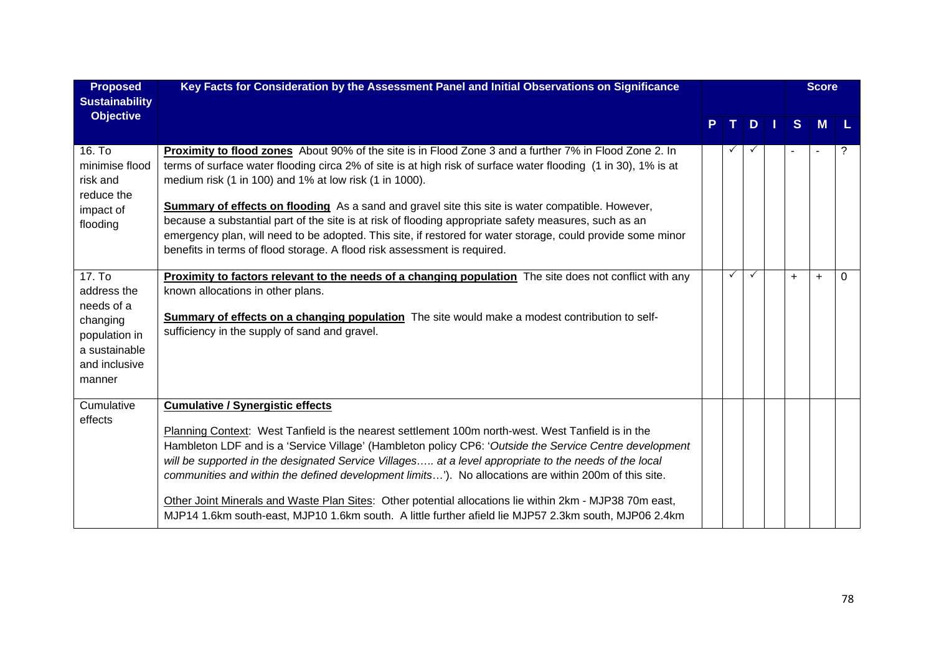| <b>Proposed</b><br><b>Sustainability</b>                                                                                 | Key Facts for Consideration by the Assessment Panel and Initial Observations on Significance                                                                                                                                                                                                                                                                                                                                                                                                                                                                                                                                                                                                             |              |              |     | <b>Score</b> |   |
|--------------------------------------------------------------------------------------------------------------------------|----------------------------------------------------------------------------------------------------------------------------------------------------------------------------------------------------------------------------------------------------------------------------------------------------------------------------------------------------------------------------------------------------------------------------------------------------------------------------------------------------------------------------------------------------------------------------------------------------------------------------------------------------------------------------------------------------------|--------------|--------------|-----|--------------|---|
| <b>Objective</b>                                                                                                         |                                                                                                                                                                                                                                                                                                                                                                                                                                                                                                                                                                                                                                                                                                          | т.           | D            | S   | M            |   |
| 16. To<br>minimise flood<br>risk and<br>reduce the<br>impact of<br>flooding                                              | <b>Proximity to flood zones</b> About 90% of the site is in Flood Zone 3 and a further 7% in Flood Zone 2. In<br>terms of surface water flooding circa 2% of site is at high risk of surface water flooding (1 in 30), 1% is at<br>medium risk (1 in 100) and 1% at low risk (1 in 1000).<br><b>Summary of effects on flooding</b> As a sand and gravel site this site is water compatible. However,<br>because a substantial part of the site is at risk of flooding appropriate safety measures, such as an<br>emergency plan, will need to be adopted. This site, if restored for water storage, could provide some minor<br>benefits in terms of flood storage. A flood risk assessment is required. | $\checkmark$ | $\checkmark$ |     |              | ? |
| 17. T <sub>0</sub><br>address the<br>needs of a<br>changing<br>population in<br>a sustainable<br>and inclusive<br>manner | <b>Proximity to factors relevant to the needs of a changing population</b> The site does not conflict with any<br>known allocations in other plans.<br>Summary of effects on a changing population The site would make a modest contribution to self-<br>sufficiency in the supply of sand and gravel.                                                                                                                                                                                                                                                                                                                                                                                                   | $\checkmark$ | $\checkmark$ | $+$ | $\ddot{}$    | 0 |
| Cumulative<br>effects                                                                                                    | <b>Cumulative / Synergistic effects</b><br>Planning Context: West Tanfield is the nearest settlement 100m north-west. West Tanfield is in the<br>Hambleton LDF and is a 'Service Village' (Hambleton policy CP6: 'Outside the Service Centre development<br>will be supported in the designated Service Villages at a level appropriate to the needs of the local<br>communities and within the defined development limits'). No allocations are within 200m of this site.<br>Other Joint Minerals and Waste Plan Sites: Other potential allocations lie within 2km - MJP38 70m east,<br>MJP14 1.6km south-east, MJP10 1.6km south. A little further afield lie MJP57 2.3km south, MJP06 2.4km           |              |              |     |              |   |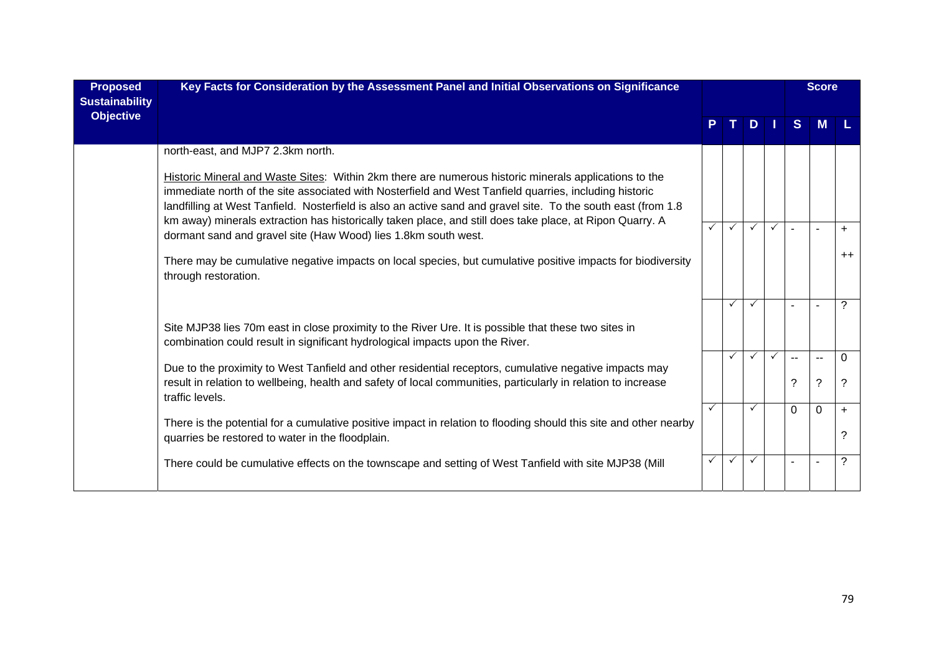| <b>Proposed</b><br><b>Sustainability</b> | Key Facts for Consideration by the Assessment Panel and Initial Observations on Significance                                                                                                                                                                                                                                                                                                                                                 |              |              |              |              |                          | <b>Score</b> |                |
|------------------------------------------|----------------------------------------------------------------------------------------------------------------------------------------------------------------------------------------------------------------------------------------------------------------------------------------------------------------------------------------------------------------------------------------------------------------------------------------------|--------------|--------------|--------------|--------------|--------------------------|--------------|----------------|
| <b>Objective</b>                         |                                                                                                                                                                                                                                                                                                                                                                                                                                              |              | т.           | D            | ш            | <sub>S</sub>             | М            |                |
|                                          | north-east, and MJP7 2.3km north.                                                                                                                                                                                                                                                                                                                                                                                                            |              |              |              |              |                          |              |                |
|                                          | Historic Mineral and Waste Sites: Within 2km there are numerous historic minerals applications to the<br>immediate north of the site associated with Nosterfield and West Tanfield quarries, including historic<br>landfilling at West Tanfield. Nosterfield is also an active sand and gravel site. To the south east (from 1.8<br>km away) minerals extraction has historically taken place, and still does take place, at Ripon Quarry. A |              |              |              |              |                          |              |                |
|                                          | dormant sand and gravel site (Haw Wood) lies 1.8km south west.                                                                                                                                                                                                                                                                                                                                                                               | $\checkmark$ | $\checkmark$ | $\checkmark$ | $\checkmark$ | $\overline{a}$           |              | $+$            |
|                                          | There may be cumulative negative impacts on local species, but cumulative positive impacts for biodiversity<br>through restoration.                                                                                                                                                                                                                                                                                                          |              |              |              |              |                          |              | $++$           |
|                                          |                                                                                                                                                                                                                                                                                                                                                                                                                                              |              | ✓            | $\checkmark$ |              | ÷                        |              | $\overline{?}$ |
|                                          | Site MJP38 lies 70m east in close proximity to the River Ure. It is possible that these two sites in<br>combination could result in significant hydrological impacts upon the River.                                                                                                                                                                                                                                                         |              |              |              |              |                          |              |                |
|                                          | Due to the proximity to West Tanfield and other residential receptors, cumulative negative impacts may                                                                                                                                                                                                                                                                                                                                       |              | ✓            | $\checkmark$ | $\checkmark$ | $\sim$ $\sim$            | --           | $\Omega$       |
|                                          | result in relation to wellbeing, health and safety of local communities, particularly in relation to increase<br>traffic levels.                                                                                                                                                                                                                                                                                                             |              |              |              |              | $\overline{\phantom{0}}$ | ?            | ?              |
|                                          | There is the potential for a cumulative positive impact in relation to flooding should this site and other nearby<br>quarries be restored to water in the floodplain.                                                                                                                                                                                                                                                                        | $\checkmark$ |              | ✓            |              | $\Omega$                 | $\Omega$     | $+$<br>?       |
|                                          | There could be cumulative effects on the townscape and setting of West Tanfield with site MJP38 (Mill                                                                                                                                                                                                                                                                                                                                        | $\checkmark$ | $\checkmark$ | $\checkmark$ |              |                          |              | ?              |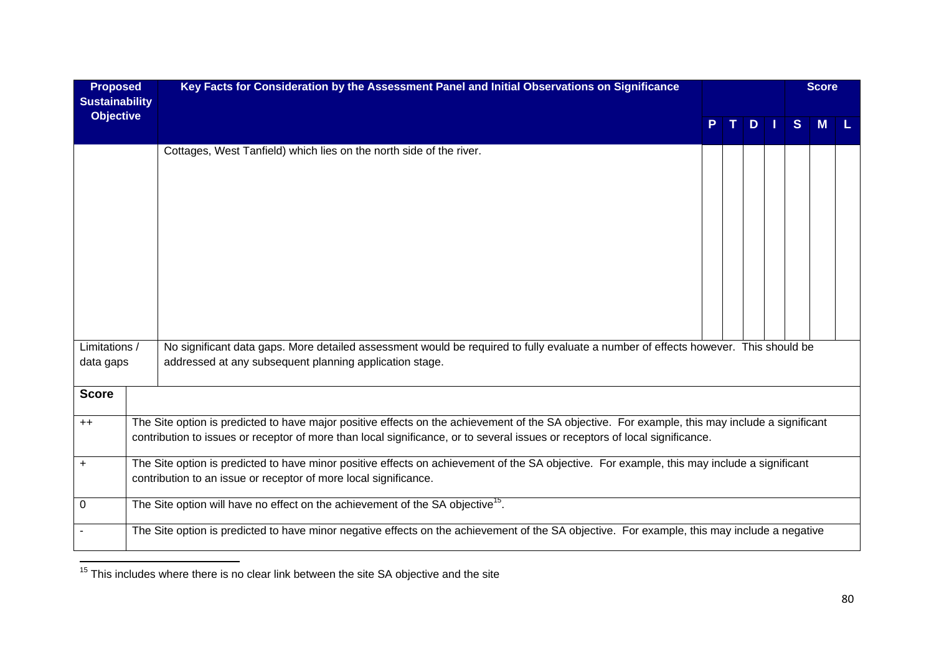| <b>Proposed</b><br><b>Sustainability</b> |                                                                                                                                              | Key Facts for Consideration by the Assessment Panel and Initial Observations on Significance                                                                                                                                                                                    |  |  |   |  | <b>Score</b> |   |  |
|------------------------------------------|----------------------------------------------------------------------------------------------------------------------------------------------|---------------------------------------------------------------------------------------------------------------------------------------------------------------------------------------------------------------------------------------------------------------------------------|--|--|---|--|--------------|---|--|
| <b>Objective</b>                         |                                                                                                                                              |                                                                                                                                                                                                                                                                                 |  |  | D |  | <sub>S</sub> | M |  |
|                                          |                                                                                                                                              | Cottages, West Tanfield) which lies on the north side of the river.                                                                                                                                                                                                             |  |  |   |  |              |   |  |
| Limitations /<br>data gaps               |                                                                                                                                              | No significant data gaps. More detailed assessment would be required to fully evaluate a number of effects however. This should be<br>addressed at any subsequent planning application stage.                                                                                   |  |  |   |  |              |   |  |
| <b>Score</b>                             |                                                                                                                                              |                                                                                                                                                                                                                                                                                 |  |  |   |  |              |   |  |
| $++$                                     |                                                                                                                                              | The Site option is predicted to have major positive effects on the achievement of the SA objective. For example, this may include a significant<br>contribution to issues or receptor of more than local significance, or to several issues or receptors of local significance. |  |  |   |  |              |   |  |
| $\ddot{}$                                |                                                                                                                                              | The Site option is predicted to have minor positive effects on achievement of the SA objective. For example, this may include a significant<br>contribution to an issue or receptor of more local significance.                                                                 |  |  |   |  |              |   |  |
| $\mathbf 0$                              | The Site option will have no effect on the achievement of the SA objective <sup>15</sup> .                                                   |                                                                                                                                                                                                                                                                                 |  |  |   |  |              |   |  |
|                                          | The Site option is predicted to have minor negative effects on the achievement of the SA objective. For example, this may include a negative |                                                                                                                                                                                                                                                                                 |  |  |   |  |              |   |  |

 $\frac{15}{15}$  This includes where there is no clear link between the site SA objective and the site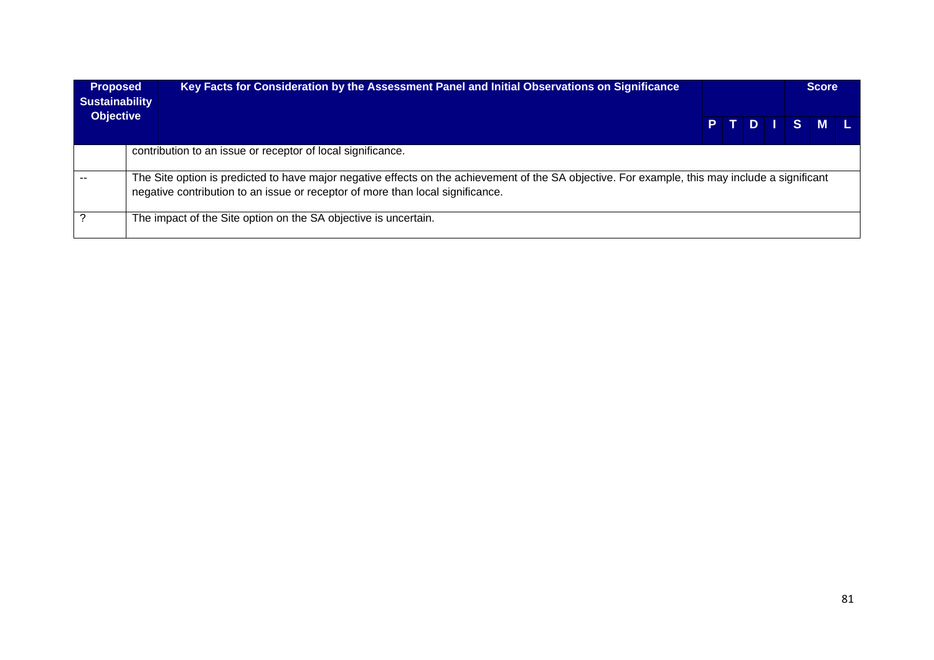| <b>Proposed</b><br><b>Sustainability</b> | Key Facts for Consideration by the Assessment Panel and Initial Observations on Significance                                                                                                                                      |  |  |  |  |  |         | <b>Score</b> |  |
|------------------------------------------|-----------------------------------------------------------------------------------------------------------------------------------------------------------------------------------------------------------------------------------|--|--|--|--|--|---------|--------------|--|
|                                          | <b>Objective</b>                                                                                                                                                                                                                  |  |  |  |  |  | PTDISML |              |  |
|                                          | contribution to an issue or receptor of local significance.                                                                                                                                                                       |  |  |  |  |  |         |              |  |
|                                          | The Site option is predicted to have major negative effects on the achievement of the SA objective. For example, this may include a significant<br>negative contribution to an issue or receptor of more than local significance. |  |  |  |  |  |         |              |  |
|                                          | The impact of the Site option on the SA objective is uncertain.                                                                                                                                                                   |  |  |  |  |  |         |              |  |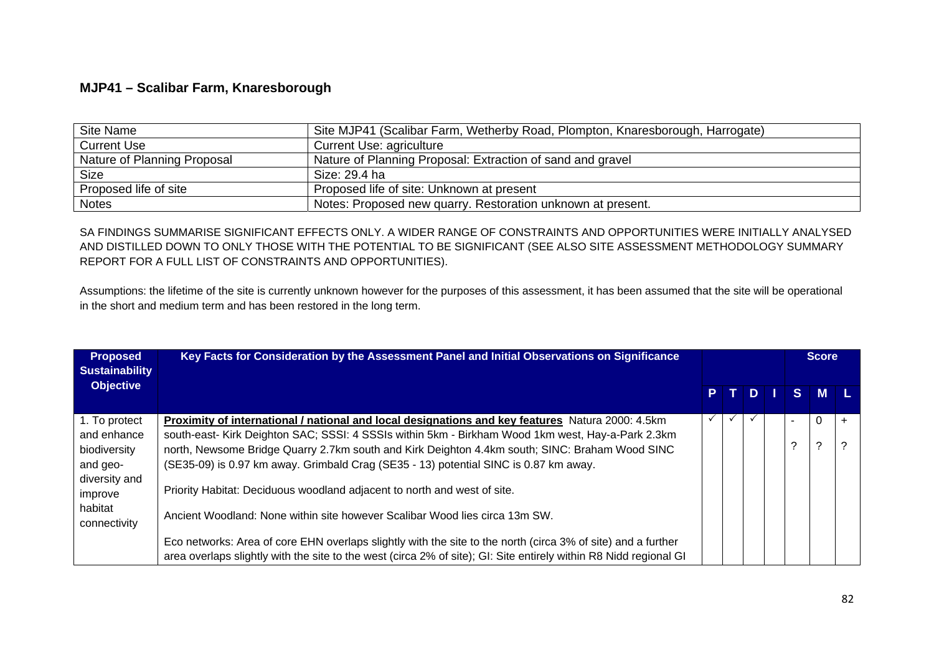## **MJP41 – Scalibar Farm, Knaresborough**

| Site Name                   | Site MJP41 (Scalibar Farm, Wetherby Road, Plompton, Knaresborough, Harrogate) |
|-----------------------------|-------------------------------------------------------------------------------|
| <b>Current Use</b>          | Current Use: agriculture                                                      |
| Nature of Planning Proposal | Nature of Planning Proposal: Extraction of sand and gravel                    |
| <b>Size</b>                 | Size: 29.4 ha                                                                 |
| Proposed life of site       | Proposed life of site: Unknown at present                                     |
| <b>Notes</b>                | Notes: Proposed new quarry. Restoration unknown at present.                   |

SA FINDINGS SUMMARISE SIGNIFICANT EFFECTS ONLY. A WIDER RANGE OF CONSTRAINTS AND OPPORTUNITIES WERE INITIALLY ANALYSED AND DISTILLED DOWN TO ONLY THOSE WITH THE POTENTIAL TO BE SIGNIFICANT (SEE ALSO SITE ASSESSMENT METHODOLOGY SUMMARY REPORT FOR A FULL LIST OF CONSTRAINTS AND OPPORTUNITIES).

Assumptions: the lifetime of the site is currently unknown however for the purposes of this assessment, it has been assumed that the site will be operational in the short and medium term and has been restored in the long term.

| <b>Proposed</b><br><b>Sustainability</b> | Key Facts for Consideration by the Assessment Panel and Initial Observations on Significance                                                                                                                                      |  |     |              | <b>Score</b> |       |  |  |
|------------------------------------------|-----------------------------------------------------------------------------------------------------------------------------------------------------------------------------------------------------------------------------------|--|-----|--------------|--------------|-------|--|--|
| <b>Objective</b>                         |                                                                                                                                                                                                                                   |  | PT. | $\mathbf{D}$ |              | S M L |  |  |
| 1. To protect                            | Proximity of international / national and local designations and key features Natura 2000: 4.5km                                                                                                                                  |  |     |              |              |       |  |  |
| and enhance                              | south-east- Kirk Deighton SAC; SSSI: 4 SSSIs within 5km - Birkham Wood 1km west, Hay-a-Park 2.3km                                                                                                                                 |  |     |              |              |       |  |  |
| biodiversity                             | north, Newsome Bridge Quarry 2.7km south and Kirk Deighton 4.4km south; SINC: Braham Wood SINC                                                                                                                                    |  |     |              | ◠            | ?     |  |  |
| and geo-                                 | (SE35-09) is 0.97 km away. Grimbald Crag (SE35 - 13) potential SINC is 0.87 km away.                                                                                                                                              |  |     |              |              |       |  |  |
| diversity and<br>improve                 | Priority Habitat: Deciduous woodland adjacent to north and west of site.                                                                                                                                                          |  |     |              |              |       |  |  |
| habitat<br>connectivity                  | Ancient Woodland: None within site however Scalibar Wood lies circa 13m SW.                                                                                                                                                       |  |     |              |              |       |  |  |
|                                          | Eco networks: Area of core EHN overlaps slightly with the site to the north (circa 3% of site) and a further<br>area overlaps slightly with the site to the west (circa 2% of site); GI: Site entirely within R8 Nidd regional GI |  |     |              |              |       |  |  |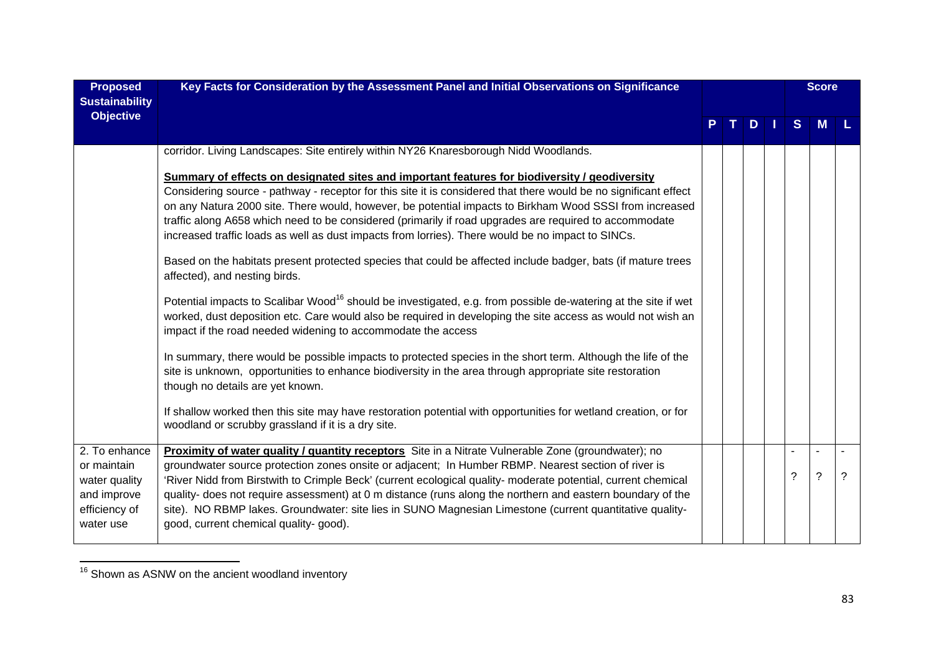| <b>Proposed</b><br><b>Sustainability</b>                                                   | Key Facts for Consideration by the Assessment Panel and Initial Observations on Significance                                                                                                                                                                                                                                                                                                                                                                                                                                                                                                                                                                                                                                                                                                                                                                                                                                                                                                                                                                                                                                                                                                                                                                                                                                                                                                                                                                                                                                              |  |  |    |              | <b>Score</b>       |          |
|--------------------------------------------------------------------------------------------|-------------------------------------------------------------------------------------------------------------------------------------------------------------------------------------------------------------------------------------------------------------------------------------------------------------------------------------------------------------------------------------------------------------------------------------------------------------------------------------------------------------------------------------------------------------------------------------------------------------------------------------------------------------------------------------------------------------------------------------------------------------------------------------------------------------------------------------------------------------------------------------------------------------------------------------------------------------------------------------------------------------------------------------------------------------------------------------------------------------------------------------------------------------------------------------------------------------------------------------------------------------------------------------------------------------------------------------------------------------------------------------------------------------------------------------------------------------------------------------------------------------------------------------------|--|--|----|--------------|--------------------|----------|
| <b>Objective</b>                                                                           |                                                                                                                                                                                                                                                                                                                                                                                                                                                                                                                                                                                                                                                                                                                                                                                                                                                                                                                                                                                                                                                                                                                                                                                                                                                                                                                                                                                                                                                                                                                                           |  |  | D. | <sub>S</sub> | M                  |          |
|                                                                                            | corridor. Living Landscapes: Site entirely within NY26 Knaresborough Nidd Woodlands.<br>Summary of effects on designated sites and important features for biodiversity / geodiversity<br>Considering source - pathway - receptor for this site it is considered that there would be no significant effect<br>on any Natura 2000 site. There would, however, be potential impacts to Birkham Wood SSSI from increased<br>traffic along A658 which need to be considered (primarily if road upgrades are required to accommodate<br>increased traffic loads as well as dust impacts from lorries). There would be no impact to SINCs.<br>Based on the habitats present protected species that could be affected include badger, bats (if mature trees<br>affected), and nesting birds.<br>Potential impacts to Scalibar Wood <sup>16</sup> should be investigated, e.g. from possible de-watering at the site if wet<br>worked, dust deposition etc. Care would also be required in developing the site access as would not wish an<br>impact if the road needed widening to accommodate the access<br>In summary, there would be possible impacts to protected species in the short term. Although the life of the<br>site is unknown, opportunities to enhance biodiversity in the area through appropriate site restoration<br>though no details are yet known.<br>If shallow worked then this site may have restoration potential with opportunities for wetland creation, or for<br>woodland or scrubby grassland if it is a dry site. |  |  |    |              |                    |          |
| 2. To enhance<br>or maintain<br>water quality<br>and improve<br>efficiency of<br>water use | Proximity of water quality / quantity receptors Site in a Nitrate Vulnerable Zone (groundwater); no<br>groundwater source protection zones onsite or adjacent; In Humber RBMP. Nearest section of river is<br>'River Nidd from Birstwith to Crimple Beck' (current ecological quality- moderate potential, current chemical<br>quality- does not require assessment) at 0 m distance (runs along the northern and eastern boundary of the<br>site). NO RBMP lakes. Groundwater: site lies in SUNO Magnesian Limestone (current quantitative quality-<br>good, current chemical quality-good).                                                                                                                                                                                                                                                                                                                                                                                                                                                                                                                                                                                                                                                                                                                                                                                                                                                                                                                                             |  |  |    | ?            | $\overline{\cdot}$ | $\gamma$ |

 $\frac{16}{16}$  Shown as ASNW on the ancient woodland inventory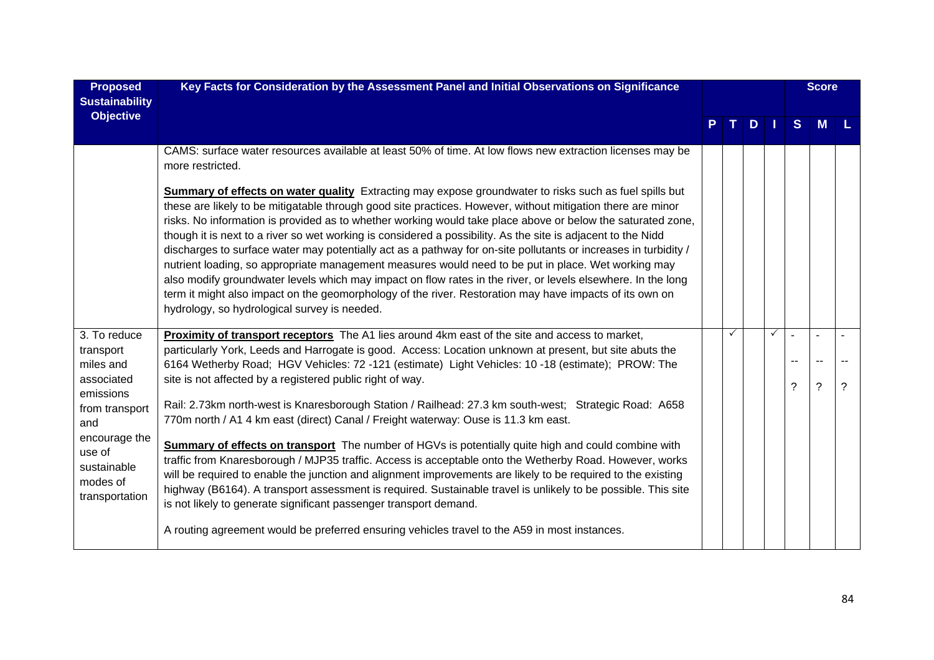| <b>Proposed</b><br><b>Sustainability</b>                             | Key Facts for Consideration by the Assessment Panel and Initial Observations on Significance                                                                                                                                                                                                                                                                                                                                                                                                                                                                                                                                                                                                                                                                                                                                                                                                                                                              |    |    |              |                | <b>Score</b> |   |  |  |  |  |
|----------------------------------------------------------------------|-----------------------------------------------------------------------------------------------------------------------------------------------------------------------------------------------------------------------------------------------------------------------------------------------------------------------------------------------------------------------------------------------------------------------------------------------------------------------------------------------------------------------------------------------------------------------------------------------------------------------------------------------------------------------------------------------------------------------------------------------------------------------------------------------------------------------------------------------------------------------------------------------------------------------------------------------------------|----|----|--------------|----------------|--------------|---|--|--|--|--|
| <b>Objective</b>                                                     |                                                                                                                                                                                                                                                                                                                                                                                                                                                                                                                                                                                                                                                                                                                                                                                                                                                                                                                                                           | т. | D. |              | S.             | M            |   |  |  |  |  |
|                                                                      | CAMS: surface water resources available at least 50% of time. At low flows new extraction licenses may be<br>more restricted.                                                                                                                                                                                                                                                                                                                                                                                                                                                                                                                                                                                                                                                                                                                                                                                                                             |    |    |              |                |              |   |  |  |  |  |
|                                                                      | Summary of effects on water quality Extracting may expose groundwater to risks such as fuel spills but<br>these are likely to be mitigatable through good site practices. However, without mitigation there are minor<br>risks. No information is provided as to whether working would take place above or below the saturated zone,<br>though it is next to a river so wet working is considered a possibility. As the site is adjacent to the Nidd<br>discharges to surface water may potentially act as a pathway for on-site pollutants or increases in turbidity /<br>nutrient loading, so appropriate management measures would need to be put in place. Wet working may<br>also modify groundwater levels which may impact on flow rates in the river, or levels elsewhere. In the long<br>term it might also impact on the geomorphology of the river. Restoration may have impacts of its own on<br>hydrology, so hydrological survey is needed. |    |    |              |                |              |   |  |  |  |  |
| 3. To reduce                                                         | Proximity of transport receptors The A1 lies around 4km east of the site and access to market,                                                                                                                                                                                                                                                                                                                                                                                                                                                                                                                                                                                                                                                                                                                                                                                                                                                            |    |    | $\checkmark$ | ÷              | $\sim$       |   |  |  |  |  |
| transport<br>miles and                                               | particularly York, Leeds and Harrogate is good. Access: Location unknown at present, but site abuts the<br>6164 Wetherby Road; HGV Vehicles: 72 -121 (estimate) Light Vehicles: 10 -18 (estimate); PROW: The                                                                                                                                                                                                                                                                                                                                                                                                                                                                                                                                                                                                                                                                                                                                              |    |    |              | $\overline{a}$ |              |   |  |  |  |  |
| associated                                                           | site is not affected by a registered public right of way.                                                                                                                                                                                                                                                                                                                                                                                                                                                                                                                                                                                                                                                                                                                                                                                                                                                                                                 |    |    |              | $\mathcal{P}$  | $\tilde{?}$  | ? |  |  |  |  |
| emissions<br>from transport<br>and                                   | Rail: 2.73km north-west is Knaresborough Station / Railhead: 27.3 km south-west; Strategic Road: A658<br>770m north / A1 4 km east (direct) Canal / Freight waterway: Ouse is 11.3 km east.                                                                                                                                                                                                                                                                                                                                                                                                                                                                                                                                                                                                                                                                                                                                                               |    |    |              |                |              |   |  |  |  |  |
| encourage the<br>use of<br>sustainable<br>modes of<br>transportation | <b>Summary of effects on transport</b> The number of HGVs is potentially quite high and could combine with<br>traffic from Knaresborough / MJP35 traffic. Access is acceptable onto the Wetherby Road. However, works<br>will be required to enable the junction and alignment improvements are likely to be required to the existing<br>highway (B6164). A transport assessment is required. Sustainable travel is unlikely to be possible. This site<br>is not likely to generate significant passenger transport demand.                                                                                                                                                                                                                                                                                                                                                                                                                               |    |    |              |                |              |   |  |  |  |  |
|                                                                      | A routing agreement would be preferred ensuring vehicles travel to the A59 in most instances.                                                                                                                                                                                                                                                                                                                                                                                                                                                                                                                                                                                                                                                                                                                                                                                                                                                             |    |    |              |                |              |   |  |  |  |  |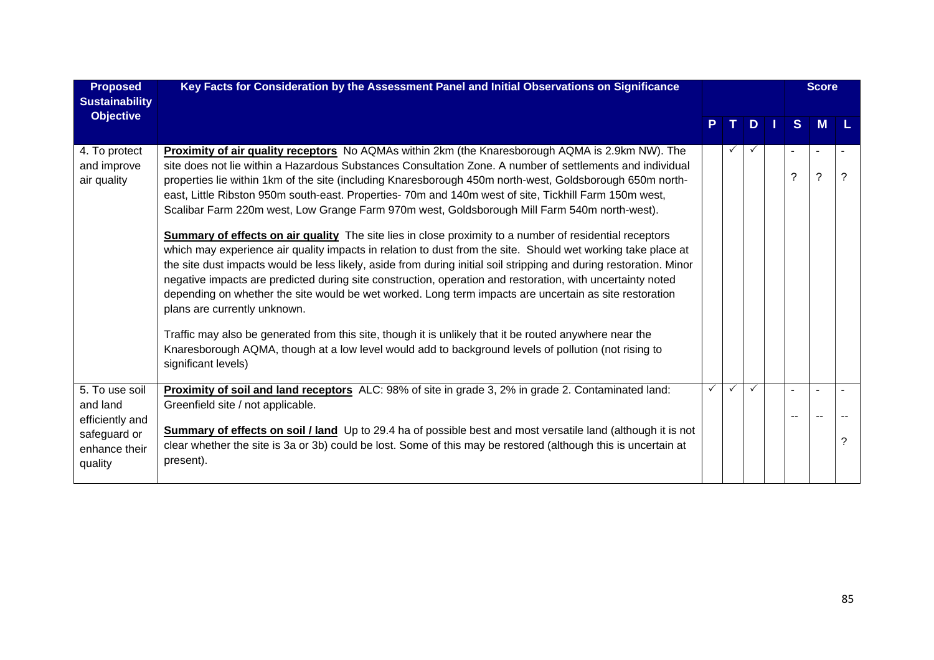| <b>Proposed</b><br><b>Sustainability</b>      | Key Facts for Consideration by the Assessment Panel and Initial Observations on Significance                                                                                                                                                                                                                                                                                                                                                                                                                                                                                                                                                                                                                                                                                                                                                                                                                                                                                                                                                                                                                                                                                                                                                                                                                                                                                                 |  |  |              |              | <b>Score</b> |   |
|-----------------------------------------------|----------------------------------------------------------------------------------------------------------------------------------------------------------------------------------------------------------------------------------------------------------------------------------------------------------------------------------------------------------------------------------------------------------------------------------------------------------------------------------------------------------------------------------------------------------------------------------------------------------------------------------------------------------------------------------------------------------------------------------------------------------------------------------------------------------------------------------------------------------------------------------------------------------------------------------------------------------------------------------------------------------------------------------------------------------------------------------------------------------------------------------------------------------------------------------------------------------------------------------------------------------------------------------------------------------------------------------------------------------------------------------------------|--|--|--------------|--------------|--------------|---|
| <b>Objective</b>                              |                                                                                                                                                                                                                                                                                                                                                                                                                                                                                                                                                                                                                                                                                                                                                                                                                                                                                                                                                                                                                                                                                                                                                                                                                                                                                                                                                                                              |  |  | D.           | <sub>S</sub> | <b>M</b>     |   |
| 4. To protect<br>and improve<br>air quality   | Proximity of air quality receptors No AQMAs within 2km (the Knaresborough AQMA is 2.9km NW). The<br>site does not lie within a Hazardous Substances Consultation Zone. A number of settlements and individual<br>properties lie within 1km of the site (including Knaresborough 450m north-west, Goldsborough 650m north-<br>east, Little Ribston 950m south-east. Properties- 70m and 140m west of site, Tickhill Farm 150m west,<br>Scalibar Farm 220m west, Low Grange Farm 970m west, Goldsborough Mill Farm 540m north-west).<br><b>Summary of effects on air quality</b> The site lies in close proximity to a number of residential receptors<br>which may experience air quality impacts in relation to dust from the site. Should wet working take place at<br>the site dust impacts would be less likely, aside from during initial soil stripping and during restoration. Minor<br>negative impacts are predicted during site construction, operation and restoration, with uncertainty noted<br>depending on whether the site would be wet worked. Long term impacts are uncertain as site restoration<br>plans are currently unknown.<br>Traffic may also be generated from this site, though it is unlikely that it be routed anywhere near the<br>Knaresborough AQMA, though at a low level would add to background levels of pollution (not rising to<br>significant levels) |  |  |              | ?            | ?            | ? |
| 5. To use soil<br>and land<br>efficiently and | Proximity of soil and land receptors ALC: 98% of site in grade 3, 2% in grade 2. Contaminated land:<br>Greenfield site / not applicable.                                                                                                                                                                                                                                                                                                                                                                                                                                                                                                                                                                                                                                                                                                                                                                                                                                                                                                                                                                                                                                                                                                                                                                                                                                                     |  |  | $\checkmark$ |              |              |   |
| safeguard or<br>enhance their<br>quality      | <b>Summary of effects on soil / land</b> Up to 29.4 ha of possible best and most versatile land (although it is not<br>clear whether the site is 3a or 3b) could be lost. Some of this may be restored (although this is uncertain at<br>present).                                                                                                                                                                                                                                                                                                                                                                                                                                                                                                                                                                                                                                                                                                                                                                                                                                                                                                                                                                                                                                                                                                                                           |  |  |              |              |              | 2 |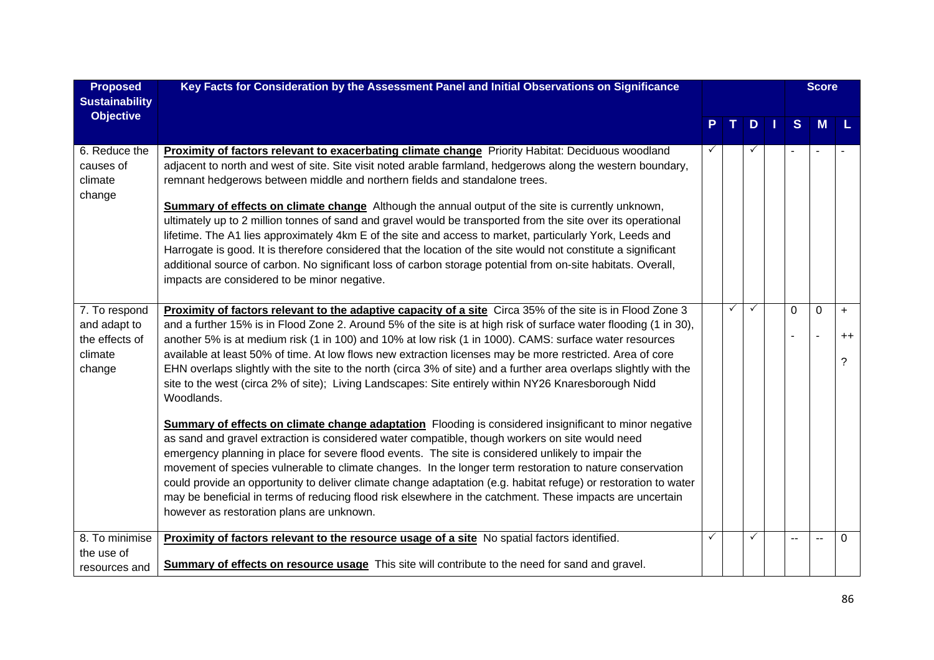| <b>Proposed</b><br><b>Sustainability</b>                             | Key Facts for Consideration by the Assessment Panel and Initial Observations on Significance                                                                                                                                                                                                                                                                                                                                                                                                                                                                                                                                                                                                                                                                                                                                                                                                                                                                                                                                                                                                                                                                                                                                                             |   |   |              |        | <b>Score</b>        |                        |  |  |  |
|----------------------------------------------------------------------|----------------------------------------------------------------------------------------------------------------------------------------------------------------------------------------------------------------------------------------------------------------------------------------------------------------------------------------------------------------------------------------------------------------------------------------------------------------------------------------------------------------------------------------------------------------------------------------------------------------------------------------------------------------------------------------------------------------------------------------------------------------------------------------------------------------------------------------------------------------------------------------------------------------------------------------------------------------------------------------------------------------------------------------------------------------------------------------------------------------------------------------------------------------------------------------------------------------------------------------------------------|---|---|--------------|--------|---------------------|------------------------|--|--|--|
| <b>Objective</b>                                                     |                                                                                                                                                                                                                                                                                                                                                                                                                                                                                                                                                                                                                                                                                                                                                                                                                                                                                                                                                                                                                                                                                                                                                                                                                                                          |   |   | D            | S      | M                   |                        |  |  |  |
| 6. Reduce the<br>causes of<br>climate<br>change                      | Proximity of factors relevant to exacerbating climate change Priority Habitat: Deciduous woodland<br>adjacent to north and west of site. Site visit noted arable farmland, hedgerows along the western boundary,<br>remnant hedgerows between middle and northern fields and standalone trees.<br>Summary of effects on climate change Although the annual output of the site is currently unknown,<br>ultimately up to 2 million tonnes of sand and gravel would be transported from the site over its operational<br>lifetime. The A1 lies approximately 4km E of the site and access to market, particularly York, Leeds and<br>Harrogate is good. It is therefore considered that the location of the site would not constitute a significant<br>additional source of carbon. No significant loss of carbon storage potential from on-site habitats. Overall,<br>impacts are considered to be minor negative.                                                                                                                                                                                                                                                                                                                                        |   |   |              |        |                     |                        |  |  |  |
| 7. To respond<br>and adapt to<br>the effects of<br>climate<br>change | Proximity of factors relevant to the adaptive capacity of a site Circa 35% of the site is in Flood Zone 3<br>and a further 15% is in Flood Zone 2. Around 5% of the site is at high risk of surface water flooding (1 in 30),<br>another 5% is at medium risk (1 in 100) and 10% at low risk (1 in 1000). CAMS: surface water resources<br>available at least 50% of time. At low flows new extraction licenses may be more restricted. Area of core<br>EHN overlaps slightly with the site to the north (circa 3% of site) and a further area overlaps slightly with the<br>site to the west (circa 2% of site); Living Landscapes: Site entirely within NY26 Knaresborough Nidd<br>Woodlands.<br><b>Summary of effects on climate change adaptation</b> Flooding is considered insignificant to minor negative<br>as sand and gravel extraction is considered water compatible, though workers on site would need<br>emergency planning in place for severe flood events. The site is considered unlikely to impair the<br>movement of species vulnerable to climate changes. In the longer term restoration to nature conservation<br>could provide an opportunity to deliver climate change adaptation (e.g. habitat refuge) or restoration to water |   | ✓ |              | 0<br>÷ | 0<br>$\overline{a}$ | $\ddot{}$<br>$++$<br>? |  |  |  |
|                                                                      | may be beneficial in terms of reducing flood risk elsewhere in the catchment. These impacts are uncertain<br>however as restoration plans are unknown.                                                                                                                                                                                                                                                                                                                                                                                                                                                                                                                                                                                                                                                                                                                                                                                                                                                                                                                                                                                                                                                                                                   |   |   |              |        |                     |                        |  |  |  |
| 8. To minimise<br>the use of<br>resources and                        | Proximity of factors relevant to the resource usage of a site No spatial factors identified.<br><b>Summary of effects on resource usage</b> This site will contribute to the need for sand and gravel.                                                                                                                                                                                                                                                                                                                                                                                                                                                                                                                                                                                                                                                                                                                                                                                                                                                                                                                                                                                                                                                   | ✓ |   | $\checkmark$ | $-$    | --                  | $\Omega$               |  |  |  |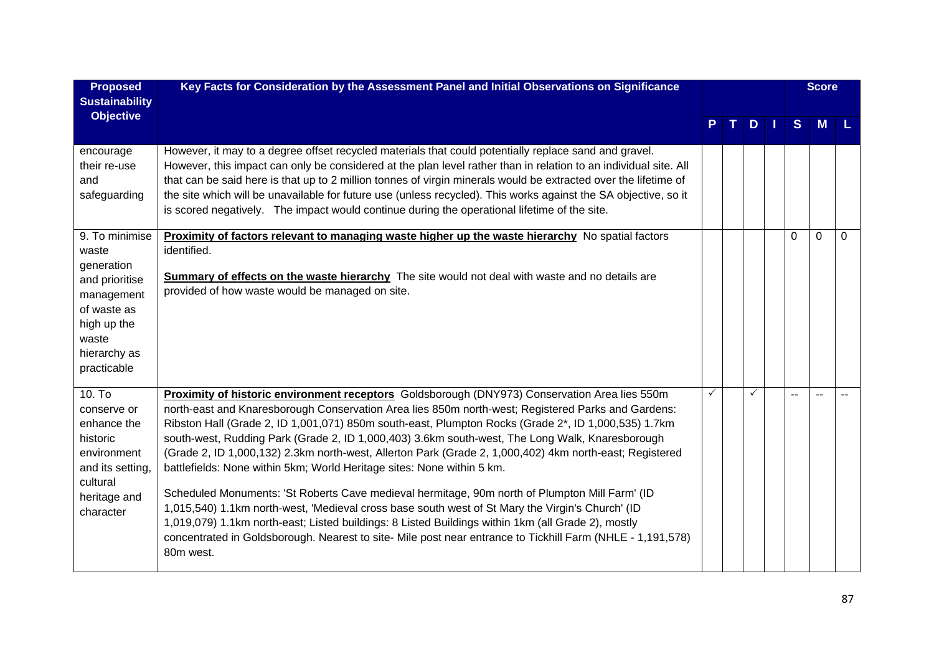| <b>Proposed</b><br><b>Sustainability</b>                                                                                                    | Key Facts for Consideration by the Assessment Panel and Initial Observations on Significance                                                                                                                                                                                                                                                                                                                                                                                                                                                                                                                                                                                                                                                                                                                                                                                                                                                                                                                                              |   |              |   | <b>Score</b> |          |
|---------------------------------------------------------------------------------------------------------------------------------------------|-------------------------------------------------------------------------------------------------------------------------------------------------------------------------------------------------------------------------------------------------------------------------------------------------------------------------------------------------------------------------------------------------------------------------------------------------------------------------------------------------------------------------------------------------------------------------------------------------------------------------------------------------------------------------------------------------------------------------------------------------------------------------------------------------------------------------------------------------------------------------------------------------------------------------------------------------------------------------------------------------------------------------------------------|---|--------------|---|--------------|----------|
| <b>Objective</b>                                                                                                                            |                                                                                                                                                                                                                                                                                                                                                                                                                                                                                                                                                                                                                                                                                                                                                                                                                                                                                                                                                                                                                                           |   | $D$          | S | <b>M</b>     |          |
| encourage<br>their re-use<br>and<br>safeguarding                                                                                            | However, it may to a degree offset recycled materials that could potentially replace sand and gravel.<br>However, this impact can only be considered at the plan level rather than in relation to an individual site. All<br>that can be said here is that up to 2 million tonnes of virgin minerals would be extracted over the lifetime of<br>the site which will be unavailable for future use (unless recycled). This works against the SA objective, so it<br>is scored negatively. The impact would continue during the operational lifetime of the site.                                                                                                                                                                                                                                                                                                                                                                                                                                                                           |   |              |   |              |          |
| 9. To minimise<br>waste<br>generation<br>and prioritise<br>management<br>of waste as<br>high up the<br>waste<br>hierarchy as<br>practicable | <b>Proximity of factors relevant to managing waste higher up the waste hierarchy</b> No spatial factors<br>identified.<br><b>Summary of effects on the waste hierarchy</b> The site would not deal with waste and no details are<br>provided of how waste would be managed on site.                                                                                                                                                                                                                                                                                                                                                                                                                                                                                                                                                                                                                                                                                                                                                       |   |              | 0 | 0            | $\Omega$ |
| 10. T <sub>o</sub><br>conserve or<br>enhance the<br>historic<br>environment<br>and its setting,<br>cultural<br>heritage and<br>character    | Proximity of historic environment receptors Goldsborough (DNY973) Conservation Area lies 550m<br>north-east and Knaresborough Conservation Area lies 850m north-west; Registered Parks and Gardens:<br>Ribston Hall (Grade 2, ID 1,001,071) 850m south-east, Plumpton Rocks (Grade 2*, ID 1,000,535) 1.7km<br>south-west, Rudding Park (Grade 2, ID 1,000,403) 3.6km south-west, The Long Walk, Knaresborough<br>(Grade 2, ID 1,000,132) 2.3km north-west, Allerton Park (Grade 2, 1,000,402) 4km north-east; Registered<br>battlefields: None within 5km; World Heritage sites: None within 5 km.<br>Scheduled Monuments: 'St Roberts Cave medieval hermitage, 90m north of Plumpton Mill Farm' (ID<br>1,015,540) 1.1km north-west, 'Medieval cross base south west of St Mary the Virgin's Church' (ID<br>1,019,079) 1.1km north-east; Listed buildings: 8 Listed Buildings within 1km (all Grade 2), mostly<br>concentrated in Goldsborough. Nearest to site- Mile post near entrance to Tickhill Farm (NHLE - 1,191,578)<br>80m west. | ✓ | $\checkmark$ |   |              |          |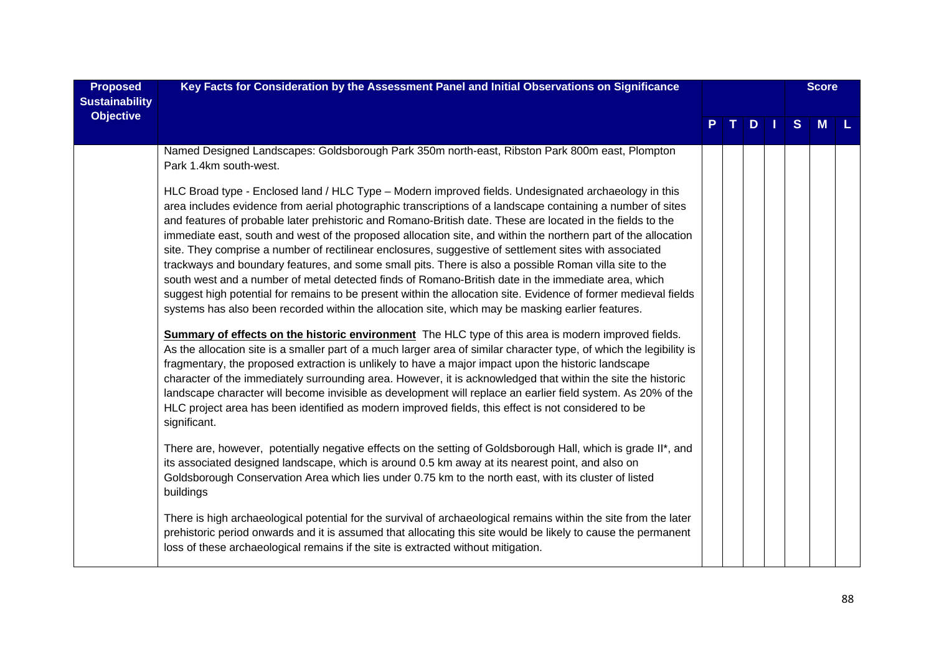| <b>Proposed</b><br><b>Sustainability</b><br><b>Objective</b> | Key Facts for Consideration by the Assessment Panel and Initial Observations on Significance                                                                                                                                                                                                                                                                                                                                                                                                                                                                                                                                                                                                                                                                                                                                                                                                                                                                                                                                                                                                                                                                                                                                                                                                                                                                                                                                                                                                                                                                                | $\mathbf{T}$<br>$D$ |  |  |  |   | <b>Score</b> |  |
|--------------------------------------------------------------|-----------------------------------------------------------------------------------------------------------------------------------------------------------------------------------------------------------------------------------------------------------------------------------------------------------------------------------------------------------------------------------------------------------------------------------------------------------------------------------------------------------------------------------------------------------------------------------------------------------------------------------------------------------------------------------------------------------------------------------------------------------------------------------------------------------------------------------------------------------------------------------------------------------------------------------------------------------------------------------------------------------------------------------------------------------------------------------------------------------------------------------------------------------------------------------------------------------------------------------------------------------------------------------------------------------------------------------------------------------------------------------------------------------------------------------------------------------------------------------------------------------------------------------------------------------------------------|---------------------|--|--|--|---|--------------|--|
|                                                              |                                                                                                                                                                                                                                                                                                                                                                                                                                                                                                                                                                                                                                                                                                                                                                                                                                                                                                                                                                                                                                                                                                                                                                                                                                                                                                                                                                                                                                                                                                                                                                             |                     |  |  |  | S | M            |  |
|                                                              | Named Designed Landscapes: Goldsborough Park 350m north-east, Ribston Park 800m east, Plompton<br>Park 1.4km south-west.                                                                                                                                                                                                                                                                                                                                                                                                                                                                                                                                                                                                                                                                                                                                                                                                                                                                                                                                                                                                                                                                                                                                                                                                                                                                                                                                                                                                                                                    |                     |  |  |  |   |              |  |
|                                                              | HLC Broad type - Enclosed land / HLC Type - Modern improved fields. Undesignated archaeology in this<br>area includes evidence from aerial photographic transcriptions of a landscape containing a number of sites<br>and features of probable later prehistoric and Romano-British date. These are located in the fields to the<br>immediate east, south and west of the proposed allocation site, and within the northern part of the allocation<br>site. They comprise a number of rectilinear enclosures, suggestive of settlement sites with associated<br>trackways and boundary features, and some small pits. There is also a possible Roman villa site to the<br>south west and a number of metal detected finds of Romano-British date in the immediate area, which<br>suggest high potential for remains to be present within the allocation site. Evidence of former medieval fields<br>systems has also been recorded within the allocation site, which may be masking earlier features.<br>Summary of effects on the historic environment The HLC type of this area is modern improved fields.<br>As the allocation site is a smaller part of a much larger area of similar character type, of which the legibility is<br>fragmentary, the proposed extraction is unlikely to have a major impact upon the historic landscape<br>character of the immediately surrounding area. However, it is acknowledged that within the site the historic<br>landscape character will become invisible as development will replace an earlier field system. As 20% of the |                     |  |  |  |   |              |  |
|                                                              | HLC project area has been identified as modern improved fields, this effect is not considered to be<br>significant.                                                                                                                                                                                                                                                                                                                                                                                                                                                                                                                                                                                                                                                                                                                                                                                                                                                                                                                                                                                                                                                                                                                                                                                                                                                                                                                                                                                                                                                         |                     |  |  |  |   |              |  |
|                                                              | There are, however, potentially negative effects on the setting of Goldsborough Hall, which is grade II*, and<br>its associated designed landscape, which is around 0.5 km away at its nearest point, and also on<br>Goldsborough Conservation Area which lies under 0.75 km to the north east, with its cluster of listed<br>buildings                                                                                                                                                                                                                                                                                                                                                                                                                                                                                                                                                                                                                                                                                                                                                                                                                                                                                                                                                                                                                                                                                                                                                                                                                                     |                     |  |  |  |   |              |  |
|                                                              | There is high archaeological potential for the survival of archaeological remains within the site from the later<br>prehistoric period onwards and it is assumed that allocating this site would be likely to cause the permanent<br>loss of these archaeological remains if the site is extracted without mitigation.                                                                                                                                                                                                                                                                                                                                                                                                                                                                                                                                                                                                                                                                                                                                                                                                                                                                                                                                                                                                                                                                                                                                                                                                                                                      |                     |  |  |  |   |              |  |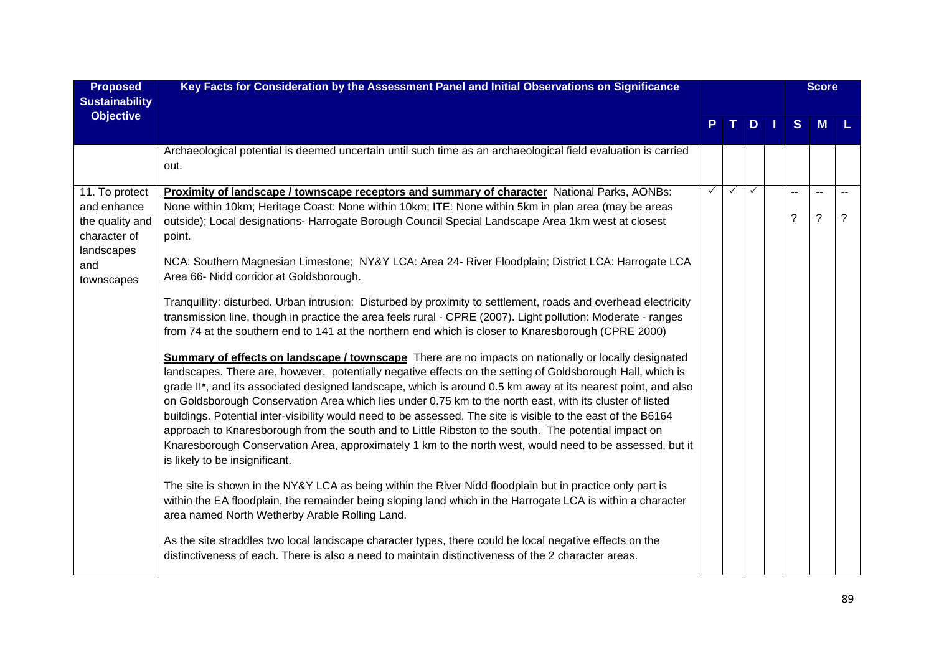| <b>Proposed</b>                                                                                     | Key Facts for Consideration by the Assessment Panel and Initial Observations on Significance                                                                                                                                                                                                                                                                                                                                                                                                                                                                                                                                                                                                                                                                                                                                                                                                                                                                                                                                                                                                                                                                                                                                                                                                                                                                                                                                                                                                                                                                                                                                                   |              |              |               | <b>Score</b> |                                         |                                            |                |
|-----------------------------------------------------------------------------------------------------|------------------------------------------------------------------------------------------------------------------------------------------------------------------------------------------------------------------------------------------------------------------------------------------------------------------------------------------------------------------------------------------------------------------------------------------------------------------------------------------------------------------------------------------------------------------------------------------------------------------------------------------------------------------------------------------------------------------------------------------------------------------------------------------------------------------------------------------------------------------------------------------------------------------------------------------------------------------------------------------------------------------------------------------------------------------------------------------------------------------------------------------------------------------------------------------------------------------------------------------------------------------------------------------------------------------------------------------------------------------------------------------------------------------------------------------------------------------------------------------------------------------------------------------------------------------------------------------------------------------------------------------------|--------------|--------------|---------------|--------------|-----------------------------------------|--------------------------------------------|----------------|
| <b>Sustainability</b><br><b>Objective</b>                                                           |                                                                                                                                                                                                                                                                                                                                                                                                                                                                                                                                                                                                                                                                                                                                                                                                                                                                                                                                                                                                                                                                                                                                                                                                                                                                                                                                                                                                                                                                                                                                                                                                                                                |              |              |               |              |                                         |                                            |                |
|                                                                                                     |                                                                                                                                                                                                                                                                                                                                                                                                                                                                                                                                                                                                                                                                                                                                                                                                                                                                                                                                                                                                                                                                                                                                                                                                                                                                                                                                                                                                                                                                                                                                                                                                                                                |              |              | $D \mid \mid$ |              | S                                       | <b>M</b>                                   |                |
|                                                                                                     | Archaeological potential is deemed uncertain until such time as an archaeological field evaluation is carried<br>out.                                                                                                                                                                                                                                                                                                                                                                                                                                                                                                                                                                                                                                                                                                                                                                                                                                                                                                                                                                                                                                                                                                                                                                                                                                                                                                                                                                                                                                                                                                                          |              |              |               |              |                                         |                                            |                |
| 11. To protect<br>and enhance<br>the quality and<br>character of<br>landscapes<br>and<br>townscapes | <b>Proximity of landscape / townscape receptors and summary of character National Parks, AONBs:</b><br>None within 10km; Heritage Coast: None within 10km; ITE: None within 5km in plan area (may be areas<br>outside); Local designations- Harrogate Borough Council Special Landscape Area 1km west at closest<br>point.<br>NCA: Southern Magnesian Limestone; NY&Y LCA: Area 24- River Floodplain; District LCA: Harrogate LCA<br>Area 66- Nidd corridor at Goldsborough.<br>Tranquillity: disturbed. Urban intrusion: Disturbed by proximity to settlement, roads and overhead electricity<br>transmission line, though in practice the area feels rural - CPRE (2007). Light pollution: Moderate - ranges<br>from 74 at the southern end to 141 at the northern end which is closer to Knaresborough (CPRE 2000)<br>Summary of effects on landscape / townscape There are no impacts on nationally or locally designated<br>landscapes. There are, however, potentially negative effects on the setting of Goldsborough Hall, which is<br>grade II*, and its associated designed landscape, which is around 0.5 km away at its nearest point, and also<br>on Goldsborough Conservation Area which lies under 0.75 km to the north east, with its cluster of listed<br>buildings. Potential inter-visibility would need to be assessed. The site is visible to the east of the B6164<br>approach to Knaresborough from the south and to Little Ribston to the south. The potential impact on<br>Knaresborough Conservation Area, approximately 1 km to the north west, would need to be assessed, but it<br>is likely to be insignificant. | $\checkmark$ | $\checkmark$ | $\checkmark$  |              | $\overline{a}$<br>$\boldsymbol{\gamma}$ | $\overline{\phantom{a}}$<br>$\overline{?}$ | $\overline{?}$ |
|                                                                                                     | The site is shown in the NY&Y LCA as being within the River Nidd floodplain but in practice only part is<br>within the EA floodplain, the remainder being sloping land which in the Harrogate LCA is within a character<br>area named North Wetherby Arable Rolling Land.                                                                                                                                                                                                                                                                                                                                                                                                                                                                                                                                                                                                                                                                                                                                                                                                                                                                                                                                                                                                                                                                                                                                                                                                                                                                                                                                                                      |              |              |               |              |                                         |                                            |                |
|                                                                                                     | As the site straddles two local landscape character types, there could be local negative effects on the<br>distinctiveness of each. There is also a need to maintain distinctiveness of the 2 character areas.                                                                                                                                                                                                                                                                                                                                                                                                                                                                                                                                                                                                                                                                                                                                                                                                                                                                                                                                                                                                                                                                                                                                                                                                                                                                                                                                                                                                                                 |              |              |               |              |                                         |                                            |                |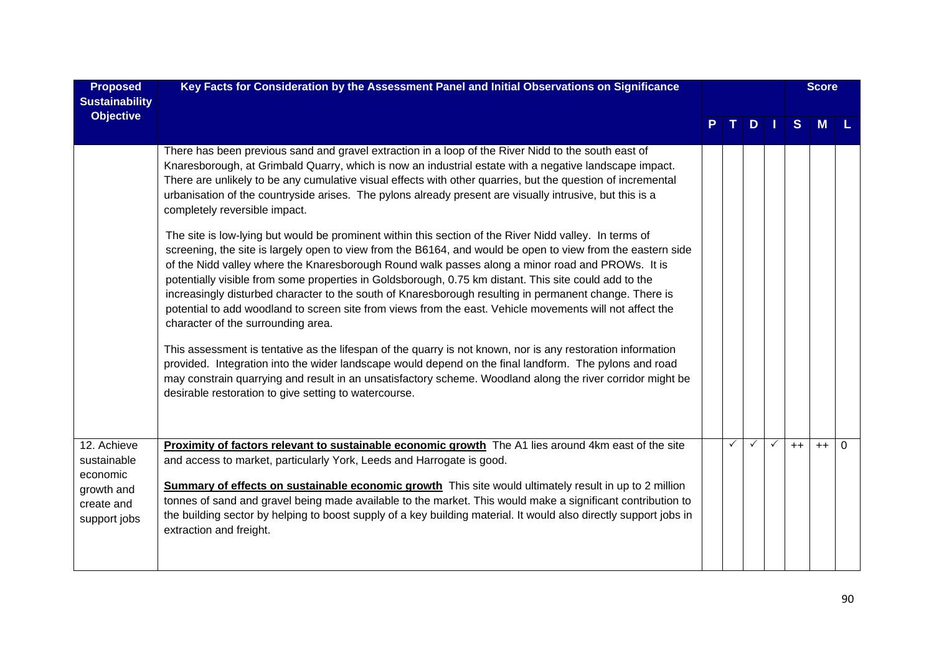| <b>Proposed</b><br><b>Sustainability</b><br><b>Objective</b>                       | Key Facts for Consideration by the Assessment Panel and Initial Observations on Significance                                                                                                                                                                                                                                                                                                                                                                                                                                                                                                                                                                                                   |  |    |  |              | <b>Score</b> |   |
|------------------------------------------------------------------------------------|------------------------------------------------------------------------------------------------------------------------------------------------------------------------------------------------------------------------------------------------------------------------------------------------------------------------------------------------------------------------------------------------------------------------------------------------------------------------------------------------------------------------------------------------------------------------------------------------------------------------------------------------------------------------------------------------|--|----|--|--------------|--------------|---|
|                                                                                    |                                                                                                                                                                                                                                                                                                                                                                                                                                                                                                                                                                                                                                                                                                |  | D. |  | <sub>S</sub> | M            |   |
|                                                                                    | There has been previous sand and gravel extraction in a loop of the River Nidd to the south east of<br>Knaresborough, at Grimbald Quarry, which is now an industrial estate with a negative landscape impact.<br>There are unlikely to be any cumulative visual effects with other quarries, but the question of incremental<br>urbanisation of the countryside arises. The pylons already present are visually intrusive, but this is a<br>completely reversible impact.                                                                                                                                                                                                                      |  |    |  |              |              |   |
|                                                                                    | The site is low-lying but would be prominent within this section of the River Nidd valley. In terms of<br>screening, the site is largely open to view from the B6164, and would be open to view from the eastern side<br>of the Nidd valley where the Knaresborough Round walk passes along a minor road and PROWs. It is<br>potentially visible from some properties in Goldsborough, 0.75 km distant. This site could add to the<br>increasingly disturbed character to the south of Knaresborough resulting in permanent change. There is<br>potential to add woodland to screen site from views from the east. Vehicle movements will not affect the<br>character of the surrounding area. |  |    |  |              |              |   |
|                                                                                    | This assessment is tentative as the lifespan of the quarry is not known, nor is any restoration information<br>provided. Integration into the wider landscape would depend on the final landform. The pylons and road<br>may constrain quarrying and result in an unsatisfactory scheme. Woodland along the river corridor might be<br>desirable restoration to give setting to watercourse.                                                                                                                                                                                                                                                                                                   |  |    |  |              |              |   |
| 12. Achieve<br>sustainable<br>economic<br>growth and<br>create and<br>support jobs | Proximity of factors relevant to sustainable economic growth The A1 lies around 4km east of the site<br>and access to market, particularly York, Leeds and Harrogate is good.<br>Summary of effects on sustainable economic growth This site would ultimately result in up to 2 million<br>tonnes of sand and gravel being made available to the market. This would make a significant contribution to<br>the building sector by helping to boost supply of a key building material. It would also directly support jobs in<br>extraction and freight.                                                                                                                                         |  |    |  | $++$         | $++$         | 0 |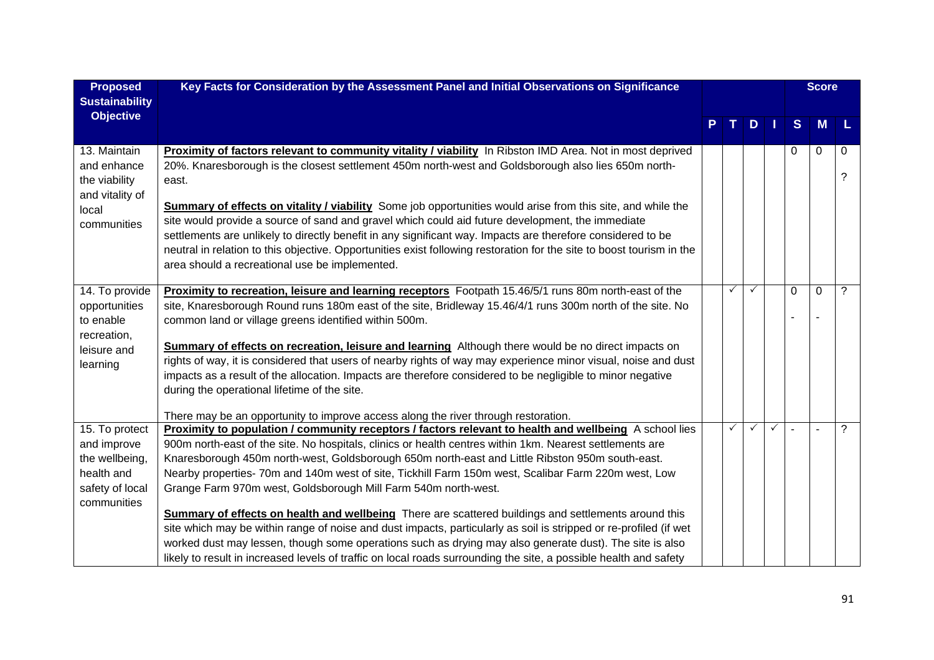| <b>Proposed</b>                                                                                 | Key Facts for Consideration by the Assessment Panel and Initial Observations on Significance                                                                                                                                                                                                                                                                                                                                                                                                                                                                                                                                                                                                                                                                                                                                                                                                                                                                       |  |   |              |              | <b>Score</b> |          |        |  |  |
|-------------------------------------------------------------------------------------------------|--------------------------------------------------------------------------------------------------------------------------------------------------------------------------------------------------------------------------------------------------------------------------------------------------------------------------------------------------------------------------------------------------------------------------------------------------------------------------------------------------------------------------------------------------------------------------------------------------------------------------------------------------------------------------------------------------------------------------------------------------------------------------------------------------------------------------------------------------------------------------------------------------------------------------------------------------------------------|--|---|--------------|--------------|--------------|----------|--------|--|--|
| <b>Sustainability</b>                                                                           |                                                                                                                                                                                                                                                                                                                                                                                                                                                                                                                                                                                                                                                                                                                                                                                                                                                                                                                                                                    |  |   |              |              |              |          |        |  |  |
| <b>Objective</b>                                                                                |                                                                                                                                                                                                                                                                                                                                                                                                                                                                                                                                                                                                                                                                                                                                                                                                                                                                                                                                                                    |  |   | $D$          |              | S            | <b>M</b> | L      |  |  |
| 13. Maintain<br>and enhance<br>the viability<br>and vitality of<br>local<br>communities         | Proximity of factors relevant to community vitality / viability In Ribston IMD Area. Not in most deprived<br>20%. Knaresborough is the closest settlement 450m north-west and Goldsborough also lies 650m north-<br>east.<br>Summary of effects on vitality / viability Some job opportunities would arise from this site, and while the<br>site would provide a source of sand and gravel which could aid future development, the immediate<br>settlements are unlikely to directly benefit in any significant way. Impacts are therefore considered to be<br>neutral in relation to this objective. Opportunities exist following restoration for the site to boost tourism in the<br>area should a recreational use be implemented.                                                                                                                                                                                                                             |  |   |              |              | 0            | $\Omega$ | 0<br>? |  |  |
| 14. To provide<br>opportunities<br>to enable<br>recreation,<br>leisure and<br>learning          | Proximity to recreation, leisure and learning receptors Footpath 15.46/5/1 runs 80m north-east of the<br>site, Knaresborough Round runs 180m east of the site, Bridleway 15.46/4/1 runs 300m north of the site. No<br>common land or village greens identified within 500m.<br>Summary of effects on recreation, leisure and learning Although there would be no direct impacts on<br>rights of way, it is considered that users of nearby rights of way may experience minor visual, noise and dust<br>impacts as a result of the allocation. Impacts are therefore considered to be negligible to minor negative<br>during the operational lifetime of the site.<br>There may be an opportunity to improve access along the river through restoration.                                                                                                                                                                                                           |  | ✓ | ✓            |              | $\Omega$     | $\Omega$ | ?      |  |  |
| 15. To protect<br>and improve<br>the wellbeing,<br>health and<br>safety of local<br>communities | Proximity to population / community receptors / factors relevant to health and wellbeing A school lies<br>900m north-east of the site. No hospitals, clinics or health centres within 1km. Nearest settlements are<br>Knaresborough 450m north-west, Goldsborough 650m north-east and Little Ribston 950m south-east.<br>Nearby properties- 70m and 140m west of site, Tickhill Farm 150m west, Scalibar Farm 220m west, Low<br>Grange Farm 970m west, Goldsborough Mill Farm 540m north-west.<br><b>Summary of effects on health and wellbeing</b> There are scattered buildings and settlements around this<br>site which may be within range of noise and dust impacts, particularly as soil is stripped or re-profiled (if wet<br>worked dust may lessen, though some operations such as drying may also generate dust). The site is also<br>likely to result in increased levels of traffic on local roads surrounding the site, a possible health and safety |  | ✓ | $\checkmark$ | $\checkmark$ |              |          | ?      |  |  |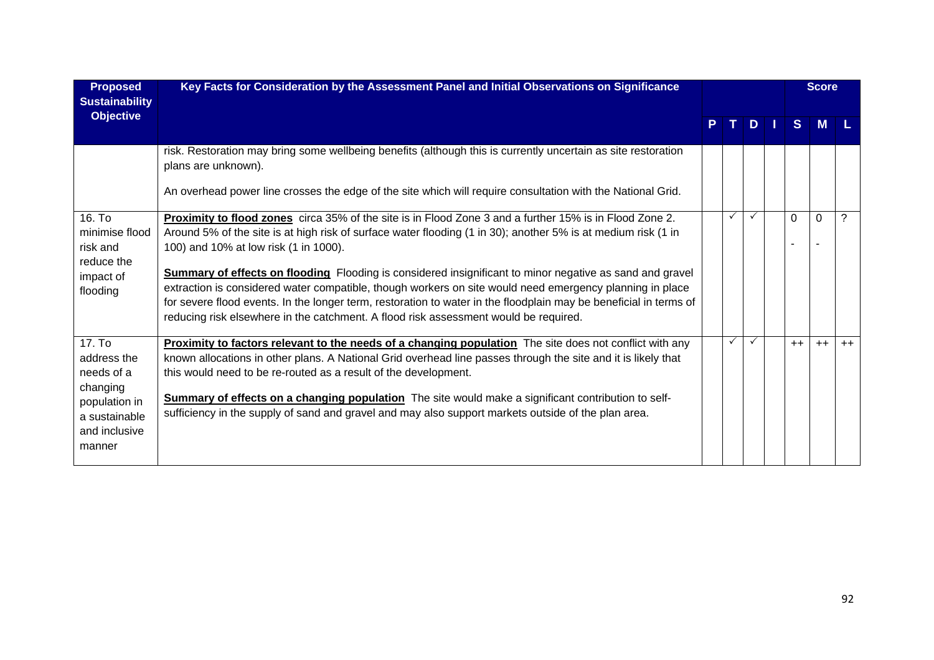| <b>Proposed</b><br><b>Sustainability</b> | Key Facts for Consideration by the Assessment Panel and Initial Observations on Significance                                         |  |              |               |  | <b>Score</b> |          |      |
|------------------------------------------|--------------------------------------------------------------------------------------------------------------------------------------|--|--------------|---------------|--|--------------|----------|------|
| <b>Objective</b>                         |                                                                                                                                      |  |              | $D \mid \mid$ |  | S            | <b>M</b> |      |
|                                          | risk. Restoration may bring some wellbeing benefits (although this is currently uncertain as site restoration<br>plans are unknown). |  |              |               |  |              |          |      |
|                                          | An overhead power line crosses the edge of the site which will require consultation with the National Grid.                          |  |              |               |  |              |          |      |
| 16. To                                   | Proximity to flood zones circa 35% of the site is in Flood Zone 3 and a further 15% is in Flood Zone 2.                              |  | $\checkmark$ | $\checkmark$  |  | $\Omega$     | $\Omega$ |      |
| minimise flood                           | Around 5% of the site is at high risk of surface water flooding (1 in 30); another 5% is at medium risk (1 in                        |  |              |               |  |              |          |      |
| risk and                                 | 100) and 10% at low risk (1 in 1000).                                                                                                |  |              |               |  |              |          |      |
| reduce the                               |                                                                                                                                      |  |              |               |  |              |          |      |
| impact of                                | <b>Summary of effects on flooding</b> Flooding is considered insignificant to minor negative as sand and gravel                      |  |              |               |  |              |          |      |
| flooding                                 | extraction is considered water compatible, though workers on site would need emergency planning in place                             |  |              |               |  |              |          |      |
|                                          | for severe flood events. In the longer term, restoration to water in the floodplain may be beneficial in terms of                    |  |              |               |  |              |          |      |
|                                          | reducing risk elsewhere in the catchment. A flood risk assessment would be required.                                                 |  |              |               |  |              |          |      |
| 17. To                                   | <b>Proximity to factors relevant to the needs of a changing population</b> The site does not conflict with any                       |  | $\checkmark$ | $\checkmark$  |  | $++$         | $++$     | $++$ |
| address the                              | known allocations in other plans. A National Grid overhead line passes through the site and it is likely that                        |  |              |               |  |              |          |      |
| needs of a                               | this would need to be re-routed as a result of the development.                                                                      |  |              |               |  |              |          |      |
| changing                                 |                                                                                                                                      |  |              |               |  |              |          |      |
| population in                            | Summary of effects on a changing population The site would make a significant contribution to self-                                  |  |              |               |  |              |          |      |
| a sustainable                            | sufficiency in the supply of sand and gravel and may also support markets outside of the plan area.                                  |  |              |               |  |              |          |      |
| and inclusive                            |                                                                                                                                      |  |              |               |  |              |          |      |
| manner                                   |                                                                                                                                      |  |              |               |  |              |          |      |
|                                          |                                                                                                                                      |  |              |               |  |              |          |      |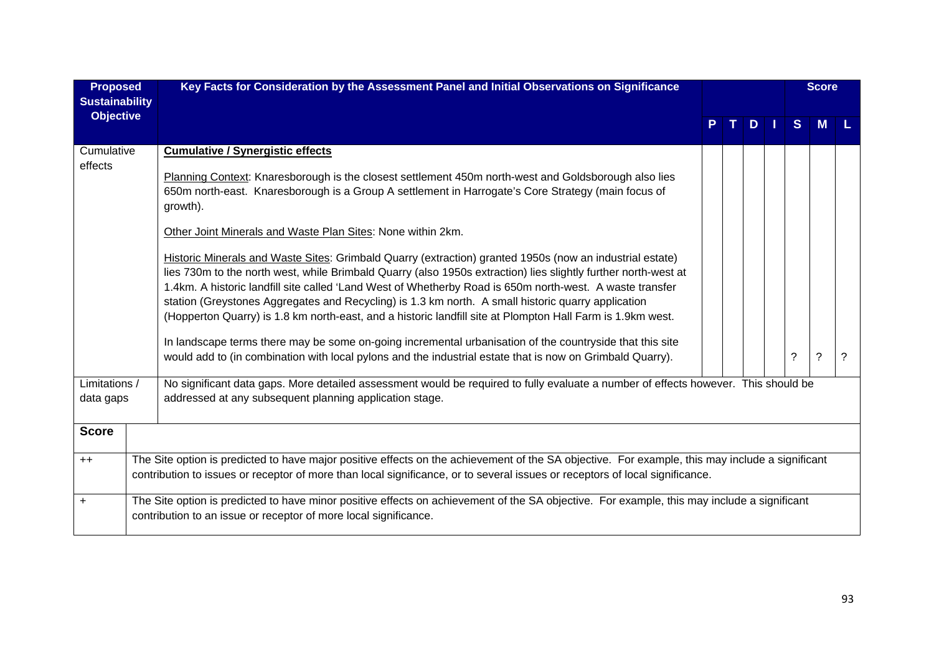| <b>Proposed</b><br><b>Sustainability</b> | Key Facts for Consideration by the Assessment Panel and Initial Observations on Significance                                                                                                                                                                                                                                                                                                                                                                                                                                                                                                                                                                                                                                                                                                                                                                                                                                                                                                                                                                                                                             |  |  |    |  | <b>Score</b> |             |   |  |  |  |
|------------------------------------------|--------------------------------------------------------------------------------------------------------------------------------------------------------------------------------------------------------------------------------------------------------------------------------------------------------------------------------------------------------------------------------------------------------------------------------------------------------------------------------------------------------------------------------------------------------------------------------------------------------------------------------------------------------------------------------------------------------------------------------------------------------------------------------------------------------------------------------------------------------------------------------------------------------------------------------------------------------------------------------------------------------------------------------------------------------------------------------------------------------------------------|--|--|----|--|--------------|-------------|---|--|--|--|
| <b>Objective</b>                         |                                                                                                                                                                                                                                                                                                                                                                                                                                                                                                                                                                                                                                                                                                                                                                                                                                                                                                                                                                                                                                                                                                                          |  |  | D. |  | <sub>S</sub> | M           |   |  |  |  |
| Cumulative<br>effects                    | <b>Cumulative / Synergistic effects</b><br>Planning Context: Knaresborough is the closest settlement 450m north-west and Goldsborough also lies<br>650m north-east. Knaresborough is a Group A settlement in Harrogate's Core Strategy (main focus of<br>growth).<br>Other Joint Minerals and Waste Plan Sites: None within 2km.<br>Historic Minerals and Waste Sites: Grimbald Quarry (extraction) granted 1950s (now an industrial estate)<br>lies 730m to the north west, while Brimbald Quarry (also 1950s extraction) lies slightly further north-west at<br>1.4km. A historic landfill site called 'Land West of Whetherby Road is 650m north-west. A waste transfer<br>station (Greystones Aggregates and Recycling) is 1.3 km north. A small historic quarry application<br>(Hopperton Quarry) is 1.8 km north-east, and a historic landfill site at Plompton Hall Farm is 1.9 km west.<br>In landscape terms there may be some on-going incremental urbanisation of the countryside that this site<br>would add to (in combination with local pylons and the industrial estate that is now on Grimbald Quarry). |  |  |    |  | ?            | $\tilde{?}$ | ? |  |  |  |
| Limitations /<br>data gaps               | No significant data gaps. More detailed assessment would be required to fully evaluate a number of effects however. This should be<br>addressed at any subsequent planning application stage.                                                                                                                                                                                                                                                                                                                                                                                                                                                                                                                                                                                                                                                                                                                                                                                                                                                                                                                            |  |  |    |  |              |             |   |  |  |  |
| <b>Score</b>                             |                                                                                                                                                                                                                                                                                                                                                                                                                                                                                                                                                                                                                                                                                                                                                                                                                                                                                                                                                                                                                                                                                                                          |  |  |    |  |              |             |   |  |  |  |
| $++$                                     | The Site option is predicted to have major positive effects on the achievement of the SA objective. For example, this may include a significant<br>contribution to issues or receptor of more than local significance, or to several issues or receptors of local significance.                                                                                                                                                                                                                                                                                                                                                                                                                                                                                                                                                                                                                                                                                                                                                                                                                                          |  |  |    |  |              |             |   |  |  |  |
| $+$                                      | The Site option is predicted to have minor positive effects on achievement of the SA objective. For example, this may include a significant<br>contribution to an issue or receptor of more local significance.                                                                                                                                                                                                                                                                                                                                                                                                                                                                                                                                                                                                                                                                                                                                                                                                                                                                                                          |  |  |    |  |              |             |   |  |  |  |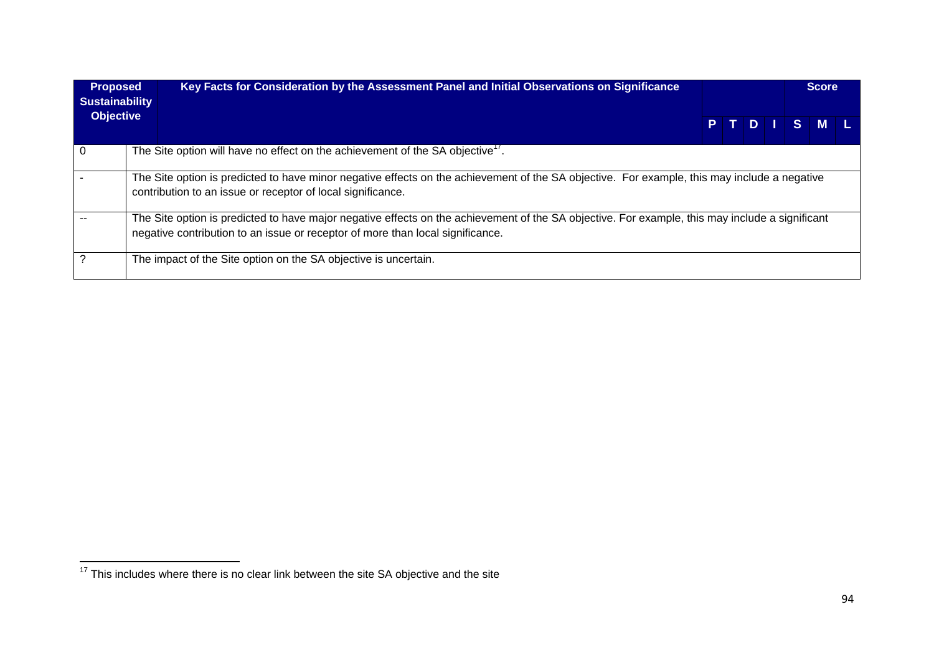| <b>Proposed</b><br><b>Sustainability</b> | Key Facts for Consideration by the Assessment Panel and Initial Observations on Significance                                                                                                                                      |  |  | <b>Score</b> |  |
|------------------------------------------|-----------------------------------------------------------------------------------------------------------------------------------------------------------------------------------------------------------------------------------|--|--|--------------|--|
| <b>Objective</b>                         |                                                                                                                                                                                                                                   |  |  | PTDTSML      |  |
| $\Omega$                                 | The Site option will have no effect on the achievement of the SA objective <sup>17</sup> .                                                                                                                                        |  |  |              |  |
|                                          | The Site option is predicted to have minor negative effects on the achievement of the SA objective. For example, this may include a negative<br>contribution to an issue or receptor of local significance.                       |  |  |              |  |
|                                          | The Site option is predicted to have major negative effects on the achievement of the SA objective. For example, this may include a significant<br>negative contribution to an issue or receptor of more than local significance. |  |  |              |  |
|                                          | The impact of the Site option on the SA objective is uncertain.                                                                                                                                                                   |  |  |              |  |

 $\frac{1}{17}$  This includes where there is no clear link between the site SA objective and the site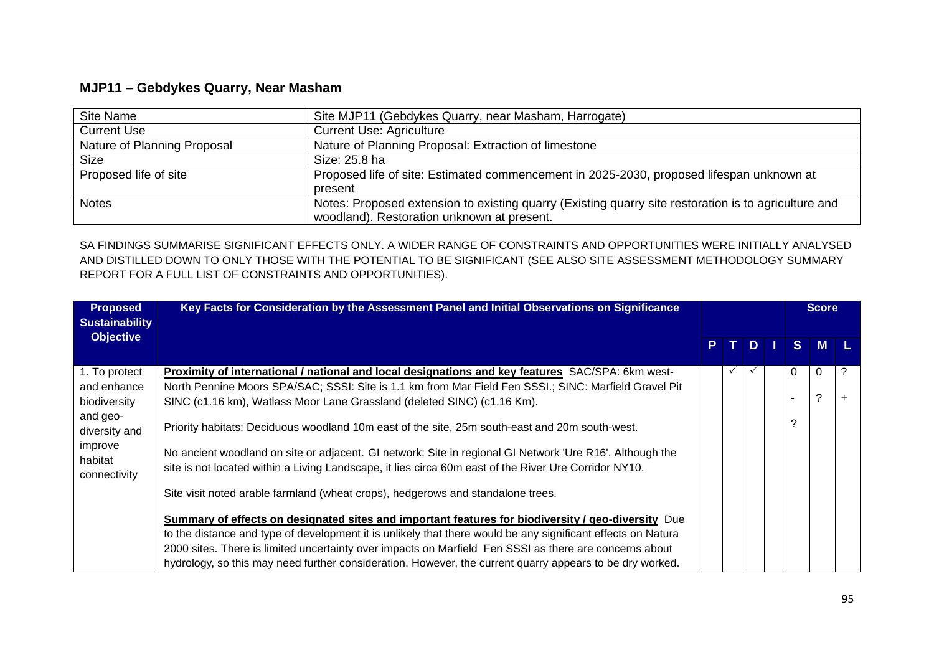## **MJP11 – Gebdykes Quarry, Near Masham**

| Site Name                   | Site MJP11 (Gebdykes Quarry, near Masham, Harrogate)                                                 |
|-----------------------------|------------------------------------------------------------------------------------------------------|
| <b>Current Use</b>          | <b>Current Use: Agriculture</b>                                                                      |
| Nature of Planning Proposal | Nature of Planning Proposal: Extraction of limestone                                                 |
| Size                        | Size: 25.8 ha                                                                                        |
| Proposed life of site       | Proposed life of site: Estimated commencement in 2025-2030, proposed lifespan unknown at             |
|                             | present                                                                                              |
| <b>Notes</b>                | Notes: Proposed extension to existing quarry (Existing quarry site restoration is to agriculture and |
|                             | woodland). Restoration unknown at present.                                                           |

SA FINDINGS SUMMARISE SIGNIFICANT EFFECTS ONLY. A WIDER RANGE OF CONSTRAINTS AND OPPORTUNITIES WERE INITIALLY ANALYSED AND DISTILLED DOWN TO ONLY THOSE WITH THE POTENTIAL TO BE SIGNIFICANT (SEE ALSO SITE ASSESSMENT METHODOLOGY SUMMARY REPORT FOR A FULL LIST OF CONSTRAINTS AND OPPORTUNITIES).

| <b>Proposed</b><br><b>Sustainability</b> | Key Facts for Consideration by the Assessment Panel and Initial Observations on Significance                 |    |   |    | <b>Score</b> |   |
|------------------------------------------|--------------------------------------------------------------------------------------------------------------|----|---|----|--------------|---|
| <b>Objective</b>                         |                                                                                                              | P. | D | S. | M            |   |
| 1. To protect                            | Proximity of international / national and local designations and key features SAC/SPA: 6km west-             |    |   | 0  | 0            | ? |
| and enhance                              | North Pennine Moors SPA/SAC; SSSI: Site is 1.1 km from Mar Field Fen SSSI.; SINC: Marfield Gravel Pit        |    |   |    |              |   |
| biodiversity                             | SINC (c1.16 km), Watlass Moor Lane Grassland (deleted SINC) (c1.16 Km).                                      |    |   |    | ?            |   |
| and geo-<br>diversity and                | Priority habitats: Deciduous woodland 10m east of the site, 25m south-east and 20m south-west.               |    |   | っ  |              |   |
| improve<br>habitat                       | No ancient woodland on site or adjacent. GI network: Site in regional GI Network 'Ure R16'. Although the     |    |   |    |              |   |
| connectivity                             | site is not located within a Living Landscape, it lies circa 60m east of the River Ure Corridor NY10.        |    |   |    |              |   |
|                                          | Site visit noted arable farmland (wheat crops), hedgerows and standalone trees.                              |    |   |    |              |   |
|                                          | Summary of effects on designated sites and important features for biodiversity / geo-diversity Due           |    |   |    |              |   |
|                                          | to the distance and type of development it is unlikely that there would be any significant effects on Natura |    |   |    |              |   |
|                                          | 2000 sites. There is limited uncertainty over impacts on Marfield Fen SSSI as there are concerns about       |    |   |    |              |   |
|                                          | hydrology, so this may need further consideration. However, the current quarry appears to be dry worked.     |    |   |    |              |   |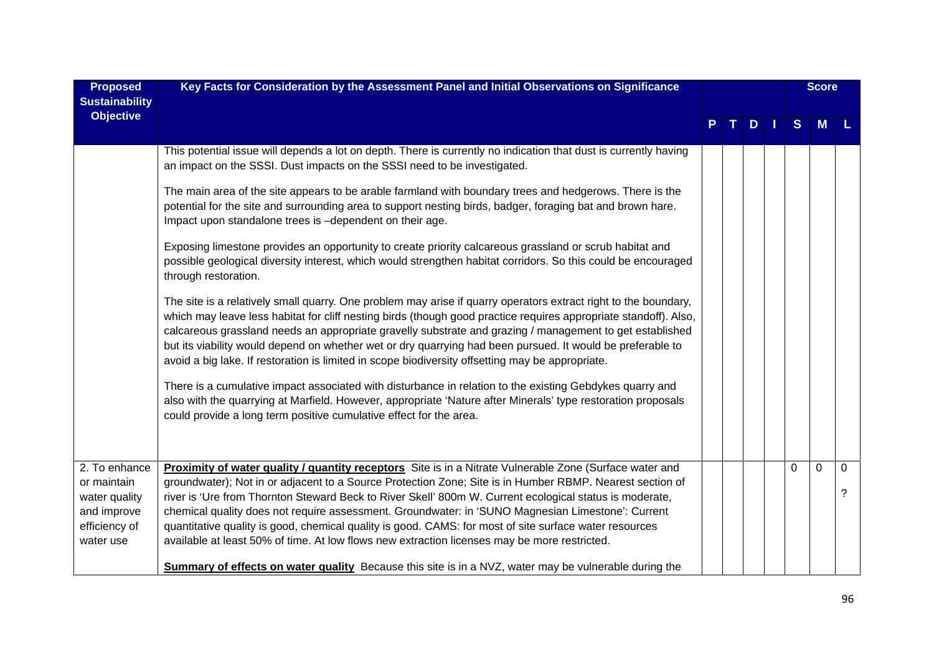| <b>Proposed</b><br><b>Sustainability</b>                                                   | Key Facts for Consideration by the Assessment Panel and Initial Observations on Significance                                                                                                                                                                                                                                                                                                                                                                                                                                                                                                                                                  |  |   |              | <b>Score</b> |        |
|--------------------------------------------------------------------------------------------|-----------------------------------------------------------------------------------------------------------------------------------------------------------------------------------------------------------------------------------------------------------------------------------------------------------------------------------------------------------------------------------------------------------------------------------------------------------------------------------------------------------------------------------------------------------------------------------------------------------------------------------------------|--|---|--------------|--------------|--------|
| <b>Objective</b>                                                                           |                                                                                                                                                                                                                                                                                                                                                                                                                                                                                                                                                                                                                                               |  | D | <sub>S</sub> | M            |        |
|                                                                                            | This potential issue will depends a lot on depth. There is currently no indication that dust is currently having<br>an impact on the SSSI. Dust impacts on the SSSI need to be investigated.                                                                                                                                                                                                                                                                                                                                                                                                                                                  |  |   |              |              |        |
|                                                                                            | The main area of the site appears to be arable farmland with boundary trees and hedgerows. There is the<br>potential for the site and surrounding area to support nesting birds, badger, foraging bat and brown hare.<br>Impact upon standalone trees is -dependent on their age.                                                                                                                                                                                                                                                                                                                                                             |  |   |              |              |        |
|                                                                                            | Exposing limestone provides an opportunity to create priority calcareous grassland or scrub habitat and<br>possible geological diversity interest, which would strengthen habitat corridors. So this could be encouraged<br>through restoration.                                                                                                                                                                                                                                                                                                                                                                                              |  |   |              |              |        |
|                                                                                            | The site is a relatively small quarry. One problem may arise if quarry operators extract right to the boundary,<br>which may leave less habitat for cliff nesting birds (though good practice requires appropriate standoff). Also,<br>calcareous grassland needs an appropriate gravelly substrate and grazing / management to get established<br>but its viability would depend on whether wet or dry quarrying had been pursued. It would be preferable to<br>avoid a big lake. If restoration is limited in scope biodiversity offsetting may be appropriate.                                                                             |  |   |              |              |        |
|                                                                                            | There is a cumulative impact associated with disturbance in relation to the existing Gebdykes quarry and<br>also with the quarrying at Marfield. However, appropriate 'Nature after Minerals' type restoration proposals<br>could provide a long term positive cumulative effect for the area.                                                                                                                                                                                                                                                                                                                                                |  |   |              |              |        |
| 2. To enhance<br>or maintain<br>water quality<br>and improve<br>efficiency of<br>water use | Proximity of water quality / quantity receptors Site is in a Nitrate Vulnerable Zone (Surface water and<br>groundwater); Not in or adjacent to a Source Protection Zone; Site is in Humber RBMP. Nearest section of<br>river is 'Ure from Thornton Steward Beck to River Skell' 800m W. Current ecological status is moderate,<br>chemical quality does not require assessment. Groundwater: in 'SUNO Magnesian Limestone': Current<br>quantitative quality is good, chemical quality is good. CAMS: for most of site surface water resources<br>available at least 50% of time. At low flows new extraction licenses may be more restricted. |  |   | 0            | $\mathbf 0$  | 0<br>? |
|                                                                                            | <b>Summary of effects on water quality</b> Because this site is in a NVZ, water may be vulnerable during the                                                                                                                                                                                                                                                                                                                                                                                                                                                                                                                                  |  |   |              |              |        |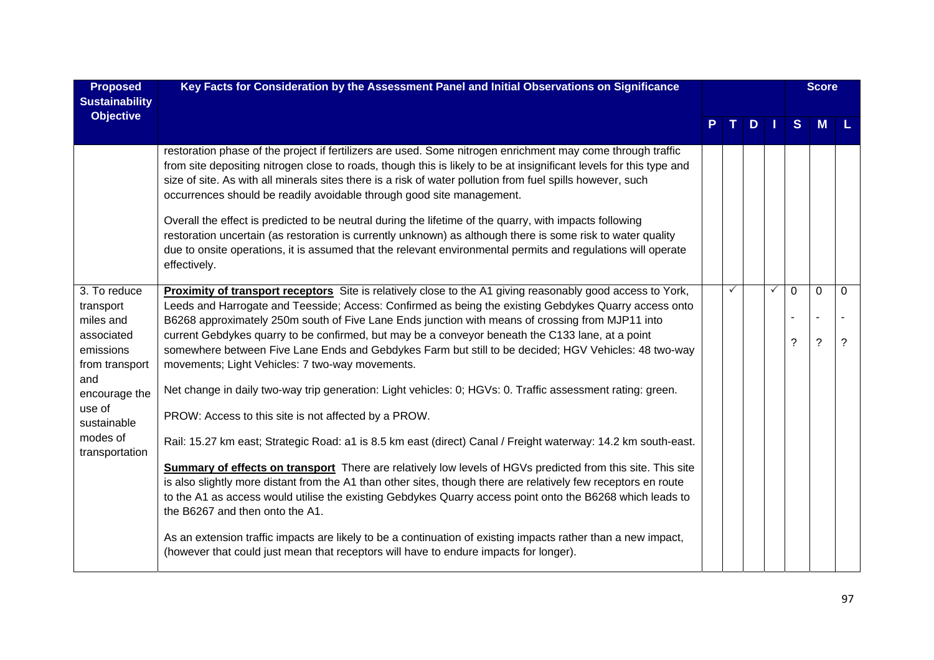| <b>Proposed</b><br><b>Sustainability</b> | Key Facts for Consideration by the Assessment Panel and Initial Observations on Significance                                                                                                                                                                                                                                                                                                                              |   |     |              |          | <b>Score</b> |          |
|------------------------------------------|---------------------------------------------------------------------------------------------------------------------------------------------------------------------------------------------------------------------------------------------------------------------------------------------------------------------------------------------------------------------------------------------------------------------------|---|-----|--------------|----------|--------------|----------|
| <b>Objective</b>                         |                                                                                                                                                                                                                                                                                                                                                                                                                           |   | $D$ |              | S        | <b>M</b>     |          |
|                                          | restoration phase of the project if fertilizers are used. Some nitrogen enrichment may come through traffic<br>from site depositing nitrogen close to roads, though this is likely to be at insignificant levels for this type and<br>size of site. As with all minerals sites there is a risk of water pollution from fuel spills however, such<br>occurrences should be readily avoidable through good site management. |   |     |              |          |              |          |
|                                          | Overall the effect is predicted to be neutral during the lifetime of the quarry, with impacts following<br>restoration uncertain (as restoration is currently unknown) as although there is some risk to water quality<br>due to onsite operations, it is assumed that the relevant environmental permits and regulations will operate<br>effectively.                                                                    |   |     |              |          |              |          |
| 3. To reduce                             | Proximity of transport receptors Site is relatively close to the A1 giving reasonably good access to York,                                                                                                                                                                                                                                                                                                                | ✓ |     | $\checkmark$ | $\Omega$ | $\Omega$     | $\Omega$ |
| transport                                | Leeds and Harrogate and Teesside; Access: Confirmed as being the existing Gebdykes Quarry access onto                                                                                                                                                                                                                                                                                                                     |   |     |              |          |              |          |
| miles and<br>associated                  | B6268 approximately 250m south of Five Lane Ends junction with means of crossing from MJP11 into<br>current Gebdykes quarry to be confirmed, but may be a conveyor beneath the C133 lane, at a point                                                                                                                                                                                                                      |   |     |              |          |              |          |
| emissions                                | somewhere between Five Lane Ends and Gebdykes Farm but still to be decided; HGV Vehicles: 48 two-way                                                                                                                                                                                                                                                                                                                      |   |     |              | 2        | ?            | ?        |
| from transport                           | movements; Light Vehicles: 7 two-way movements.                                                                                                                                                                                                                                                                                                                                                                           |   |     |              |          |              |          |
| and                                      |                                                                                                                                                                                                                                                                                                                                                                                                                           |   |     |              |          |              |          |
| encourage the                            | Net change in daily two-way trip generation: Light vehicles: 0; HGVs: 0. Traffic assessment rating: green.                                                                                                                                                                                                                                                                                                                |   |     |              |          |              |          |
| use of<br>sustainable                    | PROW: Access to this site is not affected by a PROW.                                                                                                                                                                                                                                                                                                                                                                      |   |     |              |          |              |          |
| modes of<br>transportation               | Rail: 15.27 km east; Strategic Road: a1 is 8.5 km east (direct) Canal / Freight waterway: 14.2 km south-east.                                                                                                                                                                                                                                                                                                             |   |     |              |          |              |          |
|                                          | <b>Summary of effects on transport</b> There are relatively low levels of HGVs predicted from this site. This site<br>is also slightly more distant from the A1 than other sites, though there are relatively few receptors en route<br>to the A1 as access would utilise the existing Gebdykes Quarry access point onto the B6268 which leads to<br>the B6267 and then onto the A1.                                      |   |     |              |          |              |          |
|                                          | As an extension traffic impacts are likely to be a continuation of existing impacts rather than a new impact,<br>(however that could just mean that receptors will have to endure impacts for longer).                                                                                                                                                                                                                    |   |     |              |          |              |          |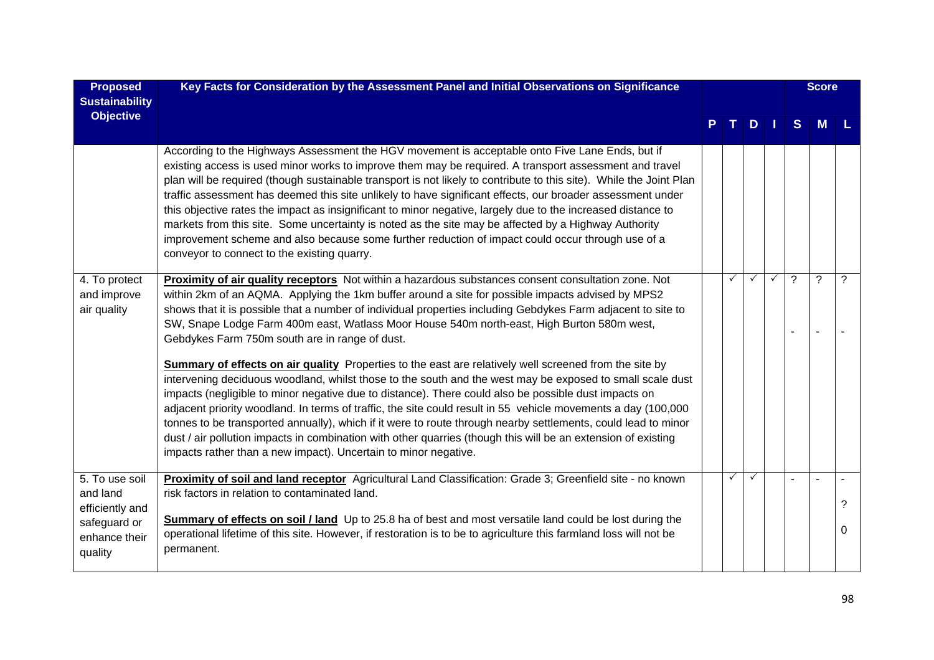| <b>Proposed</b><br><b>Sustainability</b>                    | Key Facts for Consideration by the Assessment Panel and Initial Observations on Significance                                                                                                                                                                                                                                                                                                                                                                                                                                                                                                                                                                                                                                                                                                                               |              |              |              |   | <b>Score</b>             |   |
|-------------------------------------------------------------|----------------------------------------------------------------------------------------------------------------------------------------------------------------------------------------------------------------------------------------------------------------------------------------------------------------------------------------------------------------------------------------------------------------------------------------------------------------------------------------------------------------------------------------------------------------------------------------------------------------------------------------------------------------------------------------------------------------------------------------------------------------------------------------------------------------------------|--------------|--------------|--------------|---|--------------------------|---|
| <b>Objective</b>                                            |                                                                                                                                                                                                                                                                                                                                                                                                                                                                                                                                                                                                                                                                                                                                                                                                                            |              | $D$          |              | S | M                        |   |
|                                                             | According to the Highways Assessment the HGV movement is acceptable onto Five Lane Ends, but if<br>existing access is used minor works to improve them may be required. A transport assessment and travel<br>plan will be required (though sustainable transport is not likely to contribute to this site). While the Joint Plan<br>traffic assessment has deemed this site unlikely to have significant effects, our broader assessment under<br>this objective rates the impact as insignificant to minor negative, largely due to the increased distance to<br>markets from this site. Some uncertainty is noted as the site may be affected by a Highway Authority<br>improvement scheme and also because some further reduction of impact could occur through use of a<br>conveyor to connect to the existing quarry. |              |              |              |   |                          |   |
| 4. To protect<br>and improve<br>air quality                 | Proximity of air quality receptors Not within a hazardous substances consent consultation zone. Not<br>within 2km of an AQMA. Applying the 1km buffer around a site for possible impacts advised by MPS2<br>shows that it is possible that a number of individual properties including Gebdykes Farm adjacent to site to<br>SW, Snape Lodge Farm 400m east, Watlass Moor House 540m north-east, High Burton 580m west,<br>Gebdykes Farm 750m south are in range of dust.                                                                                                                                                                                                                                                                                                                                                   | $\checkmark$ | ✓            | $\checkmark$ | 2 | $\overline{\phantom{0}}$ | 2 |
|                                                             | <b>Summary of effects on air quality</b> Properties to the east are relatively well screened from the site by<br>intervening deciduous woodland, whilst those to the south and the west may be exposed to small scale dust<br>impacts (negligible to minor negative due to distance). There could also be possible dust impacts on<br>adjacent priority woodland. In terms of traffic, the site could result in 55 vehicle movements a day (100,000<br>tonnes to be transported annually), which if it were to route through nearby settlements, could lead to minor<br>dust / air pollution impacts in combination with other quarries (though this will be an extension of existing<br>impacts rather than a new impact). Uncertain to minor negative.                                                                   |              |              |              |   |                          |   |
| 5. To use soil<br>and land                                  | Proximity of soil and land receptor Agricultural Land Classification: Grade 3; Greenfield site - no known<br>risk factors in relation to contaminated land.                                                                                                                                                                                                                                                                                                                                                                                                                                                                                                                                                                                                                                                                | $\checkmark$ | $\checkmark$ |              |   |                          | ? |
| efficiently and<br>safeguard or<br>enhance their<br>quality | <b>Summary of effects on soil / land</b> Up to 25.8 ha of best and most versatile land could be lost during the<br>operational lifetime of this site. However, if restoration is to be to agriculture this farmland loss will not be<br>permanent.                                                                                                                                                                                                                                                                                                                                                                                                                                                                                                                                                                         |              |              |              |   |                          | 0 |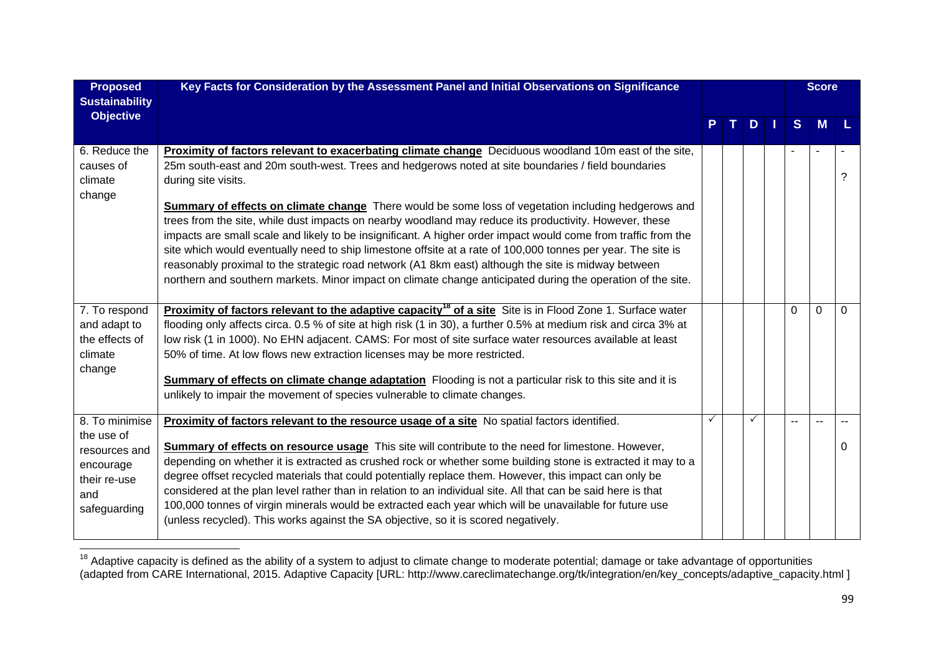| <b>Proposed</b><br><b>Sustainability</b>                                                          | Key Facts for Consideration by the Assessment Panel and Initial Observations on Significance                                                                                                                                                                                                                                                                                                                                                                                                                                                                                                                                                                                                                                                                                                                                                                                                                       |     |     |   | <b>Score</b> |          |
|---------------------------------------------------------------------------------------------------|--------------------------------------------------------------------------------------------------------------------------------------------------------------------------------------------------------------------------------------------------------------------------------------------------------------------------------------------------------------------------------------------------------------------------------------------------------------------------------------------------------------------------------------------------------------------------------------------------------------------------------------------------------------------------------------------------------------------------------------------------------------------------------------------------------------------------------------------------------------------------------------------------------------------|-----|-----|---|--------------|----------|
| <b>Objective</b>                                                                                  |                                                                                                                                                                                                                                                                                                                                                                                                                                                                                                                                                                                                                                                                                                                                                                                                                                                                                                                    | T I | $D$ | S | <b>M</b>     |          |
| 6. Reduce the<br>causes of<br>climate<br>change                                                   | Proximity of factors relevant to exacerbating climate change Deciduous woodland 10m east of the site,<br>25m south-east and 20m south-west. Trees and hedgerows noted at site boundaries / field boundaries<br>during site visits.<br><b>Summary of effects on climate change</b> There would be some loss of vegetation including hedgerows and<br>trees from the site, while dust impacts on nearby woodland may reduce its productivity. However, these<br>impacts are small scale and likely to be insignificant. A higher order impact would come from traffic from the<br>site which would eventually need to ship limestone offsite at a rate of 100,000 tonnes per year. The site is<br>reasonably proximal to the strategic road network (A1 8km east) although the site is midway between<br>northern and southern markets. Minor impact on climate change anticipated during the operation of the site. |     |     |   |              |          |
| 7. To respond<br>and adapt to<br>the effects of<br>climate<br>change                              | <b>Proximity of factors relevant to the adaptive capacity<sup>18</sup> of a site Site is in Flood Zone 1. Surface water</b><br>flooding only affects circa. 0.5 % of site at high risk (1 in 30), a further 0.5% at medium risk and circa 3% at<br>low risk (1 in 1000). No EHN adjacent. CAMS: For most of site surface water resources available at least<br>50% of time. At low flows new extraction licenses may be more restricted.<br><b>Summary of effects on climate change adaptation</b> Flooding is not a particular risk to this site and it is<br>unlikely to impair the movement of species vulnerable to climate changes.                                                                                                                                                                                                                                                                           |     |     | 0 | $\Omega$     | $\Omega$ |
| 8. To minimise<br>the use of<br>resources and<br>encourage<br>their re-use<br>and<br>safeguarding | Proximity of factors relevant to the resource usage of a site No spatial factors identified.<br><b>Summary of effects on resource usage</b> This site will contribute to the need for limestone. However,<br>depending on whether it is extracted as crushed rock or whether some building stone is extracted it may to a<br>degree offset recycled materials that could potentially replace them. However, this impact can only be<br>considered at the plan level rather than in relation to an individual site. All that can be said here is that<br>100,000 tonnes of virgin minerals would be extracted each year which will be unavailable for future use<br>(unless recycled). This works against the SA objective, so it is scored negatively.                                                                                                                                                             |     |     |   |              | 0        |

<sup>&</sup>lt;sup>18</sup> Adaptive capacity is defined as the ability of a system to adjust to climate change to moderate potential; damage or take advantage of opportunities (adapted from CARE International, 2015. Adaptive Capacity [URL: http://www.careclimatechange.org/tk/integration/en/key\_concepts/adaptive\_capacity.html ]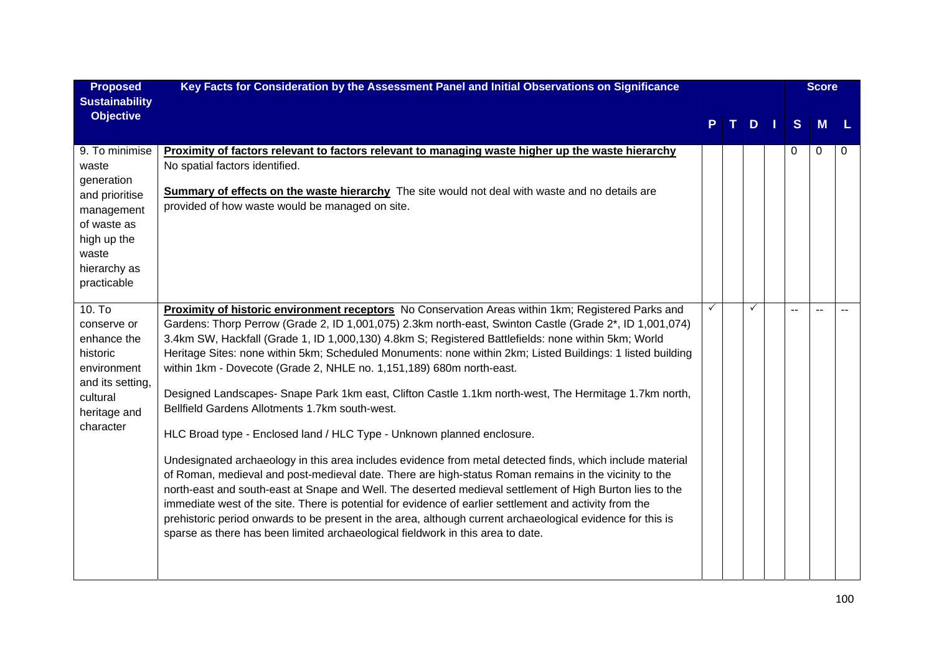| <b>Proposed</b><br><b>Sustainability</b>                                                                                                    | Key Facts for Consideration by the Assessment Panel and Initial Observations on Significance                                                                                                                                                                                                                                                                                                                                                                                                                                                                                                                                                                                                                                                                                                                                                                                                                                                                                                                                                                                                                                                                                                                                                                                                                                                                                                  |   |   |   | <b>Score</b> |          |
|---------------------------------------------------------------------------------------------------------------------------------------------|-----------------------------------------------------------------------------------------------------------------------------------------------------------------------------------------------------------------------------------------------------------------------------------------------------------------------------------------------------------------------------------------------------------------------------------------------------------------------------------------------------------------------------------------------------------------------------------------------------------------------------------------------------------------------------------------------------------------------------------------------------------------------------------------------------------------------------------------------------------------------------------------------------------------------------------------------------------------------------------------------------------------------------------------------------------------------------------------------------------------------------------------------------------------------------------------------------------------------------------------------------------------------------------------------------------------------------------------------------------------------------------------------|---|---|---|--------------|----------|
| <b>Objective</b>                                                                                                                            |                                                                                                                                                                                                                                                                                                                                                                                                                                                                                                                                                                                                                                                                                                                                                                                                                                                                                                                                                                                                                                                                                                                                                                                                                                                                                                                                                                                               |   | D | S | M            |          |
| 9. To minimise<br>waste<br>generation<br>and prioritise<br>management<br>of waste as<br>high up the<br>waste<br>hierarchy as<br>practicable | Proximity of factors relevant to factors relevant to managing waste higher up the waste hierarchy<br>No spatial factors identified.<br><b>Summary of effects on the waste hierarchy</b> The site would not deal with waste and no details are<br>provided of how waste would be managed on site.                                                                                                                                                                                                                                                                                                                                                                                                                                                                                                                                                                                                                                                                                                                                                                                                                                                                                                                                                                                                                                                                                              |   |   | 0 | $\Omega$     | $\Omega$ |
| $10.$ To<br>conserve or<br>enhance the<br>historic<br>environment<br>and its setting,<br>cultural<br>heritage and<br>character              | Proximity of historic environment receptors No Conservation Areas within 1km; Registered Parks and<br>Gardens: Thorp Perrow (Grade 2, ID 1,001,075) 2.3km north-east, Swinton Castle (Grade 2*, ID 1,001,074)<br>3.4km SW, Hackfall (Grade 1, ID 1,000,130) 4.8km S; Registered Battlefields: none within 5km; World<br>Heritage Sites: none within 5km; Scheduled Monuments: none within 2km; Listed Buildings: 1 listed building<br>within 1km - Dovecote (Grade 2, NHLE no. 1,151,189) 680m north-east.<br>Designed Landscapes- Snape Park 1km east, Clifton Castle 1.1km north-west, The Hermitage 1.7km north,<br>Bellfield Gardens Allotments 1.7km south-west.<br>HLC Broad type - Enclosed land / HLC Type - Unknown planned enclosure.<br>Undesignated archaeology in this area includes evidence from metal detected finds, which include material<br>of Roman, medieval and post-medieval date. There are high-status Roman remains in the vicinity to the<br>north-east and south-east at Snape and Well. The deserted medieval settlement of High Burton lies to the<br>immediate west of the site. There is potential for evidence of earlier settlement and activity from the<br>prehistoric period onwards to be present in the area, although current archaeological evidence for this is<br>sparse as there has been limited archaeological fieldwork in this area to date. | ✓ |   |   |              |          |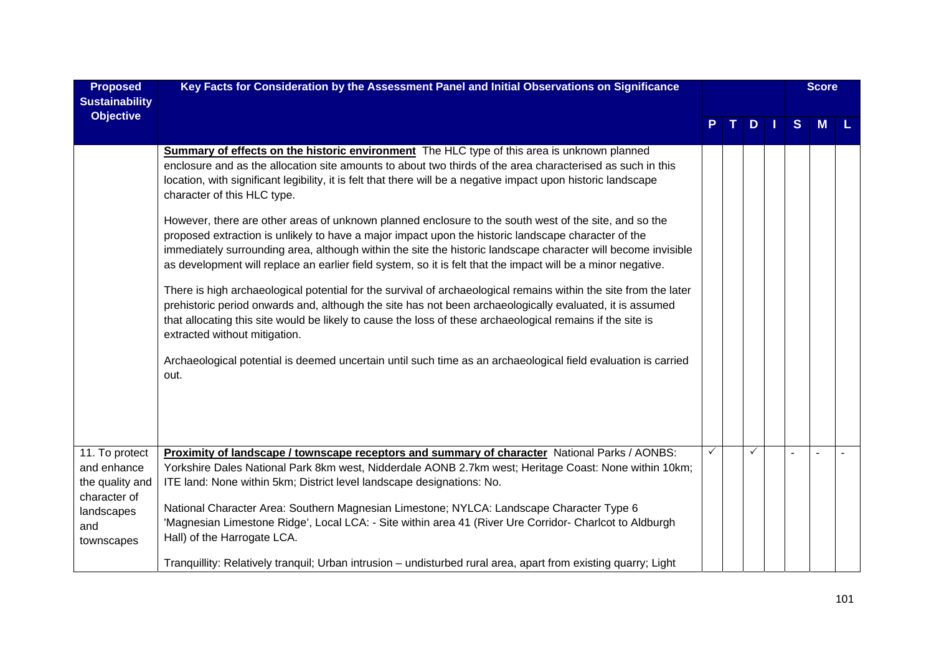| <b>Proposed</b><br><b>Sustainability</b>        | Key Facts for Consideration by the Assessment Panel and Initial Observations on Significance                                                                                                                                                                                                                                                                                                                                                                                                                                                                                                                                                                                                                                                                                                                                                                                                                                                                                                                                                                                                                                                                                                                                                                                                                               |   |   |    |   | <b>Score</b> |  |
|-------------------------------------------------|----------------------------------------------------------------------------------------------------------------------------------------------------------------------------------------------------------------------------------------------------------------------------------------------------------------------------------------------------------------------------------------------------------------------------------------------------------------------------------------------------------------------------------------------------------------------------------------------------------------------------------------------------------------------------------------------------------------------------------------------------------------------------------------------------------------------------------------------------------------------------------------------------------------------------------------------------------------------------------------------------------------------------------------------------------------------------------------------------------------------------------------------------------------------------------------------------------------------------------------------------------------------------------------------------------------------------|---|---|----|---|--------------|--|
| <b>Objective</b>                                |                                                                                                                                                                                                                                                                                                                                                                                                                                                                                                                                                                                                                                                                                                                                                                                                                                                                                                                                                                                                                                                                                                                                                                                                                                                                                                                            |   | D | M. | S | M            |  |
|                                                 | <b>Summary of effects on the historic environment</b> The HLC type of this area is unknown planned<br>enclosure and as the allocation site amounts to about two thirds of the area characterised as such in this<br>location, with significant legibility, it is felt that there will be a negative impact upon historic landscape<br>character of this HLC type.<br>However, there are other areas of unknown planned enclosure to the south west of the site, and so the<br>proposed extraction is unlikely to have a major impact upon the historic landscape character of the<br>immediately surrounding area, although within the site the historic landscape character will become invisible<br>as development will replace an earlier field system, so it is felt that the impact will be a minor negative.<br>There is high archaeological potential for the survival of archaeological remains within the site from the later<br>prehistoric period onwards and, although the site has not been archaeologically evaluated, it is assumed<br>that allocating this site would be likely to cause the loss of these archaeological remains if the site is<br>extracted without mitigation.<br>Archaeological potential is deemed uncertain until such time as an archaeological field evaluation is carried<br>out. |   |   |    |   |              |  |
| 11. To protect                                  | Proximity of landscape / townscape receptors and summary of character National Parks / AONBS:                                                                                                                                                                                                                                                                                                                                                                                                                                                                                                                                                                                                                                                                                                                                                                                                                                                                                                                                                                                                                                                                                                                                                                                                                              | ✓ |   |    |   |              |  |
| and enhance<br>the quality and                  | Yorkshire Dales National Park 8km west, Nidderdale AONB 2.7km west; Heritage Coast: None within 10km;<br>ITE land: None within 5km; District level landscape designations: No.                                                                                                                                                                                                                                                                                                                                                                                                                                                                                                                                                                                                                                                                                                                                                                                                                                                                                                                                                                                                                                                                                                                                             |   |   |    |   |              |  |
| character of<br>landscapes<br>and<br>townscapes | National Character Area: Southern Magnesian Limestone; NYLCA: Landscape Character Type 6<br>'Magnesian Limestone Ridge', Local LCA: - Site within area 41 (River Ure Corridor- Charlcot to Aldburgh<br>Hall) of the Harrogate LCA.                                                                                                                                                                                                                                                                                                                                                                                                                                                                                                                                                                                                                                                                                                                                                                                                                                                                                                                                                                                                                                                                                         |   |   |    |   |              |  |
|                                                 | Tranquillity: Relatively tranquil; Urban intrusion – undisturbed rural area, apart from existing quarry; Light                                                                                                                                                                                                                                                                                                                                                                                                                                                                                                                                                                                                                                                                                                                                                                                                                                                                                                                                                                                                                                                                                                                                                                                                             |   |   |    |   |              |  |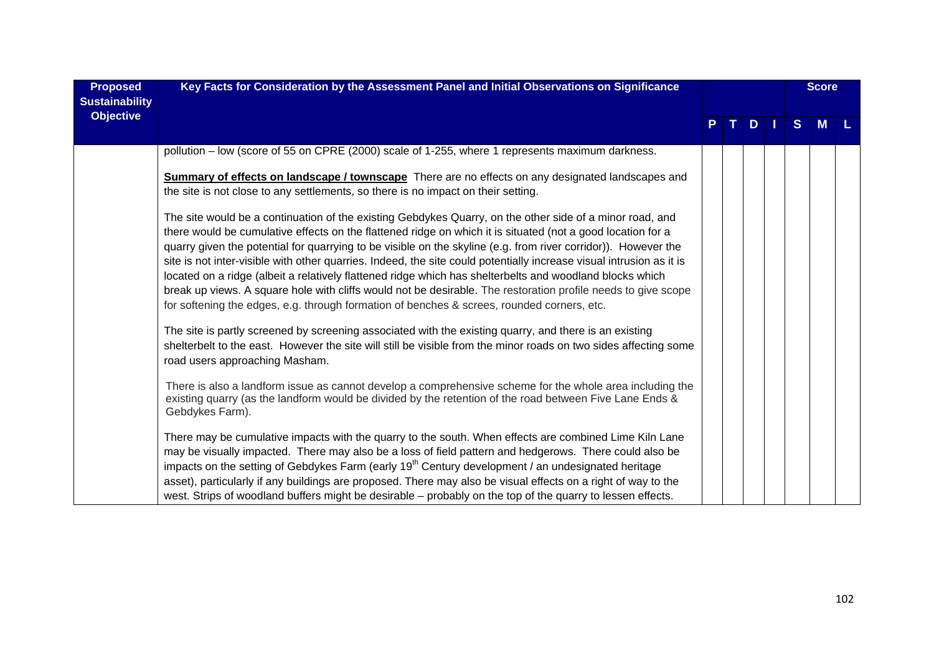| <b>Proposed</b><br><b>Sustainability</b> | Key Facts for Consideration by the Assessment Panel and Initial Observations on Significance                                                                                                                                                                                                                                                                                                                                                                                                                                                                                                                                                                                                                                                                                                                                                                                                           |    |     |   | <b>Score</b> |  |
|------------------------------------------|--------------------------------------------------------------------------------------------------------------------------------------------------------------------------------------------------------------------------------------------------------------------------------------------------------------------------------------------------------------------------------------------------------------------------------------------------------------------------------------------------------------------------------------------------------------------------------------------------------------------------------------------------------------------------------------------------------------------------------------------------------------------------------------------------------------------------------------------------------------------------------------------------------|----|-----|---|--------------|--|
| <b>Objective</b>                         |                                                                                                                                                                                                                                                                                                                                                                                                                                                                                                                                                                                                                                                                                                                                                                                                                                                                                                        | P. | TDI | S | <b>M</b>     |  |
|                                          | pollution - low (score of 55 on CPRE (2000) scale of 1-255, where 1 represents maximum darkness.                                                                                                                                                                                                                                                                                                                                                                                                                                                                                                                                                                                                                                                                                                                                                                                                       |    |     |   |              |  |
|                                          | <b>Summary of effects on landscape / townscape</b> There are no effects on any designated landscapes and                                                                                                                                                                                                                                                                                                                                                                                                                                                                                                                                                                                                                                                                                                                                                                                               |    |     |   |              |  |
|                                          | the site is not close to any settlements, so there is no impact on their setting.                                                                                                                                                                                                                                                                                                                                                                                                                                                                                                                                                                                                                                                                                                                                                                                                                      |    |     |   |              |  |
|                                          | The site would be a continuation of the existing Gebdykes Quarry, on the other side of a minor road, and<br>there would be cumulative effects on the flattened ridge on which it is situated (not a good location for a<br>quarry given the potential for quarrying to be visible on the skyline (e.g. from river corridor)). However the<br>site is not inter-visible with other quarries. Indeed, the site could potentially increase visual intrusion as it is<br>located on a ridge (albeit a relatively flattened ridge which has shelterbelts and woodland blocks which<br>break up views. A square hole with cliffs would not be desirable. The restoration profile needs to give scope<br>for softening the edges, e.g. through formation of benches & screes, rounded corners, etc.<br>The site is partly screened by screening associated with the existing quarry, and there is an existing |    |     |   |              |  |
|                                          | shelterbelt to the east. However the site will still be visible from the minor roads on two sides affecting some<br>road users approaching Masham.                                                                                                                                                                                                                                                                                                                                                                                                                                                                                                                                                                                                                                                                                                                                                     |    |     |   |              |  |
|                                          | There is also a landform issue as cannot develop a comprehensive scheme for the whole area including the<br>existing quarry (as the landform would be divided by the retention of the road between Five Lane Ends &<br>Gebdykes Farm).                                                                                                                                                                                                                                                                                                                                                                                                                                                                                                                                                                                                                                                                 |    |     |   |              |  |
|                                          | There may be cumulative impacts with the quarry to the south. When effects are combined Lime Kiln Lane<br>may be visually impacted. There may also be a loss of field pattern and hedgerows. There could also be<br>impacts on the setting of Gebdykes Farm (early 19 <sup>th</sup> Century development / an undesignated heritage<br>asset), particularly if any buildings are proposed. There may also be visual effects on a right of way to the<br>west. Strips of woodland buffers might be desirable - probably on the top of the quarry to lessen effects.                                                                                                                                                                                                                                                                                                                                      |    |     |   |              |  |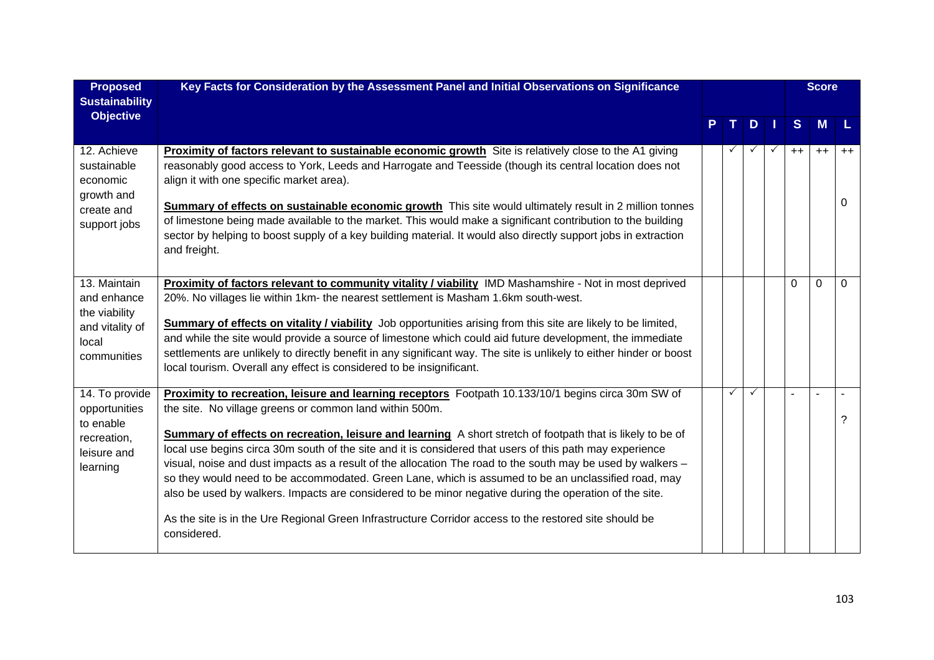| <b>Proposed</b><br><b>Sustainability</b>                                                | Key Facts for Consideration by the Assessment Panel and Initial Observations on Significance                                                                                                                                                                                                                                                                                                                                                                                                                                                                                                                                                                                                                                                                                                                                                      |   |              |      | <b>Score</b> |           |
|-----------------------------------------------------------------------------------------|---------------------------------------------------------------------------------------------------------------------------------------------------------------------------------------------------------------------------------------------------------------------------------------------------------------------------------------------------------------------------------------------------------------------------------------------------------------------------------------------------------------------------------------------------------------------------------------------------------------------------------------------------------------------------------------------------------------------------------------------------------------------------------------------------------------------------------------------------|---|--------------|------|--------------|-----------|
| <b>Objective</b>                                                                        |                                                                                                                                                                                                                                                                                                                                                                                                                                                                                                                                                                                                                                                                                                                                                                                                                                                   |   | D            | S    | M            |           |
| 12. Achieve<br>sustainable<br>economic<br>growth and<br>create and                      | <b>Proximity of factors relevant to sustainable economic growth</b> Site is relatively close to the A1 giving<br>reasonably good access to York, Leeds and Harrogate and Teesside (though its central location does not<br>align it with one specific market area).<br>Summary of effects on sustainable economic growth This site would ultimately result in 2 million tonnes                                                                                                                                                                                                                                                                                                                                                                                                                                                                    |   |              | $++$ | $++$         | $++$<br>0 |
| support jobs                                                                            | of limestone being made available to the market. This would make a significant contribution to the building<br>sector by helping to boost supply of a key building material. It would also directly support jobs in extraction<br>and freight.                                                                                                                                                                                                                                                                                                                                                                                                                                                                                                                                                                                                    |   |              |      |              |           |
| 13. Maintain<br>and enhance<br>the viability<br>and vitality of<br>local<br>communities | Proximity of factors relevant to community vitality / viability IMD Mashamshire - Not in most deprived<br>20%. No villages lie within 1km- the nearest settlement is Masham 1.6km south-west.<br><b>Summary of effects on vitality / viability</b> Job opportunities arising from this site are likely to be limited,<br>and while the site would provide a source of limestone which could aid future development, the immediate<br>settlements are unlikely to directly benefit in any significant way. The site is unlikely to either hinder or boost<br>local tourism. Overall any effect is considered to be insignificant.                                                                                                                                                                                                                  |   |              | 0    | 0            | $\Omega$  |
| 14. To provide<br>opportunities<br>to enable<br>recreation,<br>leisure and<br>learning  | Proximity to recreation, leisure and learning receptors Footpath 10.133/10/1 begins circa 30m SW of<br>the site. No village greens or common land within 500m.<br>Summary of effects on recreation, leisure and learning A short stretch of footpath that is likely to be of<br>local use begins circa 30m south of the site and it is considered that users of this path may experience<br>visual, noise and dust impacts as a result of the allocation The road to the south may be used by walkers -<br>so they would need to be accommodated. Green Lane, which is assumed to be an unclassified road, may<br>also be used by walkers. Impacts are considered to be minor negative during the operation of the site.<br>As the site is in the Ure Regional Green Infrastructure Corridor access to the restored site should be<br>considered. | ✓ | $\checkmark$ |      |              | ?         |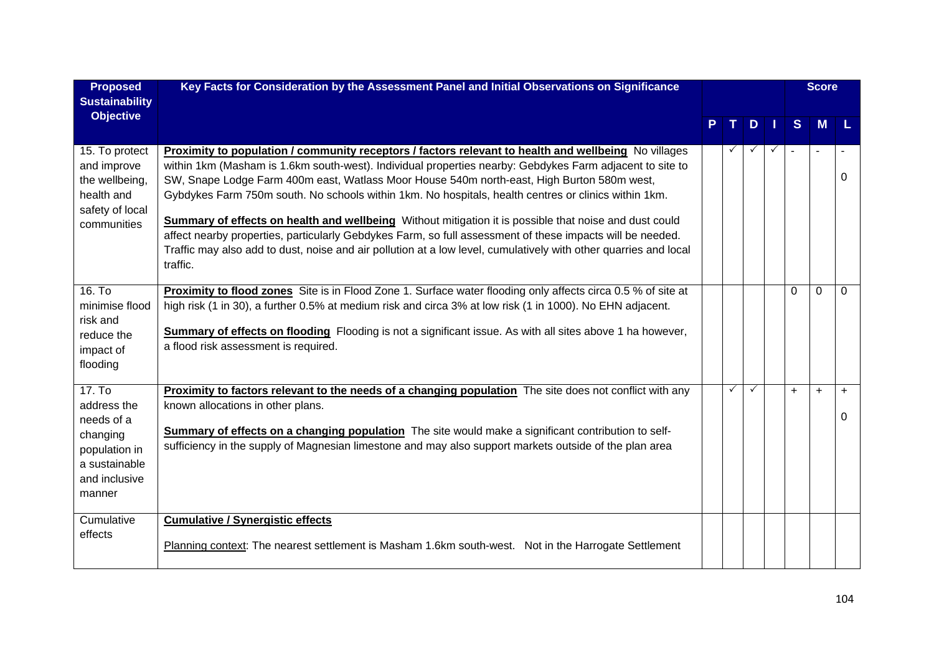| <b>Proposed</b><br><b>Sustainability</b>                                                                     | Key Facts for Consideration by the Assessment Panel and Initial Observations on Significance                                                                                                                                                                                                                                                                                                                                                                                                                                                                                                                                                                                                                                                                                  |              |              |              |           | <b>Score</b> |          |
|--------------------------------------------------------------------------------------------------------------|-------------------------------------------------------------------------------------------------------------------------------------------------------------------------------------------------------------------------------------------------------------------------------------------------------------------------------------------------------------------------------------------------------------------------------------------------------------------------------------------------------------------------------------------------------------------------------------------------------------------------------------------------------------------------------------------------------------------------------------------------------------------------------|--------------|--------------|--------------|-----------|--------------|----------|
| <b>Objective</b>                                                                                             |                                                                                                                                                                                                                                                                                                                                                                                                                                                                                                                                                                                                                                                                                                                                                                               | T I          | D            | H.           | S         | M            |          |
| 15. To protect<br>and improve<br>the wellbeing,<br>health and<br>safety of local<br>communities              | Proximity to population / community receptors / factors relevant to health and wellbeing No villages<br>within 1km (Masham is 1.6km south-west). Individual properties nearby: Gebdykes Farm adjacent to site to<br>SW, Snape Lodge Farm 400m east, Watlass Moor House 540m north-east, High Burton 580m west,<br>Gybdykes Farm 750m south. No schools within 1km. No hospitals, health centres or clinics within 1km.<br>Summary of effects on health and wellbeing Without mitigation it is possible that noise and dust could<br>affect nearby properties, particularly Gebdykes Farm, so full assessment of these impacts will be needed.<br>Traffic may also add to dust, noise and air pollution at a low level, cumulatively with other quarries and local<br>traffic. | $\checkmark$ | $\checkmark$ | $\checkmark$ | $\sim$    |              | 0        |
| 16. T <sub>o</sub><br>minimise flood<br>risk and<br>reduce the<br>impact of<br>flooding                      | Proximity to flood zones Site is in Flood Zone 1. Surface water flooding only affects circa 0.5 % of site at<br>high risk (1 in 30), a further 0.5% at medium risk and circa 3% at low risk (1 in 1000). No EHN adjacent.<br><b>Summary of effects on flooding</b> Flooding is not a significant issue. As with all sites above 1 ha however,<br>a flood risk assessment is required.                                                                                                                                                                                                                                                                                                                                                                                         |              |              |              | $\Omega$  | $\Omega$     | $\Omega$ |
| 17. To<br>address the<br>needs of a<br>changing<br>population in<br>a sustainable<br>and inclusive<br>manner | Proximity to factors relevant to the needs of a changing population The site does not conflict with any<br>known allocations in other plans.<br>Summary of effects on a changing population The site would make a significant contribution to self-<br>sufficiency in the supply of Magnesian limestone and may also support markets outside of the plan area                                                                                                                                                                                                                                                                                                                                                                                                                 | $\checkmark$ | $\checkmark$ |              | $\ddot{}$ | $+$          | $+$<br>0 |
| Cumulative<br>effects                                                                                        | <b>Cumulative / Synergistic effects</b><br>Planning context: The nearest settlement is Masham 1.6km south-west. Not in the Harrogate Settlement                                                                                                                                                                                                                                                                                                                                                                                                                                                                                                                                                                                                                               |              |              |              |           |              |          |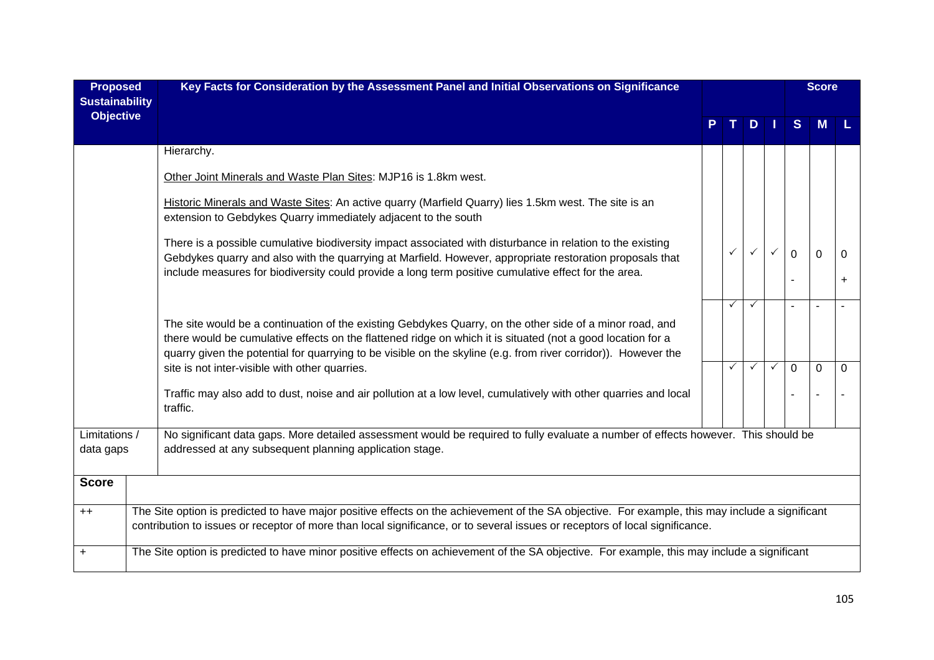| <b>Proposed</b><br><b>Sustainability</b> | Key Facts for Consideration by the Assessment Panel and Initial Observations on Significance                                                                                                                                                                                                                                              |  |              |              |   | <b>Score</b>   |          |           |  |
|------------------------------------------|-------------------------------------------------------------------------------------------------------------------------------------------------------------------------------------------------------------------------------------------------------------------------------------------------------------------------------------------|--|--------------|--------------|---|----------------|----------|-----------|--|
| <b>Objective</b>                         |                                                                                                                                                                                                                                                                                                                                           |  |              | D            |   | S              |          |           |  |
|                                          | Hierarchy.                                                                                                                                                                                                                                                                                                                                |  |              |              |   |                |          |           |  |
|                                          | Other Joint Minerals and Waste Plan Sites: MJP16 is 1.8km west.                                                                                                                                                                                                                                                                           |  |              |              |   |                |          |           |  |
|                                          | Historic Minerals and Waste Sites: An active quarry (Marfield Quarry) lies 1.5km west. The site is an<br>extension to Gebdykes Quarry immediately adjacent to the south                                                                                                                                                                   |  |              |              |   |                |          |           |  |
|                                          | There is a possible cumulative biodiversity impact associated with disturbance in relation to the existing<br>Gebdykes quarry and also with the quarrying at Marfield. However, appropriate restoration proposals that<br>include measures for biodiversity could provide a long term positive cumulative effect for the area.            |  | $\checkmark$ |              |   | $\Omega$       | $\Omega$ | $\Omega$  |  |
|                                          |                                                                                                                                                                                                                                                                                                                                           |  |              |              |   |                |          | $\ddot{}$ |  |
|                                          |                                                                                                                                                                                                                                                                                                                                           |  | ✓            | $\checkmark$ |   | $\overline{a}$ |          |           |  |
|                                          | The site would be a continuation of the existing Gebdykes Quarry, on the other side of a minor road, and<br>there would be cumulative effects on the flattened ridge on which it is situated (not a good location for a<br>quarry given the potential for quarrying to be visible on the skyline (e.g. from river corridor)). However the |  |              |              |   |                |          |           |  |
|                                          | site is not inter-visible with other quarries.                                                                                                                                                                                                                                                                                            |  | ✓            | ✓            | ✓ | 0              | $\Omega$ | 0         |  |
|                                          | Traffic may also add to dust, noise and air pollution at a low level, cumulatively with other quarries and local<br>traffic.                                                                                                                                                                                                              |  |              |              |   |                |          |           |  |
| data gaps                                | No significant data gaps. More detailed assessment would be required to fully evaluate a number of effects however. This should be<br>Limitations /<br>addressed at any subsequent planning application stage.                                                                                                                            |  |              |              |   |                |          |           |  |
| <b>Score</b>                             |                                                                                                                                                                                                                                                                                                                                           |  |              |              |   |                |          |           |  |
| $++$                                     | The Site option is predicted to have major positive effects on the achievement of the SA objective. For example, this may include a significant<br>contribution to issues or receptor of more than local significance, or to several issues or receptors of local significance.                                                           |  |              |              |   |                |          |           |  |
| +                                        | The Site option is predicted to have minor positive effects on achievement of the SA objective. For example, this may include a significant                                                                                                                                                                                               |  |              |              |   |                |          |           |  |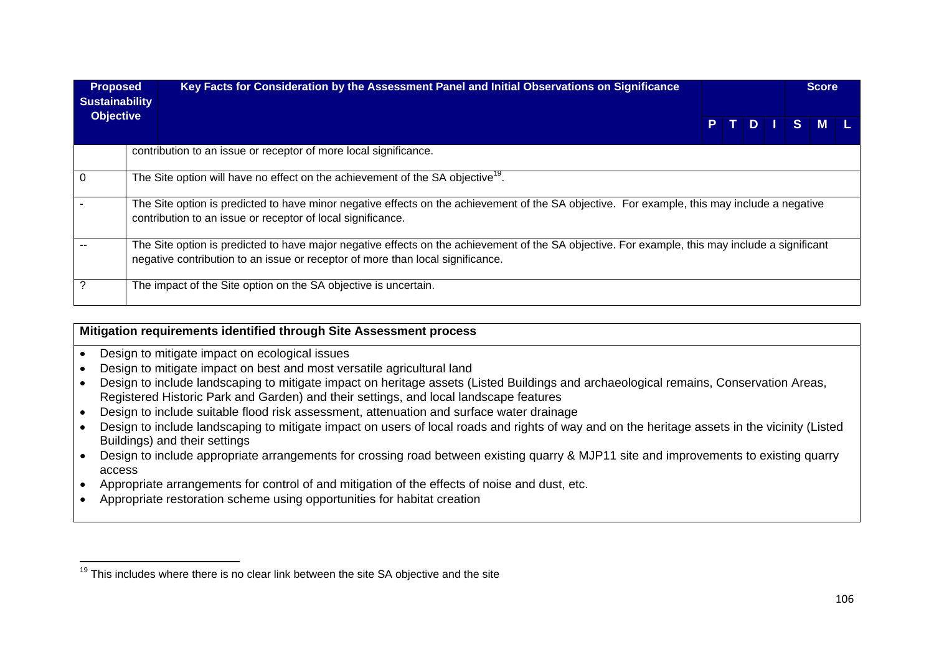| <b>Proposed</b><br><b>Sustainability</b> |  | Key Facts for Consideration by the Assessment Panel and Initial Observations on Significance                                                                                                                                      |  |  |  |  | <b>Score</b> |        |  |  |  |  |
|------------------------------------------|--|-----------------------------------------------------------------------------------------------------------------------------------------------------------------------------------------------------------------------------------|--|--|--|--|--------------|--------|--|--|--|--|
| <b>Objective</b>                         |  |                                                                                                                                                                                                                                   |  |  |  |  |              | PTDISM |  |  |  |  |
|                                          |  | contribution to an issue or receptor of more local significance.                                                                                                                                                                  |  |  |  |  |              |        |  |  |  |  |
| 0                                        |  | The Site option will have no effect on the achievement of the SA objective <sup>19</sup> .                                                                                                                                        |  |  |  |  |              |        |  |  |  |  |
|                                          |  | The Site option is predicted to have minor negative effects on the achievement of the SA objective. For example, this may include a negative<br>contribution to an issue or receptor of local significance.                       |  |  |  |  |              |        |  |  |  |  |
|                                          |  | The Site option is predicted to have major negative effects on the achievement of the SA objective. For example, this may include a significant<br>negative contribution to an issue or receptor of more than local significance. |  |  |  |  |              |        |  |  |  |  |
|                                          |  | The impact of the Site option on the SA objective is uncertain.                                                                                                                                                                   |  |  |  |  |              |        |  |  |  |  |

## **Mitigation requirements identified through Site Assessment process**

- Design to mitigate impact on ecological issues
- Design to mitigate impact on best and most versatile agricultural land
- Design to include landscaping to mitigate impact on heritage assets (Listed Buildings and archaeological remains, Conservation Areas, Registered Historic Park and Garden) and their settings, and local landscape features
- Design to include suitable flood risk assessment, attenuation and surface water drainage
- Design to include landscaping to mitigate impact on users of local roads and rights of way and on the heritage assets in the vicinity (Listed Buildings) and their settings
- Design to include appropriate arrangements for crossing road between existing quarry & MJP11 site and improvements to existing quarry access
- Appropriate arrangements for control of and mitigation of the effects of noise and dust, etc.
- Appropriate restoration scheme using opportunities for habitat creation

 $19$  This includes where there is no clear link between the site SA objective and the site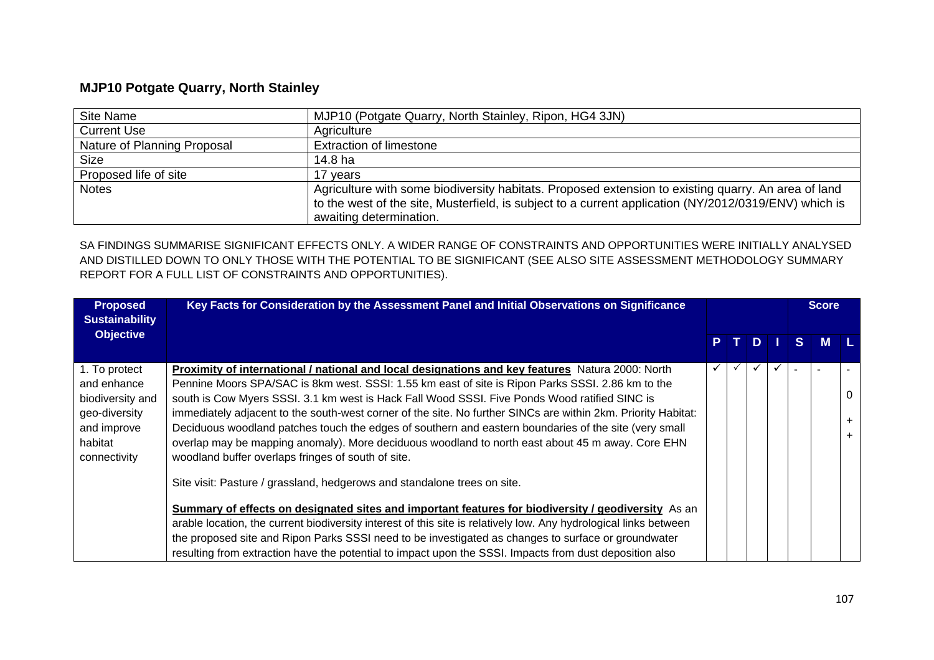## **MJP10 Potgate Quarry, North Stainley**

| Site Name                   | MJP10 (Potgate Quarry, North Stainley, Ripon, HG4 3JN)                                                                                                                                                                                  |
|-----------------------------|-----------------------------------------------------------------------------------------------------------------------------------------------------------------------------------------------------------------------------------------|
| <b>Current Use</b>          | Agriculture                                                                                                                                                                                                                             |
| Nature of Planning Proposal | <b>Extraction of limestone</b>                                                                                                                                                                                                          |
| <b>Size</b>                 | 14.8 ha                                                                                                                                                                                                                                 |
| Proposed life of site       | 17 vears                                                                                                                                                                                                                                |
| <b>Notes</b>                | Agriculture with some biodiversity habitats. Proposed extension to existing quarry. An area of land<br>to the west of the site, Musterfield, is subject to a current application (NY/2012/0319/ENV) which is<br>awaiting determination. |

SA FINDINGS SUMMARISE SIGNIFICANT EFFECTS ONLY. A WIDER RANGE OF CONSTRAINTS AND OPPORTUNITIES WERE INITIALLY ANALYSED AND DISTILLED DOWN TO ONLY THOSE WITH THE POTENTIAL TO BE SIGNIFICANT (SEE ALSO SITE ASSESSMENT METHODOLOGY SUMMARY REPORT FOR A FULL LIST OF CONSTRAINTS AND OPPORTUNITIES).

| <b>Proposed</b><br><b>Sustainability</b><br><b>Objective</b>                                                | Key Facts for Consideration by the Assessment Panel and Initial Observations on Significance                                                                                                                                                                                                                                                                                                                                                                                                                                                                                                                                                                                                                                                                                                                                                                                                                                                                                                                                                                                                                                                                                                                         |   |              |              |   | <b>Score</b> |  |
|-------------------------------------------------------------------------------------------------------------|----------------------------------------------------------------------------------------------------------------------------------------------------------------------------------------------------------------------------------------------------------------------------------------------------------------------------------------------------------------------------------------------------------------------------------------------------------------------------------------------------------------------------------------------------------------------------------------------------------------------------------------------------------------------------------------------------------------------------------------------------------------------------------------------------------------------------------------------------------------------------------------------------------------------------------------------------------------------------------------------------------------------------------------------------------------------------------------------------------------------------------------------------------------------------------------------------------------------|---|--------------|--------------|---|--------------|--|
|                                                                                                             |                                                                                                                                                                                                                                                                                                                                                                                                                                                                                                                                                                                                                                                                                                                                                                                                                                                                                                                                                                                                                                                                                                                                                                                                                      | P | D            |              | S | <b>M</b>     |  |
| 1. To protect<br>and enhance<br>biodiversity and<br>geo-diversity<br>and improve<br>habitat<br>connectivity | Proximity of international / national and local designations and key features Natura 2000: North<br>Pennine Moors SPA/SAC is 8km west. SSSI: 1.55 km east of site is Ripon Parks SSSI. 2.86 km to the<br>south is Cow Myers SSSI. 3.1 km west is Hack Fall Wood SSSI. Five Ponds Wood ratified SINC is<br>immediately adjacent to the south-west corner of the site. No further SINCs are within 2km. Priority Habitat:<br>Deciduous woodland patches touch the edges of southern and eastern boundaries of the site (very small<br>overlap may be mapping anomaly). More deciduous woodland to north east about 45 m away. Core EHN<br>woodland buffer overlaps fringes of south of site.<br>Site visit: Pasture / grassland, hedgerows and standalone trees on site.<br>Summary of effects on designated sites and important features for biodiversity / geodiversity As an<br>arable location, the current biodiversity interest of this site is relatively low. Any hydrological links between<br>the proposed site and Ripon Parks SSSI need to be investigated as changes to surface or groundwater<br>resulting from extraction have the potential to impact upon the SSSI. Impacts from dust deposition also |   | $\checkmark$ | $\checkmark$ |   |              |  |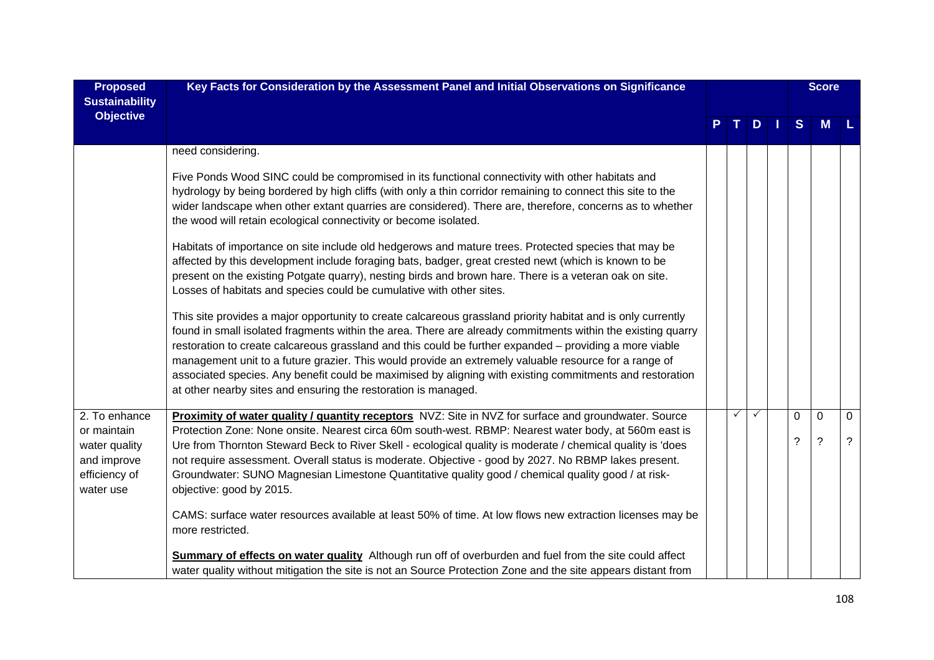| <b>Proposed</b><br><b>Sustainability</b>                   | Key Facts for Consideration by the Assessment Panel and Initial Observations on Significance                                                                                                                                                                                                                                                                                                                                                                                                                                                                                                                                  |             |              |     |          | <b>Score</b> |              |
|------------------------------------------------------------|-------------------------------------------------------------------------------------------------------------------------------------------------------------------------------------------------------------------------------------------------------------------------------------------------------------------------------------------------------------------------------------------------------------------------------------------------------------------------------------------------------------------------------------------------------------------------------------------------------------------------------|-------------|--------------|-----|----------|--------------|--------------|
| <b>Objective</b>                                           |                                                                                                                                                                                                                                                                                                                                                                                                                                                                                                                                                                                                                               | $T_{\perp}$ |              | $D$ | S        | M            |              |
|                                                            | need considering.                                                                                                                                                                                                                                                                                                                                                                                                                                                                                                                                                                                                             |             |              |     |          |              |              |
|                                                            | Five Ponds Wood SINC could be compromised in its functional connectivity with other habitats and<br>hydrology by being bordered by high cliffs (with only a thin corridor remaining to connect this site to the<br>wider landscape when other extant quarries are considered). There are, therefore, concerns as to whether<br>the wood will retain ecological connectivity or become isolated.                                                                                                                                                                                                                               |             |              |     |          |              |              |
|                                                            | Habitats of importance on site include old hedgerows and mature trees. Protected species that may be<br>affected by this development include foraging bats, badger, great crested newt (which is known to be<br>present on the existing Potgate quarry), nesting birds and brown hare. There is a veteran oak on site.<br>Losses of habitats and species could be cumulative with other sites.                                                                                                                                                                                                                                |             |              |     |          |              |              |
|                                                            | This site provides a major opportunity to create calcareous grassland priority habitat and is only currently<br>found in small isolated fragments within the area. There are already commitments within the existing quarry<br>restoration to create calcareous grassland and this could be further expanded – providing a more viable<br>management unit to a future grazier. This would provide an extremely valuable resource for a range of<br>associated species. Any benefit could be maximised by aligning with existing commitments and restoration<br>at other nearby sites and ensuring the restoration is managed. |             |              |     |          |              |              |
| 2. To enhance<br>or maintain                               | Proximity of water quality / quantity receptors NVZ: Site in NVZ for surface and groundwater. Source<br>Protection Zone: None onsite. Nearest circa 60m south-west. RBMP: Nearest water body, at 560m east is                                                                                                                                                                                                                                                                                                                                                                                                                 | ✓           | $\checkmark$ |     | $\Omega$ | $\mathbf 0$  | $\mathbf{0}$ |
| water quality<br>and improve<br>efficiency of<br>water use | Ure from Thornton Steward Beck to River Skell - ecological quality is moderate / chemical quality is 'does<br>not require assessment. Overall status is moderate. Objective - good by 2027. No RBMP lakes present.<br>Groundwater: SUNO Magnesian Limestone Quantitative quality good / chemical quality good / at risk-<br>objective: good by 2015.                                                                                                                                                                                                                                                                          |             |              |     | ?        | $\ddot{?}$   | ?            |
|                                                            | CAMS: surface water resources available at least 50% of time. At low flows new extraction licenses may be<br>more restricted.                                                                                                                                                                                                                                                                                                                                                                                                                                                                                                 |             |              |     |          |              |              |
|                                                            | Summary of effects on water quality Although run off of overburden and fuel from the site could affect<br>water quality without mitigation the site is not an Source Protection Zone and the site appears distant from                                                                                                                                                                                                                                                                                                                                                                                                        |             |              |     |          |              |              |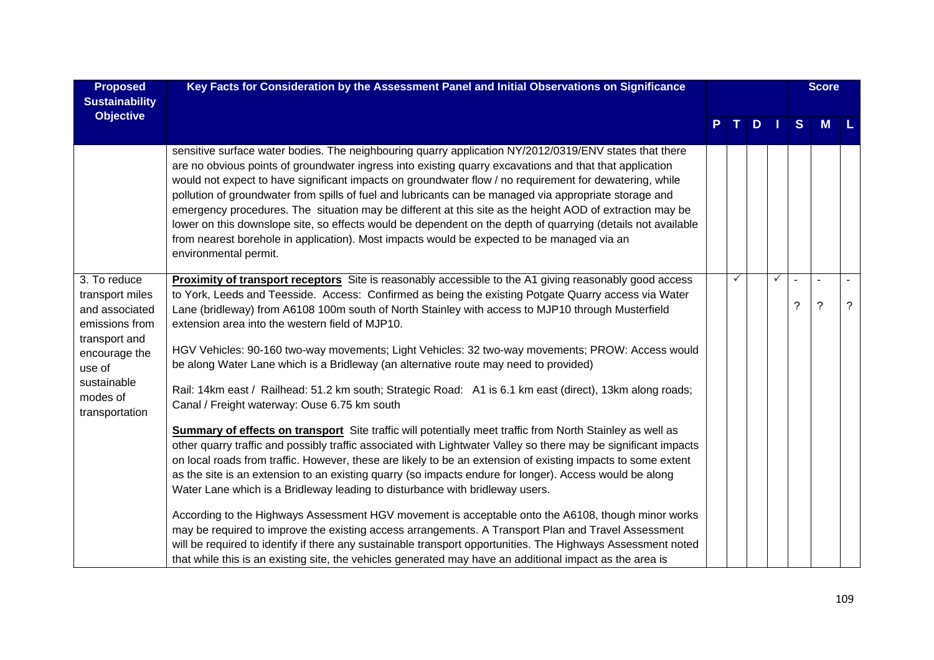| <b>Proposed</b><br><b>Sustainability</b>                                                                                                                     | Key Facts for Consideration by the Assessment Panel and Initial Observations on Significance                                                                                                                                                                                                                                                                                                                                                                                                                                                                                                                                                                                                                                                                                                                                                                                                                                                                                                                                                                                                                                                                                                                                                                                                                                                                                    |   |     |              |   | <b>Score</b>   |                |
|--------------------------------------------------------------------------------------------------------------------------------------------------------------|---------------------------------------------------------------------------------------------------------------------------------------------------------------------------------------------------------------------------------------------------------------------------------------------------------------------------------------------------------------------------------------------------------------------------------------------------------------------------------------------------------------------------------------------------------------------------------------------------------------------------------------------------------------------------------------------------------------------------------------------------------------------------------------------------------------------------------------------------------------------------------------------------------------------------------------------------------------------------------------------------------------------------------------------------------------------------------------------------------------------------------------------------------------------------------------------------------------------------------------------------------------------------------------------------------------------------------------------------------------------------------|---|-----|--------------|---|----------------|----------------|
| <b>Objective</b>                                                                                                                                             |                                                                                                                                                                                                                                                                                                                                                                                                                                                                                                                                                                                                                                                                                                                                                                                                                                                                                                                                                                                                                                                                                                                                                                                                                                                                                                                                                                                 |   | TDI |              | S | <b>M</b>       |                |
|                                                                                                                                                              | sensitive surface water bodies. The neighbouring quarry application NY/2012/0319/ENV states that there<br>are no obvious points of groundwater ingress into existing quarry excavations and that that application<br>would not expect to have significant impacts on groundwater flow / no requirement for dewatering, while<br>pollution of groundwater from spills of fuel and lubricants can be managed via appropriate storage and<br>emergency procedures. The situation may be different at this site as the height AOD of extraction may be<br>lower on this downslope site, so effects would be dependent on the depth of quarrying (details not available<br>from nearest borehole in application). Most impacts would be expected to be managed via an<br>environmental permit.                                                                                                                                                                                                                                                                                                                                                                                                                                                                                                                                                                                       |   |     |              |   |                |                |
| 3. To reduce<br>transport miles<br>and associated<br>emissions from<br>transport and<br>encourage the<br>use of<br>sustainable<br>modes of<br>transportation | Proximity of transport receptors Site is reasonably accessible to the A1 giving reasonably good access<br>to York, Leeds and Teesside. Access: Confirmed as being the existing Potgate Quarry access via Water<br>Lane (bridleway) from A6108 100m south of North Stainley with access to MJP10 through Musterfield<br>extension area into the western field of MJP10.<br>HGV Vehicles: 90-160 two-way movements; Light Vehicles: 32 two-way movements; PROW: Access would<br>be along Water Lane which is a Bridleway (an alternative route may need to provided)<br>Rail: 14km east / Railhead: 51.2 km south; Strategic Road: A1 is 6.1 km east (direct), 13km along roads;<br>Canal / Freight waterway: Ouse 6.75 km south<br>Summary of effects on transport Site traffic will potentially meet traffic from North Stainley as well as<br>other quarry traffic and possibly traffic associated with Lightwater Valley so there may be significant impacts<br>on local roads from traffic. However, these are likely to be an extension of existing impacts to some extent<br>as the site is an extension to an existing quarry (so impacts endure for longer). Access would be along<br>Water Lane which is a Bridleway leading to disturbance with bridleway users.<br>According to the Highways Assessment HGV movement is acceptable onto the A6108, though minor works | ✓ |     | $\checkmark$ | ? | $\overline{?}$ | $\overline{?}$ |
|                                                                                                                                                              | may be required to improve the existing access arrangements. A Transport Plan and Travel Assessment<br>will be required to identify if there any sustainable transport opportunities. The Highways Assessment noted<br>that while this is an existing site, the vehicles generated may have an additional impact as the area is                                                                                                                                                                                                                                                                                                                                                                                                                                                                                                                                                                                                                                                                                                                                                                                                                                                                                                                                                                                                                                                 |   |     |              |   |                |                |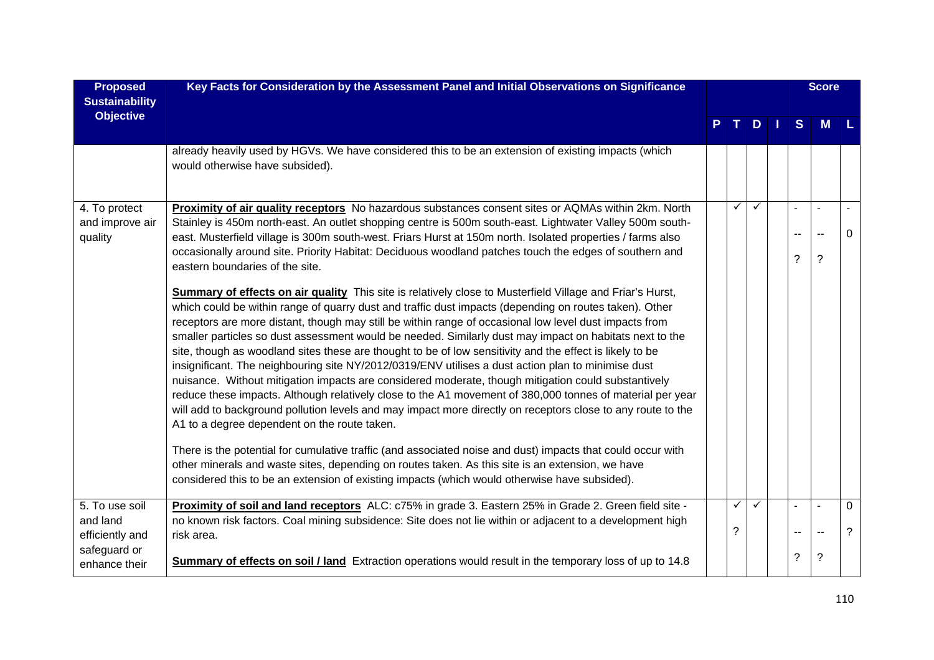| <b>Proposed</b><br><b>Sustainability</b>      | Key Facts for Consideration by the Assessment Panel and Initial Observations on Significance                                                                                                                                                                                                                                                                                                                                                                                                                                                                                                                                                                                                                                                                                                                                                                                                                                                                                                                                                  |                   |              |     |    | <b>Score</b>                           |                     |
|-----------------------------------------------|-----------------------------------------------------------------------------------------------------------------------------------------------------------------------------------------------------------------------------------------------------------------------------------------------------------------------------------------------------------------------------------------------------------------------------------------------------------------------------------------------------------------------------------------------------------------------------------------------------------------------------------------------------------------------------------------------------------------------------------------------------------------------------------------------------------------------------------------------------------------------------------------------------------------------------------------------------------------------------------------------------------------------------------------------|-------------------|--------------|-----|----|----------------------------------------|---------------------|
| <b>Objective</b>                              |                                                                                                                                                                                                                                                                                                                                                                                                                                                                                                                                                                                                                                                                                                                                                                                                                                                                                                                                                                                                                                               |                   |              | TDI | S  | M                                      |                     |
|                                               | already heavily used by HGVs. We have considered this to be an extension of existing impacts (which<br>would otherwise have subsided).                                                                                                                                                                                                                                                                                                                                                                                                                                                                                                                                                                                                                                                                                                                                                                                                                                                                                                        |                   |              |     |    |                                        |                     |
| 4. To protect<br>and improve air<br>quality   | Proximity of air quality receptors No hazardous substances consent sites or AQMAs within 2km. North<br>Stainley is 450m north-east. An outlet shopping centre is 500m south-east. Lightwater Valley 500m south-<br>east. Musterfield village is 300m south-west. Friars Hurst at 150m north. Isolated properties / farms also<br>occasionally around site. Priority Habitat: Deciduous woodland patches touch the edges of southern and<br>eastern boundaries of the site.                                                                                                                                                                                                                                                                                                                                                                                                                                                                                                                                                                    | $\checkmark$      | $\checkmark$ |     | ?  | $\overline{\phantom{a}}$<br>$\ddot{?}$ | $\Omega$            |
|                                               | Summary of effects on air quality This site is relatively close to Musterfield Village and Friar's Hurst,<br>which could be within range of quarry dust and traffic dust impacts (depending on routes taken). Other<br>receptors are more distant, though may still be within range of occasional low level dust impacts from<br>smaller particles so dust assessment would be needed. Similarly dust may impact on habitats next to the<br>site, though as woodland sites these are thought to be of low sensitivity and the effect is likely to be<br>insignificant. The neighbouring site NY/2012/0319/ENV utilises a dust action plan to minimise dust<br>nuisance. Without mitigation impacts are considered moderate, though mitigation could substantively<br>reduce these impacts. Although relatively close to the A1 movement of 380,000 tonnes of material per year<br>will add to background pollution levels and may impact more directly on receptors close to any route to the<br>A1 to a degree dependent on the route taken. |                   |              |     |    |                                        |                     |
|                                               | There is the potential for cumulative traffic (and associated noise and dust) impacts that could occur with<br>other minerals and waste sites, depending on routes taken. As this site is an extension, we have<br>considered this to be an extension of existing impacts (which would otherwise have subsided).                                                                                                                                                                                                                                                                                                                                                                                                                                                                                                                                                                                                                                                                                                                              |                   |              |     |    |                                        |                     |
| 5. To use soil<br>and land<br>efficiently and | Proximity of soil and land receptors ALC: c75% in grade 3. Eastern 25% in Grade 2. Green field site -<br>no known risk factors. Coal mining subsidence: Site does not lie within or adjacent to a development high<br>risk area.                                                                                                                                                                                                                                                                                                                                                                                                                                                                                                                                                                                                                                                                                                                                                                                                              | $\checkmark$<br>? | ✓            |     | -- | $\blacksquare$<br>$\sim$               | $\overline{0}$<br>? |
| safeguard or<br>enhance their                 | <b>Summary of effects on soil / land</b> Extraction operations would result in the temporary loss of up to 14.8                                                                                                                                                                                                                                                                                                                                                                                                                                                                                                                                                                                                                                                                                                                                                                                                                                                                                                                               |                   |              |     | ?  | $\ddot{\phantom{0}}$                   |                     |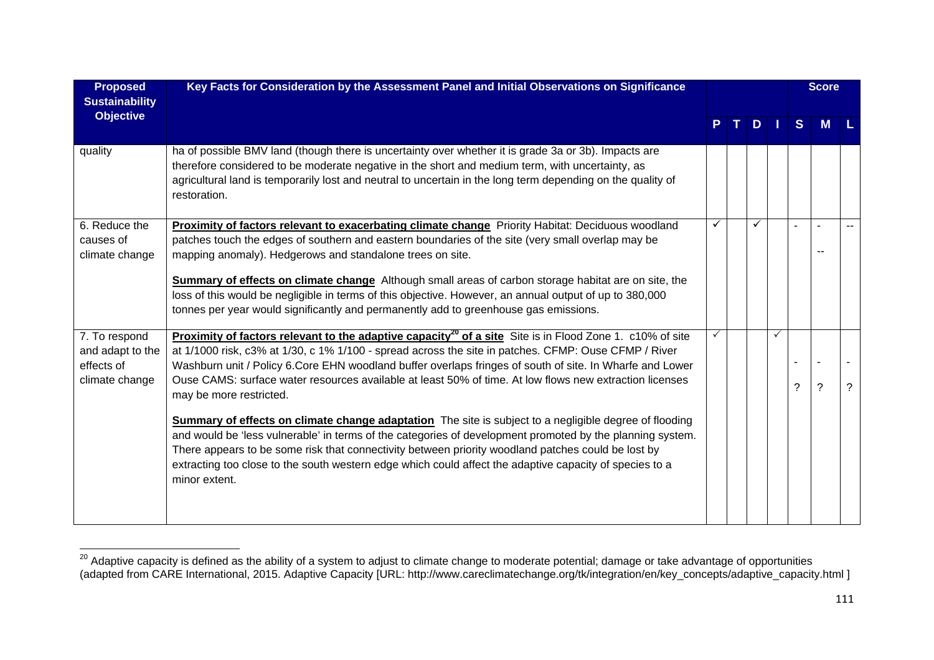| <b>Proposed</b><br><b>Sustainability</b>                          | Key Facts for Consideration by the Assessment Panel and Initial Observations on Significance                                                                                                                                                                                                                                                                                                                                                                                                                                                                                                                                                                                                                                                                                                                                                                                                                                                   |  |   |              |              | <b>Score</b>   |   |
|-------------------------------------------------------------------|------------------------------------------------------------------------------------------------------------------------------------------------------------------------------------------------------------------------------------------------------------------------------------------------------------------------------------------------------------------------------------------------------------------------------------------------------------------------------------------------------------------------------------------------------------------------------------------------------------------------------------------------------------------------------------------------------------------------------------------------------------------------------------------------------------------------------------------------------------------------------------------------------------------------------------------------|--|---|--------------|--------------|----------------|---|
| <b>Objective</b>                                                  |                                                                                                                                                                                                                                                                                                                                                                                                                                                                                                                                                                                                                                                                                                                                                                                                                                                                                                                                                |  | D |              | <sub>S</sub> | M              |   |
| quality                                                           | ha of possible BMV land (though there is uncertainty over whether it is grade 3a or 3b). Impacts are<br>therefore considered to be moderate negative in the short and medium term, with uncertainty, as<br>agricultural land is temporarily lost and neutral to uncertain in the long term depending on the quality of<br>restoration.                                                                                                                                                                                                                                                                                                                                                                                                                                                                                                                                                                                                         |  |   |              |              |                |   |
| 6. Reduce the<br>causes of<br>climate change                      | Proximity of factors relevant to exacerbating climate change Priority Habitat: Deciduous woodland<br>patches touch the edges of southern and eastern boundaries of the site (very small overlap may be<br>mapping anomaly). Hedgerows and standalone trees on site.<br><b>Summary of effects on climate change</b> Although small areas of carbon storage habitat are on site, the<br>loss of this would be negligible in terms of this objective. However, an annual output of up to 380,000<br>tonnes per year would significantly and permanently add to greenhouse gas emissions.                                                                                                                                                                                                                                                                                                                                                          |  |   |              |              |                |   |
| 7. To respond<br>and adapt to the<br>effects of<br>climate change | Proximity of factors relevant to the adaptive capacity <sup>20</sup> of a site Site is in Flood Zone 1. c10% of site<br>at 1/1000 risk, c3% at 1/30, c 1% 1/100 - spread across the site in patches. CFMP: Ouse CFMP / River<br>Washburn unit / Policy 6.Core EHN woodland buffer overlaps fringes of south of site. In Wharfe and Lower<br>Ouse CAMS: surface water resources available at least 50% of time. At low flows new extraction licenses<br>may be more restricted.<br><b>Summary of effects on climate change adaptation</b> The site is subject to a negligible degree of flooding<br>and would be 'less vulnerable' in terms of the categories of development promoted by the planning system.<br>There appears to be some risk that connectivity between priority woodland patches could be lost by<br>extracting too close to the south western edge which could affect the adaptive capacity of species to a<br>minor extent. |  |   | $\checkmark$ | ?            | $\overline{?}$ | ? |

<sup>&</sup>lt;sup>20</sup> Adaptive capacity is defined as the ability of a system to adjust to climate change to moderate potential; damage or take advantage of opportunities (adapted from CARE International, 2015. Adaptive Capacity [URL: http://www.careclimatechange.org/tk/integration/en/key\_concepts/adaptive\_capacity.html ]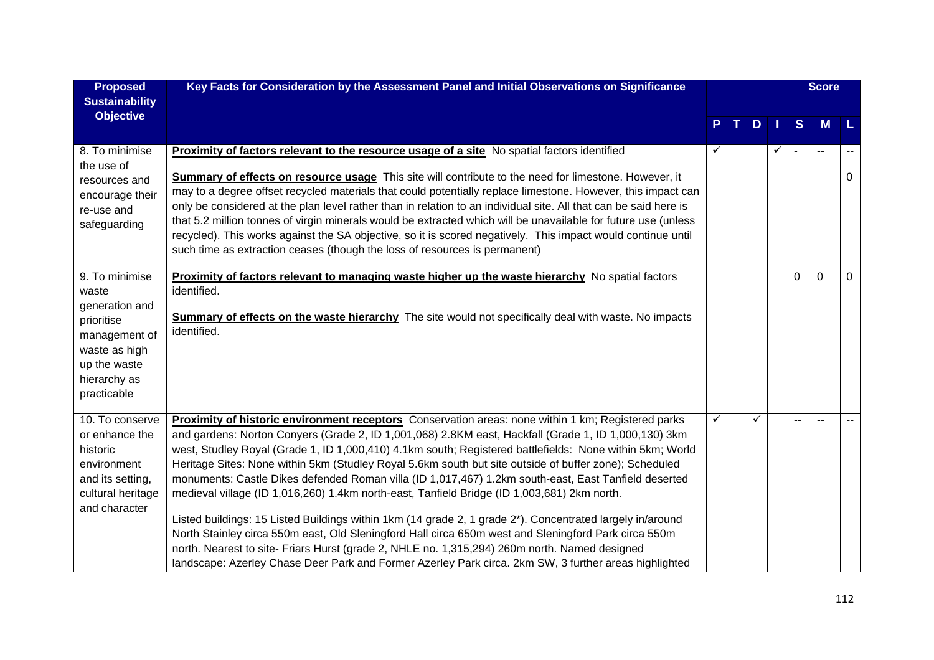| <b>Proposed</b><br><b>Sustainability</b>                                                                                                 | Key Facts for Consideration by the Assessment Panel and Initial Observations on Significance                                                                                                                                                                                                                                                                                                                                                                                                                                                                                                                                                                                                                                                                                                                                                                                                                                                                                                                                                                           |   |    |              |   | <b>Score</b>             |          |
|------------------------------------------------------------------------------------------------------------------------------------------|------------------------------------------------------------------------------------------------------------------------------------------------------------------------------------------------------------------------------------------------------------------------------------------------------------------------------------------------------------------------------------------------------------------------------------------------------------------------------------------------------------------------------------------------------------------------------------------------------------------------------------------------------------------------------------------------------------------------------------------------------------------------------------------------------------------------------------------------------------------------------------------------------------------------------------------------------------------------------------------------------------------------------------------------------------------------|---|----|--------------|---|--------------------------|----------|
| <b>Objective</b>                                                                                                                         |                                                                                                                                                                                                                                                                                                                                                                                                                                                                                                                                                                                                                                                                                                                                                                                                                                                                                                                                                                                                                                                                        |   | Τ. | $D$          | S | <b>M</b>                 | l L      |
| 8. To minimise<br>the use of<br>resources and<br>encourage their<br>re-use and<br>safeguarding                                           | Proximity of factors relevant to the resource usage of a site No spatial factors identified<br><b>Summary of effects on resource usage</b> This site will contribute to the need for limestone. However, it<br>may to a degree offset recycled materials that could potentially replace limestone. However, this impact can<br>only be considered at the plan level rather than in relation to an individual site. All that can be said here is<br>that 5.2 million tonnes of virgin minerals would be extracted which will be unavailable for future use (unless<br>recycled). This works against the SA objective, so it is scored negatively. This impact would continue until<br>such time as extraction ceases (though the loss of resources is permanent)                                                                                                                                                                                                                                                                                                        |   |    | $\checkmark$ |   | $\overline{\phantom{a}}$ | $\Omega$ |
| 9. To minimise<br>waste<br>generation and<br>prioritise<br>management of<br>waste as high<br>up the waste<br>hierarchy as<br>practicable | Proximity of factors relevant to managing waste higher up the waste hierarchy No spatial factors<br>identified.<br><b>Summary of effects on the waste hierarchy</b> The site would not specifically deal with waste. No impacts<br>identified.                                                                                                                                                                                                                                                                                                                                                                                                                                                                                                                                                                                                                                                                                                                                                                                                                         |   |    |              | 0 | $\Omega$                 | $\Omega$ |
| 10. To conserve<br>or enhance the<br>historic<br>environment<br>and its setting,<br>cultural heritage<br>and character                   | Proximity of historic environment receptors Conservation areas: none within 1 km; Registered parks<br>and gardens: Norton Conyers (Grade 2, ID 1,001,068) 2.8KM east, Hackfall (Grade 1, ID 1,000,130) 3km<br>west, Studley Royal (Grade 1, ID 1,000,410) 4.1km south; Registered battlefields: None within 5km; World<br>Heritage Sites: None within 5km (Studley Royal 5.6km south but site outside of buffer zone); Scheduled<br>monuments: Castle Dikes defended Roman villa (ID 1,017,467) 1.2km south-east, East Tanfield deserted<br>medieval village (ID 1,016,260) 1.4km north-east, Tanfield Bridge (ID 1,003,681) 2km north.<br>Listed buildings: 15 Listed Buildings within 1km (14 grade 2, 1 grade 2*). Concentrated largely in/around<br>North Stainley circa 550m east, Old Sleningford Hall circa 650m west and Sleningford Park circa 550m<br>north. Nearest to site- Friars Hurst (grade 2, NHLE no. 1,315,294) 260m north. Named designed<br>landscape: Azerley Chase Deer Park and Former Azerley Park circa. 2km SW, 3 further areas highlighted | ✓ |    |              |   |                          |          |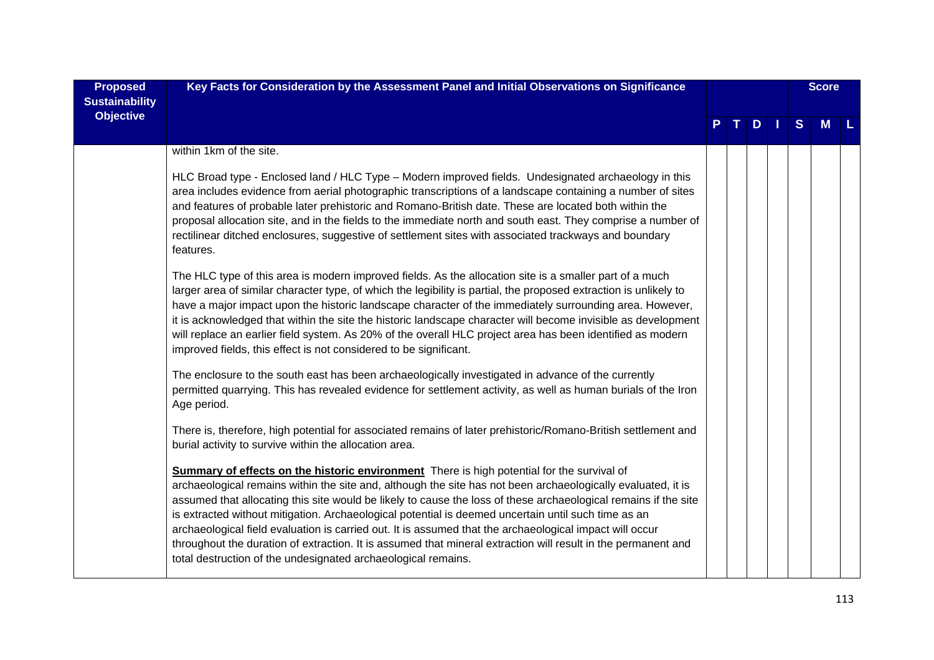| <b>Proposed</b><br><b>Sustainability</b> | Key Facts for Consideration by the Assessment Panel and Initial Observations on Significance                                                                                                                                                                                                                                                                                                                                                                                                                                                                                                                                                                                                                                             |  |  |   | <b>Score</b> |  |
|------------------------------------------|------------------------------------------------------------------------------------------------------------------------------------------------------------------------------------------------------------------------------------------------------------------------------------------------------------------------------------------------------------------------------------------------------------------------------------------------------------------------------------------------------------------------------------------------------------------------------------------------------------------------------------------------------------------------------------------------------------------------------------------|--|--|---|--------------|--|
| <b>Objective</b>                         |                                                                                                                                                                                                                                                                                                                                                                                                                                                                                                                                                                                                                                                                                                                                          |  |  | S | <b>M</b>     |  |
|                                          | within 1km of the site.                                                                                                                                                                                                                                                                                                                                                                                                                                                                                                                                                                                                                                                                                                                  |  |  |   |              |  |
|                                          | HLC Broad type - Enclosed land / HLC Type - Modern improved fields. Undesignated archaeology in this<br>area includes evidence from aerial photographic transcriptions of a landscape containing a number of sites<br>and features of probable later prehistoric and Romano-British date. These are located both within the<br>proposal allocation site, and in the fields to the immediate north and south east. They comprise a number of<br>rectilinear ditched enclosures, suggestive of settlement sites with associated trackways and boundary<br>features.                                                                                                                                                                        |  |  |   |              |  |
|                                          | The HLC type of this area is modern improved fields. As the allocation site is a smaller part of a much<br>larger area of similar character type, of which the legibility is partial, the proposed extraction is unlikely to<br>have a major impact upon the historic landscape character of the immediately surrounding area. However,<br>it is acknowledged that within the site the historic landscape character will become invisible as development<br>will replace an earlier field system. As 20% of the overall HLC project area has been identified as modern<br>improved fields, this effect is not considered to be significant.                                                                                              |  |  |   |              |  |
|                                          | The enclosure to the south east has been archaeologically investigated in advance of the currently<br>permitted quarrying. This has revealed evidence for settlement activity, as well as human burials of the Iron<br>Age period.                                                                                                                                                                                                                                                                                                                                                                                                                                                                                                       |  |  |   |              |  |
|                                          | There is, therefore, high potential for associated remains of later prehistoric/Romano-British settlement and<br>burial activity to survive within the allocation area.                                                                                                                                                                                                                                                                                                                                                                                                                                                                                                                                                                  |  |  |   |              |  |
|                                          | <b>Summary of effects on the historic environment</b> There is high potential for the survival of<br>archaeological remains within the site and, although the site has not been archaeologically evaluated, it is<br>assumed that allocating this site would be likely to cause the loss of these archaeological remains if the site<br>is extracted without mitigation. Archaeological potential is deemed uncertain until such time as an<br>archaeological field evaluation is carried out. It is assumed that the archaeological impact will occur<br>throughout the duration of extraction. It is assumed that mineral extraction will result in the permanent and<br>total destruction of the undesignated archaeological remains. |  |  |   |              |  |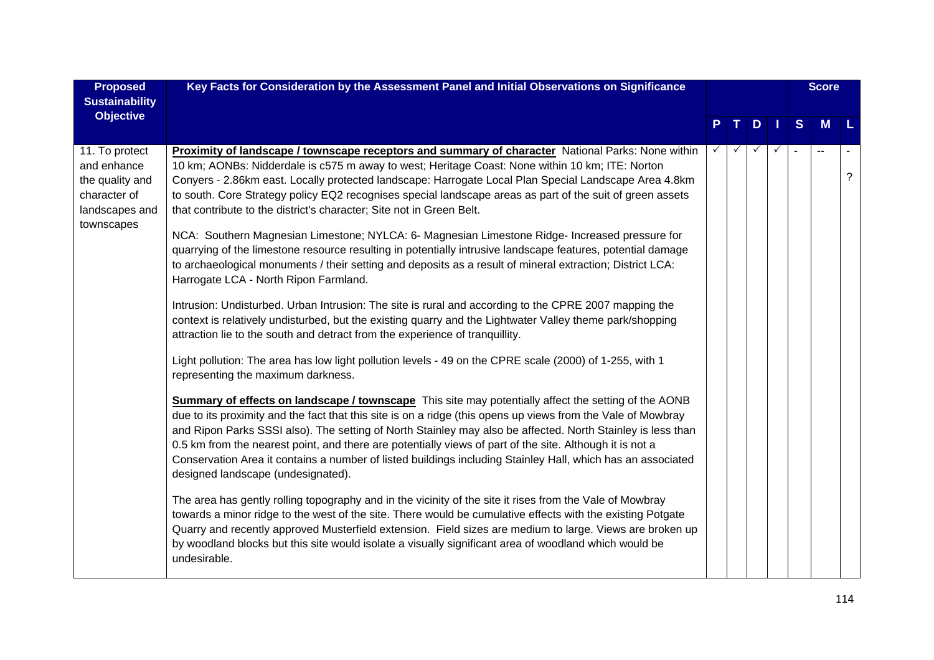| <b>Proposed</b><br><b>Sustainability</b>                                           | Key Facts for Consideration by the Assessment Panel and Initial Observations on Significance                                                                                                                                                                                                                                                                                                                                                                                                                                                                                                                |  |      |   | <b>Score</b> |     |
|------------------------------------------------------------------------------------|-------------------------------------------------------------------------------------------------------------------------------------------------------------------------------------------------------------------------------------------------------------------------------------------------------------------------------------------------------------------------------------------------------------------------------------------------------------------------------------------------------------------------------------------------------------------------------------------------------------|--|------|---|--------------|-----|
| <b>Objective</b>                                                                   |                                                                                                                                                                                                                                                                                                                                                                                                                                                                                                                                                                                                             |  | PTDI | S | <b>M</b>     | l L |
| 11. To protect<br>and enhance<br>the quality and<br>character of<br>landscapes and | <b>Proximity of landscape / townscape receptors and summary of character</b> National Parks: None within<br>10 km; AONBs: Nidderdale is c575 m away to west; Heritage Coast: None within 10 km; ITE: Norton<br>Conyers - 2.86km east. Locally protected landscape: Harrogate Local Plan Special Landscape Area 4.8km<br>to south. Core Strategy policy EQ2 recognises special landscape areas as part of the suit of green assets<br>that contribute to the district's character; Site not in Green Belt.                                                                                                   |  | ✓    |   |              | ?   |
| townscapes                                                                         | NCA: Southern Magnesian Limestone; NYLCA: 6- Magnesian Limestone Ridge- Increased pressure for<br>quarrying of the limestone resource resulting in potentially intrusive landscape features, potential damage<br>to archaeological monuments / their setting and deposits as a result of mineral extraction; District LCA:<br>Harrogate LCA - North Ripon Farmland.                                                                                                                                                                                                                                         |  |      |   |              |     |
|                                                                                    | Intrusion: Undisturbed. Urban Intrusion: The site is rural and according to the CPRE 2007 mapping the<br>context is relatively undisturbed, but the existing quarry and the Lightwater Valley theme park/shopping<br>attraction lie to the south and detract from the experience of tranquillity.                                                                                                                                                                                                                                                                                                           |  |      |   |              |     |
|                                                                                    | Light pollution: The area has low light pollution levels - 49 on the CPRE scale (2000) of 1-255, with 1<br>representing the maximum darkness.                                                                                                                                                                                                                                                                                                                                                                                                                                                               |  |      |   |              |     |
|                                                                                    | <b>Summary of effects on landscape / townscape</b> This site may potentially affect the setting of the AONB<br>due to its proximity and the fact that this site is on a ridge (this opens up views from the Vale of Mowbray<br>and Ripon Parks SSSI also). The setting of North Stainley may also be affected. North Stainley is less than<br>0.5 km from the nearest point, and there are potentially views of part of the site. Although it is not a<br>Conservation Area it contains a number of listed buildings including Stainley Hall, which has an associated<br>designed landscape (undesignated). |  |      |   |              |     |
|                                                                                    | The area has gently rolling topography and in the vicinity of the site it rises from the Vale of Mowbray<br>towards a minor ridge to the west of the site. There would be cumulative effects with the existing Potgate<br>Quarry and recently approved Musterfield extension. Field sizes are medium to large. Views are broken up<br>by woodland blocks but this site would isolate a visually significant area of woodland which would be<br>undesirable.                                                                                                                                                 |  |      |   |              |     |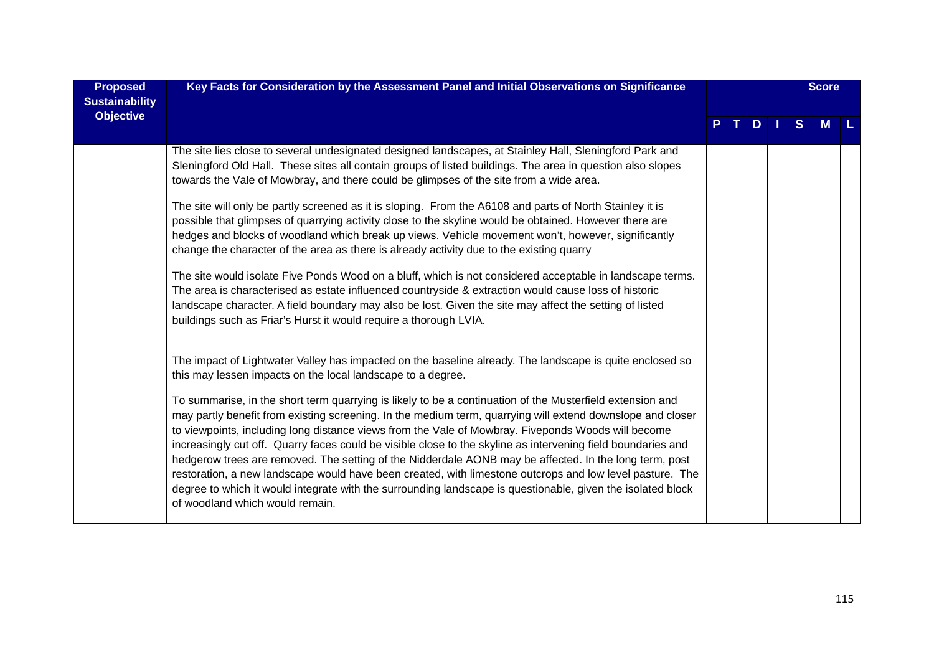| <b>Proposed</b><br><b>Sustainability</b> | Key Facts for Consideration by the Assessment Panel and Initial Observations on Significance                                                                                                                                                                                                                                                                                                                                                                                                                                                                                                                                                                                                                                                                                                                          |   |    |   | <b>Score</b> |  |
|------------------------------------------|-----------------------------------------------------------------------------------------------------------------------------------------------------------------------------------------------------------------------------------------------------------------------------------------------------------------------------------------------------------------------------------------------------------------------------------------------------------------------------------------------------------------------------------------------------------------------------------------------------------------------------------------------------------------------------------------------------------------------------------------------------------------------------------------------------------------------|---|----|---|--------------|--|
| <b>Objective</b>                         |                                                                                                                                                                                                                                                                                                                                                                                                                                                                                                                                                                                                                                                                                                                                                                                                                       | T | D. | S | <b>M</b>     |  |
|                                          | The site lies close to several undesignated designed landscapes, at Stainley Hall, Sleningford Park and<br>Sleningford Old Hall. These sites all contain groups of listed buildings. The area in question also slopes<br>towards the Vale of Mowbray, and there could be glimpses of the site from a wide area.                                                                                                                                                                                                                                                                                                                                                                                                                                                                                                       |   |    |   |              |  |
|                                          | The site will only be partly screened as it is sloping. From the A6108 and parts of North Stainley it is<br>possible that glimpses of quarrying activity close to the skyline would be obtained. However there are<br>hedges and blocks of woodland which break up views. Vehicle movement won't, however, significantly<br>change the character of the area as there is already activity due to the existing quarry                                                                                                                                                                                                                                                                                                                                                                                                  |   |    |   |              |  |
|                                          | The site would isolate Five Ponds Wood on a bluff, which is not considered acceptable in landscape terms.<br>The area is characterised as estate influenced countryside & extraction would cause loss of historic<br>landscape character. A field boundary may also be lost. Given the site may affect the setting of listed<br>buildings such as Friar's Hurst it would require a thorough LVIA.                                                                                                                                                                                                                                                                                                                                                                                                                     |   |    |   |              |  |
|                                          | The impact of Lightwater Valley has impacted on the baseline already. The landscape is quite enclosed so<br>this may lessen impacts on the local landscape to a degree.                                                                                                                                                                                                                                                                                                                                                                                                                                                                                                                                                                                                                                               |   |    |   |              |  |
|                                          | To summarise, in the short term quarrying is likely to be a continuation of the Musterfield extension and<br>may partly benefit from existing screening. In the medium term, quarrying will extend downslope and closer<br>to viewpoints, including long distance views from the Vale of Mowbray. Fiveponds Woods will become<br>increasingly cut off. Quarry faces could be visible close to the skyline as intervening field boundaries and<br>hedgerow trees are removed. The setting of the Nidderdale AONB may be affected. In the long term, post<br>restoration, a new landscape would have been created, with limestone outcrops and low level pasture. The<br>degree to which it would integrate with the surrounding landscape is questionable, given the isolated block<br>of woodland which would remain. |   |    |   |              |  |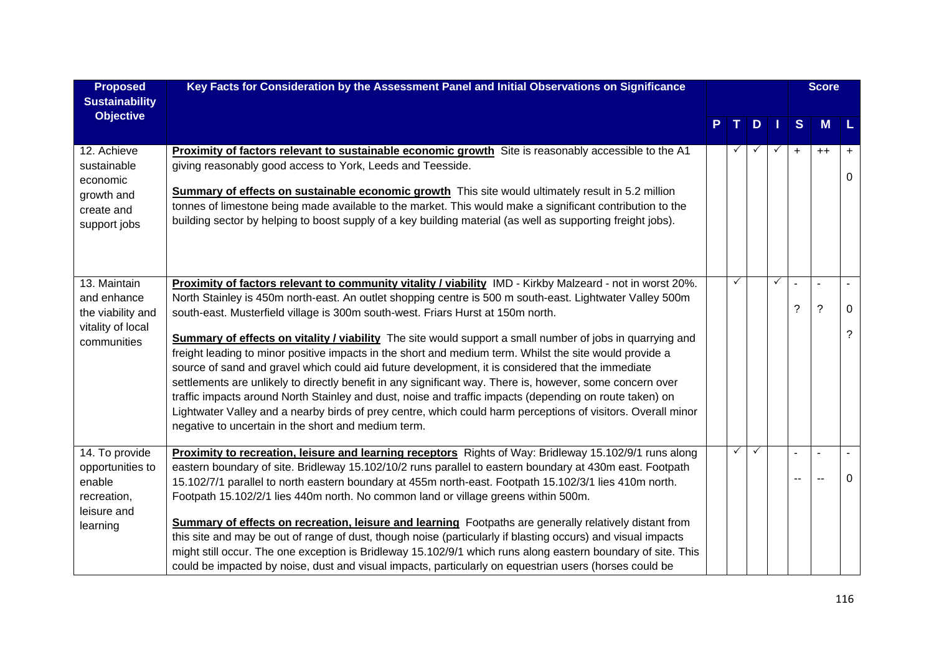| <b>Proposed</b><br><b>Sustainability</b>                                               | Key Facts for Consideration by the Assessment Panel and Initial Observations on Significance                                                                                                                                                                                                                                                                                                                                                                                                                                                                                                                                                                                                                                                                                                                                                                                                                                                                                                                                         |              |   |              |           | <b>Score</b>                     |        |
|----------------------------------------------------------------------------------------|--------------------------------------------------------------------------------------------------------------------------------------------------------------------------------------------------------------------------------------------------------------------------------------------------------------------------------------------------------------------------------------------------------------------------------------------------------------------------------------------------------------------------------------------------------------------------------------------------------------------------------------------------------------------------------------------------------------------------------------------------------------------------------------------------------------------------------------------------------------------------------------------------------------------------------------------------------------------------------------------------------------------------------------|--------------|---|--------------|-----------|----------------------------------|--------|
| <b>Objective</b>                                                                       |                                                                                                                                                                                                                                                                                                                                                                                                                                                                                                                                                                                                                                                                                                                                                                                                                                                                                                                                                                                                                                      | T.           | D |              | <b>S</b>  | M                                |        |
| 12. Achieve<br>sustainable<br>economic<br>growth and<br>create and<br>support jobs     | Proximity of factors relevant to sustainable economic growth Site is reasonably accessible to the A1<br>giving reasonably good access to York, Leeds and Teesside.<br><b>Summary of effects on sustainable economic growth</b> This site would ultimately result in 5.2 million<br>tonnes of limestone being made available to the market. This would make a significant contribution to the<br>building sector by helping to boost supply of a key building material (as well as supporting freight jobs).                                                                                                                                                                                                                                                                                                                                                                                                                                                                                                                          |              | ✓ | $\checkmark$ | $\ddot{}$ | $^{++}$                          | +<br>0 |
| 13. Maintain<br>and enhance<br>the viability and<br>vitality of local<br>communities   | Proximity of factors relevant to community vitality / viability IMD - Kirkby Malzeard - not in worst 20%.<br>North Stainley is 450m north-east. An outlet shopping centre is 500 m south-east. Lightwater Valley 500m<br>south-east. Musterfield village is 300m south-west. Friars Hurst at 150m north.<br>Summary of effects on vitality / viability The site would support a small number of jobs in quarrying and<br>freight leading to minor positive impacts in the short and medium term. Whilst the site would provide a<br>source of sand and gravel which could aid future development, it is considered that the immediate<br>settlements are unlikely to directly benefit in any significant way. There is, however, some concern over<br>traffic impacts around North Stainley and dust, noise and traffic impacts (depending on route taken) on<br>Lightwater Valley and a nearby birds of prey centre, which could harm perceptions of visitors. Overall minor<br>negative to uncertain in the short and medium term. |              |   | $\checkmark$ | ?         | $\blacksquare$<br>$\overline{?}$ | 0<br>? |
| 14. To provide<br>opportunities to<br>enable<br>recreation,<br>leisure and<br>learning | Proximity to recreation, leisure and learning receptors Rights of Way: Bridleway 15.102/9/1 runs along<br>eastern boundary of site. Bridleway 15.102/10/2 runs parallel to eastern boundary at 430m east. Footpath<br>15.102/7/1 parallel to north eastern boundary at 455m north-east. Footpath 15.102/3/1 lies 410m north.<br>Footpath 15.102/2/1 lies 440m north. No common land or village greens within 500m.<br><b>Summary of effects on recreation, leisure and learning</b> Footpaths are generally relatively distant from<br>this site and may be out of range of dust, though noise (particularly if blasting occurs) and visual impacts<br>might still occur. The one exception is Bridleway 15.102/9/1 which runs along eastern boundary of site. This<br>could be impacted by noise, dust and visual impacts, particularly on equestrian users (horses could be                                                                                                                                                        | $\checkmark$ | ✓ |              |           | $\mathbf{u}$                     | 0      |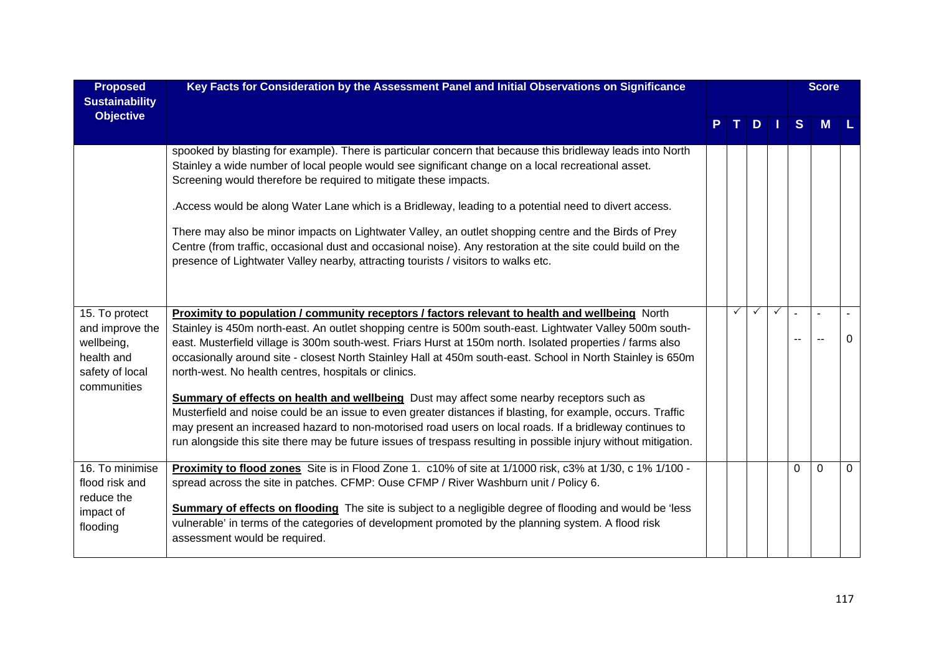| <b>Proposed</b><br><b>Sustainability</b>                                                        | Key Facts for Consideration by the Assessment Panel and Initial Observations on Significance                                                                                                                                                                                                                                                                                                                                                                                                                                                                                                                                                                                                                                                                                                                                                                                                                                                    |   |              |              |          | <b>Score</b> |          |
|-------------------------------------------------------------------------------------------------|-------------------------------------------------------------------------------------------------------------------------------------------------------------------------------------------------------------------------------------------------------------------------------------------------------------------------------------------------------------------------------------------------------------------------------------------------------------------------------------------------------------------------------------------------------------------------------------------------------------------------------------------------------------------------------------------------------------------------------------------------------------------------------------------------------------------------------------------------------------------------------------------------------------------------------------------------|---|--------------|--------------|----------|--------------|----------|
| <b>Objective</b>                                                                                |                                                                                                                                                                                                                                                                                                                                                                                                                                                                                                                                                                                                                                                                                                                                                                                                                                                                                                                                                 |   | D.           |              | S        | M            |          |
|                                                                                                 | spooked by blasting for example). There is particular concern that because this bridleway leads into North<br>Stainley a wide number of local people would see significant change on a local recreational asset.<br>Screening would therefore be required to mitigate these impacts.<br>.Access would be along Water Lane which is a Bridleway, leading to a potential need to divert access.<br>There may also be minor impacts on Lightwater Valley, an outlet shopping centre and the Birds of Prey<br>Centre (from traffic, occasional dust and occasional noise). Any restoration at the site could build on the<br>presence of Lightwater Valley nearby, attracting tourists / visitors to walks etc.                                                                                                                                                                                                                                     |   |              |              |          |              |          |
| 15. To protect<br>and improve the<br>wellbeing,<br>health and<br>safety of local<br>communities | Proximity to population / community receptors / factors relevant to health and wellbeing North<br>Stainley is 450m north-east. An outlet shopping centre is 500m south-east. Lightwater Valley 500m south-<br>east. Musterfield village is 300m south-west. Friars Hurst at 150m north. Isolated properties / farms also<br>occasionally around site - closest North Stainley Hall at 450m south-east. School in North Stainley is 650m<br>north-west. No health centres, hospitals or clinics.<br><b>Summary of effects on health and wellbeing</b> Dust may affect some nearby receptors such as<br>Musterfield and noise could be an issue to even greater distances if blasting, for example, occurs. Traffic<br>may present an increased hazard to non-motorised road users on local roads. If a bridleway continues to<br>run alongside this site there may be future issues of trespass resulting in possible injury without mitigation. | ✓ | $\checkmark$ | $\checkmark$ |          |              | $\Omega$ |
| 16. To minimise<br>flood risk and<br>reduce the<br>impact of<br>flooding                        | Proximity to flood zones Site is in Flood Zone 1. c10% of site at 1/1000 risk, c3% at 1/30, c 1% 1/100 -<br>spread across the site in patches. CFMP: Ouse CFMP / River Washburn unit / Policy 6.<br><b>Summary of effects on flooding</b> The site is subject to a negligible degree of flooding and would be 'less<br>vulnerable' in terms of the categories of development promoted by the planning system. A flood risk<br>assessment would be required.                                                                                                                                                                                                                                                                                                                                                                                                                                                                                     |   |              |              | $\Omega$ | $\Omega$     | $\Omega$ |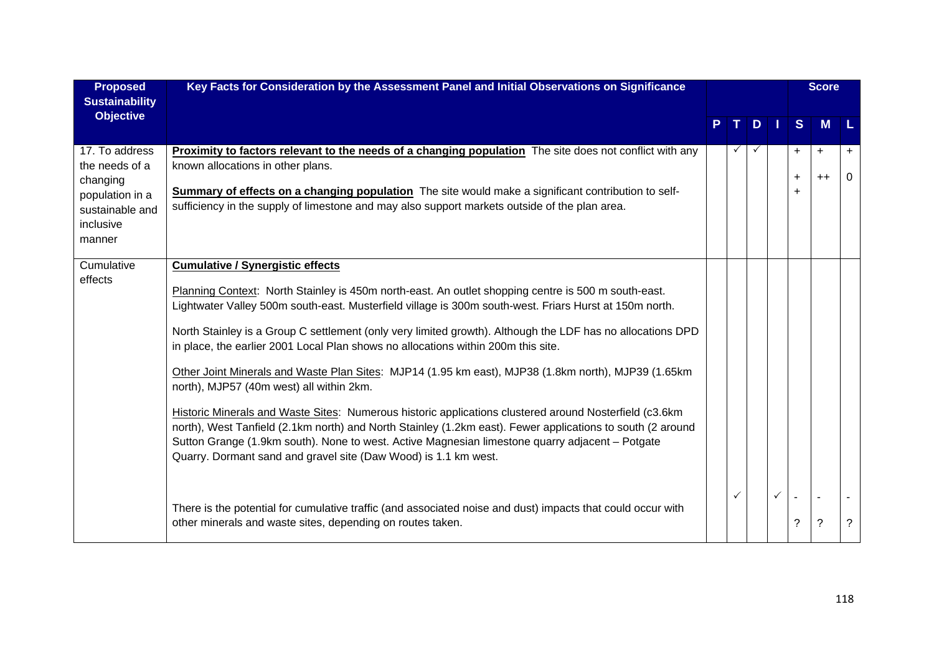| <b>Proposed</b><br><b>Sustainability</b>                                                                  | Key Facts for Consideration by the Assessment Panel and Initial Observations on Significance                                                                                                                                                                                                                                                                                                                                                                                                                                                                                                                                                                                                                                                                                                                                                                                                                                                                                                                                                                                                                                                                                              |    |              |              |                             | <b>Score</b>                     |                |
|-----------------------------------------------------------------------------------------------------------|-------------------------------------------------------------------------------------------------------------------------------------------------------------------------------------------------------------------------------------------------------------------------------------------------------------------------------------------------------------------------------------------------------------------------------------------------------------------------------------------------------------------------------------------------------------------------------------------------------------------------------------------------------------------------------------------------------------------------------------------------------------------------------------------------------------------------------------------------------------------------------------------------------------------------------------------------------------------------------------------------------------------------------------------------------------------------------------------------------------------------------------------------------------------------------------------|----|--------------|--------------|-----------------------------|----------------------------------|----------------|
| <b>Objective</b>                                                                                          |                                                                                                                                                                                                                                                                                                                                                                                                                                                                                                                                                                                                                                                                                                                                                                                                                                                                                                                                                                                                                                                                                                                                                                                           | P. | $T$ .        | $D$ $\vert$  | S                           | M                                |                |
| 17. To address<br>the needs of a<br>changing<br>population in a<br>sustainable and<br>inclusive<br>manner | <b>Proximity to factors relevant to the needs of a changing population</b> The site does not conflict with any<br>known allocations in other plans.<br>Summary of effects on a changing population The site would make a significant contribution to self-<br>sufficiency in the supply of limestone and may also support markets outside of the plan area.                                                                                                                                                                                                                                                                                                                                                                                                                                                                                                                                                                                                                                                                                                                                                                                                                               |    |              |              | +<br>$\ddot{}$<br>$\ddot{}$ | $\ddot{}$<br>$++$                | $\ddot{}$<br>0 |
| Cumulative<br>effects                                                                                     | <b>Cumulative / Synergistic effects</b><br>Planning Context: North Stainley is 450m north-east. An outlet shopping centre is 500 m south-east.<br>Lightwater Valley 500m south-east. Musterfield village is 300m south-west. Friars Hurst at 150m north.<br>North Stainley is a Group C settlement (only very limited growth). Although the LDF has no allocations DPD<br>in place, the earlier 2001 Local Plan shows no allocations within 200m this site.<br>Other Joint Minerals and Waste Plan Sites: MJP14 (1.95 km east), MJP38 (1.8km north), MJP39 (1.65km<br>north), MJP57 (40m west) all within 2km.<br>Historic Minerals and Waste Sites: Numerous historic applications clustered around Nosterfield (c3.6km<br>north), West Tanfield (2.1km north) and North Stainley (1.2km east). Fewer applications to south (2 around<br>Sutton Grange (1.9km south). None to west. Active Magnesian limestone quarry adjacent - Potgate<br>Quarry. Dormant sand and gravel site (Daw Wood) is 1.1 km west.<br>There is the potential for cumulative traffic (and associated noise and dust) impacts that could occur with<br>other minerals and waste sites, depending on routes taken. |    | $\checkmark$ | $\checkmark$ | ?                           | $\blacksquare$<br>$\overline{?}$ | ?              |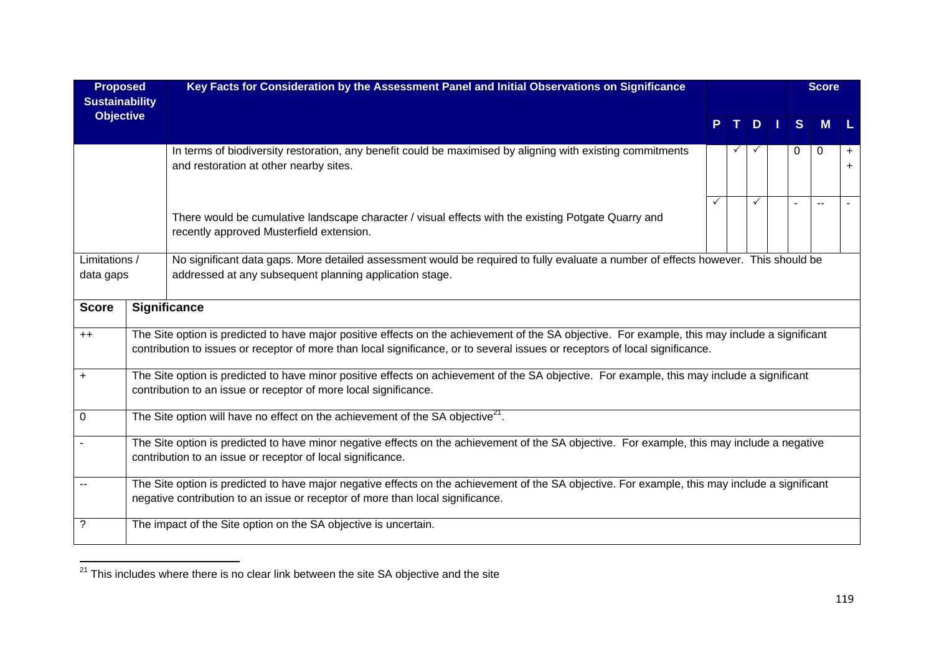| <b>Proposed</b><br><b>Sustainability</b> | Key Facts for Consideration by the Assessment Panel and Initial Observations on Significance                                                                                                                                                                                    |   |  |              |  |          | <b>Score</b> |                        |  |
|------------------------------------------|---------------------------------------------------------------------------------------------------------------------------------------------------------------------------------------------------------------------------------------------------------------------------------|---|--|--------------|--|----------|--------------|------------------------|--|
| <b>Objective</b>                         |                                                                                                                                                                                                                                                                                 |   |  | $D \mid$     |  | S        | <b>M</b>     |                        |  |
|                                          | In terms of biodiversity restoration, any benefit could be maximised by aligning with existing commitments<br>and restoration at other nearby sites.                                                                                                                            |   |  |              |  | $\Omega$ | 0            | $\ddot{}$<br>$\ddot{}$ |  |
|                                          | There would be cumulative landscape character / visual effects with the existing Potgate Quarry and<br>recently approved Musterfield extension.                                                                                                                                 | ✓ |  | $\checkmark$ |  |          |              |                        |  |
| Limitations /<br>data gaps               | No significant data gaps. More detailed assessment would be required to fully evaluate a number of effects however. This should be<br>addressed at any subsequent planning application stage.                                                                                   |   |  |              |  |          |              |                        |  |
| <b>Score</b>                             | <b>Significance</b>                                                                                                                                                                                                                                                             |   |  |              |  |          |              |                        |  |
| $++$                                     | The Site option is predicted to have major positive effects on the achievement of the SA objective. For example, this may include a significant<br>contribution to issues or receptor of more than local significance, or to several issues or receptors of local significance. |   |  |              |  |          |              |                        |  |
| $\ddot{}$                                | The Site option is predicted to have minor positive effects on achievement of the SA objective. For example, this may include a significant<br>contribution to an issue or receptor of more local significance.                                                                 |   |  |              |  |          |              |                        |  |
| $\mathbf 0$                              | The Site option will have no effect on the achievement of the SA objective <sup>21</sup> .                                                                                                                                                                                      |   |  |              |  |          |              |                        |  |
|                                          | The Site option is predicted to have minor negative effects on the achievement of the SA objective. For example, this may include a negative<br>contribution to an issue or receptor of local significance.                                                                     |   |  |              |  |          |              |                        |  |
|                                          | The Site option is predicted to have major negative effects on the achievement of the SA objective. For example, this may include a significant<br>negative contribution to an issue or receptor of more than local significance.                                               |   |  |              |  |          |              |                        |  |
|                                          |                                                                                                                                                                                                                                                                                 |   |  |              |  |          |              |                        |  |
| ?                                        | The impact of the Site option on the SA objective is uncertain.                                                                                                                                                                                                                 |   |  |              |  |          |              |                        |  |

 $\frac{1}{21}$  This includes where there is no clear link between the site SA objective and the site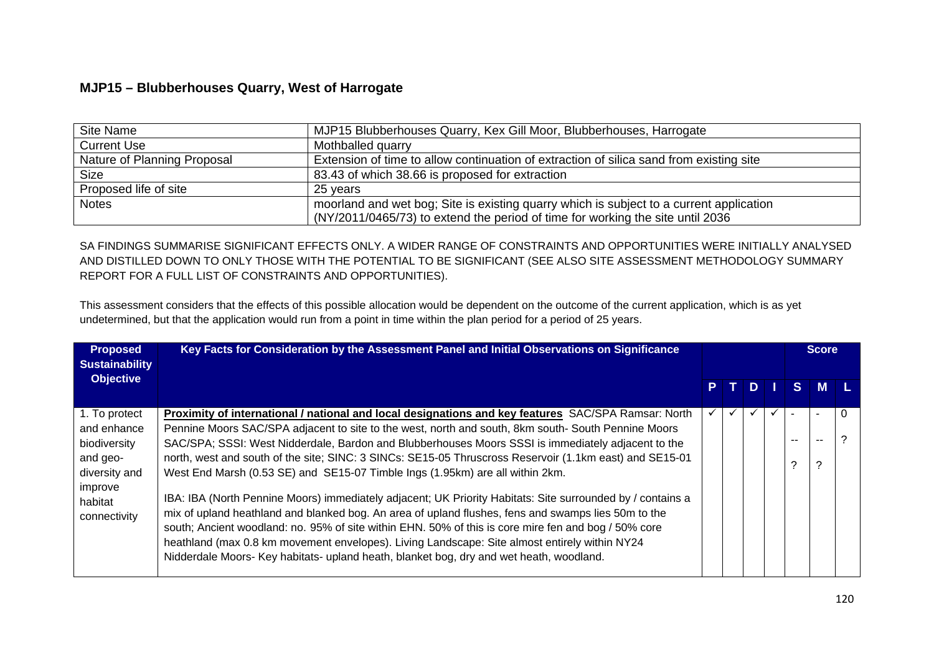## **MJP15 – Blubberhouses Quarry, West of Harrogate**

| Site Name                   | MJP15 Blubberhouses Quarry, Kex Gill Moor, Blubberhouses, Harrogate                                                                                                       |
|-----------------------------|---------------------------------------------------------------------------------------------------------------------------------------------------------------------------|
| <b>Current Use</b>          | Mothballed quarry                                                                                                                                                         |
| Nature of Planning Proposal | Extension of time to allow continuation of extraction of silica sand from existing site                                                                                   |
| <b>Size</b>                 | 83.43 of which 38.66 is proposed for extraction                                                                                                                           |
| Proposed life of site       | 25 years                                                                                                                                                                  |
| <b>Notes</b>                | moorland and wet bog; Site is existing quarry which is subject to a current application<br>(NY/2011/0465/73) to extend the period of time for working the site until 2036 |

SA FINDINGS SUMMARISE SIGNIFICANT EFFECTS ONLY. A WIDER RANGE OF CONSTRAINTS AND OPPORTUNITIES WERE INITIALLY ANALYSED AND DISTILLED DOWN TO ONLY THOSE WITH THE POTENTIAL TO BE SIGNIFICANT (SEE ALSO SITE ASSESSMENT METHODOLOGY SUMMARY REPORT FOR A FULL LIST OF CONSTRAINTS AND OPPORTUNITIES).

This assessment considers that the effects of this possible allocation would be dependent on the outcome of the current application, which is as yet undetermined, but that the application would run from a point in time within the plan period for a period of 25 years.

| <b>Proposed</b><br><b>Sustainability</b> | Key Facts for Consideration by the Assessment Panel and Initial Observations on Significance                                                                                                                  |  |      |    | <b>Score</b> |  |
|------------------------------------------|---------------------------------------------------------------------------------------------------------------------------------------------------------------------------------------------------------------|--|------|----|--------------|--|
| <b>Objective</b>                         |                                                                                                                                                                                                               |  | PTDI |    | S M L        |  |
| 1. To protect                            | Proximity of international / national and local designations and key features SAC/SPA Ramsar: North                                                                                                           |  |      |    |              |  |
| and enhance                              | Pennine Moors SAC/SPA adjacent to site to the west, north and south, 8km south- South Pennine Moors                                                                                                           |  |      | -- | $- -$        |  |
| biodiversity<br>and geo-                 | SAC/SPA; SSSI: West Nidderdale, Bardon and Blubberhouses Moors SSSI is immediately adjacent to the<br>north, west and south of the site; SINC: 3 SINCs: SE15-05 Thruscross Reservoir (1.1km east) and SE15-01 |  |      |    |              |  |
| diversity and                            | West End Marsh (0.53 SE) and SE15-07 Timble Ings (1.95km) are all within 2km.                                                                                                                                 |  |      | ≘  | ົ            |  |
| improve                                  | IBA: IBA (North Pennine Moors) immediately adjacent; UK Priority Habitats: Site surrounded by / contains a                                                                                                    |  |      |    |              |  |
| habitat<br>connectivity                  | mix of upland heathland and blanked bog. An area of upland flushes, fens and swamps lies 50m to the                                                                                                           |  |      |    |              |  |
|                                          | south; Ancient woodland: no. 95% of site within EHN. 50% of this is core mire fen and bog / 50% core                                                                                                          |  |      |    |              |  |
|                                          | heathland (max 0.8 km movement envelopes). Living Landscape: Site almost entirely within NY24<br>Nidderdale Moors- Key habitats- upland heath, blanket bog, dry and wet heath, woodland.                      |  |      |    |              |  |
|                                          |                                                                                                                                                                                                               |  |      |    |              |  |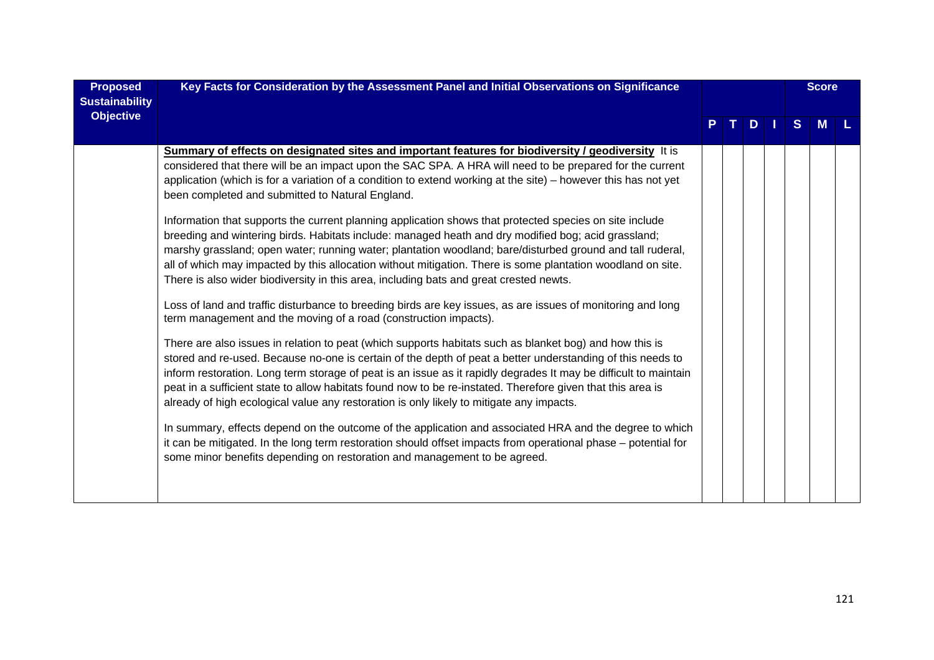| <b>Proposed</b><br><b>Sustainability</b> | Key Facts for Consideration by the Assessment Panel and Initial Observations on Significance                                                                                                                                                                                                                                                                                                                                                                                                                                                                                                                                                                                                                                                                                                                                                                                                                                                                                                                                                                                                                                                                                                                                                                                                                                                                                                                                                                                                                                                                                                                                                                                                                                                                                                                                                                                                                                                                                       |  |   |  | <b>Score</b> |   |  |
|------------------------------------------|------------------------------------------------------------------------------------------------------------------------------------------------------------------------------------------------------------------------------------------------------------------------------------------------------------------------------------------------------------------------------------------------------------------------------------------------------------------------------------------------------------------------------------------------------------------------------------------------------------------------------------------------------------------------------------------------------------------------------------------------------------------------------------------------------------------------------------------------------------------------------------------------------------------------------------------------------------------------------------------------------------------------------------------------------------------------------------------------------------------------------------------------------------------------------------------------------------------------------------------------------------------------------------------------------------------------------------------------------------------------------------------------------------------------------------------------------------------------------------------------------------------------------------------------------------------------------------------------------------------------------------------------------------------------------------------------------------------------------------------------------------------------------------------------------------------------------------------------------------------------------------------------------------------------------------------------------------------------------------|--|---|--|--------------|---|--|
| <b>Objective</b>                         |                                                                                                                                                                                                                                                                                                                                                                                                                                                                                                                                                                                                                                                                                                                                                                                                                                                                                                                                                                                                                                                                                                                                                                                                                                                                                                                                                                                                                                                                                                                                                                                                                                                                                                                                                                                                                                                                                                                                                                                    |  | D |  | S.           | M |  |
|                                          | Summary of effects on designated sites and important features for biodiversity / geodiversity It is<br>considered that there will be an impact upon the SAC SPA. A HRA will need to be prepared for the current<br>application (which is for a variation of a condition to extend working at the site) – however this has not yet<br>been completed and submitted to Natural England.<br>Information that supports the current planning application shows that protected species on site include<br>breeding and wintering birds. Habitats include: managed heath and dry modified bog; acid grassland;<br>marshy grassland; open water; running water; plantation woodland; bare/disturbed ground and tall ruderal,<br>all of which may impacted by this allocation without mitigation. There is some plantation woodland on site.<br>There is also wider biodiversity in this area, including bats and great crested newts.<br>Loss of land and traffic disturbance to breeding birds are key issues, as are issues of monitoring and long<br>term management and the moving of a road (construction impacts).<br>There are also issues in relation to peat (which supports habitats such as blanket bog) and how this is<br>stored and re-used. Because no-one is certain of the depth of peat a better understanding of this needs to<br>inform restoration. Long term storage of peat is an issue as it rapidly degrades It may be difficult to maintain<br>peat in a sufficient state to allow habitats found now to be re-instated. Therefore given that this area is<br>already of high ecological value any restoration is only likely to mitigate any impacts.<br>In summary, effects depend on the outcome of the application and associated HRA and the degree to which<br>it can be mitigated. In the long term restoration should offset impacts from operational phase – potential for<br>some minor benefits depending on restoration and management to be agreed. |  |   |  |              |   |  |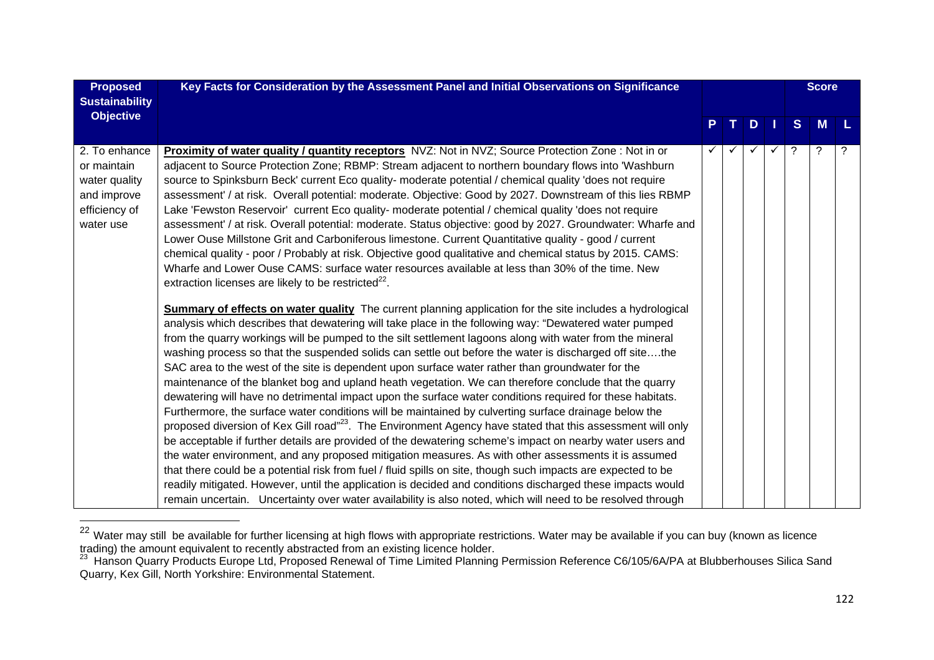| <b>Proposed</b><br><b>Sustainability</b>                                                   | Key Facts for Consideration by the Assessment Panel and Initial Observations on Significance                                                                                                                                                                                                                                                                                                                                                                                                                                                                                                                                                                                                                                                                                                                                                                                                                                                                                                                                                                                                                                                                                                                                                                                                                                                                                                                                                                                                                                                                                                                                                                                                                                                                                                                                                                                                                                                                                                                                                                                                                                                                                                                                                                                                                                                                                                                                                                                                                                                                                                                                                     |              |  |     |    | <b>Score</b> |          |   |
|--------------------------------------------------------------------------------------------|--------------------------------------------------------------------------------------------------------------------------------------------------------------------------------------------------------------------------------------------------------------------------------------------------------------------------------------------------------------------------------------------------------------------------------------------------------------------------------------------------------------------------------------------------------------------------------------------------------------------------------------------------------------------------------------------------------------------------------------------------------------------------------------------------------------------------------------------------------------------------------------------------------------------------------------------------------------------------------------------------------------------------------------------------------------------------------------------------------------------------------------------------------------------------------------------------------------------------------------------------------------------------------------------------------------------------------------------------------------------------------------------------------------------------------------------------------------------------------------------------------------------------------------------------------------------------------------------------------------------------------------------------------------------------------------------------------------------------------------------------------------------------------------------------------------------------------------------------------------------------------------------------------------------------------------------------------------------------------------------------------------------------------------------------------------------------------------------------------------------------------------------------------------------------------------------------------------------------------------------------------------------------------------------------------------------------------------------------------------------------------------------------------------------------------------------------------------------------------------------------------------------------------------------------------------------------------------------------------------------------------------------------|--------------|--|-----|----|--------------|----------|---|
| <b>Objective</b>                                                                           |                                                                                                                                                                                                                                                                                                                                                                                                                                                                                                                                                                                                                                                                                                                                                                                                                                                                                                                                                                                                                                                                                                                                                                                                                                                                                                                                                                                                                                                                                                                                                                                                                                                                                                                                                                                                                                                                                                                                                                                                                                                                                                                                                                                                                                                                                                                                                                                                                                                                                                                                                                                                                                                  | P.           |  | TD. | H. | S            | <b>M</b> |   |
|                                                                                            |                                                                                                                                                                                                                                                                                                                                                                                                                                                                                                                                                                                                                                                                                                                                                                                                                                                                                                                                                                                                                                                                                                                                                                                                                                                                                                                                                                                                                                                                                                                                                                                                                                                                                                                                                                                                                                                                                                                                                                                                                                                                                                                                                                                                                                                                                                                                                                                                                                                                                                                                                                                                                                                  |              |  |     |    |              |          |   |
| 2. To enhance<br>or maintain<br>water quality<br>and improve<br>efficiency of<br>water use | <b>Proximity of water quality / quantity receptors</b> NVZ: Not in NVZ; Source Protection Zone : Not in or<br>adjacent to Source Protection Zone; RBMP: Stream adjacent to northern boundary flows into 'Washburn<br>source to Spinksburn Beck' current Eco quality- moderate potential / chemical quality 'does not require<br>assessment' / at risk. Overall potential: moderate. Objective: Good by 2027. Downstream of this lies RBMP<br>Lake 'Fewston Reservoir' current Eco quality- moderate potential / chemical quality 'does not require<br>assessment' / at risk. Overall potential: moderate. Status objective: good by 2027. Groundwater: Wharfe and<br>Lower Ouse Millstone Grit and Carboniferous limestone. Current Quantitative quality - good / current<br>chemical quality - poor / Probably at risk. Objective good qualitative and chemical status by 2015. CAMS:<br>Wharfe and Lower Ouse CAMS: surface water resources available at less than 30% of the time. New<br>extraction licenses are likely to be restricted <sup>22</sup> .<br><b>Summary of effects on water quality</b> The current planning application for the site includes a hydrological<br>analysis which describes that dewatering will take place in the following way: "Dewatered water pumped<br>from the quarry workings will be pumped to the silt settlement lagoons along with water from the mineral<br>washing process so that the suspended solids can settle out before the water is discharged off sitethe<br>SAC area to the west of the site is dependent upon surface water rather than groundwater for the<br>maintenance of the blanket bog and upland heath vegetation. We can therefore conclude that the quarry<br>dewatering will have no detrimental impact upon the surface water conditions required for these habitats.<br>Furthermore, the surface water conditions will be maintained by culverting surface drainage below the<br>proposed diversion of Kex Gill road" <sup>23</sup> . The Environment Agency have stated that this assessment will only<br>be acceptable if further details are provided of the dewatering scheme's impact on nearby water users and<br>the water environment, and any proposed mitigation measures. As with other assessments it is assumed<br>that there could be a potential risk from fuel / fluid spills on site, though such impacts are expected to be<br>readily mitigated. However, until the application is decided and conditions discharged these impacts would<br>remain uncertain. Uncertainty over water availability is also noted, which will need to be resolved through | $\checkmark$ |  |     | ✓  | ?            | ?        | ? |

<sup>&</sup>lt;sup>22</sup> Water may still be available for further licensing at high flows with appropriate restrictions. Water may be available if you can buy (known as licence

trading) the amount equivalent to recently abstracted from an existing licence holder.<br><sup>23</sup> Hanson Quarry Products Europe Ltd, Proposed Renewal of Time Limited Planning Permission Reference C6/105/6A/PA at Blubberhouses S Quarry, Kex Gill, North Yorkshire: Environmental Statement.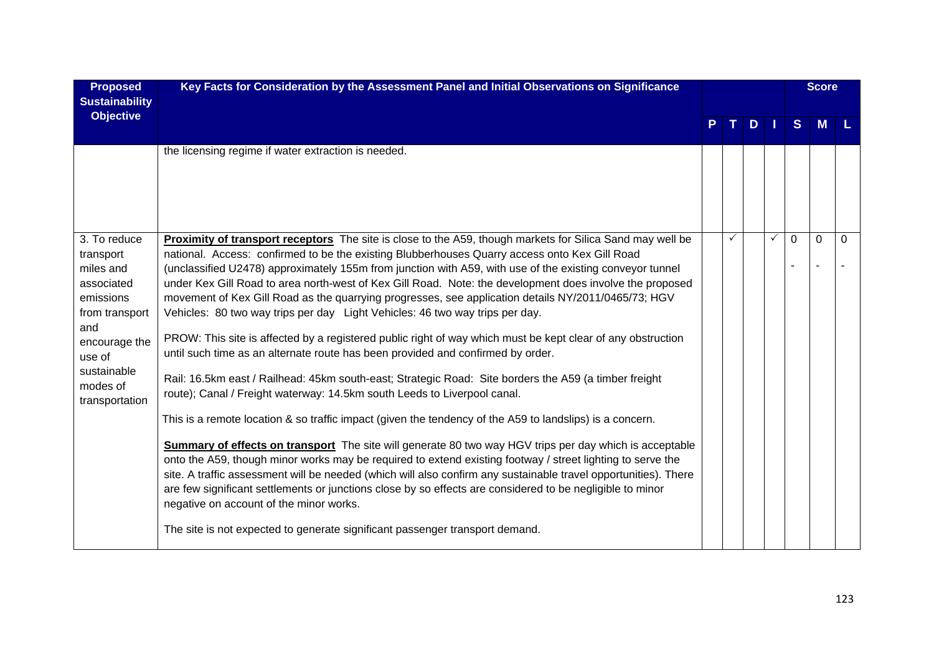| <b>Proposed</b><br><b>Sustainability</b>                                                                                                                           | Key Facts for Consideration by the Assessment Panel and Initial Observations on Significance                                                                                                                                                                                                                                                                                                                                                                                                                                                                                                                                                                                                                                                                                                                                                                                                                                                                                                                                                                                                                                                                                                                                                                                                                                                                                                                                                                                                                                                                                                                                                                                                                     |              |    |              |              | <b>Score</b> |          |
|--------------------------------------------------------------------------------------------------------------------------------------------------------------------|------------------------------------------------------------------------------------------------------------------------------------------------------------------------------------------------------------------------------------------------------------------------------------------------------------------------------------------------------------------------------------------------------------------------------------------------------------------------------------------------------------------------------------------------------------------------------------------------------------------------------------------------------------------------------------------------------------------------------------------------------------------------------------------------------------------------------------------------------------------------------------------------------------------------------------------------------------------------------------------------------------------------------------------------------------------------------------------------------------------------------------------------------------------------------------------------------------------------------------------------------------------------------------------------------------------------------------------------------------------------------------------------------------------------------------------------------------------------------------------------------------------------------------------------------------------------------------------------------------------------------------------------------------------------------------------------------------------|--------------|----|--------------|--------------|--------------|----------|
| <b>Objective</b>                                                                                                                                                   |                                                                                                                                                                                                                                                                                                                                                                                                                                                                                                                                                                                                                                                                                                                                                                                                                                                                                                                                                                                                                                                                                                                                                                                                                                                                                                                                                                                                                                                                                                                                                                                                                                                                                                                  |              | D. |              | <sub>S</sub> | <b>M</b>     |          |
|                                                                                                                                                                    | the licensing regime if water extraction is needed.                                                                                                                                                                                                                                                                                                                                                                                                                                                                                                                                                                                                                                                                                                                                                                                                                                                                                                                                                                                                                                                                                                                                                                                                                                                                                                                                                                                                                                                                                                                                                                                                                                                              |              |    |              |              |              |          |
| 3. To reduce<br>transport<br>miles and<br>associated<br>emissions<br>from transport<br>and<br>encourage the<br>use of<br>sustainable<br>modes of<br>transportation | Proximity of transport receptors The site is close to the A59, though markets for Silica Sand may well be<br>national. Access: confirmed to be the existing Blubberhouses Quarry access onto Kex Gill Road<br>(unclassified U2478) approximately 155m from junction with A59, with use of the existing conveyor tunnel<br>under Kex Gill Road to area north-west of Kex Gill Road. Note: the development does involve the proposed<br>movement of Kex Gill Road as the quarrying progresses, see application details NY/2011/0465/73; HGV<br>Vehicles: 80 two way trips per day Light Vehicles: 46 two way trips per day.<br>PROW: This site is affected by a registered public right of way which must be kept clear of any obstruction<br>until such time as an alternate route has been provided and confirmed by order.<br>Rail: 16.5km east / Railhead: 45km south-east; Strategic Road: Site borders the A59 (a timber freight<br>route); Canal / Freight waterway: 14.5km south Leeds to Liverpool canal.<br>This is a remote location & so traffic impact (given the tendency of the A59 to landslips) is a concern.<br>Summary of effects on transport The site will generate 80 two way HGV trips per day which is acceptable<br>onto the A59, though minor works may be required to extend existing footway / street lighting to serve the<br>site. A traffic assessment will be needed (which will also confirm any sustainable travel opportunities). There<br>are few significant settlements or junctions close by so effects are considered to be negligible to minor<br>negative on account of the minor works.<br>The site is not expected to generate significant passenger transport demand. | $\checkmark$ |    | $\checkmark$ | $\Omega$     | $\mathbf 0$  | $\Omega$ |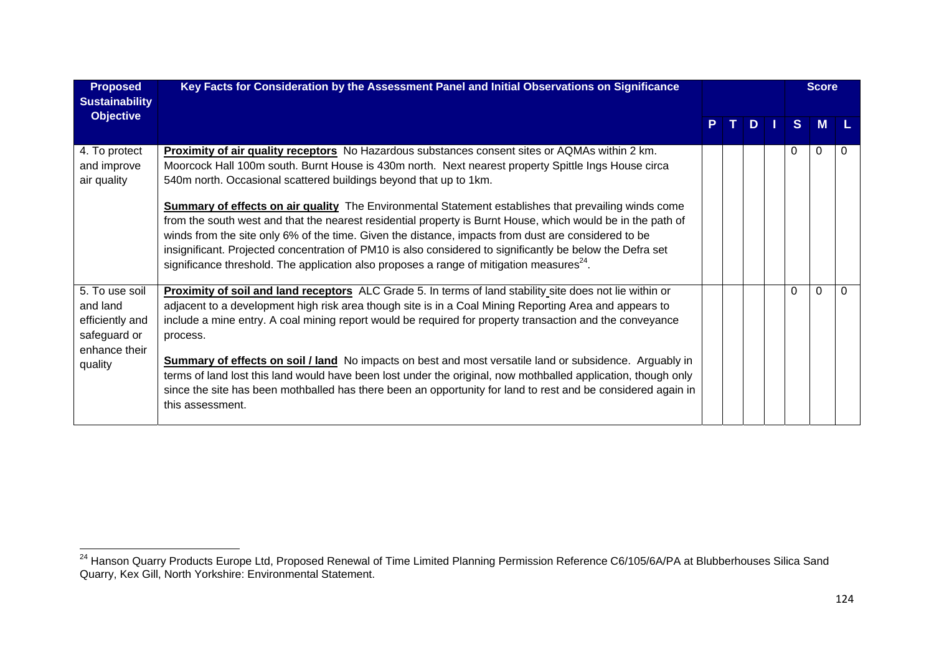| <b>Proposed</b><br><b>Sustainability</b>                                                  | Key Facts for Consideration by the Assessment Panel and Initial Observations on Significance                                                                                                                                                                                                                                                                                                                                                                                                                                                                                                                                                                                                                                                                                                                                         |    |    |             |          | <b>Score</b> |   |
|-------------------------------------------------------------------------------------------|--------------------------------------------------------------------------------------------------------------------------------------------------------------------------------------------------------------------------------------------------------------------------------------------------------------------------------------------------------------------------------------------------------------------------------------------------------------------------------------------------------------------------------------------------------------------------------------------------------------------------------------------------------------------------------------------------------------------------------------------------------------------------------------------------------------------------------------|----|----|-------------|----------|--------------|---|
| <b>Objective</b>                                                                          |                                                                                                                                                                                                                                                                                                                                                                                                                                                                                                                                                                                                                                                                                                                                                                                                                                      | P. | т. | $D$ $\vert$ | S.       | M            |   |
| 4. To protect<br>and improve<br>air quality                                               | Proximity of air quality receptors No Hazardous substances consent sites or AQMAs within 2 km.<br>Moorcock Hall 100m south. Burnt House is 430m north. Next nearest property Spittle Ings House circa<br>540m north. Occasional scattered buildings beyond that up to 1km.<br><b>Summary of effects on air quality</b> The Environmental Statement establishes that prevailing winds come<br>from the south west and that the nearest residential property is Burnt House, which would be in the path of<br>winds from the site only 6% of the time. Given the distance, impacts from dust are considered to be<br>insignificant. Projected concentration of PM10 is also considered to significantly be below the Defra set<br>significance threshold. The application also proposes a range of mitigation measures <sup>24</sup> . |    |    |             | 0        | 0            | 0 |
| 5. To use soil<br>and land<br>efficiently and<br>safeguard or<br>enhance their<br>quality | Proximity of soil and land receptors ALC Grade 5. In terms of land stability site does not lie within or<br>adjacent to a development high risk area though site is in a Coal Mining Reporting Area and appears to<br>include a mine entry. A coal mining report would be required for property transaction and the conveyance<br>process.<br><b>Summary of effects on soil / land</b> No impacts on best and most versatile land or subsidence. Arguably in<br>terms of land lost this land would have been lost under the original, now mothballed application, though only<br>since the site has been mothballed has there been an opportunity for land to rest and be considered again in<br>this assessment.                                                                                                                    |    |    |             | $\Omega$ | $\Omega$     | 0 |

<sup>&</sup>lt;sup>24</sup> Hanson Quarry Products Europe Ltd, Proposed Renewal of Time Limited Planning Permission Reference C6/105/6A/PA at Blubberhouses Silica Sand Quarry, Kex Gill, North Yorkshire: Environmental Statement.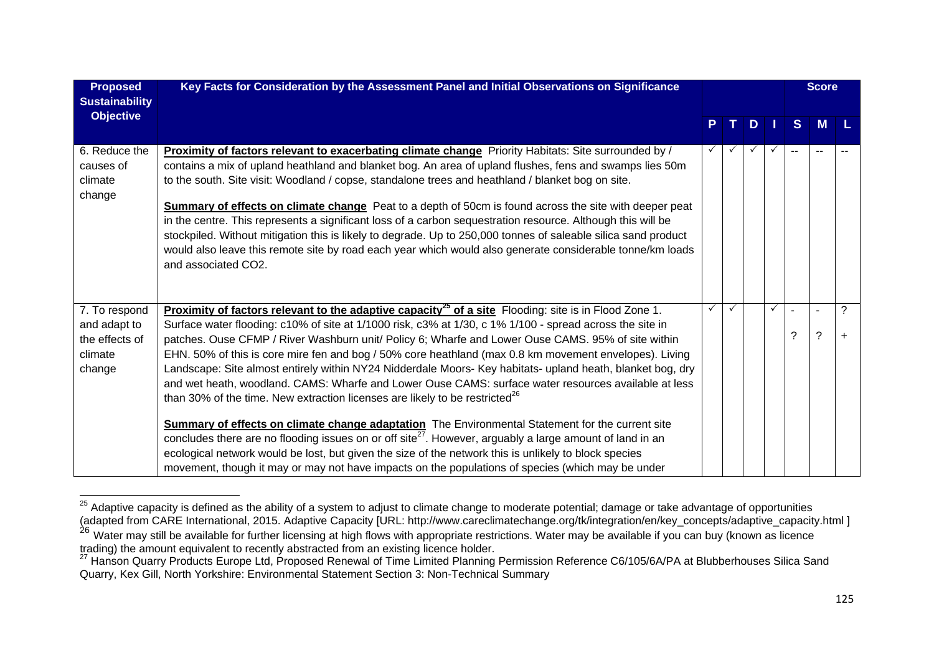| <b>Proposed</b><br><b>Sustainability</b>                             | Key Facts for Consideration by the Assessment Panel and Initial Observations on Significance                                                                                                                                                                                                                                                                                                                                                                                                                                                                                                                                                                                                                                                                                                                                                                             |    |              |   |   |                               | <b>Score</b> |                |
|----------------------------------------------------------------------|--------------------------------------------------------------------------------------------------------------------------------------------------------------------------------------------------------------------------------------------------------------------------------------------------------------------------------------------------------------------------------------------------------------------------------------------------------------------------------------------------------------------------------------------------------------------------------------------------------------------------------------------------------------------------------------------------------------------------------------------------------------------------------------------------------------------------------------------------------------------------|----|--------------|---|---|-------------------------------|--------------|----------------|
| <b>Objective</b>                                                     |                                                                                                                                                                                                                                                                                                                                                                                                                                                                                                                                                                                                                                                                                                                                                                                                                                                                          | P. | $\mathbf{T}$ | D |   | <sub>S</sub>                  | M            |                |
| 6. Reduce the<br>causes of<br>climate<br>change                      | Proximity of factors relevant to exacerbating climate change Priority Habitats: Site surrounded by /<br>contains a mix of upland heathland and blanket bog. An area of upland flushes, fens and swamps lies 50m<br>to the south. Site visit: Woodland / copse, standalone trees and heathland / blanket bog on site.<br>Summary of effects on climate change Peat to a depth of 50cm is found across the site with deeper peat<br>in the centre. This represents a significant loss of a carbon sequestration resource. Although this will be<br>stockpiled. Without mitigation this is likely to degrade. Up to 250,000 tonnes of saleable silica sand product<br>would also leave this remote site by road each year which would also generate considerable tonne/km loads<br>and associated CO2.                                                                      |    |              |   | ✓ |                               |              |                |
| 7. To respond<br>and adapt to<br>the effects of<br>climate<br>change | <b>Proximity of factors relevant to the adaptive capacity<sup>25</sup> of a site Flooding: site is in Flood Zone 1.</b><br>Surface water flooding: c10% of site at 1/1000 risk, c3% at 1/30, c 1% 1/100 - spread across the site in<br>patches. Ouse CFMP / River Washburn unit/ Policy 6; Wharfe and Lower Ouse CAMS. 95% of site within<br>EHN. 50% of this is core mire fen and bog / 50% core heathland (max 0.8 km movement envelopes). Living<br>Landscape: Site almost entirely within NY24 Nidderdale Moors- Key habitats- upland heath, blanket bog, dry<br>and wet heath, woodland. CAMS: Wharfe and Lower Ouse CAMS: surface water resources available at less<br>than 30% of the time. New extraction licenses are likely to be restricted <sup>26</sup><br>Summary of effects on climate change adaptation The Environmental Statement for the current site | ✓  | $\checkmark$ |   | ✓ | $\overline{a}$<br>$\tilde{?}$ | ä,<br>?      | ?<br>$\ddot{}$ |
|                                                                      | concludes there are no flooding issues on or off site <sup>27</sup> . However, arguably a large amount of land in an<br>ecological network would be lost, but given the size of the network this is unlikely to block species<br>movement, though it may or may not have impacts on the populations of species (which may be under                                                                                                                                                                                                                                                                                                                                                                                                                                                                                                                                       |    |              |   |   |                               |              |                |

<sup>&</sup>lt;sup>25</sup> Adaptive capacity is defined as the ability of a system to adjust to climate change to moderate potential; damage or take advantage of opportunities (adapted from CARE International, 2015. Adaptive Capacity [URL: http://www.careclimatechange.org/tk/integration/en/key\_concepts/adaptive\_capacity.html ]

<sup>&</sup>lt;sup>26</sup> Water may still be available for further licensing at high flows with appropriate restrictions. Water may be available if you can buy (known as licence trading) the amount equivalent to recently abstracted from an existing licence holder.<br><sup>27</sup> Hanson Quarry Products Europe Ltd, Proposed Renewal of Time Limited Planning Permission Reference C6/105/6A/PA at Blubberhouses Si

Quarry, Kex Gill, North Yorkshire: Environmental Statement Section 3: Non-Technical Summary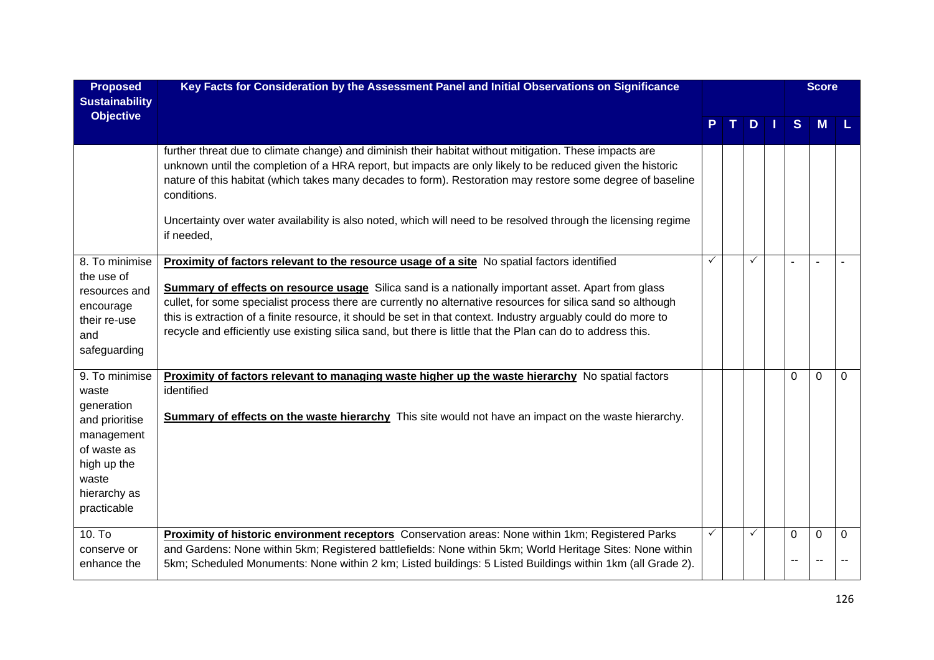| <b>Proposed</b><br><b>Sustainability</b>                                                                                                    | Key Facts for Consideration by the Assessment Panel and Initial Observations on Significance                                                                                                                                                                                                                                                                                                                                                                                                                                                             |              |   |                | <b>Score</b> |             |
|---------------------------------------------------------------------------------------------------------------------------------------------|----------------------------------------------------------------------------------------------------------------------------------------------------------------------------------------------------------------------------------------------------------------------------------------------------------------------------------------------------------------------------------------------------------------------------------------------------------------------------------------------------------------------------------------------------------|--------------|---|----------------|--------------|-------------|
| <b>Objective</b>                                                                                                                            |                                                                                                                                                                                                                                                                                                                                                                                                                                                                                                                                                          |              | D | S              | M            |             |
|                                                                                                                                             | further threat due to climate change) and diminish their habitat without mitigation. These impacts are<br>unknown until the completion of a HRA report, but impacts are only likely to be reduced given the historic<br>nature of this habitat (which takes many decades to form). Restoration may restore some degree of baseline<br>conditions.                                                                                                                                                                                                        |              |   |                |              |             |
|                                                                                                                                             | Uncertainty over water availability is also noted, which will need to be resolved through the licensing regime<br>if needed,                                                                                                                                                                                                                                                                                                                                                                                                                             |              |   |                |              |             |
| 8. To minimise<br>the use of<br>resources and<br>encourage<br>their re-use<br>and<br>safeguarding                                           | Proximity of factors relevant to the resource usage of a site No spatial factors identified<br><b>Summary of effects on resource usage</b> Silica sand is a nationally important asset. Apart from glass<br>cullet, for some specialist process there are currently no alternative resources for silica sand so although<br>this is extraction of a finite resource, it should be set in that context. Industry arguably could do more to<br>recycle and efficiently use existing silica sand, but there is little that the Plan can do to address this. | $\checkmark$ | ✓ |                |              |             |
| 9. To minimise<br>waste<br>generation<br>and prioritise<br>management<br>of waste as<br>high up the<br>waste<br>hierarchy as<br>practicable | Proximity of factors relevant to managing waste higher up the waste hierarchy No spatial factors<br>identified<br><b>Summary of effects on the waste hierarchy</b> This site would not have an impact on the waste hierarchy.                                                                                                                                                                                                                                                                                                                            |              |   | $\Omega$       | $\mathbf{0}$ | $\mathbf 0$ |
| 10. To<br>conserve or<br>enhance the                                                                                                        | Proximity of historic environment receptors Conservation areas: None within 1km; Registered Parks<br>and Gardens: None within 5km; Registered battlefields: None within 5km; World Heritage Sites: None within<br>5km; Scheduled Monuments: None within 2 km; Listed buildings: 5 Listed Buildings within 1 km (all Grade 2).                                                                                                                                                                                                                            |              |   | $\Omega$<br>-- | $\mathbf{0}$ | $\Omega$    |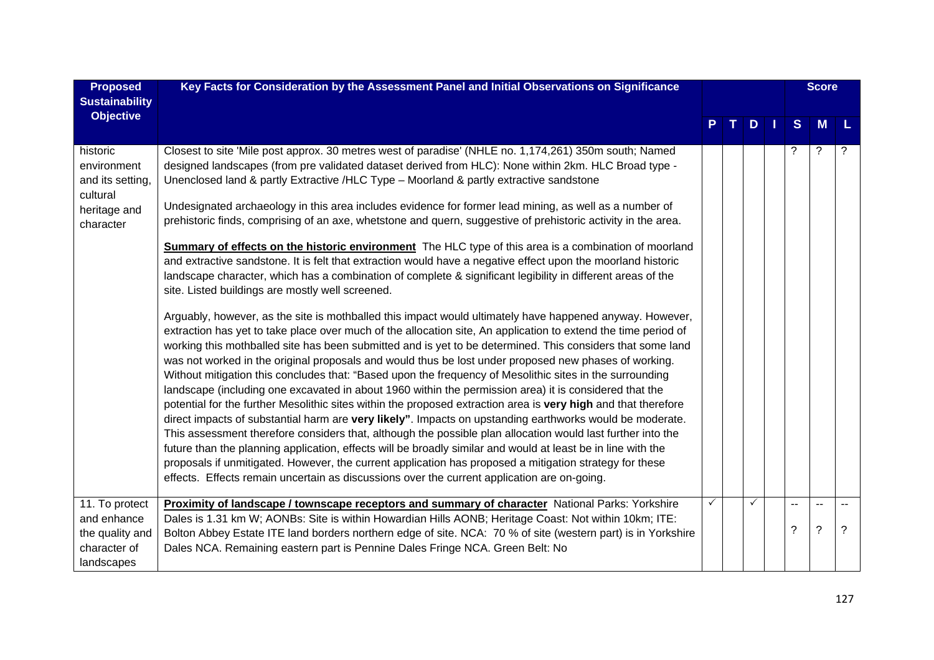| <b>Proposed</b><br><b>Sustainability</b>                                             | Key Facts for Consideration by the Assessment Panel and Initial Observations on Significance                                                                                                                                                                                                                                                                                                                                                                                                                                                                                                                                                                                                                                                                                                                                                                                                                                                                                                                                                                                                                                                                                                                                                                                                                                                                                                                                                                                                                                                                                                                                                                                                                                                                                                                                                                                                                                                                                                                                                                                                                                                                                                                                                                                            |   |   |          | <b>Score</b> |   |
|--------------------------------------------------------------------------------------|-----------------------------------------------------------------------------------------------------------------------------------------------------------------------------------------------------------------------------------------------------------------------------------------------------------------------------------------------------------------------------------------------------------------------------------------------------------------------------------------------------------------------------------------------------------------------------------------------------------------------------------------------------------------------------------------------------------------------------------------------------------------------------------------------------------------------------------------------------------------------------------------------------------------------------------------------------------------------------------------------------------------------------------------------------------------------------------------------------------------------------------------------------------------------------------------------------------------------------------------------------------------------------------------------------------------------------------------------------------------------------------------------------------------------------------------------------------------------------------------------------------------------------------------------------------------------------------------------------------------------------------------------------------------------------------------------------------------------------------------------------------------------------------------------------------------------------------------------------------------------------------------------------------------------------------------------------------------------------------------------------------------------------------------------------------------------------------------------------------------------------------------------------------------------------------------------------------------------------------------------------------------------------------------|---|---|----------|--------------|---|
| <b>Objective</b>                                                                     |                                                                                                                                                                                                                                                                                                                                                                                                                                                                                                                                                                                                                                                                                                                                                                                                                                                                                                                                                                                                                                                                                                                                                                                                                                                                                                                                                                                                                                                                                                                                                                                                                                                                                                                                                                                                                                                                                                                                                                                                                                                                                                                                                                                                                                                                                         |   | D | S        | M            | L |
| historic<br>environment<br>and its setting,<br>cultural<br>heritage and<br>character | Closest to site 'Mile post approx. 30 metres west of paradise' (NHLE no. 1,174,261) 350m south; Named<br>designed landscapes (from pre validated dataset derived from HLC): None within 2km. HLC Broad type -<br>Unenclosed land & partly Extractive /HLC Type - Moorland & partly extractive sandstone<br>Undesignated archaeology in this area includes evidence for former lead mining, as well as a number of<br>prehistoric finds, comprising of an axe, whetstone and quern, suggestive of prehistoric activity in the area.<br><b>Summary of effects on the historic environment</b> The HLC type of this area is a combination of moorland<br>and extractive sandstone. It is felt that extraction would have a negative effect upon the moorland historic<br>landscape character, which has a combination of complete & significant legibility in different areas of the<br>site. Listed buildings are mostly well screened.<br>Arguably, however, as the site is mothballed this impact would ultimately have happened anyway. However,<br>extraction has yet to take place over much of the allocation site, An application to extend the time period of<br>working this mothballed site has been submitted and is yet to be determined. This considers that some land<br>was not worked in the original proposals and would thus be lost under proposed new phases of working.<br>Without mitigation this concludes that: "Based upon the frequency of Mesolithic sites in the surrounding<br>landscape (including one excavated in about 1960 within the permission area) it is considered that the<br>potential for the further Mesolithic sites within the proposed extraction area is very high and that therefore<br>direct impacts of substantial harm are very likely". Impacts on upstanding earthworks would be moderate.<br>This assessment therefore considers that, although the possible plan allocation would last further into the<br>future than the planning application, effects will be broadly similar and would at least be in line with the<br>proposals if unmitigated. However, the current application has proposed a mitigation strategy for these<br>effects. Effects remain uncertain as discussions over the current application are on-going. |   |   | ?        | ?            |   |
| 11. To protect<br>and enhance<br>the quality and<br>character of<br>landscapes       | <b>Proximity of landscape / townscape receptors and summary of character</b> National Parks: Yorkshire<br>Dales is 1.31 km W; AONBs: Site is within Howardian Hills AONB; Heritage Coast: Not within 10km; ITE:<br>Bolton Abbey Estate ITE land borders northern edge of site. NCA: 70 % of site (western part) is in Yorkshire<br>Dales NCA. Remaining eastern part is Pennine Dales Fringe NCA. Green Belt: No                                                                                                                                                                                                                                                                                                                                                                                                                                                                                                                                                                                                                                                                                                                                                                                                                                                                                                                                                                                                                                                                                                                                                                                                                                                                                                                                                                                                                                                                                                                                                                                                                                                                                                                                                                                                                                                                        | ✓ |   | $-$<br>? | ?            | ? |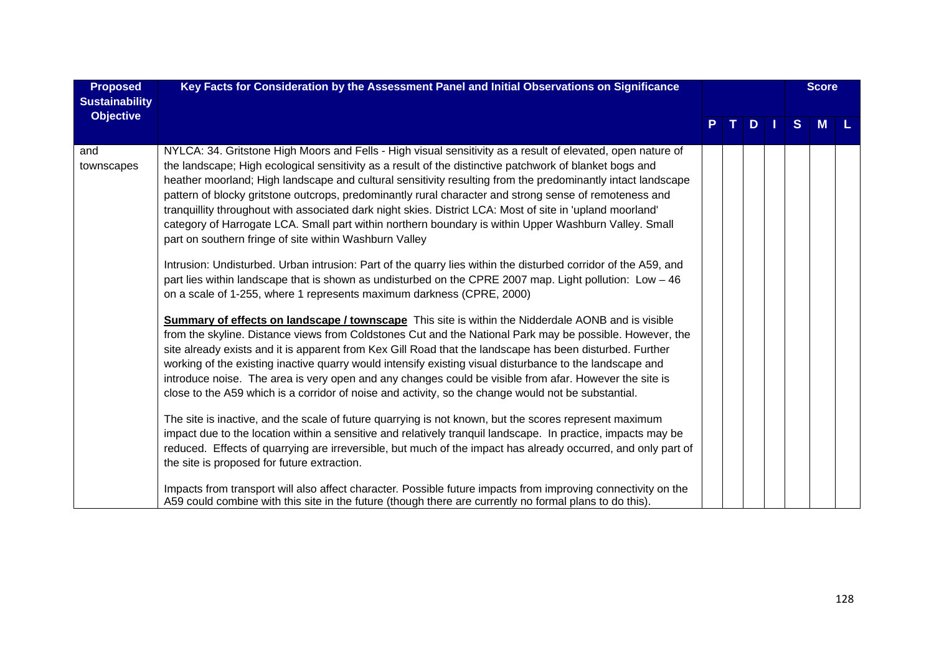| <b>Proposed</b><br><b>Sustainability</b> | Key Facts for Consideration by the Assessment Panel and Initial Observations on Significance                                                                                                                                                                                                                                                                                                                                                                                                                                                                                                                                                                                                                                    |    |   |    |   | <b>Score</b> |  |
|------------------------------------------|---------------------------------------------------------------------------------------------------------------------------------------------------------------------------------------------------------------------------------------------------------------------------------------------------------------------------------------------------------------------------------------------------------------------------------------------------------------------------------------------------------------------------------------------------------------------------------------------------------------------------------------------------------------------------------------------------------------------------------|----|---|----|---|--------------|--|
| <b>Objective</b>                         |                                                                                                                                                                                                                                                                                                                                                                                                                                                                                                                                                                                                                                                                                                                                 | т. | D | H. | S | M            |  |
| and<br>townscapes                        | NYLCA: 34. Gritstone High Moors and Fells - High visual sensitivity as a result of elevated, open nature of<br>the landscape; High ecological sensitivity as a result of the distinctive patchwork of blanket bogs and<br>heather moorland; High landscape and cultural sensitivity resulting from the predominantly intact landscape<br>pattern of blocky gritstone outcrops, predominantly rural character and strong sense of remoteness and<br>tranquillity throughout with associated dark night skies. District LCA: Most of site in 'upland moorland'<br>category of Harrogate LCA. Small part within northern boundary is within Upper Washburn Valley. Small<br>part on southern fringe of site within Washburn Valley |    |   |    |   |              |  |
|                                          | Intrusion: Undisturbed. Urban intrusion: Part of the quarry lies within the disturbed corridor of the A59, and<br>part lies within landscape that is shown as undisturbed on the CPRE 2007 map. Light pollution: Low - 46<br>on a scale of 1-255, where 1 represents maximum darkness (CPRE, 2000)                                                                                                                                                                                                                                                                                                                                                                                                                              |    |   |    |   |              |  |
|                                          | Summary of effects on landscape / townscape This site is within the Nidderdale AONB and is visible<br>from the skyline. Distance views from Coldstones Cut and the National Park may be possible. However, the<br>site already exists and it is apparent from Kex Gill Road that the landscape has been disturbed. Further<br>working of the existing inactive quarry would intensify existing visual disturbance to the landscape and<br>introduce noise. The area is very open and any changes could be visible from afar. However the site is<br>close to the A59 which is a corridor of noise and activity, so the change would not be substantial.                                                                         |    |   |    |   |              |  |
|                                          | The site is inactive, and the scale of future quarrying is not known, but the scores represent maximum<br>impact due to the location within a sensitive and relatively tranquil landscape. In practice, impacts may be<br>reduced. Effects of quarrying are irreversible, but much of the impact has already occurred, and only part of<br>the site is proposed for future extraction.                                                                                                                                                                                                                                                                                                                                          |    |   |    |   |              |  |
|                                          | Impacts from transport will also affect character. Possible future impacts from improving connectivity on the<br>A59 could combine with this site in the future (though there are currently no formal plans to do this).                                                                                                                                                                                                                                                                                                                                                                                                                                                                                                        |    |   |    |   |              |  |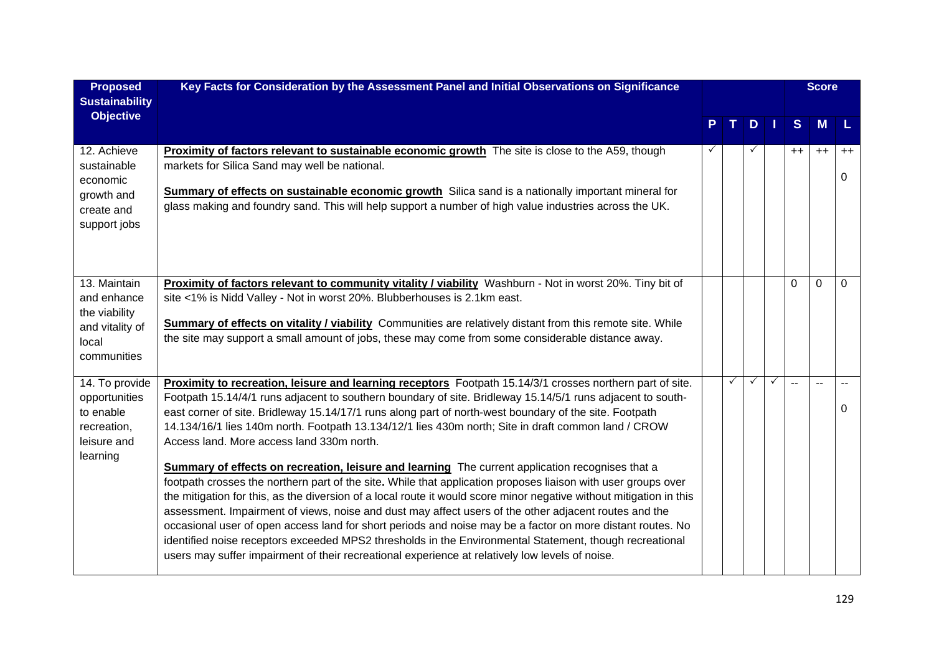| <b>Proposed</b><br><b>Sustainability</b>                                                | Key Facts for Consideration by the Assessment Panel and Initial Observations on Significance                                                                                                                                                                                                                                                                                                                                                                                                                                                                                                                                                                                                                                                                                                                                                                                                                                                                                                                                                                                                                                                                                                                                                                           |   |   |   |   |      | <b>Score</b> |           |
|-----------------------------------------------------------------------------------------|------------------------------------------------------------------------------------------------------------------------------------------------------------------------------------------------------------------------------------------------------------------------------------------------------------------------------------------------------------------------------------------------------------------------------------------------------------------------------------------------------------------------------------------------------------------------------------------------------------------------------------------------------------------------------------------------------------------------------------------------------------------------------------------------------------------------------------------------------------------------------------------------------------------------------------------------------------------------------------------------------------------------------------------------------------------------------------------------------------------------------------------------------------------------------------------------------------------------------------------------------------------------|---|---|---|---|------|--------------|-----------|
| <b>Objective</b>                                                                        |                                                                                                                                                                                                                                                                                                                                                                                                                                                                                                                                                                                                                                                                                                                                                                                                                                                                                                                                                                                                                                                                                                                                                                                                                                                                        |   |   | D |   | S    | M            |           |
| 12. Achieve<br>sustainable<br>economic<br>growth and<br>create and<br>support jobs      | <b>Proximity of factors relevant to sustainable economic growth</b> The site is close to the A59, though<br>markets for Silica Sand may well be national.<br><b>Summary of effects on sustainable economic growth</b> Silica sand is a nationally important mineral for<br>glass making and foundry sand. This will help support a number of high value industries across the UK.                                                                                                                                                                                                                                                                                                                                                                                                                                                                                                                                                                                                                                                                                                                                                                                                                                                                                      | ✓ |   |   |   | $++$ | $++$         | $++$<br>0 |
| 13. Maintain<br>and enhance<br>the viability<br>and vitality of<br>local<br>communities | Proximity of factors relevant to community vitality / viability Washburn - Not in worst 20%. Tiny bit of<br>site <1% is Nidd Valley - Not in worst 20%. Blubberhouses is 2.1km east.<br><b>Summary of effects on vitality / viability</b> Communities are relatively distant from this remote site. While<br>the site may support a small amount of jobs, these may come from some considerable distance away.                                                                                                                                                                                                                                                                                                                                                                                                                                                                                                                                                                                                                                                                                                                                                                                                                                                         |   |   |   |   | 0    | $\mathbf{0}$ | $\Omega$  |
| 14. To provide<br>opportunities<br>to enable<br>recreation,<br>leisure and<br>learning  | Proximity to recreation, leisure and learning receptors Footpath 15.14/3/1 crosses northern part of site.<br>Footpath 15.14/4/1 runs adjacent to southern boundary of site. Bridleway 15.14/5/1 runs adjacent to south-<br>east corner of site. Bridleway 15.14/17/1 runs along part of north-west boundary of the site. Footpath<br>14.134/16/1 lies 140m north. Footpath 13.134/12/1 lies 430m north; Site in draft common land / CROW<br>Access land. More access land 330m north.<br>Summary of effects on recreation, leisure and learning The current application recognises that a<br>footpath crosses the northern part of the site. While that application proposes liaison with user groups over<br>the mitigation for this, as the diversion of a local route it would score minor negative without mitigation in this<br>assessment. Impairment of views, noise and dust may affect users of the other adjacent routes and the<br>occasional user of open access land for short periods and noise may be a factor on more distant routes. No<br>identified noise receptors exceeded MPS2 thresholds in the Environmental Statement, though recreational<br>users may suffer impairment of their recreational experience at relatively low levels of noise. |   | ✓ | ✓ | ✓ |      |              | 0         |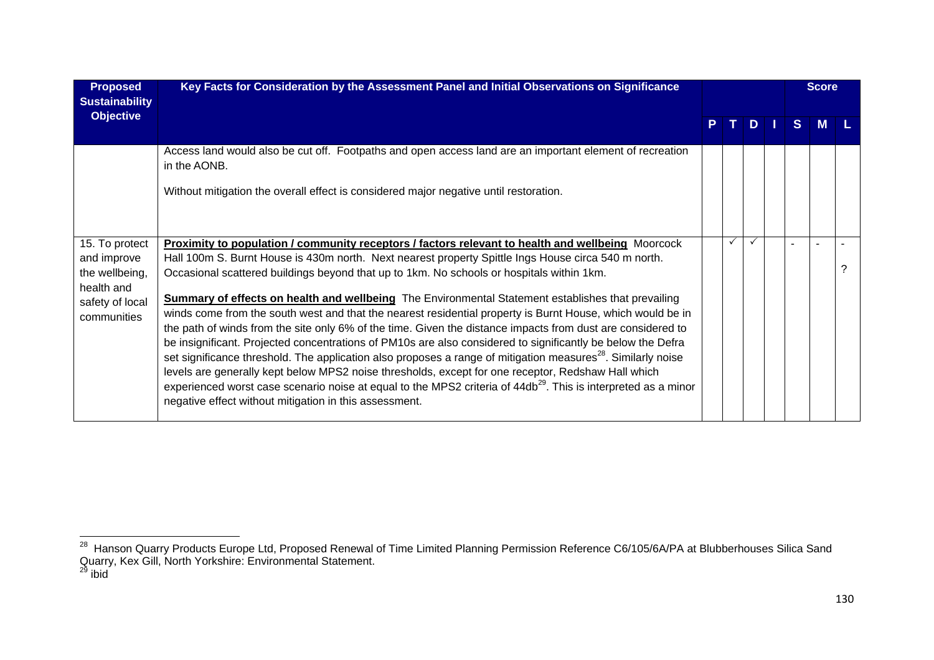| <b>Proposed</b><br><b>Sustainability</b>                                                        | Key Facts for Consideration by the Assessment Panel and Initial Observations on Significance                                                                                                                                                                                                                                                                                                                                                                                                                                                                                                                                                                                                                                                                                                                                                                                                                                                                                                                                                                                                                                                                                             |    |    |     |    | <b>Score</b> |  |
|-------------------------------------------------------------------------------------------------|------------------------------------------------------------------------------------------------------------------------------------------------------------------------------------------------------------------------------------------------------------------------------------------------------------------------------------------------------------------------------------------------------------------------------------------------------------------------------------------------------------------------------------------------------------------------------------------------------------------------------------------------------------------------------------------------------------------------------------------------------------------------------------------------------------------------------------------------------------------------------------------------------------------------------------------------------------------------------------------------------------------------------------------------------------------------------------------------------------------------------------------------------------------------------------------|----|----|-----|----|--------------|--|
| <b>Objective</b>                                                                                |                                                                                                                                                                                                                                                                                                                                                                                                                                                                                                                                                                                                                                                                                                                                                                                                                                                                                                                                                                                                                                                                                                                                                                                          | P. | т. | $D$ | S. | <b>M</b>     |  |
|                                                                                                 | Access land would also be cut off. Footpaths and open access land are an important element of recreation<br>in the AONB.                                                                                                                                                                                                                                                                                                                                                                                                                                                                                                                                                                                                                                                                                                                                                                                                                                                                                                                                                                                                                                                                 |    |    |     |    |              |  |
|                                                                                                 | Without mitigation the overall effect is considered major negative until restoration.                                                                                                                                                                                                                                                                                                                                                                                                                                                                                                                                                                                                                                                                                                                                                                                                                                                                                                                                                                                                                                                                                                    |    |    |     |    |              |  |
| 15. To protect<br>and improve<br>the wellbeing,<br>health and<br>safety of local<br>communities | Proximity to population / community receptors / factors relevant to health and wellbeing Moorcock<br>Hall 100m S. Burnt House is 430m north. Next nearest property Spittle Ings House circa 540 m north.<br>Occasional scattered buildings beyond that up to 1km. No schools or hospitals within 1km.<br><b>Summary of effects on health and wellbeing</b> The Environmental Statement establishes that prevailing<br>winds come from the south west and that the nearest residential property is Burnt House, which would be in<br>the path of winds from the site only 6% of the time. Given the distance impacts from dust are considered to<br>be insignificant. Projected concentrations of PM10s are also considered to significantly be below the Defra<br>set significance threshold. The application also proposes a range of mitigation measures <sup>28</sup> . Similarly noise<br>levels are generally kept below MPS2 noise thresholds, except for one receptor, Redshaw Hall which<br>experienced worst case scenario noise at equal to the MPS2 criteria of 44db <sup>29</sup> . This is interpreted as a minor<br>negative effect without mitigation in this assessment. |    |    |     |    |              |  |

<sup>&</sup>lt;sup>28</sup> Hanson Quarry Products Europe Ltd, Proposed Renewal of Time Limited Planning Permission Reference C6/105/6A/PA at Blubberhouses Silica Sand Quarry, Kex Gill, North Yorkshire: Environmental Statement.<br><sup>29</sup> ibid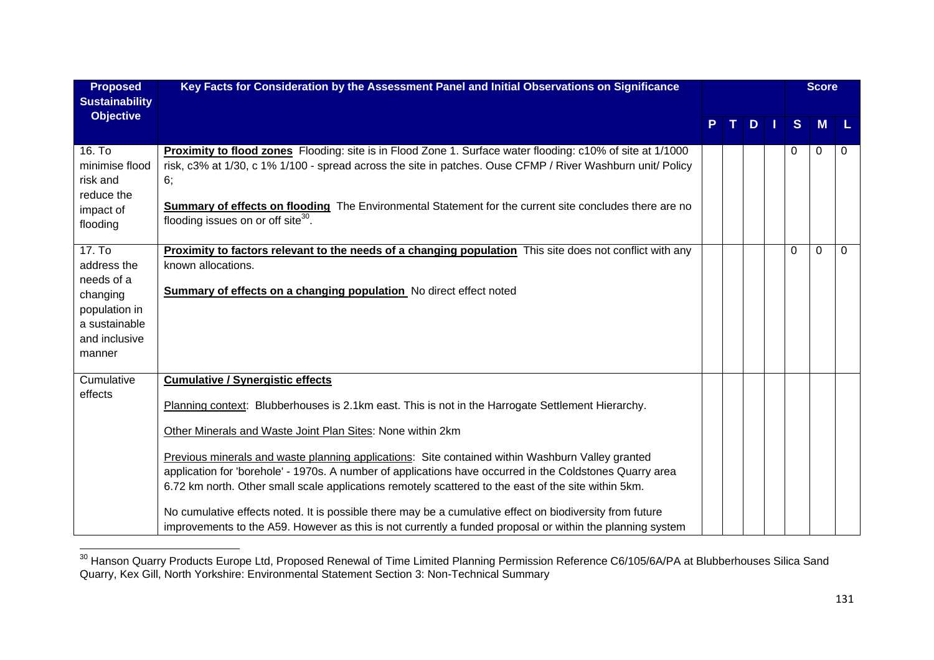| <b>Proposed</b>                                                                                              | Key Facts for Consideration by the Assessment Panel and Initial Observations on Significance                                                                                                                                                                                                                                                                                                                                                                                                                                                                                                                                                                                                                                                                |    |    |     |   | <b>Score</b> |          |
|--------------------------------------------------------------------------------------------------------------|-------------------------------------------------------------------------------------------------------------------------------------------------------------------------------------------------------------------------------------------------------------------------------------------------------------------------------------------------------------------------------------------------------------------------------------------------------------------------------------------------------------------------------------------------------------------------------------------------------------------------------------------------------------------------------------------------------------------------------------------------------------|----|----|-----|---|--------------|----------|
| <b>Sustainability</b>                                                                                        |                                                                                                                                                                                                                                                                                                                                                                                                                                                                                                                                                                                                                                                                                                                                                             |    |    |     |   |              |          |
| <b>Objective</b>                                                                                             |                                                                                                                                                                                                                                                                                                                                                                                                                                                                                                                                                                                                                                                                                                                                                             | P. | T. | $D$ | S | <b>M</b>     | ۱L.      |
| 16. To<br>minimise flood<br>risk and<br>reduce the<br>impact of<br>flooding                                  | Proximity to flood zones Flooding: site is in Flood Zone 1. Surface water flooding: c10% of site at 1/1000<br>risk, c3% at 1/30, c 1% 1/100 - spread across the site in patches. Ouse CFMP / River Washburn unit/ Policy<br>6;<br>Summary of effects on flooding The Environmental Statement for the current site concludes there are no<br>flooding issues on or off site <sup>30</sup> .                                                                                                                                                                                                                                                                                                                                                                  |    |    |     | 0 | $\Omega$     | 0        |
| 17. To<br>address the<br>needs of a<br>changing<br>population in<br>a sustainable<br>and inclusive<br>manner | Proximity to factors relevant to the needs of a changing population This site does not conflict with any<br>known allocations.<br><b>Summary of effects on a changing population</b> No direct effect noted                                                                                                                                                                                                                                                                                                                                                                                                                                                                                                                                                 |    |    |     | 0 | $\Omega$     | $\Omega$ |
| Cumulative<br>effects                                                                                        | <b>Cumulative / Synergistic effects</b><br>Planning context: Blubberhouses is 2.1km east. This is not in the Harrogate Settlement Hierarchy.<br>Other Minerals and Waste Joint Plan Sites: None within 2km<br>Previous minerals and waste planning applications: Site contained within Washburn Valley granted<br>application for 'borehole' - 1970s. A number of applications have occurred in the Coldstones Quarry area<br>6.72 km north. Other small scale applications remotely scattered to the east of the site within 5km.<br>No cumulative effects noted. It is possible there may be a cumulative effect on biodiversity from future<br>improvements to the A59. However as this is not currently a funded proposal or within the planning system |    |    |     |   |              |          |

<sup>&</sup>lt;sup>30</sup> Hanson Quarry Products Europe Ltd, Proposed Renewal of Time Limited Planning Permission Reference C6/105/6A/PA at Blubberhouses Silica Sand Quarry, Kex Gill, North Yorkshire: Environmental Statement Section 3: Non-Technical Summary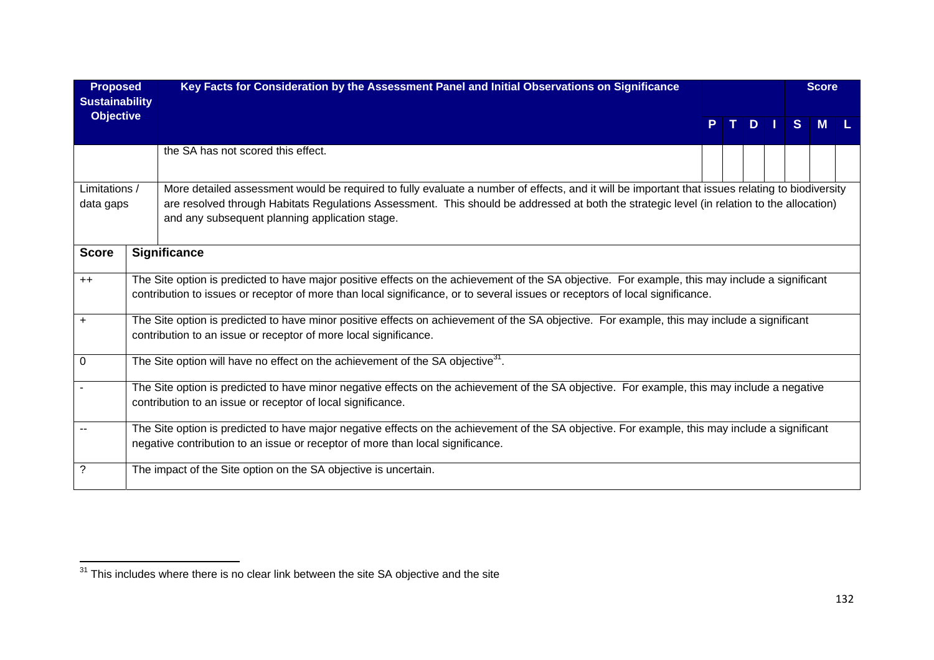| <b>Proposed</b>                           | Key Facts for Consideration by the Assessment Panel and Initial Observations on Significance                                                                                                                                                                                                                                                    |  |    |              | <b>Score</b> |  |
|-------------------------------------------|-------------------------------------------------------------------------------------------------------------------------------------------------------------------------------------------------------------------------------------------------------------------------------------------------------------------------------------------------|--|----|--------------|--------------|--|
| <b>Sustainability</b><br><b>Objective</b> |                                                                                                                                                                                                                                                                                                                                                 |  | D. | <sub>S</sub> |              |  |
|                                           | the SA has not scored this effect.                                                                                                                                                                                                                                                                                                              |  |    |              |              |  |
| Limitations /<br>data gaps                | More detailed assessment would be required to fully evaluate a number of effects, and it will be important that issues relating to biodiversity<br>are resolved through Habitats Regulations Assessment. This should be addressed at both the strategic level (in relation to the allocation)<br>and any subsequent planning application stage. |  |    |              |              |  |
| <b>Score</b>                              | <b>Significance</b>                                                                                                                                                                                                                                                                                                                             |  |    |              |              |  |
| $++$                                      | The Site option is predicted to have major positive effects on the achievement of the SA objective. For example, this may include a significant<br>contribution to issues or receptor of more than local significance, or to several issues or receptors of local significance.                                                                 |  |    |              |              |  |
| +                                         | The Site option is predicted to have minor positive effects on achievement of the SA objective. For example, this may include a significant<br>contribution to an issue or receptor of more local significance.                                                                                                                                 |  |    |              |              |  |
| 0                                         | The Site option will have no effect on the achievement of the SA objective <sup>31</sup> .                                                                                                                                                                                                                                                      |  |    |              |              |  |
|                                           | The Site option is predicted to have minor negative effects on the achievement of the SA objective. For example, this may include a negative<br>contribution to an issue or receptor of local significance.                                                                                                                                     |  |    |              |              |  |
|                                           | The Site option is predicted to have major negative effects on the achievement of the SA objective. For example, this may include a significant<br>negative contribution to an issue or receptor of more than local significance.                                                                                                               |  |    |              |              |  |
| ?                                         | The impact of the Site option on the SA objective is uncertain.                                                                                                                                                                                                                                                                                 |  |    |              |              |  |

 $\frac{31}{31}$  This includes where there is no clear link between the site SA objective and the site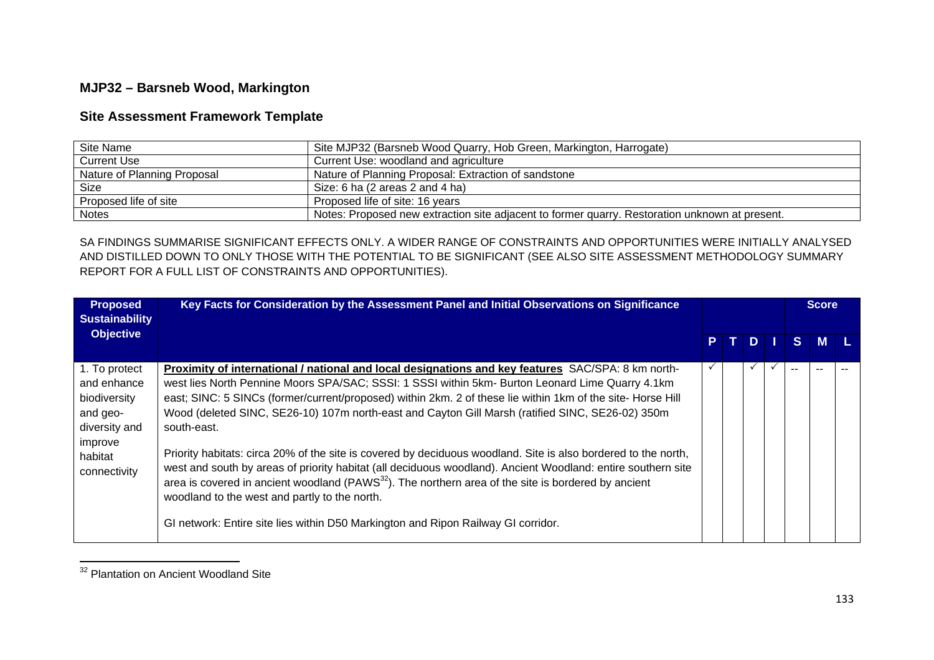## **MJP32 – Barsneb Wood, Markington**

## **Site Assessment Framework Template**

| Site Name                   | Site MJP32 (Barsneb Wood Quarry, Hob Green, Markington, Harrogate)                             |
|-----------------------------|------------------------------------------------------------------------------------------------|
| Current Use                 | Current Use: woodland and agriculture                                                          |
| Nature of Planning Proposal | Nature of Planning Proposal: Extraction of sandstone                                           |
| <b>Size</b>                 | Size: 6 ha (2 areas 2 and 4 ha)                                                                |
| Proposed life of site       | Proposed life of site: 16 years                                                                |
| <b>Notes</b>                | Notes: Proposed new extraction site adjacent to former quarry. Restoration unknown at present. |

SA FINDINGS SUMMARISE SIGNIFICANT EFFECTS ONLY. A WIDER RANGE OF CONSTRAINTS AND OPPORTUNITIES WERE INITIALLY ANALYSED AND DISTILLED DOWN TO ONLY THOSE WITH THE POTENTIAL TO BE SIGNIFICANT (SEE ALSO SITE ASSESSMENT METHODOLOGY SUMMARY REPORT FOR A FULL LIST OF CONSTRAINTS AND OPPORTUNITIES).

| <b>Proposed</b><br><b>Sustainability</b>                                                                        | Key Facts for Consideration by the Assessment Panel and Initial Observations on Significance                                                                                                                                                                                                                                                                                                                                                                                                                                                                                                                                                                                                                                                                                                                                                                                                                                        |    |              |             | <b>Score</b> |  |
|-----------------------------------------------------------------------------------------------------------------|-------------------------------------------------------------------------------------------------------------------------------------------------------------------------------------------------------------------------------------------------------------------------------------------------------------------------------------------------------------------------------------------------------------------------------------------------------------------------------------------------------------------------------------------------------------------------------------------------------------------------------------------------------------------------------------------------------------------------------------------------------------------------------------------------------------------------------------------------------------------------------------------------------------------------------------|----|--------------|-------------|--------------|--|
| <b>Objective</b>                                                                                                |                                                                                                                                                                                                                                                                                                                                                                                                                                                                                                                                                                                                                                                                                                                                                                                                                                                                                                                                     | P. | $\mathbf{D}$ | $S^{\perp}$ | M            |  |
| 1. To protect<br>and enhance<br>biodiversity<br>and geo-<br>diversity and<br>improve<br>habitat<br>connectivity | Proximity of international / national and local designations and key features SAC/SPA: 8 km north-<br>west lies North Pennine Moors SPA/SAC; SSSI: 1 SSSI within 5km- Burton Leonard Lime Quarry 4.1km<br>east; SINC: 5 SINCs (former/current/proposed) within 2km. 2 of these lie within 1km of the site- Horse Hill<br>Wood (deleted SINC, SE26-10) 107m north-east and Cayton Gill Marsh (ratified SINC, SE26-02) 350m<br>south-east.<br>Priority habitats: circa 20% of the site is covered by deciduous woodland. Site is also bordered to the north,<br>west and south by areas of priority habitat (all deciduous woodland). Ancient Woodland: entire southern site<br>area is covered in ancient woodland (PAWS <sup>32</sup> ). The northern area of the site is bordered by ancient<br>woodland to the west and partly to the north.<br>GI network: Entire site lies within D50 Markington and Ripon Railway GI corridor. |    |              | $-$         |              |  |

<sup>&</sup>lt;sup>32</sup> Plantation on Ancient Woodland Site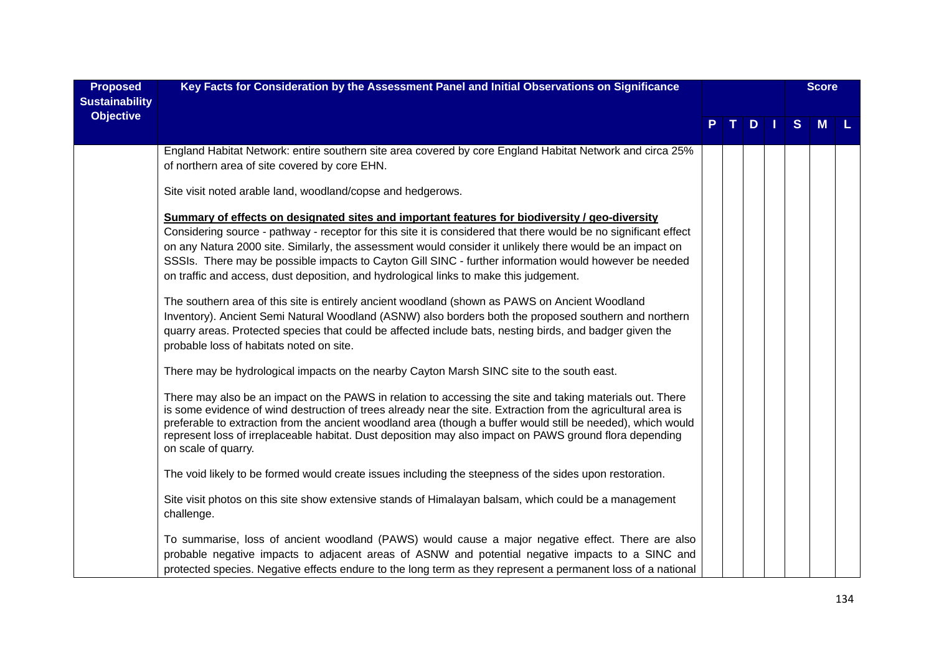| <b>Proposed</b><br><b>Sustainability</b> | Key Facts for Consideration by the Assessment Panel and Initial Observations on Significance                                                                                                                                                                                                                                                                                                                                                                                                                                                                                                                                                                                                                                                                                                                                                                                                                                                                                                                                                                                                                     |    |           |   | <b>Score</b> |     |
|------------------------------------------|------------------------------------------------------------------------------------------------------------------------------------------------------------------------------------------------------------------------------------------------------------------------------------------------------------------------------------------------------------------------------------------------------------------------------------------------------------------------------------------------------------------------------------------------------------------------------------------------------------------------------------------------------------------------------------------------------------------------------------------------------------------------------------------------------------------------------------------------------------------------------------------------------------------------------------------------------------------------------------------------------------------------------------------------------------------------------------------------------------------|----|-----------|---|--------------|-----|
| <b>Objective</b>                         |                                                                                                                                                                                                                                                                                                                                                                                                                                                                                                                                                                                                                                                                                                                                                                                                                                                                                                                                                                                                                                                                                                                  | P. | $T$ D $T$ | S | <b>M</b>     | -L. |
|                                          | England Habitat Network: entire southern site area covered by core England Habitat Network and circa 25%<br>of northern area of site covered by core EHN.                                                                                                                                                                                                                                                                                                                                                                                                                                                                                                                                                                                                                                                                                                                                                                                                                                                                                                                                                        |    |           |   |              |     |
|                                          | Site visit noted arable land, woodland/copse and hedgerows.                                                                                                                                                                                                                                                                                                                                                                                                                                                                                                                                                                                                                                                                                                                                                                                                                                                                                                                                                                                                                                                      |    |           |   |              |     |
|                                          | Summary of effects on designated sites and important features for biodiversity / geo-diversity<br>Considering source - pathway - receptor for this site it is considered that there would be no significant effect<br>on any Natura 2000 site. Similarly, the assessment would consider it unlikely there would be an impact on<br>SSSIs. There may be possible impacts to Cayton Gill SINC - further information would however be needed<br>on traffic and access, dust deposition, and hydrological links to make this judgement.<br>The southern area of this site is entirely ancient woodland (shown as PAWS on Ancient Woodland<br>Inventory). Ancient Semi Natural Woodland (ASNW) also borders both the proposed southern and northern<br>quarry areas. Protected species that could be affected include bats, nesting birds, and badger given the<br>probable loss of habitats noted on site.<br>There may be hydrological impacts on the nearby Cayton Marsh SINC site to the south east.<br>There may also be an impact on the PAWS in relation to accessing the site and taking materials out. There |    |           |   |              |     |
|                                          | is some evidence of wind destruction of trees already near the site. Extraction from the agricultural area is<br>preferable to extraction from the ancient woodland area (though a buffer would still be needed), which would<br>represent loss of irreplaceable habitat. Dust deposition may also impact on PAWS ground flora depending<br>on scale of quarry.                                                                                                                                                                                                                                                                                                                                                                                                                                                                                                                                                                                                                                                                                                                                                  |    |           |   |              |     |
|                                          | The void likely to be formed would create issues including the steepness of the sides upon restoration.                                                                                                                                                                                                                                                                                                                                                                                                                                                                                                                                                                                                                                                                                                                                                                                                                                                                                                                                                                                                          |    |           |   |              |     |
|                                          | Site visit photos on this site show extensive stands of Himalayan balsam, which could be a management<br>challenge.                                                                                                                                                                                                                                                                                                                                                                                                                                                                                                                                                                                                                                                                                                                                                                                                                                                                                                                                                                                              |    |           |   |              |     |
|                                          | To summarise, loss of ancient woodland (PAWS) would cause a major negative effect. There are also<br>probable negative impacts to adjacent areas of ASNW and potential negative impacts to a SINC and<br>protected species. Negative effects endure to the long term as they represent a permanent loss of a national                                                                                                                                                                                                                                                                                                                                                                                                                                                                                                                                                                                                                                                                                                                                                                                            |    |           |   |              |     |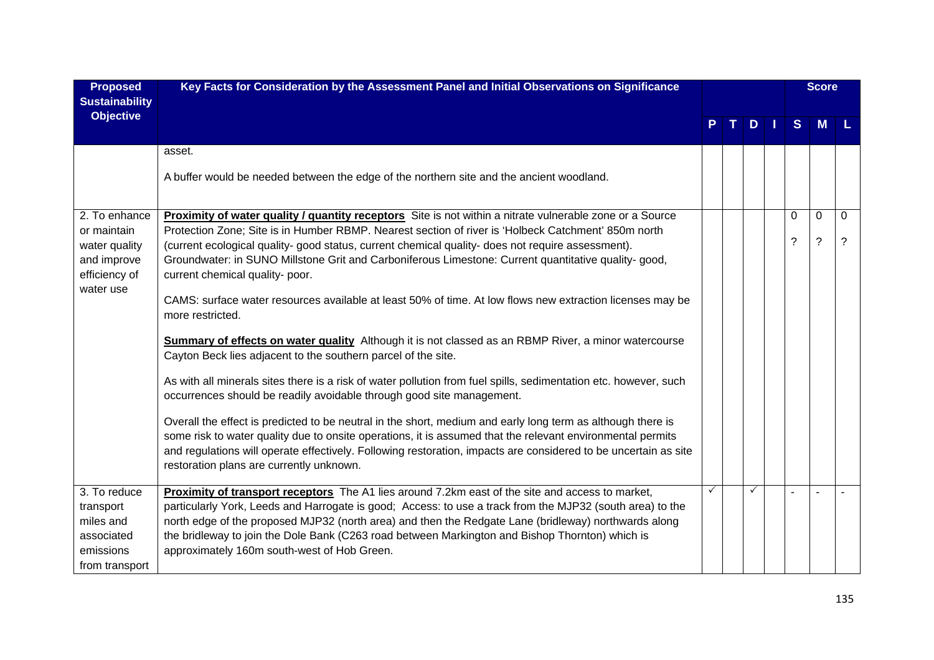| <b>Proposed</b><br><b>Sustainability</b> | Key Facts for Consideration by the Assessment Panel and Initial Observations on Significance                                                                                                                              |  |     |   | <b>Score</b> |             |
|------------------------------------------|---------------------------------------------------------------------------------------------------------------------------------------------------------------------------------------------------------------------------|--|-----|---|--------------|-------------|
| <b>Objective</b>                         |                                                                                                                                                                                                                           |  | $D$ | S | <b>M</b>     |             |
|                                          | asset.                                                                                                                                                                                                                    |  |     |   |              |             |
|                                          | A buffer would be needed between the edge of the northern site and the ancient woodland.                                                                                                                                  |  |     |   |              |             |
| 2. To enhance                            | <b>Proximity of water quality / quantity receptors</b> Site is not within a nitrate vulnerable zone or a Source                                                                                                           |  |     | 0 | 0            | $\Omega$    |
| or maintain                              | Protection Zone; Site is in Humber RBMP. Nearest section of river is 'Holbeck Catchment' 850m north                                                                                                                       |  |     |   |              |             |
| water quality                            | (current ecological quality- good status, current chemical quality- does not require assessment).                                                                                                                         |  |     | ? | $\tilde{?}$  | $\tilde{?}$ |
| and improve                              | Groundwater: in SUNO Millstone Grit and Carboniferous Limestone: Current quantitative quality- good,                                                                                                                      |  |     |   |              |             |
| efficiency of                            | current chemical quality- poor.                                                                                                                                                                                           |  |     |   |              |             |
| water use                                | CAMS: surface water resources available at least 50% of time. At low flows new extraction licenses may be                                                                                                                 |  |     |   |              |             |
|                                          | more restricted.                                                                                                                                                                                                          |  |     |   |              |             |
|                                          |                                                                                                                                                                                                                           |  |     |   |              |             |
|                                          | <b>Summary of effects on water quality</b> Although it is not classed as an RBMP River, a minor watercourse                                                                                                               |  |     |   |              |             |
|                                          | Cayton Beck lies adjacent to the southern parcel of the site.                                                                                                                                                             |  |     |   |              |             |
|                                          | As with all minerals sites there is a risk of water pollution from fuel spills, sedimentation etc. however, such                                                                                                          |  |     |   |              |             |
|                                          | occurrences should be readily avoidable through good site management.                                                                                                                                                     |  |     |   |              |             |
|                                          |                                                                                                                                                                                                                           |  |     |   |              |             |
|                                          | Overall the effect is predicted to be neutral in the short, medium and early long term as although there is<br>some risk to water quality due to onsite operations, it is assumed that the relevant environmental permits |  |     |   |              |             |
|                                          | and regulations will operate effectively. Following restoration, impacts are considered to be uncertain as site                                                                                                           |  |     |   |              |             |
|                                          | restoration plans are currently unknown.                                                                                                                                                                                  |  |     |   |              |             |
|                                          |                                                                                                                                                                                                                           |  |     |   |              |             |
| 3. To reduce                             | Proximity of transport receptors The A1 lies around 7.2km east of the site and access to market,                                                                                                                          |  |     |   |              |             |
| transport                                | particularly York, Leeds and Harrogate is good; Access: to use a track from the MJP32 (south area) to the                                                                                                                 |  |     |   |              |             |
| miles and                                | north edge of the proposed MJP32 (north area) and then the Redgate Lane (bridleway) northwards along                                                                                                                      |  |     |   |              |             |
| associated                               | the bridleway to join the Dole Bank (C263 road between Markington and Bishop Thornton) which is                                                                                                                           |  |     |   |              |             |
| emissions                                | approximately 160m south-west of Hob Green.                                                                                                                                                                               |  |     |   |              |             |
| from transport                           |                                                                                                                                                                                                                           |  |     |   |              |             |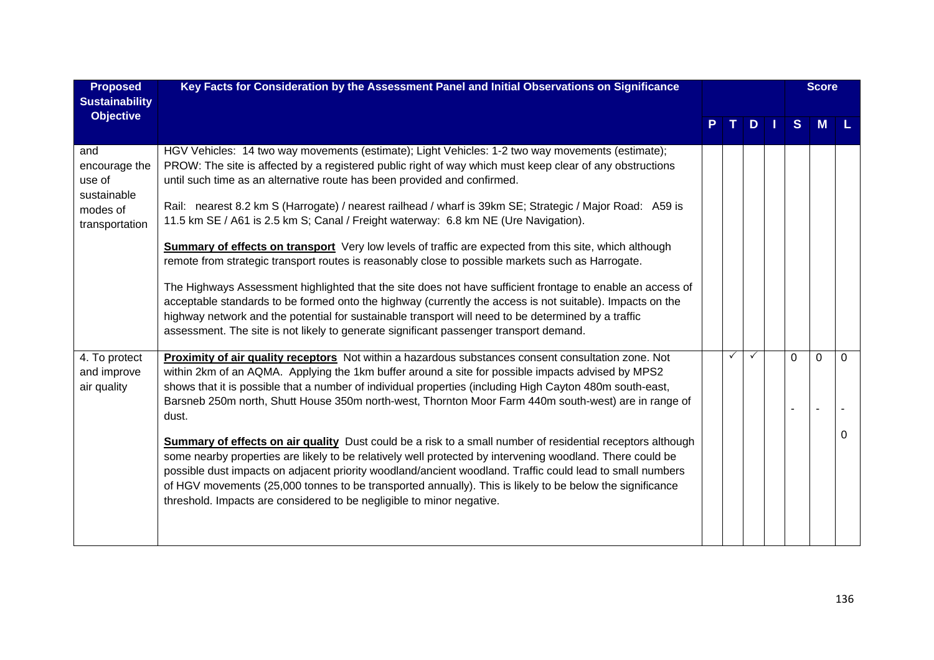| <b>Proposed</b><br><b>Sustainability</b>                                    | Key Facts for Consideration by the Assessment Panel and Initial Observations on Significance                                                                                                                                                                                                                                                                                                                                                                                                                                                                                                                                                                                                                                                                                                                                                                                                                                                                                                                                                                                                                                                  |  |    |          | <b>Score</b> |               |
|-----------------------------------------------------------------------------|-----------------------------------------------------------------------------------------------------------------------------------------------------------------------------------------------------------------------------------------------------------------------------------------------------------------------------------------------------------------------------------------------------------------------------------------------------------------------------------------------------------------------------------------------------------------------------------------------------------------------------------------------------------------------------------------------------------------------------------------------------------------------------------------------------------------------------------------------------------------------------------------------------------------------------------------------------------------------------------------------------------------------------------------------------------------------------------------------------------------------------------------------|--|----|----------|--------------|---------------|
| <b>Objective</b>                                                            |                                                                                                                                                                                                                                                                                                                                                                                                                                                                                                                                                                                                                                                                                                                                                                                                                                                                                                                                                                                                                                                                                                                                               |  | D. | S.       | M            |               |
| and<br>encourage the<br>use of<br>sustainable<br>modes of<br>transportation | HGV Vehicles: 14 two way movements (estimate); Light Vehicles: 1-2 two way movements (estimate);<br>PROW: The site is affected by a registered public right of way which must keep clear of any obstructions<br>until such time as an alternative route has been provided and confirmed.<br>Rail: nearest 8.2 km S (Harrogate) / nearest railhead / wharf is 39km SE; Strategic / Major Road: A59 is<br>11.5 km SE / A61 is 2.5 km S; Canal / Freight waterway: 6.8 km NE (Ure Navigation).<br><b>Summary of effects on transport</b> Very low levels of traffic are expected from this site, which although<br>remote from strategic transport routes is reasonably close to possible markets such as Harrogate.<br>The Highways Assessment highlighted that the site does not have sufficient frontage to enable an access of<br>acceptable standards to be formed onto the highway (currently the access is not suitable). Impacts on the<br>highway network and the potential for sustainable transport will need to be determined by a traffic<br>assessment. The site is not likely to generate significant passenger transport demand. |  |    |          |              |               |
| 4. To protect<br>and improve<br>air quality                                 | Proximity of air quality receptors Not within a hazardous substances consent consultation zone. Not<br>within 2km of an AQMA. Applying the 1km buffer around a site for possible impacts advised by MPS2<br>shows that it is possible that a number of individual properties (including High Cayton 480m south-east,<br>Barsneb 250m north, Shutt House 350m north-west, Thornton Moor Farm 440m south-west) are in range of<br>dust.<br><b>Summary of effects on air quality</b> Dust could be a risk to a small number of residential receptors although<br>some nearby properties are likely to be relatively well protected by intervening woodland. There could be<br>possible dust impacts on adjacent priority woodland/ancient woodland. Traffic could lead to small numbers<br>of HGV movements (25,000 tonnes to be transported annually). This is likely to be below the significance<br>threshold. Impacts are considered to be negligible to minor negative.                                                                                                                                                                     |  |    | $\Omega$ | $\mathbf 0$  | $\Omega$<br>0 |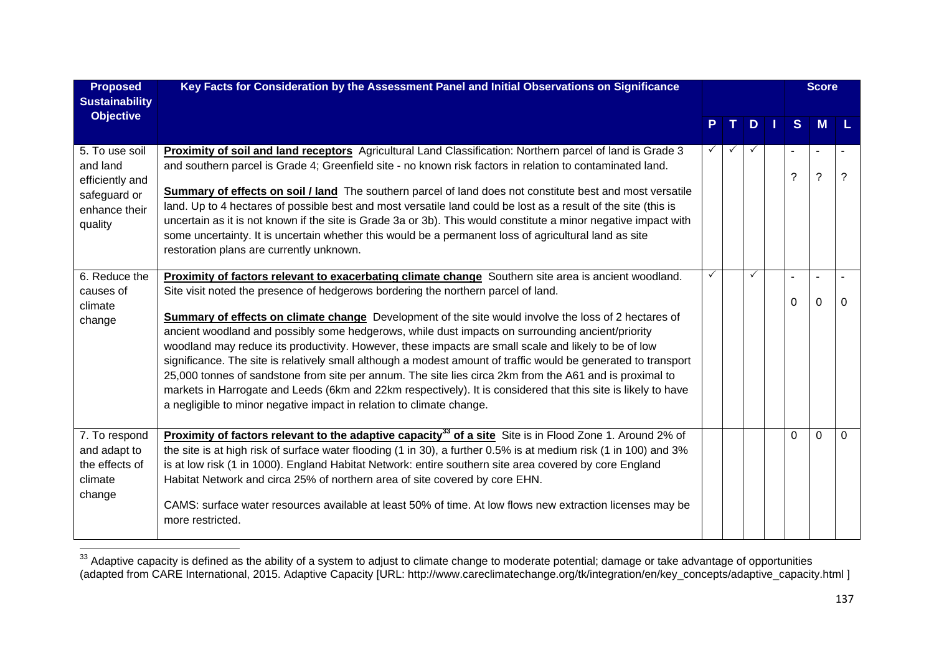| <b>Proposed</b><br><b>Sustainability</b>                                                  | Key Facts for Consideration by the Assessment Panel and Initial Observations on Significance                                                                                                                                                                                                                                                                                                                                                                                                                                                                                                                                                                                                                                                                                                                                                                                                                                               |    |              |          | <b>Score</b>          |          |
|-------------------------------------------------------------------------------------------|--------------------------------------------------------------------------------------------------------------------------------------------------------------------------------------------------------------------------------------------------------------------------------------------------------------------------------------------------------------------------------------------------------------------------------------------------------------------------------------------------------------------------------------------------------------------------------------------------------------------------------------------------------------------------------------------------------------------------------------------------------------------------------------------------------------------------------------------------------------------------------------------------------------------------------------------|----|--------------|----------|-----------------------|----------|
| <b>Objective</b>                                                                          |                                                                                                                                                                                                                                                                                                                                                                                                                                                                                                                                                                                                                                                                                                                                                                                                                                                                                                                                            | P. | TDI          | S        | <b>M</b>              |          |
| 5. To use soil<br>and land<br>efficiently and<br>safeguard or<br>enhance their<br>quality | Proximity of soil and land receptors Agricultural Land Classification: Northern parcel of land is Grade 3<br>and southern parcel is Grade 4; Greenfield site - no known risk factors in relation to contaminated land.<br><b>Summary of effects on soil / land</b> The southern parcel of land does not constitute best and most versatile<br>land. Up to 4 hectares of possible best and most versatile land could be lost as a result of the site (this is<br>uncertain as it is not known if the site is Grade 3a or 3b). This would constitute a minor negative impact with<br>some uncertainty. It is uncertain whether this would be a permanent loss of agricultural land as site<br>restoration plans are currently unknown.                                                                                                                                                                                                       |    |              | ?        | $\boldsymbol{\gamma}$ | 2        |
| 6. Reduce the<br>causes of<br>climate<br>change                                           | Proximity of factors relevant to exacerbating climate change Southern site area is ancient woodland.<br>Site visit noted the presence of hedgerows bordering the northern parcel of land.<br><b>Summary of effects on climate change</b> Development of the site would involve the loss of 2 hectares of<br>ancient woodland and possibly some hedgerows, while dust impacts on surrounding ancient/priority<br>woodland may reduce its productivity. However, these impacts are small scale and likely to be of low<br>significance. The site is relatively small although a modest amount of traffic would be generated to transport<br>25,000 tonnes of sandstone from site per annum. The site lies circa 2km from the A61 and is proximal to<br>markets in Harrogate and Leeds (6km and 22km respectively). It is considered that this site is likely to have<br>a negligible to minor negative impact in relation to climate change. | ✓  | $\checkmark$ | $\Omega$ | 0                     | 0        |
| 7. To respond<br>and adapt to<br>the effects of<br>climate<br>change                      | Proximity of factors relevant to the adaptive capacity <sup>33</sup> of a site Site is in Flood Zone 1. Around 2% of<br>the site is at high risk of surface water flooding (1 in 30), a further 0.5% is at medium risk (1 in 100) and 3%<br>is at low risk (1 in 1000). England Habitat Network: entire southern site area covered by core England<br>Habitat Network and circa 25% of northern area of site covered by core EHN.<br>CAMS: surface water resources available at least 50% of time. At low flows new extraction licenses may be<br>more restricted.                                                                                                                                                                                                                                                                                                                                                                         |    |              | $\Omega$ | $\Omega$              | $\Omega$ |

 $33$  Adaptive capacity is defined as the ability of a system to adjust to climate change to moderate potential; damage or take advantage of opportunities (adapted from CARE International, 2015. Adaptive Capacity [URL: http://www.careclimatechange.org/tk/integration/en/key\_concepts/adaptive\_capacity.html ]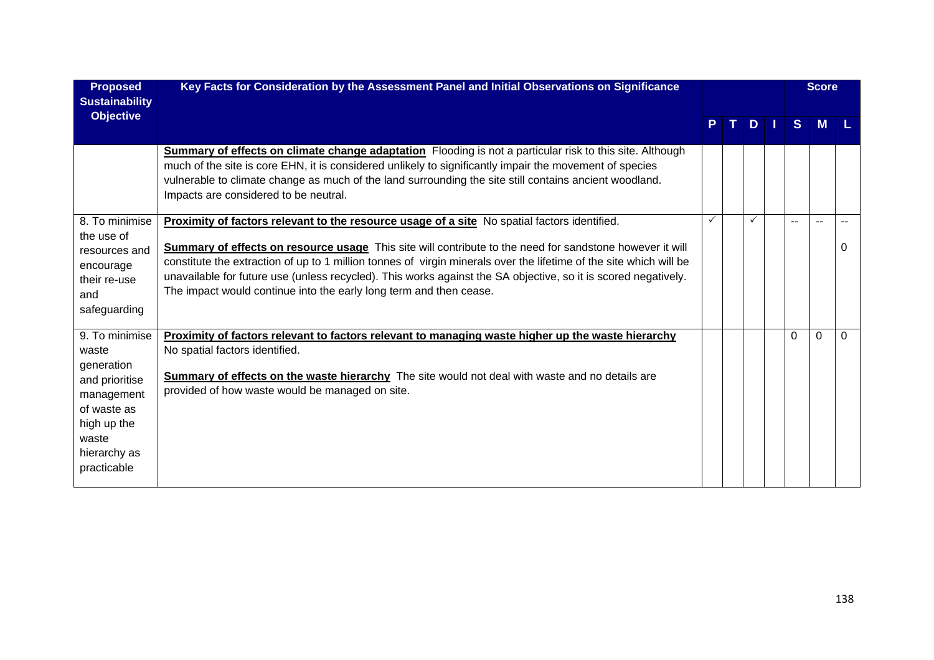| <b>Proposed</b><br><b>Sustainability</b>                                                                                                    | Key Facts for Consideration by the Assessment Panel and Initial Observations on Significance                                                                                                                                                                                                                                                                                                                                                                                                                           |    |    |    |    |          | <b>Score</b> |          |
|---------------------------------------------------------------------------------------------------------------------------------------------|------------------------------------------------------------------------------------------------------------------------------------------------------------------------------------------------------------------------------------------------------------------------------------------------------------------------------------------------------------------------------------------------------------------------------------------------------------------------------------------------------------------------|----|----|----|----|----------|--------------|----------|
| <b>Objective</b>                                                                                                                            |                                                                                                                                                                                                                                                                                                                                                                                                                                                                                                                        | P. | т. | D. | M. | S.       | M            |          |
|                                                                                                                                             | <b>Summary of effects on climate change adaptation</b> Flooding is not a particular risk to this site. Although<br>much of the site is core EHN, it is considered unlikely to significantly impair the movement of species<br>vulnerable to climate change as much of the land surrounding the site still contains ancient woodland.<br>Impacts are considered to be neutral.                                                                                                                                          |    |    |    |    |          |              |          |
| 8. To minimise<br>the use of<br>resources and<br>encourage<br>their re-use<br>and<br>safeguarding                                           | Proximity of factors relevant to the resource usage of a site No spatial factors identified.<br>Summary of effects on resource usage This site will contribute to the need for sandstone however it will<br>constitute the extraction of up to 1 million tonnes of virgin minerals over the lifetime of the site which will be<br>unavailable for future use (unless recycled). This works against the SA objective, so it is scored negatively.<br>The impact would continue into the early long term and then cease. |    |    | ✓  |    | --       |              | $\Omega$ |
| 9. To minimise<br>waste<br>generation<br>and prioritise<br>management<br>of waste as<br>high up the<br>waste<br>hierarchy as<br>practicable | Proximity of factors relevant to factors relevant to managing waste higher up the waste hierarchy<br>No spatial factors identified.<br><b>Summary of effects on the waste hierarchy</b> The site would not deal with waste and no details are<br>provided of how waste would be managed on site.                                                                                                                                                                                                                       |    |    |    |    | $\Omega$ | $\Omega$     | 0        |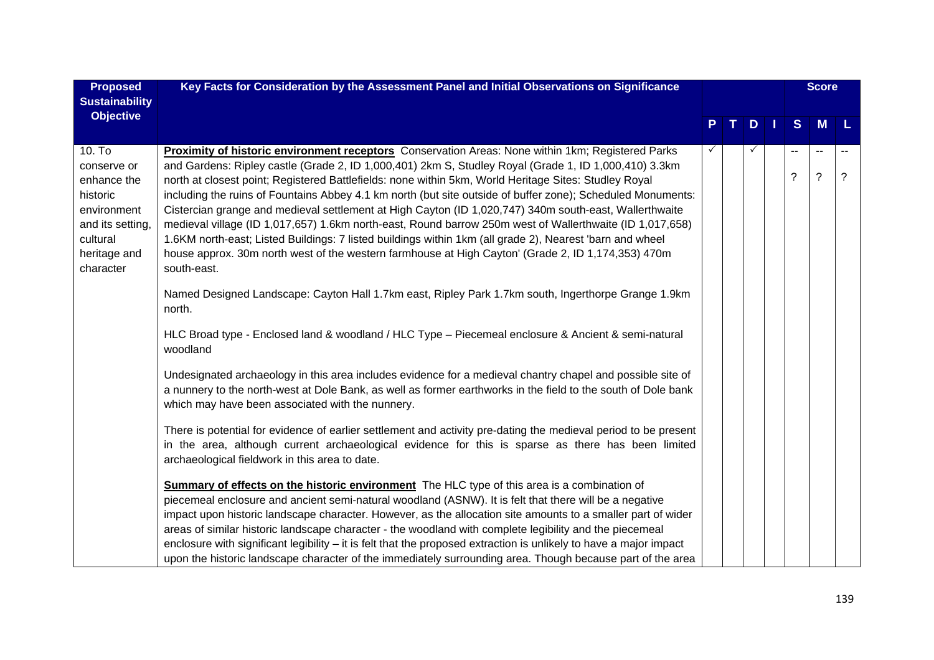| <b>Proposed</b><br><b>Sustainability</b>                                                                                     | Key Facts for Consideration by the Assessment Panel and Initial Observations on Significance                                                                                                                                                                                                                                                                                                                                                                                                                                                                                                                                                                                                                                                                                                                                                                                              |    |              |                               | <b>Score</b>                 |      |
|------------------------------------------------------------------------------------------------------------------------------|-------------------------------------------------------------------------------------------------------------------------------------------------------------------------------------------------------------------------------------------------------------------------------------------------------------------------------------------------------------------------------------------------------------------------------------------------------------------------------------------------------------------------------------------------------------------------------------------------------------------------------------------------------------------------------------------------------------------------------------------------------------------------------------------------------------------------------------------------------------------------------------------|----|--------------|-------------------------------|------------------------------|------|
| <b>Objective</b>                                                                                                             |                                                                                                                                                                                                                                                                                                                                                                                                                                                                                                                                                                                                                                                                                                                                                                                                                                                                                           | Т. | D            | S                             | M                            | - L. |
| 10. To<br>conserve or<br>enhance the<br>historic<br>environment<br>and its setting,<br>cultural<br>heritage and<br>character | Proximity of historic environment receptors Conservation Areas: None within 1km; Registered Parks<br>and Gardens: Ripley castle (Grade 2, ID 1,000,401) 2km S, Studley Royal (Grade 1, ID 1,000,410) 3.3km<br>north at closest point; Registered Battlefields: none within 5km, World Heritage Sites: Studley Royal<br>including the ruins of Fountains Abbey 4.1 km north (but site outside of buffer zone); Scheduled Monuments:<br>Cistercian grange and medieval settlement at High Cayton (ID 1,020,747) 340m south-east, Wallerthwaite<br>medieval village (ID 1,017,657) 1.6km north-east, Round barrow 250m west of Wallerthwaite (ID 1,017,658)<br>1.6KM north-east; Listed Buildings: 7 listed buildings within 1km (all grade 2), Nearest 'barn and wheel<br>house approx. 30m north west of the western farmhouse at High Cayton' (Grade 2, ID 1,174,353) 470m<br>south-east. |    | $\checkmark$ | $\overline{\phantom{a}}$<br>? | $\sim$ $\sim$<br>$\tilde{?}$ | ?    |
|                                                                                                                              | Named Designed Landscape: Cayton Hall 1.7km east, Ripley Park 1.7km south, Ingerthorpe Grange 1.9km<br>north.                                                                                                                                                                                                                                                                                                                                                                                                                                                                                                                                                                                                                                                                                                                                                                             |    |              |                               |                              |      |
|                                                                                                                              | HLC Broad type - Enclosed land & woodland / HLC Type - Piecemeal enclosure & Ancient & semi-natural<br>woodland                                                                                                                                                                                                                                                                                                                                                                                                                                                                                                                                                                                                                                                                                                                                                                           |    |              |                               |                              |      |
|                                                                                                                              | Undesignated archaeology in this area includes evidence for a medieval chantry chapel and possible site of<br>a nunnery to the north-west at Dole Bank, as well as former earthworks in the field to the south of Dole bank<br>which may have been associated with the nunnery.                                                                                                                                                                                                                                                                                                                                                                                                                                                                                                                                                                                                           |    |              |                               |                              |      |
|                                                                                                                              | There is potential for evidence of earlier settlement and activity pre-dating the medieval period to be present<br>in the area, although current archaeological evidence for this is sparse as there has been limited<br>archaeological fieldwork in this area to date.                                                                                                                                                                                                                                                                                                                                                                                                                                                                                                                                                                                                                   |    |              |                               |                              |      |
|                                                                                                                              | Summary of effects on the historic environment The HLC type of this area is a combination of<br>piecemeal enclosure and ancient semi-natural woodland (ASNW). It is felt that there will be a negative<br>impact upon historic landscape character. However, as the allocation site amounts to a smaller part of wider<br>areas of similar historic landscape character - the woodland with complete legibility and the piecemeal<br>enclosure with significant legibility – it is felt that the proposed extraction is unlikely to have a major impact<br>upon the historic landscape character of the immediately surrounding area. Though because part of the area                                                                                                                                                                                                                     |    |              |                               |                              |      |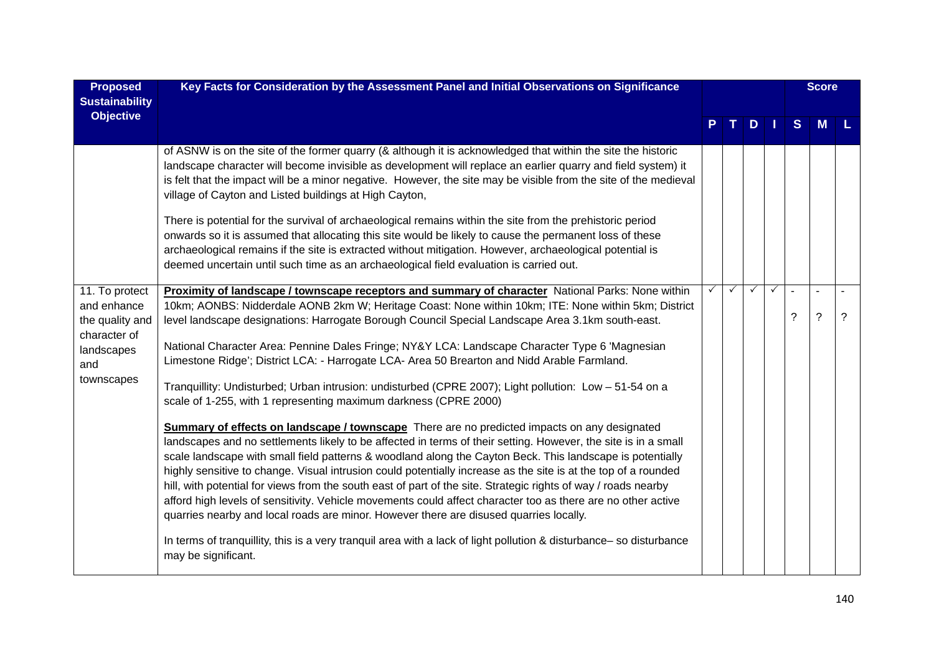| <b>Proposed</b><br><b>Sustainability</b>                                              | Key Facts for Consideration by the Assessment Panel and Initial Observations on Significance                                                                                                                                                                                                                                                                                                                                                                                                                                                                                                                                                                                                                                                                                     |   |              | <b>Score</b> |              |                     |                          |             |
|---------------------------------------------------------------------------------------|----------------------------------------------------------------------------------------------------------------------------------------------------------------------------------------------------------------------------------------------------------------------------------------------------------------------------------------------------------------------------------------------------------------------------------------------------------------------------------------------------------------------------------------------------------------------------------------------------------------------------------------------------------------------------------------------------------------------------------------------------------------------------------|---|--------------|--------------|--------------|---------------------|--------------------------|-------------|
| <b>Objective</b>                                                                      |                                                                                                                                                                                                                                                                                                                                                                                                                                                                                                                                                                                                                                                                                                                                                                                  |   |              | $D$          |              | S                   | <b>M</b>                 |             |
|                                                                                       | of ASNW is on the site of the former quarry (& although it is acknowledged that within the site the historic<br>landscape character will become invisible as development will replace an earlier quarry and field system) it<br>is felt that the impact will be a minor negative. However, the site may be visible from the site of the medieval<br>village of Cayton and Listed buildings at High Cayton,<br>There is potential for the survival of archaeological remains within the site from the prehistoric period                                                                                                                                                                                                                                                          |   |              |              |              |                     |                          |             |
|                                                                                       | onwards so it is assumed that allocating this site would be likely to cause the permanent loss of these<br>archaeological remains if the site is extracted without mitigation. However, archaeological potential is<br>deemed uncertain until such time as an archaeological field evaluation is carried out.                                                                                                                                                                                                                                                                                                                                                                                                                                                                    |   |              |              |              |                     |                          |             |
| 11. To protect<br>and enhance<br>the quality and<br>character of<br>landscapes<br>and | Proximity of landscape / townscape receptors and summary of character National Parks: None within<br>10km; AONBS: Nidderdale AONB 2km W; Heritage Coast: None within 10km; ITE: None within 5km; District<br>level landscape designations: Harrogate Borough Council Special Landscape Area 3.1km south-east.                                                                                                                                                                                                                                                                                                                                                                                                                                                                    | ✓ | $\checkmark$ | $\checkmark$ | $\checkmark$ | $\overline{a}$<br>? | $\sim$<br>$\overline{?}$ | $\tilde{?}$ |
|                                                                                       | National Character Area: Pennine Dales Fringe; NY&Y LCA: Landscape Character Type 6 'Magnesian<br>Limestone Ridge'; District LCA: - Harrogate LCA- Area 50 Brearton and Nidd Arable Farmland.                                                                                                                                                                                                                                                                                                                                                                                                                                                                                                                                                                                    |   |              |              |              |                     |                          |             |
| townscapes                                                                            | Tranquillity: Undisturbed; Urban intrusion: undisturbed (CPRE 2007); Light pollution: Low - 51-54 on a<br>scale of 1-255, with 1 representing maximum darkness (CPRE 2000)                                                                                                                                                                                                                                                                                                                                                                                                                                                                                                                                                                                                       |   |              |              |              |                     |                          |             |
|                                                                                       | <b>Summary of effects on landscape / townscape</b> There are no predicted impacts on any designated<br>landscapes and no settlements likely to be affected in terms of their setting. However, the site is in a small<br>scale landscape with small field patterns & woodland along the Cayton Beck. This landscape is potentially<br>highly sensitive to change. Visual intrusion could potentially increase as the site is at the top of a rounded<br>hill, with potential for views from the south east of part of the site. Strategic rights of way / roads nearby<br>afford high levels of sensitivity. Vehicle movements could affect character too as there are no other active<br>quarries nearby and local roads are minor. However there are disused quarries locally. |   |              |              |              |                     |                          |             |
|                                                                                       | In terms of tranquillity, this is a very tranquil area with a lack of light pollution & disturbance- so disturbance<br>may be significant.                                                                                                                                                                                                                                                                                                                                                                                                                                                                                                                                                                                                                                       |   |              |              |              |                     |                          |             |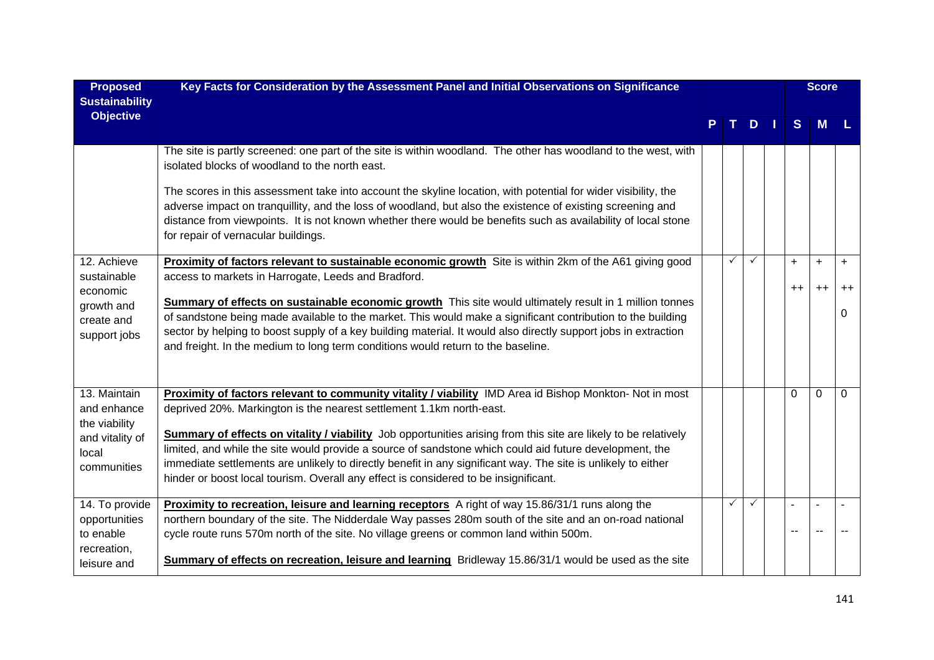| <b>Proposed</b><br><b>Sustainability</b>                                                | Key Facts for Consideration by the Assessment Panel and Initial Observations on Significance                                                                                                                                                                                                                                                                                                                                                                                                                                                                                                                           |  |              |               | <b>Score</b>      |                   |                   |  |
|-----------------------------------------------------------------------------------------|------------------------------------------------------------------------------------------------------------------------------------------------------------------------------------------------------------------------------------------------------------------------------------------------------------------------------------------------------------------------------------------------------------------------------------------------------------------------------------------------------------------------------------------------------------------------------------------------------------------------|--|--------------|---------------|-------------------|-------------------|-------------------|--|
| <b>Objective</b>                                                                        |                                                                                                                                                                                                                                                                                                                                                                                                                                                                                                                                                                                                                        |  |              | $D \mid \mid$ | <sub>S</sub>      | M                 |                   |  |
|                                                                                         | The site is partly screened: one part of the site is within woodland. The other has woodland to the west, with<br>isolated blocks of woodland to the north east.                                                                                                                                                                                                                                                                                                                                                                                                                                                       |  |              |               |                   |                   |                   |  |
|                                                                                         | The scores in this assessment take into account the skyline location, with potential for wider visibility, the<br>adverse impact on tranquillity, and the loss of woodland, but also the existence of existing screening and<br>distance from viewpoints. It is not known whether there would be benefits such as availability of local stone<br>for repair of vernacular buildings.                                                                                                                                                                                                                                   |  |              |               |                   |                   |                   |  |
| 12. Achieve<br>sustainable<br>economic<br>growth and<br>create and<br>support jobs      | Proximity of factors relevant to sustainable economic growth Site is within 2km of the A61 giving good<br>access to markets in Harrogate, Leeds and Bradford.                                                                                                                                                                                                                                                                                                                                                                                                                                                          |  | $\checkmark$ |               | $\ddot{}$<br>$++$ | $\ddot{}$<br>$++$ | $\ddot{}$<br>$++$ |  |
|                                                                                         | Summary of effects on sustainable economic growth This site would ultimately result in 1 million tonnes<br>of sandstone being made available to the market. This would make a significant contribution to the building<br>sector by helping to boost supply of a key building material. It would also directly support jobs in extraction<br>and freight. In the medium to long term conditions would return to the baseline.                                                                                                                                                                                          |  |              |               |                   |                   | 0                 |  |
| 13. Maintain<br>and enhance<br>the viability<br>and vitality of<br>local<br>communities | Proximity of factors relevant to community vitality / viability IMD Area id Bishop Monkton- Not in most<br>deprived 20%. Markington is the nearest settlement 1.1km north-east.<br>Summary of effects on vitality / viability Job opportunities arising from this site are likely to be relatively<br>limited, and while the site would provide a source of sandstone which could aid future development, the<br>immediate settlements are unlikely to directly benefit in any significant way. The site is unlikely to either<br>hinder or boost local tourism. Overall any effect is considered to be insignificant. |  |              |               | 0                 | $\Omega$          | $\Omega$          |  |
| 14. To provide<br>opportunities<br>to enable<br>recreation,<br>leisure and              | Proximity to recreation, leisure and learning receptors A right of way 15.86/31/1 runs along the<br>northern boundary of the site. The Nidderdale Way passes 280m south of the site and an on-road national<br>cycle route runs 570m north of the site. No village greens or common land within 500m.<br>Summary of effects on recreation, leisure and learning Bridleway 15.86/31/1 would be used as the site                                                                                                                                                                                                         |  | $\checkmark$ | $\checkmark$  |                   |                   |                   |  |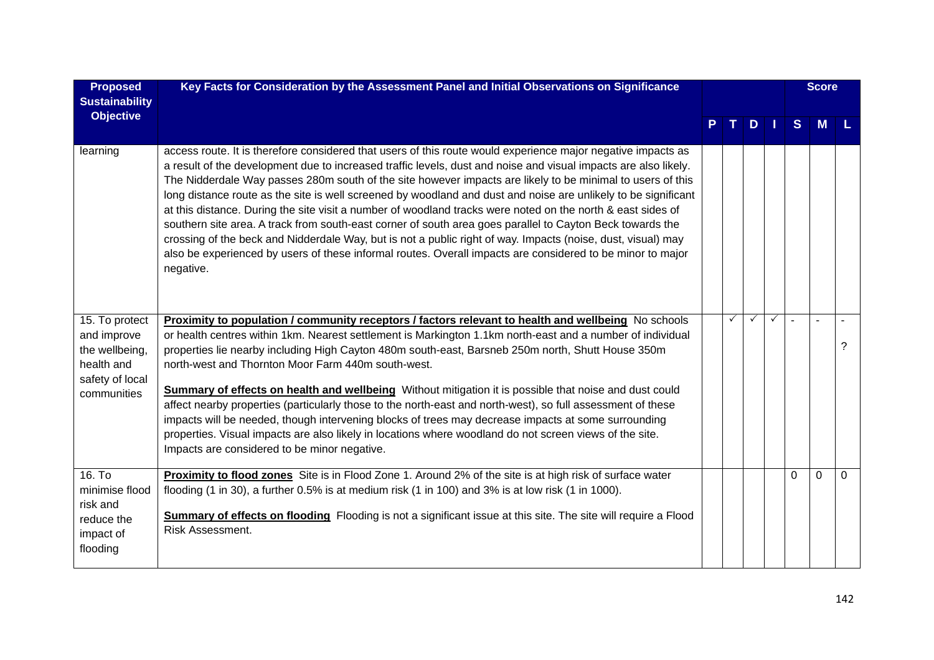| <b>Proposed</b><br><b>Sustainability</b>                                                        | Key Facts for Consideration by the Assessment Panel and Initial Observations on Significance                                                                                                                                                                                                                                                                                                                                                                                                                                                                                                                                                                                                                                                                                                                                                                                                                                           |  |              |                     | <b>Score</b> |   |                |   |
|-------------------------------------------------------------------------------------------------|----------------------------------------------------------------------------------------------------------------------------------------------------------------------------------------------------------------------------------------------------------------------------------------------------------------------------------------------------------------------------------------------------------------------------------------------------------------------------------------------------------------------------------------------------------------------------------------------------------------------------------------------------------------------------------------------------------------------------------------------------------------------------------------------------------------------------------------------------------------------------------------------------------------------------------------|--|--------------|---------------------|--------------|---|----------------|---|
| <b>Objective</b>                                                                                |                                                                                                                                                                                                                                                                                                                                                                                                                                                                                                                                                                                                                                                                                                                                                                                                                                                                                                                                        |  |              | $D \mid \cdot \mid$ |              | S | M              |   |
| learning                                                                                        | access route. It is therefore considered that users of this route would experience major negative impacts as<br>a result of the development due to increased traffic levels, dust and noise and visual impacts are also likely.<br>The Nidderdale Way passes 280m south of the site however impacts are likely to be minimal to users of this<br>long distance route as the site is well screened by woodland and dust and noise are unlikely to be significant<br>at this distance. During the site visit a number of woodland tracks were noted on the north & east sides of<br>southern site area. A track from south-east corner of south area goes parallel to Cayton Beck towards the<br>crossing of the beck and Nidderdale Way, but is not a public right of way. Impacts (noise, dust, visual) may<br>also be experienced by users of these informal routes. Overall impacts are considered to be minor to major<br>negative. |  |              |                     |              |   |                |   |
| 15. To protect<br>and improve<br>the wellbeing,<br>health and<br>safety of local<br>communities | Proximity to population / community receptors / factors relevant to health and wellbeing No schools<br>or health centres within 1km. Nearest settlement is Markington 1.1km north-east and a number of individual<br>properties lie nearby including High Cayton 480m south-east, Barsneb 250m north, Shutt House 350m<br>north-west and Thornton Moor Farm 440m south-west.<br>Summary of effects on health and wellbeing Without mitigation it is possible that noise and dust could<br>affect nearby properties (particularly those to the north-east and north-west), so full assessment of these<br>impacts will be needed, though intervening blocks of trees may decrease impacts at some surrounding<br>properties. Visual impacts are also likely in locations where woodland do not screen views of the site.<br>Impacts are considered to be minor negative.                                                                |  | $\checkmark$ | $\checkmark$        | $\checkmark$ |   | $\overline{a}$ | ? |
| 16. T <sub>o</sub><br>minimise flood<br>risk and<br>reduce the<br>impact of<br>flooding         | Proximity to flood zones Site is in Flood Zone 1. Around 2% of the site is at high risk of surface water<br>flooding (1 in 30), a further 0.5% is at medium risk (1 in 100) and 3% is at low risk (1 in 1000).<br>Summary of effects on flooding Flooding is not a significant issue at this site. The site will require a Flood<br><b>Risk Assessment.</b>                                                                                                                                                                                                                                                                                                                                                                                                                                                                                                                                                                            |  |              |                     |              | 0 | $\Omega$       | 0 |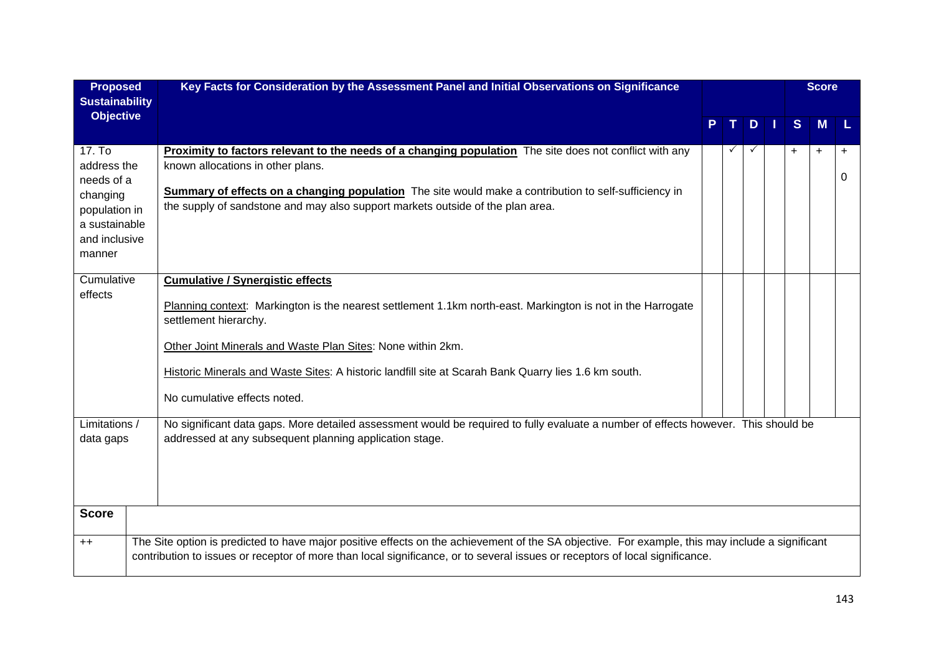| <b>Proposed</b>                                                                                              | Key Facts for Consideration by the Assessment Panel and Initial Observations on Significance                                                                                                                                                                                                                                                                                           |              |              |     | <b>Score</b> |                |
|--------------------------------------------------------------------------------------------------------------|----------------------------------------------------------------------------------------------------------------------------------------------------------------------------------------------------------------------------------------------------------------------------------------------------------------------------------------------------------------------------------------|--------------|--------------|-----|--------------|----------------|
| <b>Sustainability</b><br><b>Objective</b>                                                                    |                                                                                                                                                                                                                                                                                                                                                                                        |              | D            | S   | <b>M</b>     | L              |
| 17. To<br>address the<br>needs of a<br>changing<br>population in<br>a sustainable<br>and inclusive<br>manner | <b>Proximity to factors relevant to the needs of a changing population</b> The site does not conflict with any<br>known allocations in other plans.<br>Summary of effects on a changing population The site would make a contribution to self-sufficiency in<br>the supply of sandstone and may also support markets outside of the plan area.                                         | $\checkmark$ | $\checkmark$ | $+$ | $\ddot{}$    | $\ddot{}$<br>0 |
| Cumulative<br>effects                                                                                        | <b>Cumulative / Synergistic effects</b><br>Planning context: Markington is the nearest settlement 1.1km north-east. Markington is not in the Harrogate<br>settlement hierarchy.<br>Other Joint Minerals and Waste Plan Sites: None within 2km.<br>Historic Minerals and Waste Sites: A historic landfill site at Scarah Bank Quarry lies 1.6 km south.<br>No cumulative effects noted. |              |              |     |              |                |
| Limitations /<br>data gaps                                                                                   | No significant data gaps. More detailed assessment would be required to fully evaluate a number of effects however. This should be<br>addressed at any subsequent planning application stage.                                                                                                                                                                                          |              |              |     |              |                |
| <b>Score</b>                                                                                                 |                                                                                                                                                                                                                                                                                                                                                                                        |              |              |     |              |                |
| $++$                                                                                                         | The Site option is predicted to have major positive effects on the achievement of the SA objective. For example, this may include a significant<br>contribution to issues or receptor of more than local significance, or to several issues or receptors of local significance.                                                                                                        |              |              |     |              |                |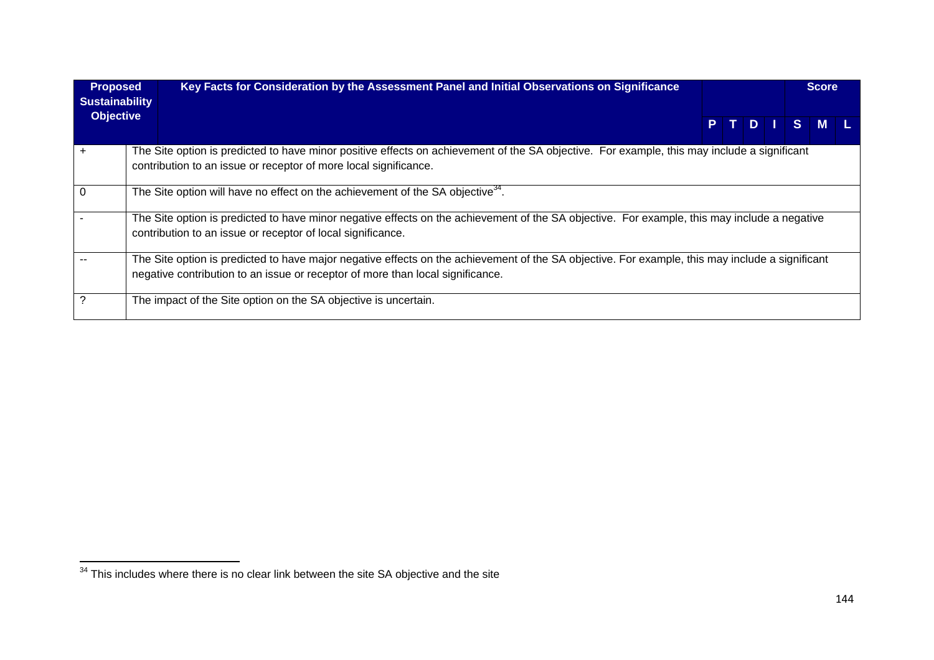| <b>Proposed</b><br><b>Sustainability</b> | Key Facts for Consideration by the Assessment Panel and Initial Observations on Significance                                                                                                                                      |      |  | <b>Score</b> |  |
|------------------------------------------|-----------------------------------------------------------------------------------------------------------------------------------------------------------------------------------------------------------------------------------|------|--|--------------|--|
| <b>Objective</b>                         |                                                                                                                                                                                                                                   | PTDT |  | S M L        |  |
|                                          | The Site option is predicted to have minor positive effects on achievement of the SA objective. For example, this may include a significant<br>contribution to an issue or receptor of more local significance.                   |      |  |              |  |
| $\Omega$                                 | The Site option will have no effect on the achievement of the SA objective <sup>34</sup> .                                                                                                                                        |      |  |              |  |
|                                          | The Site option is predicted to have minor negative effects on the achievement of the SA objective. For example, this may include a negative<br>contribution to an issue or receptor of local significance.                       |      |  |              |  |
|                                          | The Site option is predicted to have major negative effects on the achievement of the SA objective. For example, this may include a significant<br>negative contribution to an issue or receptor of more than local significance. |      |  |              |  |
|                                          | The impact of the Site option on the SA objective is uncertain.                                                                                                                                                                   |      |  |              |  |

 $\frac{34}{34}$  This includes where there is no clear link between the site SA objective and the site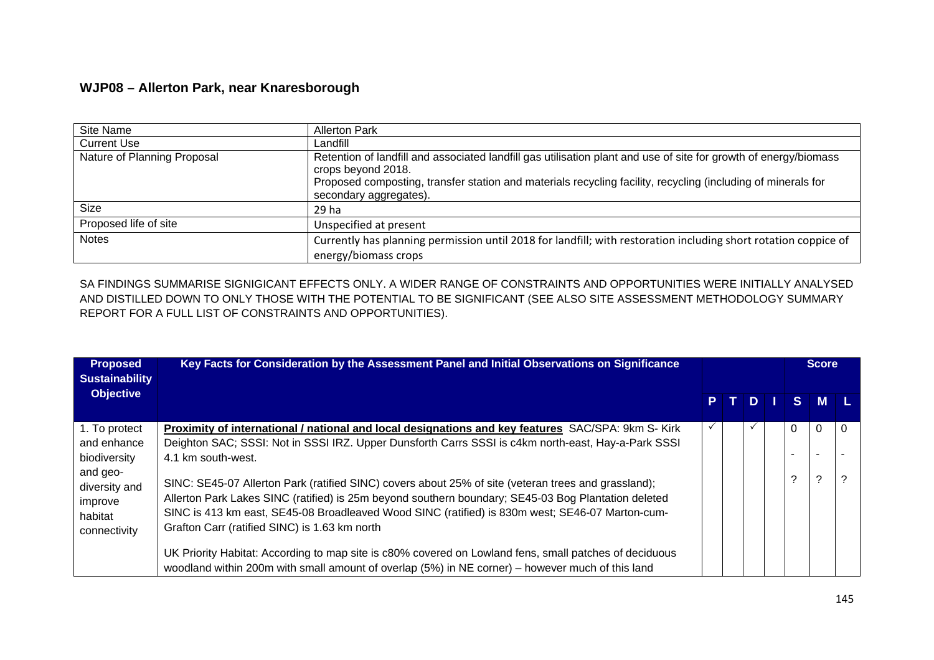## **WJP08 – Allerton Park, near Knaresborough**

| Site Name                   | <b>Allerton Park</b>                                                                                                                                                                                                                                                             |
|-----------------------------|----------------------------------------------------------------------------------------------------------------------------------------------------------------------------------------------------------------------------------------------------------------------------------|
| <b>Current Use</b>          | Landfill                                                                                                                                                                                                                                                                         |
| Nature of Planning Proposal | Retention of landfill and associated landfill gas utilisation plant and use of site for growth of energy/biomass<br>crops beyond 2018.<br>Proposed composting, transfer station and materials recycling facility, recycling (including of minerals for<br>secondary aggregates). |
| Size                        | 29 ha                                                                                                                                                                                                                                                                            |
| Proposed life of site       | Unspecified at present                                                                                                                                                                                                                                                           |
| <b>Notes</b>                | Currently has planning permission until 2018 for landfill; with restoration including short rotation coppice of<br>energy/biomass crops                                                                                                                                          |

SA FINDINGS SUMMARISE SIGNIGICANT EFFECTS ONLY. A WIDER RANGE OF CONSTRAINTS AND OPPORTUNITIES WERE INITIALLY ANALYSED AND DISTILLED DOWN TO ONLY THOSE WITH THE POTENTIAL TO BE SIGNIFICANT (SEE ALSO SITE ASSESSMENT METHODOLOGY SUMMARY REPORT FOR A FULL LIST OF CONSTRAINTS AND OPPORTUNITIES).

| <b>Proposed</b><br><b>Sustainability</b>                        | Key Facts for Consideration by the Assessment Panel and Initial Observations on Significance                                                                                                                                                                                                                                                                   |      |  |                          | <b>Score</b> |   |
|-----------------------------------------------------------------|----------------------------------------------------------------------------------------------------------------------------------------------------------------------------------------------------------------------------------------------------------------------------------------------------------------------------------------------------------------|------|--|--------------------------|--------------|---|
| <b>Objective</b>                                                |                                                                                                                                                                                                                                                                                                                                                                | PTDI |  |                          | $S$ M $L$    |   |
| 1. To protect                                                   | Proximity of international / national and local designations and key features SAC/SPA: 9km S- Kirk                                                                                                                                                                                                                                                             |      |  | 0                        |              |   |
| and enhance                                                     | Deighton SAC; SSSI: Not in SSSI IRZ. Upper Dunsforth Carrs SSSI is c4km north-east, Hay-a-Park SSSI                                                                                                                                                                                                                                                            |      |  |                          |              |   |
| biodiversity                                                    | 4.1 km south-west.                                                                                                                                                                                                                                                                                                                                             |      |  | $\overline{\phantom{0}}$ |              |   |
| and geo-<br>diversity and<br>improve<br>habitat<br>connectivity | SINC: SE45-07 Allerton Park (ratified SINC) covers about 25% of site (veteran trees and grassland);<br>Allerton Park Lakes SINC (ratified) is 25m beyond southern boundary; SE45-03 Bog Plantation deleted<br>SINC is 413 km east, SE45-08 Broadleaved Wood SINC (ratified) is 830m west; SE46-07 Marton-cum-<br>Grafton Carr (ratified SINC) is 1.63 km north |      |  | ⌒                        | າ            | 2 |
|                                                                 | UK Priority Habitat: According to map site is c80% covered on Lowland fens, small patches of deciduous<br>woodland within 200m with small amount of overlap (5%) in NE corner) – however much of this land                                                                                                                                                     |      |  |                          |              |   |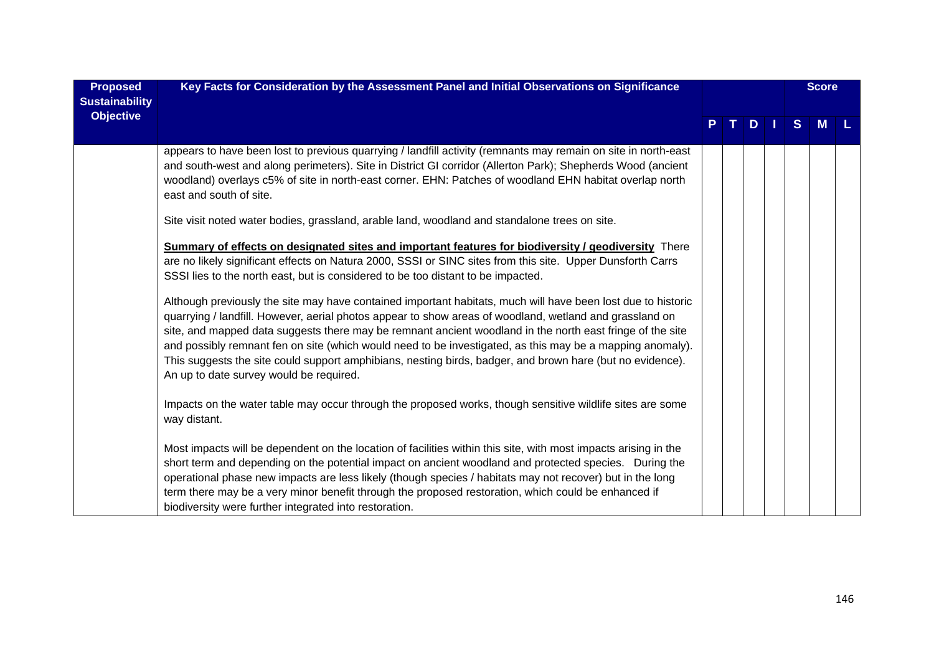| <b>Proposed</b><br><b>Sustainability</b> | Key Facts for Consideration by the Assessment Panel and Initial Observations on Significance                                                                                                                                                                                                                                                                                                                                                                                                                                                                                                                                                                                                                                                                                                                                                                                                                              |   |   |              | <b>Score</b> |  |
|------------------------------------------|---------------------------------------------------------------------------------------------------------------------------------------------------------------------------------------------------------------------------------------------------------------------------------------------------------------------------------------------------------------------------------------------------------------------------------------------------------------------------------------------------------------------------------------------------------------------------------------------------------------------------------------------------------------------------------------------------------------------------------------------------------------------------------------------------------------------------------------------------------------------------------------------------------------------------|---|---|--------------|--------------|--|
| <b>Objective</b>                         |                                                                                                                                                                                                                                                                                                                                                                                                                                                                                                                                                                                                                                                                                                                                                                                                                                                                                                                           | P | D | <sub>S</sub> |              |  |
|                                          | appears to have been lost to previous quarrying / landfill activity (remnants may remain on site in north-east<br>and south-west and along perimeters). Site in District GI corridor (Allerton Park); Shepherds Wood (ancient<br>woodland) overlays c5% of site in north-east corner. EHN: Patches of woodland EHN habitat overlap north<br>east and south of site.                                                                                                                                                                                                                                                                                                                                                                                                                                                                                                                                                       |   |   |              |              |  |
|                                          | Site visit noted water bodies, grassland, arable land, woodland and standalone trees on site.                                                                                                                                                                                                                                                                                                                                                                                                                                                                                                                                                                                                                                                                                                                                                                                                                             |   |   |              |              |  |
|                                          | <b>Summary of effects on designated sites and important features for biodiversity / geodiversity</b> There<br>are no likely significant effects on Natura 2000, SSSI or SINC sites from this site. Upper Dunsforth Carrs<br>SSSI lies to the north east, but is considered to be too distant to be impacted.<br>Although previously the site may have contained important habitats, much will have been lost due to historic<br>quarrying / landfill. However, aerial photos appear to show areas of woodland, wetland and grassland on<br>site, and mapped data suggests there may be remnant ancient woodland in the north east fringe of the site<br>and possibly remnant fen on site (which would need to be investigated, as this may be a mapping anomaly).<br>This suggests the site could support amphibians, nesting birds, badger, and brown hare (but no evidence).<br>An up to date survey would be required. |   |   |              |              |  |
|                                          | Impacts on the water table may occur through the proposed works, though sensitive wildlife sites are some<br>way distant.                                                                                                                                                                                                                                                                                                                                                                                                                                                                                                                                                                                                                                                                                                                                                                                                 |   |   |              |              |  |
|                                          | Most impacts will be dependent on the location of facilities within this site, with most impacts arising in the<br>short term and depending on the potential impact on ancient woodland and protected species.  During the<br>operational phase new impacts are less likely (though species / habitats may not recover) but in the long<br>term there may be a very minor benefit through the proposed restoration, which could be enhanced if<br>biodiversity were further integrated into restoration.                                                                                                                                                                                                                                                                                                                                                                                                                  |   |   |              |              |  |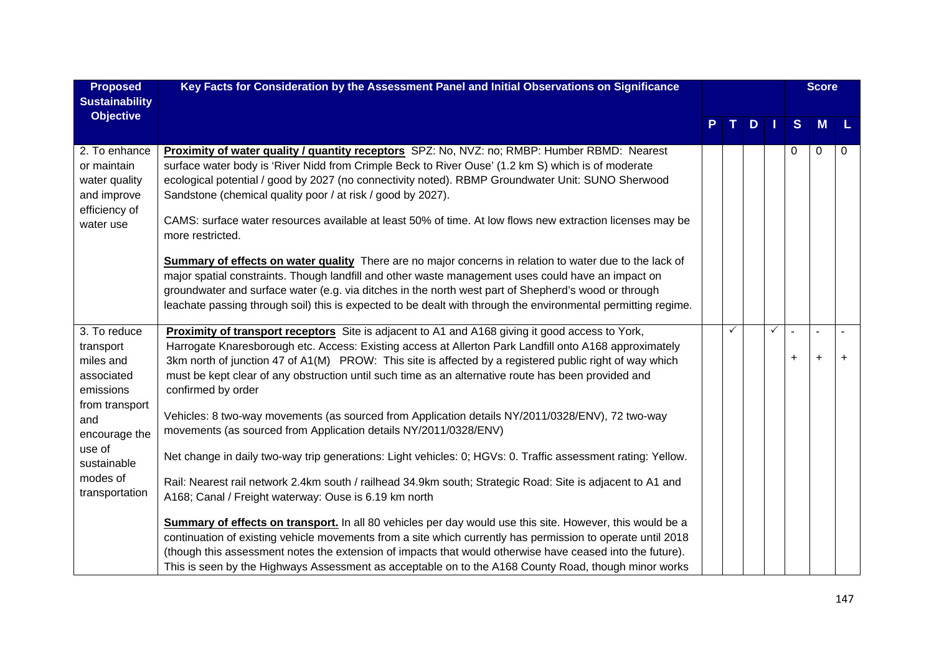| <b>Proposed</b>                                                               | Key Facts for Consideration by the Assessment Panel and Initial Observations on Significance                                                                                                                                                                                                                                                                                                                                                                                        |       |     |   |                             | <b>Score</b>                |           |
|-------------------------------------------------------------------------------|-------------------------------------------------------------------------------------------------------------------------------------------------------------------------------------------------------------------------------------------------------------------------------------------------------------------------------------------------------------------------------------------------------------------------------------------------------------------------------------|-------|-----|---|-----------------------------|-----------------------------|-----------|
| <b>Sustainability</b>                                                         |                                                                                                                                                                                                                                                                                                                                                                                                                                                                                     |       |     |   |                             |                             |           |
| <b>Objective</b>                                                              |                                                                                                                                                                                                                                                                                                                                                                                                                                                                                     | . T I | $D$ |   | S                           | M                           | L         |
|                                                                               |                                                                                                                                                                                                                                                                                                                                                                                                                                                                                     |       |     |   |                             |                             |           |
| 2. To enhance<br>or maintain<br>water quality<br>and improve<br>efficiency of | Proximity of water quality / quantity receptors SPZ: No, NVZ: no; RMBP: Humber RBMD: Nearest<br>surface water body is 'River Nidd from Crimple Beck to River Ouse' (1.2 km S) which is of moderate<br>ecological potential / good by 2027 (no connectivity noted). RBMP Groundwater Unit: SUNO Sherwood<br>Sandstone (chemical quality poor / at risk / good by 2027).<br>CAMS: surface water resources available at least 50% of time. At low flows new extraction licenses may be |       |     |   | 0                           | $\mathbf 0$                 | 0         |
| water use                                                                     | more restricted.                                                                                                                                                                                                                                                                                                                                                                                                                                                                    |       |     |   |                             |                             |           |
|                                                                               | Summary of effects on water quality There are no major concerns in relation to water due to the lack of<br>major spatial constraints. Though landfill and other waste management uses could have an impact on<br>groundwater and surface water (e.g. via ditches in the north west part of Shepherd's wood or through<br>leachate passing through soil) this is expected to be dealt with through the environmental permitting regime.                                              |       |     |   |                             |                             |           |
|                                                                               |                                                                                                                                                                                                                                                                                                                                                                                                                                                                                     | ✓     |     | ✓ |                             |                             |           |
| 3. To reduce<br>transport<br>miles and<br>associated<br>emissions             | Proximity of transport receptors Site is adjacent to A1 and A168 giving it good access to York,<br>Harrogate Knaresborough etc. Access: Existing access at Allerton Park Landfill onto A168 approximately<br>3km north of junction 47 of A1(M) PROW: This site is affected by a registered public right of way which<br>must be kept clear of any obstruction until such time as an alternative route has been provided and<br>confirmed by order                                   |       |     |   | $\overline{a}$<br>$\ddot{}$ | $\overline{a}$<br>$\ddot{}$ | $\ddot{}$ |
| from transport<br>and<br>encourage the                                        | Vehicles: 8 two-way movements (as sourced from Application details NY/2011/0328/ENV), 72 two-way<br>movements (as sourced from Application details NY/2011/0328/ENV)                                                                                                                                                                                                                                                                                                                |       |     |   |                             |                             |           |
| use of<br>sustainable                                                         | Net change in daily two-way trip generations: Light vehicles: 0; HGVs: 0. Traffic assessment rating: Yellow.                                                                                                                                                                                                                                                                                                                                                                        |       |     |   |                             |                             |           |
| modes of<br>transportation                                                    | Rail: Nearest rail network 2.4km south / railhead 34.9km south; Strategic Road: Site is adjacent to A1 and<br>A168; Canal / Freight waterway: Ouse is 6.19 km north                                                                                                                                                                                                                                                                                                                 |       |     |   |                             |                             |           |
|                                                                               | Summary of effects on transport. In all 80 vehicles per day would use this site. However, this would be a<br>continuation of existing vehicle movements from a site which currently has permission to operate until 2018<br>(though this assessment notes the extension of impacts that would otherwise have ceased into the future).<br>This is seen by the Highways Assessment as acceptable on to the A168 County Road, though minor works                                       |       |     |   |                             |                             |           |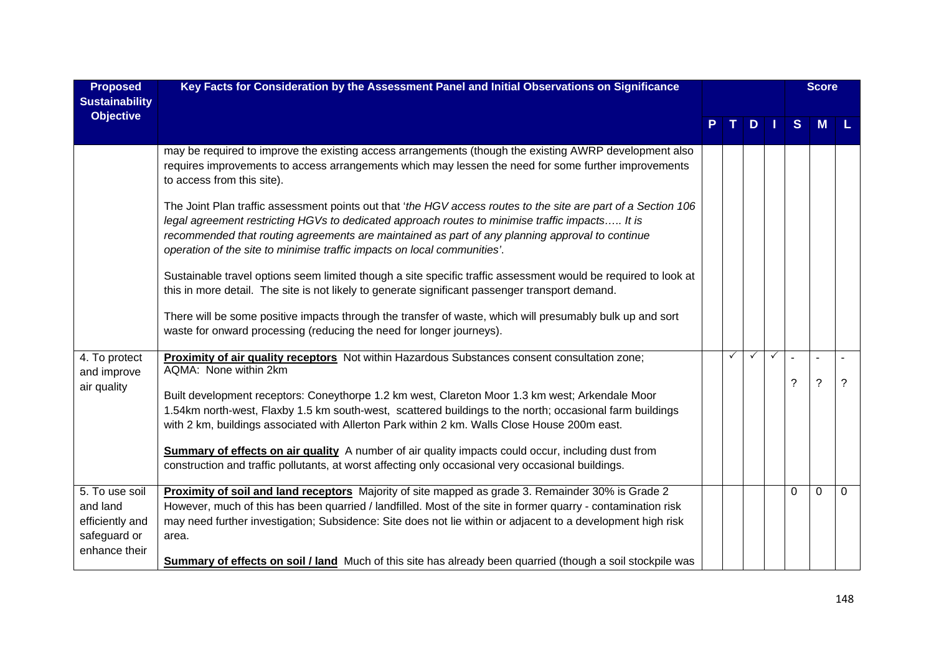| <b>Proposed</b>                                                                | Key Facts for Consideration by the Assessment Panel and Initial Observations on Significance                                                                                                                                                                                                                                                                                                     |  |   |   |          | <b>Score</b>         |          |
|--------------------------------------------------------------------------------|--------------------------------------------------------------------------------------------------------------------------------------------------------------------------------------------------------------------------------------------------------------------------------------------------------------------------------------------------------------------------------------------------|--|---|---|----------|----------------------|----------|
| <b>Sustainability</b><br><b>Objective</b>                                      |                                                                                                                                                                                                                                                                                                                                                                                                  |  | D |   | S        | M                    |          |
|                                                                                | may be required to improve the existing access arrangements (though the existing AWRP development also<br>requires improvements to access arrangements which may lessen the need for some further improvements<br>to access from this site).                                                                                                                                                     |  |   |   |          |                      |          |
|                                                                                | The Joint Plan traffic assessment points out that 'the HGV access routes to the site are part of a Section 106<br>legal agreement restricting HGVs to dedicated approach routes to minimise traffic impacts It is<br>recommended that routing agreements are maintained as part of any planning approval to continue<br>operation of the site to minimise traffic impacts on local communities'. |  |   |   |          |                      |          |
|                                                                                | Sustainable travel options seem limited though a site specific traffic assessment would be required to look at<br>this in more detail. The site is not likely to generate significant passenger transport demand.                                                                                                                                                                                |  |   |   |          |                      |          |
|                                                                                | There will be some positive impacts through the transfer of waste, which will presumably bulk up and sort<br>waste for onward processing (reducing the need for longer journeys).                                                                                                                                                                                                                |  |   |   |          |                      |          |
| 4. To protect<br>and improve                                                   | Proximity of air quality receptors Not within Hazardous Substances consent consultation zone;<br>AQMA: None within 2km                                                                                                                                                                                                                                                                           |  |   | ✓ |          |                      | ?        |
| air quality                                                                    | Built development receptors: Coneythorpe 1.2 km west, Clareton Moor 1.3 km west; Arkendale Moor<br>1.54km north-west, Flaxby 1.5 km south-west, scattered buildings to the north; occasional farm buildings<br>with 2 km, buildings associated with Allerton Park within 2 km. Walls Close House 200m east.                                                                                      |  |   |   | ?        | $\ddot{\phantom{0}}$ |          |
|                                                                                | <b>Summary of effects on air quality</b> A number of air quality impacts could occur, including dust from<br>construction and traffic pollutants, at worst affecting only occasional very occasional buildings.                                                                                                                                                                                  |  |   |   |          |                      |          |
| 5. To use soil<br>and land<br>efficiently and<br>safeguard or<br>enhance their | Proximity of soil and land receptors Majority of site mapped as grade 3. Remainder 30% is Grade 2<br>However, much of this has been quarried / landfilled. Most of the site in former quarry - contamination risk<br>may need further investigation; Subsidence: Site does not lie within or adjacent to a development high risk<br>area.                                                        |  |   |   | $\Omega$ | $\mathbf{0}$         | $\Omega$ |
|                                                                                | <b>Summary of effects on soil / land</b> Much of this site has already been quarried (though a soil stockpile was                                                                                                                                                                                                                                                                                |  |   |   |          |                      |          |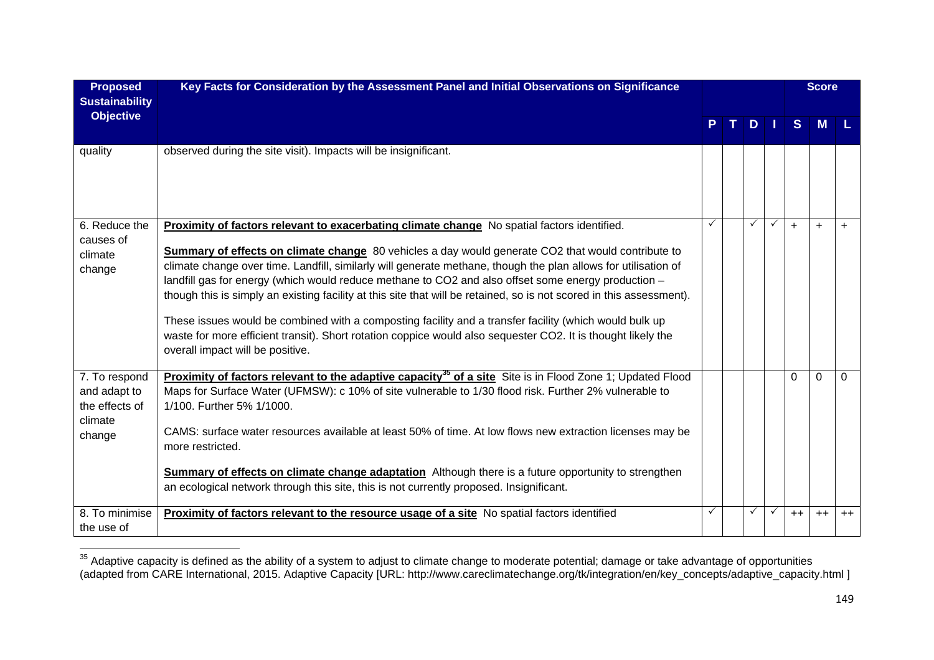| <b>Proposed</b><br><b>Sustainability</b>                             | Key Facts for Consideration by the Assessment Panel and Initial Observations on Significance                                                                                                                                                                                                                                                                                                                                                                                                                                                                                                                                                                                                                                                                                                                            |    |          |               |              |           | <b>Score</b> |           |
|----------------------------------------------------------------------|-------------------------------------------------------------------------------------------------------------------------------------------------------------------------------------------------------------------------------------------------------------------------------------------------------------------------------------------------------------------------------------------------------------------------------------------------------------------------------------------------------------------------------------------------------------------------------------------------------------------------------------------------------------------------------------------------------------------------------------------------------------------------------------------------------------------------|----|----------|---------------|--------------|-----------|--------------|-----------|
| <b>Objective</b>                                                     |                                                                                                                                                                                                                                                                                                                                                                                                                                                                                                                                                                                                                                                                                                                                                                                                                         | P. | $\top$ . | $D$   $\vert$ |              | S.        | M            |           |
| quality                                                              | observed during the site visit). Impacts will be insignificant.                                                                                                                                                                                                                                                                                                                                                                                                                                                                                                                                                                                                                                                                                                                                                         |    |          |               |              |           |              |           |
| 6. Reduce the<br>causes of<br>climate<br>change                      | Proximity of factors relevant to exacerbating climate change No spatial factors identified.<br><b>Summary of effects on climate change</b> 80 vehicles a day would generate CO2 that would contribute to<br>climate change over time. Landfill, similarly will generate methane, though the plan allows for utilisation of<br>landfill gas for energy (which would reduce methane to CO2 and also offset some energy production -<br>though this is simply an existing facility at this site that will be retained, so is not scored in this assessment).<br>These issues would be combined with a composting facility and a transfer facility (which would bulk up<br>waste for more efficient transit). Short rotation coppice would also sequester CO2. It is thought likely the<br>overall impact will be positive. | ✓  |          | ✓             | $\checkmark$ | $\ddot{}$ | $\ddot{}$    | $\ddot{}$ |
| 7. To respond<br>and adapt to<br>the effects of<br>climate<br>change | Proximity of factors relevant to the adaptive capacity <sup>35</sup> of a site Site is in Flood Zone 1; Updated Flood<br>Maps for Surface Water (UFMSW): c 10% of site vulnerable to 1/30 flood risk. Further 2% vulnerable to<br>1/100. Further 5% 1/1000.<br>CAMS: surface water resources available at least 50% of time. At low flows new extraction licenses may be<br>more restricted.<br><b>Summary of effects on climate change adaptation</b> Although there is a future opportunity to strengthen<br>an ecological network through this site, this is not currently proposed. Insignificant.                                                                                                                                                                                                                  |    |          |               |              | $\Omega$  | $\Omega$     | $\Omega$  |
| 8. To minimise<br>the use of                                         | Proximity of factors relevant to the resource usage of a site No spatial factors identified                                                                                                                                                                                                                                                                                                                                                                                                                                                                                                                                                                                                                                                                                                                             | ✓  |          |               |              | $++$      | $++$         | $++$      |

 $35$  Adaptive capacity is defined as the ability of a system to adjust to climate change to moderate potential; damage or take advantage of opportunities (adapted from CARE International, 2015. Adaptive Capacity [URL: http://www.careclimatechange.org/tk/integration/en/key\_concepts/adaptive\_capacity.html ]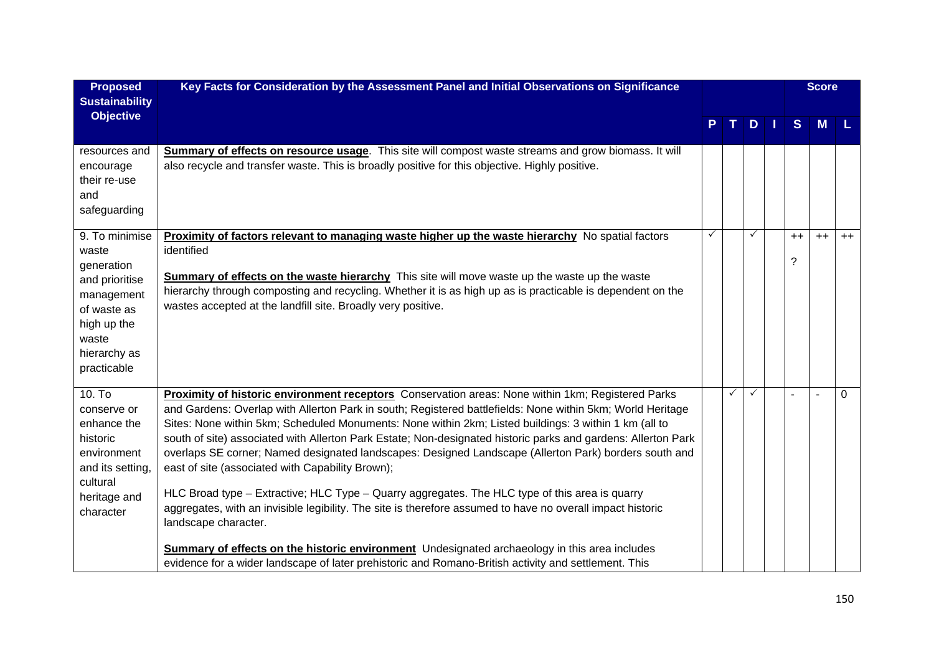| <b>Proposed</b><br><b>Sustainability</b>                                                                                                    | Key Facts for Consideration by the Assessment Panel and Initial Observations on Significance                                                                                                                                                                                                                                                                                                                                                                                                                                                                                                                                                                                                                                                                                                                                                                                                                                                                                                                                                                   |              |              |              |              | <b>Score</b> |          |
|---------------------------------------------------------------------------------------------------------------------------------------------|----------------------------------------------------------------------------------------------------------------------------------------------------------------------------------------------------------------------------------------------------------------------------------------------------------------------------------------------------------------------------------------------------------------------------------------------------------------------------------------------------------------------------------------------------------------------------------------------------------------------------------------------------------------------------------------------------------------------------------------------------------------------------------------------------------------------------------------------------------------------------------------------------------------------------------------------------------------------------------------------------------------------------------------------------------------|--------------|--------------|--------------|--------------|--------------|----------|
| <b>Objective</b>                                                                                                                            |                                                                                                                                                                                                                                                                                                                                                                                                                                                                                                                                                                                                                                                                                                                                                                                                                                                                                                                                                                                                                                                                |              | T.           | $D$   1      | S            | M            |          |
| resources and<br>encourage<br>their re-use<br>and<br>safeguarding                                                                           | Summary of effects on resource usage. This site will compost waste streams and grow biomass. It will<br>also recycle and transfer waste. This is broadly positive for this objective. Highly positive.                                                                                                                                                                                                                                                                                                                                                                                                                                                                                                                                                                                                                                                                                                                                                                                                                                                         |              |              |              |              |              |          |
| 9. To minimise<br>waste<br>generation<br>and prioritise<br>management<br>of waste as<br>high up the<br>waste<br>hierarchy as<br>practicable | Proximity of factors relevant to managing waste higher up the waste hierarchy No spatial factors<br>identified<br><b>Summary of effects on the waste hierarchy</b> This site will move waste up the waste up the waste<br>hierarchy through composting and recycling. Whether it is as high up as is practicable is dependent on the<br>wastes accepted at the landfill site. Broadly very positive.                                                                                                                                                                                                                                                                                                                                                                                                                                                                                                                                                                                                                                                           | $\checkmark$ |              | ✓            | $^{++}$<br>? | $++$         | $++$     |
| 10. To<br>conserve or<br>enhance the<br>historic<br>environment<br>and its setting,<br>cultural<br>heritage and<br>character                | Proximity of historic environment receptors Conservation areas: None within 1km; Registered Parks<br>and Gardens: Overlap with Allerton Park in south; Registered battlefields: None within 5km; World Heritage<br>Sites: None within 5km; Scheduled Monuments: None within 2km; Listed buildings: 3 within 1 km (all to<br>south of site) associated with Allerton Park Estate; Non-designated historic parks and gardens: Allerton Park<br>overlaps SE corner; Named designated landscapes: Designed Landscape (Allerton Park) borders south and<br>east of site (associated with Capability Brown);<br>HLC Broad type - Extractive; HLC Type - Quarry aggregates. The HLC type of this area is quarry<br>aggregates, with an invisible legibility. The site is therefore assumed to have no overall impact historic<br>landscape character.<br><b>Summary of effects on the historic environment</b> Undesignated archaeology in this area includes<br>evidence for a wider landscape of later prehistoric and Romano-British activity and settlement. This |              | $\checkmark$ | $\checkmark$ |              |              | $\Omega$ |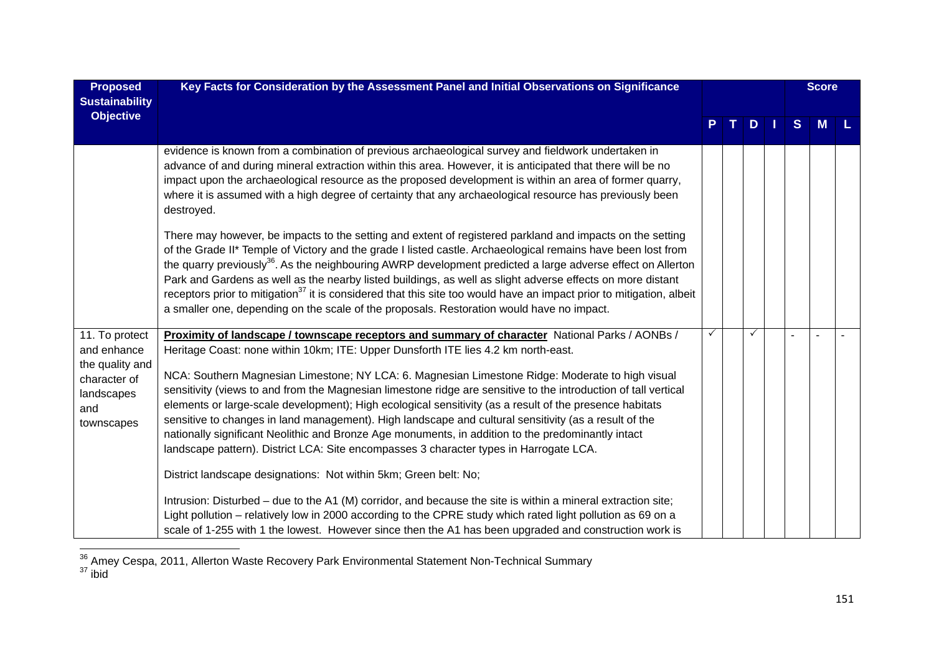| <b>Proposed</b>                                                    | Key Facts for Consideration by the Assessment Panel and Initial Observations on Significance                                                                                                                                                                                                                                                                                                                                                                                                                                                                                                                                                                                                        |    |     |   | <b>Score</b> |  |
|--------------------------------------------------------------------|-----------------------------------------------------------------------------------------------------------------------------------------------------------------------------------------------------------------------------------------------------------------------------------------------------------------------------------------------------------------------------------------------------------------------------------------------------------------------------------------------------------------------------------------------------------------------------------------------------------------------------------------------------------------------------------------------------|----|-----|---|--------------|--|
| <b>Sustainability</b><br><b>Objective</b>                          |                                                                                                                                                                                                                                                                                                                                                                                                                                                                                                                                                                                                                                                                                                     |    |     |   |              |  |
|                                                                    |                                                                                                                                                                                                                                                                                                                                                                                                                                                                                                                                                                                                                                                                                                     | т. | $D$ | S | <b>M</b>     |  |
|                                                                    | evidence is known from a combination of previous archaeological survey and fieldwork undertaken in<br>advance of and during mineral extraction within this area. However, it is anticipated that there will be no<br>impact upon the archaeological resource as the proposed development is within an area of former quarry,<br>where it is assumed with a high degree of certainty that any archaeological resource has previously been<br>destroyed.                                                                                                                                                                                                                                              |    |     |   |              |  |
|                                                                    | There may however, be impacts to the setting and extent of registered parkland and impacts on the setting<br>of the Grade II* Temple of Victory and the grade I listed castle. Archaeological remains have been lost from<br>the quarry previously <sup>36</sup> . As the neighbouring AWRP development predicted a large adverse effect on Allerton<br>Park and Gardens as well as the nearby listed buildings, as well as slight adverse effects on more distant<br>receptors prior to mitigation <sup>37</sup> it is considered that this site too would have an impact prior to mitigation, albeit<br>a smaller one, depending on the scale of the proposals. Restoration would have no impact. |    |     |   |              |  |
| 11. To protect                                                     | Proximity of landscape / townscape receptors and summary of character National Parks / AONBs /                                                                                                                                                                                                                                                                                                                                                                                                                                                                                                                                                                                                      |    |     |   |              |  |
| and enhance                                                        | Heritage Coast: none within 10km; ITE: Upper Dunsforth ITE lies 4.2 km north-east.                                                                                                                                                                                                                                                                                                                                                                                                                                                                                                                                                                                                                  |    |     |   |              |  |
| the quality and<br>character of<br>landscapes<br>and<br>townscapes | NCA: Southern Magnesian Limestone; NY LCA: 6. Magnesian Limestone Ridge: Moderate to high visual<br>sensitivity (views to and from the Magnesian limestone ridge are sensitive to the introduction of tall vertical<br>elements or large-scale development); High ecological sensitivity (as a result of the presence habitats<br>sensitive to changes in land management). High landscape and cultural sensitivity (as a result of the<br>nationally significant Neolithic and Bronze Age monuments, in addition to the predominantly intact<br>landscape pattern). District LCA: Site encompasses 3 character types in Harrogate LCA.                                                             |    |     |   |              |  |
|                                                                    | District landscape designations: Not within 5km; Green belt: No;                                                                                                                                                                                                                                                                                                                                                                                                                                                                                                                                                                                                                                    |    |     |   |              |  |
|                                                                    | Intrusion: Disturbed – due to the A1 (M) corridor, and because the site is within a mineral extraction site;<br>Light pollution – relatively low in 2000 according to the CPRE study which rated light pollution as 69 on a<br>scale of 1-255 with 1 the lowest. However since then the A1 has been upgraded and construction work is                                                                                                                                                                                                                                                                                                                                                               |    |     |   |              |  |

 $\frac{36}{37}$  Amey Cespa, 2011, Allerton Waste Recovery Park Environmental Statement Non-Technical Summary ibid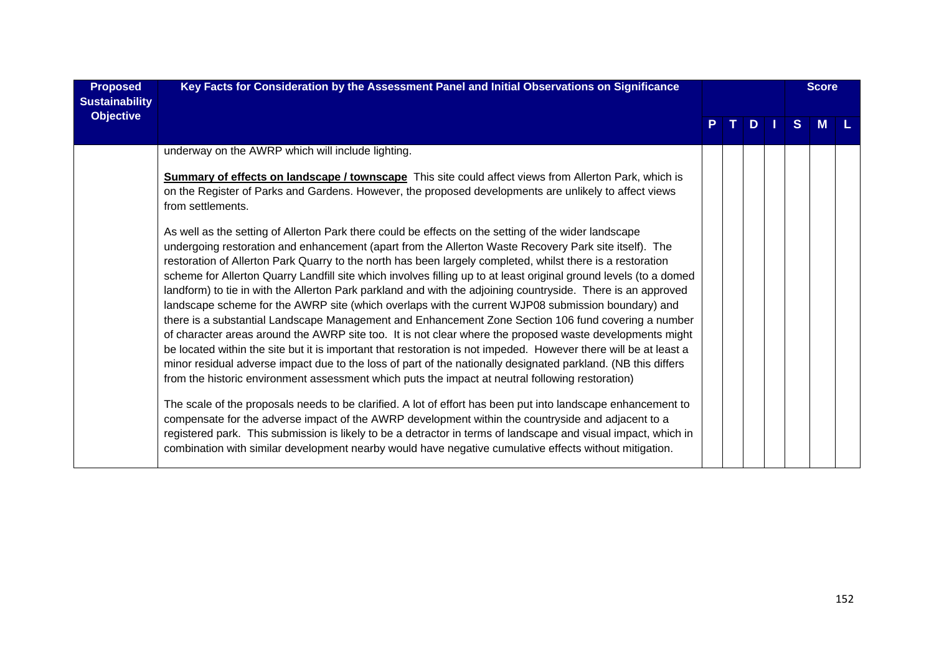| <b>Proposed</b><br><b>Sustainability</b> | Key Facts for Consideration by the Assessment Panel and Initial Observations on Significance                                                                                                                                                                                                                                                                                                                                                                                                                                                                                                                                                                                                                                                                                                                                                                                                                                                                                                                                                                                                                                                                                                                                       |  |     |              | <b>Score</b> |  |
|------------------------------------------|------------------------------------------------------------------------------------------------------------------------------------------------------------------------------------------------------------------------------------------------------------------------------------------------------------------------------------------------------------------------------------------------------------------------------------------------------------------------------------------------------------------------------------------------------------------------------------------------------------------------------------------------------------------------------------------------------------------------------------------------------------------------------------------------------------------------------------------------------------------------------------------------------------------------------------------------------------------------------------------------------------------------------------------------------------------------------------------------------------------------------------------------------------------------------------------------------------------------------------|--|-----|--------------|--------------|--|
| <b>Objective</b>                         |                                                                                                                                                                                                                                                                                                                                                                                                                                                                                                                                                                                                                                                                                                                                                                                                                                                                                                                                                                                                                                                                                                                                                                                                                                    |  | $D$ | <sub>S</sub> | <b>M</b>     |  |
|                                          | underway on the AWRP which will include lighting.                                                                                                                                                                                                                                                                                                                                                                                                                                                                                                                                                                                                                                                                                                                                                                                                                                                                                                                                                                                                                                                                                                                                                                                  |  |     |              |              |  |
|                                          | <b>Summary of effects on landscape / townscape</b> This site could affect views from Allerton Park, which is<br>on the Register of Parks and Gardens. However, the proposed developments are unlikely to affect views<br>from settlements.                                                                                                                                                                                                                                                                                                                                                                                                                                                                                                                                                                                                                                                                                                                                                                                                                                                                                                                                                                                         |  |     |              |              |  |
|                                          | As well as the setting of Allerton Park there could be effects on the setting of the wider landscape<br>undergoing restoration and enhancement (apart from the Allerton Waste Recovery Park site itself). The<br>restoration of Allerton Park Quarry to the north has been largely completed, whilst there is a restoration<br>scheme for Allerton Quarry Landfill site which involves filling up to at least original ground levels (to a domed<br>landform) to tie in with the Allerton Park parkland and with the adjoining countryside. There is an approved<br>landscape scheme for the AWRP site (which overlaps with the current WJP08 submission boundary) and<br>there is a substantial Landscape Management and Enhancement Zone Section 106 fund covering a number<br>of character areas around the AWRP site too. It is not clear where the proposed waste developments might<br>be located within the site but it is important that restoration is not impeded. However there will be at least a<br>minor residual adverse impact due to the loss of part of the nationally designated parkland. (NB this differs<br>from the historic environment assessment which puts the impact at neutral following restoration) |  |     |              |              |  |
|                                          | The scale of the proposals needs to be clarified. A lot of effort has been put into landscape enhancement to<br>compensate for the adverse impact of the AWRP development within the countryside and adjacent to a<br>registered park. This submission is likely to be a detractor in terms of landscape and visual impact, which in<br>combination with similar development nearby would have negative cumulative effects without mitigation.                                                                                                                                                                                                                                                                                                                                                                                                                                                                                                                                                                                                                                                                                                                                                                                     |  |     |              |              |  |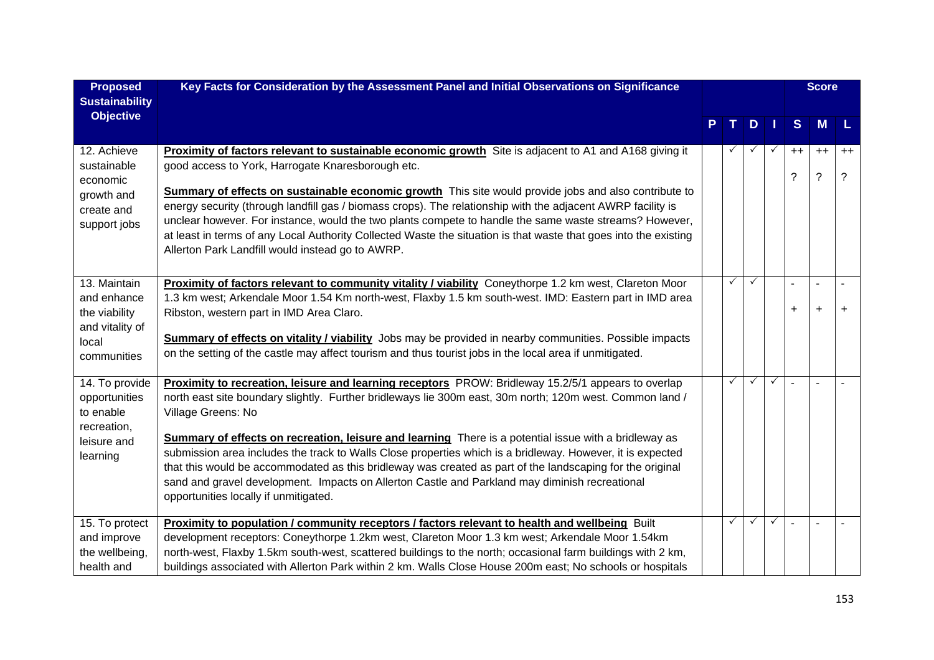| <b>Proposed</b>            | Key Facts for Consideration by the Assessment Panel and Initial Observations on Significance                     |              |              |              |      | <b>Score</b>   |           |
|----------------------------|------------------------------------------------------------------------------------------------------------------|--------------|--------------|--------------|------|----------------|-----------|
| <b>Sustainability</b>      |                                                                                                                  |              |              |              |      |                |           |
| <b>Objective</b>           |                                                                                                                  |              | D            |              | S    | M              | L         |
|                            |                                                                                                                  |              |              |              |      |                |           |
| 12. Achieve                | <b>Proximity of factors relevant to sustainable economic growth</b> Site is adjacent to A1 and A168 giving it    |              |              | $\checkmark$ | $++$ | $++$           | $++$      |
| sustainable<br>economic    | good access to York, Harrogate Knaresborough etc.                                                                |              |              |              | ?    | $\tilde{?}$    | ?         |
| growth and                 | Summary of effects on sustainable economic growth This site would provide jobs and also contribute to            |              |              |              |      |                |           |
| create and                 | energy security (through landfill gas / biomass crops). The relationship with the adjacent AWRP facility is      |              |              |              |      |                |           |
| support jobs               | unclear however. For instance, would the two plants compete to handle the same waste streams? However,           |              |              |              |      |                |           |
|                            | at least in terms of any Local Authority Collected Waste the situation is that waste that goes into the existing |              |              |              |      |                |           |
|                            | Allerton Park Landfill would instead go to AWRP.                                                                 |              |              |              |      |                |           |
| 13. Maintain               | Proximity of factors relevant to community vitality / viability Coneythorpe 1.2 km west, Clareton Moor           | ✓            | $\checkmark$ |              |      | $\blacksquare$ |           |
| and enhance                | 1.3 km west; Arkendale Moor 1.54 Km north-west, Flaxby 1.5 km south-west. IMD: Eastern part in IMD area          |              |              |              |      |                |           |
| the viability              | Ribston, western part in IMD Area Claro.                                                                         |              |              |              | +    | $\ddot{}$      | $\ddot{}$ |
| and vitality of            |                                                                                                                  |              |              |              |      |                |           |
| local                      | <b>Summary of effects on vitality / viability</b> Jobs may be provided in nearby communities. Possible impacts   |              |              |              |      |                |           |
| communities                | on the setting of the castle may affect tourism and thus tourist jobs in the local area if unmitigated.          |              |              |              |      |                |           |
| 14. To provide             | Proximity to recreation, leisure and learning receptors PROW: Bridleway 15.2/5/1 appears to overlap              | $\checkmark$ | $\checkmark$ | $\checkmark$ |      |                |           |
| opportunities              | north east site boundary slightly. Further bridleways lie 300m east, 30m north; 120m west. Common land /         |              |              |              |      |                |           |
| to enable                  | Village Greens: No                                                                                               |              |              |              |      |                |           |
| recreation,<br>leisure and | Summary of effects on recreation, leisure and learning There is a potential issue with a bridleway as            |              |              |              |      |                |           |
| learning                   | submission area includes the track to Walls Close properties which is a bridleway. However, it is expected       |              |              |              |      |                |           |
|                            | that this would be accommodated as this bridleway was created as part of the landscaping for the original        |              |              |              |      |                |           |
|                            | sand and gravel development. Impacts on Allerton Castle and Parkland may diminish recreational                   |              |              |              |      |                |           |
|                            | opportunities locally if unmitigated.                                                                            |              |              |              |      |                |           |
| 15. To protect             | Proximity to population / community receptors / factors relevant to health and wellbeing Built                   | $\checkmark$ | $\checkmark$ | $\checkmark$ |      |                |           |
| and improve                | development receptors: Coneythorpe 1.2km west, Clareton Moor 1.3 km west; Arkendale Moor 1.54km                  |              |              |              |      |                |           |
| the wellbeing,             | north-west, Flaxby 1.5km south-west, scattered buildings to the north; occasional farm buildings with 2 km,      |              |              |              |      |                |           |
| health and                 | buildings associated with Allerton Park within 2 km. Walls Close House 200m east; No schools or hospitals        |              |              |              |      |                |           |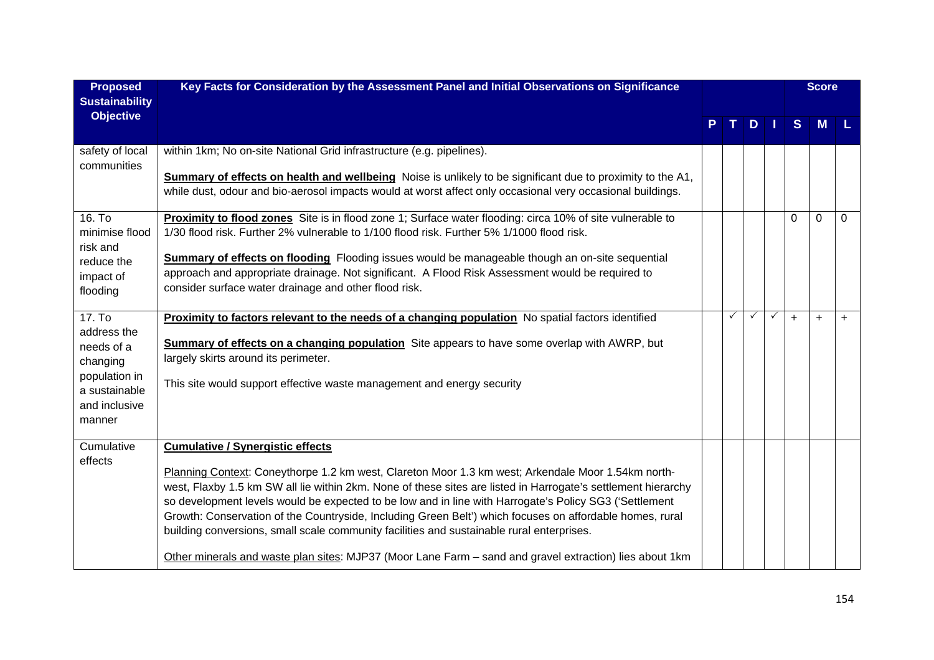| <b>Proposed</b>                           | Key Facts for Consideration by the Assessment Panel and Initial Observations on Significance                                                                                                                        |   |     |              |           | <b>Score</b> |           |
|-------------------------------------------|---------------------------------------------------------------------------------------------------------------------------------------------------------------------------------------------------------------------|---|-----|--------------|-----------|--------------|-----------|
| <b>Sustainability</b><br><b>Objective</b> |                                                                                                                                                                                                                     |   | $D$ |              | S         | M            |           |
|                                           |                                                                                                                                                                                                                     |   |     |              |           |              |           |
| safety of local                           | within 1km; No on-site National Grid infrastructure (e.g. pipelines).                                                                                                                                               |   |     |              |           |              |           |
| communities                               | Summary of effects on health and wellbeing Noise is unlikely to be significant due to proximity to the A1,                                                                                                          |   |     |              |           |              |           |
|                                           | while dust, odour and bio-aerosol impacts would at worst affect only occasional very occasional buildings.                                                                                                          |   |     |              |           |              |           |
| 16. To                                    | Proximity to flood zones Site is in flood zone 1; Surface water flooding: circa 10% of site vulnerable to                                                                                                           |   |     |              | $\Omega$  | $\Omega$     | $\Omega$  |
| minimise flood                            | 1/30 flood risk. Further 2% vulnerable to 1/100 flood risk. Further 5% 1/1000 flood risk.                                                                                                                           |   |     |              |           |              |           |
| risk and                                  | Summary of effects on flooding Flooding issues would be manageable though an on-site sequential                                                                                                                     |   |     |              |           |              |           |
| reduce the<br>impact of                   | approach and appropriate drainage. Not significant. A Flood Risk Assessment would be required to                                                                                                                    |   |     |              |           |              |           |
| flooding                                  | consider surface water drainage and other flood risk.                                                                                                                                                               |   |     |              |           |              |           |
|                                           |                                                                                                                                                                                                                     |   |     |              |           |              |           |
| 17. To<br>address the                     | Proximity to factors relevant to the needs of a changing population No spatial factors identified                                                                                                                   | ✓ | ✓   | $\checkmark$ | $\ddot{}$ | $\ddot{}$    | $\ddot{}$ |
| needs of a                                | <b>Summary of effects on a changing population</b> Site appears to have some overlap with AWRP, but                                                                                                                 |   |     |              |           |              |           |
| changing                                  | largely skirts around its perimeter.                                                                                                                                                                                |   |     |              |           |              |           |
| population in<br>a sustainable            | This site would support effective waste management and energy security                                                                                                                                              |   |     |              |           |              |           |
| and inclusive                             |                                                                                                                                                                                                                     |   |     |              |           |              |           |
| manner                                    |                                                                                                                                                                                                                     |   |     |              |           |              |           |
| Cumulative                                | <b>Cumulative / Synergistic effects</b>                                                                                                                                                                             |   |     |              |           |              |           |
| effects                                   |                                                                                                                                                                                                                     |   |     |              |           |              |           |
|                                           | Planning Context: Coneythorpe 1.2 km west, Clareton Moor 1.3 km west; Arkendale Moor 1.54km north-<br>west, Flaxby 1.5 km SW all lie within 2km. None of these sites are listed in Harrogate's settlement hierarchy |   |     |              |           |              |           |
|                                           | so development levels would be expected to be low and in line with Harrogate's Policy SG3 ('Settlement                                                                                                              |   |     |              |           |              |           |
|                                           | Growth: Conservation of the Countryside, Including Green Belt') which focuses on affordable homes, rural                                                                                                            |   |     |              |           |              |           |
|                                           | building conversions, small scale community facilities and sustainable rural enterprises.                                                                                                                           |   |     |              |           |              |           |
|                                           | Other minerals and waste plan sites: MJP37 (Moor Lane Farm - sand and gravel extraction) lies about 1km                                                                                                             |   |     |              |           |              |           |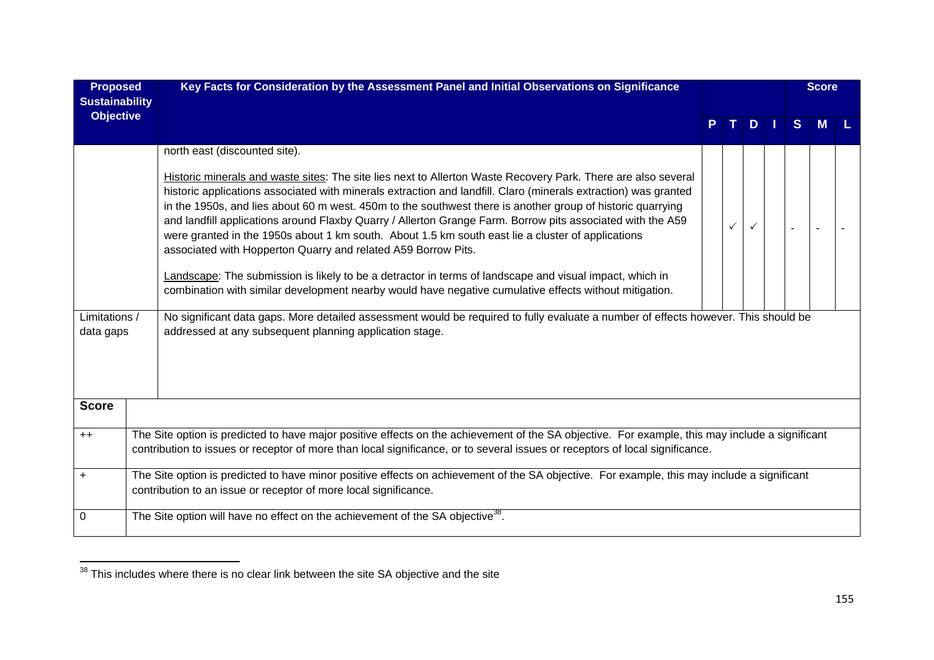| <b>Proposed</b><br><b>Sustainability</b> | Key Facts for Consideration by the Assessment Panel and Initial Observations on Significance                                                                                                                                                                                                                                                                                                                                                                                                                                                                                                                                                                                                                                                                                                                                                                                             |  |   |   | <b>Score</b> |  |
|------------------------------------------|------------------------------------------------------------------------------------------------------------------------------------------------------------------------------------------------------------------------------------------------------------------------------------------------------------------------------------------------------------------------------------------------------------------------------------------------------------------------------------------------------------------------------------------------------------------------------------------------------------------------------------------------------------------------------------------------------------------------------------------------------------------------------------------------------------------------------------------------------------------------------------------|--|---|---|--------------|--|
| <b>Objective</b>                         |                                                                                                                                                                                                                                                                                                                                                                                                                                                                                                                                                                                                                                                                                                                                                                                                                                                                                          |  | D | S | M            |  |
|                                          | north east (discounted site).<br>Historic minerals and waste sites: The site lies next to Allerton Waste Recovery Park. There are also several<br>historic applications associated with minerals extraction and landfill. Claro (minerals extraction) was granted<br>in the 1950s, and lies about 60 m west. 450m to the southwest there is another group of historic quarrying<br>and landfill applications around Flaxby Quarry / Allerton Grange Farm. Borrow pits associated with the A59<br>were granted in the 1950s about 1 km south. About 1.5 km south east lie a cluster of applications<br>associated with Hopperton Quarry and related A59 Borrow Pits.<br>Landscape: The submission is likely to be a detractor in terms of landscape and visual impact, which in<br>combination with similar development nearby would have negative cumulative effects without mitigation. |  |   |   |              |  |
| Limitations /<br>data gaps               | No significant data gaps. More detailed assessment would be required to fully evaluate a number of effects however. This should be<br>addressed at any subsequent planning application stage.                                                                                                                                                                                                                                                                                                                                                                                                                                                                                                                                                                                                                                                                                            |  |   |   |              |  |
| <b>Score</b>                             |                                                                                                                                                                                                                                                                                                                                                                                                                                                                                                                                                                                                                                                                                                                                                                                                                                                                                          |  |   |   |              |  |
| $++$                                     | The Site option is predicted to have major positive effects on the achievement of the SA objective. For example, this may include a significant<br>contribution to issues or receptor of more than local significance, or to several issues or receptors of local significance.                                                                                                                                                                                                                                                                                                                                                                                                                                                                                                                                                                                                          |  |   |   |              |  |
| $\ddot{}$                                | The Site option is predicted to have minor positive effects on achievement of the SA objective. For example, this may include a significant<br>contribution to an issue or receptor of more local significance.                                                                                                                                                                                                                                                                                                                                                                                                                                                                                                                                                                                                                                                                          |  |   |   |              |  |
| 0                                        | The Site option will have no effect on the achievement of the SA objective <sup>38</sup> .                                                                                                                                                                                                                                                                                                                                                                                                                                                                                                                                                                                                                                                                                                                                                                                               |  |   |   |              |  |

 $\frac{1}{38}$  This includes where there is no clear link between the site SA objective and the site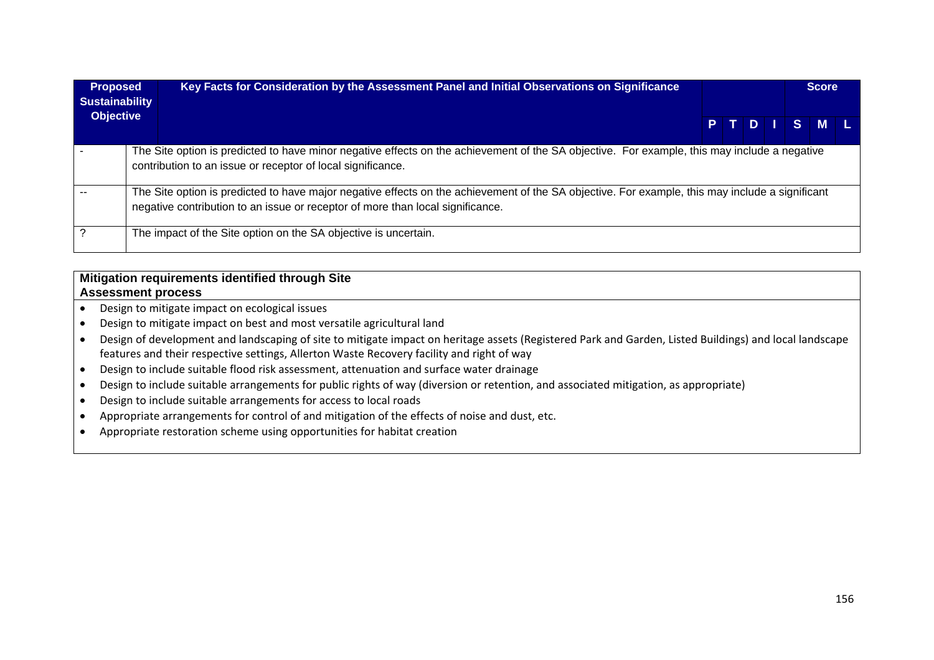| <b>Proposed</b><br><b>Sustainability</b> | Key Facts for Consideration by the Assessment Panel and Initial Observations on Significance                                                                                                                                      |  |  |         | <b>Score</b> |  |
|------------------------------------------|-----------------------------------------------------------------------------------------------------------------------------------------------------------------------------------------------------------------------------------|--|--|---------|--------------|--|
| <b>Objective</b>                         |                                                                                                                                                                                                                                   |  |  | PTDISML |              |  |
|                                          | The Site option is predicted to have minor negative effects on the achievement of the SA objective. For example, this may include a negative<br>contribution to an issue or receptor of local significance.                       |  |  |         |              |  |
|                                          | The Site option is predicted to have major negative effects on the achievement of the SA objective. For example, this may include a significant<br>negative contribution to an issue or receptor of more than local significance. |  |  |         |              |  |
|                                          | The impact of the Site option on the SA objective is uncertain.                                                                                                                                                                   |  |  |         |              |  |

## **Mitigation requirements identified through Site Assessment process**

- $\bullet$ Design to mitigate impact on ecological issues
- $\bullet$ Design to mitigate impact on best and most versatile agricultural land
- $\bullet$  Design of development and landscaping of site to mitigate impact on heritage assets (Registered Park and Garden, Listed Buildings) and local landscape features and their respective settings, Allerton Waste Recovery facility and right of way
- $\bullet$ Design to include suitable flood risk assessment, attenuation and surface water drainage
- $\bullet$ Design to include suitable arrangements for public rights of way (diversion or retention, and associated mitigation, as appropriate)
- $\bullet$ Design to include suitable arrangements for access to local roads
- $\bullet$ Appropriate arrangements for control of and mitigation of the effects of noise and dust, etc.
- $\bullet$ Appropriate restoration scheme using opportunities for habitat creation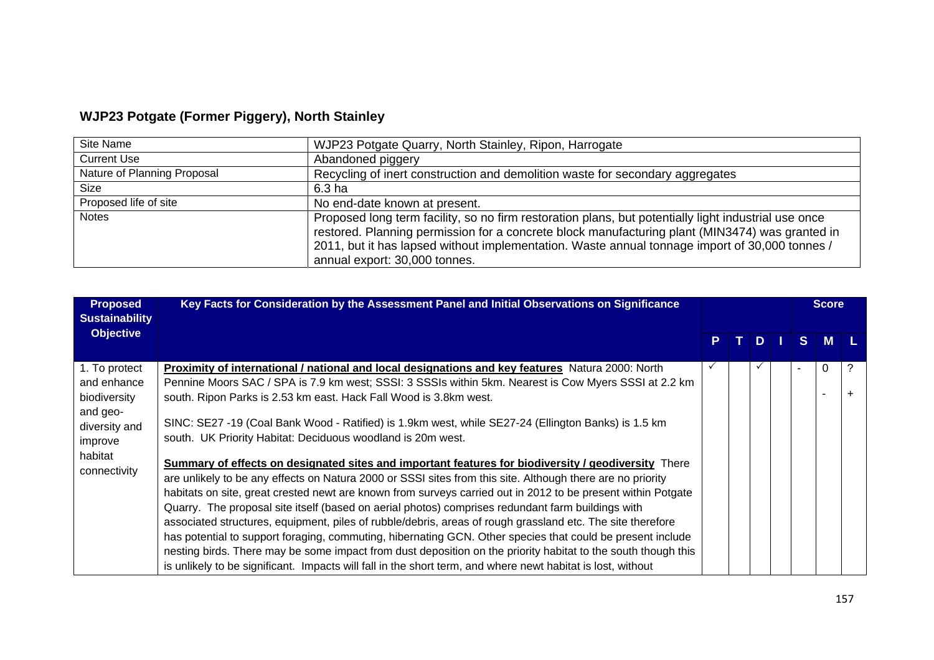## **WJP23 Potgate (Former Piggery), North Stainley**

| Site Name                   | WJP23 Potgate Quarry, North Stainley, Ripon, Harrogate                                                                                                                                                                                                                                                                                     |
|-----------------------------|--------------------------------------------------------------------------------------------------------------------------------------------------------------------------------------------------------------------------------------------------------------------------------------------------------------------------------------------|
| <b>Current Use</b>          | Abandoned piggery                                                                                                                                                                                                                                                                                                                          |
| Nature of Planning Proposal | Recycling of inert construction and demolition waste for secondary aggregates                                                                                                                                                                                                                                                              |
| Size                        | 6.3 ha                                                                                                                                                                                                                                                                                                                                     |
| Proposed life of site       | No end-date known at present.                                                                                                                                                                                                                                                                                                              |
| <b>Notes</b>                | Proposed long term facility, so no firm restoration plans, but potentially light industrial use once<br>restored. Planning permission for a concrete block manufacturing plant (MIN3474) was granted in<br>2011, but it has lapsed without implementation. Waste annual tonnage import of 30,000 tonnes /<br>annual export: 30,000 tonnes. |

| <b>Proposed</b><br><b>Sustainability</b> | Key Facts for Consideration by the Assessment Panel and Initial Observations on Significance                  |              |            |     |    | <b>Score</b> |           |
|------------------------------------------|---------------------------------------------------------------------------------------------------------------|--------------|------------|-----|----|--------------|-----------|
| <b>Objective</b>                         |                                                                                                               | P.           | $\bf \Phi$ | D I | S. | <b>M</b>     |           |
| 1. To protect                            | <b>Proximity of international / national and local designations and key features</b> Natura 2000: North       | $\checkmark$ |            | ✓   |    | $\Omega$     |           |
| and enhance                              | Pennine Moors SAC / SPA is 7.9 km west; SSSI: 3 SSSIs within 5km. Nearest is Cow Myers SSSI at 2.2 km         |              |            |     |    |              |           |
| biodiversity                             | south. Ripon Parks is 2.53 km east. Hack Fall Wood is 3.8km west.                                             |              |            |     |    |              | $\ddot{}$ |
| and geo-                                 | SINC: SE27 -19 (Coal Bank Wood - Ratified) is 1.9km west, while SE27-24 (Ellington Banks) is 1.5 km           |              |            |     |    |              |           |
| diversity and                            | south. UK Priority Habitat: Deciduous woodland is 20m west.                                                   |              |            |     |    |              |           |
| improve                                  |                                                                                                               |              |            |     |    |              |           |
| habitat<br>connectivity                  | Summary of effects on designated sites and important features for biodiversity / geodiversity There           |              |            |     |    |              |           |
|                                          | are unlikely to be any effects on Natura 2000 or SSSI sites from this site. Although there are no priority    |              |            |     |    |              |           |
|                                          | habitats on site, great crested newt are known from surveys carried out in 2012 to be present within Potgate  |              |            |     |    |              |           |
|                                          | Quarry. The proposal site itself (based on aerial photos) comprises redundant farm buildings with             |              |            |     |    |              |           |
|                                          | associated structures, equipment, piles of rubble/debris, areas of rough grassland etc. The site therefore    |              |            |     |    |              |           |
|                                          | has potential to support foraging, commuting, hibernating GCN. Other species that could be present include    |              |            |     |    |              |           |
|                                          | nesting birds. There may be some impact from dust deposition on the priority habitat to the south though this |              |            |     |    |              |           |
|                                          | is unlikely to be significant. Impacts will fall in the short term, and where newt habitat is lost, without   |              |            |     |    |              |           |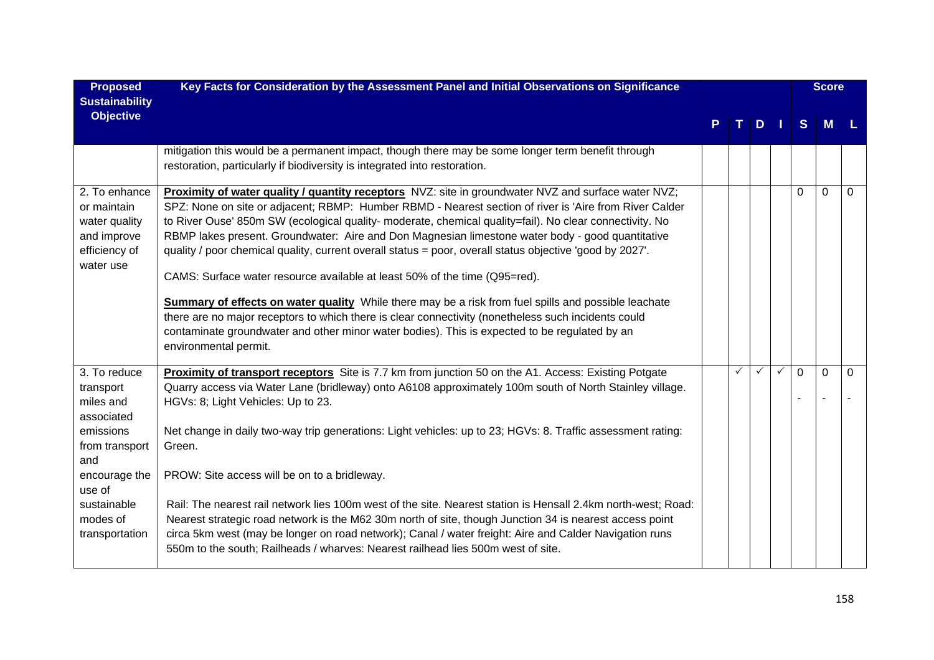| <b>Proposed</b><br><b>Sustainability</b>                                                                                                                           | Key Facts for Consideration by the Assessment Panel and Initial Observations on Significance                                                                                                                                                                                                                                                                                                                                                                                                                                                                                                                                                                                                                                                                                                                                                                                                                                                                           |   |   |               |              | <b>Score</b>   |          |
|--------------------------------------------------------------------------------------------------------------------------------------------------------------------|------------------------------------------------------------------------------------------------------------------------------------------------------------------------------------------------------------------------------------------------------------------------------------------------------------------------------------------------------------------------------------------------------------------------------------------------------------------------------------------------------------------------------------------------------------------------------------------------------------------------------------------------------------------------------------------------------------------------------------------------------------------------------------------------------------------------------------------------------------------------------------------------------------------------------------------------------------------------|---|---|---------------|--------------|----------------|----------|
| <b>Objective</b>                                                                                                                                                   |                                                                                                                                                                                                                                                                                                                                                                                                                                                                                                                                                                                                                                                                                                                                                                                                                                                                                                                                                                        |   |   | $D \mid \mid$ | <sub>S</sub> | <b>M</b>       |          |
|                                                                                                                                                                    | mitigation this would be a permanent impact, though there may be some longer term benefit through<br>restoration, particularly if biodiversity is integrated into restoration.                                                                                                                                                                                                                                                                                                                                                                                                                                                                                                                                                                                                                                                                                                                                                                                         |   |   |               |              |                |          |
| 2. To enhance<br>or maintain<br>water quality<br>and improve<br>efficiency of<br>water use                                                                         | Proximity of water quality / quantity receptors NVZ: site in groundwater NVZ and surface water NVZ;<br>SPZ: None on site or adjacent; RBMP: Humber RBMD - Nearest section of river is 'Aire from River Calder<br>to River Ouse' 850m SW (ecological quality- moderate, chemical quality=fail). No clear connectivity. No<br>RBMP lakes present. Groundwater: Aire and Don Magnesian limestone water body - good quantitative<br>quality / poor chemical quality, current overall status = poor, overall status objective 'good by 2027'.<br>CAMS: Surface water resource available at least 50% of the time (Q95=red).<br><b>Summary of effects on water quality</b> While there may be a risk from fuel spills and possible leachate<br>there are no major receptors to which there is clear connectivity (nonetheless such incidents could<br>contaminate groundwater and other minor water bodies). This is expected to be regulated by an<br>environmental permit. |   |   |               | $\Omega$     | $\overline{0}$ | $\Omega$ |
| 3. To reduce<br>transport<br>miles and<br>associated<br>emissions<br>from transport<br>and<br>encourage the<br>use of<br>sustainable<br>modes of<br>transportation | Proximity of transport receptors Site is 7.7 km from junction 50 on the A1. Access: Existing Potgate<br>Quarry access via Water Lane (bridleway) onto A6108 approximately 100m south of North Stainley village.<br>HGVs: 8; Light Vehicles: Up to 23.<br>Net change in daily two-way trip generations: Light vehicles: up to 23; HGVs: 8. Traffic assessment rating:<br>Green.<br>PROW: Site access will be on to a bridleway.<br>Rail: The nearest rail network lies 100m west of the site. Nearest station is Hensall 2.4km north-west; Road:<br>Nearest strategic road network is the M62 30m north of site, though Junction 34 is nearest access point<br>circa 5km west (may be longer on road network); Canal / water freight: Aire and Calder Navigation runs<br>550m to the south; Railheads / wharves: Nearest railhead lies 500m west of site.                                                                                                               | ✓ | ✓ | ✓             | $\mathbf{0}$ | $\Omega$       | $\Omega$ |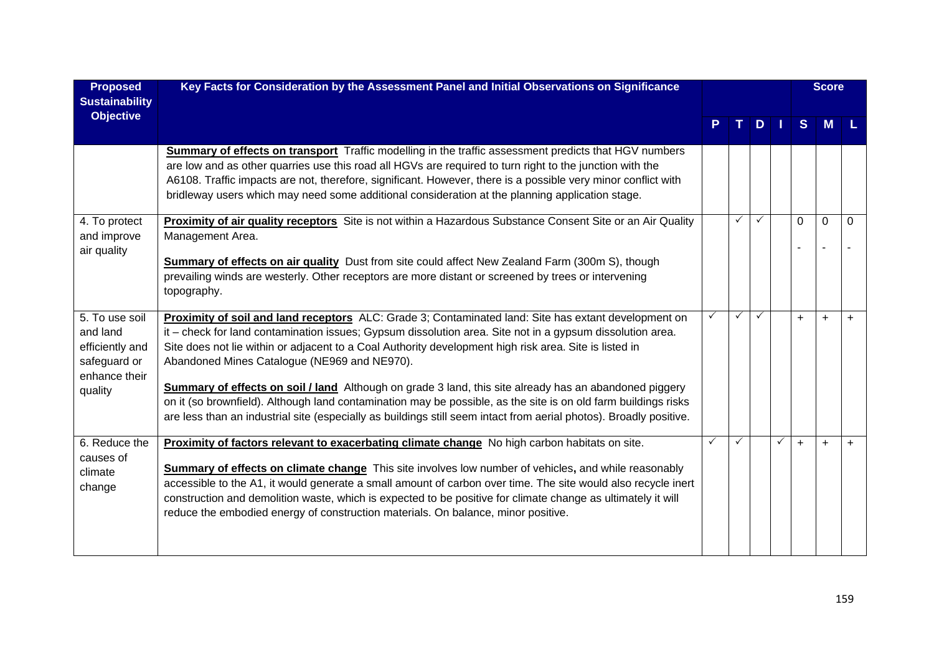| <b>Proposed</b><br><b>Sustainability</b>                                                  | Key Facts for Consideration by the Assessment Panel and Initial Observations on Significance                                                                                                                                                                                                                                                                                                                                                                                                                                                                                                                                                                                                                                         |   |   |   |              |              | <b>Score</b> |           |
|-------------------------------------------------------------------------------------------|--------------------------------------------------------------------------------------------------------------------------------------------------------------------------------------------------------------------------------------------------------------------------------------------------------------------------------------------------------------------------------------------------------------------------------------------------------------------------------------------------------------------------------------------------------------------------------------------------------------------------------------------------------------------------------------------------------------------------------------|---|---|---|--------------|--------------|--------------|-----------|
| <b>Objective</b>                                                                          |                                                                                                                                                                                                                                                                                                                                                                                                                                                                                                                                                                                                                                                                                                                                      |   |   | D |              | <sub>S</sub> | M            |           |
|                                                                                           | Summary of effects on transport Traffic modelling in the traffic assessment predicts that HGV numbers<br>are low and as other quarries use this road all HGVs are required to turn right to the junction with the<br>A6108. Traffic impacts are not, therefore, significant. However, there is a possible very minor conflict with<br>bridleway users which may need some additional consideration at the planning application stage.                                                                                                                                                                                                                                                                                                |   |   |   |              |              |              |           |
| 4. To protect<br>and improve<br>air quality                                               | Proximity of air quality receptors Site is not within a Hazardous Substance Consent Site or an Air Quality<br>Management Area.<br><b>Summary of effects on air quality</b> Dust from site could affect New Zealand Farm (300m S), though<br>prevailing winds are westerly. Other receptors are more distant or screened by trees or intervening<br>topography.                                                                                                                                                                                                                                                                                                                                                                       |   | ✓ |   |              | $\Omega$     | $\Omega$     | $\Omega$  |
| 5. To use soil<br>and land<br>efficiently and<br>safeguard or<br>enhance their<br>quality | Proximity of soil and land receptors ALC: Grade 3; Contaminated land: Site has extant development on<br>it – check for land contamination issues; Gypsum dissolution area. Site not in a gypsum dissolution area.<br>Site does not lie within or adjacent to a Coal Authority development high risk area. Site is listed in<br>Abandoned Mines Catalogue (NE969 and NE970).<br><b>Summary of effects on soil / land</b> Although on grade 3 land, this site already has an abandoned piggery<br>on it (so brownfield). Although land contamination may be possible, as the site is on old farm buildings risks<br>are less than an industrial site (especially as buildings still seem intact from aerial photos). Broadly positive. | ✓ | ✓ |   |              | $\ddot{}$    | $+$          | $\ddot{}$ |
| 6. Reduce the<br>causes of<br>climate<br>change                                           | Proximity of factors relevant to exacerbating climate change No high carbon habitats on site.<br>Summary of effects on climate change This site involves low number of vehicles, and while reasonably<br>accessible to the A1, it would generate a small amount of carbon over time. The site would also recycle inert<br>construction and demolition waste, which is expected to be positive for climate change as ultimately it will<br>reduce the embodied energy of construction materials. On balance, minor positive.                                                                                                                                                                                                          | ✓ | ✓ |   | $\checkmark$ | $\ddot{}$    | $\ddot{}$    | $\ddot{}$ |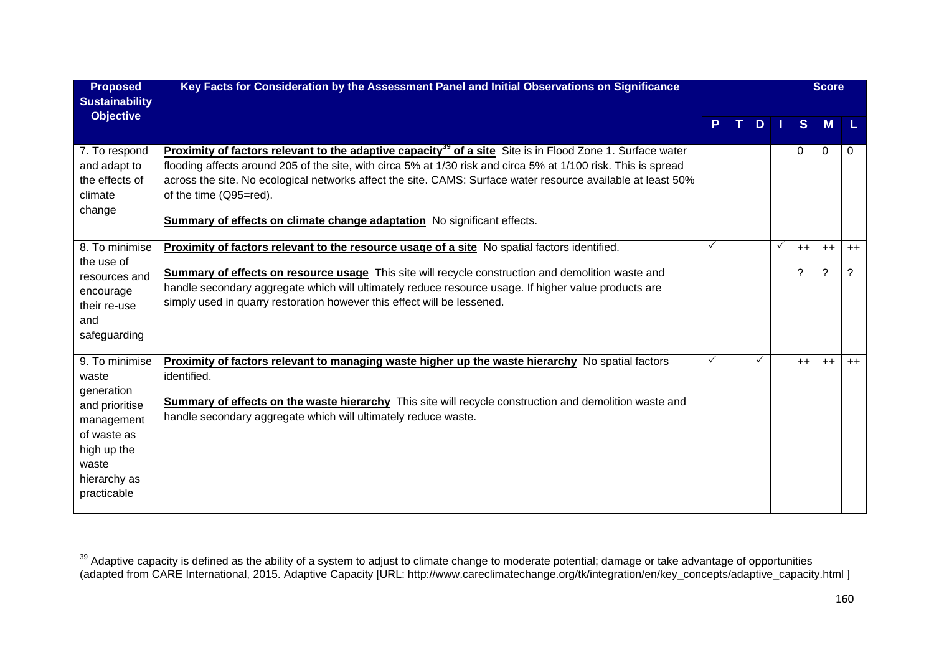| <b>Proposed</b><br><b>Sustainability</b>                                                                                                    | Key Facts for Consideration by the Assessment Panel and Initial Observations on Significance                                                                                                                                                                                                                                                                                                                                                                       |   |    |               |              |              | <b>Score</b>        |           |
|---------------------------------------------------------------------------------------------------------------------------------------------|--------------------------------------------------------------------------------------------------------------------------------------------------------------------------------------------------------------------------------------------------------------------------------------------------------------------------------------------------------------------------------------------------------------------------------------------------------------------|---|----|---------------|--------------|--------------|---------------------|-----------|
| <b>Objective</b>                                                                                                                            |                                                                                                                                                                                                                                                                                                                                                                                                                                                                    | P | т. | $D$   $\vert$ |              | <sub>S</sub> | <b>M</b>            |           |
| 7. To respond<br>and adapt to<br>the effects of<br>climate<br>change                                                                        | <b>Proximity of factors relevant to the adaptive capacity<sup>39</sup> of a site</b> Site is in Flood Zone 1. Surface water<br>flooding affects around 205 of the site, with circa 5% at 1/30 risk and circa 5% at 1/100 risk. This is spread<br>across the site. No ecological networks affect the site. CAMS: Surface water resource available at least 50%<br>of the time (Q95=red).<br>Summary of effects on climate change adaptation No significant effects. |   |    |               |              | $\Omega$     | 0                   | $\Omega$  |
| 8. To minimise<br>the use of<br>resources and<br>encourage<br>their re-use<br>and<br>safeguarding                                           | Proximity of factors relevant to the resource usage of a site No spatial factors identified.<br>Summary of effects on resource usage This site will recycle construction and demolition waste and<br>handle secondary aggregate which will ultimately reduce resource usage. If higher value products are<br>simply used in quarry restoration however this effect will be lessened.                                                                               | ✓ |    |               | $\checkmark$ | $++$<br>?    | $++$<br>$\tilde{?}$ | $++$<br>? |
| 9. To minimise<br>waste<br>generation<br>and prioritise<br>management<br>of waste as<br>high up the<br>waste<br>hierarchy as<br>practicable | <b>Proximity of factors relevant to managing waste higher up the waste hierarchy</b> No spatial factors<br>identified.<br>Summary of effects on the waste hierarchy This site will recycle construction and demolition waste and<br>handle secondary aggregate which will ultimately reduce waste.                                                                                                                                                                 | ✓ |    |               |              | $++$         | $++$                | $++$      |

<sup>&</sup>lt;sup>39</sup> Adaptive capacity is defined as the ability of a system to adjust to climate change to moderate potential; damage or take advantage of opportunities (adapted from CARE International, 2015. Adaptive Capacity [URL: http://www.careclimatechange.org/tk/integration/en/key\_concepts/adaptive\_capacity.html ]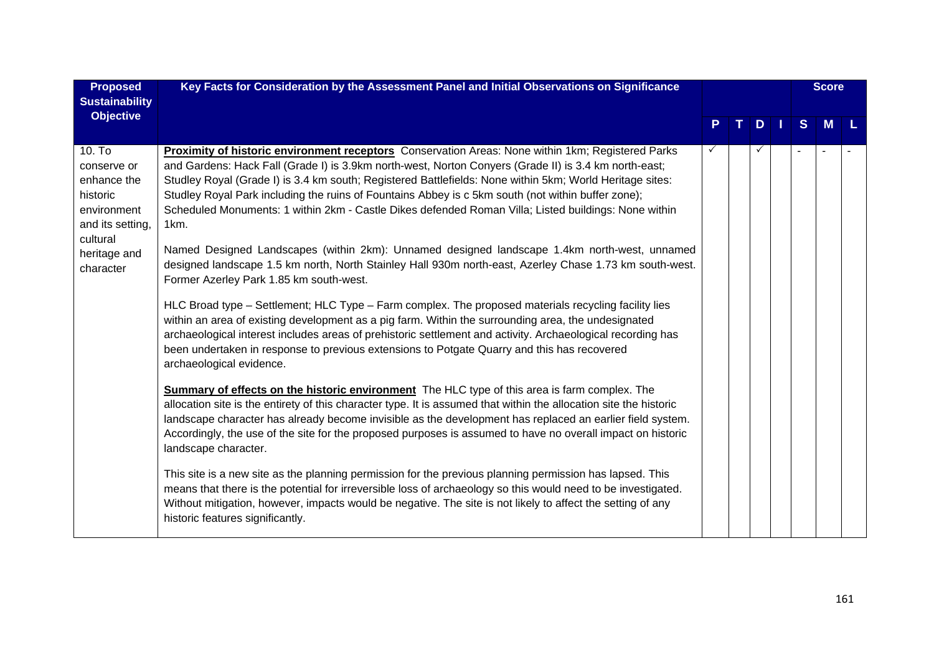| <b>Proposed</b><br><b>Sustainability</b>                                                        | Key Facts for Consideration by the Assessment Panel and Initial Observations on Significance                                                                                                                                                                                                                                                                                                                                                                                                                                                 |              |   |              | <b>Score</b> |  |
|-------------------------------------------------------------------------------------------------|----------------------------------------------------------------------------------------------------------------------------------------------------------------------------------------------------------------------------------------------------------------------------------------------------------------------------------------------------------------------------------------------------------------------------------------------------------------------------------------------------------------------------------------------|--------------|---|--------------|--------------|--|
| <b>Objective</b>                                                                                |                                                                                                                                                                                                                                                                                                                                                                                                                                                                                                                                              |              | D | <sub>S</sub> | M            |  |
| 10. To<br>conserve or<br>enhance the<br>historic<br>environment<br>and its setting,<br>cultural | Proximity of historic environment receptors Conservation Areas: None within 1km; Registered Parks<br>and Gardens: Hack Fall (Grade I) is 3.9km north-west, Norton Conyers (Grade II) is 3.4 km north-east;<br>Studley Royal (Grade I) is 3.4 km south; Registered Battlefields: None within 5km; World Heritage sites:<br>Studley Royal Park including the ruins of Fountains Abbey is c 5km south (not within buffer zone);<br>Scheduled Monuments: 1 within 2km - Castle Dikes defended Roman Villa; Listed buildings: None within<br>1km. | $\checkmark$ |   |              |              |  |
| heritage and<br>character                                                                       | Named Designed Landscapes (within 2km): Unnamed designed landscape 1.4km north-west, unnamed<br>designed landscape 1.5 km north, North Stainley Hall 930m north-east, Azerley Chase 1.73 km south-west.<br>Former Azerley Park 1.85 km south-west.                                                                                                                                                                                                                                                                                           |              |   |              |              |  |
|                                                                                                 | HLC Broad type – Settlement; HLC Type – Farm complex. The proposed materials recycling facility lies<br>within an area of existing development as a pig farm. Within the surrounding area, the undesignated<br>archaeological interest includes areas of prehistoric settlement and activity. Archaeological recording has<br>been undertaken in response to previous extensions to Potgate Quarry and this has recovered<br>archaeological evidence.                                                                                        |              |   |              |              |  |
|                                                                                                 | <b>Summary of effects on the historic environment</b> The HLC type of this area is farm complex. The<br>allocation site is the entirety of this character type. It is assumed that within the allocation site the historic<br>landscape character has already become invisible as the development has replaced an earlier field system.<br>Accordingly, the use of the site for the proposed purposes is assumed to have no overall impact on historic<br>landscape character.                                                               |              |   |              |              |  |
|                                                                                                 | This site is a new site as the planning permission for the previous planning permission has lapsed. This<br>means that there is the potential for irreversible loss of archaeology so this would need to be investigated.<br>Without mitigation, however, impacts would be negative. The site is not likely to affect the setting of any<br>historic features significantly.                                                                                                                                                                 |              |   |              |              |  |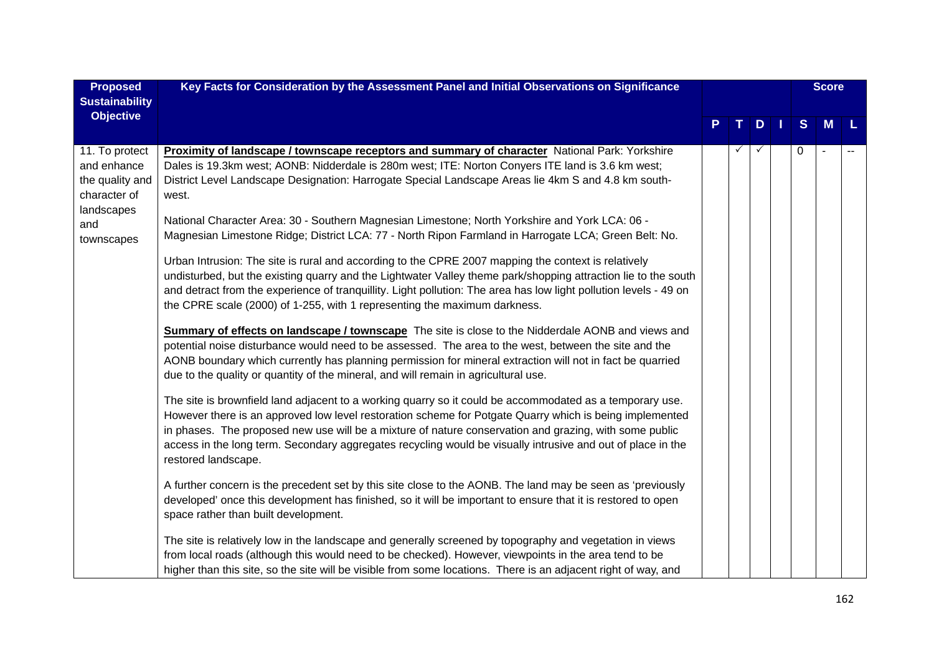| <b>Proposed</b>                                                                                     | Key Facts for Consideration by the Assessment Panel and Initial Observations on Significance                                                                                                                                                                                                                                                                                                                                                                                                                                                                                                                                                                                                                                                                                                                                                                                                                                                                                                                                                                                                                                                                                                                                                                                                                                                                                                                                                                                                                                                                                                                                                                                                                                                                                                                                                                                                                                                                                                                                                                                                                                                                                                                                                                                                                                                                                                                                                                                  |   |   |     |          | <b>Score</b> |  |
|-----------------------------------------------------------------------------------------------------|-------------------------------------------------------------------------------------------------------------------------------------------------------------------------------------------------------------------------------------------------------------------------------------------------------------------------------------------------------------------------------------------------------------------------------------------------------------------------------------------------------------------------------------------------------------------------------------------------------------------------------------------------------------------------------------------------------------------------------------------------------------------------------------------------------------------------------------------------------------------------------------------------------------------------------------------------------------------------------------------------------------------------------------------------------------------------------------------------------------------------------------------------------------------------------------------------------------------------------------------------------------------------------------------------------------------------------------------------------------------------------------------------------------------------------------------------------------------------------------------------------------------------------------------------------------------------------------------------------------------------------------------------------------------------------------------------------------------------------------------------------------------------------------------------------------------------------------------------------------------------------------------------------------------------------------------------------------------------------------------------------------------------------------------------------------------------------------------------------------------------------------------------------------------------------------------------------------------------------------------------------------------------------------------------------------------------------------------------------------------------------------------------------------------------------------------------------------------------------|---|---|-----|----------|--------------|--|
| <b>Sustainability</b><br><b>Objective</b>                                                           |                                                                                                                                                                                                                                                                                                                                                                                                                                                                                                                                                                                                                                                                                                                                                                                                                                                                                                                                                                                                                                                                                                                                                                                                                                                                                                                                                                                                                                                                                                                                                                                                                                                                                                                                                                                                                                                                                                                                                                                                                                                                                                                                                                                                                                                                                                                                                                                                                                                                               | P | D | l T | S        | M            |  |
| 11. To protect<br>and enhance<br>the quality and<br>character of<br>landscapes<br>and<br>townscapes | <b>Proximity of landscape / townscape receptors and summary of character</b> National Park: Yorkshire<br>Dales is 19.3km west; AONB: Nidderdale is 280m west; ITE: Norton Conyers ITE land is 3.6 km west;<br>District Level Landscape Designation: Harrogate Special Landscape Areas lie 4km S and 4.8 km south-<br>west.<br>National Character Area: 30 - Southern Magnesian Limestone; North Yorkshire and York LCA: 06 -<br>Magnesian Limestone Ridge; District LCA: 77 - North Ripon Farmland in Harrogate LCA; Green Belt: No.<br>Urban Intrusion: The site is rural and according to the CPRE 2007 mapping the context is relatively<br>undisturbed, but the existing quarry and the Lightwater Valley theme park/shopping attraction lie to the south<br>and detract from the experience of tranquillity. Light pollution: The area has low light pollution levels - 49 on<br>the CPRE scale (2000) of 1-255, with 1 representing the maximum darkness.<br><b>Summary of effects on landscape / townscape</b> The site is close to the Nidderdale AONB and views and<br>potential noise disturbance would need to be assessed. The area to the west, between the site and the<br>AONB boundary which currently has planning permission for mineral extraction will not in fact be quarried<br>due to the quality or quantity of the mineral, and will remain in agricultural use.<br>The site is brownfield land adjacent to a working quarry so it could be accommodated as a temporary use.<br>However there is an approved low level restoration scheme for Potgate Quarry which is being implemented<br>in phases. The proposed new use will be a mixture of nature conservation and grazing, with some public<br>access in the long term. Secondary aggregates recycling would be visually intrusive and out of place in the<br>restored landscape.<br>A further concern is the precedent set by this site close to the AONB. The land may be seen as 'previously<br>developed' once this development has finished, so it will be important to ensure that it is restored to open<br>space rather than built development.<br>The site is relatively low in the landscape and generally screened by topography and vegetation in views<br>from local roads (although this would need to be checked). However, viewpoints in the area tend to be<br>higher than this site, so the site will be visible from some locations. There is an adjacent right of way, and |   |   |     | $\Omega$ |              |  |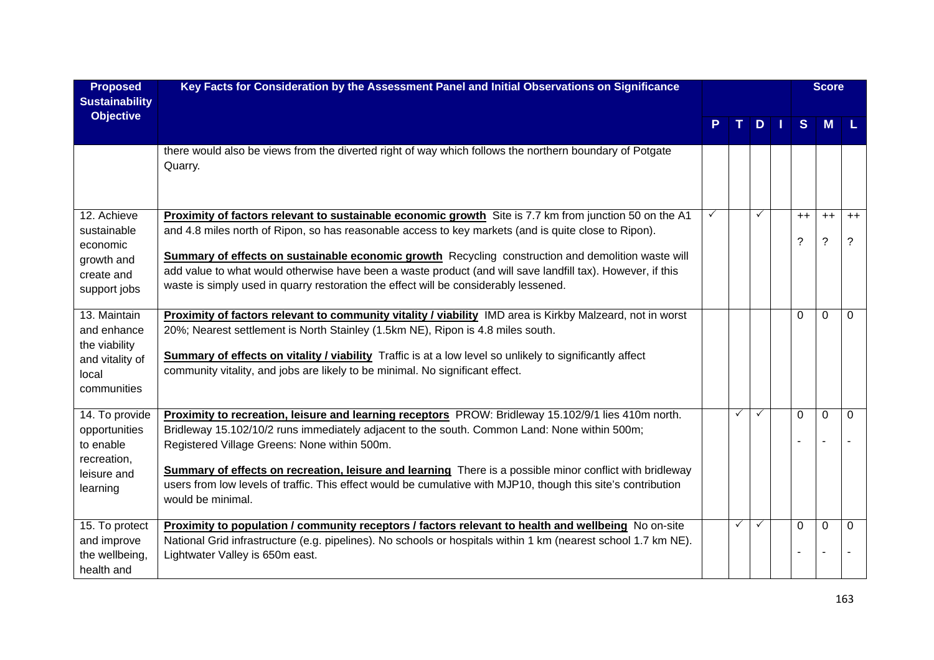| <b>Proposed</b><br><b>Sustainability</b>                                                | Key Facts for Consideration by the Assessment Panel and Initial Observations on Significance                                                                                                                                                                                                                                                                                                                                                                                                                               |   |   |     |           | <b>Score</b>        |           |
|-----------------------------------------------------------------------------------------|----------------------------------------------------------------------------------------------------------------------------------------------------------------------------------------------------------------------------------------------------------------------------------------------------------------------------------------------------------------------------------------------------------------------------------------------------------------------------------------------------------------------------|---|---|-----|-----------|---------------------|-----------|
| <b>Objective</b>                                                                        |                                                                                                                                                                                                                                                                                                                                                                                                                                                                                                                            | P |   | TDI | S         | M                   |           |
|                                                                                         | there would also be views from the diverted right of way which follows the northern boundary of Potgate<br>Quarry.                                                                                                                                                                                                                                                                                                                                                                                                         |   |   |     |           |                     |           |
| 12. Achieve<br>sustainable<br>economic<br>growth and<br>create and<br>support jobs      | Proximity of factors relevant to sustainable economic growth Site is 7.7 km from junction 50 on the A1<br>and 4.8 miles north of Ripon, so has reasonable access to key markets (and is quite close to Ripon).<br>Summary of effects on sustainable economic growth Recycling construction and demolition waste will<br>add value to what would otherwise have been a waste product (and will save landfill tax). However, if this<br>waste is simply used in quarry restoration the effect will be considerably lessened. | ✓ |   | ✓   | $++$<br>? | $++$<br>$\tilde{?}$ | $++$<br>? |
| 13. Maintain<br>and enhance<br>the viability<br>and vitality of<br>local<br>communities | Proximity of factors relevant to community vitality / viability IMD area is Kirkby Malzeard, not in worst<br>20%; Nearest settlement is North Stainley (1.5km NE), Ripon is 4.8 miles south.<br><b>Summary of effects on vitality / viability</b> Traffic is at a low level so unlikely to significantly affect<br>community vitality, and jobs are likely to be minimal. No significant effect.                                                                                                                           |   |   |     | 0         | $\mathbf 0$         | $\Omega$  |
| 14. To provide<br>opportunities<br>to enable<br>recreation,<br>leisure and<br>learning  | Proximity to recreation, leisure and learning receptors PROW: Bridleway 15.102/9/1 lies 410m north.<br>Bridleway 15.102/10/2 runs immediately adjacent to the south. Common Land: None within 500m;<br>Registered Village Greens: None within 500m.<br>Summary of effects on recreation, leisure and learning There is a possible minor conflict with bridleway<br>users from low levels of traffic. This effect would be cumulative with MJP10, though this site's contribution<br>would be minimal.                      |   | ✓ | ✓   | 0         | 0<br>÷              | 0         |
| 15. To protect<br>and improve<br>the wellbeing,<br>health and                           | Proximity to population / community receptors / factors relevant to health and wellbeing No on-site<br>National Grid infrastructure (e.g. pipelines). No schools or hospitals within 1 km (nearest school 1.7 km NE).<br>Lightwater Valley is 650m east.                                                                                                                                                                                                                                                                   |   | ✓ | ✓   | 0         | $\mathbf 0$         | $\Omega$  |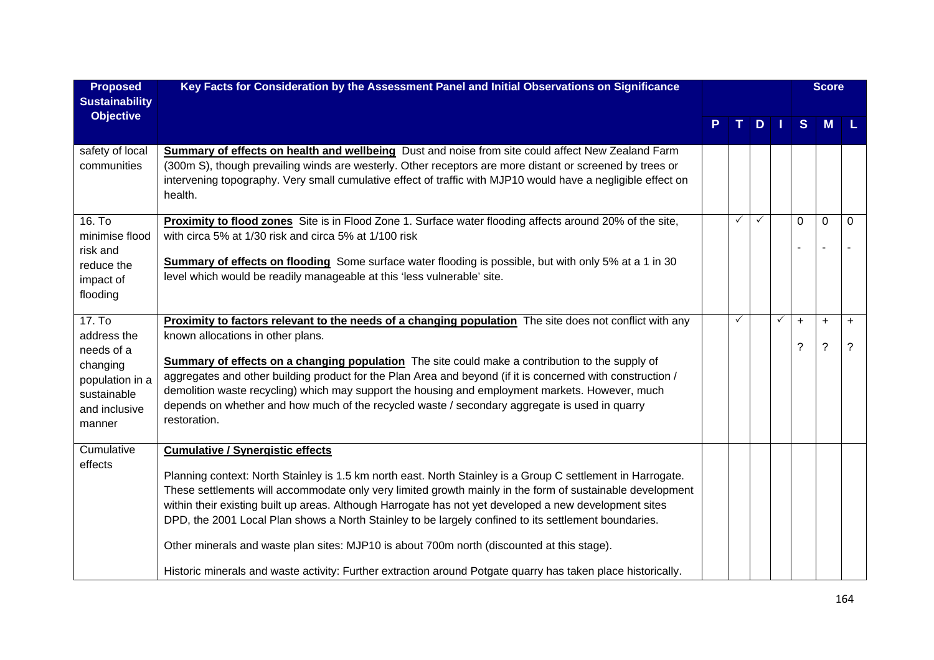| <b>Proposed</b><br><b>Sustainability</b>                                                                     | Key Facts for Consideration by the Assessment Panel and Initial Observations on Significance                                                                                                                                                                                                                                                                                                                                                                                                                                                                                                                                                                                                        |   |   |              |   |                | <b>Score</b>                          |                             |
|--------------------------------------------------------------------------------------------------------------|-----------------------------------------------------------------------------------------------------------------------------------------------------------------------------------------------------------------------------------------------------------------------------------------------------------------------------------------------------------------------------------------------------------------------------------------------------------------------------------------------------------------------------------------------------------------------------------------------------------------------------------------------------------------------------------------------------|---|---|--------------|---|----------------|---------------------------------------|-----------------------------|
| <b>Objective</b>                                                                                             |                                                                                                                                                                                                                                                                                                                                                                                                                                                                                                                                                                                                                                                                                                     | P |   | $D$ $I$      |   | S              | <b>M</b>                              |                             |
| safety of local<br>communities                                                                               | <b>Summary of effects on health and wellbeing</b> Dust and noise from site could affect New Zealand Farm<br>(300m S), though prevailing winds are westerly. Other receptors are more distant or screened by trees or<br>intervening topography. Very small cumulative effect of traffic with MJP10 would have a negligible effect on<br>health.                                                                                                                                                                                                                                                                                                                                                     |   |   |              |   |                |                                       |                             |
| 16. To<br>minimise flood<br>risk and<br>reduce the<br>impact of<br>flooding                                  | Proximity to flood zones Site is in Flood Zone 1. Surface water flooding affects around 20% of the site,<br>with circa 5% at 1/30 risk and circa 5% at 1/100 risk<br>Summary of effects on flooding Some surface water flooding is possible, but with only 5% at a 1 in 30<br>level which would be readily manageable at this 'less vulnerable' site.                                                                                                                                                                                                                                                                                                                                               |   | ✓ | $\checkmark$ |   | $\mathbf{0}$   | $\mathbf 0$                           | 0                           |
| 17. To<br>address the<br>needs of a<br>changing<br>population in a<br>sustainable<br>and inclusive<br>manner | <b>Proximity to factors relevant to the needs of a changing population</b> The site does not conflict with any<br>known allocations in other plans.<br><b>Summary of effects on a changing population</b> The site could make a contribution to the supply of<br>aggregates and other building product for the Plan Area and beyond (if it is concerned with construction /<br>demolition waste recycling) which may support the housing and employment markets. However, much<br>depends on whether and how much of the recycled waste / secondary aggregate is used in quarry<br>restoration.                                                                                                     |   | ✓ |              | ✓ | $\ddot{}$<br>? | $\ddot{}$<br>$\overline{\phantom{0}}$ | $\ddot{}$<br>$\overline{?}$ |
| Cumulative<br>effects                                                                                        | <b>Cumulative / Synergistic effects</b><br>Planning context: North Stainley is 1.5 km north east. North Stainley is a Group C settlement in Harrogate.<br>These settlements will accommodate only very limited growth mainly in the form of sustainable development<br>within their existing built up areas. Although Harrogate has not yet developed a new development sites<br>DPD, the 2001 Local Plan shows a North Stainley to be largely confined to its settlement boundaries.<br>Other minerals and waste plan sites: MJP10 is about 700m north (discounted at this stage).<br>Historic minerals and waste activity: Further extraction around Potgate quarry has taken place historically. |   |   |              |   |                |                                       |                             |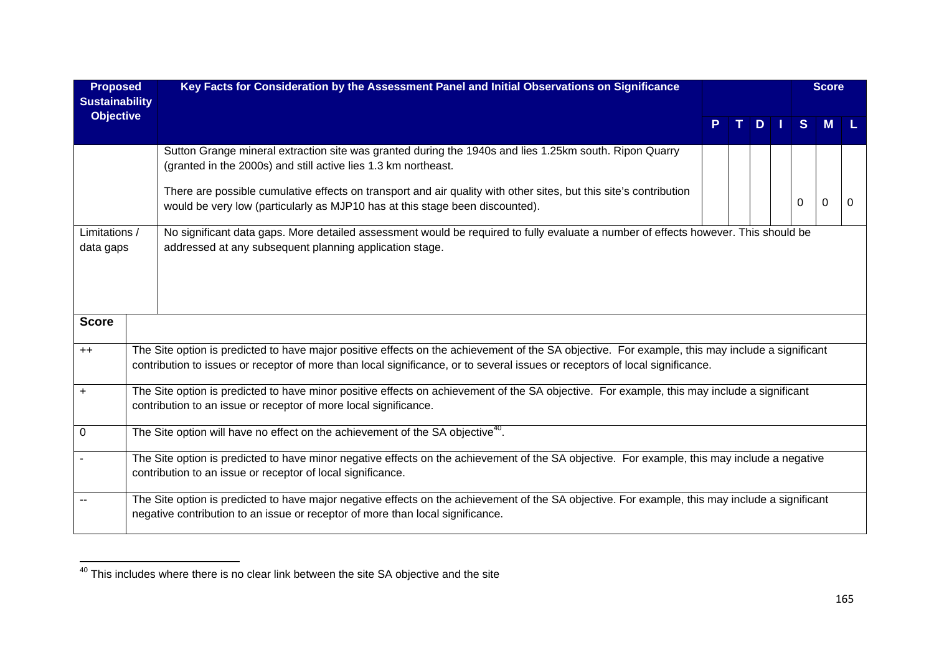| <b>Proposed</b><br><b>Sustainability</b> |                                                                                                                                                                                                                 | Key Facts for Consideration by the Assessment Panel and Initial Observations on Significance                                                                                                                                                                                    |   |    |    |    | <b>Score</b> |          |   |  |
|------------------------------------------|-----------------------------------------------------------------------------------------------------------------------------------------------------------------------------------------------------------------|---------------------------------------------------------------------------------------------------------------------------------------------------------------------------------------------------------------------------------------------------------------------------------|---|----|----|----|--------------|----------|---|--|
| <b>Objective</b>                         |                                                                                                                                                                                                                 |                                                                                                                                                                                                                                                                                 | P | T. | D. | H. | S            | M        |   |  |
|                                          |                                                                                                                                                                                                                 | Sutton Grange mineral extraction site was granted during the 1940s and lies 1.25km south. Ripon Quarry<br>(granted in the 2000s) and still active lies 1.3 km northeast.                                                                                                        |   |    |    |    |              |          |   |  |
|                                          |                                                                                                                                                                                                                 | There are possible cumulative effects on transport and air quality with other sites, but this site's contribution<br>would be very low (particularly as MJP10 has at this stage been discounted).                                                                               |   |    |    |    | 0            | $\Omega$ | O |  |
| Limitations /<br>data gaps               |                                                                                                                                                                                                                 | No significant data gaps. More detailed assessment would be required to fully evaluate a number of effects however. This should be<br>addressed at any subsequent planning application stage.                                                                                   |   |    |    |    |              |          |   |  |
|                                          |                                                                                                                                                                                                                 |                                                                                                                                                                                                                                                                                 |   |    |    |    |              |          |   |  |
| <b>Score</b>                             |                                                                                                                                                                                                                 |                                                                                                                                                                                                                                                                                 |   |    |    |    |              |          |   |  |
| $++$                                     |                                                                                                                                                                                                                 | The Site option is predicted to have major positive effects on the achievement of the SA objective. For example, this may include a significant<br>contribution to issues or receptor of more than local significance, or to several issues or receptors of local significance. |   |    |    |    |              |          |   |  |
| $\ddot{}$                                | The Site option is predicted to have minor positive effects on achievement of the SA objective. For example, this may include a significant<br>contribution to an issue or receptor of more local significance. |                                                                                                                                                                                                                                                                                 |   |    |    |    |              |          |   |  |
| $\mathbf 0$                              |                                                                                                                                                                                                                 | The Site option will have no effect on the achievement of the SA objective <sup>40</sup> .                                                                                                                                                                                      |   |    |    |    |              |          |   |  |
|                                          |                                                                                                                                                                                                                 | The Site option is predicted to have minor negative effects on the achievement of the SA objective. For example, this may include a negative<br>contribution to an issue or receptor of local significance.                                                                     |   |    |    |    |              |          |   |  |
|                                          |                                                                                                                                                                                                                 | The Site option is predicted to have major negative effects on the achievement of the SA objective. For example, this may include a significant<br>negative contribution to an issue or receptor of more than local significance.                                               |   |    |    |    |              |          |   |  |

<sup>40</sup> This includes where there is no clear link between the site SA objective and the site